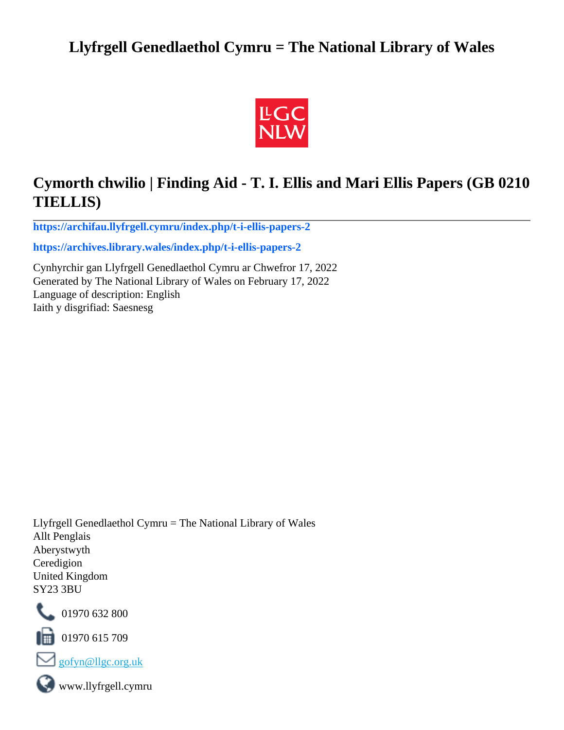## **Llyfrgell Genedlaethol Cymru = The National Library of Wales**



## **Cymorth chwilio | Finding Aid - T. I. Ellis and Mari Ellis Papers (GB 0210 TIELLIS)**

**[https://archifau.llyfrgell.cymru/index.php/t-i-ellis-papers-2](https://archifau.llyfrgell.cymru/index.php/t-i-ellis-papers-2;isad?sf_culture=cy)**

**[https://archives.library.wales/index.php/t-i-ellis-papers-2](https://archives.library.wales/index.php/t-i-ellis-papers-2;isad?sf_culture=en)**

Cynhyrchir gan Llyfrgell Genedlaethol Cymru ar Chwefror 17, 2022 Generated by The National Library of Wales on February 17, 2022 Language of description: English Iaith y disgrifiad: Saesnesg

Llyfrgell Genedlaethol Cymru = The National Library of Wales Allt Penglais Aberystwyth Ceredigion United Kingdom SY23 3BU



101970 632 800

 $\blacksquare$  01970 615 709



www.llyfrgell.cymru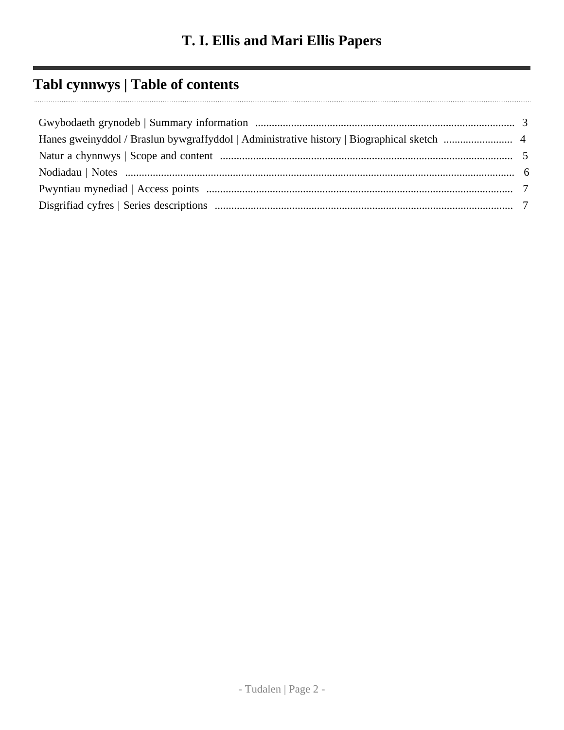## **Tabl cynnwys | Table of contents**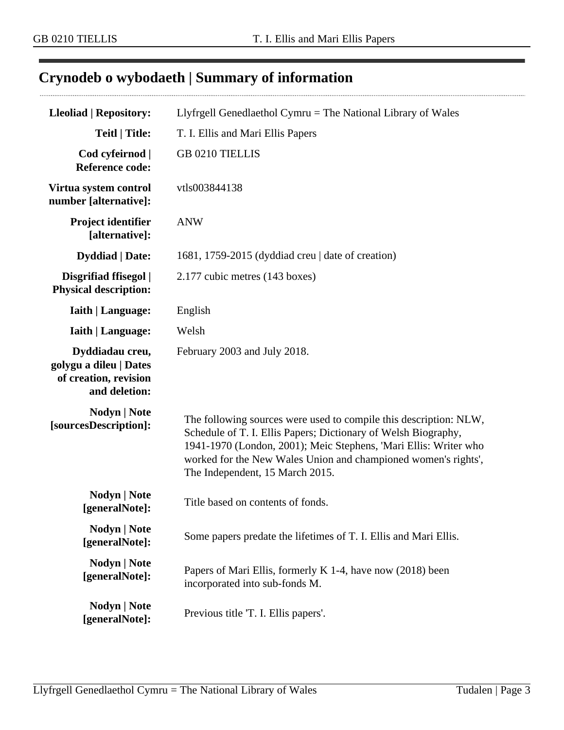$\cdots$ 

## <span id="page-2-0"></span>**Crynodeb o wybodaeth | Summary of information**

| <b>Lleoliad   Repository:</b>                                                       | Llyfrgell Genedlaethol Cymru = The National Library of Wales                                                                                                                                                                                                                                                 |  |  |
|-------------------------------------------------------------------------------------|--------------------------------------------------------------------------------------------------------------------------------------------------------------------------------------------------------------------------------------------------------------------------------------------------------------|--|--|
| <b>Teitl   Title:</b>                                                               | T. I. Ellis and Mari Ellis Papers                                                                                                                                                                                                                                                                            |  |  |
| Cod cyfeirnod  <br><b>Reference code:</b>                                           | GB 0210 TIELLIS                                                                                                                                                                                                                                                                                              |  |  |
| Virtua system control<br>number [alternative]:                                      | vtls003844138                                                                                                                                                                                                                                                                                                |  |  |
| Project identifier<br>[alternative]:                                                | <b>ANW</b>                                                                                                                                                                                                                                                                                                   |  |  |
| <b>Dyddiad</b>   Date:                                                              | 1681, 1759-2015 (dyddiad creu   date of creation)                                                                                                                                                                                                                                                            |  |  |
| Disgrifiad ffisegol  <br><b>Physical description:</b>                               | 2.177 cubic metres (143 boxes)                                                                                                                                                                                                                                                                               |  |  |
| <b>Iaith   Language:</b>                                                            | English                                                                                                                                                                                                                                                                                                      |  |  |
| <b>Iaith   Language:</b>                                                            | Welsh                                                                                                                                                                                                                                                                                                        |  |  |
| Dyddiadau creu,<br>golygu a dileu   Dates<br>of creation, revision<br>and deletion: | February 2003 and July 2018.                                                                                                                                                                                                                                                                                 |  |  |
| <b>Nodyn</b>   <b>Note</b><br>[sourcesDescription]:                                 | The following sources were used to compile this description: NLW,<br>Schedule of T. I. Ellis Papers; Dictionary of Welsh Biography,<br>1941-1970 (London, 2001); Meic Stephens, 'Mari Ellis: Writer who<br>worked for the New Wales Union and championed women's rights',<br>The Independent, 15 March 2015. |  |  |
| Nodyn   Note<br>[generalNote]:                                                      | Title based on contents of fonds.                                                                                                                                                                                                                                                                            |  |  |
| Nodyn   Note<br>[generalNote]:                                                      | Some papers predate the lifetimes of T. I. Ellis and Mari Ellis.                                                                                                                                                                                                                                             |  |  |
| Nodyn   Note<br>[generalNote]:                                                      | Papers of Mari Ellis, formerly K 1-4, have now (2018) been<br>incorporated into sub-fonds M.                                                                                                                                                                                                                 |  |  |
| Nodyn   Note<br>[generalNote]:                                                      | Previous title 'T. I. Ellis papers'.                                                                                                                                                                                                                                                                         |  |  |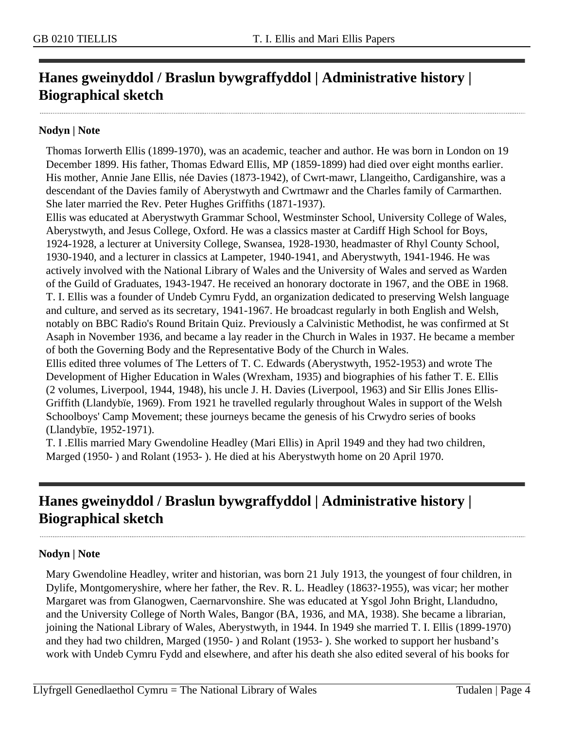## <span id="page-3-0"></span>**Hanes gweinyddol / Braslun bywgraffyddol | Administrative history | Biographical sketch**

#### **Nodyn | Note**

Thomas Iorwerth Ellis (1899-1970), was an academic, teacher and author. He was born in London on 19 December 1899. His father, Thomas Edward Ellis, MP (1859-1899) had died over eight months earlier. His mother, Annie Jane Ellis, née Davies (1873-1942), of Cwrt-mawr, Llangeitho, Cardiganshire, was a descendant of the Davies family of Aberystwyth and Cwrtmawr and the Charles family of Carmarthen. She later married the Rev. Peter Hughes Griffiths (1871-1937).

Ellis was educated at Aberystwyth Grammar School, Westminster School, University College of Wales, Aberystwyth, and Jesus College, Oxford. He was a classics master at Cardiff High School for Boys, 1924-1928, a lecturer at University College, Swansea, 1928-1930, headmaster of Rhyl County School, 1930-1940, and a lecturer in classics at Lampeter, 1940-1941, and Aberystwyth, 1941-1946. He was actively involved with the National Library of Wales and the University of Wales and served as Warden of the Guild of Graduates, 1943-1947. He received an honorary doctorate in 1967, and the OBE in 1968. T. I. Ellis was a founder of Undeb Cymru Fydd, an organization dedicated to preserving Welsh language and culture, and served as its secretary, 1941-1967. He broadcast regularly in both English and Welsh, notably on BBC Radio's Round Britain Quiz. Previously a Calvinistic Methodist, he was confirmed at St Asaph in November 1936, and became a lay reader in the Church in Wales in 1937. He became a member of both the Governing Body and the Representative Body of the Church in Wales.

Ellis edited three volumes of The Letters of T. C. Edwards (Aberystwyth, 1952-1953) and wrote The Development of Higher Education in Wales (Wrexham, 1935) and biographies of his father T. E. Ellis (2 volumes, Liverpool, 1944, 1948), his uncle J. H. Davies (Liverpool, 1963) and Sir Ellis Jones Ellis-Griffith (Llandybïe, 1969). From 1921 he travelled regularly throughout Wales in support of the Welsh Schoolboys' Camp Movement; these journeys became the genesis of his Crwydro series of books (Llandybïe, 1952-1971).

T. I .Ellis married Mary Gwendoline Headley (Mari Ellis) in April 1949 and they had two children, Marged (1950- ) and Rolant (1953- ). He died at his Aberystwyth home on 20 April 1970.

## **Hanes gweinyddol / Braslun bywgraffyddol | Administrative history | Biographical sketch**

#### **Nodyn | Note**

Mary Gwendoline Headley, writer and historian, was born 21 July 1913, the youngest of four children, in Dylife, Montgomeryshire, where her father, the Rev. R. L. Headley (1863?-1955), was vicar; her mother Margaret was from Glanogwen, Caernarvonshire. She was educated at Ysgol John Bright, Llandudno, and the University College of North Wales, Bangor (BA, 1936, and MA, 1938). She became a librarian, joining the National Library of Wales, Aberystwyth, in 1944. In 1949 she married T. I. Ellis (1899-1970) and they had two children, Marged (1950- ) and Rolant (1953- ). She worked to support her husband's work with Undeb Cymru Fydd and elsewhere, and after his death she also edited several of his books for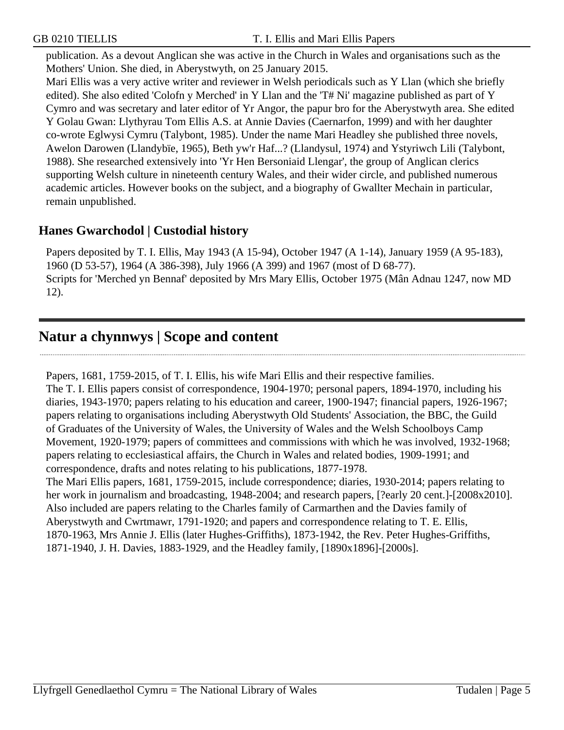publication. As a devout Anglican she was active in the Church in Wales and organisations such as the Mothers' Union. She died, in Aberystwyth, on 25 January 2015.

Mari Ellis was a very active writer and reviewer in Welsh periodicals such as Y Llan (which she briefly edited). She also edited 'Colofn y Merched' in Y Llan and the 'T# Ni' magazine published as part of Y Cymro and was secretary and later editor of Yr Angor, the papur bro for the Aberystwyth area. She edited Y Golau Gwan: Llythyrau Tom Ellis A.S. at Annie Davies (Caernarfon, 1999) and with her daughter co-wrote Eglwysi Cymru (Talybont, 1985). Under the name Mari Headley she published three novels, Awelon Darowen (Llandybïe, 1965), Beth yw'r Haf...? (Llandysul, 1974) and Ystyriwch Lili (Talybont, 1988). She researched extensively into 'Yr Hen Bersoniaid Llengar', the group of Anglican clerics supporting Welsh culture in nineteenth century Wales, and their wider circle, and published numerous academic articles. However books on the subject, and a biography of Gwallter Mechain in particular, remain unpublished.

#### **Hanes Gwarchodol | Custodial history**

Papers deposited by T. I. Ellis, May 1943 (A 15-94), October 1947 (A 1-14), January 1959 (A 95-183), 1960 (D 53-57), 1964 (A 386-398), July 1966 (A 399) and 1967 (most of D 68-77). Scripts for 'Merched yn Bennaf' deposited by Mrs Mary Ellis, October 1975 (Mân Adnau 1247, now MD 12).

## <span id="page-4-0"></span>**Natur a chynnwys | Scope and content**

Papers, 1681, 1759-2015, of T. I. Ellis, his wife Mari Ellis and their respective families. The T. I. Ellis papers consist of correspondence, 1904-1970; personal papers, 1894-1970, including his diaries, 1943-1970; papers relating to his education and career, 1900-1947; financial papers, 1926-1967; papers relating to organisations including Aberystwyth Old Students' Association, the BBC, the Guild of Graduates of the University of Wales, the University of Wales and the Welsh Schoolboys Camp Movement, 1920-1979; papers of committees and commissions with which he was involved, 1932-1968; papers relating to ecclesiastical affairs, the Church in Wales and related bodies, 1909-1991; and correspondence, drafts and notes relating to his publications, 1877-1978. The Mari Ellis papers, 1681, 1759-2015, include correspondence; diaries, 1930-2014; papers relating to her work in journalism and broadcasting, 1948-2004; and research papers, [?early 20 cent.]-[2008x2010]. Also included are papers relating to the Charles family of Carmarthen and the Davies family of Aberystwyth and Cwrtmawr, 1791-1920; and papers and correspondence relating to T. E. Ellis,

1870-1963, Mrs Annie J. Ellis (later Hughes-Griffiths), 1873-1942, the Rev. Peter Hughes-Griffiths, 1871-1940, J. H. Davies, 1883-1929, and the Headley family, [1890x1896]-[2000s].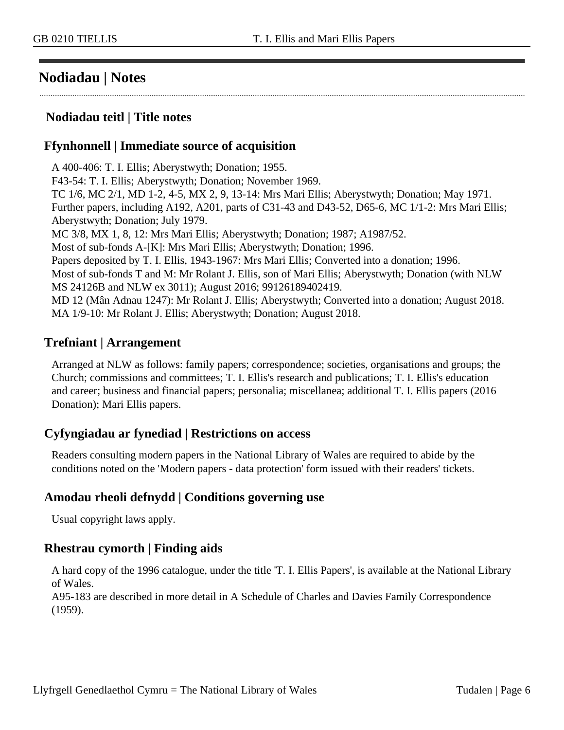### <span id="page-5-0"></span>**Nodiadau | Notes**

#### **Nodiadau teitl | Title notes**

#### **Ffynhonnell | Immediate source of acquisition**

A 400-406: T. I. Ellis; Aberystwyth; Donation; 1955. F43-54: T. I. Ellis; Aberystwyth; Donation; November 1969. TC 1/6, MC 2/1, MD 1-2, 4-5, MX 2, 9, 13-14: Mrs Mari Ellis; Aberystwyth; Donation; May 1971. Further papers, including A192, A201, parts of C31-43 and D43-52, D65-6, MC 1/1-2: Mrs Mari Ellis; Aberystwyth; Donation; July 1979. MC 3/8, MX 1, 8, 12: Mrs Mari Ellis; Aberystwyth; Donation; 1987; A1987/52. Most of sub-fonds A-[K]: Mrs Mari Ellis; Aberystwyth; Donation; 1996. Papers deposited by T. I. Ellis, 1943-1967: Mrs Mari Ellis; Converted into a donation; 1996. Most of sub-fonds T and M: Mr Rolant J. Ellis, son of Mari Ellis; Aberystwyth; Donation (with NLW MS 24126B and NLW ex 3011); August 2016; 99126189402419. MD 12 (Mân Adnau 1247): Mr Rolant J. Ellis; Aberystwyth; Converted into a donation; August 2018. MA 1/9-10: Mr Rolant J. Ellis; Aberystwyth; Donation; August 2018.

#### **Trefniant | Arrangement**

Arranged at NLW as follows: family papers; correspondence; societies, organisations and groups; the Church; commissions and committees; T. I. Ellis's research and publications; T. I. Ellis's education and career; business and financial papers; personalia; miscellanea; additional T. I. Ellis papers (2016 Donation); Mari Ellis papers.

#### **Cyfyngiadau ar fynediad | Restrictions on access**

Readers consulting modern papers in the National Library of Wales are required to abide by the conditions noted on the 'Modern papers - data protection' form issued with their readers' tickets.

#### **Amodau rheoli defnydd | Conditions governing use**

Usual copyright laws apply.

#### **Rhestrau cymorth | Finding aids**

A hard copy of the 1996 catalogue, under the title 'T. I. Ellis Papers', is available at the National Library of Wales.

A95-183 are described in more detail in A Schedule of Charles and Davies Family Correspondence (1959).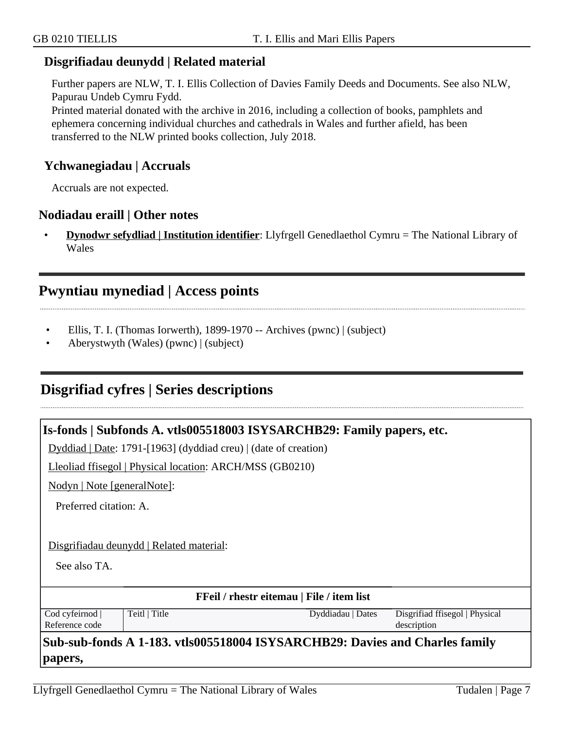#### **Disgrifiadau deunydd | Related material**

Further papers are NLW, T. I. Ellis Collection of Davies Family Deeds and Documents. See also NLW, Papurau Undeb Cymru Fydd.

Printed material donated with the archive in 2016, including a collection of books, pamphlets and ephemera concerning individual churches and cathedrals in Wales and further afield, has been transferred to the NLW printed books collection, July 2018.

#### **Ychwanegiadau | Accruals**

Accruals are not expected.

#### **Nodiadau eraill | Other notes**

• **Dynodwr sefydliad | Institution identifier**: Llyfrgell Genedlaethol Cymru = The National Library of Wales

#### <span id="page-6-0"></span>**Pwyntiau mynediad | Access points**

- Ellis, T. I. (Thomas Iorwerth), 1899-1970 -- Archives (pwnc) | (subject)
- Aberystwyth (Wales) (pwnc) | (subject)

#### <span id="page-6-1"></span>**Disgrifiad cyfres | Series descriptions**

|                                                  | Is-fonds   Subfonds A. vtls005518003 ISYSARCHB29: Family papers, etc. |                                                                             |                                               |  |
|--------------------------------------------------|-----------------------------------------------------------------------|-----------------------------------------------------------------------------|-----------------------------------------------|--|
|                                                  | $Dyddiad   Date: 1791-[1963] (dyddiad creu)   (date of creation)$     |                                                                             |                                               |  |
|                                                  | Lleoliad ffisegol   Physical location: ARCH/MSS (GB0210)              |                                                                             |                                               |  |
| Nodyn   Note [generalNote]:                      |                                                                       |                                                                             |                                               |  |
| Preferred citation: A.                           |                                                                       |                                                                             |                                               |  |
|                                                  |                                                                       |                                                                             |                                               |  |
|                                                  | Disgrifiadau deunydd   Related material:                              |                                                                             |                                               |  |
| See also TA.                                     |                                                                       |                                                                             |                                               |  |
| <b>FFeil</b> / rhestr eitemau   File / item list |                                                                       |                                                                             |                                               |  |
| Cod cyfeirnod<br>Reference code                  | Teitl   Title                                                         | Dyddiadau   Dates                                                           | Disgrifiad ffisegol   Physical<br>description |  |
| papers,                                          |                                                                       | Sub-sub-fonds A 1-183. vtls005518004 ISYSARCHB29: Davies and Charles family |                                               |  |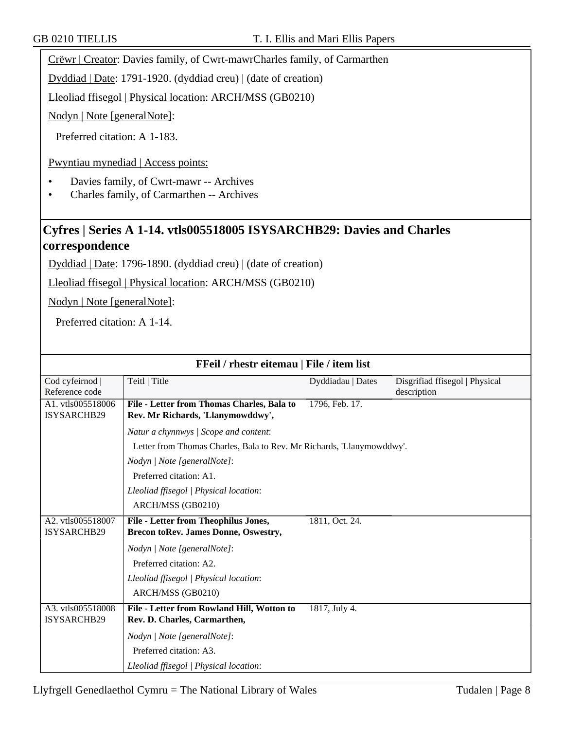Crëwr | Creator: Davies family, of Cwrt-mawrCharles family, of Carmarthen

Dyddiad | Date: 1791-1920. (dyddiad creu) | (date of creation)

Lleoliad ffisegol | Physical location: ARCH/MSS (GB0210)

Nodyn | Note [generalNote]:

Preferred citation: A 1-183.

Pwyntiau mynediad | Access points:

- Davies family, of Cwrt-mawr -- Archives
- Charles family, of Carmarthen -- Archives

#### **Cyfres | Series A 1-14. vtls005518005 ISYSARCHB29: Davies and Charles correspondence**

Dyddiad | Date: 1796-1890. (dyddiad creu) | (date of creation)

Lleoliad ffisegol | Physical location: ARCH/MSS (GB0210)

Nodyn | Note [generalNote]:

Preferred citation: A 1-14.

| FFeil / rhestr eitemau   File / item list |                                                                       |                   |                                |
|-------------------------------------------|-----------------------------------------------------------------------|-------------------|--------------------------------|
| Cod cyfeirnod                             | Teitl   Title                                                         | Dyddiadau   Dates | Disgrifiad ffisegol   Physical |
| Reference code                            |                                                                       |                   | description                    |
| A1. vtls005518006                         | File - Letter from Thomas Charles, Bala to                            | 1796, Feb. 17.    |                                |
| <b>ISYSARCHB29</b>                        | Rev. Mr Richards, 'Llanymowddwy',                                     |                   |                                |
|                                           | Natur a chynnwys / Scope and content:                                 |                   |                                |
|                                           | Letter from Thomas Charles, Bala to Rev. Mr Richards, 'Llanymowddwy'. |                   |                                |
|                                           | Nodyn   Note [generalNote]:                                           |                   |                                |
|                                           | Preferred citation: A1.                                               |                   |                                |
|                                           | Lleoliad ffisegol   Physical location:                                |                   |                                |
|                                           | ARCH/MSS (GB0210)                                                     |                   |                                |
| A2. vtls005518007                         | File - Letter from Theophilus Jones,                                  | 1811, Oct. 24.    |                                |
| ISYSARCHB29                               | <b>Brecon toRev. James Donne, Oswestry,</b>                           |                   |                                |
|                                           | Nodyn   Note [generalNote]:                                           |                   |                                |
|                                           | Preferred citation: A2.                                               |                   |                                |
|                                           | Lleoliad ffisegol   Physical location:                                |                   |                                |
|                                           | ARCH/MSS (GB0210)                                                     |                   |                                |
| A3. vtls005518008                         | File - Letter from Rowland Hill, Wotton to                            | 1817, July 4.     |                                |
| <b>ISYSARCHB29</b>                        | Rev. D. Charles, Carmarthen,                                          |                   |                                |
|                                           | Nodyn   Note [generalNote]:                                           |                   |                                |
|                                           | Preferred citation: A3.                                               |                   |                                |
|                                           | Lleoliad ffisegol   Physical location:                                |                   |                                |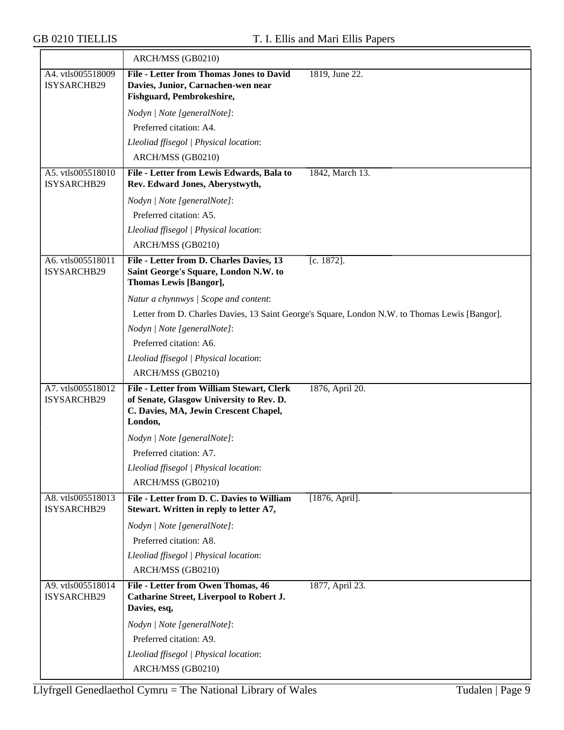|                                  | ARCH/MSS (GB0210)                                                                     |                                                                                                |
|----------------------------------|---------------------------------------------------------------------------------------|------------------------------------------------------------------------------------------------|
| A4. vtls005518009                | <b>File - Letter from Thomas Jones to David</b>                                       | 1819, June 22.                                                                                 |
| ISYSARCHB29                      | Davies, Junior, Carnachen-wen near<br>Fishguard, Pembrokeshire,                       |                                                                                                |
|                                  |                                                                                       |                                                                                                |
|                                  | Nodyn   Note [generalNote]:<br>Preferred citation: A4.                                |                                                                                                |
|                                  | Lleoliad ffisegol   Physical location:                                                |                                                                                                |
|                                  | ARCH/MSS (GB0210)                                                                     |                                                                                                |
| A5. vtls005518010                | File - Letter from Lewis Edwards, Bala to                                             | 1842, March 13.                                                                                |
| ISYSARCHB29                      | Rev. Edward Jones, Aberystwyth,                                                       |                                                                                                |
|                                  | Nodyn   Note [generalNote]:                                                           |                                                                                                |
|                                  | Preferred citation: A5.                                                               |                                                                                                |
|                                  | Lleoliad ffisegol   Physical location:                                                |                                                                                                |
|                                  | ARCH/MSS (GB0210)                                                                     |                                                                                                |
| A6. vtls005518011                | File - Letter from D. Charles Davies, 13                                              | [c. 1872].                                                                                     |
| ISYSARCHB29                      | Saint George's Square, London N.W. to                                                 |                                                                                                |
|                                  | Thomas Lewis [Bangor],                                                                |                                                                                                |
|                                  | Natur a chynnwys / Scope and content:                                                 |                                                                                                |
|                                  |                                                                                       | Letter from D. Charles Davies, 13 Saint George's Square, London N.W. to Thomas Lewis [Bangor]. |
|                                  | Nodyn   Note [generalNote]:                                                           |                                                                                                |
|                                  | Preferred citation: A6.                                                               |                                                                                                |
|                                  | Lleoliad ffisegol   Physical location:                                                |                                                                                                |
|                                  | ARCH/MSS (GB0210)                                                                     |                                                                                                |
| A7. vtls005518012<br>ISYSARCHB29 | File - Letter from William Stewart, Clerk<br>of Senate, Glasgow University to Rev. D. | 1876, April 20.                                                                                |
|                                  | C. Davies, MA, Jewin Crescent Chapel,                                                 |                                                                                                |
|                                  | London,                                                                               |                                                                                                |
|                                  | Nodyn   Note [generalNote]:                                                           |                                                                                                |
|                                  | Preferred citation: A7.                                                               |                                                                                                |
|                                  | Lleoliad ffisegol   Physical location:                                                |                                                                                                |
|                                  | ARCH/MSS (GB0210)                                                                     |                                                                                                |
| A8. vtls005518013<br>ISYSARCHB29 | File - Letter from D. C. Davies to William<br>Stewart. Written in reply to letter A7, | [1876, April].                                                                                 |
|                                  | Nodyn   Note [generalNote]:                                                           |                                                                                                |
|                                  | Preferred citation: A8.                                                               |                                                                                                |
|                                  | Lleoliad ffisegol   Physical location:                                                |                                                                                                |
|                                  | ARCH/MSS (GB0210)                                                                     |                                                                                                |
| A9. vtls005518014                | File - Letter from Owen Thomas, 46                                                    | 1877, April 23.                                                                                |
| ISYSARCHB29                      | <b>Catharine Street, Liverpool to Robert J.</b>                                       |                                                                                                |
|                                  | Davies, esq,                                                                          |                                                                                                |
|                                  | Nodyn   Note [generalNote]:                                                           |                                                                                                |
|                                  | Preferred citation: A9.                                                               |                                                                                                |
|                                  | Lleoliad ffisegol   Physical location:                                                |                                                                                                |
|                                  | ARCH/MSS (GB0210)                                                                     |                                                                                                |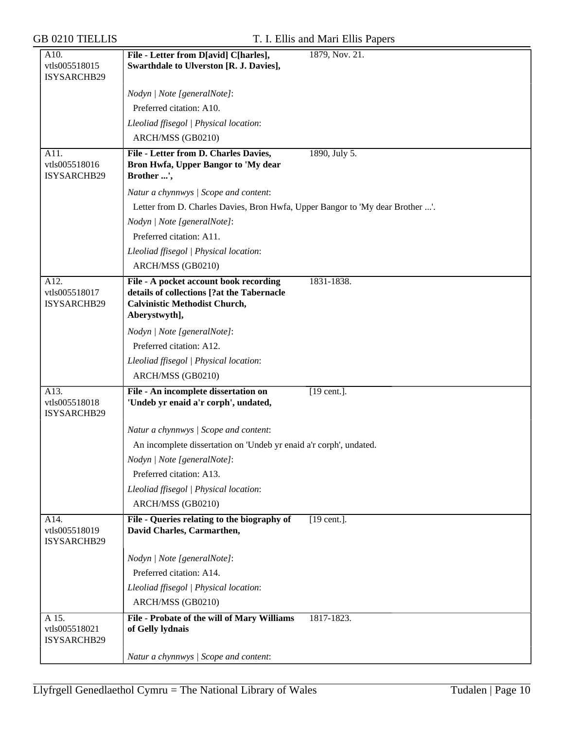| A10.          | File - Letter from D[avid] C[harles],                                         | 1879, Nov. 21. |
|---------------|-------------------------------------------------------------------------------|----------------|
| vtls005518015 | Swarthdale to Ulverston [R. J. Davies],                                       |                |
| ISYSARCHB29   |                                                                               |                |
|               | Nodyn   Note [generalNote]:                                                   |                |
|               | Preferred citation: A10.                                                      |                |
|               | Lleoliad ffisegol   Physical location:                                        |                |
|               | ARCH/MSS (GB0210)                                                             |                |
| A11.          | File - Letter from D. Charles Davies,                                         | 1890, July 5.  |
| vtls005518016 | Bron Hwfa, Upper Bangor to 'My dear                                           |                |
| ISYSARCHB29   | Brother ',                                                                    |                |
|               | Natur a chynnwys / Scope and content:                                         |                |
|               | Letter from D. Charles Davies, Bron Hwfa, Upper Bangor to 'My dear Brother '. |                |
|               | Nodyn   Note [generalNote]:                                                   |                |
|               | Preferred citation: A11.                                                      |                |
|               | Lleoliad ffisegol   Physical location:                                        |                |
|               | ARCH/MSS (GB0210)                                                             |                |
| A12.          | File - A pocket account book recording                                        | 1831-1838.     |
| vtls005518017 | details of collections [?at the Tabernacle                                    |                |
| ISYSARCHB29   | <b>Calvinistic Methodist Church,</b>                                          |                |
|               | Aberystwyth],                                                                 |                |
|               | Nodyn   Note [generalNote]:                                                   |                |
|               | Preferred citation: A12.                                                      |                |
|               | Lleoliad ffisegol   Physical location:                                        |                |
|               | ARCH/MSS (GB0210)                                                             |                |
| A13.          | File - An incomplete dissertation on                                          | [19 cent.].    |
| vtls005518018 | 'Undeb yr enaid a'r corph', undated,                                          |                |
| ISYSARCHB29   |                                                                               |                |
|               | Natur a chynnwys / Scope and content:                                         |                |
|               | An incomplete dissertation on 'Undeb yr enaid a'r corph', undated.            |                |
|               | Nodyn   Note [generalNote]:                                                   |                |
|               | Preferred citation: A13.                                                      |                |
|               | Lleoliad ffisegol   Physical location:                                        |                |
|               | ARCH/MSS (GB0210)                                                             |                |
| A14.          | File - Queries relating to the biography of                                   | $[19$ cent.].  |
| vtls005518019 | David Charles, Carmarthen,                                                    |                |
| ISYSARCHB29   |                                                                               |                |
|               | Nodyn   Note [generalNote]:                                                   |                |
|               | Preferred citation: A14.                                                      |                |
|               | Lleoliad ffisegol   Physical location:                                        |                |
|               | ARCH/MSS (GB0210)                                                             |                |
| A 15.         | File - Probate of the will of Mary Williams                                   | 1817-1823.     |
| vtls005518021 | of Gelly lydnais                                                              |                |
| ISYSARCHB29   |                                                                               |                |
|               | Natur a chynnwys / Scope and content:                                         |                |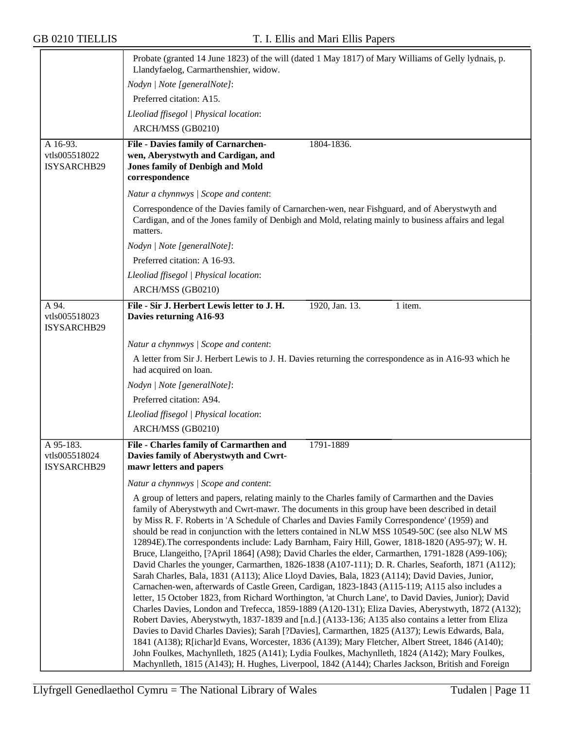|                                                  | Probate (granted 14 June 1823) of the will (dated 1 May 1817) of Mary Williams of Gelly lydnais, p.<br>Llandyfaelog, Carmarthenshier, widow.                                                                                                                                                                                                                                                                                                                                                                                                                                                                                                                                                                                                                                                                                                                                                                                                                                                                                                                                                                                                                                                                                                                                                                                                                                                                                                                                                                                                                                                                                                              |
|--------------------------------------------------|-----------------------------------------------------------------------------------------------------------------------------------------------------------------------------------------------------------------------------------------------------------------------------------------------------------------------------------------------------------------------------------------------------------------------------------------------------------------------------------------------------------------------------------------------------------------------------------------------------------------------------------------------------------------------------------------------------------------------------------------------------------------------------------------------------------------------------------------------------------------------------------------------------------------------------------------------------------------------------------------------------------------------------------------------------------------------------------------------------------------------------------------------------------------------------------------------------------------------------------------------------------------------------------------------------------------------------------------------------------------------------------------------------------------------------------------------------------------------------------------------------------------------------------------------------------------------------------------------------------------------------------------------------------|
|                                                  | Nodyn   Note [generalNote]:                                                                                                                                                                                                                                                                                                                                                                                                                                                                                                                                                                                                                                                                                                                                                                                                                                                                                                                                                                                                                                                                                                                                                                                                                                                                                                                                                                                                                                                                                                                                                                                                                               |
|                                                  | Preferred citation: A15.                                                                                                                                                                                                                                                                                                                                                                                                                                                                                                                                                                                                                                                                                                                                                                                                                                                                                                                                                                                                                                                                                                                                                                                                                                                                                                                                                                                                                                                                                                                                                                                                                                  |
|                                                  | Lleoliad ffisegol   Physical location:                                                                                                                                                                                                                                                                                                                                                                                                                                                                                                                                                                                                                                                                                                                                                                                                                                                                                                                                                                                                                                                                                                                                                                                                                                                                                                                                                                                                                                                                                                                                                                                                                    |
|                                                  | ARCH/MSS (GB0210)                                                                                                                                                                                                                                                                                                                                                                                                                                                                                                                                                                                                                                                                                                                                                                                                                                                                                                                                                                                                                                                                                                                                                                                                                                                                                                                                                                                                                                                                                                                                                                                                                                         |
| A 16-93.                                         | <b>File - Davies family of Carnarchen-</b><br>1804-1836.                                                                                                                                                                                                                                                                                                                                                                                                                                                                                                                                                                                                                                                                                                                                                                                                                                                                                                                                                                                                                                                                                                                                                                                                                                                                                                                                                                                                                                                                                                                                                                                                  |
| vtls005518022<br>ISYSARCHB29                     | wen, Aberystwyth and Cardigan, and<br><b>Jones family of Denbigh and Mold</b><br>correspondence                                                                                                                                                                                                                                                                                                                                                                                                                                                                                                                                                                                                                                                                                                                                                                                                                                                                                                                                                                                                                                                                                                                                                                                                                                                                                                                                                                                                                                                                                                                                                           |
|                                                  | Natur a chynnwys / Scope and content:                                                                                                                                                                                                                                                                                                                                                                                                                                                                                                                                                                                                                                                                                                                                                                                                                                                                                                                                                                                                                                                                                                                                                                                                                                                                                                                                                                                                                                                                                                                                                                                                                     |
|                                                  | Correspondence of the Davies family of Carnarchen-wen, near Fishguard, and of Aberystwyth and<br>Cardigan, and of the Jones family of Denbigh and Mold, relating mainly to business affairs and legal<br>matters.                                                                                                                                                                                                                                                                                                                                                                                                                                                                                                                                                                                                                                                                                                                                                                                                                                                                                                                                                                                                                                                                                                                                                                                                                                                                                                                                                                                                                                         |
|                                                  | Nodyn   Note [generalNote]:                                                                                                                                                                                                                                                                                                                                                                                                                                                                                                                                                                                                                                                                                                                                                                                                                                                                                                                                                                                                                                                                                                                                                                                                                                                                                                                                                                                                                                                                                                                                                                                                                               |
|                                                  | Preferred citation: A 16-93.                                                                                                                                                                                                                                                                                                                                                                                                                                                                                                                                                                                                                                                                                                                                                                                                                                                                                                                                                                                                                                                                                                                                                                                                                                                                                                                                                                                                                                                                                                                                                                                                                              |
|                                                  | Lleoliad ffisegol   Physical location:                                                                                                                                                                                                                                                                                                                                                                                                                                                                                                                                                                                                                                                                                                                                                                                                                                                                                                                                                                                                                                                                                                                                                                                                                                                                                                                                                                                                                                                                                                                                                                                                                    |
|                                                  | ARCH/MSS (GB0210)                                                                                                                                                                                                                                                                                                                                                                                                                                                                                                                                                                                                                                                                                                                                                                                                                                                                                                                                                                                                                                                                                                                                                                                                                                                                                                                                                                                                                                                                                                                                                                                                                                         |
| A 94.                                            | File - Sir J. Herbert Lewis letter to J. H.<br>1920, Jan. 13.<br>1 item.                                                                                                                                                                                                                                                                                                                                                                                                                                                                                                                                                                                                                                                                                                                                                                                                                                                                                                                                                                                                                                                                                                                                                                                                                                                                                                                                                                                                                                                                                                                                                                                  |
| vtls005518023<br>ISYSARCHB29                     | Davies returning A16-93                                                                                                                                                                                                                                                                                                                                                                                                                                                                                                                                                                                                                                                                                                                                                                                                                                                                                                                                                                                                                                                                                                                                                                                                                                                                                                                                                                                                                                                                                                                                                                                                                                   |
|                                                  | Natur a chynnwys / Scope and content:                                                                                                                                                                                                                                                                                                                                                                                                                                                                                                                                                                                                                                                                                                                                                                                                                                                                                                                                                                                                                                                                                                                                                                                                                                                                                                                                                                                                                                                                                                                                                                                                                     |
|                                                  | A letter from Sir J. Herbert Lewis to J. H. Davies returning the correspondence as in A16-93 which he<br>had acquired on loan.                                                                                                                                                                                                                                                                                                                                                                                                                                                                                                                                                                                                                                                                                                                                                                                                                                                                                                                                                                                                                                                                                                                                                                                                                                                                                                                                                                                                                                                                                                                            |
|                                                  | Nodyn   Note [generalNote]:                                                                                                                                                                                                                                                                                                                                                                                                                                                                                                                                                                                                                                                                                                                                                                                                                                                                                                                                                                                                                                                                                                                                                                                                                                                                                                                                                                                                                                                                                                                                                                                                                               |
|                                                  | Preferred citation: A94.                                                                                                                                                                                                                                                                                                                                                                                                                                                                                                                                                                                                                                                                                                                                                                                                                                                                                                                                                                                                                                                                                                                                                                                                                                                                                                                                                                                                                                                                                                                                                                                                                                  |
|                                                  | Lleoliad ffisegol   Physical location:                                                                                                                                                                                                                                                                                                                                                                                                                                                                                                                                                                                                                                                                                                                                                                                                                                                                                                                                                                                                                                                                                                                                                                                                                                                                                                                                                                                                                                                                                                                                                                                                                    |
|                                                  | ARCH/MSS (GB0210)                                                                                                                                                                                                                                                                                                                                                                                                                                                                                                                                                                                                                                                                                                                                                                                                                                                                                                                                                                                                                                                                                                                                                                                                                                                                                                                                                                                                                                                                                                                                                                                                                                         |
| A 95-183.<br>vtls005518024<br><b>ISYSARCHB29</b> | File - Charles family of Carmarthen and<br>1791-1889<br>Davies family of Aberystwyth and Cwrt-<br>mawr letters and papers                                                                                                                                                                                                                                                                                                                                                                                                                                                                                                                                                                                                                                                                                                                                                                                                                                                                                                                                                                                                                                                                                                                                                                                                                                                                                                                                                                                                                                                                                                                                 |
|                                                  | Natur a chynnwys / Scope and content:                                                                                                                                                                                                                                                                                                                                                                                                                                                                                                                                                                                                                                                                                                                                                                                                                                                                                                                                                                                                                                                                                                                                                                                                                                                                                                                                                                                                                                                                                                                                                                                                                     |
|                                                  | A group of letters and papers, relating mainly to the Charles family of Carmarthen and the Davies<br>family of Aberystwyth and Cwrt-mawr. The documents in this group have been described in detail<br>by Miss R. F. Roberts in 'A Schedule of Charles and Davies Family Correspondence' (1959) and<br>should be read in conjunction with the letters contained in NLW MSS 10549-50C (see also NLW MS<br>12894E). The correspondents include: Lady Barnham, Fairy Hill, Gower, 1818-1820 (A95-97); W. H.<br>Bruce, Llangeitho, [?April 1864] (A98); David Charles the elder, Carmarthen, 1791-1828 (A99-106);<br>David Charles the younger, Carmarthen, 1826-1838 (A107-111); D. R. Charles, Seaforth, 1871 (A112);<br>Sarah Charles, Bala, 1831 (A113); Alice Lloyd Davies, Bala, 1823 (A114); David Davies, Junior,<br>Carnachen-wen, afterwards of Castle Green, Cardigan, 1823-1843 (A115-119; A115 also includes a<br>letter, 15 October 1823, from Richard Worthington, 'at Church Lane', to David Davies, Junior); David<br>Charles Davies, London and Trefecca, 1859-1889 (A120-131); Eliza Davies, Aberystwyth, 1872 (A132);<br>Robert Davies, Aberystwyth, 1837-1839 and [n.d.] (A133-136; A135 also contains a letter from Eliza<br>Davies to David Charles Davies); Sarah [?Davies], Carmarthen, 1825 (A137); Lewis Edwards, Bala,<br>1841 (A138); R[ichar]d Evans, Worcester, 1836 (A139); Mary Fletcher, Albert Street, 1846 (A140);<br>John Foulkes, Machynlleth, 1825 (A141); Lydia Foulkes, Machynlleth, 1824 (A142); Mary Foulkes,<br>Machynlleth, 1815 (A143); H. Hughes, Liverpool, 1842 (A144); Charles Jackson, British and Foreign |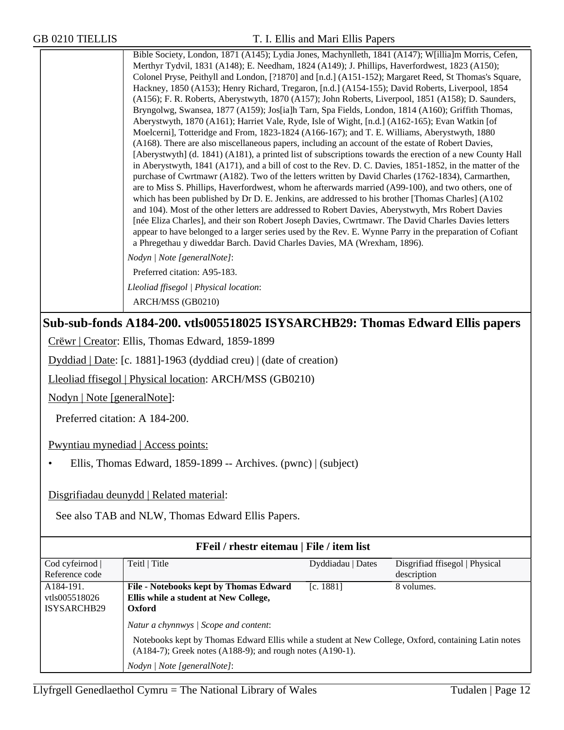Bible Society, London, 1871 (A145); Lydia Jones, Machynlleth, 1841 (A147); W[illia]m Morris, Cefen, Merthyr Tydvil, 1831 (A148); E. Needham, 1824 (A149); J. Phillips, Haverfordwest, 1823 (A150); Colonel Pryse, Peithyll and London, [?1870] and [n.d.] (A151-152); Margaret Reed, St Thomas's Square, Hackney, 1850 (A153); Henry Richard, Tregaron, [n.d.] (A154-155); David Roberts, Liverpool, 1854 (A156); F. R. Roberts, Aberystwyth, 1870 (A157); John Roberts, Liverpool, 1851 (A158); D. Saunders, Bryngolwg, Swansea, 1877 (A159); Jos[ia]h Tarn, Spa Fields, London, 1814 (A160); Griffith Thomas, Aberystwyth, 1870 (A161); Harriet Vale, Ryde, Isle of Wight, [n.d.] (A162-165); Evan Watkin [of Moelcerni], Totteridge and From, 1823-1824 (A166-167); and T. E. Williams, Aberystwyth, 1880 (A168). There are also miscellaneous papers, including an account of the estate of Robert Davies, [Aberystwyth] (d. 1841) (A181), a printed list of subscriptions towards the erection of a new County Hall in Aberystwyth, 1841 (A171), and a bill of cost to the Rev. D. C. Davies, 1851-1852, in the matter of the purchase of Cwrtmawr (A182). Two of the letters written by David Charles (1762-1834), Carmarthen, are to Miss S. Phillips, Haverfordwest, whom he afterwards married (A99-100), and two others, one of which has been published by Dr D. E. Jenkins, are addressed to his brother [Thomas Charles] (A102 and 104). Most of the other letters are addressed to Robert Davies, Aberystwyth, Mrs Robert Davies [née Eliza Charles], and their son Robert Joseph Davies, Cwrtmawr. The David Charles Davies letters appear to have belonged to a larger series used by the Rev. E. Wynne Parry in the preparation of Cofiant a Phregethau y diweddar Barch. David Charles Davies, MA (Wrexham, 1896).

*Nodyn | Note [generalNote]*:

Preferred citation: A95-183.

*Lleoliad ffisegol | Physical location*:

ARCH/MSS (GB0210)

#### **Sub-sub-fonds A184-200. vtls005518025 ISYSARCHB29: Thomas Edward Ellis papers**

Crëwr | Creator: Ellis, Thomas Edward, 1859-1899

Dyddiad | Date: [c. 1881]-1963 (dyddiad creu) | (date of creation)

Lleoliad ffisegol | Physical location: ARCH/MSS (GB0210)

Nodyn | Note [generalNote]:

Preferred citation: A 184-200.

Pwyntiau mynediad | Access points:

• Ellis, Thomas Edward, 1859-1899 -- Archives. (pwnc) | (subject)

Disgrifiadau deunydd | Related material:

See also TAB and NLW, Thomas Edward Ellis Papers.

| FFeil / rhestr eitemau   File / item list |                                                                                                                                                                                                                     |                   |                                |
|-------------------------------------------|---------------------------------------------------------------------------------------------------------------------------------------------------------------------------------------------------------------------|-------------------|--------------------------------|
| Cod cyfeirnod                             | Teitl   Title                                                                                                                                                                                                       | Dyddiadau   Dates | Disgrifiad ffisegol   Physical |
| Reference code                            |                                                                                                                                                                                                                     |                   | description                    |
| A184-191.                                 | File - Notebooks kept by Thomas Edward                                                                                                                                                                              | [c. 1881]         | 8 volumes.                     |
| vtls005518026                             | Ellis while a student at New College,                                                                                                                                                                               |                   |                                |
| ISYSARCHB29                               | Oxford                                                                                                                                                                                                              |                   |                                |
|                                           | Natur a chynnwys / Scope and content:<br>Notebooks kept by Thomas Edward Ellis while a student at New College, Oxford, containing Latin notes<br>$(A184-7)$ ; Greek notes $(A188-9)$ ; and rough notes $(A190-1)$ . |                   |                                |
|                                           | Nodyn / Note [generalNote]:                                                                                                                                                                                         |                   |                                |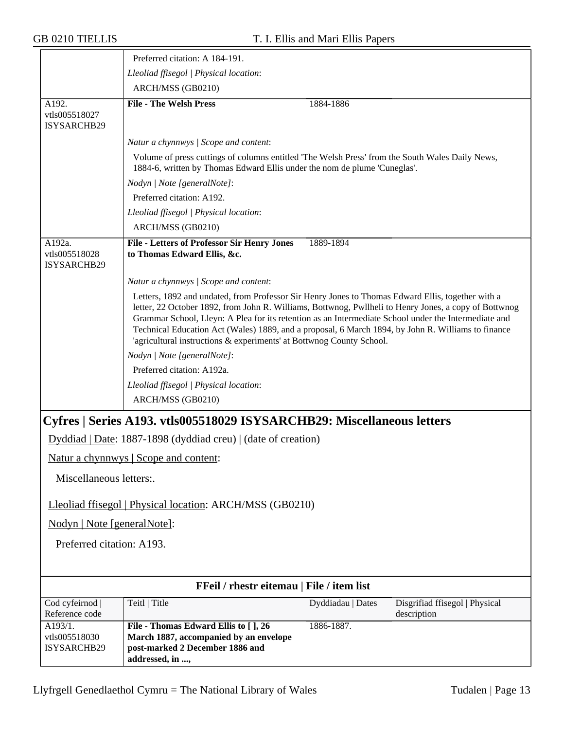|                                           | Preferred citation: A 184-191.                                                                                                                                                                                                                                                                                                                                                                                                                                                                   |                   |                                               |
|-------------------------------------------|--------------------------------------------------------------------------------------------------------------------------------------------------------------------------------------------------------------------------------------------------------------------------------------------------------------------------------------------------------------------------------------------------------------------------------------------------------------------------------------------------|-------------------|-----------------------------------------------|
|                                           | Lleoliad ffisegol   Physical location:                                                                                                                                                                                                                                                                                                                                                                                                                                                           |                   |                                               |
|                                           | ARCH/MSS (GB0210)                                                                                                                                                                                                                                                                                                                                                                                                                                                                                |                   |                                               |
| A192.<br>vtls005518027<br>ISYSARCHB29     | <b>File - The Welsh Press</b>                                                                                                                                                                                                                                                                                                                                                                                                                                                                    | 1884-1886         |                                               |
|                                           | Natur a chynnwys / Scope and content:                                                                                                                                                                                                                                                                                                                                                                                                                                                            |                   |                                               |
|                                           | Volume of press cuttings of columns entitled 'The Welsh Press' from the South Wales Daily News,<br>1884-6, written by Thomas Edward Ellis under the nom de plume 'Cuneglas'.                                                                                                                                                                                                                                                                                                                     |                   |                                               |
|                                           | Nodyn   Note [generalNote]:                                                                                                                                                                                                                                                                                                                                                                                                                                                                      |                   |                                               |
|                                           | Preferred citation: A192.                                                                                                                                                                                                                                                                                                                                                                                                                                                                        |                   |                                               |
|                                           | Lleoliad ffisegol   Physical location:                                                                                                                                                                                                                                                                                                                                                                                                                                                           |                   |                                               |
|                                           | ARCH/MSS (GB0210)                                                                                                                                                                                                                                                                                                                                                                                                                                                                                |                   |                                               |
| A192a.<br>vtls005518028<br>ISYSARCHB29    | <b>File - Letters of Professor Sir Henry Jones</b><br>to Thomas Edward Ellis, &c.                                                                                                                                                                                                                                                                                                                                                                                                                | 1889-1894         |                                               |
|                                           | Natur a chynnwys / Scope and content:                                                                                                                                                                                                                                                                                                                                                                                                                                                            |                   |                                               |
|                                           | Letters, 1892 and undated, from Professor Sir Henry Jones to Thomas Edward Ellis, together with a<br>letter, 22 October 1892, from John R. Williams, Bottwnog, Pwllheli to Henry Jones, a copy of Bottwnog<br>Grammar School, Lleyn: A Plea for its retention as an Intermediate School under the Intermediate and<br>Technical Education Act (Wales) 1889, and a proposal, 6 March 1894, by John R. Williams to finance<br>'agricultural instructions & experiments' at Bottwnog County School. |                   |                                               |
|                                           | Nodyn   Note [generalNote]:                                                                                                                                                                                                                                                                                                                                                                                                                                                                      |                   |                                               |
|                                           | Preferred citation: A192a.                                                                                                                                                                                                                                                                                                                                                                                                                                                                       |                   |                                               |
|                                           | Lleoliad ffisegol   Physical location:                                                                                                                                                                                                                                                                                                                                                                                                                                                           |                   |                                               |
|                                           | ARCH/MSS (GB0210)                                                                                                                                                                                                                                                                                                                                                                                                                                                                                |                   |                                               |
|                                           | Cyfres   Series A193. vtls005518029 ISYSARCHB29: Miscellaneous letters                                                                                                                                                                                                                                                                                                                                                                                                                           |                   |                                               |
|                                           | Dyddiad   Date: 1887-1898 (dyddiad creu)   (date of creation)                                                                                                                                                                                                                                                                                                                                                                                                                                    |                   |                                               |
|                                           | Natur a chynnwys   Scope and content:                                                                                                                                                                                                                                                                                                                                                                                                                                                            |                   |                                               |
| Miscellaneous letters:.                   |                                                                                                                                                                                                                                                                                                                                                                                                                                                                                                  |                   |                                               |
|                                           | Lleoliad ffisegol   Physical location: ARCH/MSS (GB0210)                                                                                                                                                                                                                                                                                                                                                                                                                                         |                   |                                               |
| Nodyn   Note [generalNote]:               |                                                                                                                                                                                                                                                                                                                                                                                                                                                                                                  |                   |                                               |
| Preferred citation: A193.                 |                                                                                                                                                                                                                                                                                                                                                                                                                                                                                                  |                   |                                               |
| FFeil / rhestr eitemau   File / item list |                                                                                                                                                                                                                                                                                                                                                                                                                                                                                                  |                   |                                               |
|                                           | Teitl   Title                                                                                                                                                                                                                                                                                                                                                                                                                                                                                    | Dyddiadau   Dates |                                               |
| Cod cyfeirnod  <br>Reference code         |                                                                                                                                                                                                                                                                                                                                                                                                                                                                                                  |                   | Disgrifiad ffisegol   Physical<br>description |
| A193/1.                                   | File - Thomas Edward Ellis to [], 26                                                                                                                                                                                                                                                                                                                                                                                                                                                             | 1886-1887.        |                                               |
| vtls005518030<br>ISYSARCHB29              | March 1887, accompanied by an envelope<br>post-marked 2 December 1886 and<br>addressed, in ,                                                                                                                                                                                                                                                                                                                                                                                                     |                   |                                               |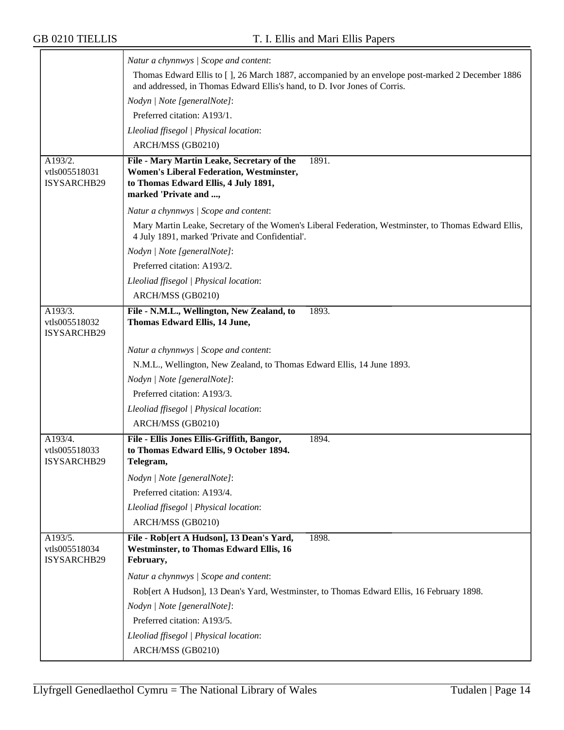|                                         | Natur a chynnwys / Scope and content:                                                                                                                                         |
|-----------------------------------------|-------------------------------------------------------------------------------------------------------------------------------------------------------------------------------|
|                                         | Thomas Edward Ellis to [], 26 March 1887, accompanied by an envelope post-marked 2 December 1886<br>and addressed, in Thomas Edward Ellis's hand, to D. Ivor Jones of Corris. |
|                                         | Nodyn   Note [generalNote]:                                                                                                                                                   |
|                                         | Preferred citation: A193/1.                                                                                                                                                   |
|                                         | Lleoliad ffisegol   Physical location:                                                                                                                                        |
|                                         | ARCH/MSS (GB0210)                                                                                                                                                             |
| A193/2.<br>vtls005518031<br>ISYSARCHB29 | File - Mary Martin Leake, Secretary of the<br>1891.<br>Women's Liberal Federation, Westminster,<br>to Thomas Edward Ellis, 4 July 1891,<br>marked 'Private and ,              |
|                                         | Natur a chynnwys / Scope and content:                                                                                                                                         |
|                                         | Mary Martin Leake, Secretary of the Women's Liberal Federation, Westminster, to Thomas Edward Ellis,<br>4 July 1891, marked 'Private and Confidential'.                       |
|                                         | Nodyn   Note [generalNote]:                                                                                                                                                   |
|                                         | Preferred citation: A193/2.                                                                                                                                                   |
|                                         | Lleoliad ffisegol   Physical location:                                                                                                                                        |
|                                         | ARCH/MSS (GB0210)                                                                                                                                                             |
| A193/3.<br>vtls005518032<br>ISYSARCHB29 | File - N.M.L., Wellington, New Zealand, to<br>1893.<br>Thomas Edward Ellis, 14 June,                                                                                          |
|                                         | Natur a chynnwys / Scope and content:                                                                                                                                         |
|                                         | N.M.L., Wellington, New Zealand, to Thomas Edward Ellis, 14 June 1893.                                                                                                        |
|                                         | Nodyn   Note [generalNote]:                                                                                                                                                   |
|                                         | Preferred citation: A193/3.                                                                                                                                                   |
|                                         | Lleoliad ffisegol   Physical location:                                                                                                                                        |
|                                         | ARCH/MSS (GB0210)                                                                                                                                                             |
| A193/4.<br>vtls005518033<br>ISYSARCHB29 | File - Ellis Jones Ellis-Griffith, Bangor,<br>1894.<br>to Thomas Edward Ellis, 9 October 1894.<br>Telegram,                                                                   |
|                                         | Nodyn   Note [generalNote]:                                                                                                                                                   |
|                                         | Preferred citation: A193/4.                                                                                                                                                   |
|                                         | Lleoliad ffisegol   Physical location:                                                                                                                                        |
|                                         | ARCH/MSS (GB0210)                                                                                                                                                             |
| A193/5.<br>vtls005518034<br>ISYSARCHB29 | File - Rob[ert A Hudson], 13 Dean's Yard,<br>1898.<br><b>Westminster, to Thomas Edward Ellis, 16</b><br>February,                                                             |
|                                         | Natur a chynnwys / Scope and content:                                                                                                                                         |
|                                         | Rob[ert A Hudson], 13 Dean's Yard, Westminster, to Thomas Edward Ellis, 16 February 1898.                                                                                     |
|                                         | Nodyn   Note [generalNote]:                                                                                                                                                   |
|                                         | Preferred citation: A193/5.                                                                                                                                                   |
|                                         | Lleoliad ffisegol   Physical location:                                                                                                                                        |
|                                         | ARCH/MSS (GB0210)                                                                                                                                                             |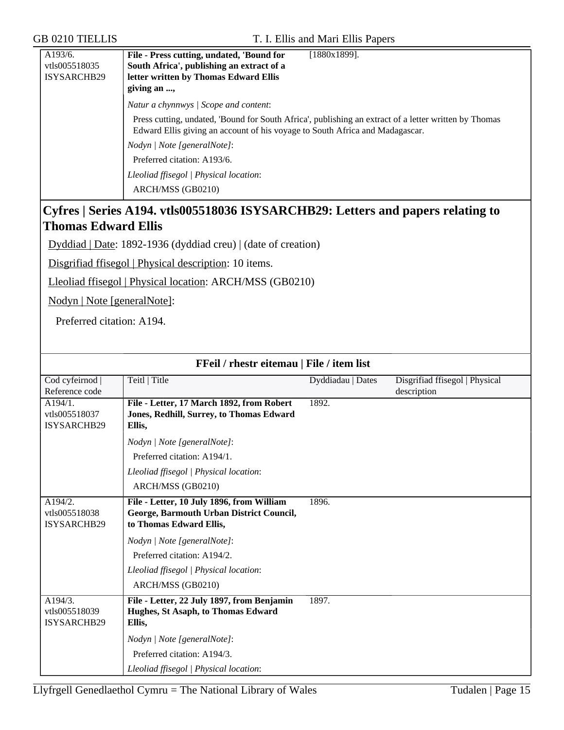| Press cutting, undated, 'Bound for South Africa', publishing an extract of a letter written by Thomas<br>Edward Ellis giving an account of his voyage to South Africa and Madagascar. |
|---------------------------------------------------------------------------------------------------------------------------------------------------------------------------------------|
|                                                                                                                                                                                       |
|                                                                                                                                                                                       |
|                                                                                                                                                                                       |
|                                                                                                                                                                                       |
|                                                                                                                                                                                       |

#### **Cyfres | Series A194. vtls005518036 ISYSARCHB29: Letters and papers relating to Thomas Edward Ellis**

Dyddiad | Date: 1892-1936 (dyddiad creu) | (date of creation)

Disgrifiad ffisegol | Physical description: 10 items.

Lleoliad ffisegol | Physical location: ARCH/MSS (GB0210)

Nodyn | Note [generalNote]:

Preferred citation: A194.

| FFeil / rhestr eitemau   File / item list      |                                                                                                                  |                   |                                               |
|------------------------------------------------|------------------------------------------------------------------------------------------------------------------|-------------------|-----------------------------------------------|
| Cod cyfeirnod  <br>Reference code              | Teitl   Title                                                                                                    | Dyddiadau   Dates | Disgrifiad ffisegol   Physical<br>description |
| A194/1.<br>vtls005518037<br>ISYSARCHB29        | File - Letter, 17 March 1892, from Robert<br>Jones, Redhill, Surrey, to Thomas Edward<br>Ellis,                  | 1892.             |                                               |
|                                                | Nodyn   Note [generalNote]:                                                                                      |                   |                                               |
|                                                | Preferred citation: A194/1.                                                                                      |                   |                                               |
|                                                | Lleoliad ffisegol   Physical location:                                                                           |                   |                                               |
|                                                | ARCH/MSS (GB0210)                                                                                                |                   |                                               |
| A194/2.<br>vtls005518038<br>ISYSARCHB29        | File - Letter, 10 July 1896, from William<br>George, Barmouth Urban District Council,<br>to Thomas Edward Ellis, | 1896.             |                                               |
|                                                | Nodyn   Note [generalNote]:                                                                                      |                   |                                               |
|                                                | Preferred citation: A194/2.                                                                                      |                   |                                               |
|                                                | Lleoliad ffisegol   Physical location:                                                                           |                   |                                               |
|                                                | ARCH/MSS (GB0210)                                                                                                |                   |                                               |
| A194/3.<br>vtls005518039<br><b>ISYSARCHB29</b> | File - Letter, 22 July 1897, from Benjamin<br>Hughes, St Asaph, to Thomas Edward<br>Ellis,                       | 1897.             |                                               |
|                                                | Nodyn   Note [generalNote]:                                                                                      |                   |                                               |
|                                                | Preferred citation: A194/3.                                                                                      |                   |                                               |
|                                                | Lleoliad ffisegol   Physical location:                                                                           |                   |                                               |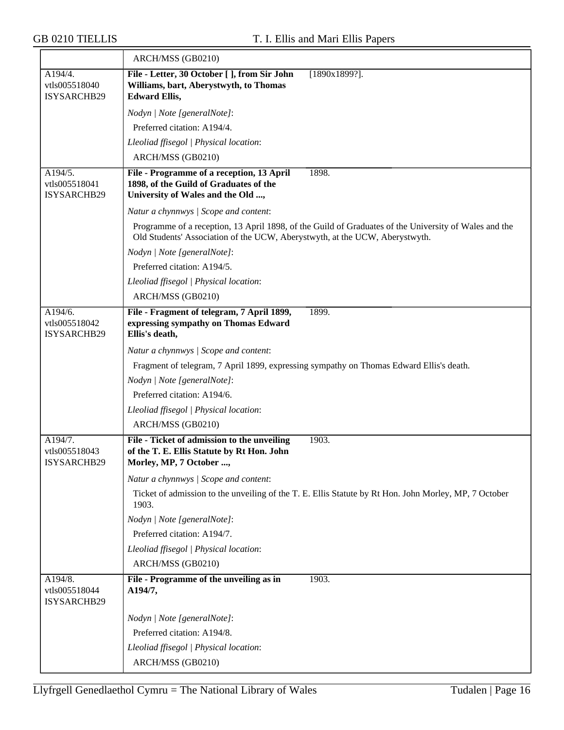|                                                | ARCH/MSS (GB0210)                                                                                                                                                                    |
|------------------------------------------------|--------------------------------------------------------------------------------------------------------------------------------------------------------------------------------------|
| A194/4.<br>vtls005518040<br><b>ISYSARCHB29</b> | File - Letter, 30 October [ ], from Sir John<br>[1890x1899?].<br>Williams, bart, Aberystwyth, to Thomas<br><b>Edward Ellis,</b>                                                      |
|                                                | Nodyn   Note [generalNote]:                                                                                                                                                          |
|                                                | Preferred citation: A194/4.                                                                                                                                                          |
|                                                | Lleoliad ffisegol   Physical location:                                                                                                                                               |
|                                                | ARCH/MSS (GB0210)                                                                                                                                                                    |
| A194/5.<br>vtls005518041<br>ISYSARCHB29        | 1898.<br>File - Programme of a reception, 13 April<br>1898, of the Guild of Graduates of the<br>University of Wales and the Old ,                                                    |
|                                                | Natur a chynnwys / Scope and content:                                                                                                                                                |
|                                                | Programme of a reception, 13 April 1898, of the Guild of Graduates of the University of Wales and the<br>Old Students' Association of the UCW, Aberystwyth, at the UCW, Aberystwyth. |
|                                                | Nodyn   Note [generalNote]:                                                                                                                                                          |
|                                                | Preferred citation: A194/5.                                                                                                                                                          |
|                                                | Lleoliad ffisegol   Physical location:                                                                                                                                               |
|                                                | ARCH/MSS (GB0210)                                                                                                                                                                    |
| A194/6.<br>vtls005518042<br>ISYSARCHB29        | 1899.<br>File - Fragment of telegram, 7 April 1899,<br>expressing sympathy on Thomas Edward<br>Ellis's death,                                                                        |
|                                                | Natur a chynnwys / Scope and content:                                                                                                                                                |
|                                                | Fragment of telegram, 7 April 1899, expressing sympathy on Thomas Edward Ellis's death.                                                                                              |
|                                                | Nodyn   Note [generalNote]:                                                                                                                                                          |
|                                                | Preferred citation: A194/6.                                                                                                                                                          |
|                                                | Lleoliad ffisegol   Physical location:                                                                                                                                               |
|                                                | ARCH/MSS (GB0210)                                                                                                                                                                    |
| A194/7.<br>vtls005518043<br><b>ISYSARCHB29</b> | File - Ticket of admission to the unveiling<br>1903.<br>of the T. E. Ellis Statute by Rt Hon. John<br>Morley, MP, 7 October .                                                        |
|                                                | Natur a chynnwys / Scope and content:                                                                                                                                                |
|                                                | Ticket of admission to the unveiling of the T. E. Ellis Statute by Rt Hon. John Morley, MP, 7 October<br>1903.                                                                       |
|                                                | Nodyn   Note [generalNote]:                                                                                                                                                          |
|                                                | Preferred citation: A194/7.                                                                                                                                                          |
|                                                | Lleoliad ffisegol   Physical location:                                                                                                                                               |
|                                                | ARCH/MSS (GB0210)                                                                                                                                                                    |
| A194/8.<br>vtls005518044<br>ISYSARCHB29        | File - Programme of the unveiling as in<br>1903.<br>A194/7,                                                                                                                          |
|                                                | Nodyn   Note [generalNote]:                                                                                                                                                          |
|                                                | Preferred citation: A194/8.                                                                                                                                                          |
|                                                | Lleoliad ffisegol   Physical location:                                                                                                                                               |
|                                                | ARCH/MSS (GB0210)                                                                                                                                                                    |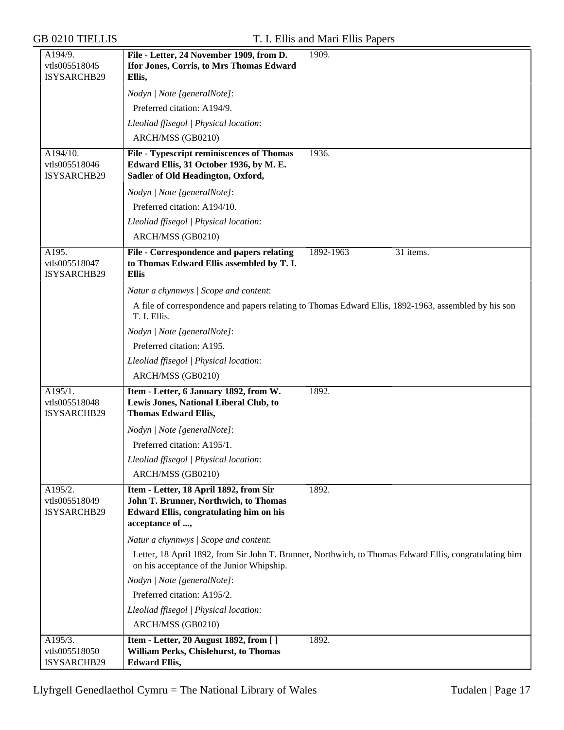| A194/9.                                  | File - Letter, 24 November 1909, from D.                                                                                                             | 1909.                                                                                                  |
|------------------------------------------|------------------------------------------------------------------------------------------------------------------------------------------------------|--------------------------------------------------------------------------------------------------------|
| vtls005518045                            | Ifor Jones, Corris, to Mrs Thomas Edward                                                                                                             |                                                                                                        |
| ISYSARCHB29                              | Ellis,                                                                                                                                               |                                                                                                        |
|                                          | Nodyn   Note [generalNote]:                                                                                                                          |                                                                                                        |
|                                          | Preferred citation: A194/9.                                                                                                                          |                                                                                                        |
|                                          | Lleoliad ffisegol   Physical location:                                                                                                               |                                                                                                        |
|                                          | ARCH/MSS (GB0210)                                                                                                                                    |                                                                                                        |
| A194/10.<br>vtls005518046<br>ISYSARCHB29 | File - Typescript reminiscences of Thomas<br>Edward Ellis, 31 October 1936, by M. E.<br>Sadler of Old Headington, Oxford,                            | 1936.                                                                                                  |
|                                          | Nodyn   Note [generalNote]:                                                                                                                          |                                                                                                        |
|                                          | Preferred citation: A194/10.                                                                                                                         |                                                                                                        |
|                                          | Lleoliad ffisegol   Physical location:                                                                                                               |                                                                                                        |
|                                          | ARCH/MSS (GB0210)                                                                                                                                    |                                                                                                        |
| A195.<br>vtls005518047<br>ISYSARCHB29    | File - Correspondence and papers relating<br>to Thomas Edward Ellis assembled by T. I.<br><b>Ellis</b>                                               | 1892-1963<br>31 items.                                                                                 |
|                                          | Natur a chynnwys / Scope and content:                                                                                                                |                                                                                                        |
|                                          | T. I. Ellis.                                                                                                                                         | A file of correspondence and papers relating to Thomas Edward Ellis, 1892-1963, assembled by his son   |
|                                          | Nodyn   Note [generalNote]:                                                                                                                          |                                                                                                        |
|                                          | Preferred citation: A195.                                                                                                                            |                                                                                                        |
|                                          | Lleoliad ffisegol   Physical location:                                                                                                               |                                                                                                        |
|                                          | ARCH/MSS (GB0210)                                                                                                                                    |                                                                                                        |
| A195/1.<br>vtls005518048<br>ISYSARCHB29  | Item - Letter, 6 January 1892, from W.<br>Lewis Jones, National Liberal Club, to<br><b>Thomas Edward Ellis,</b>                                      | 1892.                                                                                                  |
|                                          | Nodyn   Note [generalNote]:                                                                                                                          |                                                                                                        |
|                                          | Preferred citation: A195/1.                                                                                                                          |                                                                                                        |
|                                          | Lleoliad ffisegol   Physical location:                                                                                                               |                                                                                                        |
|                                          | ARCH/MSS (GB0210)                                                                                                                                    |                                                                                                        |
| A195/2.<br>vtls005518049<br>ISYSARCHB29  | Item - Letter, 18 April 1892, from Sir<br>John T. Brunner, Northwich, to Thomas<br><b>Edward Ellis, congratulating him on his</b><br>acceptance of , | 1892.                                                                                                  |
|                                          | Natur a chynnwys / Scope and content:                                                                                                                |                                                                                                        |
|                                          | on his acceptance of the Junior Whipship.                                                                                                            | Letter, 18 April 1892, from Sir John T. Brunner, Northwich, to Thomas Edward Ellis, congratulating him |
|                                          | Nodyn   Note [generalNote]:                                                                                                                          |                                                                                                        |
|                                          | Preferred citation: A195/2.                                                                                                                          |                                                                                                        |
|                                          | Lleoliad ffisegol   Physical location:                                                                                                               |                                                                                                        |
|                                          | ARCH/MSS (GB0210)                                                                                                                                    |                                                                                                        |
| A195/3.                                  | Item - Letter, 20 August 1892, from [ ]                                                                                                              | 1892.                                                                                                  |
| vtls005518050                            | William Perks, Chislehurst, to Thomas                                                                                                                |                                                                                                        |
| ISYSARCHB29                              | <b>Edward Ellis,</b>                                                                                                                                 |                                                                                                        |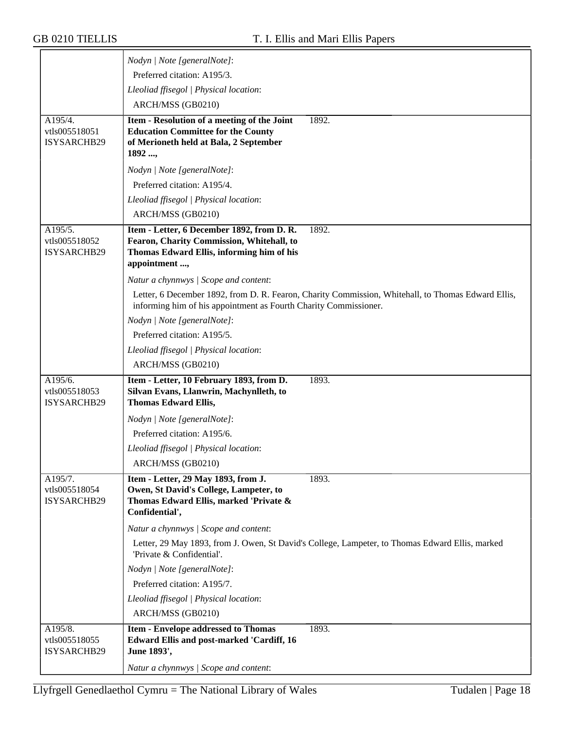|                                         | Nodyn   Note [generalNote]:                                                                                                                                            |
|-----------------------------------------|------------------------------------------------------------------------------------------------------------------------------------------------------------------------|
|                                         | Preferred citation: A195/3.                                                                                                                                            |
|                                         | Lleoliad ffisegol   Physical location:                                                                                                                                 |
|                                         | ARCH/MSS (GB0210)                                                                                                                                                      |
| A195/4.                                 | 1892.<br>Item - Resolution of a meeting of the Joint                                                                                                                   |
| vtls005518051                           | <b>Education Committee for the County</b>                                                                                                                              |
| ISYSARCHB29                             | of Merioneth held at Bala, 2 September<br>1892 ,                                                                                                                       |
|                                         | Nodyn   Note [generalNote]:                                                                                                                                            |
|                                         | Preferred citation: A195/4.                                                                                                                                            |
|                                         | Lleoliad ffisegol   Physical location:                                                                                                                                 |
|                                         | ARCH/MSS (GB0210)                                                                                                                                                      |
| A195/5.                                 | Item - Letter, 6 December 1892, from D. R.<br>1892.                                                                                                                    |
| vtls005518052                           | Fearon, Charity Commission, Whitehall, to                                                                                                                              |
| ISYSARCHB29                             | Thomas Edward Ellis, informing him of his                                                                                                                              |
|                                         | appointment ,                                                                                                                                                          |
|                                         | Natur a chynnwys / Scope and content:                                                                                                                                  |
|                                         | Letter, 6 December 1892, from D. R. Fearon, Charity Commission, Whitehall, to Thomas Edward Ellis,<br>informing him of his appointment as Fourth Charity Commissioner. |
|                                         | Nodyn   Note [generalNote]:                                                                                                                                            |
|                                         | Preferred citation: A195/5.                                                                                                                                            |
|                                         | Lleoliad ffisegol   Physical location:                                                                                                                                 |
|                                         | ARCH/MSS (GB0210)                                                                                                                                                      |
| A195/6.                                 | Item - Letter, 10 February 1893, from D.<br>1893.                                                                                                                      |
| vtls005518053<br>ISYSARCHB29            | Silvan Evans, Llanwrin, Machynlleth, to<br><b>Thomas Edward Ellis,</b>                                                                                                 |
|                                         | Nodyn   Note [generalNote]:                                                                                                                                            |
|                                         | Preferred citation: A195/6.                                                                                                                                            |
|                                         | Lleoliad ffisegol   Physical location:                                                                                                                                 |
|                                         | ARCH/MSS (GB0210)                                                                                                                                                      |
| A195/7.                                 | Item - Letter, 29 May 1893, from J.<br>1893.                                                                                                                           |
| vtls005518054<br>ISYSARCHB29            | Owen, St David's College, Lampeter, to<br>Thomas Edward Ellis, marked 'Private &                                                                                       |
|                                         | Confidential',                                                                                                                                                         |
|                                         | Natur a chynnwys / Scope and content:                                                                                                                                  |
|                                         | Letter, 29 May 1893, from J. Owen, St David's College, Lampeter, to Thomas Edward Ellis, marked<br>'Private & Confidential'.                                           |
|                                         | Nodyn   Note [generalNote]:                                                                                                                                            |
|                                         | Preferred citation: A195/7.                                                                                                                                            |
|                                         | Lleoliad ffisegol   Physical location:                                                                                                                                 |
|                                         | ARCH/MSS (GB0210)                                                                                                                                                      |
| A195/8.<br>vtls005518055<br>ISYSARCHB29 | 1893.<br><b>Item - Envelope addressed to Thomas</b><br><b>Edward Ellis and post-marked 'Cardiff, 16</b><br>June 1893',                                                 |
|                                         | Natur a chynnwys / Scope and content:                                                                                                                                  |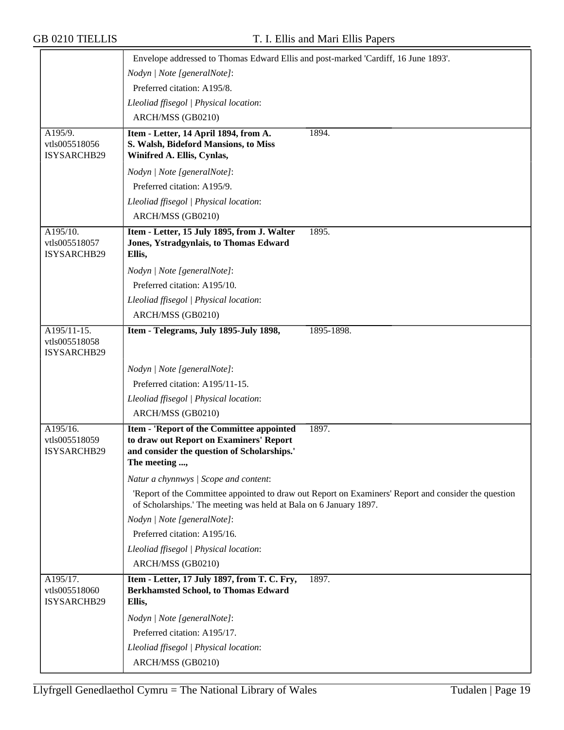|                                             | Envelope addressed to Thomas Edward Ellis and post-marked 'Cardiff, 16 June 1893'.                                                                   |                                                                                                      |  |
|---------------------------------------------|------------------------------------------------------------------------------------------------------------------------------------------------------|------------------------------------------------------------------------------------------------------|--|
|                                             | Nodyn   Note [generalNote]:                                                                                                                          |                                                                                                      |  |
|                                             | Preferred citation: A195/8.                                                                                                                          |                                                                                                      |  |
|                                             | Lleoliad ffisegol   Physical location:                                                                                                               |                                                                                                      |  |
|                                             | ARCH/MSS (GB0210)                                                                                                                                    |                                                                                                      |  |
| A195/9.                                     | Item - Letter, 14 April 1894, from A.                                                                                                                | 1894.                                                                                                |  |
| vtls005518056<br>ISYSARCHB29                | S. Walsh, Bideford Mansions, to Miss<br>Winifred A. Ellis, Cynlas,                                                                                   |                                                                                                      |  |
|                                             | Nodyn   Note [generalNote]:                                                                                                                          |                                                                                                      |  |
|                                             | Preferred citation: A195/9.                                                                                                                          |                                                                                                      |  |
|                                             | Lleoliad ffisegol   Physical location:                                                                                                               |                                                                                                      |  |
|                                             | ARCH/MSS (GB0210)                                                                                                                                    |                                                                                                      |  |
| A195/10.<br>vtls005518057<br>ISYSARCHB29    | Item - Letter, 15 July 1895, from J. Walter<br>Jones, Ystradgynlais, to Thomas Edward<br>Ellis,                                                      | 1895.                                                                                                |  |
|                                             | Nodyn   Note [generalNote]:                                                                                                                          |                                                                                                      |  |
|                                             | Preferred citation: A195/10.                                                                                                                         |                                                                                                      |  |
|                                             | Lleoliad ffisegol   Physical location:                                                                                                               |                                                                                                      |  |
|                                             | ARCH/MSS (GB0210)                                                                                                                                    |                                                                                                      |  |
| A195/11-15.<br>vtls005518058<br>ISYSARCHB29 | Item - Telegrams, July 1895-July 1898,                                                                                                               | 1895-1898.                                                                                           |  |
|                                             | Nodyn   Note [generalNote]:                                                                                                                          |                                                                                                      |  |
|                                             | Preferred citation: A195/11-15.                                                                                                                      |                                                                                                      |  |
|                                             | Lleoliad ffisegol   Physical location:                                                                                                               |                                                                                                      |  |
|                                             | ARCH/MSS (GB0210)                                                                                                                                    |                                                                                                      |  |
| A195/16.<br>vtls005518059<br>ISYSARCHB29    | Item - 'Report of the Committee appointed<br>to draw out Report on Examiners' Report<br>and consider the question of Scholarships.'<br>The meeting , | 1897.                                                                                                |  |
|                                             | Natur a chynnwys / Scope and content:                                                                                                                |                                                                                                      |  |
|                                             | of Scholarships.' The meeting was held at Bala on 6 January 1897.                                                                                    | 'Report of the Committee appointed to draw out Report on Examiners' Report and consider the question |  |
|                                             | Nodyn   Note [generalNote]:                                                                                                                          |                                                                                                      |  |
|                                             | Preferred citation: A195/16.                                                                                                                         |                                                                                                      |  |
|                                             | Lleoliad ffisegol   Physical location:                                                                                                               |                                                                                                      |  |
|                                             | ARCH/MSS (GB0210)                                                                                                                                    |                                                                                                      |  |
| A195/17.<br>vtls005518060<br>ISYSARCHB29    | Item - Letter, 17 July 1897, from T. C. Fry,<br><b>Berkhamsted School, to Thomas Edward</b><br>Ellis,                                                | 1897.                                                                                                |  |
|                                             | Nodyn   Note [generalNote]:                                                                                                                          |                                                                                                      |  |
|                                             | Preferred citation: A195/17.                                                                                                                         |                                                                                                      |  |
|                                             | Lleoliad ffisegol   Physical location:                                                                                                               |                                                                                                      |  |
|                                             | ARCH/MSS (GB0210)                                                                                                                                    |                                                                                                      |  |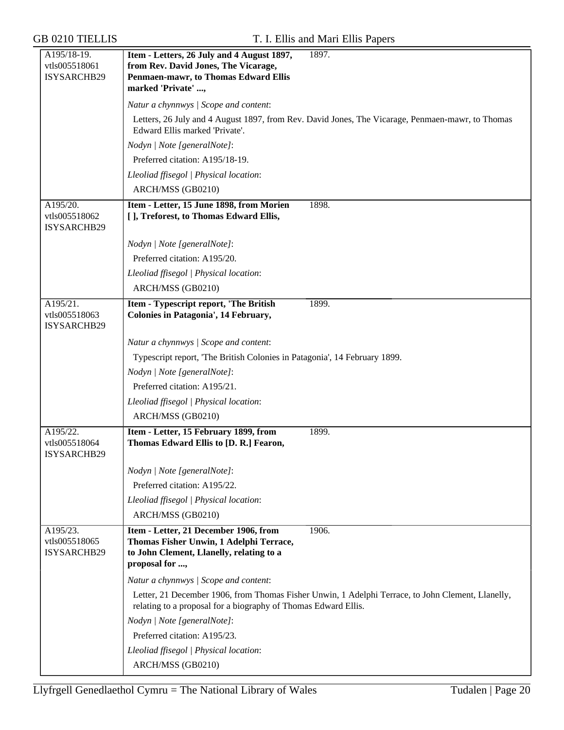| A195/18-19.<br>vtls005518061             | 1897.<br>Item - Letters, 26 July and 4 August 1897,<br>from Rev. David Jones, The Vicarage,                                                                         |
|------------------------------------------|---------------------------------------------------------------------------------------------------------------------------------------------------------------------|
| ISYSARCHB29                              | Penmaen-mawr, to Thomas Edward Ellis<br>marked 'Private' ,                                                                                                          |
|                                          | Natur a chynnwys / Scope and content:                                                                                                                               |
|                                          | Letters, 26 July and 4 August 1897, from Rev. David Jones, The Vicarage, Penmaen-mawr, to Thomas<br>Edward Ellis marked 'Private'.                                  |
|                                          | Nodyn   Note [generalNote]:                                                                                                                                         |
|                                          | Preferred citation: A195/18-19.                                                                                                                                     |
|                                          | Lleoliad ffisegol   Physical location:                                                                                                                              |
|                                          | ARCH/MSS (GB0210)                                                                                                                                                   |
| A195/20.<br>vtls005518062<br>ISYSARCHB29 | Item - Letter, 15 June 1898, from Morien<br>1898.<br>[], Treforest, to Thomas Edward Ellis,                                                                         |
|                                          | Nodyn   Note [generalNote]:                                                                                                                                         |
|                                          | Preferred citation: A195/20.                                                                                                                                        |
|                                          | Lleoliad ffisegol   Physical location:                                                                                                                              |
|                                          | ARCH/MSS (GB0210)                                                                                                                                                   |
| A195/21.<br>vtls005518063                | Item - Typescript report, 'The British<br>1899.<br>Colonies in Patagonia', 14 February,                                                                             |
| ISYSARCHB29                              |                                                                                                                                                                     |
|                                          | Natur a chynnwys / Scope and content:                                                                                                                               |
|                                          | Typescript report, 'The British Colonies in Patagonia', 14 February 1899.                                                                                           |
|                                          | Nodyn   Note [generalNote]:                                                                                                                                         |
|                                          | Preferred citation: A195/21.                                                                                                                                        |
|                                          | Lleoliad ffisegol   Physical location:                                                                                                                              |
|                                          | ARCH/MSS (GB0210)                                                                                                                                                   |
| A195/22.<br>vtls005518064<br>ISYSARCHB29 | Item - Letter, 15 February 1899, from<br>1899.<br>Thomas Edward Ellis to [D. R.] Fearon,                                                                            |
|                                          |                                                                                                                                                                     |
|                                          | Nodyn   Note [generalNote]:<br>Preferred citation: A195/22.                                                                                                         |
|                                          |                                                                                                                                                                     |
|                                          | Lleoliad ffisegol   Physical location:<br>ARCH/MSS (GB0210)                                                                                                         |
|                                          |                                                                                                                                                                     |
| A195/23.<br>vtls005518065<br>ISYSARCHB29 | Item - Letter, 21 December 1906, from<br>1906.<br>Thomas Fisher Unwin, 1 Adelphi Terrace,<br>to John Clement, Llanelly, relating to a<br>proposal for ,             |
|                                          | Natur a chynnwys / Scope and content:                                                                                                                               |
|                                          | Letter, 21 December 1906, from Thomas Fisher Unwin, 1 Adelphi Terrace, to John Clement, Llanelly,<br>relating to a proposal for a biography of Thomas Edward Ellis. |
|                                          | Nodyn   Note [generalNote]:                                                                                                                                         |
|                                          | Preferred citation: A195/23.                                                                                                                                        |
|                                          | Lleoliad ffisegol   Physical location:                                                                                                                              |
|                                          | ARCH/MSS (GB0210)                                                                                                                                                   |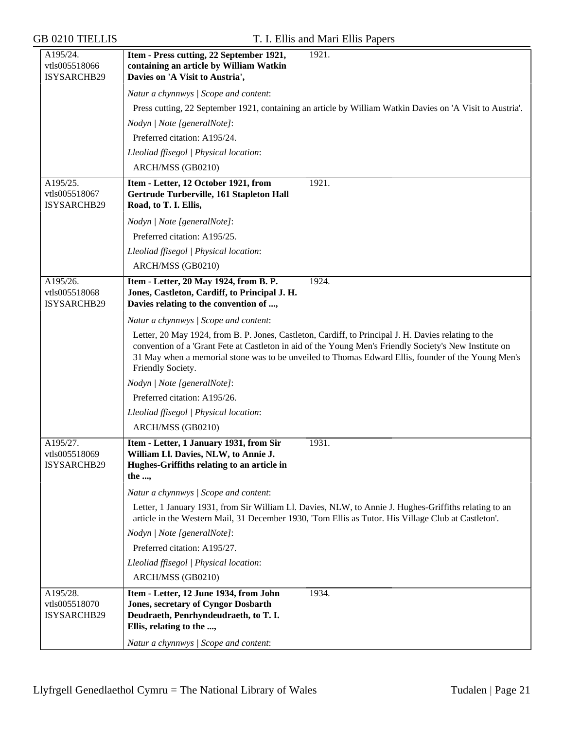| A195/24.<br>vtls005518066                | Item - Press cutting, 22 September 1921,<br>1921.<br>containing an article by William Watkin                                                                                                                                                                                                                                              |  |  |
|------------------------------------------|-------------------------------------------------------------------------------------------------------------------------------------------------------------------------------------------------------------------------------------------------------------------------------------------------------------------------------------------|--|--|
| ISYSARCHB29                              | Davies on 'A Visit to Austria',                                                                                                                                                                                                                                                                                                           |  |  |
|                                          | Natur a chynnwys / Scope and content:                                                                                                                                                                                                                                                                                                     |  |  |
|                                          | Press cutting, 22 September 1921, containing an article by William Watkin Davies on 'A Visit to Austria'.                                                                                                                                                                                                                                 |  |  |
|                                          | Nodyn   Note [generalNote]:                                                                                                                                                                                                                                                                                                               |  |  |
|                                          | Preferred citation: A195/24.                                                                                                                                                                                                                                                                                                              |  |  |
|                                          | Lleoliad ffisegol   Physical location:                                                                                                                                                                                                                                                                                                    |  |  |
|                                          | ARCH/MSS (GB0210)                                                                                                                                                                                                                                                                                                                         |  |  |
| A195/25.<br>vtls005518067<br>ISYSARCHB29 | Item - Letter, 12 October 1921, from<br>1921.<br>Gertrude Turberville, 161 Stapleton Hall<br>Road, to T. I. Ellis,                                                                                                                                                                                                                        |  |  |
|                                          | Nodyn   Note [generalNote]:                                                                                                                                                                                                                                                                                                               |  |  |
|                                          | Preferred citation: A195/25.                                                                                                                                                                                                                                                                                                              |  |  |
|                                          | Lleoliad ffisegol   Physical location:                                                                                                                                                                                                                                                                                                    |  |  |
|                                          | ARCH/MSS (GB0210)                                                                                                                                                                                                                                                                                                                         |  |  |
| A195/26.<br>vtls005518068<br>ISYSARCHB29 | Item - Letter, 20 May 1924, from B. P.<br>1924.<br>Jones, Castleton, Cardiff, to Principal J. H.<br>Davies relating to the convention of ,                                                                                                                                                                                                |  |  |
|                                          | Natur a chynnwys / Scope and content:                                                                                                                                                                                                                                                                                                     |  |  |
|                                          | Letter, 20 May 1924, from B. P. Jones, Castleton, Cardiff, to Principal J. H. Davies relating to the<br>convention of a 'Grant Fete at Castleton in aid of the Young Men's Friendly Society's New Institute on<br>31 May when a memorial stone was to be unveiled to Thomas Edward Ellis, founder of the Young Men's<br>Friendly Society. |  |  |
|                                          | Nodyn   Note [generalNote]:                                                                                                                                                                                                                                                                                                               |  |  |
|                                          | Preferred citation: A195/26.                                                                                                                                                                                                                                                                                                              |  |  |
|                                          | Lleoliad ffisegol   Physical location:                                                                                                                                                                                                                                                                                                    |  |  |
|                                          | ARCH/MSS (GB0210)                                                                                                                                                                                                                                                                                                                         |  |  |
| A195/27.<br>vtls005518069<br>ISYSARCHB29 | Item - Letter, 1 January 1931, from Sir<br>1931.<br>William Ll. Davies, NLW, to Annie J.<br>Hughes-Griffiths relating to an article in<br>the ,                                                                                                                                                                                           |  |  |
|                                          | Natur a chynnwys / Scope and content:                                                                                                                                                                                                                                                                                                     |  |  |
|                                          | Letter, 1 January 1931, from Sir William Ll. Davies, NLW, to Annie J. Hughes-Griffiths relating to an<br>article in the Western Mail, 31 December 1930, 'Tom Ellis as Tutor. His Village Club at Castleton'.                                                                                                                              |  |  |
|                                          | Nodyn   Note [generalNote]:                                                                                                                                                                                                                                                                                                               |  |  |
|                                          | Preferred citation: A195/27.                                                                                                                                                                                                                                                                                                              |  |  |
|                                          | Lleoliad ffisegol   Physical location:                                                                                                                                                                                                                                                                                                    |  |  |
|                                          | ARCH/MSS (GB0210)                                                                                                                                                                                                                                                                                                                         |  |  |
| A195/28.<br>vtls005518070<br>ISYSARCHB29 | Item - Letter, 12 June 1934, from John<br>1934.<br><b>Jones, secretary of Cyngor Dosbarth</b><br>Deudraeth, Penrhyndeudraeth, to T. I.<br>Ellis, relating to the ,                                                                                                                                                                        |  |  |
|                                          | Natur a chynnwys / Scope and content:                                                                                                                                                                                                                                                                                                     |  |  |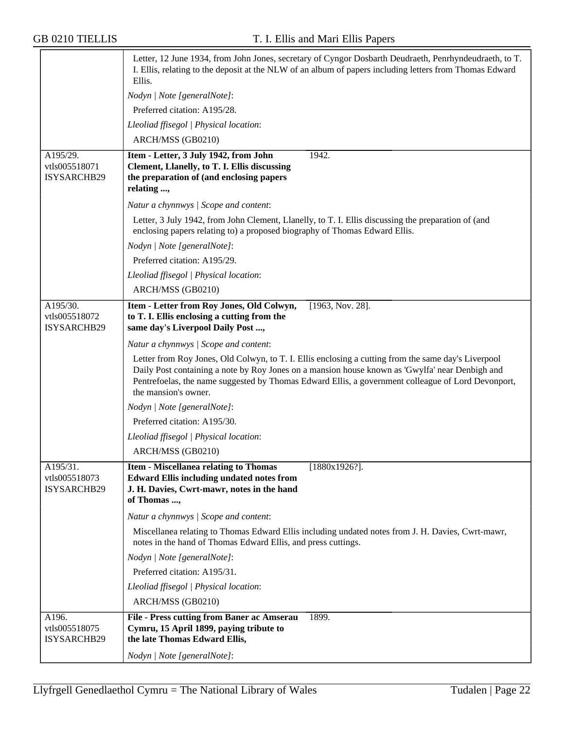|                                                 | Letter, 12 June 1934, from John Jones, secretary of Cyngor Dosbarth Deudraeth, Penrhyndeudraeth, to T.<br>I. Ellis, relating to the deposit at the NLW of an album of papers including letters from Thomas Edward<br>Ellis.                                                                                                          |  |  |
|-------------------------------------------------|--------------------------------------------------------------------------------------------------------------------------------------------------------------------------------------------------------------------------------------------------------------------------------------------------------------------------------------|--|--|
|                                                 | Nodyn   Note [generalNote]:                                                                                                                                                                                                                                                                                                          |  |  |
|                                                 | Preferred citation: A195/28.                                                                                                                                                                                                                                                                                                         |  |  |
|                                                 | Lleoliad ffisegol   Physical location:                                                                                                                                                                                                                                                                                               |  |  |
|                                                 | ARCH/MSS (GB0210)                                                                                                                                                                                                                                                                                                                    |  |  |
| A195/29.<br>vtls005518071<br>ISYSARCHB29        | 1942.<br>Item - Letter, 3 July 1942, from John<br>Clement, Llanelly, to T. I. Ellis discussing<br>the preparation of (and enclosing papers<br>relating ,                                                                                                                                                                             |  |  |
|                                                 | Natur a chynnwys / Scope and content:                                                                                                                                                                                                                                                                                                |  |  |
|                                                 | Letter, 3 July 1942, from John Clement, Llanelly, to T. I. Ellis discussing the preparation of (and<br>enclosing papers relating to) a proposed biography of Thomas Edward Ellis.                                                                                                                                                    |  |  |
|                                                 | Nodyn   Note [generalNote]:                                                                                                                                                                                                                                                                                                          |  |  |
|                                                 | Preferred citation: A195/29.                                                                                                                                                                                                                                                                                                         |  |  |
|                                                 | Lleoliad ffisegol   Physical location:                                                                                                                                                                                                                                                                                               |  |  |
|                                                 | ARCH/MSS (GB0210)                                                                                                                                                                                                                                                                                                                    |  |  |
| A195/30.<br>vtls005518072<br>ISYSARCHB29        | Item - Letter from Roy Jones, Old Colwyn,<br>[1963, Nov. 28].<br>to T. I. Ellis enclosing a cutting from the<br>same day's Liverpool Daily Post ,                                                                                                                                                                                    |  |  |
|                                                 | Natur a chynnwys / Scope and content:                                                                                                                                                                                                                                                                                                |  |  |
|                                                 | Letter from Roy Jones, Old Colwyn, to T. I. Ellis enclosing a cutting from the same day's Liverpool<br>Daily Post containing a note by Roy Jones on a mansion house known as 'Gwylfa' near Denbigh and<br>Pentrefoelas, the name suggested by Thomas Edward Ellis, a government colleague of Lord Devonport,<br>the mansion's owner. |  |  |
|                                                 | Nodyn   Note [generalNote]:                                                                                                                                                                                                                                                                                                          |  |  |
|                                                 | Preferred citation: A195/30.                                                                                                                                                                                                                                                                                                         |  |  |
|                                                 | Lleoliad ffisegol   Physical location:                                                                                                                                                                                                                                                                                               |  |  |
|                                                 | ARCH/MSS (GB0210)                                                                                                                                                                                                                                                                                                                    |  |  |
| A195/31.<br>vtls005518073<br><b>ISYSARCHB29</b> | <b>Item - Miscellanea relating to Thomas</b><br>$[1880x1926?]$ .<br><b>Edward Ellis including undated notes from</b><br>J. H. Davies, Cwrt-mawr, notes in the hand<br>of Thomas ,                                                                                                                                                    |  |  |
|                                                 | Natur a chynnwys / Scope and content:                                                                                                                                                                                                                                                                                                |  |  |
|                                                 | Miscellanea relating to Thomas Edward Ellis including undated notes from J. H. Davies, Cwrt-mawr,<br>notes in the hand of Thomas Edward Ellis, and press cuttings.                                                                                                                                                                   |  |  |
|                                                 | Nodyn   Note [generalNote]:                                                                                                                                                                                                                                                                                                          |  |  |
|                                                 | Preferred citation: A195/31.                                                                                                                                                                                                                                                                                                         |  |  |
|                                                 | Lleoliad ffisegol   Physical location:                                                                                                                                                                                                                                                                                               |  |  |
|                                                 | ARCH/MSS (GB0210)                                                                                                                                                                                                                                                                                                                    |  |  |
| A196.<br>vtls005518075<br>ISYSARCHB29           | File - Press cutting from Baner ac Amserau<br>1899.<br>Cymru, 15 April 1899, paying tribute to<br>the late Thomas Edward Ellis,                                                                                                                                                                                                      |  |  |
|                                                 | Nodyn   Note [generalNote]:                                                                                                                                                                                                                                                                                                          |  |  |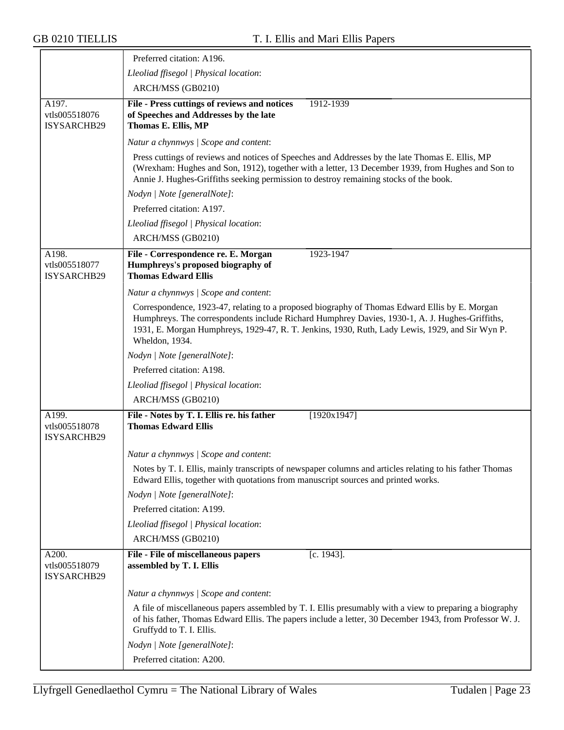≂

|                                       | Preferred citation: A196.                                                                                                                                                                                                                                                                                            |  |  |
|---------------------------------------|----------------------------------------------------------------------------------------------------------------------------------------------------------------------------------------------------------------------------------------------------------------------------------------------------------------------|--|--|
|                                       | Lleoliad ffisegol   Physical location:                                                                                                                                                                                                                                                                               |  |  |
|                                       | ARCH/MSS (GB0210)                                                                                                                                                                                                                                                                                                    |  |  |
| A197.<br>vtls005518076<br>ISYSARCHB29 | File - Press cuttings of reviews and notices<br>1912-1939<br>of Speeches and Addresses by the late<br>Thomas E. Ellis, MP                                                                                                                                                                                            |  |  |
|                                       | Natur a chynnwys / Scope and content:                                                                                                                                                                                                                                                                                |  |  |
|                                       | Press cuttings of reviews and notices of Speeches and Addresses by the late Thomas E. Ellis, MP<br>(Wrexham: Hughes and Son, 1912), together with a letter, 13 December 1939, from Hughes and Son to<br>Annie J. Hughes-Griffiths seeking permission to destroy remaining stocks of the book.                        |  |  |
|                                       | Nodyn   Note [generalNote]:                                                                                                                                                                                                                                                                                          |  |  |
|                                       | Preferred citation: A197.                                                                                                                                                                                                                                                                                            |  |  |
|                                       | Lleoliad ffisegol   Physical location:                                                                                                                                                                                                                                                                               |  |  |
|                                       | ARCH/MSS (GB0210)                                                                                                                                                                                                                                                                                                    |  |  |
| A198.<br>vtls005518077<br>ISYSARCHB29 | File - Correspondence re. E. Morgan<br>1923-1947<br>Humphreys's proposed biography of<br><b>Thomas Edward Ellis</b>                                                                                                                                                                                                  |  |  |
|                                       | Natur a chynnwys / Scope and content:                                                                                                                                                                                                                                                                                |  |  |
|                                       | Correspondence, 1923-47, relating to a proposed biography of Thomas Edward Ellis by E. Morgan<br>Humphreys. The correspondents include Richard Humphrey Davies, 1930-1, A. J. Hughes-Griffiths,<br>1931, E. Morgan Humphreys, 1929-47, R. T. Jenkins, 1930, Ruth, Lady Lewis, 1929, and Sir Wyn P.<br>Wheldon, 1934. |  |  |
|                                       | Nodyn   Note [generalNote]:                                                                                                                                                                                                                                                                                          |  |  |
|                                       | Preferred citation: A198.                                                                                                                                                                                                                                                                                            |  |  |
|                                       | Lleoliad ffisegol   Physical location:                                                                                                                                                                                                                                                                               |  |  |
|                                       | ARCH/MSS (GB0210)                                                                                                                                                                                                                                                                                                    |  |  |
| A199.<br>vtls005518078<br>ISYSARCHB29 | File - Notes by T. I. Ellis re. his father<br>[1920x1947]<br><b>Thomas Edward Ellis</b>                                                                                                                                                                                                                              |  |  |
|                                       | Natur a chynnwys / Scope and content:                                                                                                                                                                                                                                                                                |  |  |
|                                       | Notes by T. I. Ellis, mainly transcripts of newspaper columns and articles relating to his father Thomas<br>Edward Ellis, together with quotations from manuscript sources and printed works.                                                                                                                        |  |  |
|                                       | Nodyn   Note [generalNote]:                                                                                                                                                                                                                                                                                          |  |  |
|                                       | Preferred citation: A199.                                                                                                                                                                                                                                                                                            |  |  |
|                                       | Lleoliad ffisegol   Physical location:                                                                                                                                                                                                                                                                               |  |  |
|                                       | ARCH/MSS (GB0210)                                                                                                                                                                                                                                                                                                    |  |  |
| A200.<br>vtls005518079<br>ISYSARCHB29 | File - File of miscellaneous papers<br>$[c. 1943]$ .<br>assembled by T. I. Ellis                                                                                                                                                                                                                                     |  |  |
|                                       | Natur a chynnwys / Scope and content:                                                                                                                                                                                                                                                                                |  |  |
|                                       | A file of miscellaneous papers assembled by T. I. Ellis presumably with a view to preparing a biography<br>of his father, Thomas Edward Ellis. The papers include a letter, 30 December 1943, from Professor W. J.<br>Gruffydd to T. I. Ellis.                                                                       |  |  |
|                                       | Nodyn   Note [generalNote]:                                                                                                                                                                                                                                                                                          |  |  |
|                                       | Preferred citation: A200.                                                                                                                                                                                                                                                                                            |  |  |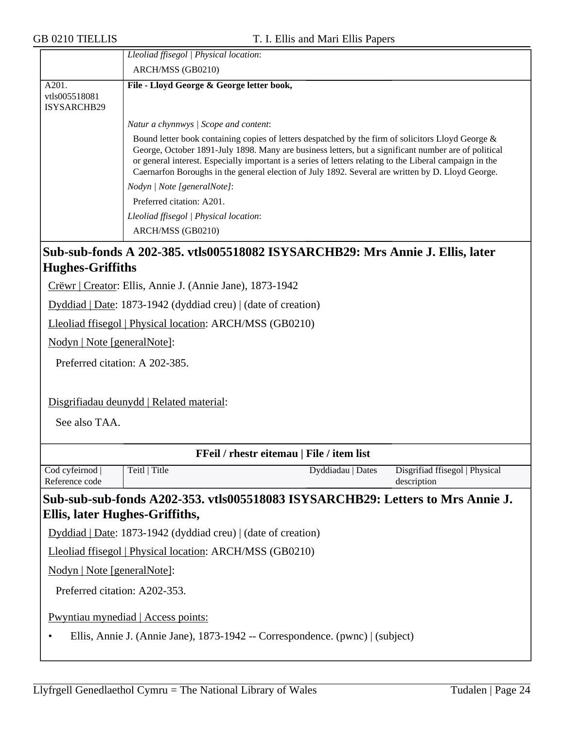|                                              | Lleoliad ffisegol   Physical location:<br>ARCH/MSS (GB0210)                                                                                                                                                                                                                                                                                                                                                                 |  |  |  |
|----------------------------------------------|-----------------------------------------------------------------------------------------------------------------------------------------------------------------------------------------------------------------------------------------------------------------------------------------------------------------------------------------------------------------------------------------------------------------------------|--|--|--|
| A201.<br>vtls005518081<br><b>ISYSARCHB29</b> | File - Lloyd George & George letter book,                                                                                                                                                                                                                                                                                                                                                                                   |  |  |  |
|                                              | Natur a chynnwys   Scope and content:                                                                                                                                                                                                                                                                                                                                                                                       |  |  |  |
|                                              | Bound letter book containing copies of letters despatched by the firm of solicitors Lloyd George &<br>George, October 1891-July 1898. Many are business letters, but a significant number are of political<br>or general interest. Especially important is a series of letters relating to the Liberal campaign in the<br>Caernarfon Boroughs in the general election of July 1892. Several are written by D. Lloyd George. |  |  |  |
|                                              | Nodyn / Note [generalNote]:                                                                                                                                                                                                                                                                                                                                                                                                 |  |  |  |
|                                              | Preferred citation: A201.                                                                                                                                                                                                                                                                                                                                                                                                   |  |  |  |
|                                              | Lleoliad ffisegol   Physical location:<br>ARCH/MSS (GB0210)                                                                                                                                                                                                                                                                                                                                                                 |  |  |  |

#### **Sub-sub-fonds A 202-385. vtls005518082 ISYSARCHB29: Mrs Annie J. Ellis, later Hughes-Griffiths**

Crëwr | Creator: Ellis, Annie J. (Annie Jane), 1873-1942

Dyddiad | Date: 1873-1942 (dyddiad creu) | (date of creation)

Lleoliad ffisegol | Physical location: ARCH/MSS (GB0210)

Nodyn | Note [generalNote]:

Preferred citation: A 202-385.

Disgrifiadau deunydd | Related material:

See also TAA.

| FFeil / rhestr eitemau   File / item list                                                  |                                                                                |                   |                                |  |
|--------------------------------------------------------------------------------------------|--------------------------------------------------------------------------------|-------------------|--------------------------------|--|
| Cod cyfeirnod                                                                              | Teitl   Title                                                                  | Dyddiadau   Dates | Disgrifiad ffisegol   Physical |  |
| Reference code                                                                             |                                                                                |                   | description                    |  |
|                                                                                            | Sub-sub-sub-fonds A202-353. vtls005518083 ISYSARCHB29: Letters to Mrs Annie J. |                   |                                |  |
| Ellis, later Hughes-Griffiths,                                                             |                                                                                |                   |                                |  |
|                                                                                            | Dyddiad   Date: 1873-1942 (dyddiad creu)   (date of creation)                  |                   |                                |  |
|                                                                                            | Lleoliad ffisegol   Physical location: ARCH/MSS (GB0210)                       |                   |                                |  |
| <u>Nodyn   Note [generalNote]</u> :                                                        |                                                                                |                   |                                |  |
| Preferred citation: A202-353.                                                              |                                                                                |                   |                                |  |
| <b>Pwyntiau mynediad</b>   Access points:                                                  |                                                                                |                   |                                |  |
| Ellis, Annie J. (Annie Jane), 1873-1942 -- Correspondence. (pwnc)   (subject)<br>$\bullet$ |                                                                                |                   |                                |  |
|                                                                                            |                                                                                |                   |                                |  |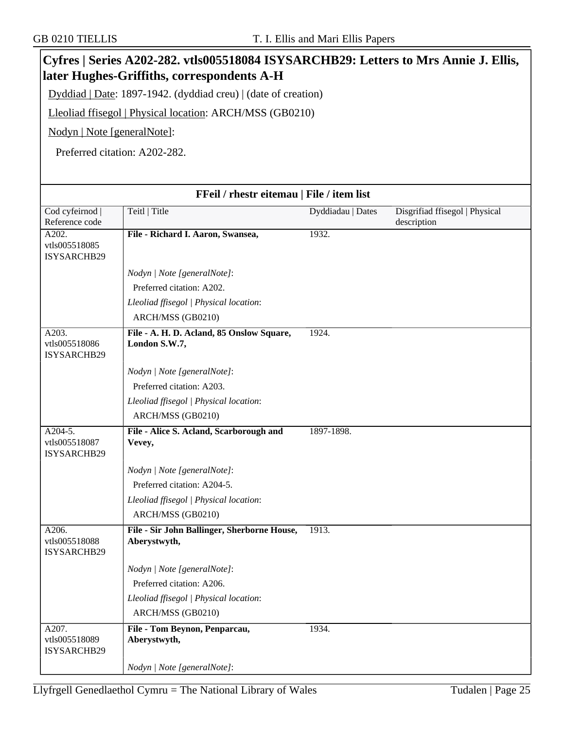|                                           | Cyfres   Series A202-282. vtls005518084 ISYSARCHB29: Letters to Mrs Annie J. Ellis,<br>later Hughes-Griffiths, correspondents A-H |                   |                                               |
|-------------------------------------------|-----------------------------------------------------------------------------------------------------------------------------------|-------------------|-----------------------------------------------|
|                                           | Dyddiad   Date: 1897-1942. (dyddiad creu)   (date of creation)                                                                    |                   |                                               |
|                                           |                                                                                                                                   |                   |                                               |
|                                           | Lleoliad ffisegol   Physical location: ARCH/MSS (GB0210)                                                                          |                   |                                               |
| Nodyn   Note [generalNote]:               |                                                                                                                                   |                   |                                               |
|                                           | Preferred citation: A202-282.                                                                                                     |                   |                                               |
|                                           |                                                                                                                                   |                   |                                               |
|                                           | FFeil / rhestr eitemau   File / item list                                                                                         |                   |                                               |
| Cod cyfeirnod<br>Reference code           | Teitl   Title                                                                                                                     | Dyddiadau   Dates | Disgrifiad ffisegol   Physical<br>description |
| A202.<br>vtls005518085                    | File - Richard I. Aaron, Swansea,                                                                                                 | 1932.             |                                               |
| ISYSARCHB29                               |                                                                                                                                   |                   |                                               |
|                                           | Nodyn   Note [generalNote]:                                                                                                       |                   |                                               |
|                                           | Preferred citation: A202.                                                                                                         |                   |                                               |
|                                           | Lleoliad ffisegol   Physical location:                                                                                            |                   |                                               |
|                                           | ARCH/MSS (GB0210)                                                                                                                 |                   |                                               |
| A203.<br>vtls005518086<br>ISYSARCHB29     | File - A. H. D. Acland, 85 Onslow Square,<br>London S.W.7,                                                                        | 1924.             |                                               |
|                                           | Nodyn   Note [generalNote]:                                                                                                       |                   |                                               |
|                                           | Preferred citation: A203.                                                                                                         |                   |                                               |
|                                           | Lleoliad ffisegol   Physical location:                                                                                            |                   |                                               |
|                                           | ARCH/MSS (GB0210)                                                                                                                 |                   |                                               |
| $A204-5.$<br>vtls005518087<br>ISYSARCHB29 | File - Alice S. Acland, Scarborough and<br>Vevey,                                                                                 | 1897-1898.        |                                               |
|                                           | Nodyn   Note [generalNote]:                                                                                                       |                   |                                               |
|                                           | Preferred citation: A204-5.                                                                                                       |                   |                                               |
|                                           | Lleoliad ffisegol   Physical location:                                                                                            |                   |                                               |
|                                           | ARCH/MSS (GB0210)                                                                                                                 |                   |                                               |
| A206.<br>vtls005518088<br>ISYSARCHB29     | File - Sir John Ballinger, Sherborne House,<br>Aberystwyth,                                                                       | 1913.             |                                               |
|                                           | Nodyn   Note [generalNote]:                                                                                                       |                   |                                               |
|                                           | Preferred citation: A206.                                                                                                         |                   |                                               |
|                                           | Lleoliad ffisegol   Physical location:                                                                                            |                   |                                               |
|                                           | ARCH/MSS (GB0210)                                                                                                                 |                   |                                               |
| A207.<br>vtls005518089<br>ISYSARCHB29     | File - Tom Beynon, Penparcau,<br>Aberystwyth,                                                                                     | 1934.             |                                               |
|                                           | Nodyn   Note [generalNote]:                                                                                                       |                   |                                               |

٦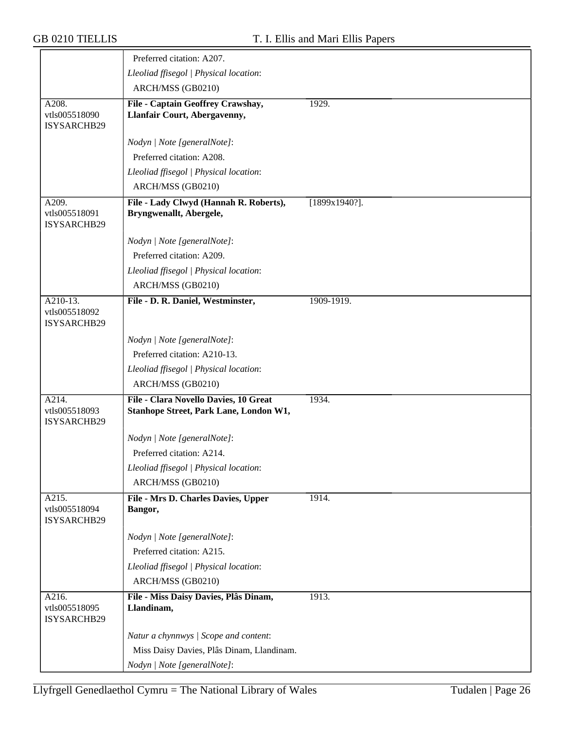|                                            | Preferred citation: A207.                                                       |                  |
|--------------------------------------------|---------------------------------------------------------------------------------|------------------|
|                                            | Lleoliad ffisegol   Physical location:                                          |                  |
|                                            | ARCH/MSS (GB0210)                                                               |                  |
| A208.<br>vtls005518090<br>ISYSARCHB29      | File - Captain Geoffrey Crawshay,<br>Llanfair Court, Abergavenny,               | 1929.            |
|                                            | Nodyn   Note [generalNote]:                                                     |                  |
|                                            | Preferred citation: A208.                                                       |                  |
|                                            | Lleoliad ffisegol   Physical location:                                          |                  |
|                                            | ARCH/MSS (GB0210)                                                               |                  |
| A209.<br>vtls005518091<br>ISYSARCHB29      | File - Lady Clwyd (Hannah R. Roberts),<br>Bryngwenallt, Abergele,               | $[1899x1940?]$ . |
|                                            | Nodyn   Note [generalNote]:                                                     |                  |
|                                            | Preferred citation: A209.                                                       |                  |
|                                            | Lleoliad ffisegol   Physical location:                                          |                  |
|                                            | ARCH/MSS (GB0210)                                                               |                  |
| $A210-13.$<br>vtls005518092<br>ISYSARCHB29 | File - D. R. Daniel, Westminster,                                               | 1909-1919.       |
|                                            | Nodyn   Note [generalNote]:                                                     |                  |
|                                            | Preferred citation: A210-13.                                                    |                  |
|                                            | Lleoliad ffisegol   Physical location:                                          |                  |
|                                            | ARCH/MSS (GB0210)                                                               |                  |
| A214.<br>vtls005518093<br>ISYSARCHB29      | File - Clara Novello Davies, 10 Great<br>Stanhope Street, Park Lane, London W1, | 1934.            |
|                                            | Nodyn   Note [generalNote]:                                                     |                  |
|                                            | Preferred citation: A214.                                                       |                  |
|                                            | Lleoliad ffisegol   Physical location:                                          |                  |
|                                            | ARCH/MSS (GB0210)                                                               |                  |
| A215.<br>vtls005518094<br>ISYSARCHB29      | File - Mrs D. Charles Davies, Upper<br>Bangor,                                  | 1914.            |
|                                            | Nodyn   Note [generalNote]:                                                     |                  |
|                                            | Preferred citation: A215.                                                       |                  |
|                                            | Lleoliad ffisegol   Physical location:                                          |                  |
|                                            | ARCH/MSS (GB0210)                                                               |                  |
| A216.<br>vtls005518095<br>ISYSARCHB29      | File - Miss Daisy Davies, Plâs Dinam,<br>Llandinam,                             | 1913.            |
|                                            | Natur a chynnwys / Scope and content:                                           |                  |
|                                            | Miss Daisy Davies, Plâs Dinam, Llandinam.                                       |                  |
|                                            | Nodyn   Note [generalNote]:                                                     |                  |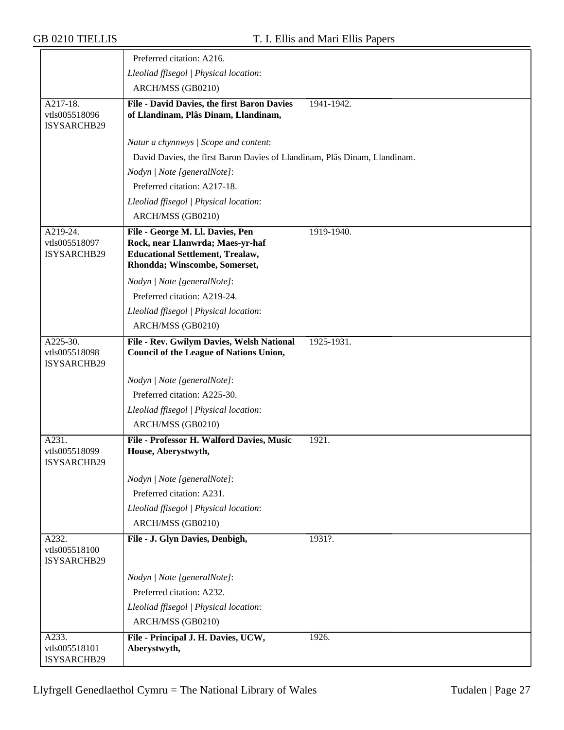|                                          | Preferred citation: A216.                                                                                                                        |            |
|------------------------------------------|--------------------------------------------------------------------------------------------------------------------------------------------------|------------|
|                                          | Lleoliad ffisegol   Physical location:                                                                                                           |            |
|                                          | ARCH/MSS (GB0210)                                                                                                                                |            |
| A217-18.<br>vtls005518096<br>ISYSARCHB29 | File - David Davies, the first Baron Davies<br>of Llandinam, Plâs Dinam, Llandinam,                                                              | 1941-1942. |
|                                          | Natur a chynnwys / Scope and content:                                                                                                            |            |
|                                          | David Davies, the first Baron Davies of Llandinam, Plâs Dinam, Llandinam.                                                                        |            |
|                                          | Nodyn   Note [generalNote]:                                                                                                                      |            |
|                                          | Preferred citation: A217-18.                                                                                                                     |            |
|                                          | Lleoliad ffisegol   Physical location:                                                                                                           |            |
|                                          | ARCH/MSS (GB0210)                                                                                                                                |            |
| A219-24.<br>vtls005518097<br>ISYSARCHB29 | File - George M. Ll. Davies, Pen<br>Rock, near Llanwrda; Maes-yr-haf<br><b>Educational Settlement, Trealaw,</b><br>Rhondda; Winscombe, Somerset, | 1919-1940. |
|                                          | Nodyn   Note [generalNote]:                                                                                                                      |            |
|                                          | Preferred citation: A219-24.                                                                                                                     |            |
|                                          | Lleoliad ffisegol   Physical location:                                                                                                           |            |
|                                          | ARCH/MSS (GB0210)                                                                                                                                |            |
| A225-30.<br>vtls005518098<br>ISYSARCHB29 | File - Rev. Gwilym Davies, Welsh National<br><b>Council of the League of Nations Union,</b>                                                      | 1925-1931. |
|                                          | Nodyn   Note [generalNote]:                                                                                                                      |            |
|                                          | Preferred citation: A225-30.                                                                                                                     |            |
|                                          | Lleoliad ffisegol   Physical location:                                                                                                           |            |
|                                          | ARCH/MSS (GB0210)                                                                                                                                |            |
| A231.<br>vtls005518099<br>ISYSARCHB29    | File - Professor H. Walford Davies, Music<br>House, Aberystwyth,                                                                                 | 1921.      |
|                                          | Nodyn   Note [generalNote]:                                                                                                                      |            |
|                                          | Preferred citation: A231.                                                                                                                        |            |
|                                          | Lleoliad ffisegol   Physical location:                                                                                                           |            |
|                                          | ARCH/MSS (GB0210)                                                                                                                                |            |
| A232.<br>vtls005518100<br>ISYSARCHB29    | File - J. Glyn Davies, Denbigh,                                                                                                                  | 1931?.     |
|                                          | Nodyn   Note [generalNote]:                                                                                                                      |            |
|                                          | Preferred citation: A232.                                                                                                                        |            |
|                                          | Lleoliad ffisegol   Physical location:                                                                                                           |            |
|                                          | ARCH/MSS (GB0210)                                                                                                                                |            |
| A233.<br>vtls005518101<br>ISYSARCHB29    | File - Principal J. H. Davies, UCW,<br>Aberystwyth,                                                                                              | 1926.      |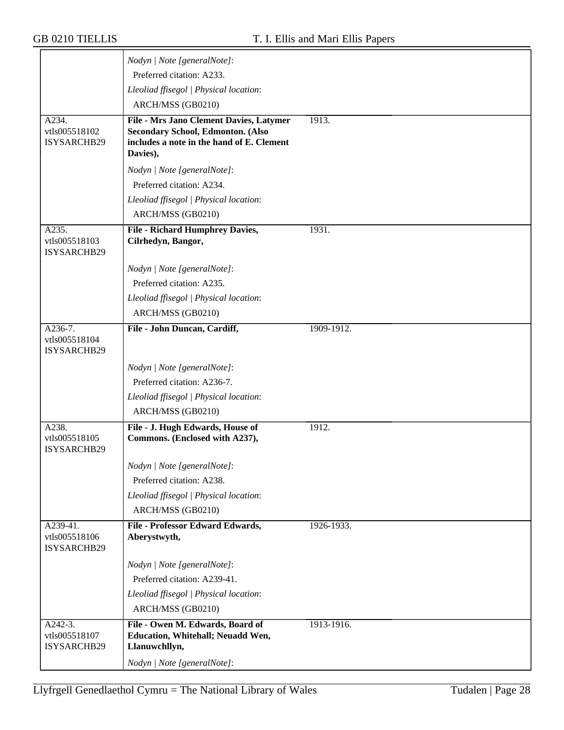|                              | Nodyn   Note [generalNote]:                               |            |
|------------------------------|-----------------------------------------------------------|------------|
|                              | Preferred citation: A233.                                 |            |
|                              | Lleoliad ffisegol   Physical location:                    |            |
|                              | ARCH/MSS (GB0210)                                         |            |
| A234.                        | File - Mrs Jano Clement Davies, Latymer                   | 1913.      |
| vtls005518102                | <b>Secondary School, Edmonton. (Also</b>                  |            |
| ISYSARCHB29                  | includes a note in the hand of E. Clement<br>Davies),     |            |
|                              | Nodyn   Note [generalNote]:                               |            |
|                              | Preferred citation: A234.                                 |            |
|                              | Lleoliad ffisegol   Physical location:                    |            |
|                              | ARCH/MSS (GB0210)                                         |            |
| A235.                        | <b>File - Richard Humphrey Davies,</b>                    | 1931.      |
| vtls005518103                | Cilrhedyn, Bangor,                                        |            |
| ISYSARCHB29                  |                                                           |            |
|                              | Nodyn   Note [generalNote]:                               |            |
|                              | Preferred citation: A235.                                 |            |
|                              | Lleoliad ffisegol   Physical location:                    |            |
|                              | ARCH/MSS (GB0210)                                         |            |
| A236-7.                      | File - John Duncan, Cardiff,                              | 1909-1912. |
| vtls005518104<br>ISYSARCHB29 |                                                           |            |
|                              | Nodyn   Note [generalNote]:                               |            |
|                              | Preferred citation: A236-7.                               |            |
|                              | Lleoliad ffisegol   Physical location:                    |            |
|                              | ARCH/MSS (GB0210)                                         |            |
| A238.                        | File - J. Hugh Edwards, House of                          | 1912.      |
| vtls005518105<br>ISYSARCHB29 | Commons. (Enclosed with A237),                            |            |
|                              | Nodyn   Note [generalNote]:                               |            |
|                              | Preferred citation: A238.                                 |            |
|                              | Lleoliad ffisegol   Physical location:                    |            |
|                              | ARCH/MSS (GB0210)                                         |            |
| A239-41.                     | File - Professor Edward Edwards,                          | 1926-1933. |
| vtls005518106<br>ISYSARCHB29 | Aberystwyth,                                              |            |
|                              | Nodyn   Note [generalNote]:                               |            |
|                              | Preferred citation: A239-41.                              |            |
|                              | Lleoliad ffisegol   Physical location:                    |            |
|                              | ARCH/MSS (GB0210)                                         |            |
| A242-3.                      | File - Owen M. Edwards, Board of                          | 1913-1916. |
| vtls005518107<br>ISYSARCHB29 | <b>Education, Whitehall; Neuadd Wen,</b><br>Llanuwchllyn, |            |
|                              | Nodyn   Note [generalNote]:                               |            |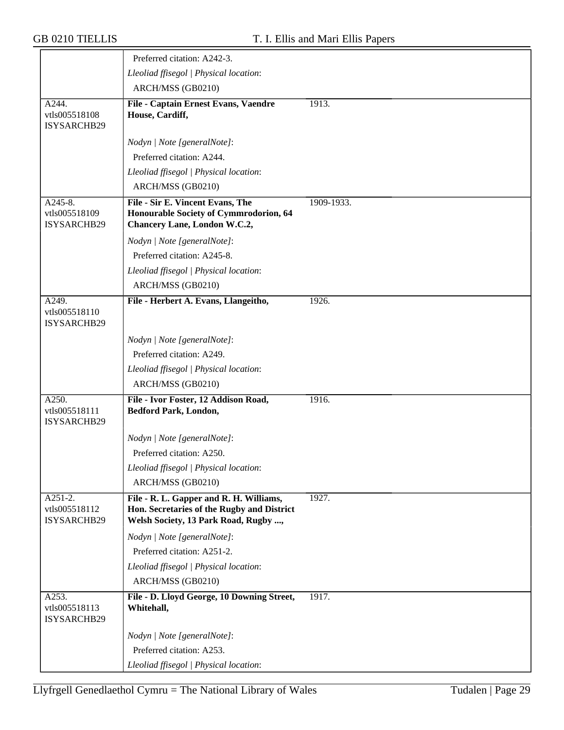|                                           | Preferred citation: A242-3.                                                                                                   |            |
|-------------------------------------------|-------------------------------------------------------------------------------------------------------------------------------|------------|
|                                           | Lleoliad ffisegol   Physical location:                                                                                        |            |
|                                           | ARCH/MSS (GB0210)                                                                                                             |            |
| A244.<br>vtls005518108<br>ISYSARCHB29     | File - Captain Ernest Evans, Vaendre<br>House, Cardiff,                                                                       | 1913.      |
|                                           | Nodyn   Note [generalNote]:                                                                                                   |            |
|                                           | Preferred citation: A244.                                                                                                     |            |
|                                           | Lleoliad ffisegol   Physical location:                                                                                        |            |
|                                           | ARCH/MSS (GB0210)                                                                                                             |            |
| A245-8.<br>vtls005518109<br>ISYSARCHB29   | File - Sir E. Vincent Evans, The<br>Honourable Society of Cymmrodorion, 64<br><b>Chancery Lane, London W.C.2,</b>             | 1909-1933. |
|                                           | Nodyn   Note [generalNote]:                                                                                                   |            |
|                                           | Preferred citation: A245-8.                                                                                                   |            |
|                                           | Lleoliad ffisegol   Physical location:                                                                                        |            |
|                                           | ARCH/MSS (GB0210)                                                                                                             |            |
| A249.<br>vtls005518110<br>ISYSARCHB29     | File - Herbert A. Evans, Llangeitho,                                                                                          | 1926.      |
|                                           | Nodyn   Note [generalNote]:                                                                                                   |            |
|                                           | Preferred citation: A249.                                                                                                     |            |
|                                           | Lleoliad ffisegol   Physical location:                                                                                        |            |
|                                           | ARCH/MSS (GB0210)                                                                                                             |            |
| A250.<br>vtls005518111<br>ISYSARCHB29     | File - Ivor Foster, 12 Addison Road,<br><b>Bedford Park, London,</b>                                                          | 1916.      |
|                                           | Nodyn   Note [generalNote]:                                                                                                   |            |
|                                           | Preferred citation: A250.                                                                                                     |            |
|                                           | Lleoliad ffisegol   Physical location:                                                                                        |            |
|                                           | ARCH/MSS (GB0210)                                                                                                             |            |
| $A251-2.$<br>vtls005518112<br>ISYSARCHB29 | File - R. L. Gapper and R. H. Williams,<br>Hon. Secretaries of the Rugby and District<br>Welsh Society, 13 Park Road, Rugby , | 1927.      |
|                                           | Nodyn   Note [generalNote]:                                                                                                   |            |
|                                           | Preferred citation: A251-2.                                                                                                   |            |
|                                           | Lleoliad ffisegol   Physical location:                                                                                        |            |
|                                           | ARCH/MSS (GB0210)                                                                                                             |            |
| A253.<br>vtls005518113<br>ISYSARCHB29     | File - D. Lloyd George, 10 Downing Street,<br>Whitehall,                                                                      | 1917.      |
|                                           | Nodyn   Note [generalNote]:                                                                                                   |            |
|                                           | Preferred citation: A253.                                                                                                     |            |
|                                           | Lleoliad ffisegol   Physical location:                                                                                        |            |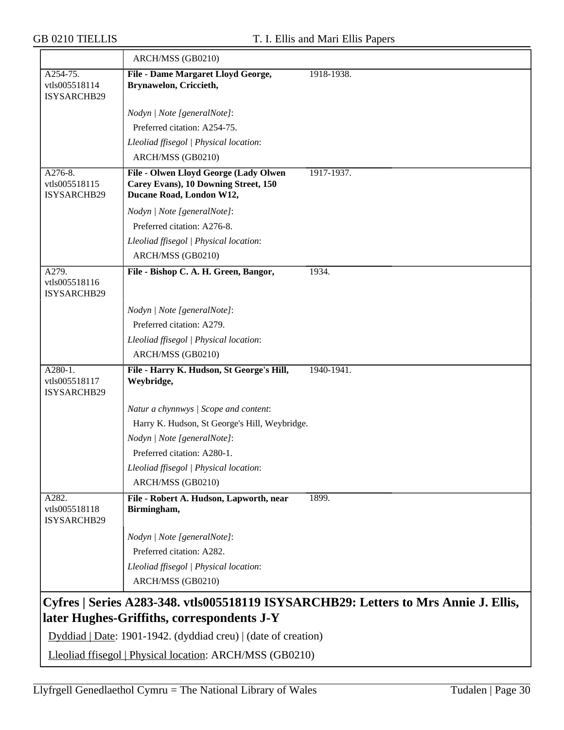|                                           | ARCH/MSS (GB0210)                                                                                         |                                                                                     |
|-------------------------------------------|-----------------------------------------------------------------------------------------------------------|-------------------------------------------------------------------------------------|
| A254-75.<br>vtls005518114<br>ISYSARCHB29  | File - Dame Margaret Lloyd George,<br>Brynawelon, Criccieth,                                              | 1918-1938.                                                                          |
|                                           | Nodyn   Note [generalNote]:                                                                               |                                                                                     |
|                                           | Preferred citation: A254-75.                                                                              |                                                                                     |
|                                           | Lleoliad ffisegol   Physical location:                                                                    |                                                                                     |
|                                           | ARCH/MSS (GB0210)                                                                                         |                                                                                     |
| $A276-8.$<br>vtls005518115<br>ISYSARCHB29 | File - Olwen Lloyd George (Lady Olwen<br>Carey Evans), 10 Downing Street, 150<br>Ducane Road, London W12, | 1917-1937.                                                                          |
|                                           | Nodyn   Note [generalNote]:                                                                               |                                                                                     |
|                                           | Preferred citation: A276-8.                                                                               |                                                                                     |
|                                           | Lleoliad ffisegol   Physical location:                                                                    |                                                                                     |
|                                           | ARCH/MSS (GB0210)                                                                                         |                                                                                     |
| A279.<br>vtls005518116<br>ISYSARCHB29     | File - Bishop C. A. H. Green, Bangor,                                                                     | 1934.                                                                               |
|                                           | Nodyn   Note [generalNote]:                                                                               |                                                                                     |
|                                           | Preferred citation: A279.                                                                                 |                                                                                     |
|                                           | Lleoliad ffisegol   Physical location:                                                                    |                                                                                     |
|                                           | ARCH/MSS (GB0210)                                                                                         |                                                                                     |
| A280-1.<br>vtls005518117<br>ISYSARCHB29   | File - Harry K. Hudson, St George's Hill,<br>Weybridge,                                                   | 1940-1941.                                                                          |
|                                           | Natur a chynnwys / Scope and content:                                                                     |                                                                                     |
|                                           | Harry K. Hudson, St George's Hill, Weybridge.                                                             |                                                                                     |
|                                           | Nodyn   Note [generalNote]:                                                                               |                                                                                     |
|                                           | Preferred citation: A280-1.                                                                               |                                                                                     |
|                                           | Lleoliad ffisegol   Physical location:                                                                    |                                                                                     |
|                                           | ARCH/MSS (GB0210)                                                                                         |                                                                                     |
| A282.<br>vtls005518118<br>ISYSARCHB29     | File - Robert A. Hudson, Lapworth, near<br>Birmingham,                                                    | 1899.                                                                               |
|                                           | Nodyn   Note [generalNote]:                                                                               |                                                                                     |
|                                           | Preferred citation: A282.                                                                                 |                                                                                     |
|                                           | Lleoliad ffisegol   Physical location:                                                                    |                                                                                     |
|                                           | ARCH/MSS (GB0210)                                                                                         |                                                                                     |
|                                           | later Hughes-Griffiths, correspondents J-Y                                                                | Cyfres   Series A283-348. vtls005518119 ISYSARCHB29: Letters to Mrs Annie J. Ellis, |

Dyddiad | Date: 1901-1942. (dyddiad creu) | (date of creation)

Lleoliad ffisegol | Physical location: ARCH/MSS (GB0210)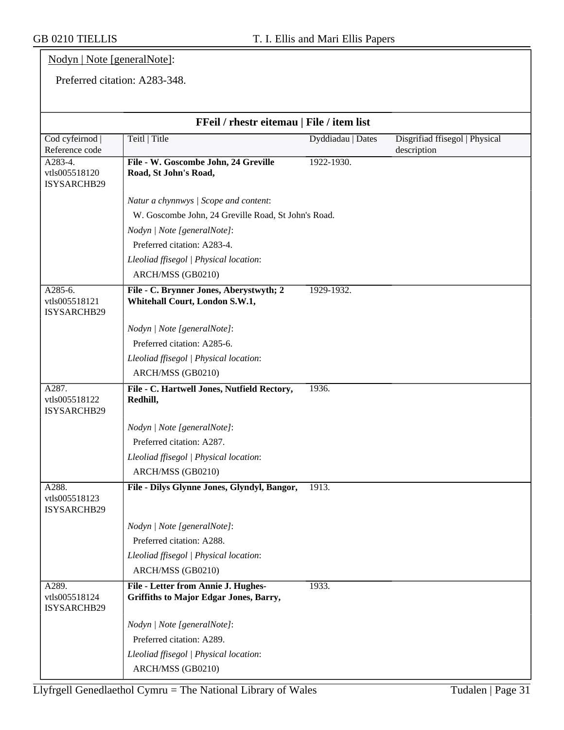#### Nodyn | Note [generalNote]:

Preferred citation: A283-348.

| FFeil / rhestr eitemau   File / item list |                                                                               |                   |                                               |  |
|-------------------------------------------|-------------------------------------------------------------------------------|-------------------|-----------------------------------------------|--|
| Cod cyfeirnod  <br>Reference code         | Teitl   Title                                                                 | Dyddiadau   Dates | Disgrifiad ffisegol   Physical<br>description |  |
| A283-4.<br>vtls005518120<br>ISYSARCHB29   | File - W. Goscombe John, 24 Greville<br>Road, St John's Road,                 | 1922-1930.        |                                               |  |
|                                           | Natur a chynnwys / Scope and content:                                         |                   |                                               |  |
|                                           | W. Goscombe John, 24 Greville Road, St John's Road.                           |                   |                                               |  |
|                                           | Nodyn   Note [generalNote]:                                                   |                   |                                               |  |
|                                           | Preferred citation: A283-4.                                                   |                   |                                               |  |
|                                           | Lleoliad ffisegol   Physical location:                                        |                   |                                               |  |
|                                           | ARCH/MSS (GB0210)                                                             |                   |                                               |  |
| A285-6.<br>vtls005518121<br>ISYSARCHB29   | File - C. Brynner Jones, Aberystwyth; 2<br>Whitehall Court, London S.W.1,     | 1929-1932.        |                                               |  |
|                                           | Nodyn   Note [generalNote]:                                                   |                   |                                               |  |
|                                           | Preferred citation: A285-6.                                                   |                   |                                               |  |
|                                           | Lleoliad ffisegol   Physical location:                                        |                   |                                               |  |
|                                           | ARCH/MSS (GB0210)                                                             |                   |                                               |  |
| A287.<br>vtls005518122<br>ISYSARCHB29     | File - C. Hartwell Jones, Nutfield Rectory,<br>Redhill,                       | 1936.             |                                               |  |
|                                           | Nodyn   Note [generalNote]:                                                   |                   |                                               |  |
|                                           | Preferred citation: A287.                                                     |                   |                                               |  |
|                                           | Lleoliad ffisegol   Physical location:                                        |                   |                                               |  |
|                                           | ARCH/MSS (GB0210)                                                             |                   |                                               |  |
| A288.<br>vtls005518123<br>ISYSARCHB29     | File - Dilys Glynne Jones, Glyndyl, Bangor,                                   | 1913.             |                                               |  |
|                                           | Nodyn   Note [generalNote]:                                                   |                   |                                               |  |
|                                           | Preferred citation: A288.                                                     |                   |                                               |  |
|                                           | Lleoliad ffisegol   Physical location:                                        |                   |                                               |  |
|                                           | ARCH/MSS (GB0210)                                                             |                   |                                               |  |
| A289.<br>vtls005518124<br>ISYSARCHB29     | File - Letter from Annie J. Hughes-<br>Griffiths to Major Edgar Jones, Barry, | 1933.             |                                               |  |
|                                           | Nodyn   Note [generalNote]:                                                   |                   |                                               |  |
|                                           | Preferred citation: A289.                                                     |                   |                                               |  |
|                                           | Lleoliad ffisegol   Physical location:                                        |                   |                                               |  |
|                                           | ARCH/MSS (GB0210)                                                             |                   |                                               |  |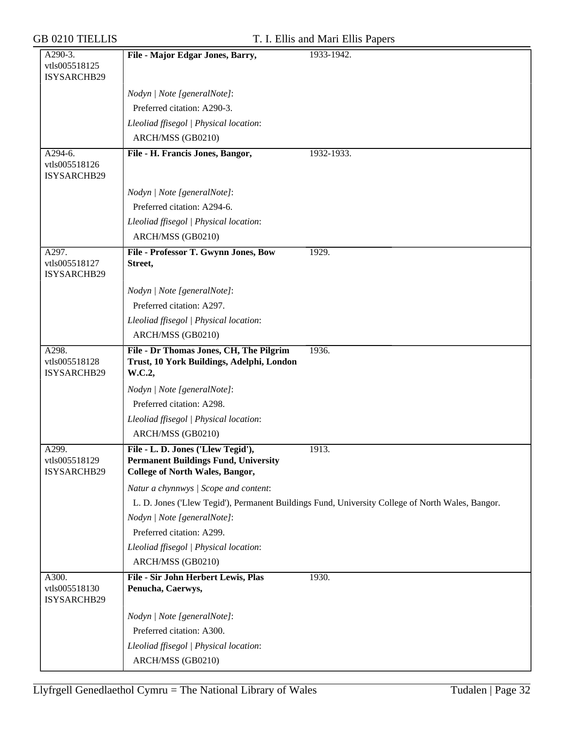|  |  | <b>GB 0210 TIELLIS</b> |
|--|--|------------------------|
|--|--|------------------------|

#### T. I. Ellis and Mari Ellis Papers

| A290-3.                               | File - Major Edgar Jones, Barry,                                                      | 1933-1942.                                                                                       |
|---------------------------------------|---------------------------------------------------------------------------------------|--------------------------------------------------------------------------------------------------|
| vtls005518125                         |                                                                                       |                                                                                                  |
| ISYSARCHB29                           |                                                                                       |                                                                                                  |
|                                       | Nodyn   Note [generalNote]:                                                           |                                                                                                  |
|                                       | Preferred citation: A290-3.                                                           |                                                                                                  |
|                                       | Lleoliad ffisegol   Physical location:                                                |                                                                                                  |
|                                       | ARCH/MSS (GB0210)                                                                     |                                                                                                  |
| A294-6.                               | File - H. Francis Jones, Bangor,                                                      | 1932-1933.                                                                                       |
| vtls005518126<br>ISYSARCHB29          |                                                                                       |                                                                                                  |
|                                       | Nodyn   Note [generalNote]:                                                           |                                                                                                  |
|                                       | Preferred citation: A294-6.                                                           |                                                                                                  |
|                                       | Lleoliad ffisegol   Physical location:                                                |                                                                                                  |
|                                       | ARCH/MSS (GB0210)                                                                     |                                                                                                  |
| A297.                                 | File - Professor T. Gwynn Jones, Bow                                                  | 1929.                                                                                            |
| vtls005518127<br>ISYSARCHB29          | Street,                                                                               |                                                                                                  |
|                                       | Nodyn   Note [generalNote]:                                                           |                                                                                                  |
|                                       | Preferred citation: A297.                                                             |                                                                                                  |
|                                       | Lleoliad ffisegol   Physical location:                                                |                                                                                                  |
|                                       | ARCH/MSS (GB0210)                                                                     |                                                                                                  |
| A298.                                 | File - Dr Thomas Jones, CH, The Pilgrim                                               | 1936.                                                                                            |
| vtls005518128<br>ISYSARCHB29          | Trust, 10 York Buildings, Adelphi, London<br>W.C.2,                                   |                                                                                                  |
|                                       | Nodyn   Note [generalNote]:                                                           |                                                                                                  |
|                                       | Preferred citation: A298.                                                             |                                                                                                  |
|                                       | Lleoliad ffisegol   Physical location:                                                |                                                                                                  |
|                                       | ARCH/MSS (GB0210)                                                                     |                                                                                                  |
| A299.                                 | File - L. D. Jones ('Llew Tegid'),                                                    | 1913.                                                                                            |
| vtls005518129<br>ISYSARCHB29          | <b>Permanent Buildings Fund, University</b><br><b>College of North Wales, Bangor,</b> |                                                                                                  |
|                                       | Natur a chynnwys / Scope and content:                                                 |                                                                                                  |
|                                       |                                                                                       | L. D. Jones ('Llew Tegid'), Permanent Buildings Fund, University College of North Wales, Bangor. |
|                                       | Nodyn   Note [generalNote]:                                                           |                                                                                                  |
|                                       | Preferred citation: A299.                                                             |                                                                                                  |
|                                       | Lleoliad ffisegol   Physical location:                                                |                                                                                                  |
|                                       | ARCH/MSS (GB0210)                                                                     |                                                                                                  |
| A300.<br>vtls005518130<br>ISYSARCHB29 | File - Sir John Herbert Lewis, Plas<br>Penucha, Caerwys,                              | 1930.                                                                                            |
|                                       | Nodyn   Note [generalNote]:                                                           |                                                                                                  |
|                                       | Preferred citation: A300.                                                             |                                                                                                  |
|                                       | Lleoliad ffisegol   Physical location:                                                |                                                                                                  |
|                                       | ARCH/MSS (GB0210)                                                                     |                                                                                                  |
|                                       |                                                                                       |                                                                                                  |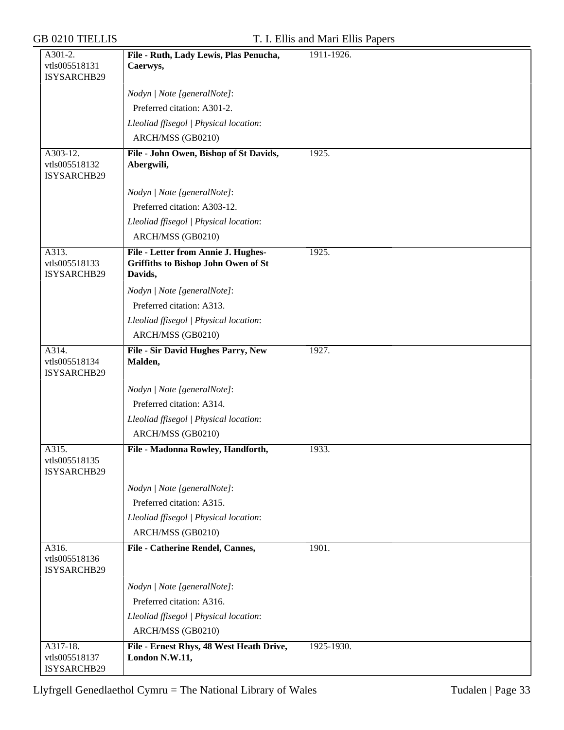| A301-2.       | File - Ruth, Lady Lewis, Plas Penucha,   | 1911-1926. |
|---------------|------------------------------------------|------------|
| vtls005518131 | Caerwys,                                 |            |
| ISYSARCHB29   |                                          |            |
|               | Nodyn   Note [generalNote]:              |            |
|               | Preferred citation: A301-2.              |            |
|               | Lleoliad ffisegol   Physical location:   |            |
|               | ARCH/MSS (GB0210)                        |            |
| A303-12.      | File - John Owen, Bishop of St Davids,   | 1925.      |
| vtls005518132 | Abergwili,                               |            |
| ISYSARCHB29   |                                          |            |
|               | Nodyn   Note [generalNote]:              |            |
|               | Preferred citation: A303-12.             |            |
|               | Lleoliad ffisegol   Physical location:   |            |
|               | ARCH/MSS (GB0210)                        |            |
| A313.         | File - Letter from Annie J. Hughes-      | 1925.      |
| vtls005518133 | Griffiths to Bishop John Owen of St      |            |
| ISYSARCHB29   | Davids,                                  |            |
|               | Nodyn   Note [generalNote]:              |            |
|               | Preferred citation: A313.                |            |
|               | Lleoliad ffisegol   Physical location:   |            |
|               | ARCH/MSS (GB0210)                        |            |
| A314.         | File - Sir David Hughes Parry, New       | 1927.      |
| vtls005518134 | Malden,                                  |            |
| ISYSARCHB29   |                                          |            |
|               | Nodyn   Note [generalNote]:              |            |
|               | Preferred citation: A314.                |            |
|               | Lleoliad ffisegol   Physical location:   |            |
|               | ARCH/MSS (GB0210)                        |            |
| A315.         | File - Madonna Rowley, Handforth,        | 1933.      |
| vtls005518135 |                                          |            |
| ISYSARCHB29   |                                          |            |
|               | Nodyn   Note [generalNote]:              |            |
|               | Preferred citation: A315.                |            |
|               | Lleoliad ffisegol   Physical location:   |            |
|               | ARCH/MSS (GB0210)                        |            |
| A316.         | File - Catherine Rendel, Cannes,         | 1901.      |
| vtls005518136 |                                          |            |
| ISYSARCHB29   |                                          |            |
|               | Nodyn   Note [generalNote]:              |            |
|               | Preferred citation: A316.                |            |
|               | Lleoliad ffisegol   Physical location:   |            |
|               | ARCH/MSS (GB0210)                        |            |
| A317-18.      | File - Ernest Rhys, 48 West Heath Drive, | 1925-1930. |
| vtls005518137 | London N.W.11,                           |            |
| ISYSARCHB29   |                                          |            |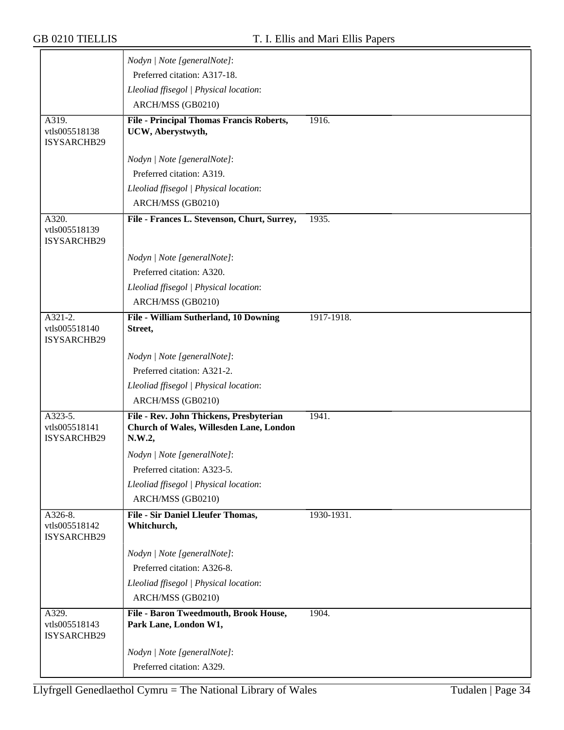|                                         | Nodyn   Note [generalNote]:                                                                  |            |
|-----------------------------------------|----------------------------------------------------------------------------------------------|------------|
|                                         | Preferred citation: A317-18.                                                                 |            |
|                                         | Lleoliad ffisegol   Physical location:                                                       |            |
|                                         | ARCH/MSS (GB0210)                                                                            |            |
| A319.                                   | <b>File - Principal Thomas Francis Roberts,</b>                                              | 1916.      |
| vtls005518138                           | UCW, Aberystwyth,                                                                            |            |
| ISYSARCHB29                             |                                                                                              |            |
|                                         | Nodyn   Note [generalNote]:                                                                  |            |
|                                         | Preferred citation: A319.                                                                    |            |
|                                         | Lleoliad ffisegol   Physical location:                                                       |            |
|                                         | ARCH/MSS (GB0210)                                                                            |            |
| A320.                                   | File - Frances L. Stevenson, Churt, Surrey,                                                  | 1935.      |
| vtls005518139<br>ISYSARCHB29            |                                                                                              |            |
|                                         | Nodyn   Note [generalNote]:                                                                  |            |
|                                         | Preferred citation: A320.                                                                    |            |
|                                         | Lleoliad ffisegol   Physical location:                                                       |            |
|                                         | ARCH/MSS (GB0210)                                                                            |            |
| A321-2.                                 | File - William Sutherland, 10 Downing                                                        | 1917-1918. |
| vtls005518140<br>ISYSARCHB29            | Street,                                                                                      |            |
|                                         | Nodyn   Note [generalNote]:                                                                  |            |
|                                         | Preferred citation: A321-2.                                                                  |            |
|                                         | Lleoliad ffisegol   Physical location:                                                       |            |
|                                         | ARCH/MSS (GB0210)                                                                            |            |
| A323-5.<br>vtls005518141<br>ISYSARCHB29 | File - Rev. John Thickens, Presbyterian<br>Church of Wales, Willesden Lane, London<br>N.W.2, | 1941.      |
|                                         | Nodyn   Note [generalNote]:                                                                  |            |
|                                         | Preferred citation: A323-5.                                                                  |            |
|                                         | Lleoliad ffisegol   Physical location:                                                       |            |
|                                         | ARCH/MSS (GB0210)                                                                            |            |
| A326-8.                                 | File - Sir Daniel Lleufer Thomas,                                                            | 1930-1931. |
| vtls005518142<br>ISYSARCHB29            | Whitchurch,                                                                                  |            |
|                                         | Nodyn   Note [generalNote]:                                                                  |            |
|                                         | Preferred citation: A326-8.                                                                  |            |
|                                         | Lleoliad ffisegol   Physical location:                                                       |            |
|                                         | ARCH/MSS (GB0210)                                                                            |            |
| A329.<br>vtls005518143<br>ISYSARCHB29   | File - Baron Tweedmouth, Brook House,<br>Park Lane, London W1,                               | 1904.      |
|                                         | Nodyn   Note [generalNote]:                                                                  |            |
|                                         | Preferred citation: A329.                                                                    |            |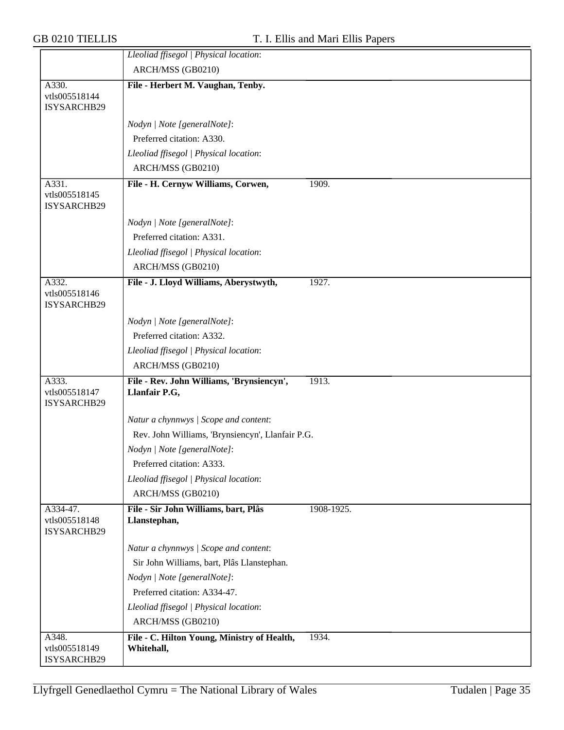|                                       | Lleoliad ffisegol   Physical location:                     |            |
|---------------------------------------|------------------------------------------------------------|------------|
|                                       | ARCH/MSS (GB0210)                                          |            |
| A330.                                 | File - Herbert M. Vaughan, Tenby.                          |            |
| vtls005518144<br>ISYSARCHB29          |                                                            |            |
|                                       |                                                            |            |
|                                       | Nodyn   Note [generalNote]:                                |            |
|                                       | Preferred citation: A330.                                  |            |
|                                       | Lleoliad ffisegol   Physical location:                     |            |
|                                       | ARCH/MSS (GB0210)                                          |            |
| A331.<br>vtls005518145<br>ISYSARCHB29 | File - H. Cernyw Williams, Corwen,                         | 1909.      |
|                                       | Nodyn   Note [generalNote]:                                |            |
|                                       | Preferred citation: A331.                                  |            |
|                                       | Lleoliad ffisegol   Physical location:                     |            |
|                                       | ARCH/MSS (GB0210)                                          |            |
| A332.<br>vtls005518146<br>ISYSARCHB29 | File - J. Lloyd Williams, Aberystwyth,                     | 1927.      |
|                                       | Nodyn   Note [generalNote]:                                |            |
|                                       | Preferred citation: A332.                                  |            |
|                                       | Lleoliad ffisegol   Physical location:                     |            |
|                                       | ARCH/MSS (GB0210)                                          |            |
| A333.<br>vtls005518147<br>ISYSARCHB29 | File - Rev. John Williams, 'Brynsiencyn',<br>Llanfair P.G, | 1913.      |
|                                       | Natur a chynnwys / Scope and content:                      |            |
|                                       | Rev. John Williams, 'Brynsiencyn', Llanfair P.G.           |            |
|                                       | Nodyn   Note [generalNote]:                                |            |
|                                       | Preferred citation: A333.                                  |            |
|                                       | Lleoliad ffisegol   Physical location:                     |            |
|                                       | ARCH/MSS (GB0210)                                          |            |
| A334-47.                              | File - Sir John Williams, bart, Plâs                       | 1908-1925. |
| vtls005518148<br>ISYSARCHB29          | Llanstephan,                                               |            |
|                                       | Natur a chynnwys / Scope and content:                      |            |
|                                       | Sir John Williams, bart, Plâs Llanstephan.                 |            |
|                                       | Nodyn   Note [generalNote]:                                |            |
|                                       | Preferred citation: A334-47.                               |            |
|                                       | Lleoliad ffisegol   Physical location:                     |            |
|                                       | ARCH/MSS (GB0210)                                          |            |
| A348.<br>vtls005518149                | File - C. Hilton Young, Ministry of Health,<br>Whitehall,  | 1934.      |
| ISYSARCHB29                           |                                                            |            |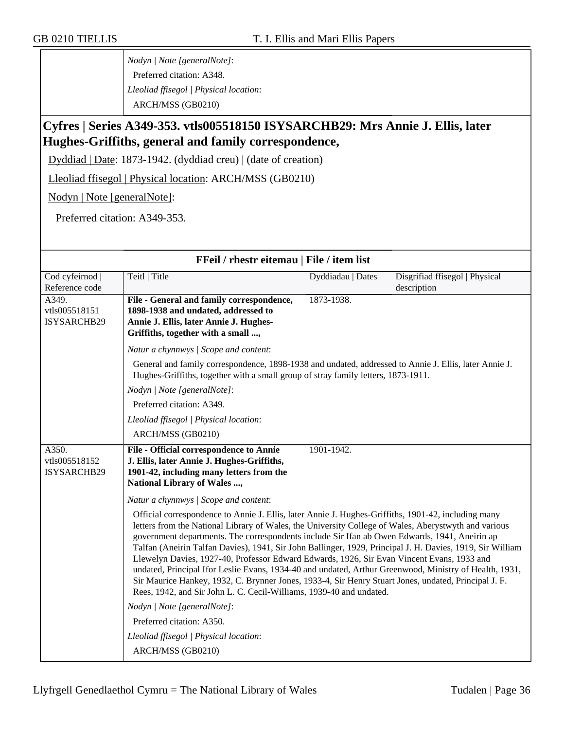*Nodyn | Note [generalNote]*: Preferred citation: A348. *Lleoliad ffisegol | Physical location*: ARCH/MSS (GB0210)

#### **Cyfres | Series A349-353. vtls005518150 ISYSARCHB29: Mrs Annie J. Ellis, later Hughes-Griffiths, general and family correspondence,**

Dyddiad | Date: 1873-1942. (dyddiad creu) | (date of creation)

Lleoliad ffisegol | Physical location: ARCH/MSS (GB0210)

Nodyn | Note [generalNote]:

Preferred citation: A349-353.

| FFeil / rhestr eitemau   File / item list    |                                                                                                                                                                                                                                                                                                                                                                                                                                                                                                                                                                                                                                                                                                                                                                                                                  |                   |                                               |  |
|----------------------------------------------|------------------------------------------------------------------------------------------------------------------------------------------------------------------------------------------------------------------------------------------------------------------------------------------------------------------------------------------------------------------------------------------------------------------------------------------------------------------------------------------------------------------------------------------------------------------------------------------------------------------------------------------------------------------------------------------------------------------------------------------------------------------------------------------------------------------|-------------------|-----------------------------------------------|--|
| Cod cyfeirnod  <br>Reference code            | Teitl   Title                                                                                                                                                                                                                                                                                                                                                                                                                                                                                                                                                                                                                                                                                                                                                                                                    | Dyddiadau   Dates | Disgrifiad ffisegol   Physical<br>description |  |
| A349.<br>vtls005518151<br>ISYSARCHB29        | File - General and family correspondence,<br>1898-1938 and undated, addressed to<br>Annie J. Ellis, later Annie J. Hughes-<br>Griffiths, together with a small ,                                                                                                                                                                                                                                                                                                                                                                                                                                                                                                                                                                                                                                                 | 1873-1938.        |                                               |  |
|                                              | Natur a chynnwys / Scope and content:                                                                                                                                                                                                                                                                                                                                                                                                                                                                                                                                                                                                                                                                                                                                                                            |                   |                                               |  |
|                                              | General and family correspondence, 1898-1938 and undated, addressed to Annie J. Ellis, later Annie J.<br>Hughes-Griffiths, together with a small group of stray family letters, 1873-1911.<br>Nodyn   Note [generalNote]:<br>Preferred citation: A349.                                                                                                                                                                                                                                                                                                                                                                                                                                                                                                                                                           |                   |                                               |  |
|                                              |                                                                                                                                                                                                                                                                                                                                                                                                                                                                                                                                                                                                                                                                                                                                                                                                                  |                   |                                               |  |
|                                              |                                                                                                                                                                                                                                                                                                                                                                                                                                                                                                                                                                                                                                                                                                                                                                                                                  |                   |                                               |  |
|                                              | Lleoliad ffisegol   Physical location:                                                                                                                                                                                                                                                                                                                                                                                                                                                                                                                                                                                                                                                                                                                                                                           |                   |                                               |  |
|                                              | ARCH/MSS (GB0210)                                                                                                                                                                                                                                                                                                                                                                                                                                                                                                                                                                                                                                                                                                                                                                                                |                   |                                               |  |
| A350.<br>vtls005518152<br><b>ISYSARCHB29</b> | 1901-1942.<br>File - Official correspondence to Annie<br>J. Ellis, later Annie J. Hughes-Griffiths,<br>1901-42, including many letters from the<br><b>National Library of Wales ,</b>                                                                                                                                                                                                                                                                                                                                                                                                                                                                                                                                                                                                                            |                   |                                               |  |
|                                              | Natur a chynnwys / Scope and content:                                                                                                                                                                                                                                                                                                                                                                                                                                                                                                                                                                                                                                                                                                                                                                            |                   |                                               |  |
|                                              | Official correspondence to Annie J. Ellis, later Annie J. Hughes-Griffiths, 1901-42, including many<br>letters from the National Library of Wales, the University College of Wales, Aberystwyth and various<br>government departments. The correspondents include Sir Ifan ab Owen Edwards, 1941, Aneirin ap<br>Talfan (Aneirin Talfan Davies), 1941, Sir John Ballinger, 1929, Principal J. H. Davies, 1919, Sir William<br>Llewelyn Davies, 1927-40, Professor Edward Edwards, 1926, Sir Evan Vincent Evans, 1933 and<br>undated, Principal Ifor Leslie Evans, 1934-40 and undated, Arthur Greenwood, Ministry of Health, 1931,<br>Sir Maurice Hankey, 1932, C. Brynner Jones, 1933-4, Sir Henry Stuart Jones, undated, Principal J. F.<br>Rees, 1942, and Sir John L. C. Cecil-Williams, 1939-40 and undated. |                   |                                               |  |
|                                              | Nodyn   Note [generalNote]:                                                                                                                                                                                                                                                                                                                                                                                                                                                                                                                                                                                                                                                                                                                                                                                      |                   |                                               |  |
|                                              | Preferred citation: A350.                                                                                                                                                                                                                                                                                                                                                                                                                                                                                                                                                                                                                                                                                                                                                                                        |                   |                                               |  |
|                                              | Lleoliad ffisegol   Physical location:                                                                                                                                                                                                                                                                                                                                                                                                                                                                                                                                                                                                                                                                                                                                                                           |                   |                                               |  |
|                                              | ARCH/MSS (GB0210)                                                                                                                                                                                                                                                                                                                                                                                                                                                                                                                                                                                                                                                                                                                                                                                                |                   |                                               |  |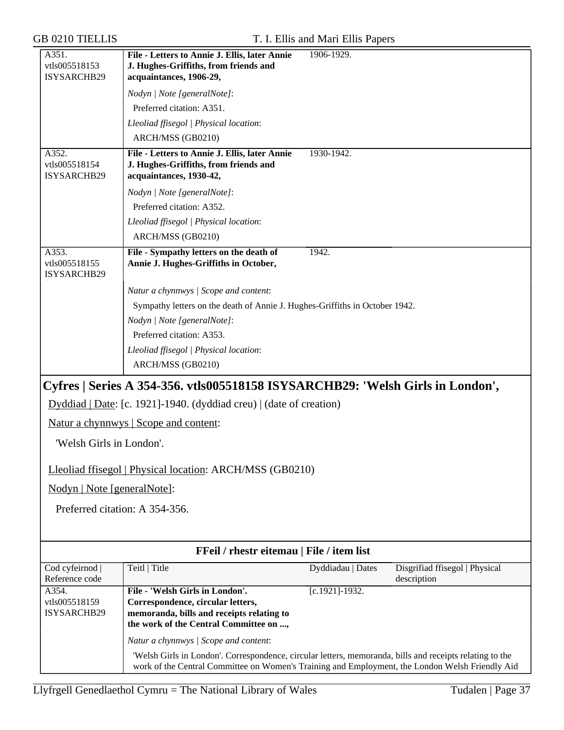| A351.<br>vtls005518153<br>ISYSARCHB29               | File - Letters to Annie J. Ellis, later Annie<br>J. Hughes-Griffiths, from friends and<br>acquaintances, 1906-29, | 1906-1929.        |                                               |
|-----------------------------------------------------|-------------------------------------------------------------------------------------------------------------------|-------------------|-----------------------------------------------|
|                                                     | Nodyn   Note [generalNote]:                                                                                       |                   |                                               |
|                                                     | Preferred citation: A351.                                                                                         |                   |                                               |
|                                                     | Lleoliad ffisegol   Physical location:                                                                            |                   |                                               |
|                                                     | ARCH/MSS (GB0210)                                                                                                 |                   |                                               |
| $\overline{A352}$ .<br>vtls005518154<br>ISYSARCHB29 | File - Letters to Annie J. Ellis, later Annie<br>J. Hughes-Griffiths, from friends and<br>acquaintances, 1930-42, | 1930-1942.        |                                               |
|                                                     | Nodyn   Note [generalNote]:                                                                                       |                   |                                               |
|                                                     | Preferred citation: A352.                                                                                         |                   |                                               |
|                                                     | Lleoliad ffisegol   Physical location:                                                                            |                   |                                               |
|                                                     | ARCH/MSS (GB0210)                                                                                                 |                   |                                               |
| A353.<br>vtls005518155<br>ISYSARCHB29               | File - Sympathy letters on the death of<br>Annie J. Hughes-Griffiths in October,                                  | 1942.             |                                               |
|                                                     | Natur a chynnwys / Scope and content:                                                                             |                   |                                               |
|                                                     | Sympathy letters on the death of Annie J. Hughes-Griffiths in October 1942.                                       |                   |                                               |
|                                                     | Nodyn   Note [generalNote]:                                                                                       |                   |                                               |
|                                                     | Preferred citation: A353.                                                                                         |                   |                                               |
|                                                     | Lleoliad ffisegol   Physical location:                                                                            |                   |                                               |
|                                                     | ARCH/MSS (GB0210)                                                                                                 |                   |                                               |
|                                                     | Cyfres   Series A 354-356. vtls005518158 ISYSARCHB29: 'Welsh Girls in London',                                    |                   |                                               |
|                                                     | Dyddiad   Date: [c. 1921]-1940. (dyddiad creu)   (date of creation)                                               |                   |                                               |
|                                                     | Natur a chynnwys   Scope and content:                                                                             |                   |                                               |
| 'Welsh Girls in London'.                            |                                                                                                                   |                   |                                               |
|                                                     | Lleoliad ffisegol   Physical location: ARCH/MSS (GB0210)                                                          |                   |                                               |
| Nodyn   Note [generalNote]:                         |                                                                                                                   |                   |                                               |
|                                                     | Preferred citation: A 354-356.                                                                                    |                   |                                               |
|                                                     |                                                                                                                   |                   |                                               |
|                                                     | FFeil / rhestr eitemau   File / item list                                                                         |                   |                                               |
| Cod cyfeirnod  <br>Reference code                   | Teitl   Title                                                                                                     | Dyddiadau   Dates | Disgrifiad ffisegol   Physical<br>description |
| A354.                                               | File - 'Welsh Girls in London'.                                                                                   | $[c.1921]-1932.$  |                                               |
| vtls005518159<br>ISYSARCHB29                        | Correspondence, circular letters,<br>memoranda, bills and receipts relating to                                    |                   |                                               |
|                                                     | the work of the Central Committee on ,                                                                            |                   |                                               |
|                                                     | Natur a chynnwys / Scope and content:                                                                             |                   |                                               |
|                                                     | 'Welsh Girls in London'. Correspondence, circular letters, memoranda, bills and receipts relating to the          |                   |                                               |
|                                                     | work of the Central Committee on Women's Training and Employment, the London Welsh Friendly Aid                   |                   |                                               |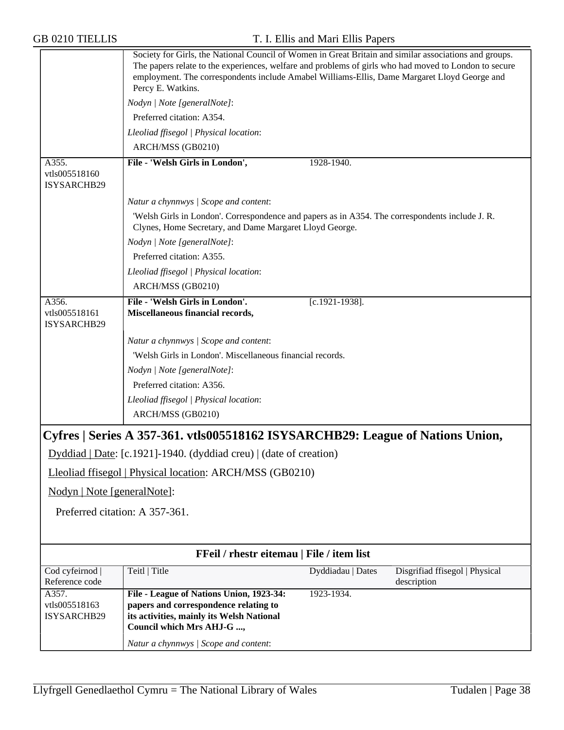|                                       | Society for Girls, the National Council of Women in Great Britain and similar associations and groups.<br>The papers relate to the experiences, welfare and problems of girls who had moved to London to secure<br>employment. The correspondents include Amabel Williams-Ellis, Dame Margaret Lloyd George and<br>Percy E. Watkins. |                   |                                               |
|---------------------------------------|--------------------------------------------------------------------------------------------------------------------------------------------------------------------------------------------------------------------------------------------------------------------------------------------------------------------------------------|-------------------|-----------------------------------------------|
|                                       | Nodyn   Note [generalNote]:                                                                                                                                                                                                                                                                                                          |                   |                                               |
|                                       | Preferred citation: A354.                                                                                                                                                                                                                                                                                                            |                   |                                               |
|                                       | Lleoliad ffisegol   Physical location:                                                                                                                                                                                                                                                                                               |                   |                                               |
|                                       | ARCH/MSS (GB0210)                                                                                                                                                                                                                                                                                                                    |                   |                                               |
| A355.<br>vtls005518160<br>ISYSARCHB29 | File - 'Welsh Girls in London',                                                                                                                                                                                                                                                                                                      | 1928-1940.        |                                               |
|                                       | Natur a chynnwys / Scope and content:                                                                                                                                                                                                                                                                                                |                   |                                               |
|                                       | 'Welsh Girls in London'. Correspondence and papers as in A354. The correspondents include J. R.<br>Clynes, Home Secretary, and Dame Margaret Lloyd George.                                                                                                                                                                           |                   |                                               |
|                                       | Nodyn   Note [generalNote]:                                                                                                                                                                                                                                                                                                          |                   |                                               |
|                                       | Preferred citation: A355.                                                                                                                                                                                                                                                                                                            |                   |                                               |
|                                       | Lleoliad ffisegol   Physical location:                                                                                                                                                                                                                                                                                               |                   |                                               |
|                                       | ARCH/MSS (GB0210)                                                                                                                                                                                                                                                                                                                    |                   |                                               |
| A356.<br>vtls005518161<br>ISYSARCHB29 | File - 'Welsh Girls in London'.<br>Miscellaneous financial records,                                                                                                                                                                                                                                                                  | $[c.1921-1938]$ . |                                               |
|                                       | Natur a chynnwys / Scope and content:                                                                                                                                                                                                                                                                                                |                   |                                               |
|                                       | 'Welsh Girls in London'. Miscellaneous financial records.                                                                                                                                                                                                                                                                            |                   |                                               |
|                                       | Nodyn   Note [generalNote]:                                                                                                                                                                                                                                                                                                          |                   |                                               |
|                                       | Preferred citation: A356.                                                                                                                                                                                                                                                                                                            |                   |                                               |
|                                       | Lleoliad ffisegol   Physical location:                                                                                                                                                                                                                                                                                               |                   |                                               |
|                                       | ARCH/MSS (GB0210)                                                                                                                                                                                                                                                                                                                    |                   |                                               |
|                                       | Cyfres   Series A 357-361. vtls005518162 ISYSARCHB29: League of Nations Union,                                                                                                                                                                                                                                                       |                   |                                               |
|                                       | $Dyddiad   Date: [c.1921] - 1940. (dyddiad creu)   (date of creation)$                                                                                                                                                                                                                                                               |                   |                                               |
|                                       | Lleoliad ffisegol   Physical location: ARCH/MSS (GB0210)                                                                                                                                                                                                                                                                             |                   |                                               |
| Nodyn   Note [generalNote]:           |                                                                                                                                                                                                                                                                                                                                      |                   |                                               |
| Preferred citation: A 357-361.        |                                                                                                                                                                                                                                                                                                                                      |                   |                                               |
|                                       |                                                                                                                                                                                                                                                                                                                                      |                   |                                               |
|                                       | FFeil / rhestr eitemau   File / item list                                                                                                                                                                                                                                                                                            |                   |                                               |
| Cod cyfeirnod  <br>Reference code     | Teitl   Title                                                                                                                                                                                                                                                                                                                        | Dyddiadau   Dates | Disgrifiad ffisegol   Physical<br>description |
| A357.                                 | File - League of Nations Union, 1923-34:                                                                                                                                                                                                                                                                                             | 1923-1934.        |                                               |
| vtls005518163<br>ISYSARCHB29          | papers and correspondence relating to<br>its activities, mainly its Welsh National                                                                                                                                                                                                                                                   |                   |                                               |
|                                       | Council which Mrs AHJ-G ,                                                                                                                                                                                                                                                                                                            |                   |                                               |
|                                       | Natur a chynnwys / Scope and content:                                                                                                                                                                                                                                                                                                |                   |                                               |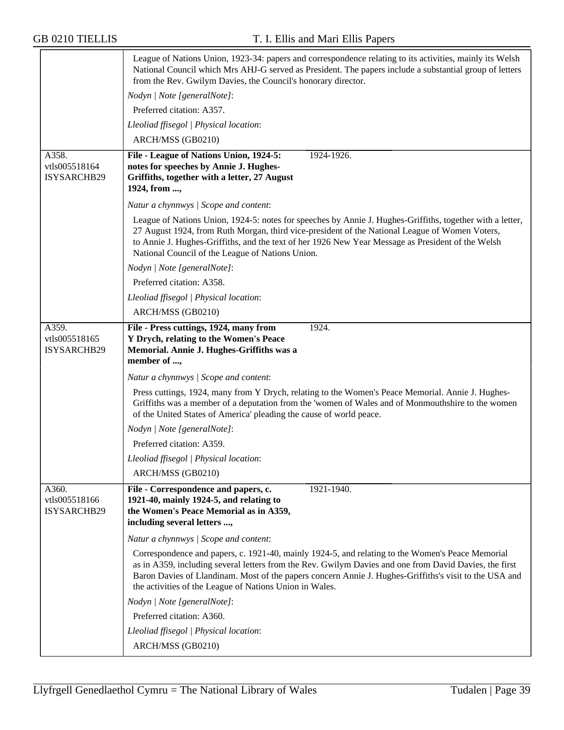|                                              | League of Nations Union, 1923-34: papers and correspondence relating to its activities, mainly its Welsh<br>National Council which Mrs AHJ-G served as President. The papers include a substantial group of letters<br>from the Rev. Gwilym Davies, the Council's honorary director.                                                                                            |
|----------------------------------------------|---------------------------------------------------------------------------------------------------------------------------------------------------------------------------------------------------------------------------------------------------------------------------------------------------------------------------------------------------------------------------------|
|                                              | Nodyn   Note [generalNote]:                                                                                                                                                                                                                                                                                                                                                     |
|                                              | Preferred citation: A357.                                                                                                                                                                                                                                                                                                                                                       |
|                                              | Lleoliad ffisegol   Physical location:                                                                                                                                                                                                                                                                                                                                          |
|                                              | ARCH/MSS (GB0210)                                                                                                                                                                                                                                                                                                                                                               |
| A358.<br>vtls005518164<br>ISYSARCHB29        | File - League of Nations Union, 1924-5:<br>1924-1926.<br>notes for speeches by Annie J. Hughes-<br>Griffiths, together with a letter, 27 August<br>1924, from ,                                                                                                                                                                                                                 |
|                                              | Natur a chynnwys / Scope and content:                                                                                                                                                                                                                                                                                                                                           |
|                                              | League of Nations Union, 1924-5: notes for speeches by Annie J. Hughes-Griffiths, together with a letter,<br>27 August 1924, from Ruth Morgan, third vice-president of the National League of Women Voters,<br>to Annie J. Hughes-Griffiths, and the text of her 1926 New Year Message as President of the Welsh<br>National Council of the League of Nations Union.            |
|                                              | Nodyn   Note [generalNote]:                                                                                                                                                                                                                                                                                                                                                     |
|                                              | Preferred citation: A358.                                                                                                                                                                                                                                                                                                                                                       |
|                                              | Lleoliad ffisegol   Physical location:                                                                                                                                                                                                                                                                                                                                          |
|                                              | ARCH/MSS (GB0210)                                                                                                                                                                                                                                                                                                                                                               |
| A359.<br>vtls005518165<br><b>ISYSARCHB29</b> | File - Press cuttings, 1924, many from<br>1924.<br>Y Drych, relating to the Women's Peace<br>Memorial. Annie J. Hughes-Griffiths was a<br>member of ,                                                                                                                                                                                                                           |
|                                              | Natur a chynnwys / Scope and content:                                                                                                                                                                                                                                                                                                                                           |
|                                              | Press cuttings, 1924, many from Y Drych, relating to the Women's Peace Memorial. Annie J. Hughes-<br>Griffiths was a member of a deputation from the 'women of Wales and of Monmouthshire to the women<br>of the United States of America' pleading the cause of world peace.                                                                                                   |
|                                              | Nodyn   Note [generalNote]:                                                                                                                                                                                                                                                                                                                                                     |
|                                              | Preferred citation: A359.                                                                                                                                                                                                                                                                                                                                                       |
|                                              | Lleoliad ffisegol   Physical location:                                                                                                                                                                                                                                                                                                                                          |
|                                              | ARCH/MSS (GB0210)                                                                                                                                                                                                                                                                                                                                                               |
| A360.<br>vtls005518166<br>ISYSARCHB29        | File - Correspondence and papers, c.<br>1921-1940.<br>1921-40, mainly 1924-5, and relating to<br>the Women's Peace Memorial as in A359,<br>including several letters ,                                                                                                                                                                                                          |
|                                              | Natur a chynnwys / Scope and content:                                                                                                                                                                                                                                                                                                                                           |
|                                              | Correspondence and papers, c. 1921-40, mainly 1924-5, and relating to the Women's Peace Memorial<br>as in A359, including several letters from the Rev. Gwilym Davies and one from David Davies, the first<br>Baron Davies of Llandinam. Most of the papers concern Annie J. Hughes-Griffiths's visit to the USA and<br>the activities of the League of Nations Union in Wales. |
|                                              | Nodyn   Note [generalNote]:                                                                                                                                                                                                                                                                                                                                                     |
|                                              | Preferred citation: A360.                                                                                                                                                                                                                                                                                                                                                       |
|                                              | Lleoliad ffisegol   Physical location:                                                                                                                                                                                                                                                                                                                                          |
|                                              | ARCH/MSS (GB0210)                                                                                                                                                                                                                                                                                                                                                               |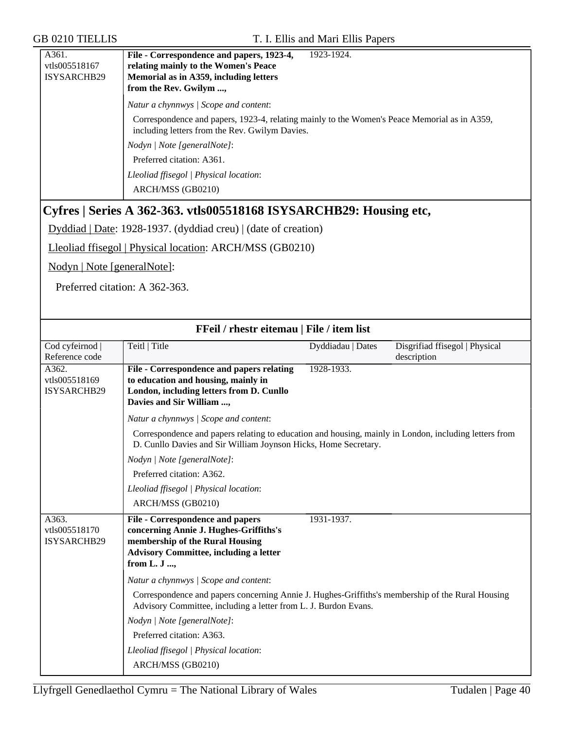| A361.         | File - Correspondence and papers, 1923-4,<br>1923-1924.                                                                                        |
|---------------|------------------------------------------------------------------------------------------------------------------------------------------------|
| vtls005518167 | relating mainly to the Women's Peace                                                                                                           |
| ISYSARCHB29   | Memorial as in A359, including letters                                                                                                         |
|               | from the Rev. Gwilym ,                                                                                                                         |
|               | Natur a chynnwys / Scope and content:                                                                                                          |
|               | Correspondence and papers, 1923-4, relating mainly to the Women's Peace Memorial as in A359,<br>including letters from the Rev. Gwilym Davies. |
|               | Nodyn / Note [generalNote]:                                                                                                                    |
|               | Preferred citation: A361.                                                                                                                      |
|               | Lleoliad ffisegol   Physical location:                                                                                                         |
|               | ARCH/MSS (GB0210)                                                                                                                              |

# **Cyfres | Series A 362-363. vtls005518168 ISYSARCHB29: Housing etc,**

Dyddiad | Date: 1928-1937. (dyddiad creu) | (date of creation)

Lleoliad ffisegol | Physical location: ARCH/MSS (GB0210)

Nodyn | Note [generalNote]:

Preferred citation: A 362-363.

| FFeil / rhestr eitemau   File / item list    |                                                                                                                                                                                                                   |                   |                                               |
|----------------------------------------------|-------------------------------------------------------------------------------------------------------------------------------------------------------------------------------------------------------------------|-------------------|-----------------------------------------------|
| Cod cyfeirnod  <br>Reference code            | Teitl   Title                                                                                                                                                                                                     | Dyddiadau   Dates | Disgrifiad ffisegol   Physical<br>description |
| A362.<br>vtls005518169<br>ISYSARCHB29        | File - Correspondence and papers relating<br>to education and housing, mainly in<br>London, including letters from D. Cunllo<br>Davies and Sir William ,                                                          | 1928-1933.        |                                               |
|                                              | Natur a chynnwys / Scope and content:<br>Correspondence and papers relating to education and housing, mainly in London, including letters from<br>D. Cunllo Davies and Sir William Joynson Hicks, Home Secretary. |                   |                                               |
|                                              | Nodyn   Note [generalNote]:<br>Preferred citation: A362.                                                                                                                                                          |                   |                                               |
|                                              | Lleoliad ffisegol   Physical location:<br>ARCH/MSS (GB0210)                                                                                                                                                       |                   |                                               |
| A363.<br>vtls005518170<br><b>ISYSARCHB29</b> | <b>File - Correspondence and papers</b><br>concerning Annie J. Hughes-Griffiths's<br>membership of the Rural Housing<br><b>Advisory Committee, including a letter</b><br>from L. J ,                              | 1931-1937.        |                                               |
|                                              | Natur a chynnwys / Scope and content:<br>Correspondence and papers concerning Annie J. Hughes-Griffiths's membership of the Rural Housing                                                                         |                   |                                               |
|                                              | Advisory Committee, including a letter from L. J. Burdon Evans.                                                                                                                                                   |                   |                                               |
|                                              | Nodyn   Note [generalNote]:<br>Preferred citation: A363.                                                                                                                                                          |                   |                                               |
|                                              | Lleoliad ffisegol   Physical location:                                                                                                                                                                            |                   |                                               |
|                                              | ARCH/MSS (GB0210)                                                                                                                                                                                                 |                   |                                               |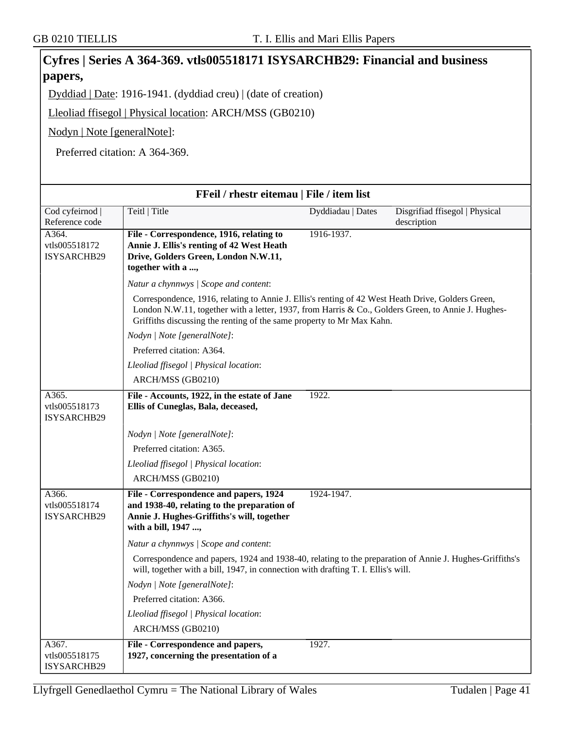|                                                                |                                                                                                                                                                                              | Cyfres   Series A 364-369. vtls005518171 ISYSARCHB29: Financial and business |                                               |  |
|----------------------------------------------------------------|----------------------------------------------------------------------------------------------------------------------------------------------------------------------------------------------|------------------------------------------------------------------------------|-----------------------------------------------|--|
| papers,                                                        |                                                                                                                                                                                              |                                                                              |                                               |  |
| Dyddiad   Date: 1916-1941. (dyddiad creu)   (date of creation) |                                                                                                                                                                                              |                                                                              |                                               |  |
|                                                                | Lleoliad ffisegol   Physical location: ARCH/MSS (GB0210)                                                                                                                                     |                                                                              |                                               |  |
| Nodyn   Note [generalNote]:                                    |                                                                                                                                                                                              |                                                                              |                                               |  |
|                                                                | Preferred citation: A 364-369.                                                                                                                                                               |                                                                              |                                               |  |
|                                                                |                                                                                                                                                                                              |                                                                              |                                               |  |
|                                                                |                                                                                                                                                                                              |                                                                              |                                               |  |
|                                                                | FFeil / rhestr eitemau   File / item list                                                                                                                                                    |                                                                              |                                               |  |
| Cod cyfeirnod  <br>Reference code                              | Teitl   Title                                                                                                                                                                                | Dyddiadau   Dates                                                            | Disgrifiad ffisegol   Physical<br>description |  |
| A364.                                                          | File - Correspondence, 1916, relating to                                                                                                                                                     | 1916-1937.                                                                   |                                               |  |
| vtls005518172<br>ISYSARCHB29                                   | Annie J. Ellis's renting of 42 West Heath<br>Drive, Golders Green, London N.W.11,                                                                                                            |                                                                              |                                               |  |
|                                                                | together with a ,                                                                                                                                                                            |                                                                              |                                               |  |
|                                                                | Natur a chynnwys / Scope and content:                                                                                                                                                        |                                                                              |                                               |  |
|                                                                | Correspondence, 1916, relating to Annie J. Ellis's renting of 42 West Heath Drive, Golders Green,                                                                                            |                                                                              |                                               |  |
|                                                                | London N.W.11, together with a letter, 1937, from Harris & Co., Golders Green, to Annie J. Hughes-<br>Griffiths discussing the renting of the same property to Mr Max Kahn.                  |                                                                              |                                               |  |
|                                                                | Nodyn   Note [generalNote]:                                                                                                                                                                  |                                                                              |                                               |  |
|                                                                | Preferred citation: A364.                                                                                                                                                                    |                                                                              |                                               |  |
|                                                                | Lleoliad ffisegol   Physical location:                                                                                                                                                       |                                                                              |                                               |  |
|                                                                | ARCH/MSS (GB0210)                                                                                                                                                                            |                                                                              |                                               |  |
| A365.<br>vtls005518173<br>ISYSARCHB29                          | File - Accounts, 1922, in the estate of Jane<br>Ellis of Cuneglas, Bala, deceased,                                                                                                           | 1922.                                                                        |                                               |  |
|                                                                | Nodyn   Note [generalNote]:                                                                                                                                                                  |                                                                              |                                               |  |
|                                                                | Preferred citation: A365.                                                                                                                                                                    |                                                                              |                                               |  |
|                                                                | Lleoliad ffisegol   Physical location:                                                                                                                                                       |                                                                              |                                               |  |
|                                                                | ARCH/MSS (GB0210)                                                                                                                                                                            |                                                                              |                                               |  |
| A366.<br>vtls005518174<br>ISYSARCHB29                          | File - Correspondence and papers, 1924<br>and 1938-40, relating to the preparation of<br>Annie J. Hughes-Griffiths's will, together<br>with a bill, 1947 ,                                   | 1924-1947.                                                                   |                                               |  |
|                                                                | Natur a chynnwys / Scope and content:                                                                                                                                                        |                                                                              |                                               |  |
|                                                                | Correspondence and papers, 1924 and 1938-40, relating to the preparation of Annie J. Hughes-Griffiths's<br>will, together with a bill, 1947, in connection with drafting T. I. Ellis's will. |                                                                              |                                               |  |
|                                                                | Nodyn   Note [generalNote]:                                                                                                                                                                  |                                                                              |                                               |  |
|                                                                | Preferred citation: A366.                                                                                                                                                                    |                                                                              |                                               |  |
|                                                                | Lleoliad ffisegol   Physical location:                                                                                                                                                       |                                                                              |                                               |  |
|                                                                | ARCH/MSS (GB0210)                                                                                                                                                                            |                                                                              |                                               |  |
| A367.<br>vtls005518175<br>ISYSARCHB29                          | File - Correspondence and papers,<br>1927, concerning the presentation of a                                                                                                                  | 1927.                                                                        |                                               |  |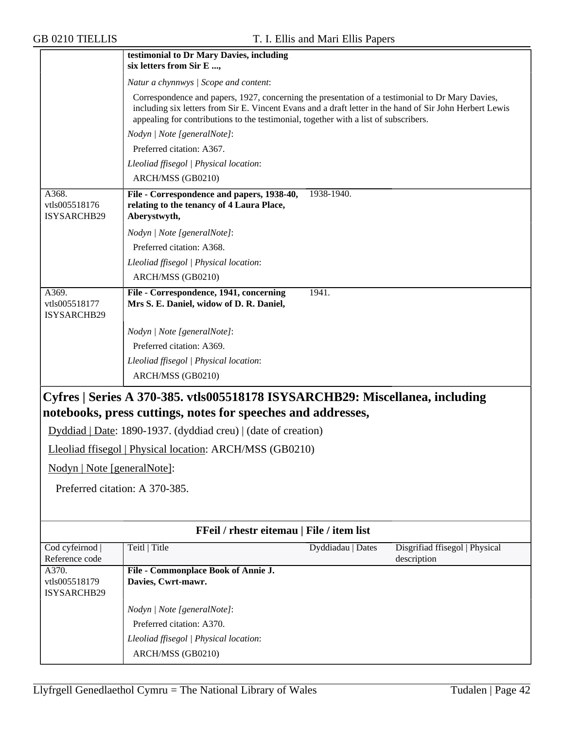|                                                          | testimonial to Dr Mary Davies, including<br>six letters from Sir E ,                                                                                                                                                                                                                                 |  |
|----------------------------------------------------------|------------------------------------------------------------------------------------------------------------------------------------------------------------------------------------------------------------------------------------------------------------------------------------------------------|--|
|                                                          | Natur a chynnwys / Scope and content:                                                                                                                                                                                                                                                                |  |
|                                                          | Correspondence and papers, 1927, concerning the presentation of a testimonial to Dr Mary Davies,<br>including six letters from Sir E. Vincent Evans and a draft letter in the hand of Sir John Herbert Lewis<br>appealing for contributions to the testimonial, together with a list of subscribers. |  |
|                                                          | Nodyn   Note [generalNote]:                                                                                                                                                                                                                                                                          |  |
|                                                          | Preferred citation: A367.                                                                                                                                                                                                                                                                            |  |
|                                                          | Lleoliad ffisegol   Physical location:                                                                                                                                                                                                                                                               |  |
|                                                          | ARCH/MSS (GB0210)                                                                                                                                                                                                                                                                                    |  |
| A368.<br>vtls005518176<br>ISYSARCHB29                    | File - Correspondence and papers, 1938-40,<br>1938-1940.<br>relating to the tenancy of 4 Laura Place,<br>Aberystwyth,                                                                                                                                                                                |  |
|                                                          | Nodyn   Note [generalNote]:                                                                                                                                                                                                                                                                          |  |
|                                                          | Preferred citation: A368.                                                                                                                                                                                                                                                                            |  |
|                                                          | Lleoliad ffisegol   Physical location:                                                                                                                                                                                                                                                               |  |
|                                                          | ARCH/MSS (GB0210)                                                                                                                                                                                                                                                                                    |  |
| A369.<br>vtls005518177<br>ISYSARCHB29                    | File - Correspondence, 1941, concerning<br>1941.<br>Mrs S. E. Daniel, widow of D. R. Daniel,                                                                                                                                                                                                         |  |
|                                                          | Nodyn   Note [generalNote]:                                                                                                                                                                                                                                                                          |  |
|                                                          | Preferred citation: A369.                                                                                                                                                                                                                                                                            |  |
|                                                          | Lleoliad ffisegol   Physical location:                                                                                                                                                                                                                                                               |  |
|                                                          | ARCH/MSS (GB0210)                                                                                                                                                                                                                                                                                    |  |
|                                                          | Cyfres   Series A 370-385. vtls005518178 ISYSARCHB29: Miscellanea, including<br>notebooks, press cuttings, notes for speeches and addresses,                                                                                                                                                         |  |
|                                                          | Dyddiad   Date: 1890-1937. (dyddiad creu)   (date of creation)                                                                                                                                                                                                                                       |  |
| Lleoliad ffisegol   Physical location: ARCH/MSS (GB0210) |                                                                                                                                                                                                                                                                                                      |  |
| Nodyn   Note [generalNote]:                              |                                                                                                                                                                                                                                                                                                      |  |
|                                                          |                                                                                                                                                                                                                                                                                                      |  |
| Preferred citation: A 370-385.                           |                                                                                                                                                                                                                                                                                                      |  |
|                                                          |                                                                                                                                                                                                                                                                                                      |  |
|                                                          | FFeil / rhestr eitemau   File / item list                                                                                                                                                                                                                                                            |  |
| Cod cyfeirnod  <br>Reference code                        | Teitl   Title<br>Disgrifiad ffisegol   Physical<br>Dyddiadau   Dates<br>description                                                                                                                                                                                                                  |  |
| A370.<br>vtls005518179<br>ISYSARCHB29                    | File - Commonplace Book of Annie J.<br>Davies, Cwrt-mawr.                                                                                                                                                                                                                                            |  |
|                                                          | Nodyn   Note [generalNote]:                                                                                                                                                                                                                                                                          |  |
|                                                          | Preferred citation: A370.                                                                                                                                                                                                                                                                            |  |
|                                                          | Lleoliad ffisegol   Physical location:                                                                                                                                                                                                                                                               |  |
|                                                          | ARCH/MSS (GB0210)                                                                                                                                                                                                                                                                                    |  |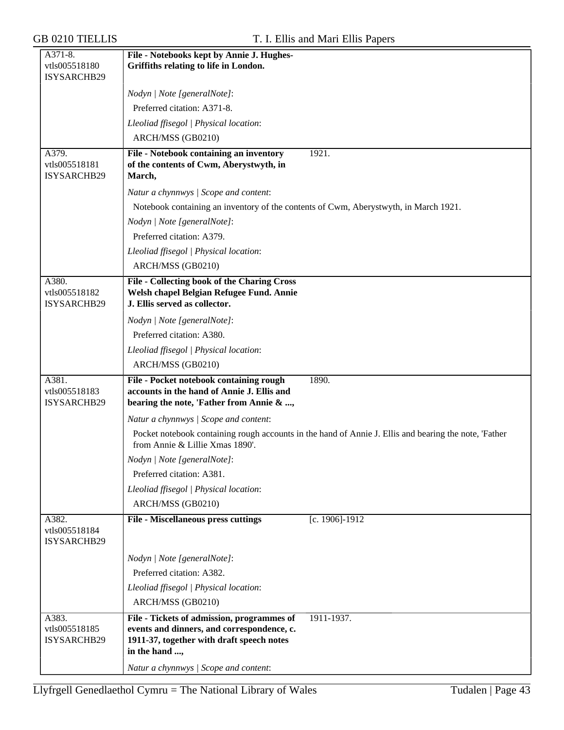| A371-8.<br>vtls005518180              | File - Notebooks kept by Annie J. Hughes-                                                                                                  |
|---------------------------------------|--------------------------------------------------------------------------------------------------------------------------------------------|
| ISYSARCHB29                           | Griffiths relating to life in London.                                                                                                      |
|                                       | Nodyn   Note [generalNote]:                                                                                                                |
|                                       | Preferred citation: A371-8.                                                                                                                |
|                                       | Lleoliad ffisegol   Physical location:                                                                                                     |
|                                       | ARCH/MSS (GB0210)                                                                                                                          |
| A379.                                 | 1921.<br>File - Notebook containing an inventory                                                                                           |
| vtls005518181<br>ISYSARCHB29          | of the contents of Cwm, Aberystwyth, in<br>March,                                                                                          |
|                                       | Natur a chynnwys / Scope and content:                                                                                                      |
|                                       | Notebook containing an inventory of the contents of Cwm, Aberystwyth, in March 1921.                                                       |
|                                       | Nodyn   Note [generalNote]:                                                                                                                |
|                                       | Preferred citation: A379.                                                                                                                  |
|                                       | Lleoliad ffisegol   Physical location:                                                                                                     |
|                                       | ARCH/MSS (GB0210)                                                                                                                          |
| A380.<br>vtls005518182<br>ISYSARCHB29 | File - Collecting book of the Charing Cross<br>Welsh chapel Belgian Refugee Fund. Annie<br>J. Ellis served as collector.                   |
|                                       | Nodyn   Note [generalNote]:                                                                                                                |
|                                       | Preferred citation: A380.                                                                                                                  |
|                                       | Lleoliad ffisegol   Physical location:                                                                                                     |
|                                       | ARCH/MSS (GB0210)                                                                                                                          |
| A381.<br>vtls005518183<br>ISYSARCHB29 | File - Pocket notebook containing rough<br>1890.<br>accounts in the hand of Annie J. Ellis and<br>bearing the note, 'Father from Annie & , |
|                                       | Natur a chynnwys / Scope and content:                                                                                                      |
|                                       | Pocket notebook containing rough accounts in the hand of Annie J. Ellis and bearing the note, 'Father<br>from Annie & Lillie Xmas 1890'.   |
|                                       | Nodyn   Note [generalNote]:                                                                                                                |
|                                       | Preferred citation: A381.                                                                                                                  |
|                                       | Lleoliad ffisegol   Physical location:                                                                                                     |
|                                       | ARCH/MSS (GB0210)                                                                                                                          |
| A382.<br>vtls005518184<br>ISYSARCHB29 | <b>File - Miscellaneous press cuttings</b><br>[c. 1906]-1912                                                                               |
|                                       | Nodyn   Note [generalNote]:                                                                                                                |
|                                       | Preferred citation: A382.                                                                                                                  |
|                                       | Lleoliad ffisegol   Physical location:                                                                                                     |
|                                       | ARCH/MSS (GB0210)                                                                                                                          |
| A383.                                 | File - Tickets of admission, programmes of<br>1911-1937.                                                                                   |
| vtls005518185<br>ISYSARCHB29          | events and dinners, and correspondence, c.<br>1911-37, together with draft speech notes<br>in the hand ,                                   |
|                                       | Natur a chynnwys / Scope and content:                                                                                                      |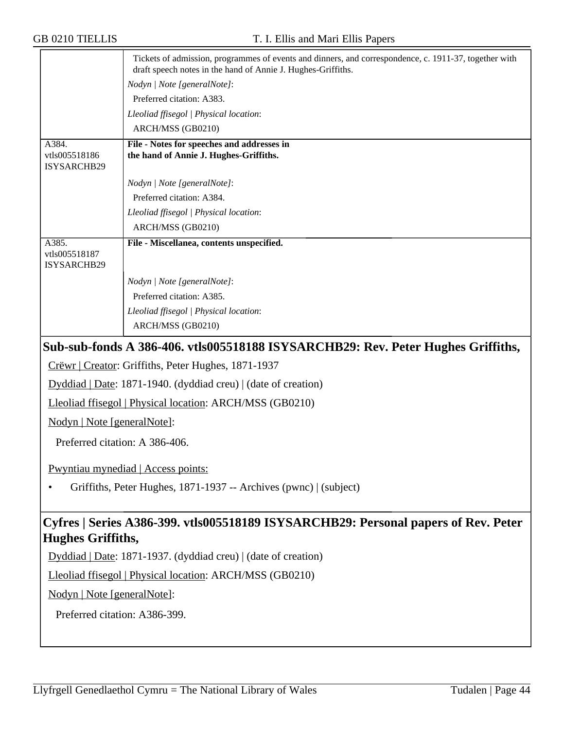|                                       | Tickets of admission, programmes of events and dinners, and correspondence, c. 1911-37, together with<br>draft speech notes in the hand of Annie J. Hughes-Griffiths. |
|---------------------------------------|-----------------------------------------------------------------------------------------------------------------------------------------------------------------------|
|                                       | Nodyn   Note [generalNote]:                                                                                                                                           |
|                                       | Preferred citation: A383.                                                                                                                                             |
|                                       | Lleoliad ffisegol   Physical location:                                                                                                                                |
|                                       | ARCH/MSS (GB0210)                                                                                                                                                     |
| A384.<br>vtls005518186<br>ISYSARCHB29 | File - Notes for speeches and addresses in<br>the hand of Annie J. Hughes-Griffiths.                                                                                  |
|                                       | Nodyn   Note [generalNote]:                                                                                                                                           |
|                                       | Preferred citation: A384.                                                                                                                                             |
|                                       | Lleoliad ffisegol   Physical location:                                                                                                                                |
|                                       | ARCH/MSS (GB0210)                                                                                                                                                     |
| A385.<br>vtls005518187<br>ISYSARCHB29 | File - Miscellanea, contents unspecified.                                                                                                                             |
|                                       | Nodyn   Note [generalNote]:                                                                                                                                           |
|                                       | Preferred citation: A385.                                                                                                                                             |
|                                       | Lleoliad ffisegol   Physical location:                                                                                                                                |
|                                       | ARCH/MSS (GB0210)                                                                                                                                                     |
|                                       | Sub-sub-fonds A 386-406. vtls005518188 ISYSARCHB29: Rev. Peter Hughes Griffiths,                                                                                      |
|                                       | Crëwr   Creator: Griffiths, Peter Hughes, 1871-1937                                                                                                                   |
|                                       | $Dyddiad   Date: 1871-1940. (dyddiad creu)   (date of creation)$                                                                                                      |
|                                       | Lleoliad ffisegol   Physical location: ARCH/MSS (GB0210)                                                                                                              |
| Nodyn   Note [generalNote]:           |                                                                                                                                                                       |
| Preferred citation: A 386-406.        |                                                                                                                                                                       |
|                                       | Pwyntiau mynediad   Access points:                                                                                                                                    |
|                                       | Griffiths, Peter Hughes, 1871-1937 -- Archives (pwnc)   (subject)                                                                                                     |
| <b>Hughes Griffiths,</b>              | Cyfres   Series A386-399. vtls005518189 ISYSARCHB29: Personal papers of Rev. Peter                                                                                    |
|                                       | $Dyddiad   Date: 1871-1937. (dyddiad creu)   (date of creation)$                                                                                                      |
|                                       | Lleoliad ffisegol   Physical location: ARCH/MSS (GB0210)                                                                                                              |
| Nodyn   Note [generalNote]:           |                                                                                                                                                                       |
| Preferred citation: A386-399.         |                                                                                                                                                                       |
|                                       |                                                                                                                                                                       |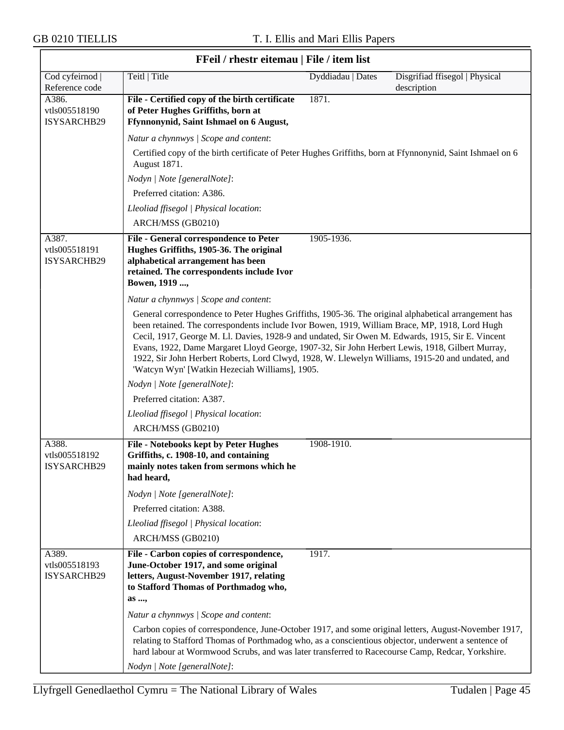|                                       | FFeil / rhestr eitemau   File / item list                                                                                                                                                                                                                                                                                                                                                                                                                                                                                                                           |                   |                                               |
|---------------------------------------|---------------------------------------------------------------------------------------------------------------------------------------------------------------------------------------------------------------------------------------------------------------------------------------------------------------------------------------------------------------------------------------------------------------------------------------------------------------------------------------------------------------------------------------------------------------------|-------------------|-----------------------------------------------|
| Cod cyfeirnod  <br>Reference code     | Teitl   Title                                                                                                                                                                                                                                                                                                                                                                                                                                                                                                                                                       | Dyddiadau   Dates | Disgrifiad ffisegol   Physical<br>description |
| A386.<br>vtls005518190<br>ISYSARCHB29 | File - Certified copy of the birth certificate<br>of Peter Hughes Griffiths, born at<br>Ffynnonynid, Saint Ishmael on 6 August,                                                                                                                                                                                                                                                                                                                                                                                                                                     | 1871.             |                                               |
|                                       | Natur a chynnwys / Scope and content:                                                                                                                                                                                                                                                                                                                                                                                                                                                                                                                               |                   |                                               |
|                                       | Certified copy of the birth certificate of Peter Hughes Griffiths, born at Ffynnonynid, Saint Ishmael on 6<br>August 1871.                                                                                                                                                                                                                                                                                                                                                                                                                                          |                   |                                               |
|                                       | Nodyn   Note [generalNote]:                                                                                                                                                                                                                                                                                                                                                                                                                                                                                                                                         |                   |                                               |
|                                       | Preferred citation: A386.                                                                                                                                                                                                                                                                                                                                                                                                                                                                                                                                           |                   |                                               |
|                                       | Lleoliad ffisegol   Physical location:                                                                                                                                                                                                                                                                                                                                                                                                                                                                                                                              |                   |                                               |
|                                       | ARCH/MSS (GB0210)                                                                                                                                                                                                                                                                                                                                                                                                                                                                                                                                                   |                   |                                               |
| A387.<br>vtls005518191<br>ISYSARCHB29 | <b>File - General correspondence to Peter</b><br>Hughes Griffiths, 1905-36. The original<br>alphabetical arrangement has been<br>retained. The correspondents include Ivor<br>Bowen, 1919 ,                                                                                                                                                                                                                                                                                                                                                                         | 1905-1936.        |                                               |
|                                       | Natur a chynnwys / Scope and content:                                                                                                                                                                                                                                                                                                                                                                                                                                                                                                                               |                   |                                               |
|                                       | General correspondence to Peter Hughes Griffiths, 1905-36. The original alphabetical arrangement has<br>been retained. The correspondents include Ivor Bowen, 1919, William Brace, MP, 1918, Lord Hugh<br>Cecil, 1917, George M. Ll. Davies, 1928-9 and undated, Sir Owen M. Edwards, 1915, Sir E. Vincent<br>Evans, 1922, Dame Margaret Lloyd George, 1907-32, Sir John Herbert Lewis, 1918, Gilbert Murray,<br>1922, Sir John Herbert Roberts, Lord Clwyd, 1928, W. Llewelyn Williams, 1915-20 and undated, and<br>'Watcyn Wyn' [Watkin Hezeciah Williams], 1905. |                   |                                               |
|                                       | Nodyn   Note [generalNote]:                                                                                                                                                                                                                                                                                                                                                                                                                                                                                                                                         |                   |                                               |
|                                       | Preferred citation: A387.                                                                                                                                                                                                                                                                                                                                                                                                                                                                                                                                           |                   |                                               |
|                                       | Lleoliad ffisegol   Physical location:                                                                                                                                                                                                                                                                                                                                                                                                                                                                                                                              |                   |                                               |
|                                       | ARCH/MSS (GB0210)                                                                                                                                                                                                                                                                                                                                                                                                                                                                                                                                                   |                   |                                               |
| A388.<br>vtls005518192<br>ISYSARCHB29 | <b>File - Notebooks kept by Peter Hughes</b><br>Griffiths, c. 1908-10, and containing<br>mainly notes taken from sermons which he<br>had heard,                                                                                                                                                                                                                                                                                                                                                                                                                     | 1908-1910.        |                                               |
|                                       | Nodyn   Note [generalNote]:                                                                                                                                                                                                                                                                                                                                                                                                                                                                                                                                         |                   |                                               |
|                                       | Preferred citation: A388.                                                                                                                                                                                                                                                                                                                                                                                                                                                                                                                                           |                   |                                               |
|                                       | Lleoliad ffisegol   Physical location:                                                                                                                                                                                                                                                                                                                                                                                                                                                                                                                              |                   |                                               |
|                                       | ARCH/MSS (GB0210)                                                                                                                                                                                                                                                                                                                                                                                                                                                                                                                                                   |                   |                                               |
| A389.<br>vtls005518193<br>ISYSARCHB29 | File - Carbon copies of correspondence,<br>June-October 1917, and some original<br>letters, August-November 1917, relating<br>to Stafford Thomas of Porthmadog who,<br>as ,                                                                                                                                                                                                                                                                                                                                                                                         | 1917.             |                                               |
|                                       | Natur a chynnwys / Scope and content:                                                                                                                                                                                                                                                                                                                                                                                                                                                                                                                               |                   |                                               |
|                                       | Carbon copies of correspondence, June-October 1917, and some original letters, August-November 1917,<br>relating to Stafford Thomas of Porthmadog who, as a conscientious objector, underwent a sentence of<br>hard labour at Wormwood Scrubs, and was later transferred to Racecourse Camp, Redcar, Yorkshire.                                                                                                                                                                                                                                                     |                   |                                               |
|                                       | Nodyn   Note [generalNote]:                                                                                                                                                                                                                                                                                                                                                                                                                                                                                                                                         |                   |                                               |

#### **FFeil / rhestr eitemau | File / item list**

٦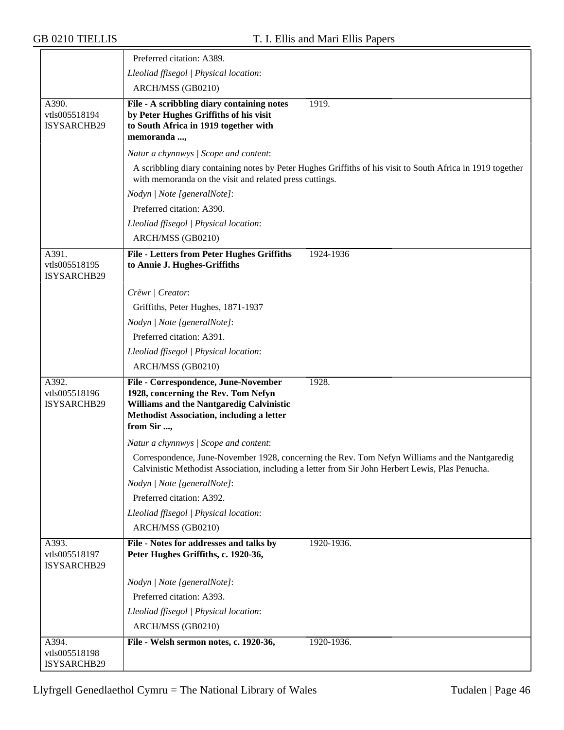|                                       | Preferred citation: A389.                                                                                                                                                                          |
|---------------------------------------|----------------------------------------------------------------------------------------------------------------------------------------------------------------------------------------------------|
|                                       | Lleoliad ffisegol   Physical location:                                                                                                                                                             |
|                                       | ARCH/MSS (GB0210)                                                                                                                                                                                  |
| A390.<br>vtls005518194<br>ISYSARCHB29 | 1919.<br>File - A scribbling diary containing notes<br>by Peter Hughes Griffiths of his visit<br>to South Africa in 1919 together with<br>memoranda ,                                              |
|                                       | Natur a chynnwys / Scope and content:                                                                                                                                                              |
|                                       | A scribbling diary containing notes by Peter Hughes Griffiths of his visit to South Africa in 1919 together<br>with memoranda on the visit and related press cuttings.                             |
|                                       | Nodyn   Note [generalNote]:                                                                                                                                                                        |
|                                       | Preferred citation: A390.                                                                                                                                                                          |
|                                       | Lleoliad ffisegol   Physical location:                                                                                                                                                             |
|                                       | ARCH/MSS (GB0210)                                                                                                                                                                                  |
| A391.<br>vtls005518195<br>ISYSARCHB29 | <b>File - Letters from Peter Hughes Griffiths</b><br>1924-1936<br>to Annie J. Hughes-Griffiths                                                                                                     |
|                                       | Crëwr   Creator:                                                                                                                                                                                   |
|                                       | Griffiths, Peter Hughes, 1871-1937                                                                                                                                                                 |
|                                       | Nodyn   Note [generalNote]:                                                                                                                                                                        |
|                                       | Preferred citation: A391.                                                                                                                                                                          |
|                                       | Lleoliad ffisegol   Physical location:                                                                                                                                                             |
|                                       | ARCH/MSS (GB0210)                                                                                                                                                                                  |
| A392.<br>vtls005518196<br>ISYSARCHB29 | File - Correspondence, June-November<br>1928.<br>1928, concerning the Rev. Tom Nefyn<br>Williams and the Nantgaredig Calvinistic<br>Methodist Association, including a letter<br>from Sir ,        |
|                                       | Natur a chynnwys / Scope and content:                                                                                                                                                              |
|                                       | Correspondence, June-November 1928, concerning the Rev. Tom Nefyn Williams and the Nantgaredig<br>Calvinistic Methodist Association, including a letter from Sir John Herbert Lewis, Plas Penucha. |
|                                       | Nodyn   Note [generalNote]:                                                                                                                                                                        |
|                                       | Preferred citation: A392.                                                                                                                                                                          |
|                                       | Lleoliad ffisegol   Physical location:                                                                                                                                                             |
|                                       | ARCH/MSS (GB0210)                                                                                                                                                                                  |
| A393.<br>vtls005518197<br>ISYSARCHB29 | File - Notes for addresses and talks by<br>1920-1936.<br>Peter Hughes Griffiths, c. 1920-36,                                                                                                       |
|                                       | Nodyn   Note [generalNote]:                                                                                                                                                                        |
|                                       | Preferred citation: A393.                                                                                                                                                                          |
|                                       | Lleoliad ffisegol   Physical location:                                                                                                                                                             |
|                                       | ARCH/MSS (GB0210)                                                                                                                                                                                  |
| A394.                                 | File - Welsh sermon notes, c. 1920-36,<br>1920-1936.                                                                                                                                               |
| vtls005518198<br>ISYSARCHB29          |                                                                                                                                                                                                    |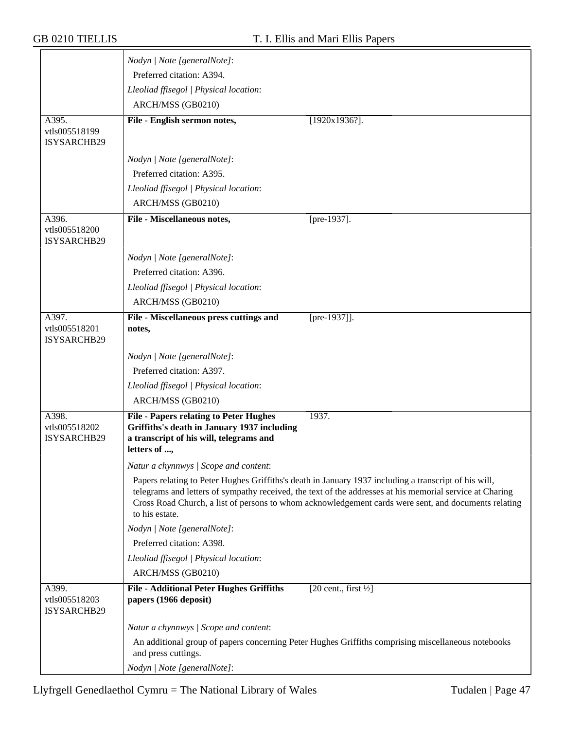|                                       | Nodyn   Note [generalNote]:                                                                                                                                                                                                                                                                                                                 |
|---------------------------------------|---------------------------------------------------------------------------------------------------------------------------------------------------------------------------------------------------------------------------------------------------------------------------------------------------------------------------------------------|
|                                       | Preferred citation: A394.                                                                                                                                                                                                                                                                                                                   |
|                                       | Lleoliad ffisegol   Physical location:                                                                                                                                                                                                                                                                                                      |
|                                       | ARCH/MSS (GB0210)                                                                                                                                                                                                                                                                                                                           |
| A395.                                 | File - English sermon notes,<br>$[1920x1936?]$ .                                                                                                                                                                                                                                                                                            |
| vtls005518199                         |                                                                                                                                                                                                                                                                                                                                             |
| ISYSARCHB29                           |                                                                                                                                                                                                                                                                                                                                             |
|                                       | Nodyn   Note [generalNote]:                                                                                                                                                                                                                                                                                                                 |
|                                       | Preferred citation: A395.                                                                                                                                                                                                                                                                                                                   |
|                                       | Lleoliad ffisegol   Physical location:                                                                                                                                                                                                                                                                                                      |
|                                       | ARCH/MSS (GB0210)                                                                                                                                                                                                                                                                                                                           |
| A396.                                 | File - Miscellaneous notes,<br>[pre-1937].                                                                                                                                                                                                                                                                                                  |
| vtls005518200<br>ISYSARCHB29          |                                                                                                                                                                                                                                                                                                                                             |
|                                       |                                                                                                                                                                                                                                                                                                                                             |
|                                       | Nodyn   Note [generalNote]:                                                                                                                                                                                                                                                                                                                 |
|                                       | Preferred citation: A396.                                                                                                                                                                                                                                                                                                                   |
|                                       | Lleoliad ffisegol   Physical location:                                                                                                                                                                                                                                                                                                      |
|                                       | ARCH/MSS (GB0210)                                                                                                                                                                                                                                                                                                                           |
| A397.<br>vtls005518201<br>ISYSARCHB29 | $[pre-1937]$ .<br>File - Miscellaneous press cuttings and<br>notes,                                                                                                                                                                                                                                                                         |
|                                       | Nodyn   Note [generalNote]:                                                                                                                                                                                                                                                                                                                 |
|                                       | Preferred citation: A397.                                                                                                                                                                                                                                                                                                                   |
|                                       | Lleoliad ffisegol   Physical location:                                                                                                                                                                                                                                                                                                      |
|                                       | ARCH/MSS (GB0210)                                                                                                                                                                                                                                                                                                                           |
| A398.                                 | <b>File - Papers relating to Peter Hughes</b><br>1937.                                                                                                                                                                                                                                                                                      |
| vtls005518202<br><b>ISYSARCHB29</b>   | Griffiths's death in January 1937 including<br>a transcript of his will, telegrams and                                                                                                                                                                                                                                                      |
|                                       | letters of ,                                                                                                                                                                                                                                                                                                                                |
|                                       | Natur a chynnwys / Scope and content:                                                                                                                                                                                                                                                                                                       |
|                                       | Papers relating to Peter Hughes Griffiths's death in January 1937 including a transcript of his will,<br>telegrams and letters of sympathy received, the text of the addresses at his memorial service at Charing<br>Cross Road Church, a list of persons to whom acknowledgement cards were sent, and documents relating<br>to his estate. |
|                                       | Nodyn   Note [generalNote]:                                                                                                                                                                                                                                                                                                                 |
|                                       | Preferred citation: A398.                                                                                                                                                                                                                                                                                                                   |
|                                       | Lleoliad ffisegol   Physical location:                                                                                                                                                                                                                                                                                                      |
|                                       | ARCH/MSS (GB0210)                                                                                                                                                                                                                                                                                                                           |
| A399.<br>vtls005518203<br>ISYSARCHB29 | <b>File - Additional Peter Hughes Griffiths</b><br>$[20 \text{ cent.}, \text{first } \frac{1}{2}]$<br>papers (1966 deposit)                                                                                                                                                                                                                 |
|                                       | Natur a chynnwys / Scope and content:                                                                                                                                                                                                                                                                                                       |
|                                       | An additional group of papers concerning Peter Hughes Griffiths comprising miscellaneous notebooks<br>and press cuttings.                                                                                                                                                                                                                   |
|                                       | Nodyn   Note [generalNote]:                                                                                                                                                                                                                                                                                                                 |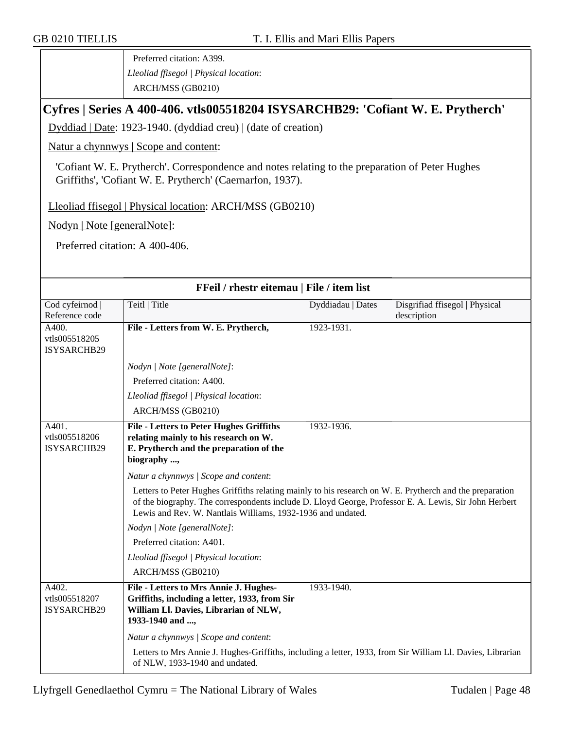Preferred citation: A399. *Lleoliad ffisegol | Physical location*: ARCH/MSS (GB0210)

# **Cyfres | Series A 400-406. vtls005518204 ISYSARCHB29: 'Cofiant W. E. Prytherch'**

Dyddiad | Date: 1923-1940. (dyddiad creu) | (date of creation)

Natur a chynnwys | Scope and content:

'Cofiant W. E. Prytherch'. Correspondence and notes relating to the preparation of Peter Hughes Griffiths', 'Cofiant W. E. Prytherch' (Caernarfon, 1937).

Lleoliad ffisegol | Physical location: ARCH/MSS (GB0210)

Nodyn | Note [generalNote]:

Preferred citation: A 400-406.

| FFeil / rhestr eitemau   File / item list    |                                                                                                                                                                                                                                                                                  |                   |                                               |
|----------------------------------------------|----------------------------------------------------------------------------------------------------------------------------------------------------------------------------------------------------------------------------------------------------------------------------------|-------------------|-----------------------------------------------|
| Cod cyfeirnod  <br>Reference code            | Teitl   Title                                                                                                                                                                                                                                                                    | Dyddiadau   Dates | Disgrifiad ffisegol   Physical<br>description |
| A400.<br>vtls005518205<br>ISYSARCHB29        | File - Letters from W. E. Prytherch,                                                                                                                                                                                                                                             | 1923-1931.        |                                               |
|                                              | Nodyn   Note [generalNote]:                                                                                                                                                                                                                                                      |                   |                                               |
|                                              | Preferred citation: A400.                                                                                                                                                                                                                                                        |                   |                                               |
|                                              | Lleoliad ffisegol   Physical location:                                                                                                                                                                                                                                           |                   |                                               |
|                                              | ARCH/MSS (GB0210)                                                                                                                                                                                                                                                                |                   |                                               |
| A401.<br>vtls005518206<br><b>ISYSARCHB29</b> | <b>File - Letters to Peter Hughes Griffiths</b><br>relating mainly to his research on W.<br>E. Prytherch and the preparation of the<br>biography ,                                                                                                                               | 1932-1936.        |                                               |
|                                              | Natur a chynnwys / Scope and content:                                                                                                                                                                                                                                            |                   |                                               |
|                                              | Letters to Peter Hughes Griffiths relating mainly to his research on W. E. Prytherch and the preparation<br>of the biography. The correspondents include D. Lloyd George, Professor E. A. Lewis, Sir John Herbert<br>Lewis and Rev. W. Nantlais Williams, 1932-1936 and undated. |                   |                                               |
|                                              | Nodyn   Note [generalNote]:                                                                                                                                                                                                                                                      |                   |                                               |
|                                              | Preferred citation: A401.                                                                                                                                                                                                                                                        |                   |                                               |
|                                              | Lleoliad ffisegol   Physical location:                                                                                                                                                                                                                                           |                   |                                               |
|                                              | ARCH/MSS (GB0210)                                                                                                                                                                                                                                                                |                   |                                               |
| A402.<br>vtls005518207<br>ISYSARCHB29        | File - Letters to Mrs Annie J. Hughes-<br>Griffiths, including a letter, 1933, from Sir<br>William Ll. Davies, Librarian of NLW,<br>1933-1940 and ,                                                                                                                              | 1933-1940.        |                                               |
|                                              | Natur a chynnwys / Scope and content:                                                                                                                                                                                                                                            |                   |                                               |
|                                              | Letters to Mrs Annie J. Hughes-Griffiths, including a letter, 1933, from Sir William Ll. Davies, Librarian<br>of NLW, 1933-1940 and undated.                                                                                                                                     |                   |                                               |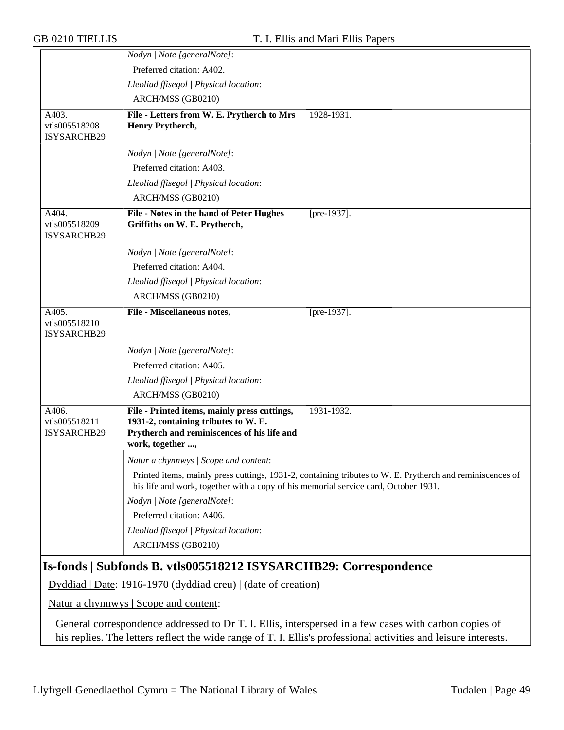|                                       | Nodyn   Note [generalNote]:                                                                                                                             |                                                                                                           |
|---------------------------------------|---------------------------------------------------------------------------------------------------------------------------------------------------------|-----------------------------------------------------------------------------------------------------------|
|                                       | Preferred citation: A402.                                                                                                                               |                                                                                                           |
|                                       | Lleoliad ffisegol   Physical location:                                                                                                                  |                                                                                                           |
|                                       | ARCH/MSS (GB0210)                                                                                                                                       |                                                                                                           |
| A403.                                 | File - Letters from W. E. Prytherch to Mrs                                                                                                              | 1928-1931.                                                                                                |
| vtls005518208<br>ISYSARCHB29          | Henry Prytherch,                                                                                                                                        |                                                                                                           |
|                                       | Nodyn   Note [generalNote]:                                                                                                                             |                                                                                                           |
|                                       | Preferred citation: A403.                                                                                                                               |                                                                                                           |
|                                       | Lleoliad ffisegol   Physical location:                                                                                                                  |                                                                                                           |
|                                       | ARCH/MSS (GB0210)                                                                                                                                       |                                                                                                           |
| A404.<br>vtls005518209<br>ISYSARCHB29 | File - Notes in the hand of Peter Hughes<br>Griffiths on W. E. Prytherch,                                                                               | [pre-1937].                                                                                               |
|                                       | Nodyn   Note [generalNote]:                                                                                                                             |                                                                                                           |
|                                       | Preferred citation: A404.                                                                                                                               |                                                                                                           |
|                                       | Lleoliad ffisegol   Physical location:                                                                                                                  |                                                                                                           |
|                                       | ARCH/MSS (GB0210)                                                                                                                                       |                                                                                                           |
| A405.<br>vtls005518210<br>ISYSARCHB29 | File - Miscellaneous notes,                                                                                                                             | [pre-1937].                                                                                               |
|                                       | Nodyn   Note [generalNote]:                                                                                                                             |                                                                                                           |
|                                       | Preferred citation: A405.                                                                                                                               |                                                                                                           |
|                                       | Lleoliad ffisegol   Physical location:                                                                                                                  |                                                                                                           |
|                                       | ARCH/MSS (GB0210)                                                                                                                                       |                                                                                                           |
| A406.<br>vtls005518211<br>ISYSARCHB29 | File - Printed items, mainly press cuttings,<br>1931-2, containing tributes to W. E.<br>Prytherch and reminiscences of his life and<br>work, together , | 1931-1932.                                                                                                |
|                                       | Natur a chynnwys / Scope and content:                                                                                                                   |                                                                                                           |
|                                       | his life and work, together with a copy of his memorial service card, October 1931.                                                                     | Printed items, mainly press cuttings, 1931-2, containing tributes to W. E. Prytherch and reminiscences of |
|                                       | Nodyn   Note [generalNote]:                                                                                                                             |                                                                                                           |
|                                       | Preferred citation: A406.                                                                                                                               |                                                                                                           |
|                                       | Lleoliad ffisegol   Physical location:                                                                                                                  |                                                                                                           |
|                                       | ARCH/MSS (GB0210)                                                                                                                                       |                                                                                                           |
|                                       | Is-fonds   Subfonds B. vtls005518212 ISYSARCHB29: Correspondence                                                                                        |                                                                                                           |
|                                       | Dyddiad   Date: 1916-1970 (dyddiad creu)   (date of creation)                                                                                           |                                                                                                           |
|                                       | <u>Natur a chynnwys</u>   Scope and content:                                                                                                            |                                                                                                           |
|                                       |                                                                                                                                                         |                                                                                                           |

General correspondence addressed to Dr T. I. Ellis, interspersed in a few cases with carbon copies of his replies. The letters reflect the wide range of T. I. Ellis's professional activities and leisure interests.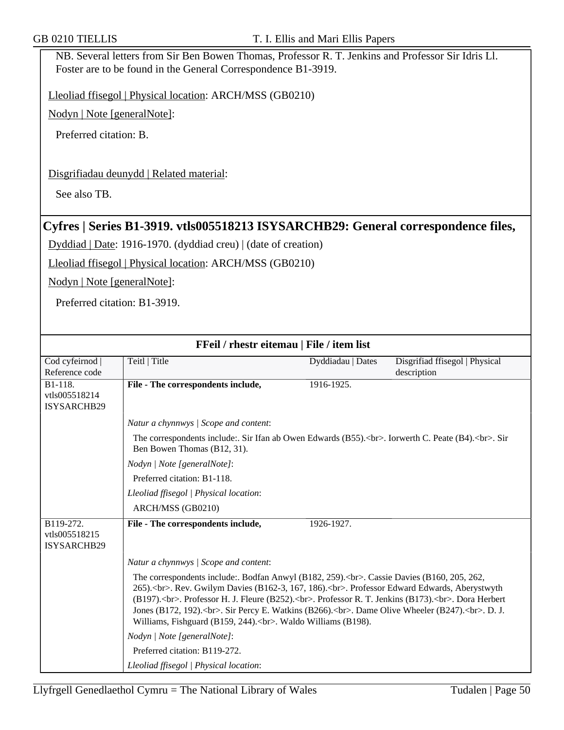NB. Several letters from Sir Ben Bowen Thomas, Professor R. T. Jenkins and Professor Sir Idris Ll. Foster are to be found in the General Correspondence B1-3919.

Lleoliad ffisegol | Physical location: ARCH/MSS (GB0210)

Nodyn | Note [generalNote]:

Preferred citation: B.

### Disgrifiadau deunydd | Related material:

See also TB.

## **Cyfres | Series B1-3919. vtls005518213 ISYSARCHB29: General correspondence files,**

Dyddiad | Date: 1916-1970. (dyddiad creu) | (date of creation)

Lleoliad ffisegol | Physical location: ARCH/MSS (GB0210)

Nodyn | Note [generalNote]:

Preferred citation: B1-3919.

|                                                  | FFeil / rhestr eitemau   File / item list                                                                                                                                                                                                                                                                                                                                                                                                                  |                   |                                |
|--------------------------------------------------|------------------------------------------------------------------------------------------------------------------------------------------------------------------------------------------------------------------------------------------------------------------------------------------------------------------------------------------------------------------------------------------------------------------------------------------------------------|-------------------|--------------------------------|
| Cod cyfeirnod                                    | Teitl   Title                                                                                                                                                                                                                                                                                                                                                                                                                                              | Dyddiadau   Dates | Disgrifiad ffisegol   Physical |
| Reference code                                   |                                                                                                                                                                                                                                                                                                                                                                                                                                                            |                   | description                    |
| B1-118.<br>vtls005518214<br>ISYSARCHB29          | File - The correspondents include,                                                                                                                                                                                                                                                                                                                                                                                                                         | 1916-1925.        |                                |
|                                                  | Natur a chynnwys / Scope and content:                                                                                                                                                                                                                                                                                                                                                                                                                      |                   |                                |
|                                                  | The correspondents include: Sir Ifan ab Owen Edwards (B55).<br>>lorse Iorwerth C. Peate (B4).<br>>Sir Sir<br>Ben Bowen Thomas (B12, 31).                                                                                                                                                                                                                                                                                                                   |                   |                                |
|                                                  | Nodyn   Note [generalNote]:                                                                                                                                                                                                                                                                                                                                                                                                                                |                   |                                |
|                                                  | Preferred citation: B1-118.                                                                                                                                                                                                                                                                                                                                                                                                                                |                   |                                |
|                                                  | Lleoliad ffisegol   Physical location:                                                                                                                                                                                                                                                                                                                                                                                                                     |                   |                                |
|                                                  | ARCH/MSS (GB0210)                                                                                                                                                                                                                                                                                                                                                                                                                                          |                   |                                |
| B119-272.<br>vtls005518215<br><b>ISYSARCHB29</b> | File - The correspondents include,                                                                                                                                                                                                                                                                                                                                                                                                                         | 1926-1927.        |                                |
|                                                  | Natur a chynnwys / Scope and content:                                                                                                                                                                                                                                                                                                                                                                                                                      |                   |                                |
|                                                  | The correspondents include: Bodfan Anwyl (B182, 259). < br>>br>. Cassie Davies (B160, 205, 262,<br>265).<br>. Rev. Gwilym Davies (B162-3, 167, 186).<br>><br>. Professor Edward Edwards, Aberystwyth<br>(B197).<br>. Professor H. J. Fleure (B252).<br>. Professor R. T. Jenkins (B173).<br>. Dora Herbert<br>Jones (B172, 192).<br>. Sir Percy E. Watkins (B266).<br>><br>. Dame Olive Wheeler (B247).<br>. D. J.<br>Williams, Fishguard (B159, 244).<br> |                   |                                |
|                                                  | Nodyn   Note [generalNote]:                                                                                                                                                                                                                                                                                                                                                                                                                                |                   |                                |
|                                                  | Preferred citation: B119-272.                                                                                                                                                                                                                                                                                                                                                                                                                              |                   |                                |
|                                                  | Lleoliad ffisegol   Physical location:                                                                                                                                                                                                                                                                                                                                                                                                                     |                   |                                |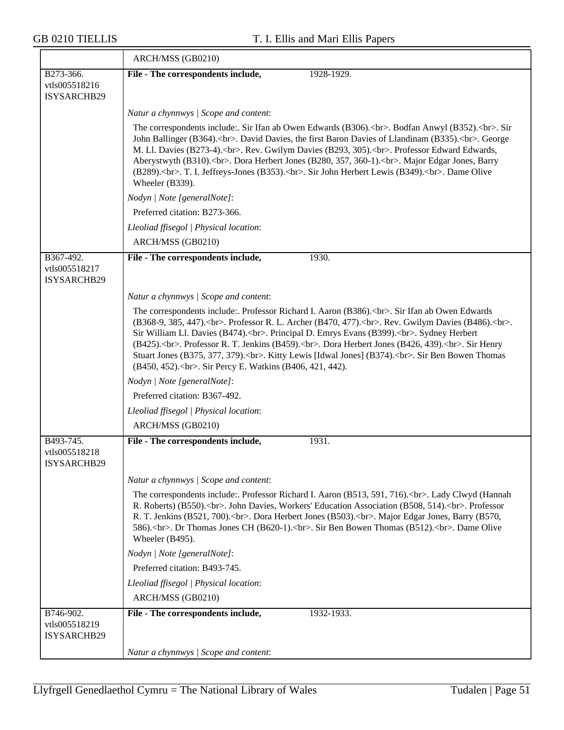$\overline{\phantom{a}}$ 

|                                           | ARCH/MSS (GB0210)                                                                                                                                                                                                                                                                                                                                                                                                                                                                                                                                                                    |
|-------------------------------------------|--------------------------------------------------------------------------------------------------------------------------------------------------------------------------------------------------------------------------------------------------------------------------------------------------------------------------------------------------------------------------------------------------------------------------------------------------------------------------------------------------------------------------------------------------------------------------------------|
| B273-366.<br>vtls005518216<br>ISYSARCHB29 | File - The correspondents include,<br>1928-1929.                                                                                                                                                                                                                                                                                                                                                                                                                                                                                                                                     |
|                                           | Natur a chynnwys / Scope and content:                                                                                                                                                                                                                                                                                                                                                                                                                                                                                                                                                |
|                                           | The correspondents include: Sir Ifan ab Owen Edwards (B306).<br>>br>. Bodfan Anwyl (B352).<br>. Sir<br>John Ballinger (B364).<br>> cbr>. David Davies, the first Baron Davies of Llandinam (B335).<br>> cbr>. George<br>M. Ll. Davies (B273-4).<br>>>br>. Rev. Gwilym Davies (B293, 305).<br>>br>. Professor Edward Edwards,<br>Aberystwyth (B310).<br>. Dora Herbert Jones (B280, 357, 360-1).<br>. Major Edgar Jones, Barry<br>(B289).<br>. T. I. Jeffreys-Jones (B353).<br>. Sir John Herbert Lewis (B349).<br>. Dame Olive<br>Wheeler (B339).                                    |
|                                           | Nodyn   Note [generalNote]:                                                                                                                                                                                                                                                                                                                                                                                                                                                                                                                                                          |
|                                           | Preferred citation: B273-366.                                                                                                                                                                                                                                                                                                                                                                                                                                                                                                                                                        |
|                                           | Lleoliad ffisegol   Physical location:                                                                                                                                                                                                                                                                                                                                                                                                                                                                                                                                               |
|                                           | ARCH/MSS (GB0210)                                                                                                                                                                                                                                                                                                                                                                                                                                                                                                                                                                    |
| B367-492.<br>vtls005518217<br>ISYSARCHB29 | File - The correspondents include,<br>1930.                                                                                                                                                                                                                                                                                                                                                                                                                                                                                                                                          |
|                                           | Natur a chynnwys / Scope and content:                                                                                                                                                                                                                                                                                                                                                                                                                                                                                                                                                |
|                                           | The correspondents include: Professor Richard I. Aaron (B386).<br>. Sir Ifan ab Owen Edwards<br>(B368-9, 385, 447). < br>. Professor R. L. Archer (B470, 477). < br>. Rev. Gwilym Davies (B486). < br>. br>.<br>Sir William Ll. Davies (B474).<br>>>br>. Principal D. Emrys Evans (B399).<br>>br>. Sydney Herbert<br>(B425).<br>. Professor R. T. Jenkins (B459).<br>. Dora Herbert Jones (B426, 439).<br>. Sir Henry<br>Stuart Jones (B375, 377, 379).<br>. Kitty Lewis [Idwal Jones] (B374).<br>. Sir Ben Bowen Thomas<br>(B450, 452).<br>. Sir Percy E. Watkins (B406, 421, 442). |
|                                           | Nodyn   Note [generalNote]:                                                                                                                                                                                                                                                                                                                                                                                                                                                                                                                                                          |
|                                           | Preferred citation: B367-492.                                                                                                                                                                                                                                                                                                                                                                                                                                                                                                                                                        |
|                                           | Lleoliad ffisegol   Physical location:                                                                                                                                                                                                                                                                                                                                                                                                                                                                                                                                               |
|                                           | ARCH/MSS (GB0210)                                                                                                                                                                                                                                                                                                                                                                                                                                                                                                                                                                    |
| B493-745.<br>vtls005518218<br>ISYSARCHB29 | 1931.<br>File - The correspondents include,                                                                                                                                                                                                                                                                                                                                                                                                                                                                                                                                          |
|                                           | Natur a chynnwys / Scope and content:                                                                                                                                                                                                                                                                                                                                                                                                                                                                                                                                                |
|                                           | The correspondents include: Professor Richard I. Aaron (B513, 591, 716).<br>>br>. Lady Clwyd (Hannah<br>R. Roberts) (B550).< br>. John Davies, Workers' Education Association (B508, 514).< br>>br>. Professor<br>R. T. Jenkins (B521, 700).<br>. Dora Herbert Jones (B503).<br>. Major Edgar Jones, Barry (B570,<br>586).<br>> cbr>. Dr Thomas Jones CH (B620-1).<br>. Sir Ben Bowen Thomas (B512).<br>. Dame Olive<br>Wheeler (B495).                                                                                                                                              |
|                                           | Nodyn   Note [generalNote]:                                                                                                                                                                                                                                                                                                                                                                                                                                                                                                                                                          |
|                                           | Preferred citation: B493-745.                                                                                                                                                                                                                                                                                                                                                                                                                                                                                                                                                        |
|                                           | Lleoliad ffisegol   Physical location:                                                                                                                                                                                                                                                                                                                                                                                                                                                                                                                                               |
|                                           | ARCH/MSS (GB0210)                                                                                                                                                                                                                                                                                                                                                                                                                                                                                                                                                                    |
| B746-902.<br>vtls005518219<br>ISYSARCHB29 | File - The correspondents include,<br>1932-1933.<br>Natur a chynnwys / Scope and content:                                                                                                                                                                                                                                                                                                                                                                                                                                                                                            |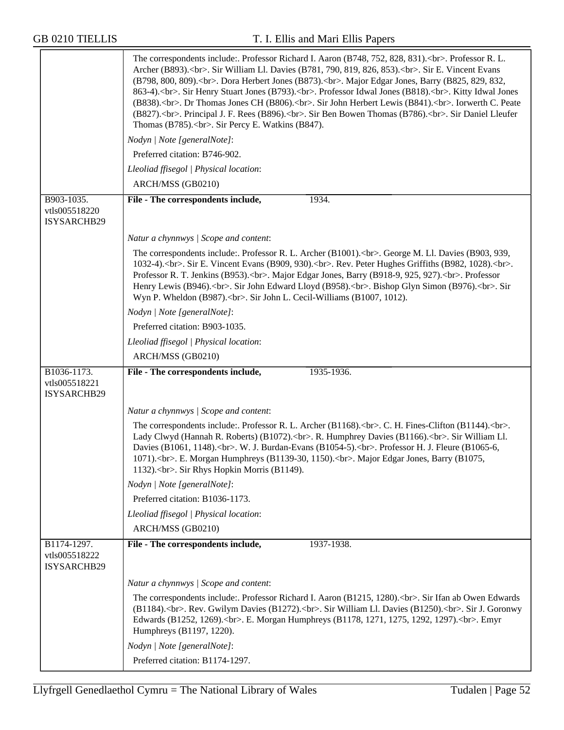|                                             | The correspondents include: Professor Richard I. Aaron (B748, 752, 828, 831). < br>>br>. Professor R. L.<br>Archer (B893).<br>. Sir William Ll. Davies (B781, 790, 819, 826, 853).<br>. Sir E. Vincent Evans<br>(B798, 800, 809). < br>>br>. Dora Herbert Jones (B873). < br> >br>. Major Edgar Jones, Barry (B825, 829, 832,<br>863-4). < br>. Sir Henry Stuart Jones (B793). < br> >>. Professor Idwal Jones (B818). < br> >>. Kitty Idwal Jones<br>(B838).<br>. Dr Thomas Jones CH (B806).<br>. Sir John Herbert Lewis (B841).<br>.<br>Iorwerth C. Peate<br>(B827).<br>. Principal J. F. Rees (B896).<br> |
|---------------------------------------------|--------------------------------------------------------------------------------------------------------------------------------------------------------------------------------------------------------------------------------------------------------------------------------------------------------------------------------------------------------------------------------------------------------------------------------------------------------------------------------------------------------------------------------------------------------------------------------------------------------------|
|                                             | Nodyn   Note [generalNote]:                                                                                                                                                                                                                                                                                                                                                                                                                                                                                                                                                                                  |
|                                             | Preferred citation: B746-902.                                                                                                                                                                                                                                                                                                                                                                                                                                                                                                                                                                                |
|                                             | Lleoliad ffisegol   Physical location:                                                                                                                                                                                                                                                                                                                                                                                                                                                                                                                                                                       |
|                                             | ARCH/MSS (GB0210)                                                                                                                                                                                                                                                                                                                                                                                                                                                                                                                                                                                            |
| B903-1035.                                  | 1934.<br>File - The correspondents include,                                                                                                                                                                                                                                                                                                                                                                                                                                                                                                                                                                  |
| vtls005518220<br>ISYSARCHB29                |                                                                                                                                                                                                                                                                                                                                                                                                                                                                                                                                                                                                              |
|                                             | Natur a chynnwys / Scope and content:                                                                                                                                                                                                                                                                                                                                                                                                                                                                                                                                                                        |
|                                             | The correspondents include: Professor R. L. Archer (B1001).<br>> cherence M. L. Davies (B903, 939,<br>1032-4).<br>. Sir E. Vincent Evans (B909, 930).<br>. Rev. Peter Hughes Griffiths (B982, 1028).<br>.<br>Professor R. T. Jenkins (B953).<br>> . Major Edgar Jones, Barry (B918-9, 925, 927).<br>> . Professor<br>Henry Lewis (B946).<br>cbr>. Sir John Edward Lloyd (B958).<br>>>br>. Bishop Glyn Simon (B976).<br>. Sir<br>                                                                                                                                                                             |
|                                             | Nodyn   Note [generalNote]:                                                                                                                                                                                                                                                                                                                                                                                                                                                                                                                                                                                  |
|                                             | Preferred citation: B903-1035.                                                                                                                                                                                                                                                                                                                                                                                                                                                                                                                                                                               |
|                                             | Lleoliad ffisegol   Physical location:                                                                                                                                                                                                                                                                                                                                                                                                                                                                                                                                                                       |
|                                             | ARCH/MSS (GB0210)                                                                                                                                                                                                                                                                                                                                                                                                                                                                                                                                                                                            |
| B1036-1173.<br>vtls005518221<br>ISYSARCHB29 | 1935-1936.<br>File - The correspondents include,                                                                                                                                                                                                                                                                                                                                                                                                                                                                                                                                                             |
|                                             | Natur a chynnwys / Scope and content:                                                                                                                                                                                                                                                                                                                                                                                                                                                                                                                                                                        |
|                                             | The correspondents include: Professor R. L. Archer (B1168).<br>>>br>. C. H. Fines-Clifton (B1144).<br>.<br>Lady Clwyd (Hannah R. Roberts) (B1072).<br>> . R. Humphrey Davies (B1166).<br>. Sir William Ll.<br>Davies (B1061, 1148). < br>>br>. W. J. Burdan-Evans (B1054-5). < br>>br>. Professor H. J. Fleure (B1065-6,<br>1071).<br>. E. Morgan Humphreys (B1139-30, 1150).<br>. Major Edgar Jones, Barry (B1075,<br>1132).< br>. Sir Rhys Hopkin Morris (B1149).                                                                                                                                          |
|                                             | Nodyn   Note [generalNote]:                                                                                                                                                                                                                                                                                                                                                                                                                                                                                                                                                                                  |
|                                             | Preferred citation: B1036-1173.                                                                                                                                                                                                                                                                                                                                                                                                                                                                                                                                                                              |
|                                             | Lleoliad ffisegol   Physical location:                                                                                                                                                                                                                                                                                                                                                                                                                                                                                                                                                                       |
|                                             | ARCH/MSS (GB0210)                                                                                                                                                                                                                                                                                                                                                                                                                                                                                                                                                                                            |
| B1174-1297.<br>vtls005518222<br>ISYSARCHB29 | File - The correspondents include,<br>1937-1938.                                                                                                                                                                                                                                                                                                                                                                                                                                                                                                                                                             |
|                                             | Natur a chynnwys / Scope and content:                                                                                                                                                                                                                                                                                                                                                                                                                                                                                                                                                                        |
|                                             | The correspondents include: Professor Richard I. Aaron (B1215, 1280). < br>>fr>. Sir Ifan ab Owen Edwards<br>(B1184).<br>cbr>. Rev. Gwilym Davies (B1272).<br>. Sir William Ll. Davies (B1250).<br>. Sir J. Goronwy<br>                                                                                                                                                                                                                                                                                                                                                                                      |
|                                             | Nodyn   Note [generalNote]:                                                                                                                                                                                                                                                                                                                                                                                                                                                                                                                                                                                  |
|                                             | Preferred citation: B1174-1297.                                                                                                                                                                                                                                                                                                                                                                                                                                                                                                                                                                              |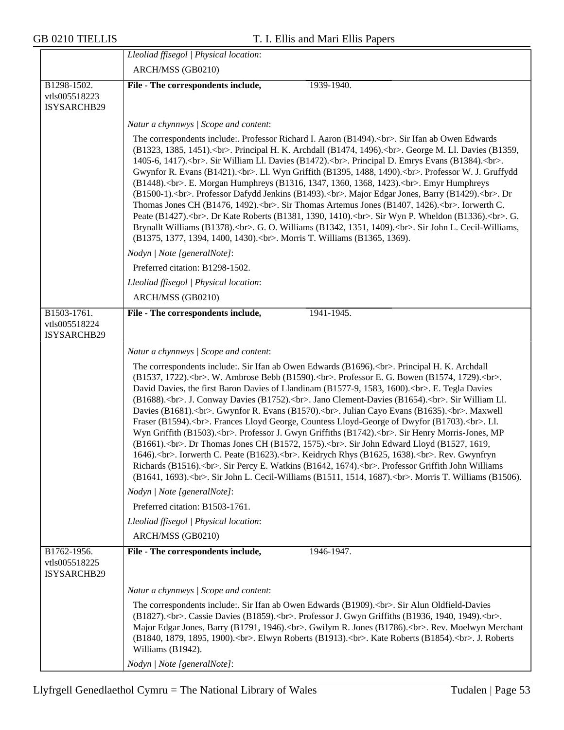|                                             | Lleoliad ffisegol   Physical location:                                                                                                                                                                                                                                                                                                                                                                                                       |
|---------------------------------------------|----------------------------------------------------------------------------------------------------------------------------------------------------------------------------------------------------------------------------------------------------------------------------------------------------------------------------------------------------------------------------------------------------------------------------------------------|
|                                             | ARCH/MSS (GB0210)                                                                                                                                                                                                                                                                                                                                                                                                                            |
| B1298-1502.<br>vtls005518223<br>ISYSARCHB29 | 1939-1940.<br>File - The correspondents include,                                                                                                                                                                                                                                                                                                                                                                                             |
|                                             | Natur a chynnwys / Scope and content:                                                                                                                                                                                                                                                                                                                                                                                                        |
|                                             | The correspondents include:. Professor Richard I. Aaron (B1494).<br>br>. Sir Ifan ab Owen Edwards<br>(B1323, 1385, 1451).<br>. Principal H. K. Archdall (B1474, 1496).<br>                                                                                                                                                                                                                                                                   |
|                                             | Nodyn   Note [generalNote]:                                                                                                                                                                                                                                                                                                                                                                                                                  |
|                                             | Preferred citation: B1298-1502.                                                                                                                                                                                                                                                                                                                                                                                                              |
|                                             | Lleoliad ffisegol   Physical location:                                                                                                                                                                                                                                                                                                                                                                                                       |
|                                             | ARCH/MSS (GB0210)                                                                                                                                                                                                                                                                                                                                                                                                                            |
| B1503-1761.<br>vtls005518224<br>ISYSARCHB29 | File - The correspondents include,<br>1941-1945.                                                                                                                                                                                                                                                                                                                                                                                             |
|                                             | Natur a chynnwys / Scope and content:                                                                                                                                                                                                                                                                                                                                                                                                        |
|                                             | The correspondents include:. Sir Ifan ab Owen Edwards (B1696).<br>br>. Principal H. K. Archdall<br>(B1537, 1722).<br>. W. Ambrose Bebb (B1590).<br>. Professor E. G. Bowen (B1574, 1729).<br>.<br>-<br>David Davies, the first Baron Davies of Llandinam (B1577-9, 1583, 1600).<br>>br>. E. Tegla Davies<br>                                                                                                                                 |
|                                             | Nodyn   Note [generalNote]:                                                                                                                                                                                                                                                                                                                                                                                                                  |
|                                             | Preferred citation: B1503-1761.                                                                                                                                                                                                                                                                                                                                                                                                              |
|                                             | Lleoliad ffisegol   Physical location:                                                                                                                                                                                                                                                                                                                                                                                                       |
|                                             | ARCH/MSS (GB0210)                                                                                                                                                                                                                                                                                                                                                                                                                            |
| B1762-1956.<br>vtls005518225<br>ISYSARCHB29 | File - The correspondents include,<br>1946-1947.                                                                                                                                                                                                                                                                                                                                                                                             |
|                                             | Natur a chynnwys / Scope and content:                                                                                                                                                                                                                                                                                                                                                                                                        |
|                                             | The correspondents include:. Sir Ifan ab Owen Edwards (B1909).<br>. Sir Alun Oldfield-Davies<br>(B1827).<br>. Cassie Davies (B1859).<br>>>br>. Professor J. Gwyn Griffiths (B1936, 1940, 1949).<br>.<br>Major Edgar Jones, Barry (B1791, 1946).<br>> cbr>. Gwilym R. Jones (B1786).<br>cbr>. Rev. Moelwyn Merchant<br>(B1840, 1879, 1895, 1900).<br>. Elwyn Roberts (B1913).<br>. Kate Roberts (B1854).<br>. J. Roberts<br>Williams (B1942). |
|                                             | Nodyn   Note [generalNote]:                                                                                                                                                                                                                                                                                                                                                                                                                  |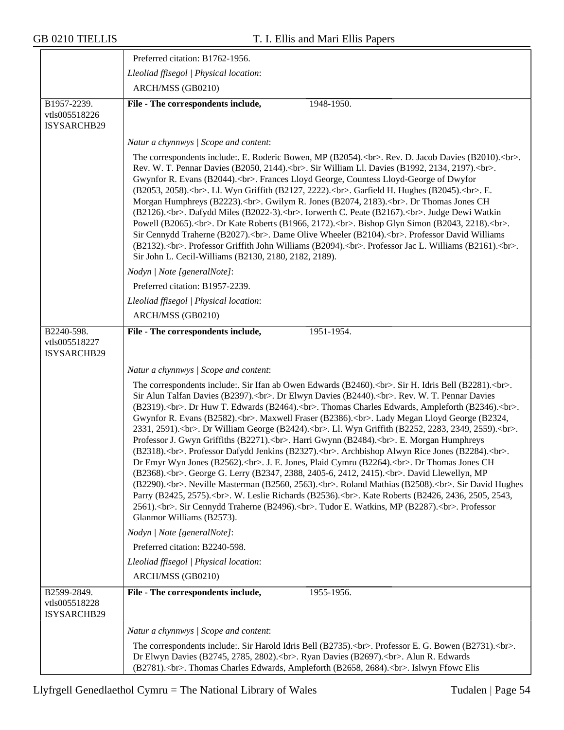$\overline{\phantom{a}}$ 

|                                                    | Preferred citation: B1762-1956.                                                                                                                                                                                                                                                                                                                                                       |  |
|----------------------------------------------------|---------------------------------------------------------------------------------------------------------------------------------------------------------------------------------------------------------------------------------------------------------------------------------------------------------------------------------------------------------------------------------------|--|
|                                                    | Lleoliad ffisegol   Physical location:                                                                                                                                                                                                                                                                                                                                                |  |
|                                                    | ARCH/MSS (GB0210)                                                                                                                                                                                                                                                                                                                                                                     |  |
| B1957-2239.<br>vtls005518226<br>ISYSARCHB29        | File - The correspondents include,<br>1948-1950.                                                                                                                                                                                                                                                                                                                                      |  |
|                                                    | Natur a chynnwys / Scope and content:                                                                                                                                                                                                                                                                                                                                                 |  |
|                                                    | The correspondents include: E. Roderic Bowen, MP (B2054). < br>>br>. Rev. D. Jacob Davies (B2010). < br>>br>.<br>Rev. W. T. Pennar Davies (B2050, 2144).<br>>>br>. Sir William Ll. Davies (B1992, 2134, 2197).<br>.<br>Gwynfor R. Evans (B2044).<br>><br>. Frances Lloyd George, Countess Lloyd-George of Dwyfor<br>(B2053, 2058).<br>. Ll. Wyn Griffith (B2127, 2222).<br>           |  |
|                                                    | Nodyn   Note [generalNote]:                                                                                                                                                                                                                                                                                                                                                           |  |
|                                                    | Preferred citation: B1957-2239.                                                                                                                                                                                                                                                                                                                                                       |  |
|                                                    | Lleoliad ffisegol   Physical location:                                                                                                                                                                                                                                                                                                                                                |  |
|                                                    | ARCH/MSS (GB0210)                                                                                                                                                                                                                                                                                                                                                                     |  |
| B2240-598.<br>vtls005518227<br>ISYSARCHB29         | File - The correspondents include,<br>1951-1954.                                                                                                                                                                                                                                                                                                                                      |  |
|                                                    | Natur a chynnwys / Scope and content:                                                                                                                                                                                                                                                                                                                                                 |  |
|                                                    | The correspondents include: Sir Ifan ab Owen Edwards (B2460).<br>>>br>. Sir H. Idris Bell (B2281).<br>.<br>Sir Alun Talfan Davies (B2397).<br>>>br>. Dr Elwyn Davies (B2440).<br>>>br>. Rev. W. T. Pennar Davies<br>(B2319).<br>. Dr Huw T. Edwards (B2464).<br>. Thomas Charles Edwards, Ampleforth (B2346).<br>.<br>.<br>Gwynfor R. Evans (B2582).<br>. Maxwell Fraser (B2386).<br> |  |
|                                                    | Nodyn   Note [generalNote]:                                                                                                                                                                                                                                                                                                                                                           |  |
|                                                    | Preferred citation: B2240-598.                                                                                                                                                                                                                                                                                                                                                        |  |
|                                                    | Lleoliad ffisegol   Physical location:                                                                                                                                                                                                                                                                                                                                                |  |
|                                                    | ARCH/MSS (GB0210)                                                                                                                                                                                                                                                                                                                                                                     |  |
| B2599-2849.<br>vtls005518228<br><b>ISYSARCHB29</b> | File - The correspondents include,<br>1955-1956.                                                                                                                                                                                                                                                                                                                                      |  |
|                                                    | Natur a chynnwys / Scope and content:                                                                                                                                                                                                                                                                                                                                                 |  |
|                                                    | The correspondents include: Sir Harold Idris Bell (B2735).<br>>>br>. Professor E. G. Bowen (B2731).<br>.<br>Dr Elwyn Davies (B2745, 2785, 2802).<br>>br>. Ryan Davies (B2697).<br>. Alun R. Edwards<br>(B2781).<br>. Thomas Charles Edwards, Ampleforth (B2658, 2684).<br>>>br>. Islwyn Ffowc Elis                                                                                    |  |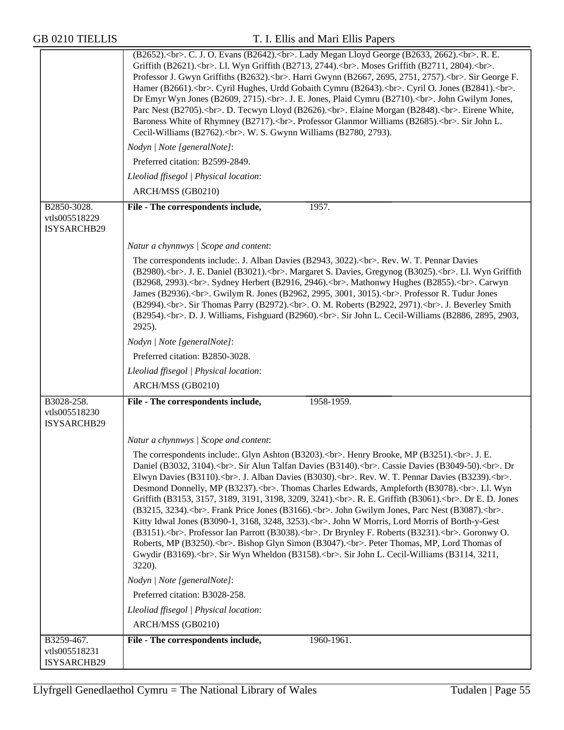|                                             | (B2652).<br>. C. J. O. Evans (B2642).<br>. Lady Megan Lloyd George (B2633, 2662).<br>. R. E.<br>Griffith (B2621).<br>. Ll. Wyn Griffith (B2713, 2744).<br>. Moses Griffith (B2711, 2804).<br>.<br>Professor J. Gwyn Griffiths (B2632).<br>> cbr>. Harri Gwynn (B2667, 2695, 2751, 2757).<br>. Sir George F.<br>Hamer (B2661).<br>. Cyril Hughes, Urdd Gobaith Cymru (B2643).<br>. Cyril O. Jones (B2841).<br>.<br>cbr>.<br>Dr Emyr Wyn Jones (B2609, 2715).<br>.<br>                                                                                                                                                                                                                                                                                                                                                                      |
|---------------------------------------------|-------------------------------------------------------------------------------------------------------------------------------------------------------------------------------------------------------------------------------------------------------------------------------------------------------------------------------------------------------------------------------------------------------------------------------------------------------------------------------------------------------------------------------------------------------------------------------------------------------------------------------------------------------------------------------------------------------------------------------------------------------------------------------------------------------------------------------------------|
|                                             | Nodyn   Note [generalNote]:                                                                                                                                                                                                                                                                                                                                                                                                                                                                                                                                                                                                                                                                                                                                                                                                               |
|                                             | Preferred citation: B2599-2849.                                                                                                                                                                                                                                                                                                                                                                                                                                                                                                                                                                                                                                                                                                                                                                                                           |
|                                             | Lleoliad ffisegol   Physical location:                                                                                                                                                                                                                                                                                                                                                                                                                                                                                                                                                                                                                                                                                                                                                                                                    |
|                                             | ARCH/MSS (GB0210)                                                                                                                                                                                                                                                                                                                                                                                                                                                                                                                                                                                                                                                                                                                                                                                                                         |
| B2850-3028.<br>vtls005518229<br>ISYSARCHB29 | File - The correspondents include,<br>1957.                                                                                                                                                                                                                                                                                                                                                                                                                                                                                                                                                                                                                                                                                                                                                                                               |
|                                             | Natur a chynnwys / Scope and content:                                                                                                                                                                                                                                                                                                                                                                                                                                                                                                                                                                                                                                                                                                                                                                                                     |
|                                             | The correspondents include: J. Alban Davies (B2943, 3022).<br>>br>. Rev. W. T. Pennar Davies<br>(B2980).<br>. J. E. Daniel (B3021).<br>. Margaret S. Davies, Gregynog (B3025).<br>. Ll. Wyn Griffith<br>(B2968, 2993).<br>. Sydney Herbert (B2916, 2946).<br>. Mathonwy Hughes (B2855).<br>. Carwyn<br>James (B2936).<br>. Gwilym R. Jones (B2962, 2995, 3001, 3015).<br>. Professor R. Tudur Jones<br>(B2994).<br>. Sir Thomas Parry (B2972).<br>. O. M. Roberts (B2922, 2971).<br>. J. Beverley Smith<br>(B2954).<br>. D. J. Williams, Fishguard (B2960).<br>. Sir John L. Cecil-Williams (B2886, 2895, 2903,<br>2925).                                                                                                                                                                                                                 |
|                                             | Nodyn   Note [generalNote]:                                                                                                                                                                                                                                                                                                                                                                                                                                                                                                                                                                                                                                                                                                                                                                                                               |
|                                             | Preferred citation: B2850-3028.                                                                                                                                                                                                                                                                                                                                                                                                                                                                                                                                                                                                                                                                                                                                                                                                           |
|                                             | Lleoliad ffisegol   Physical location:                                                                                                                                                                                                                                                                                                                                                                                                                                                                                                                                                                                                                                                                                                                                                                                                    |
|                                             | ARCH/MSS (GB0210)                                                                                                                                                                                                                                                                                                                                                                                                                                                                                                                                                                                                                                                                                                                                                                                                                         |
| B3028-258.<br>vtls005518230<br>ISYSARCHB29  | File - The correspondents include,<br>1958-1959.                                                                                                                                                                                                                                                                                                                                                                                                                                                                                                                                                                                                                                                                                                                                                                                          |
|                                             | Natur a chynnwys / Scope and content:                                                                                                                                                                                                                                                                                                                                                                                                                                                                                                                                                                                                                                                                                                                                                                                                     |
|                                             | The correspondents include: Glyn Ashton (B3203).<br>>br>. Henry Brooke, MP (B3251).<br>>br>. J. E.<br>Daniel (B3032, 3104).<br>. Sir Alun Talfan Davies (B3140).<br>. Cassie Davies (B3049-50).<br>. Dr<br>Elwyn Davies (B3110).<br>. J. Alban Davies (B3030).<br>. Rev. W. T. Pennar Davies (B3239).<br>.<br>Desmond Donnelly, MP (B3237).<br>> . Thomas Charles Edwards, Ampleforth (B3078).<br>. Ll. Wyn<br>Griffith (B3153, 3157, 3189, 3191, 3198, 3209, 3241).<br>. R. E. Griffith (B3061).<br>. Dr E. D. Jones<br>(B3215, 3234).<br>> Frank Price Jones (B3166).<br>. John Gwilym Jones, Parc Nest (B3087).<br>. Gr><br>Kitty Idwal Jones (B3090-1, 3168, 3248, 3253).<br>. John W Morris, Lord Morris of Borth-y-Gest<br>(B3151).<br>cbr>. Professor Ian Parrott (B3038).<br>. Dr Brynley F. Roberts (B3231).<br>. Goronwy O.<br> |
|                                             | Nodyn   Note [generalNote]:                                                                                                                                                                                                                                                                                                                                                                                                                                                                                                                                                                                                                                                                                                                                                                                                               |
|                                             | Preferred citation: B3028-258.                                                                                                                                                                                                                                                                                                                                                                                                                                                                                                                                                                                                                                                                                                                                                                                                            |
|                                             | Lleoliad ffisegol   Physical location:                                                                                                                                                                                                                                                                                                                                                                                                                                                                                                                                                                                                                                                                                                                                                                                                    |
|                                             | ARCH/MSS (GB0210)                                                                                                                                                                                                                                                                                                                                                                                                                                                                                                                                                                                                                                                                                                                                                                                                                         |
| B3259-467.<br>vtls005518231<br>ISYSARCHB29  | File - The correspondents include,<br>1960-1961.                                                                                                                                                                                                                                                                                                                                                                                                                                                                                                                                                                                                                                                                                                                                                                                          |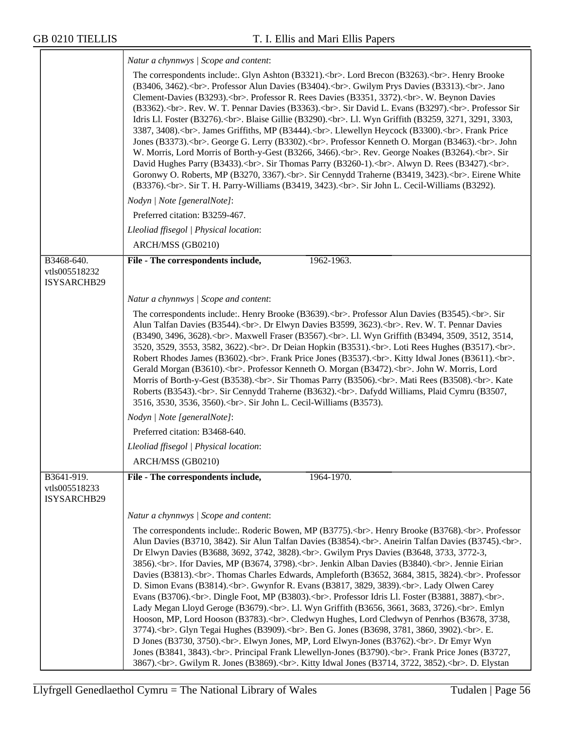|                                            | Natur a chynnwys / Scope and content:                                                                                                                                                                                                                                                                                                                                                                                                                                                                                                                                                                                                                                                                                                                                                                                                                                                                                                                                                                                                                                                                                                                                                                                                                                                                                                                 |  |
|--------------------------------------------|-------------------------------------------------------------------------------------------------------------------------------------------------------------------------------------------------------------------------------------------------------------------------------------------------------------------------------------------------------------------------------------------------------------------------------------------------------------------------------------------------------------------------------------------------------------------------------------------------------------------------------------------------------------------------------------------------------------------------------------------------------------------------------------------------------------------------------------------------------------------------------------------------------------------------------------------------------------------------------------------------------------------------------------------------------------------------------------------------------------------------------------------------------------------------------------------------------------------------------------------------------------------------------------------------------------------------------------------------------|--|
|                                            | The correspondents include: Glyn Ashton (B3321).<br>>br>. Lord Brecon (B3263).<br>>br>. Henry Brooke<br>(B3406, 3462).<br>. Professor Alun Davies (B3404).<br>. Gwilym Prys Davies (B3313).<br>. Jano<br>Clement-Davies (B3293).<br>. Professor R. Rees Davies (B3351, 3372).<br>. W. Beynon Davies<br>(B3362).<br>. Rev. W. T. Pennar Davies (B3363).<br>. Sir David L. Evans (B3297).<br>. Professor Sir<br>Idris Ll. Foster (B3276).<br>cbr>. Blaise Gillie (B3290).<br>. Ll. Wyn Griffith (B3259, 3271, 3291, 3303,<br>3387, 3408). < br>. James Griffiths, MP (B3444). < br>. Llewellyn Heycock (B3300). < br>. Frank Price<br>                                                                                                                                                                                                                                                                                                                                                                                                                                                                                                                                                                                                                                                                                                                  |  |
|                                            | Nodyn   Note [generalNote]:                                                                                                                                                                                                                                                                                                                                                                                                                                                                                                                                                                                                                                                                                                                                                                                                                                                                                                                                                                                                                                                                                                                                                                                                                                                                                                                           |  |
|                                            | Preferred citation: B3259-467.                                                                                                                                                                                                                                                                                                                                                                                                                                                                                                                                                                                                                                                                                                                                                                                                                                                                                                                                                                                                                                                                                                                                                                                                                                                                                                                        |  |
|                                            | Lleoliad ffisegol   Physical location:                                                                                                                                                                                                                                                                                                                                                                                                                                                                                                                                                                                                                                                                                                                                                                                                                                                                                                                                                                                                                                                                                                                                                                                                                                                                                                                |  |
|                                            | ARCH/MSS (GB0210)                                                                                                                                                                                                                                                                                                                                                                                                                                                                                                                                                                                                                                                                                                                                                                                                                                                                                                                                                                                                                                                                                                                                                                                                                                                                                                                                     |  |
| B3468-640.<br>vtls005518232<br>ISYSARCHB29 | 1962-1963.<br>File - The correspondents include,                                                                                                                                                                                                                                                                                                                                                                                                                                                                                                                                                                                                                                                                                                                                                                                                                                                                                                                                                                                                                                                                                                                                                                                                                                                                                                      |  |
|                                            | Natur a chynnwys / Scope and content:                                                                                                                                                                                                                                                                                                                                                                                                                                                                                                                                                                                                                                                                                                                                                                                                                                                                                                                                                                                                                                                                                                                                                                                                                                                                                                                 |  |
|                                            | The correspondents include: Henry Brooke (B3639).<br>>cbr>. Professor Alun Davies (B3545).<br>. Sir<br>Alun Talfan Davies (B3544).<br>. Dr Elwyn Davies B3599, 3623).<br>. Rev. W. T. Pennar Davies<br>(B3490, 3496, 3628).<br>. Maxwell Fraser (B3567).<br>. Ll. Wyn Griffith (B3494, 3509, 3512, 3514,<br>3520, 3529, 3553, 3582, 3622).<br>. Dr Deian Hopkin (B3531).<br>. Loti Rees Hughes (B3517).<br>.<br>Robert Rhodes James (B3602).<br>. Frank Price Jones (B3537).<br>. Kitty Idwal Jones (B3611).<br>.<br>Gerald Morgan (B3610).<br>. Professor Kenneth O. Morgan (B3472).<br>. John W. Morris, Lord<br>Morris of Borth-y-Gest (B3538).<br>. Sir Thomas Parry (B3506).<br>. Mati Rees (B3508).<br>. Kate<br>Roberts (B3543).<br>. Sir Cennydd Traherne (B3632).<br>. Dafydd Williams, Plaid Cymru (B3507,<br>3516, 3530, 3536, 3560).< br>. Sir John L. Cecil-Williams (B3573).                                                                                                                                                                                                                                                                                                                                                                                                                                                            |  |
|                                            | Nodyn   Note [generalNote]:                                                                                                                                                                                                                                                                                                                                                                                                                                                                                                                                                                                                                                                                                                                                                                                                                                                                                                                                                                                                                                                                                                                                                                                                                                                                                                                           |  |
|                                            | Preferred citation: B3468-640.                                                                                                                                                                                                                                                                                                                                                                                                                                                                                                                                                                                                                                                                                                                                                                                                                                                                                                                                                                                                                                                                                                                                                                                                                                                                                                                        |  |
|                                            | Lleoliad ffisegol   Physical location:                                                                                                                                                                                                                                                                                                                                                                                                                                                                                                                                                                                                                                                                                                                                                                                                                                                                                                                                                                                                                                                                                                                                                                                                                                                                                                                |  |
|                                            | ARCH/MSS (GB0210)                                                                                                                                                                                                                                                                                                                                                                                                                                                                                                                                                                                                                                                                                                                                                                                                                                                                                                                                                                                                                                                                                                                                                                                                                                                                                                                                     |  |
| B3641-919.<br>vtls005518233<br>ISYSARCHB29 | File - The correspondents include,<br>1964-1970.                                                                                                                                                                                                                                                                                                                                                                                                                                                                                                                                                                                                                                                                                                                                                                                                                                                                                                                                                                                                                                                                                                                                                                                                                                                                                                      |  |
|                                            | Natur a chynnwys / Scope and content:                                                                                                                                                                                                                                                                                                                                                                                                                                                                                                                                                                                                                                                                                                                                                                                                                                                                                                                                                                                                                                                                                                                                                                                                                                                                                                                 |  |
|                                            | The correspondents include: Roderic Bowen, MP (B3775).<br>>br>. Henry Brooke (B3768).<br>>br>. Professor<br>Alun Davies (B3710, 3842). Sir Alun Talfan Davies (B3854).<br>. Aneirin Talfan Davies (B3745).<br>.<br>Dr Elwyn Davies (B3688, 3692, 3742, 3828).<br>> cbr>. Gwilym Prys Davies (B3648, 3733, 3772-3,<br>3856).<br>. Ifor Davies, MP (B3674, 3798).<br>. Jenkin Alban Davies (B3840).<br>. Jennie Eirian<br>Davies (B3813).<br>. Thomas Charles Edwards, Ampleforth (B3652, 3684, 3815, 3824).<br>. Professor<br>D. Simon Evans (B3814).<br>. Gwynfor R. Evans (B3817, 3829, 3839).<br>. Lady Olwen Carey<br>Evans (B3706).<br>> cbr>. Dingle Foot, MP (B3803).<br>cbr>. Professor Idris Ll. Foster (B3881, 3887).<br>cbr>.<br>Lady Megan Lloyd Geroge (B3679).<br>. Ll. Wyn Griffith (B3656, 3661, 3683, 3726).<br>. Emlyn<br>Hooson, MP, Lord Hooson (B3783).<br>. Cledwyn Hughes, Lord Cledwyn of Penrhos (B3678, 3738,<br>3774).<br>. Glyn Tegai Hughes (B3909).<br>. Ben G. Jones (B3698, 3781, 3860, 3902).<br>. E.<br>D Jones (B3730, 3750).<br>> cbr>. Elwyn Jones, MP, Lord Elwyn-Jones (B3762).<br>> cbr>. Dr Emyr Wyn<br>Jones (B3841, 3843).<br>. Principal Frank Llewellyn-Jones (B3790).<br>. Frank Price Jones (B3727,<br>3867).<br>. Gwilym R. Jones (B3869).<br>. Kitty Idwal Jones (B3714, 3722, 3852).<br>. D. Elystan |  |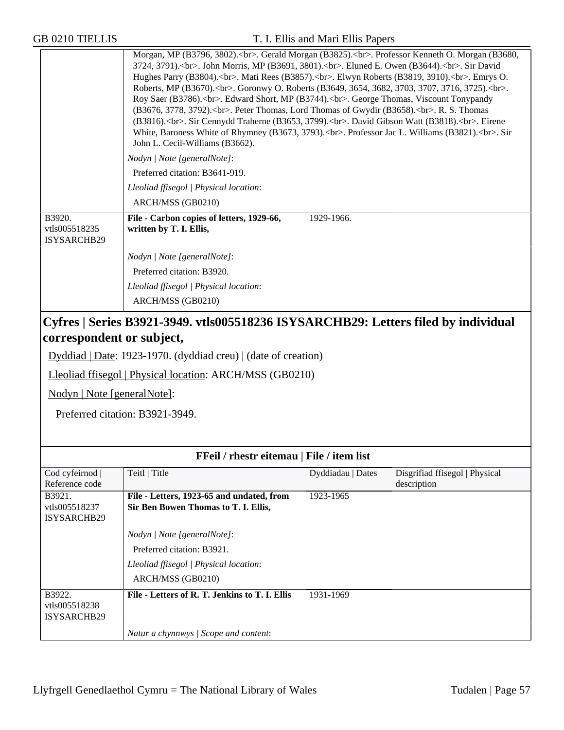| <b>GB 0210 TIELLIS</b>                 |                                                                                                                                                                                                                                                                                                                                                                                                                                                                                                                                                                                                                                                                                                                                                                                                                                                         | T. I. Ellis and Mari Ellis Papers |                                               |
|----------------------------------------|---------------------------------------------------------------------------------------------------------------------------------------------------------------------------------------------------------------------------------------------------------------------------------------------------------------------------------------------------------------------------------------------------------------------------------------------------------------------------------------------------------------------------------------------------------------------------------------------------------------------------------------------------------------------------------------------------------------------------------------------------------------------------------------------------------------------------------------------------------|-----------------------------------|-----------------------------------------------|
|                                        | Morgan, MP (B3796, 3802).<br>. Gerald Morgan (B3825).<br>. Professor Kenneth O. Morgan (B3680,<br>3724, 3791).<br>. John Morris, MP (B3691, 3801).<br>. Eluned E. Owen (B3644).<br>. Sir David<br>Hughes Parry (B3804).<br>. Mati Rees (B3857).<br>. Elwyn Roberts (B3819, 3910).<br>. Emrys O.<br>Roberts, MP (B3670).<br>. Goronwy O. Roberts (B3649, 3654, 3682, 3703, 3707, 3716, 3725).<br>>br>.<br>Roy Saer (B3786).<br>. Edward Short, MP (B3744).<br>. George Thomas, Viscount Tonypandy<br>(B3676, 3778, 3792).<br>>>br>. Peter Thomas, Lord Thomas of Gwydir (B3658).<br>>br>. R. S. Thomas<br>(B3816).<br>. Sir Cennydd Traherne (B3653, 3799).<br>. David Gibson Watt (B3818).<br>>>br>. Eirene<br>White, Baroness White of Rhymney (B3673, 3793).<br>>cbr>. Professor Jac L. Williams (B3821).<br>. Sir<br>John L. Cecil-Williams (B3662). |                                   |                                               |
|                                        | Nodyn   Note [generalNote]:                                                                                                                                                                                                                                                                                                                                                                                                                                                                                                                                                                                                                                                                                                                                                                                                                             |                                   |                                               |
|                                        | Preferred citation: B3641-919.                                                                                                                                                                                                                                                                                                                                                                                                                                                                                                                                                                                                                                                                                                                                                                                                                          |                                   |                                               |
|                                        | Lleoliad ffisegol   Physical location:                                                                                                                                                                                                                                                                                                                                                                                                                                                                                                                                                                                                                                                                                                                                                                                                                  |                                   |                                               |
|                                        | ARCH/MSS (GB0210)                                                                                                                                                                                                                                                                                                                                                                                                                                                                                                                                                                                                                                                                                                                                                                                                                                       |                                   |                                               |
| B3920.<br>vtls005518235<br>ISYSARCHB29 | File - Carbon copies of letters, 1929-66,<br>written by T. I. Ellis,                                                                                                                                                                                                                                                                                                                                                                                                                                                                                                                                                                                                                                                                                                                                                                                    | 1929-1966.                        |                                               |
|                                        | Nodyn   Note [generalNote]:                                                                                                                                                                                                                                                                                                                                                                                                                                                                                                                                                                                                                                                                                                                                                                                                                             |                                   |                                               |
|                                        | Preferred citation: B3920.                                                                                                                                                                                                                                                                                                                                                                                                                                                                                                                                                                                                                                                                                                                                                                                                                              |                                   |                                               |
|                                        | Lleoliad ffisegol   Physical location:                                                                                                                                                                                                                                                                                                                                                                                                                                                                                                                                                                                                                                                                                                                                                                                                                  |                                   |                                               |
|                                        | ARCH/MSS (GB0210)                                                                                                                                                                                                                                                                                                                                                                                                                                                                                                                                                                                                                                                                                                                                                                                                                                       |                                   |                                               |
| correspondent or subject,              | Cyfres   Series B3921-3949. vtls005518236 ISYSARCHB29: Letters filed by individual<br>Dyddiad   Date: 1923-1970. (dyddiad creu)   (date of creation)                                                                                                                                                                                                                                                                                                                                                                                                                                                                                                                                                                                                                                                                                                    |                                   |                                               |
|                                        |                                                                                                                                                                                                                                                                                                                                                                                                                                                                                                                                                                                                                                                                                                                                                                                                                                                         |                                   |                                               |
|                                        | Lleoliad ffisegol   Physical location: ARCH/MSS (GB0210)                                                                                                                                                                                                                                                                                                                                                                                                                                                                                                                                                                                                                                                                                                                                                                                                |                                   |                                               |
| Nodyn   Note [generalNote]:            |                                                                                                                                                                                                                                                                                                                                                                                                                                                                                                                                                                                                                                                                                                                                                                                                                                                         |                                   |                                               |
|                                        | Preferred citation: B3921-3949.                                                                                                                                                                                                                                                                                                                                                                                                                                                                                                                                                                                                                                                                                                                                                                                                                         |                                   |                                               |
|                                        |                                                                                                                                                                                                                                                                                                                                                                                                                                                                                                                                                                                                                                                                                                                                                                                                                                                         |                                   |                                               |
|                                        | FFeil / rhestr eitemau   File / item list                                                                                                                                                                                                                                                                                                                                                                                                                                                                                                                                                                                                                                                                                                                                                                                                               |                                   |                                               |
| Cod cyfeirnod<br>Reference code        | Teitl   Title                                                                                                                                                                                                                                                                                                                                                                                                                                                                                                                                                                                                                                                                                                                                                                                                                                           | Dyddiadau   Dates                 | Disgrifiad ffisegol   Physical<br>description |
| B3921.                                 | File - Letters, 1923-65 and undated, from                                                                                                                                                                                                                                                                                                                                                                                                                                                                                                                                                                                                                                                                                                                                                                                                               | 1923-1965                         |                                               |
| vtls005518237<br>ISYSARCHB29           | Sir Ben Bowen Thomas to T. I. Ellis,                                                                                                                                                                                                                                                                                                                                                                                                                                                                                                                                                                                                                                                                                                                                                                                                                    |                                   |                                               |
|                                        | Nodyn   Note [generalNote]:                                                                                                                                                                                                                                                                                                                                                                                                                                                                                                                                                                                                                                                                                                                                                                                                                             |                                   |                                               |
|                                        | Preferred citation: B3921.                                                                                                                                                                                                                                                                                                                                                                                                                                                                                                                                                                                                                                                                                                                                                                                                                              |                                   |                                               |
|                                        | Lleoliad ffisegol   Physical location:                                                                                                                                                                                                                                                                                                                                                                                                                                                                                                                                                                                                                                                                                                                                                                                                                  |                                   |                                               |
|                                        | ARCH/MSS (GB0210)                                                                                                                                                                                                                                                                                                                                                                                                                                                                                                                                                                                                                                                                                                                                                                                                                                       |                                   |                                               |
| B3922.<br>vtls005518238                | File - Letters of R. T. Jenkins to T. I. Ellis                                                                                                                                                                                                                                                                                                                                                                                                                                                                                                                                                                                                                                                                                                                                                                                                          | 1931-1969                         |                                               |

ISYSARCHB29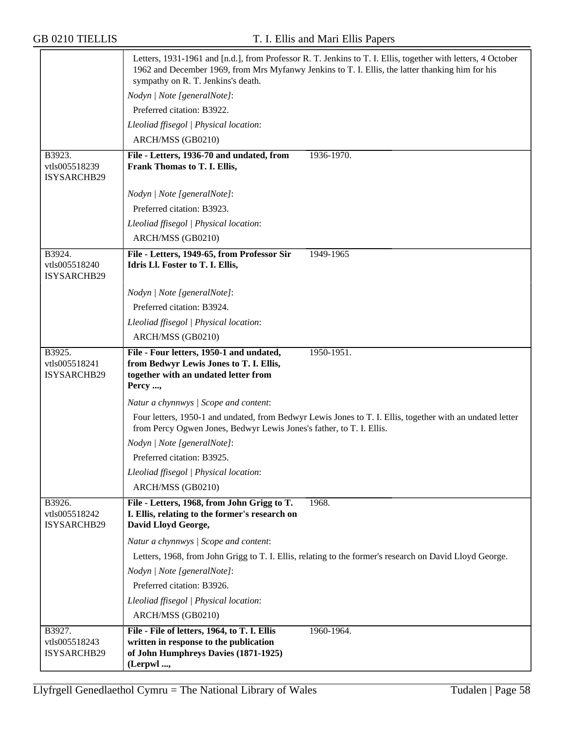|                                        | Letters, 1931-1961 and [n.d.], from Professor R. T. Jenkins to T. I. Ellis, together with letters, 4 October<br>1962 and December 1969, from Mrs Myfanwy Jenkins to T. I. Ellis, the latter thanking him for his<br>sympathy on R. T. Jenkins's death. |
|----------------------------------------|--------------------------------------------------------------------------------------------------------------------------------------------------------------------------------------------------------------------------------------------------------|
|                                        | Nodyn   Note [generalNote]:                                                                                                                                                                                                                            |
|                                        | Preferred citation: B3922.                                                                                                                                                                                                                             |
|                                        | Lleoliad ffisegol   Physical location:                                                                                                                                                                                                                 |
|                                        | ARCH/MSS (GB0210)                                                                                                                                                                                                                                      |
| B3923.<br>vtls005518239<br>ISYSARCHB29 | File - Letters, 1936-70 and undated, from<br>1936-1970.<br>Frank Thomas to T. I. Ellis,                                                                                                                                                                |
|                                        | Nodyn   Note [generalNote]:                                                                                                                                                                                                                            |
|                                        | Preferred citation: B3923.                                                                                                                                                                                                                             |
|                                        | Lleoliad ffisegol   Physical location:                                                                                                                                                                                                                 |
|                                        | ARCH/MSS (GB0210)                                                                                                                                                                                                                                      |
| B3924.<br>vtls005518240<br>ISYSARCHB29 | File - Letters, 1949-65, from Professor Sir<br>1949-1965<br>Idris Ll. Foster to T. I. Ellis,                                                                                                                                                           |
|                                        | Nodyn   Note [generalNote]:                                                                                                                                                                                                                            |
|                                        | Preferred citation: B3924.                                                                                                                                                                                                                             |
|                                        | Lleoliad ffisegol   Physical location:                                                                                                                                                                                                                 |
|                                        | ARCH/MSS (GB0210)                                                                                                                                                                                                                                      |
| B3925.<br>vtls005518241<br>ISYSARCHB29 | File - Four letters, 1950-1 and undated,<br>1950-1951.<br>from Bedwyr Lewis Jones to T. I. Ellis,<br>together with an undated letter from<br>Percy ,                                                                                                   |
|                                        | Natur a chynnwys / Scope and content:                                                                                                                                                                                                                  |
|                                        | Four letters, 1950-1 and undated, from Bedwyr Lewis Jones to T. I. Ellis, together with an undated letter<br>from Percy Ogwen Jones, Bedwyr Lewis Jones's father, to T. I. Ellis.                                                                      |
|                                        | Nodyn   Note [generalNote]:                                                                                                                                                                                                                            |
|                                        | Preferred citation: B3925.                                                                                                                                                                                                                             |
|                                        | Lleoliad ffisegol   Physical location:                                                                                                                                                                                                                 |
|                                        | ARCH/MSS (GB0210)                                                                                                                                                                                                                                      |
| B3926.<br>vtls005518242<br>ISYSARCHB29 | 1968.<br>File - Letters, 1968, from John Grigg to T.<br>I. Ellis, relating to the former's research on<br>David Lloyd George,                                                                                                                          |
|                                        | Natur a chynnwys / Scope and content:                                                                                                                                                                                                                  |
|                                        | Letters, 1968, from John Grigg to T. I. Ellis, relating to the former's research on David Lloyd George.                                                                                                                                                |
|                                        | Nodyn   Note [generalNote]:                                                                                                                                                                                                                            |
|                                        | Preferred citation: B3926.                                                                                                                                                                                                                             |
|                                        | Lleoliad ffisegol   Physical location:                                                                                                                                                                                                                 |
|                                        | ARCH/MSS (GB0210)                                                                                                                                                                                                                                      |
| B3927.                                 | File - File of letters, 1964, to T. I. Ellis<br>1960-1964.                                                                                                                                                                                             |
| vtls005518243<br>ISYSARCHB29           | written in response to the publication<br>of John Humphreys Davies (1871-1925)<br>(Lerpwl,                                                                                                                                                             |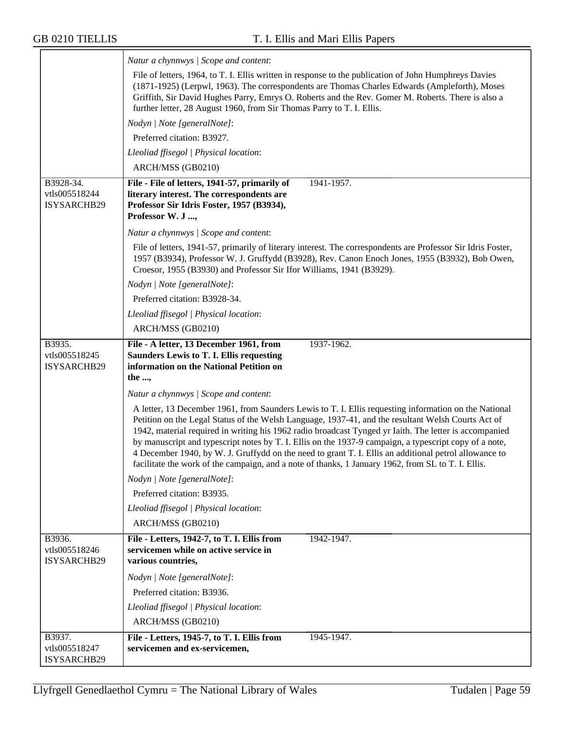|                                           | Natur a chynnwys / Scope and content:                                                                                                                                                                                                                                                                                                                                                                                                                                                                                                 |
|-------------------------------------------|---------------------------------------------------------------------------------------------------------------------------------------------------------------------------------------------------------------------------------------------------------------------------------------------------------------------------------------------------------------------------------------------------------------------------------------------------------------------------------------------------------------------------------------|
|                                           | File of letters, 1964, to T. I. Ellis written in response to the publication of John Humphreys Davies<br>(1871-1925) (Lerpwl, 1963). The correspondents are Thomas Charles Edwards (Ampleforth), Moses<br>Griffith, Sir David Hughes Parry, Emrys O. Roberts and the Rev. Gomer M. Roberts. There is also a<br>further letter, 28 August 1960, from Sir Thomas Parry to T. I. Ellis.                                                                                                                                                  |
|                                           | Nodyn   Note [generalNote]:                                                                                                                                                                                                                                                                                                                                                                                                                                                                                                           |
|                                           | Preferred citation: B3927.                                                                                                                                                                                                                                                                                                                                                                                                                                                                                                            |
|                                           | Lleoliad ffisegol   Physical location:                                                                                                                                                                                                                                                                                                                                                                                                                                                                                                |
|                                           | ARCH/MSS (GB0210)                                                                                                                                                                                                                                                                                                                                                                                                                                                                                                                     |
| B3928-34.<br>vtls005518244<br>ISYSARCHB29 | File - File of letters, 1941-57, primarily of<br>1941-1957.<br>literary interest. The correspondents are<br>Professor Sir Idris Foster, 1957 (B3934),<br>Professor W. J ,                                                                                                                                                                                                                                                                                                                                                             |
|                                           | Natur a chynnwys / Scope and content:                                                                                                                                                                                                                                                                                                                                                                                                                                                                                                 |
|                                           | File of letters, 1941-57, primarily of literary interest. The correspondents are Professor Sir Idris Foster,<br>1957 (B3934), Professor W. J. Gruffydd (B3928), Rev. Canon Enoch Jones, 1955 (B3932), Bob Owen,<br>Croesor, 1955 (B3930) and Professor Sir Ifor Williams, 1941 (B3929).                                                                                                                                                                                                                                               |
|                                           | Nodyn   Note [generalNote]:                                                                                                                                                                                                                                                                                                                                                                                                                                                                                                           |
|                                           | Preferred citation: B3928-34.                                                                                                                                                                                                                                                                                                                                                                                                                                                                                                         |
|                                           | Lleoliad ffisegol   Physical location:                                                                                                                                                                                                                                                                                                                                                                                                                                                                                                |
|                                           | ARCH/MSS (GB0210)                                                                                                                                                                                                                                                                                                                                                                                                                                                                                                                     |
| B3935.                                    | File - A letter, 13 December 1961, from<br>1937-1962.                                                                                                                                                                                                                                                                                                                                                                                                                                                                                 |
| vtls005518245<br>ISYSARCHB29              | <b>Saunders Lewis to T. I. Ellis requesting</b><br>information on the National Petition on<br>the ,                                                                                                                                                                                                                                                                                                                                                                                                                                   |
|                                           | Natur a chynnwys / Scope and content:                                                                                                                                                                                                                                                                                                                                                                                                                                                                                                 |
|                                           | A letter, 13 December 1961, from Saunders Lewis to T. I. Ellis requesting information on the National                                                                                                                                                                                                                                                                                                                                                                                                                                 |
|                                           | Petition on the Legal Status of the Welsh Language, 1937-41, and the resultant Welsh Courts Act of<br>1942, material required in writing his 1962 radio broadcast Tynged yr Iaith. The letter is accompanied<br>by manuscript and typescript notes by T. I. Ellis on the 1937-9 campaign, a typescript copy of a note,<br>4 December 1940, by W. J. Gruffydd on the need to grant T. I. Ellis an additional petrol allowance to<br>facilitate the work of the campaign, and a note of thanks, 1 January 1962, from SL to T. I. Ellis. |
|                                           | Nodyn   Note [generalNote]:                                                                                                                                                                                                                                                                                                                                                                                                                                                                                                           |
|                                           | Preferred citation: B3935.                                                                                                                                                                                                                                                                                                                                                                                                                                                                                                            |
|                                           | Lleoliad ffisegol   Physical location:<br>ARCH/MSS (GB0210)                                                                                                                                                                                                                                                                                                                                                                                                                                                                           |
| B3936.<br>vtls005518246<br>ISYSARCHB29    | File - Letters, 1942-7, to T. I. Ellis from<br>1942-1947.<br>servicemen while on active service in<br>various countries,                                                                                                                                                                                                                                                                                                                                                                                                              |
|                                           | Nodyn   Note [generalNote]:                                                                                                                                                                                                                                                                                                                                                                                                                                                                                                           |
|                                           | Preferred citation: B3936.                                                                                                                                                                                                                                                                                                                                                                                                                                                                                                            |
|                                           | Lleoliad ffisegol   Physical location:                                                                                                                                                                                                                                                                                                                                                                                                                                                                                                |
|                                           | ARCH/MSS (GB0210)                                                                                                                                                                                                                                                                                                                                                                                                                                                                                                                     |
| B3937.                                    | File - Letters, 1945-7, to T. I. Ellis from<br>1945-1947.                                                                                                                                                                                                                                                                                                                                                                                                                                                                             |
| vtls005518247<br>ISYSARCHB29              | servicemen and ex-servicemen,                                                                                                                                                                                                                                                                                                                                                                                                                                                                                                         |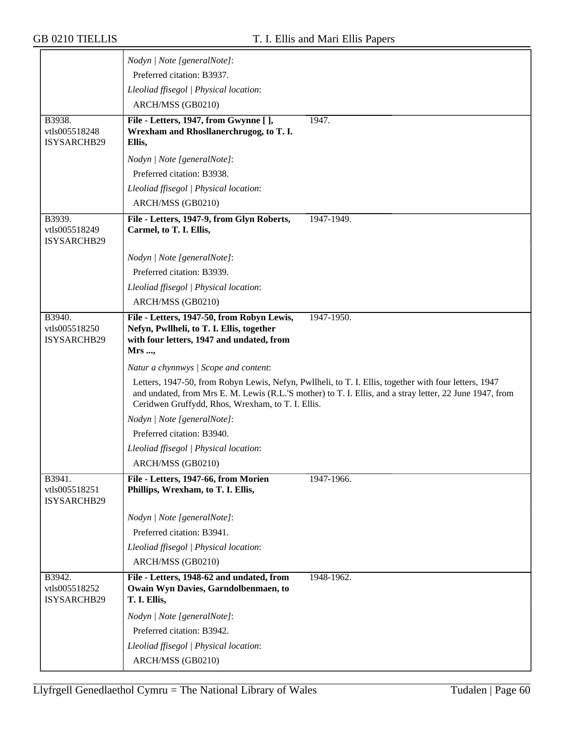|                                               | Nodyn   Note [generalNote]:                                                                                                                                                                                                                                            |
|-----------------------------------------------|------------------------------------------------------------------------------------------------------------------------------------------------------------------------------------------------------------------------------------------------------------------------|
|                                               | Preferred citation: B3937.                                                                                                                                                                                                                                             |
|                                               | Lleoliad ffisegol   Physical location:                                                                                                                                                                                                                                 |
|                                               | ARCH/MSS (GB0210)                                                                                                                                                                                                                                                      |
| B3938.                                        | 1947.<br>File - Letters, 1947, from Gwynne [ ],                                                                                                                                                                                                                        |
| vtls005518248                                 | Wrexham and Rhosllanerchrugog, to T. I.                                                                                                                                                                                                                                |
| ISYSARCHB29                                   | Ellis,                                                                                                                                                                                                                                                                 |
|                                               | Nodyn   Note [generalNote]:                                                                                                                                                                                                                                            |
|                                               | Preferred citation: B3938.                                                                                                                                                                                                                                             |
|                                               | Lleoliad ffisegol   Physical location:                                                                                                                                                                                                                                 |
|                                               | ARCH/MSS (GB0210)                                                                                                                                                                                                                                                      |
| B3939.<br>vtls005518249<br>ISYSARCHB29        | File - Letters, 1947-9, from Glyn Roberts,<br>1947-1949.<br>Carmel, to T. I. Ellis,                                                                                                                                                                                    |
|                                               | Nodyn   Note [generalNote]:                                                                                                                                                                                                                                            |
|                                               | Preferred citation: B3939.                                                                                                                                                                                                                                             |
|                                               | Lleoliad ffisegol   Physical location:                                                                                                                                                                                                                                 |
|                                               | ARCH/MSS (GB0210)                                                                                                                                                                                                                                                      |
| B3940.<br>vtls005518250<br><b>ISYSARCHB29</b> | File - Letters, 1947-50, from Robyn Lewis,<br>1947-1950.<br>Nefyn, Pwllheli, to T. I. Ellis, together<br>with four letters, 1947 and undated, from<br>Mrs ,                                                                                                            |
|                                               | Natur a chynnwys / Scope and content:                                                                                                                                                                                                                                  |
|                                               | Letters, 1947-50, from Robyn Lewis, Nefyn, Pwllheli, to T. I. Ellis, together with four letters, 1947<br>and undated, from Mrs E. M. Lewis (R.L.'S mother) to T. I. Ellis, and a stray letter, 22 June 1947, from<br>Ceridwen Gruffydd, Rhos, Wrexham, to T. I. Ellis. |
|                                               | Nodyn   Note [generalNote]:                                                                                                                                                                                                                                            |
|                                               | Preferred citation: B3940.                                                                                                                                                                                                                                             |
|                                               | Lleoliad ffisegol   Physical location:                                                                                                                                                                                                                                 |
|                                               | ARCH/MSS (GB0210)                                                                                                                                                                                                                                                      |
| B3941.<br>vtls005518251<br>ISYSARCHB29        | File - Letters, 1947-66, from Morien<br>1947-1966.<br>Phillips, Wrexham, to T. I. Ellis,                                                                                                                                                                               |
|                                               | Nodyn   Note [generalNote]:                                                                                                                                                                                                                                            |
|                                               | Preferred citation: B3941.                                                                                                                                                                                                                                             |
|                                               | Lleoliad ffisegol   Physical location:                                                                                                                                                                                                                                 |
|                                               | ARCH/MSS (GB0210)                                                                                                                                                                                                                                                      |
| B3942.<br>vtls005518252<br>ISYSARCHB29        | File - Letters, 1948-62 and undated, from<br>1948-1962.<br>Owain Wyn Davies, Garndolbenmaen, to<br>T. I. Ellis,                                                                                                                                                        |
|                                               | Nodyn   Note [generalNote]:                                                                                                                                                                                                                                            |
|                                               | Preferred citation: B3942.                                                                                                                                                                                                                                             |
|                                               | Lleoliad ffisegol   Physical location:                                                                                                                                                                                                                                 |
|                                               | ARCH/MSS (GB0210)                                                                                                                                                                                                                                                      |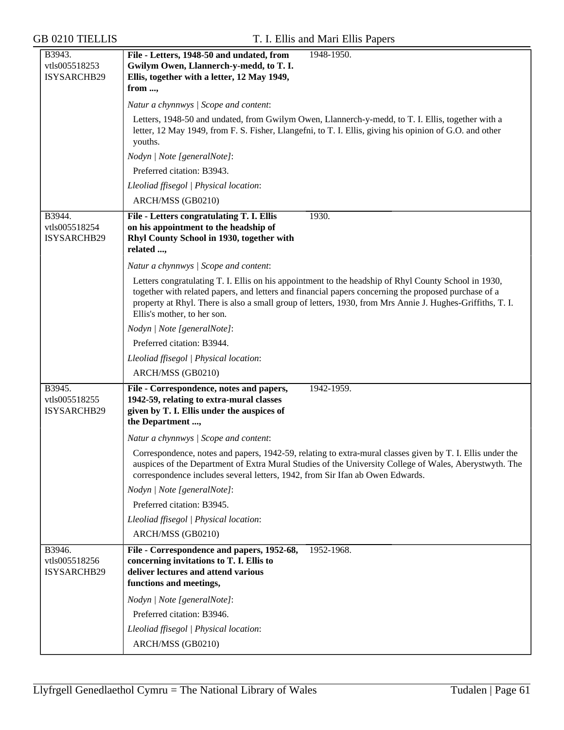| B3943.                                        | File - Letters, 1948-50 and undated, from<br>1948-1950.                                                                                                                                                                                                                                                                                                  |  |  |  |
|-----------------------------------------------|----------------------------------------------------------------------------------------------------------------------------------------------------------------------------------------------------------------------------------------------------------------------------------------------------------------------------------------------------------|--|--|--|
| vtls005518253                                 | Gwilym Owen, Llannerch-y-medd, to T. I.                                                                                                                                                                                                                                                                                                                  |  |  |  |
| ISYSARCHB29                                   | Ellis, together with a letter, 12 May 1949,                                                                                                                                                                                                                                                                                                              |  |  |  |
|                                               | from ,                                                                                                                                                                                                                                                                                                                                                   |  |  |  |
|                                               | Natur a chynnwys / Scope and content:                                                                                                                                                                                                                                                                                                                    |  |  |  |
|                                               | Letters, 1948-50 and undated, from Gwilym Owen, Llannerch-y-medd, to T. I. Ellis, together with a<br>letter, 12 May 1949, from F. S. Fisher, Llangefni, to T. I. Ellis, giving his opinion of G.O. and other<br>youths.                                                                                                                                  |  |  |  |
|                                               | Nodyn   Note [generalNote]:                                                                                                                                                                                                                                                                                                                              |  |  |  |
|                                               | Preferred citation: B3943.                                                                                                                                                                                                                                                                                                                               |  |  |  |
|                                               | Lleoliad ffisegol   Physical location:                                                                                                                                                                                                                                                                                                                   |  |  |  |
|                                               | ARCH/MSS (GB0210)                                                                                                                                                                                                                                                                                                                                        |  |  |  |
| B3944.<br>vtls005518254<br>ISYSARCHB29        | File - Letters congratulating T. I. Ellis<br>1930.<br>on his appointment to the headship of<br>Rhyl County School in 1930, together with<br>related ,                                                                                                                                                                                                    |  |  |  |
|                                               | Natur a chynnwys / Scope and content:                                                                                                                                                                                                                                                                                                                    |  |  |  |
|                                               | Letters congratulating T. I. Ellis on his appointment to the headship of Rhyl County School in 1930,<br>together with related papers, and letters and financial papers concerning the proposed purchase of a<br>property at Rhyl. There is also a small group of letters, 1930, from Mrs Annie J. Hughes-Griffiths, T. I.<br>Ellis's mother, to her son. |  |  |  |
|                                               | Nodyn   Note [generalNote]:                                                                                                                                                                                                                                                                                                                              |  |  |  |
|                                               | Preferred citation: B3944.                                                                                                                                                                                                                                                                                                                               |  |  |  |
|                                               | Lleoliad ffisegol   Physical location:                                                                                                                                                                                                                                                                                                                   |  |  |  |
|                                               | ARCH/MSS (GB0210)                                                                                                                                                                                                                                                                                                                                        |  |  |  |
| B3945.<br>vtls005518255<br><b>ISYSARCHB29</b> | File - Correspondence, notes and papers,<br>1942-1959.<br>1942-59, relating to extra-mural classes<br>given by T. I. Ellis under the auspices of<br>the Department,                                                                                                                                                                                      |  |  |  |
|                                               | Natur a chynnwys / Scope and content:                                                                                                                                                                                                                                                                                                                    |  |  |  |
|                                               | Correspondence, notes and papers, 1942-59, relating to extra-mural classes given by T. I. Ellis under the<br>auspices of the Department of Extra Mural Studies of the University College of Wales, Aberystwyth. The<br>correspondence includes several letters, 1942, from Sir Ifan ab Owen Edwards.                                                     |  |  |  |
|                                               | Nodyn   Note [generalNote]:                                                                                                                                                                                                                                                                                                                              |  |  |  |
|                                               | Preferred citation: B3945.                                                                                                                                                                                                                                                                                                                               |  |  |  |
|                                               | Lleoliad ffisegol   Physical location:                                                                                                                                                                                                                                                                                                                   |  |  |  |
|                                               | ARCH/MSS (GB0210)                                                                                                                                                                                                                                                                                                                                        |  |  |  |
| B3946.<br>vtls005518256<br>ISYSARCHB29        | File - Correspondence and papers, 1952-68,<br>1952-1968.<br>concerning invitations to T. I. Ellis to<br>deliver lectures and attend various<br>functions and meetings,                                                                                                                                                                                   |  |  |  |
|                                               | Nodyn   Note [generalNote]:                                                                                                                                                                                                                                                                                                                              |  |  |  |
|                                               | Preferred citation: B3946.                                                                                                                                                                                                                                                                                                                               |  |  |  |
|                                               | Lleoliad ffisegol   Physical location:                                                                                                                                                                                                                                                                                                                   |  |  |  |
|                                               | ARCH/MSS (GB0210)                                                                                                                                                                                                                                                                                                                                        |  |  |  |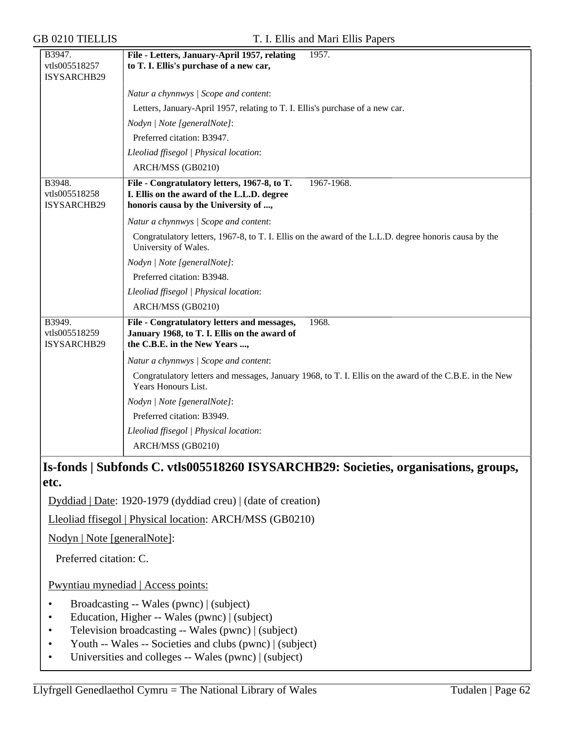| <b>GB 0210 TIELLIS</b>                 | T. I. Ellis and Mari Ellis Papers                                                                                                                |
|----------------------------------------|--------------------------------------------------------------------------------------------------------------------------------------------------|
| B3947.<br>vtls005518257<br>ISYSARCHB29 | File - Letters, January-April 1957, relating<br>1957.<br>to T. I. Ellis's purchase of a new car,                                                 |
|                                        | Natur a chynnwys / Scope and content:                                                                                                            |
|                                        | Letters, January-April 1957, relating to T. I. Ellis's purchase of a new car.                                                                    |
|                                        | Nodyn   Note [generalNote]:                                                                                                                      |
|                                        | Preferred citation: B3947.                                                                                                                       |
|                                        | Lleoliad ffisegol   Physical location:                                                                                                           |
|                                        | ARCH/MSS (GB0210)                                                                                                                                |
| B3948.<br>vtls005518258<br>ISYSARCHB29 | File - Congratulatory letters, 1967-8, to T.<br>1967-1968.<br>I. Ellis on the award of the L.L.D. degree<br>honoris causa by the University of , |
|                                        | Natur a chynnwys / Scope and content:                                                                                                            |
|                                        | Congratulatory letters, 1967-8, to T. I. Ellis on the award of the L.L.D. degree honoris causa by the<br>University of Wales.                    |
|                                        | Nodyn   Note [generalNote]:                                                                                                                      |
|                                        | Preferred citation: B3948.                                                                                                                       |
|                                        | Lleoliad ffisegol   Physical location:                                                                                                           |
|                                        | ARCH/MSS (GB0210)                                                                                                                                |
| B3949.<br>vtls005518259<br>ISYSARCHB29 | File - Congratulatory letters and messages,<br>1968.<br>January 1968, to T. I. Ellis on the award of<br>the C.B.E. in the New Years ,            |
|                                        | Natur a chynnwys / Scope and content:                                                                                                            |
|                                        | Congratulatory letters and messages, January 1968, to T. I. Ellis on the award of the C.B.E. in the New<br>Years Honours List.                   |
|                                        | Nodyn   Note [generalNote]:                                                                                                                      |
|                                        | Preferred citation: B3949.                                                                                                                       |
|                                        | Lleoliad ffisegol   Physical location:                                                                                                           |
|                                        | ARCH/MSS (GB0210)                                                                                                                                |
| etc.                                   | Is-fonds   Subfonds C. vtls005518260 ISYSARCHB29: Societies, organisations, groups,                                                              |
|                                        | $1!$ $1!$ $\mathbb{R}$ $(1000.1070.111.11)$ $(111.11.11)$ $(111.11.11)$                                                                          |

Dyddiad | Date: 1920-1979 (dyddiad creu) | (date of creation)

Lleoliad ffisegol | Physical location: ARCH/MSS (GB0210)

Nodyn | Note [generalNote]:

Preferred citation: C.

Pwyntiau mynediad | Access points:

- Broadcasting -- Wales (pwnc) | (subject)
- Education, Higher -- Wales (pwnc) | (subject)
- Television broadcasting -- Wales (pwnc) | (subject)
- Youth -- Wales -- Societies and clubs (pwnc) | (subject)
- Universities and colleges -- Wales (pwnc) | (subject)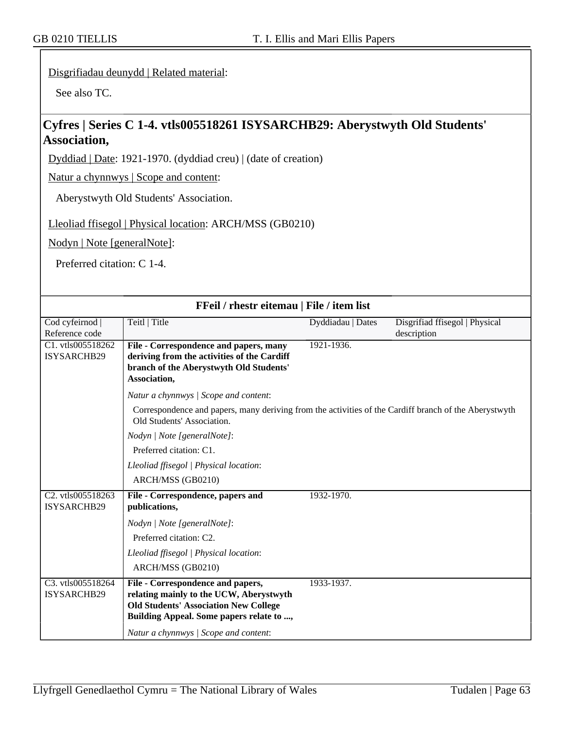### Disgrifiadau deunydd | Related material:

See also TC.

# **Cyfres | Series C 1-4. vtls005518261 ISYSARCHB29: Aberystwyth Old Students' Association,**

Dyddiad | Date: 1921-1970. (dyddiad creu) | (date of creation)

Natur a chynnwys | Scope and content:

Aberystwyth Old Students' Association.

Lleoliad ffisegol | Physical location: ARCH/MSS (GB0210)

Nodyn | Note [generalNote]:

Preferred citation: C 1-4.

| FFeil / rhestr eitemau   File / item list |                                                                                                                                     |                   |                                |  |
|-------------------------------------------|-------------------------------------------------------------------------------------------------------------------------------------|-------------------|--------------------------------|--|
| Cod cyfeirnod                             | Teitl   Title                                                                                                                       | Dyddiadau   Dates | Disgrifiad ffisegol   Physical |  |
| Reference code                            |                                                                                                                                     |                   | description                    |  |
| C1. vtls005518262                         | File - Correspondence and papers, many                                                                                              | 1921-1936.        |                                |  |
| ISYSARCHB29                               | deriving from the activities of the Cardiff<br>branch of the Aberystwyth Old Students'                                              |                   |                                |  |
|                                           | Association,                                                                                                                        |                   |                                |  |
|                                           | Natur a chynnwys / Scope and content:                                                                                               |                   |                                |  |
|                                           | Correspondence and papers, many deriving from the activities of the Cardiff branch of the Aberystwyth<br>Old Students' Association. |                   |                                |  |
|                                           | Nodyn   Note [generalNote]:                                                                                                         |                   |                                |  |
|                                           | Preferred citation: C1.                                                                                                             |                   |                                |  |
|                                           | Lleoliad ffisegol   Physical location:                                                                                              |                   |                                |  |
|                                           | ARCH/MSS (GB0210)                                                                                                                   |                   |                                |  |
| C2. vtls005518263<br><b>ISYSARCHB29</b>   | File - Correspondence, papers and<br>publications,                                                                                  | 1932-1970.        |                                |  |
|                                           | Nodyn   Note [generalNote]:                                                                                                         |                   |                                |  |
|                                           | Preferred citation: C2.                                                                                                             |                   |                                |  |
|                                           | Lleoliad ffisegol   Physical location:                                                                                              |                   |                                |  |
|                                           | ARCH/MSS (GB0210)                                                                                                                   |                   |                                |  |
| C3. vtls005518264                         | File - Correspondence and papers,                                                                                                   | 1933-1937.        |                                |  |
| ISYSARCHB29                               | relating mainly to the UCW, Aberystwyth                                                                                             |                   |                                |  |
|                                           | <b>Old Students' Association New College</b><br>Building Appeal. Some papers relate to ,                                            |                   |                                |  |
|                                           | Natur a chynnwys / Scope and content:                                                                                               |                   |                                |  |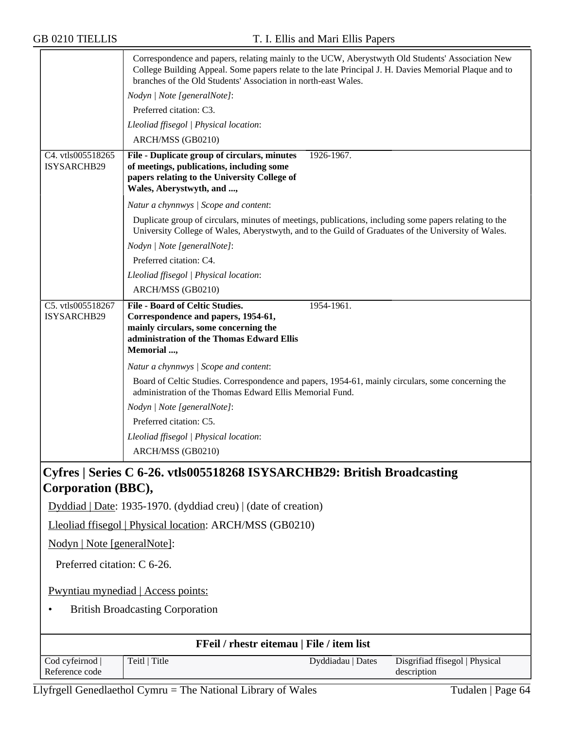|                                           | Correspondence and papers, relating mainly to the UCW, Aberystwyth Old Students' Association New<br>College Building Appeal. Some papers relate to the late Principal J. H. Davies Memorial Plaque and to<br>branches of the Old Students' Association in north-east Wales. |  |  |  |
|-------------------------------------------|-----------------------------------------------------------------------------------------------------------------------------------------------------------------------------------------------------------------------------------------------------------------------------|--|--|--|
|                                           | Nodyn   Note [generalNote]:                                                                                                                                                                                                                                                 |  |  |  |
|                                           | Preferred citation: C3.                                                                                                                                                                                                                                                     |  |  |  |
|                                           | Lleoliad ffisegol   Physical location:                                                                                                                                                                                                                                      |  |  |  |
|                                           | ARCH/MSS (GB0210)                                                                                                                                                                                                                                                           |  |  |  |
| C4. vtls005518265                         | 1926-1967.<br>File - Duplicate group of circulars, minutes                                                                                                                                                                                                                  |  |  |  |
| ISYSARCHB29                               | of meetings, publications, including some<br>papers relating to the University College of<br>Wales, Aberystwyth, and ,                                                                                                                                                      |  |  |  |
|                                           | Natur a chynnwys / Scope and content:                                                                                                                                                                                                                                       |  |  |  |
|                                           | Duplicate group of circulars, minutes of meetings, publications, including some papers relating to the<br>University College of Wales, Aberystwyth, and to the Guild of Graduates of the University of Wales.                                                               |  |  |  |
|                                           | Nodyn   Note [generalNote]:                                                                                                                                                                                                                                                 |  |  |  |
|                                           | Preferred citation: C4.                                                                                                                                                                                                                                                     |  |  |  |
|                                           | Lleoliad ffisegol   Physical location:                                                                                                                                                                                                                                      |  |  |  |
|                                           | ARCH/MSS (GB0210)                                                                                                                                                                                                                                                           |  |  |  |
| C5. vtls005518267                         | <b>File - Board of Celtic Studies.</b><br>1954-1961.                                                                                                                                                                                                                        |  |  |  |
| ISYSARCHB29                               | Correspondence and papers, 1954-61,<br>mainly circulars, some concerning the                                                                                                                                                                                                |  |  |  |
|                                           | administration of the Thomas Edward Ellis                                                                                                                                                                                                                                   |  |  |  |
|                                           | Memorial ,                                                                                                                                                                                                                                                                  |  |  |  |
|                                           | Natur a chynnwys   Scope and content:                                                                                                                                                                                                                                       |  |  |  |
|                                           | Board of Celtic Studies. Correspondence and papers, 1954-61, mainly circulars, some concerning the<br>administration of the Thomas Edward Ellis Memorial Fund.                                                                                                              |  |  |  |
|                                           | Nodyn   Note [generalNote]:                                                                                                                                                                                                                                                 |  |  |  |
|                                           | Preferred citation: C5.                                                                                                                                                                                                                                                     |  |  |  |
|                                           | Lleoliad ffisegol   Physical location:                                                                                                                                                                                                                                      |  |  |  |
|                                           | ARCH/MSS (GB0210)                                                                                                                                                                                                                                                           |  |  |  |
|                                           | Cyfres   Series C 6-26. vtls005518268 ISYSARCHB29: British Broadcasting                                                                                                                                                                                                     |  |  |  |
| Corporation (BBC),                        |                                                                                                                                                                                                                                                                             |  |  |  |
|                                           | Dyddiad   Date: 1935-1970. (dyddiad creu)   (date of creation)                                                                                                                                                                                                              |  |  |  |
|                                           | Lleoliad ffisegol   Physical location: ARCH/MSS (GB0210)                                                                                                                                                                                                                    |  |  |  |
| Nodyn   Note [generalNote]:               |                                                                                                                                                                                                                                                                             |  |  |  |
| Preferred citation: C 6-26.               |                                                                                                                                                                                                                                                                             |  |  |  |
| Pwyntiau mynediad   Access points:        |                                                                                                                                                                                                                                                                             |  |  |  |
| <b>British Broadcasting Corporation</b>   |                                                                                                                                                                                                                                                                             |  |  |  |
| FFeil / rhestr eitemau   File / item list |                                                                                                                                                                                                                                                                             |  |  |  |
| Cod cyfeirnod                             | Teitl   Title<br>Dyddiadau   Dates<br>Disgrifiad ffisegol   Physical                                                                                                                                                                                                        |  |  |  |
| Reference code                            | description                                                                                                                                                                                                                                                                 |  |  |  |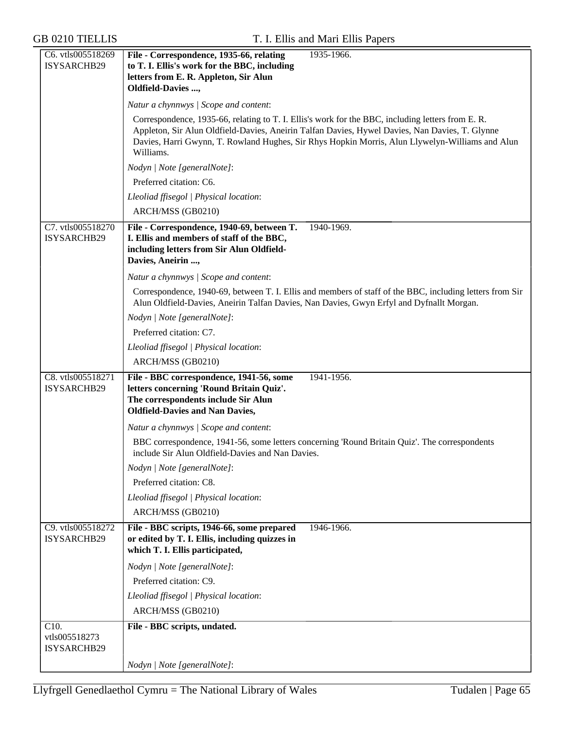| C6. vtls005518269  | File - Correspondence, 1935-66, relating<br>1935-1966.                                                                                                                                               |  |  |  |  |
|--------------------|------------------------------------------------------------------------------------------------------------------------------------------------------------------------------------------------------|--|--|--|--|
| ISYSARCHB29        | to T. I. Ellis's work for the BBC, including                                                                                                                                                         |  |  |  |  |
|                    | letters from E. R. Appleton, Sir Alun                                                                                                                                                                |  |  |  |  |
|                    | <b>Oldfield-Davies ,</b>                                                                                                                                                                             |  |  |  |  |
|                    | Natur a chynnwys / Scope and content:                                                                                                                                                                |  |  |  |  |
|                    | Correspondence, 1935-66, relating to T. I. Ellis's work for the BBC, including letters from E. R.                                                                                                    |  |  |  |  |
|                    | Appleton, Sir Alun Oldfield-Davies, Aneirin Talfan Davies, Hywel Davies, Nan Davies, T. Glynne                                                                                                       |  |  |  |  |
|                    | Davies, Harri Gwynn, T. Rowland Hughes, Sir Rhys Hopkin Morris, Alun Llywelyn-Williams and Alun                                                                                                      |  |  |  |  |
|                    | Williams.<br>Nodyn   Note [generalNote]:                                                                                                                                                             |  |  |  |  |
|                    | Preferred citation: C6.                                                                                                                                                                              |  |  |  |  |
|                    |                                                                                                                                                                                                      |  |  |  |  |
|                    | Lleoliad ffisegol   Physical location:                                                                                                                                                               |  |  |  |  |
|                    | ARCH/MSS (GB0210)                                                                                                                                                                                    |  |  |  |  |
| C7. vtls005518270  | File - Correspondence, 1940-69, between T.<br>1940-1969.                                                                                                                                             |  |  |  |  |
| ISYSARCHB29        | I. Ellis and members of staff of the BBC,                                                                                                                                                            |  |  |  |  |
|                    | including letters from Sir Alun Oldfield-<br>Davies, Aneirin ,                                                                                                                                       |  |  |  |  |
|                    |                                                                                                                                                                                                      |  |  |  |  |
|                    | Natur a chynnwys / Scope and content:                                                                                                                                                                |  |  |  |  |
|                    | Correspondence, 1940-69, between T. I. Ellis and members of staff of the BBC, including letters from Sir<br>Alun Oldfield-Davies, Aneirin Talfan Davies, Nan Davies, Gwyn Erfyl and Dyfnallt Morgan. |  |  |  |  |
|                    | Nodyn   Note [generalNote]:                                                                                                                                                                          |  |  |  |  |
|                    | Preferred citation: C7.                                                                                                                                                                              |  |  |  |  |
|                    | Lleoliad ffisegol   Physical location:                                                                                                                                                               |  |  |  |  |
|                    | ARCH/MSS (GB0210)                                                                                                                                                                                    |  |  |  |  |
| C8. vtls005518271  | File - BBC correspondence, 1941-56, some<br>1941-1956.                                                                                                                                               |  |  |  |  |
| ISYSARCHB29        | letters concerning 'Round Britain Quiz'.                                                                                                                                                             |  |  |  |  |
|                    | The correspondents include Sir Alun                                                                                                                                                                  |  |  |  |  |
|                    | <b>Oldfield-Davies and Nan Davies,</b>                                                                                                                                                               |  |  |  |  |
|                    | Natur a chynnwys / Scope and content:                                                                                                                                                                |  |  |  |  |
|                    | BBC correspondence, 1941-56, some letters concerning 'Round Britain Quiz'. The correspondents<br>include Sir Alun Oldfield-Davies and Nan Davies.                                                    |  |  |  |  |
|                    | Nodyn   Note [generalNote]:                                                                                                                                                                          |  |  |  |  |
|                    | Preferred citation: C8.                                                                                                                                                                              |  |  |  |  |
|                    | Lleoliad ffisegol   Physical location:                                                                                                                                                               |  |  |  |  |
|                    | ARCH/MSS (GB0210)                                                                                                                                                                                    |  |  |  |  |
| C9. vtls005518272  | File - BBC scripts, 1946-66, some prepared<br>1946-1966.                                                                                                                                             |  |  |  |  |
| ISYSARCHB29        | or edited by T. I. Ellis, including quizzes in<br>which T. I. Ellis participated,                                                                                                                    |  |  |  |  |
|                    | Nodyn   Note [generalNote]:                                                                                                                                                                          |  |  |  |  |
|                    | Preferred citation: C9.                                                                                                                                                                              |  |  |  |  |
|                    | Lleoliad ffisegol   Physical location:                                                                                                                                                               |  |  |  |  |
|                    | ARCH/MSS (GB0210)                                                                                                                                                                                    |  |  |  |  |
| $\overline{C10}$ . | File - BBC scripts, undated.                                                                                                                                                                         |  |  |  |  |
| vtls005518273      |                                                                                                                                                                                                      |  |  |  |  |
| ISYSARCHB29        |                                                                                                                                                                                                      |  |  |  |  |
|                    | Nodyn   Note [generalNote]:                                                                                                                                                                          |  |  |  |  |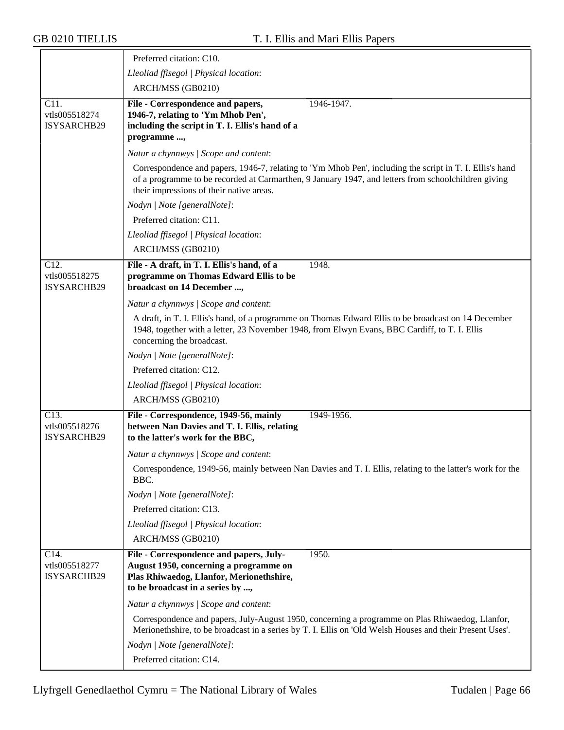≂

|                                                    | Preferred citation: C10.                                                                                                                                                                                                                                    |
|----------------------------------------------------|-------------------------------------------------------------------------------------------------------------------------------------------------------------------------------------------------------------------------------------------------------------|
|                                                    | Lleoliad ffisegol   Physical location:                                                                                                                                                                                                                      |
|                                                    | ARCH/MSS (GB0210)                                                                                                                                                                                                                                           |
| C <sub>11</sub> .                                  | File - Correspondence and papers,<br>1946-1947.                                                                                                                                                                                                             |
| vtls005518274                                      | 1946-7, relating to 'Ym Mhob Pen',                                                                                                                                                                                                                          |
| ISYSARCHB29                                        | including the script in T. I. Ellis's hand of a                                                                                                                                                                                                             |
|                                                    | programme,                                                                                                                                                                                                                                                  |
|                                                    | Natur a chynnwys / Scope and content:                                                                                                                                                                                                                       |
|                                                    | Correspondence and papers, 1946-7, relating to 'Ym Mhob Pen', including the script in T. I. Ellis's hand<br>of a programme to be recorded at Carmarthen, 9 January 1947, and letters from schoolchildren giving<br>their impressions of their native areas. |
|                                                    | Nodyn   Note [generalNote]:                                                                                                                                                                                                                                 |
|                                                    | Preferred citation: C11.                                                                                                                                                                                                                                    |
|                                                    | Lleoliad ffisegol   Physical location:                                                                                                                                                                                                                      |
|                                                    | ARCH/MSS (GB0210)                                                                                                                                                                                                                                           |
| C <sub>12</sub> .                                  | File - A draft, in T. I. Ellis's hand, of a<br>1948.                                                                                                                                                                                                        |
| vtls005518275<br>ISYSARCHB29                       | programme on Thomas Edward Ellis to be<br>broadcast on 14 December ,                                                                                                                                                                                        |
|                                                    | Natur a chynnwys / Scope and content:                                                                                                                                                                                                                       |
|                                                    | A draft, in T. I. Ellis's hand, of a programme on Thomas Edward Ellis to be broadcast on 14 December<br>1948, together with a letter, 23 November 1948, from Elwyn Evans, BBC Cardiff, to T. I. Ellis<br>concerning the broadcast.                          |
|                                                    | Nodyn   Note [generalNote]:                                                                                                                                                                                                                                 |
|                                                    | Preferred citation: C12.                                                                                                                                                                                                                                    |
|                                                    | Lleoliad ffisegol   Physical location:                                                                                                                                                                                                                      |
|                                                    | ARCH/MSS (GB0210)                                                                                                                                                                                                                                           |
| $\overline{C13}$ .<br>vtls005518276<br>ISYSARCHB29 | File - Correspondence, 1949-56, mainly<br>1949-1956.<br>between Nan Davies and T. I. Ellis, relating<br>to the latter's work for the BBC,                                                                                                                   |
|                                                    | Natur a chynnwys / Scope and content:                                                                                                                                                                                                                       |
|                                                    | Correspondence, 1949-56, mainly between Nan Davies and T. I. Ellis, relating to the latter's work for the<br>BBC.                                                                                                                                           |
|                                                    | Nodyn   Note [generalNote]:                                                                                                                                                                                                                                 |
|                                                    | Preferred citation: C13.                                                                                                                                                                                                                                    |
|                                                    | Lleoliad ffisegol   Physical location:                                                                                                                                                                                                                      |
|                                                    | ARCH/MSS (GB0210)                                                                                                                                                                                                                                           |
| C14.                                               | File - Correspondence and papers, July-<br>1950.                                                                                                                                                                                                            |
| vtls005518277<br>ISYSARCHB29                       | August 1950, concerning a programme on<br>Plas Rhiwaedog, Llanfor, Merionethshire,<br>to be broadcast in a series by ,                                                                                                                                      |
|                                                    | Natur a chynnwys / Scope and content:                                                                                                                                                                                                                       |
|                                                    | Correspondence and papers, July-August 1950, concerning a programme on Plas Rhiwaedog, Llanfor,<br>Merionethshire, to be broadcast in a series by T. I. Ellis on 'Old Welsh Houses and their Present Uses'.                                                 |
|                                                    | Nodyn   Note [generalNote]:                                                                                                                                                                                                                                 |
|                                                    | Preferred citation: C14.                                                                                                                                                                                                                                    |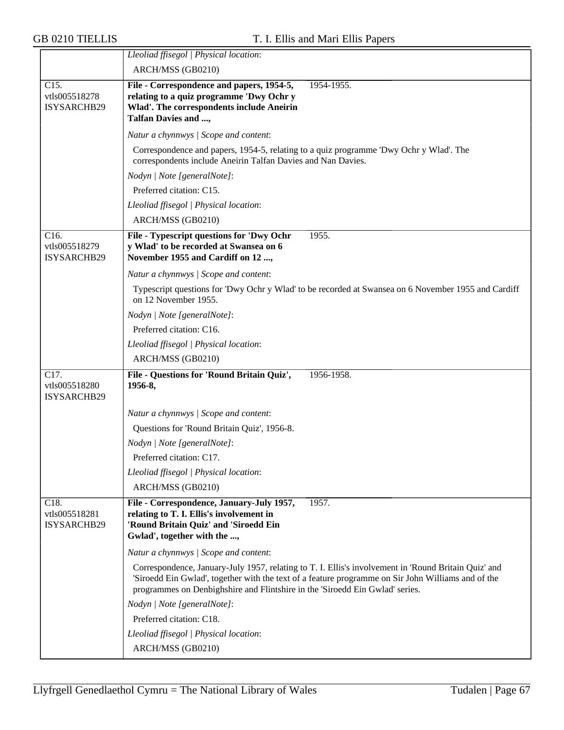|                                                    | Lleoliad ffisegol   Physical location:                                                                                                                                                                                                                                                     |  |  |  |  |
|----------------------------------------------------|--------------------------------------------------------------------------------------------------------------------------------------------------------------------------------------------------------------------------------------------------------------------------------------------|--|--|--|--|
|                                                    | ARCH/MSS (GB0210)                                                                                                                                                                                                                                                                          |  |  |  |  |
| C15.<br>vtls005518278<br>ISYSARCHB29               | File - Correspondence and papers, 1954-5,<br>1954-1955.<br>relating to a quiz programme 'Dwy Ochr y<br><b>Wlad'. The correspondents include Aneirin</b><br>Talfan Davies and ,                                                                                                             |  |  |  |  |
|                                                    | Natur a chynnwys / Scope and content:                                                                                                                                                                                                                                                      |  |  |  |  |
|                                                    | Correspondence and papers, 1954-5, relating to a quiz programme 'Dwy Ochr y Wlad'. The<br>correspondents include Aneirin Talfan Davies and Nan Davies.                                                                                                                                     |  |  |  |  |
|                                                    | Nodyn   Note [generalNote]:                                                                                                                                                                                                                                                                |  |  |  |  |
|                                                    | Preferred citation: C15.                                                                                                                                                                                                                                                                   |  |  |  |  |
|                                                    | Lleoliad ffisegol   Physical location:                                                                                                                                                                                                                                                     |  |  |  |  |
|                                                    | ARCH/MSS (GB0210)                                                                                                                                                                                                                                                                          |  |  |  |  |
| C16.<br>vtls005518279<br>ISYSARCHB29               | File - Typescript questions for 'Dwy Ochr<br>1955.<br>y Wlad' to be recorded at Swansea on 6<br>November 1955 and Cardiff on 12 ,                                                                                                                                                          |  |  |  |  |
|                                                    | Natur a chynnwys / Scope and content:                                                                                                                                                                                                                                                      |  |  |  |  |
|                                                    | Typescript questions for 'Dwy Ochr y Wlad' to be recorded at Swansea on 6 November 1955 and Cardiff<br>on 12 November 1955.                                                                                                                                                                |  |  |  |  |
|                                                    | Nodyn   Note [generalNote]:                                                                                                                                                                                                                                                                |  |  |  |  |
|                                                    | Preferred citation: C16.                                                                                                                                                                                                                                                                   |  |  |  |  |
|                                                    | Lleoliad ffisegol   Physical location:                                                                                                                                                                                                                                                     |  |  |  |  |
|                                                    | ARCH/MSS (GB0210)                                                                                                                                                                                                                                                                          |  |  |  |  |
| $\overline{C17}$ .<br>vtls005518280<br>ISYSARCHB29 | File - Questions for 'Round Britain Quiz',<br>1956-1958.<br>1956-8,                                                                                                                                                                                                                        |  |  |  |  |
|                                                    | Natur a chynnwys / Scope and content:                                                                                                                                                                                                                                                      |  |  |  |  |
|                                                    | Questions for 'Round Britain Quiz', 1956-8.                                                                                                                                                                                                                                                |  |  |  |  |
|                                                    | Nodyn   Note [generalNote]:                                                                                                                                                                                                                                                                |  |  |  |  |
|                                                    | Preferred citation: C17.                                                                                                                                                                                                                                                                   |  |  |  |  |
|                                                    | Lleoliad ffisegol   Physical location:                                                                                                                                                                                                                                                     |  |  |  |  |
|                                                    | ARCH/MSS (GB0210)                                                                                                                                                                                                                                                                          |  |  |  |  |
| C18.<br>vtls005518281<br>ISYSARCHB29               | File - Correspondence, January-July 1957,<br>1957.<br>relating to T. I. Ellis's involvement in<br>'Round Britain Quiz' and 'Siroedd Ein<br>Gwlad', together with the ,                                                                                                                     |  |  |  |  |
|                                                    | Natur a chynnwys / Scope and content:                                                                                                                                                                                                                                                      |  |  |  |  |
|                                                    | Correspondence, January-July 1957, relating to T. I. Ellis's involvement in 'Round Britain Quiz' and<br>'Siroedd Ein Gwlad', together with the text of a feature programme on Sir John Williams and of the<br>programmes on Denbighshire and Flintshire in the 'Siroedd Ein Gwlad' series. |  |  |  |  |
|                                                    | Nodyn   Note [generalNote]:                                                                                                                                                                                                                                                                |  |  |  |  |
|                                                    | Preferred citation: C18.                                                                                                                                                                                                                                                                   |  |  |  |  |
|                                                    | Lleoliad ffisegol   Physical location:                                                                                                                                                                                                                                                     |  |  |  |  |
|                                                    | ARCH/MSS (GB0210)                                                                                                                                                                                                                                                                          |  |  |  |  |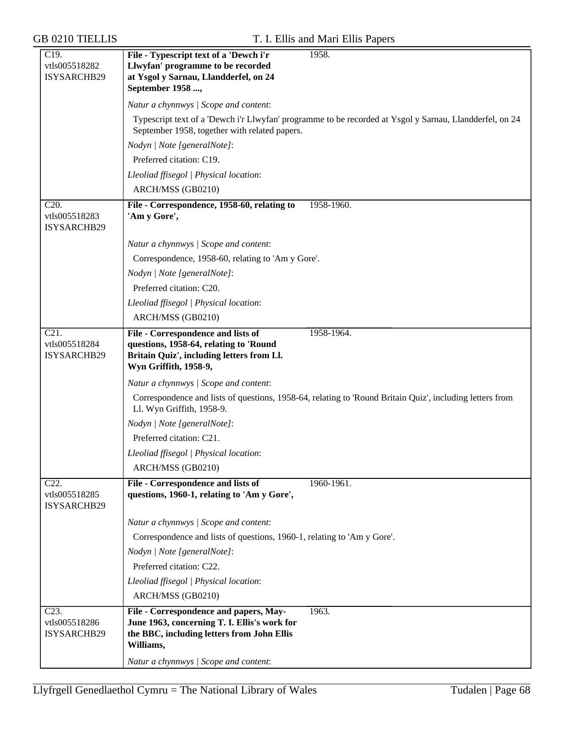| Llwyfan' programme to be recorded<br>vtls005518282<br>ISYSARCHB29<br>at Ysgol y Sarnau, Llandderfel, on 24                                                                                    |
|-----------------------------------------------------------------------------------------------------------------------------------------------------------------------------------------------|
|                                                                                                                                                                                               |
|                                                                                                                                                                                               |
| September 1958,                                                                                                                                                                               |
| Natur a chynnwys / Scope and content:                                                                                                                                                         |
| Typescript text of a 'Dewch i'r Llwyfan' programme to be recorded at Ysgol y Sarnau, Llandderfel, on 24<br>September 1958, together with related papers.                                      |
|                                                                                                                                                                                               |
| Nodyn   Note [generalNote]:                                                                                                                                                                   |
| Preferred citation: C19.                                                                                                                                                                      |
| Lleoliad ffisegol   Physical location:                                                                                                                                                        |
| ARCH/MSS (GB0210)                                                                                                                                                                             |
| C <sub>20</sub> .<br>1958-1960.<br>File - Correspondence, 1958-60, relating to<br>vtls005518283<br>'Am y Gore',<br>ISYSARCHB29                                                                |
| Natur a chynnwys / Scope and content:                                                                                                                                                         |
| Correspondence, 1958-60, relating to 'Am y Gore'.                                                                                                                                             |
| Nodyn   Note [generalNote]:                                                                                                                                                                   |
| Preferred citation: C20.                                                                                                                                                                      |
| Lleoliad ffisegol   Physical location:                                                                                                                                                        |
| ARCH/MSS (GB0210)                                                                                                                                                                             |
| $\overline{C21}$ .<br>File - Correspondence and lists of<br>1958-1964.<br>vtls005518284<br>questions, 1958-64, relating to 'Round<br>Britain Quiz', including letters from Ll.<br>ISYSARCHB29 |
| Wyn Griffith, 1958-9,                                                                                                                                                                         |
| Natur a chynnwys / Scope and content:                                                                                                                                                         |
| Correspondence and lists of questions, 1958-64, relating to 'Round Britain Quiz', including letters from<br>Ll. Wyn Griffith, 1958-9.                                                         |
| Nodyn   Note [generalNote]:                                                                                                                                                                   |
| Preferred citation: C21.                                                                                                                                                                      |
| Lleoliad ffisegol   Physical location:                                                                                                                                                        |
| ARCH/MSS (GB0210)                                                                                                                                                                             |
| C <sub>22</sub> .<br>File - Correspondence and lists of<br>1960-1961.                                                                                                                         |
| questions, 1960-1, relating to 'Am y Gore',<br>vtls005518285<br>ISYSARCHB29                                                                                                                   |
| Natur a chynnwys / Scope and content:                                                                                                                                                         |
| Correspondence and lists of questions, 1960-1, relating to 'Am y Gore'.                                                                                                                       |
| Nodyn   Note [generalNote]:                                                                                                                                                                   |
| Preferred citation: C22.                                                                                                                                                                      |
| Lleoliad ffisegol   Physical location:                                                                                                                                                        |
| ARCH/MSS (GB0210)                                                                                                                                                                             |
| $\overline{C23}$ .<br>File - Correspondence and papers, May-<br>1963.                                                                                                                         |
| June 1963, concerning T. I. Ellis's work for<br>vtls005518286                                                                                                                                 |
| the BBC, including letters from John Ellis<br>ISYSARCHB29<br>Williams,                                                                                                                        |
| Natur a chynnwys / Scope and content:                                                                                                                                                         |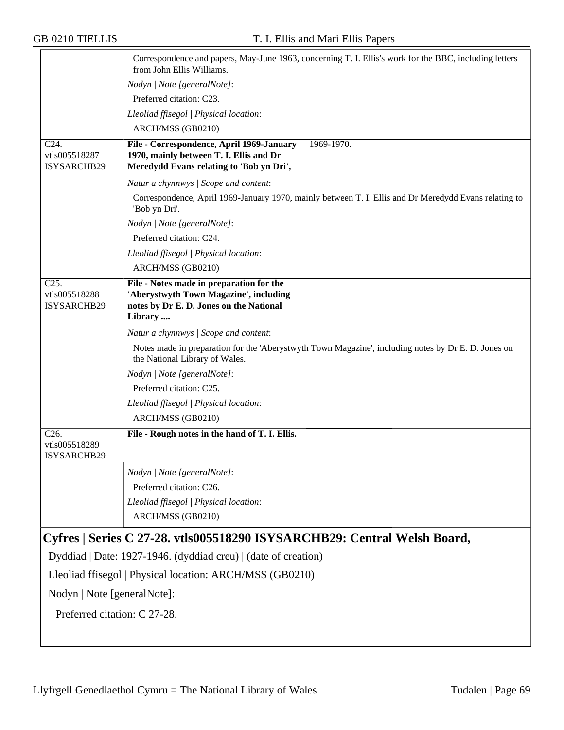|                                                          | Correspondence and papers, May-June 1963, concerning T. I. Ellis's work for the BBC, including letters<br>from John Ellis Williams.            |  |  |
|----------------------------------------------------------|------------------------------------------------------------------------------------------------------------------------------------------------|--|--|
|                                                          | Nodyn   Note [generalNote]:                                                                                                                    |  |  |
|                                                          | Preferred citation: C23.                                                                                                                       |  |  |
|                                                          | Lleoliad ffisegol   Physical location:                                                                                                         |  |  |
|                                                          | ARCH/MSS (GB0210)                                                                                                                              |  |  |
| C24.<br>vtls005518287<br>ISYSARCHB29                     | File - Correspondence, April 1969-January<br>1969-1970.<br>1970, mainly between T. I. Ellis and Dr<br>Meredydd Evans relating to 'Bob yn Dri', |  |  |
|                                                          | Natur a chynnwys / Scope and content:                                                                                                          |  |  |
|                                                          | Correspondence, April 1969-January 1970, mainly between T. I. Ellis and Dr Meredydd Evans relating to<br>'Bob yn Dri'.                         |  |  |
|                                                          | Nodyn   Note [generalNote]:                                                                                                                    |  |  |
|                                                          | Preferred citation: C24.                                                                                                                       |  |  |
|                                                          | Lleoliad ffisegol   Physical location:                                                                                                         |  |  |
|                                                          | ARCH/MSS (GB0210)                                                                                                                              |  |  |
| C25.<br>vtls005518288<br>ISYSARCHB29                     | File - Notes made in preparation for the<br>'Aberystwyth Town Magazine', including<br>notes by Dr E. D. Jones on the National<br>Library       |  |  |
|                                                          | Natur a chynnwys / Scope and content:                                                                                                          |  |  |
|                                                          | Notes made in preparation for the 'Aberystwyth Town Magazine', including notes by Dr E. D. Jones on<br>the National Library of Wales.          |  |  |
|                                                          | Nodyn   Note [generalNote]:                                                                                                                    |  |  |
|                                                          | Preferred citation: C25.                                                                                                                       |  |  |
|                                                          | Lleoliad ffisegol   Physical location:                                                                                                         |  |  |
|                                                          | ARCH/MSS (GB0210)                                                                                                                              |  |  |
| C <sub>26</sub> .<br>vtls005518289<br>ISYSARCHB29        | File - Rough notes in the hand of T. I. Ellis.                                                                                                 |  |  |
|                                                          | Nodyn   Note [generalNote]:                                                                                                                    |  |  |
|                                                          | Preferred citation: C26.                                                                                                                       |  |  |
|                                                          | Lleoliad ffisegol   Physical location:                                                                                                         |  |  |
|                                                          | ARCH/MSS (GB0210)                                                                                                                              |  |  |
|                                                          | Cyfres   Series C 27-28. vtls005518290 ISYSARCHB29: Central Welsh Board,                                                                       |  |  |
|                                                          | Dyddiad   Date: 1927-1946. (dyddiad creu)   (date of creation)                                                                                 |  |  |
| Lleoliad ffisegol   Physical location: ARCH/MSS (GB0210) |                                                                                                                                                |  |  |
| Nodyn   Note [generalNote]:                              |                                                                                                                                                |  |  |
| Preferred citation: C 27-28.                             |                                                                                                                                                |  |  |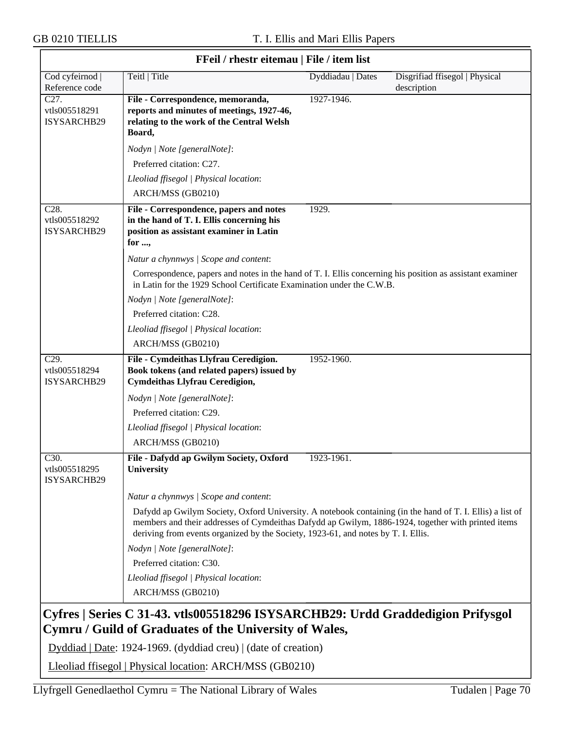$\overline{\Gamma}$ 

| <b>FFell</b> / Filestr eitemau   File / Item ilst |                                                                                                                                                                                                                                                                                                      |                   |                                               |  |
|---------------------------------------------------|------------------------------------------------------------------------------------------------------------------------------------------------------------------------------------------------------------------------------------------------------------------------------------------------------|-------------------|-----------------------------------------------|--|
| Cod cyfeirnod<br>Reference code                   | Teitl   Title                                                                                                                                                                                                                                                                                        | Dyddiadau   Dates | Disgrifiad ffisegol   Physical<br>description |  |
| C <sub>27</sub> .<br>vtls005518291<br>ISYSARCHB29 | File - Correspondence, memoranda,<br>reports and minutes of meetings, 1927-46,<br>relating to the work of the Central Welsh<br>Board,                                                                                                                                                                | 1927-1946.        |                                               |  |
|                                                   | Nodyn   Note [generalNote]:                                                                                                                                                                                                                                                                          |                   |                                               |  |
|                                                   | Preferred citation: C27.                                                                                                                                                                                                                                                                             |                   |                                               |  |
|                                                   | Lleoliad ffisegol   Physical location:                                                                                                                                                                                                                                                               |                   |                                               |  |
|                                                   | ARCH/MSS (GB0210)                                                                                                                                                                                                                                                                                    |                   |                                               |  |
| C28.<br>vtls005518292<br>ISYSARCHB29              | File - Correspondence, papers and notes<br>in the hand of T. I. Ellis concerning his<br>position as assistant examiner in Latin<br>for ,                                                                                                                                                             | 1929.             |                                               |  |
|                                                   | Natur a chynnwys / Scope and content:                                                                                                                                                                                                                                                                |                   |                                               |  |
|                                                   | Correspondence, papers and notes in the hand of T. I. Ellis concerning his position as assistant examiner<br>in Latin for the 1929 School Certificate Examination under the C.W.B.                                                                                                                   |                   |                                               |  |
|                                                   | Nodyn   Note [generalNote]:                                                                                                                                                                                                                                                                          |                   |                                               |  |
|                                                   | Preferred citation: C28.                                                                                                                                                                                                                                                                             |                   |                                               |  |
|                                                   | Lleoliad ffisegol   Physical location:                                                                                                                                                                                                                                                               |                   |                                               |  |
|                                                   | ARCH/MSS (GB0210)                                                                                                                                                                                                                                                                                    |                   |                                               |  |
| C <sub>29</sub> .<br>vtls005518294<br>ISYSARCHB29 | File - Cymdeithas Llyfrau Ceredigion.<br>Book tokens (and related papers) issued by<br><b>Cymdeithas Llyfrau Ceredigion,</b>                                                                                                                                                                         | 1952-1960.        |                                               |  |
|                                                   | Nodyn   Note [generalNote]:                                                                                                                                                                                                                                                                          |                   |                                               |  |
|                                                   | Preferred citation: C29.                                                                                                                                                                                                                                                                             |                   |                                               |  |
|                                                   | Lleoliad ffisegol   Physical location:                                                                                                                                                                                                                                                               |                   |                                               |  |
|                                                   | ARCH/MSS (GB0210)                                                                                                                                                                                                                                                                                    |                   |                                               |  |
| C30.<br>vtls005518295<br>ISYSARCHB29              | File - Dafydd ap Gwilym Society, Oxford<br>University                                                                                                                                                                                                                                                | 1923-1961.        |                                               |  |
|                                                   | Natur a chynnwys / Scope and content:                                                                                                                                                                                                                                                                |                   |                                               |  |
|                                                   | Dafydd ap Gwilym Society, Oxford University. A notebook containing (in the hand of T. I. Ellis) a list of<br>members and their addresses of Cymdeithas Dafydd ap Gwilym, 1886-1924, together with printed items<br>deriving from events organized by the Society, 1923-61, and notes by T. I. Ellis. |                   |                                               |  |
|                                                   | Nodyn   Note [generalNote]:                                                                                                                                                                                                                                                                          |                   |                                               |  |
|                                                   | Preferred citation: C30.                                                                                                                                                                                                                                                                             |                   |                                               |  |
|                                                   | Lleoliad ffisegol   Physical location:                                                                                                                                                                                                                                                               |                   |                                               |  |
|                                                   | ARCH/MSS (GB0210)                                                                                                                                                                                                                                                                                    |                   |                                               |  |
|                                                   | Cyfres   Series C 31-43. vtls005518296 ISYSARCHB29: Urdd Graddedigion Prifysgol<br>Cymru / Guild of Graduates of the University of Wales,                                                                                                                                                            |                   |                                               |  |
|                                                   | Dyddiad   Date: 1924-1969. (dyddiad creu)   (date of creation)                                                                                                                                                                                                                                       |                   |                                               |  |
|                                                   | Lleoliad ffisegol   Physical location: ARCH/MSS (GB0210)                                                                                                                                                                                                                                             |                   |                                               |  |

# **FFeil / rhestr eitemau | File / item list**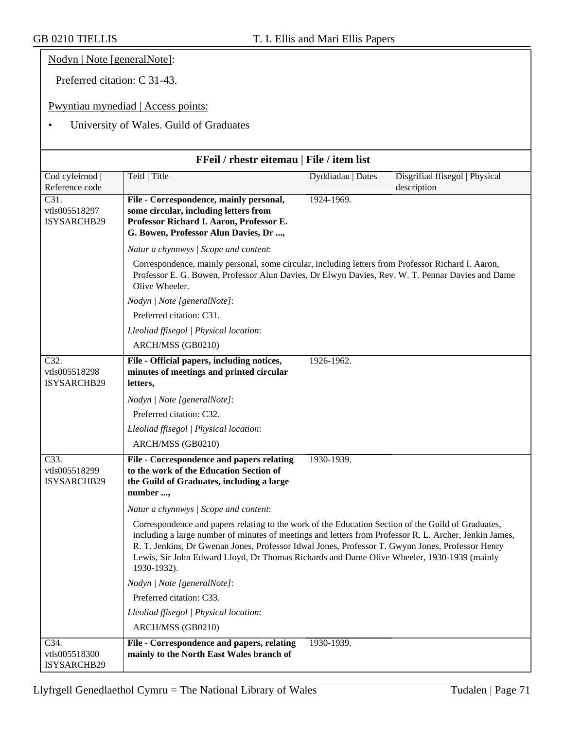Nodyn | Note [generalNote]:

Preferred citation: C 31-43.

Pwyntiau mynediad | Access points:

# • University of Wales. Guild of Graduates

| FFeil / rhestr eitemau   File / item list   |                                                                                                                                                                                                                                                                                                                                                                                                                                                                                                                                                                                                                                                                                                                              |                   |                                               |  |
|---------------------------------------------|------------------------------------------------------------------------------------------------------------------------------------------------------------------------------------------------------------------------------------------------------------------------------------------------------------------------------------------------------------------------------------------------------------------------------------------------------------------------------------------------------------------------------------------------------------------------------------------------------------------------------------------------------------------------------------------------------------------------------|-------------------|-----------------------------------------------|--|
| Cod cyfeirnod  <br>Reference code           | Teitl   Title                                                                                                                                                                                                                                                                                                                                                                                                                                                                                                                                                                                                                                                                                                                | Dyddiadau   Dates | Disgrifiad ffisegol   Physical<br>description |  |
| C31.<br>vtls005518297<br>ISYSARCHB29        | File - Correspondence, mainly personal,<br>some circular, including letters from<br>Professor Richard I. Aaron, Professor E.<br>G. Bowen, Professor Alun Davies, Dr,                                                                                                                                                                                                                                                                                                                                                                                                                                                                                                                                                         | 1924-1969.        |                                               |  |
|                                             | Natur a chynnwys / Scope and content:                                                                                                                                                                                                                                                                                                                                                                                                                                                                                                                                                                                                                                                                                        |                   |                                               |  |
|                                             | Correspondence, mainly personal, some circular, including letters from Professor Richard I. Aaron,<br>Professor E. G. Bowen, Professor Alun Davies, Dr Elwyn Davies, Rev. W. T. Pennar Davies and Dame<br>Olive Wheeler.                                                                                                                                                                                                                                                                                                                                                                                                                                                                                                     |                   |                                               |  |
|                                             | Nodyn   Note [generalNote]:                                                                                                                                                                                                                                                                                                                                                                                                                                                                                                                                                                                                                                                                                                  |                   |                                               |  |
|                                             | Preferred citation: C31.                                                                                                                                                                                                                                                                                                                                                                                                                                                                                                                                                                                                                                                                                                     |                   |                                               |  |
|                                             | Lleoliad ffisegol   Physical location:                                                                                                                                                                                                                                                                                                                                                                                                                                                                                                                                                                                                                                                                                       |                   |                                               |  |
|                                             | ARCH/MSS (GB0210)                                                                                                                                                                                                                                                                                                                                                                                                                                                                                                                                                                                                                                                                                                            |                   |                                               |  |
| C32.<br>vtls005518298<br><b>ISYSARCHB29</b> | File - Official papers, including notices,<br>minutes of meetings and printed circular<br>letters,                                                                                                                                                                                                                                                                                                                                                                                                                                                                                                                                                                                                                           | 1926-1962.        |                                               |  |
|                                             | Nodyn   Note [generalNote]:                                                                                                                                                                                                                                                                                                                                                                                                                                                                                                                                                                                                                                                                                                  |                   |                                               |  |
|                                             | Preferred citation: C32.                                                                                                                                                                                                                                                                                                                                                                                                                                                                                                                                                                                                                                                                                                     |                   |                                               |  |
|                                             | Lleoliad ffisegol   Physical location:                                                                                                                                                                                                                                                                                                                                                                                                                                                                                                                                                                                                                                                                                       |                   |                                               |  |
|                                             | ARCH/MSS (GB0210)                                                                                                                                                                                                                                                                                                                                                                                                                                                                                                                                                                                                                                                                                                            |                   |                                               |  |
| C33.<br>vtls005518299<br>ISYSARCHB29        | File - Correspondence and papers relating<br>to the work of the Education Section of<br>the Guild of Graduates, including a large<br>number ,<br>Natur a chynnwys / Scope and content:<br>Correspondence and papers relating to the work of the Education Section of the Guild of Graduates,<br>including a large number of minutes of meetings and letters from Professor R. L. Archer, Jenkin James,<br>R. T. Jenkins, Dr Gwenan Jones, Professor Idwal Jones, Professor T. Gwynn Jones, Professor Henry<br>Lewis, Sir John Edward Lloyd, Dr Thomas Richards and Dame Olive Wheeler, 1930-1939 (mainly<br>1930-1932).<br>Nodyn   Note [generalNote]:<br>Preferred citation: C33.<br>Lleoliad ffisegol   Physical location: | 1930-1939.        |                                               |  |
|                                             | ARCH/MSS (GB0210)                                                                                                                                                                                                                                                                                                                                                                                                                                                                                                                                                                                                                                                                                                            |                   |                                               |  |
|                                             |                                                                                                                                                                                                                                                                                                                                                                                                                                                                                                                                                                                                                                                                                                                              |                   |                                               |  |
| C34.<br>vtls005518300<br>ISYSARCHB29        | File - Correspondence and papers, relating<br>mainly to the North East Wales branch of                                                                                                                                                                                                                                                                                                                                                                                                                                                                                                                                                                                                                                       | 1930-1939.        |                                               |  |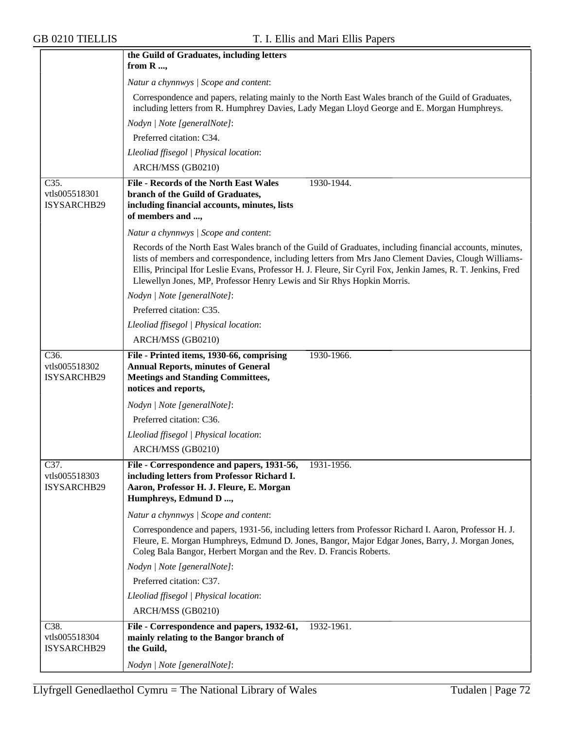|                                      | the Guild of Graduates, including letters                                                                                                                                                                                                                                                                                                                                                                   |
|--------------------------------------|-------------------------------------------------------------------------------------------------------------------------------------------------------------------------------------------------------------------------------------------------------------------------------------------------------------------------------------------------------------------------------------------------------------|
|                                      | from R ,                                                                                                                                                                                                                                                                                                                                                                                                    |
|                                      | Natur a chynnwys / Scope and content:                                                                                                                                                                                                                                                                                                                                                                       |
|                                      | Correspondence and papers, relating mainly to the North East Wales branch of the Guild of Graduates,<br>including letters from R. Humphrey Davies, Lady Megan Lloyd George and E. Morgan Humphreys.                                                                                                                                                                                                         |
|                                      | Nodyn   Note [generalNote]:                                                                                                                                                                                                                                                                                                                                                                                 |
|                                      | Preferred citation: C34.                                                                                                                                                                                                                                                                                                                                                                                    |
|                                      | Lleoliad ffisegol   Physical location:                                                                                                                                                                                                                                                                                                                                                                      |
|                                      | ARCH/MSS (GB0210)                                                                                                                                                                                                                                                                                                                                                                                           |
| C35.<br>vtls005518301<br>ISYSARCHB29 | <b>File - Records of the North East Wales</b><br>1930-1944.<br>branch of the Guild of Graduates,<br>including financial accounts, minutes, lists<br>of members and ,                                                                                                                                                                                                                                        |
|                                      | Natur a chynnwys / Scope and content:                                                                                                                                                                                                                                                                                                                                                                       |
|                                      | Records of the North East Wales branch of the Guild of Graduates, including financial accounts, minutes,<br>lists of members and correspondence, including letters from Mrs Jano Clement Davies, Clough Williams-<br>Ellis, Principal Ifor Leslie Evans, Professor H. J. Fleure, Sir Cyril Fox, Jenkin James, R. T. Jenkins, Fred<br>Llewellyn Jones, MP, Professor Henry Lewis and Sir Rhys Hopkin Morris. |
|                                      | Nodyn   Note [generalNote]:                                                                                                                                                                                                                                                                                                                                                                                 |
|                                      | Preferred citation: C35.                                                                                                                                                                                                                                                                                                                                                                                    |
|                                      | Lleoliad ffisegol   Physical location:                                                                                                                                                                                                                                                                                                                                                                      |
|                                      | ARCH/MSS (GB0210)                                                                                                                                                                                                                                                                                                                                                                                           |
| C36.<br>vtls005518302<br>ISYSARCHB29 | File - Printed items, 1930-66, comprising<br>1930-1966.<br><b>Annual Reports, minutes of General</b><br><b>Meetings and Standing Committees,</b><br>notices and reports,                                                                                                                                                                                                                                    |
|                                      | Nodyn   Note [generalNote]:                                                                                                                                                                                                                                                                                                                                                                                 |
|                                      | Preferred citation: C36.                                                                                                                                                                                                                                                                                                                                                                                    |
|                                      | Lleoliad ffisegol   Physical location:                                                                                                                                                                                                                                                                                                                                                                      |
|                                      | ARCH/MSS (GB0210)                                                                                                                                                                                                                                                                                                                                                                                           |
| C37.<br>vtls005518303<br>ISYSARCHB29 | File - Correspondence and papers, 1931-56,<br>1931-1956.<br>including letters from Professor Richard I.<br>Aaron, Professor H. J. Fleure, E. Morgan<br>Humphreys, Edmund D ,                                                                                                                                                                                                                                |
|                                      | Natur a chynnwys / Scope and content:                                                                                                                                                                                                                                                                                                                                                                       |
|                                      | Correspondence and papers, 1931-56, including letters from Professor Richard I. Aaron, Professor H. J.<br>Fleure, E. Morgan Humphreys, Edmund D. Jones, Bangor, Major Edgar Jones, Barry, J. Morgan Jones,<br>Coleg Bala Bangor, Herbert Morgan and the Rev. D. Francis Roberts.                                                                                                                            |
|                                      | Nodyn   Note [generalNote]:                                                                                                                                                                                                                                                                                                                                                                                 |
|                                      | Preferred citation: C37.                                                                                                                                                                                                                                                                                                                                                                                    |
|                                      | Lleoliad ffisegol   Physical location:                                                                                                                                                                                                                                                                                                                                                                      |
|                                      | ARCH/MSS (GB0210)                                                                                                                                                                                                                                                                                                                                                                                           |
| C38.<br>vtls005518304<br>ISYSARCHB29 | File - Correspondence and papers, 1932-61,<br>1932-1961.<br>mainly relating to the Bangor branch of<br>the Guild,                                                                                                                                                                                                                                                                                           |
|                                      | Nodyn   Note [generalNote]:                                                                                                                                                                                                                                                                                                                                                                                 |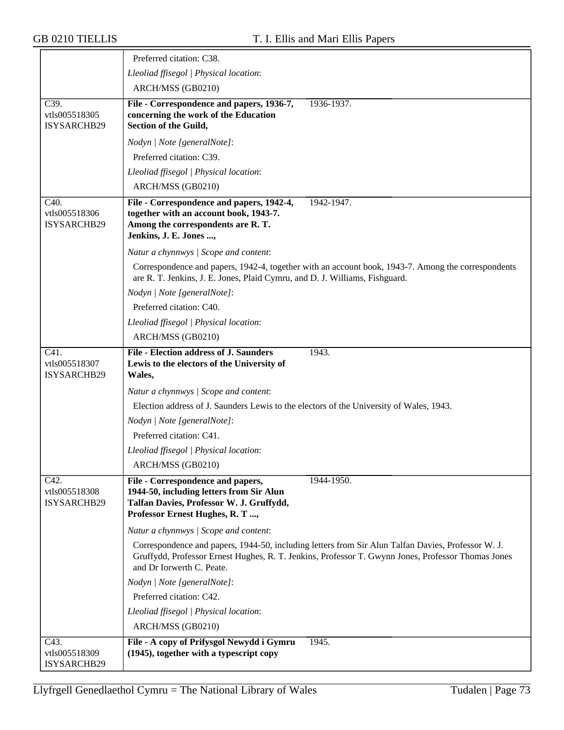|                                                   | Preferred citation: C38.                                                                                                                                                                                                              |
|---------------------------------------------------|---------------------------------------------------------------------------------------------------------------------------------------------------------------------------------------------------------------------------------------|
|                                                   | Lleoliad ffisegol   Physical location:                                                                                                                                                                                                |
|                                                   | ARCH/MSS (GB0210)                                                                                                                                                                                                                     |
| C39.<br>vtls005518305<br>ISYSARCHB29              | File - Correspondence and papers, 1936-7,<br>1936-1937.<br>concerning the work of the Education<br>Section of the Guild,                                                                                                              |
|                                                   | Nodyn   Note [generalNote]:                                                                                                                                                                                                           |
|                                                   | Preferred citation: C39.                                                                                                                                                                                                              |
|                                                   | Lleoliad ffisegol   Physical location:                                                                                                                                                                                                |
|                                                   | ARCH/MSS (GB0210)                                                                                                                                                                                                                     |
| C40.<br>vtls005518306<br>ISYSARCHB29              | File - Correspondence and papers, 1942-4,<br>1942-1947.<br>together with an account book, 1943-7.<br>Among the correspondents are R.T.<br>Jenkins, J. E. Jones ,                                                                      |
|                                                   | Natur a chynnwys / Scope and content:                                                                                                                                                                                                 |
|                                                   | Correspondence and papers, 1942-4, together with an account book, 1943-7. Among the correspondents<br>are R. T. Jenkins, J. E. Jones, Plaid Cymru, and D. J. Williams, Fishguard.                                                     |
|                                                   | Nodyn   Note [generalNote]:                                                                                                                                                                                                           |
|                                                   | Preferred citation: C40.                                                                                                                                                                                                              |
|                                                   | Lleoliad ffisegol   Physical location:                                                                                                                                                                                                |
|                                                   | ARCH/MSS (GB0210)                                                                                                                                                                                                                     |
| C41.<br>vtls005518307<br>ISYSARCHB29              | <b>File - Election address of J. Saunders</b><br>1943.<br>Lewis to the electors of the University of<br>Wales,                                                                                                                        |
|                                                   | Natur a chynnwys / Scope and content:                                                                                                                                                                                                 |
|                                                   | Election address of J. Saunders Lewis to the electors of the University of Wales, 1943.                                                                                                                                               |
|                                                   | Nodyn   Note [generalNote]:                                                                                                                                                                                                           |
|                                                   | Preferred citation: C41.                                                                                                                                                                                                              |
|                                                   | Lleoliad ffisegol   Physical location:                                                                                                                                                                                                |
|                                                   | ARCH/MSS (GB0210)                                                                                                                                                                                                                     |
| C42.<br>vtls005518308<br>ISYSARCHB29              | File - Correspondence and papers,<br>1944-1950.<br>1944-50, including letters from Sir Alun<br>Talfan Davies, Professor W. J. Gruffydd,<br>Professor Ernest Hughes, R. T ,                                                            |
|                                                   | Natur a chynnwys / Scope and content:                                                                                                                                                                                                 |
|                                                   | Correspondence and papers, 1944-50, including letters from Sir Alun Talfan Davies, Professor W. J.<br>Gruffydd, Professor Ernest Hughes, R. T. Jenkins, Professor T. Gwynn Jones, Professor Thomas Jones<br>and Dr Iorwerth C. Peate. |
|                                                   | Nodyn   Note [generalNote]:                                                                                                                                                                                                           |
|                                                   | Preferred citation: C42.                                                                                                                                                                                                              |
|                                                   | Lleoliad ffisegol   Physical location:                                                                                                                                                                                                |
|                                                   | ARCH/MSS (GB0210)                                                                                                                                                                                                                     |
| C <sub>43</sub> .<br>vtls005518309<br>ISYSARCHB29 | File - A copy of Prifysgol Newydd i Gymru<br>1945.<br>(1945), together with a typescript copy                                                                                                                                         |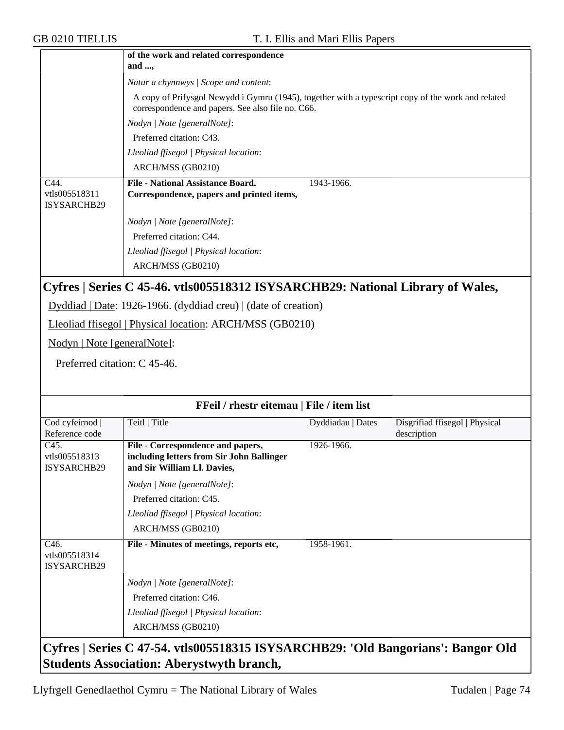|                                      | of the work and related correspondence<br>and $,$                                                                                                       |  |  |  |  |
|--------------------------------------|---------------------------------------------------------------------------------------------------------------------------------------------------------|--|--|--|--|
|                                      | Natur a chynnwys / Scope and content:                                                                                                                   |  |  |  |  |
|                                      | A copy of Prifysgol Newydd i Gymru (1945), together with a typescript copy of the work and related<br>correspondence and papers. See also file no. C66. |  |  |  |  |
|                                      | Nodyn   Note [generalNote]:                                                                                                                             |  |  |  |  |
|                                      | Preferred citation: C43.                                                                                                                                |  |  |  |  |
|                                      | Lleoliad ffisegol   Physical location:                                                                                                                  |  |  |  |  |
|                                      | ARCH/MSS (GB0210)                                                                                                                                       |  |  |  |  |
| C44.<br>vtls005518311<br>ISYSARCHB29 | <b>File - National Assistance Board.</b><br>1943-1966.<br>Correspondence, papers and printed items,                                                     |  |  |  |  |
|                                      | Nodyn   Note [generalNote]:                                                                                                                             |  |  |  |  |
|                                      | Preferred citation: C44.                                                                                                                                |  |  |  |  |
|                                      | Lleoliad ffisegol   Physical location:                                                                                                                  |  |  |  |  |
|                                      | ARCH/MSS (GB0210)                                                                                                                                       |  |  |  |  |

### **Cyfres | Series C 45-46. vtls005518312 ISYSARCHB29: National Library of Wales,**

Dyddiad | Date: 1926-1966. (dyddiad creu) | (date of creation)

Lleoliad ffisegol | Physical location: ARCH/MSS (GB0210)

Nodyn | Note [generalNote]:

Preferred citation: C 45-46.

| FFeil / rhestr eitemau   File / item list                                        |                                                                                                                        |                   |                                               |
|----------------------------------------------------------------------------------|------------------------------------------------------------------------------------------------------------------------|-------------------|-----------------------------------------------|
| Cod cyfeirnod  <br>Reference code                                                | Teitl   Title                                                                                                          | Dyddiadau   Dates | Disgrifiad ffisegol   Physical<br>description |
| C45.<br>vtls005518313<br>ISYSARCHB29                                             | File - Correspondence and papers,<br>including letters from Sir John Ballinger<br>and Sir William Ll. Davies,          | 1926-1966.        |                                               |
|                                                                                  | Nodyn   Note [generalNote]:<br>Preferred citation: C45.<br>Lleoliad ffisegol   Physical location:<br>ARCH/MSS (GB0210) |                   |                                               |
| C <sub>46</sub> .<br>vtls005518314<br><b>ISYSARCHB29</b>                         | File - Minutes of meetings, reports etc,                                                                               | 1958-1961.        |                                               |
|                                                                                  | Nodyn   Note [generalNote]:                                                                                            |                   |                                               |
|                                                                                  | Preferred citation: C46.                                                                                               |                   |                                               |
|                                                                                  | Lleoliad ffisegol   Physical location:<br>ARCH/MSS (GB0210)                                                            |                   |                                               |
| Cyfres   Series C 47-54. vtls005518315 ISYSARCHB29: 'Old Bangorians': Bangor Old |                                                                                                                        |                   |                                               |

**Students Association: Aberystwyth branch,**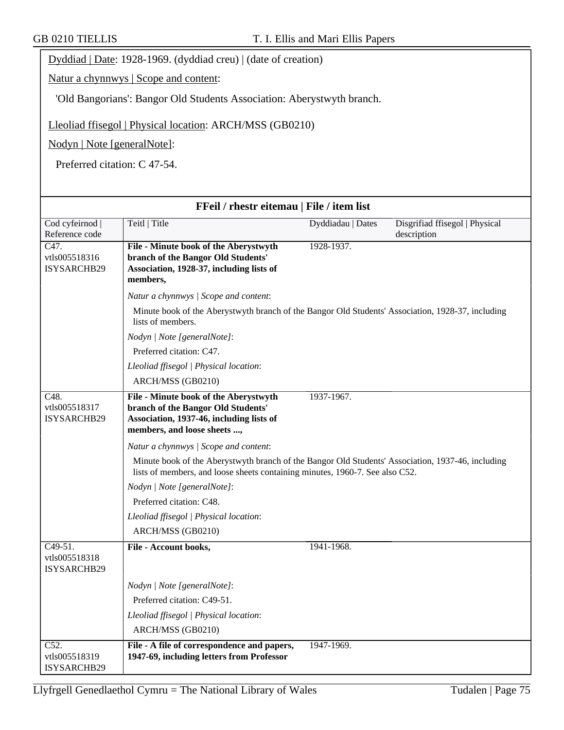Dyddiad | Date: 1928-1969. (dyddiad creu) | (date of creation)

Natur a chynnwys | Scope and content:

'Old Bangorians': Bangor Old Students Association: Aberystwyth branch.

Lleoliad ffisegol | Physical location: ARCH/MSS (GB0210)

Nodyn | Note [generalNote]:

Preferred citation: C 47-54.

| FFeil / rhestr eitemau   File / item list                 |                                                                                                                                                                                   |                   |                                               |  |
|-----------------------------------------------------------|-----------------------------------------------------------------------------------------------------------------------------------------------------------------------------------|-------------------|-----------------------------------------------|--|
| Cod cyfeirnod<br>Reference code                           | Teitl   Title                                                                                                                                                                     | Dyddiadau   Dates | Disgrifiad ffisegol   Physical<br>description |  |
| $\overline{C47}$ .<br>vtls005518316<br>ISYSARCHB29        | File - Minute book of the Aberystwyth<br>branch of the Bangor Old Students'<br>Association, 1928-37, including lists of<br>members,                                               | 1928-1937.        |                                               |  |
|                                                           | Natur a chynnwys / Scope and content:                                                                                                                                             |                   |                                               |  |
|                                                           | Minute book of the Aberystwyth branch of the Bangor Old Students' Association, 1928-37, including<br>lists of members.                                                            |                   |                                               |  |
|                                                           | Nodyn   Note [generalNote]:                                                                                                                                                       |                   |                                               |  |
|                                                           | Preferred citation: C47.                                                                                                                                                          |                   |                                               |  |
|                                                           | Lleoliad ffisegol   Physical location:                                                                                                                                            |                   |                                               |  |
|                                                           | ARCH/MSS (GB0210)                                                                                                                                                                 |                   |                                               |  |
| $\overline{C48}$ .<br>vtls005518317<br><b>ISYSARCHB29</b> | File - Minute book of the Aberystwyth<br>branch of the Bangor Old Students'<br>Association, 1937-46, including lists of<br>members, and loose sheets ,                            | 1937-1967.        |                                               |  |
|                                                           | Natur a chynnwys / Scope and content:                                                                                                                                             |                   |                                               |  |
|                                                           | Minute book of the Aberystwyth branch of the Bangor Old Students' Association, 1937-46, including<br>lists of members, and loose sheets containing minutes, 1960-7. See also C52. |                   |                                               |  |
|                                                           | Nodyn   Note [generalNote]:                                                                                                                                                       |                   |                                               |  |
|                                                           | Preferred citation: C48.                                                                                                                                                          |                   |                                               |  |
|                                                           | Lleoliad ffisegol   Physical location:                                                                                                                                            |                   |                                               |  |
|                                                           | ARCH/MSS (GB0210)                                                                                                                                                                 |                   |                                               |  |
| $C49-51.$<br>vtls005518318<br><b>ISYSARCHB29</b>          | File - Account books,                                                                                                                                                             | 1941-1968.        |                                               |  |
|                                                           | Nodyn   Note [generalNote]:                                                                                                                                                       |                   |                                               |  |
|                                                           | Preferred citation: C49-51.                                                                                                                                                       |                   |                                               |  |
|                                                           | Lleoliad ffisegol   Physical location:                                                                                                                                            |                   |                                               |  |
|                                                           | ARCH/MSS (GB0210)                                                                                                                                                                 |                   |                                               |  |
| C52.<br>vtls005518319<br><b>ISYSARCHB29</b>               | File - A file of correspondence and papers,<br>1947-69, including letters from Professor                                                                                          | 1947-1969.        |                                               |  |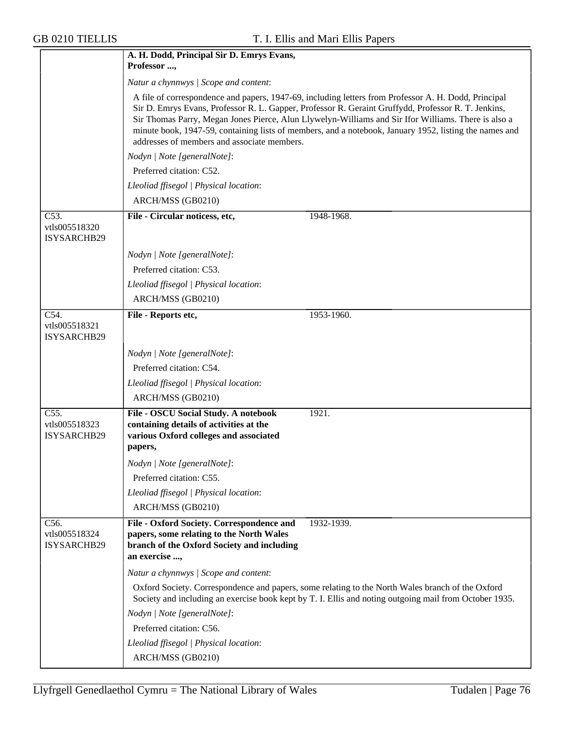|                                                    | A. H. Dodd, Principal Sir D. Emrys Evans,                                                                                                                                                                                                                                                                                                                                                                                                                                   |  |  |  |  |
|----------------------------------------------------|-----------------------------------------------------------------------------------------------------------------------------------------------------------------------------------------------------------------------------------------------------------------------------------------------------------------------------------------------------------------------------------------------------------------------------------------------------------------------------|--|--|--|--|
|                                                    | Professor ,                                                                                                                                                                                                                                                                                                                                                                                                                                                                 |  |  |  |  |
|                                                    | Natur a chynnwys / Scope and content:                                                                                                                                                                                                                                                                                                                                                                                                                                       |  |  |  |  |
|                                                    | A file of correspondence and papers, 1947-69, including letters from Professor A. H. Dodd, Principal<br>Sir D. Emrys Evans, Professor R. L. Gapper, Professor R. Geraint Gruffydd, Professor R. T. Jenkins,<br>Sir Thomas Parry, Megan Jones Pierce, Alun Llywelyn-Williams and Sir Ifor Williams. There is also a<br>minute book, 1947-59, containing lists of members, and a notebook, January 1952, listing the names and<br>addresses of members and associate members. |  |  |  |  |
|                                                    | Nodyn   Note [generalNote]:                                                                                                                                                                                                                                                                                                                                                                                                                                                 |  |  |  |  |
|                                                    | Preferred citation: C52.                                                                                                                                                                                                                                                                                                                                                                                                                                                    |  |  |  |  |
|                                                    | Lleoliad ffisegol   Physical location:                                                                                                                                                                                                                                                                                                                                                                                                                                      |  |  |  |  |
|                                                    | ARCH/MSS (GB0210)                                                                                                                                                                                                                                                                                                                                                                                                                                                           |  |  |  |  |
| C53.                                               | File - Circular noticess, etc,<br>1948-1968.                                                                                                                                                                                                                                                                                                                                                                                                                                |  |  |  |  |
| vtls005518320<br>ISYSARCHB29                       |                                                                                                                                                                                                                                                                                                                                                                                                                                                                             |  |  |  |  |
|                                                    | Nodyn   Note [generalNote]:                                                                                                                                                                                                                                                                                                                                                                                                                                                 |  |  |  |  |
|                                                    | Preferred citation: C53.                                                                                                                                                                                                                                                                                                                                                                                                                                                    |  |  |  |  |
|                                                    | Lleoliad ffisegol   Physical location:                                                                                                                                                                                                                                                                                                                                                                                                                                      |  |  |  |  |
|                                                    | ARCH/MSS (GB0210)                                                                                                                                                                                                                                                                                                                                                                                                                                                           |  |  |  |  |
| C54.<br>vtls005518321<br>ISYSARCHB29               | File - Reports etc,<br>1953-1960.                                                                                                                                                                                                                                                                                                                                                                                                                                           |  |  |  |  |
|                                                    | Nodyn   Note [generalNote]:                                                                                                                                                                                                                                                                                                                                                                                                                                                 |  |  |  |  |
|                                                    | Preferred citation: C54.                                                                                                                                                                                                                                                                                                                                                                                                                                                    |  |  |  |  |
|                                                    | Lleoliad ffisegol   Physical location:                                                                                                                                                                                                                                                                                                                                                                                                                                      |  |  |  |  |
|                                                    | ARCH/MSS (GB0210)                                                                                                                                                                                                                                                                                                                                                                                                                                                           |  |  |  |  |
| $\overline{C55}$ .<br>vtls005518323<br>ISYSARCHB29 | File - OSCU Social Study. A notebook<br>1921.<br>containing details of activities at the<br>various Oxford colleges and associated<br>papers,                                                                                                                                                                                                                                                                                                                               |  |  |  |  |
|                                                    | Nodyn   Note [generalNote]:                                                                                                                                                                                                                                                                                                                                                                                                                                                 |  |  |  |  |
|                                                    | Preferred citation: C55.                                                                                                                                                                                                                                                                                                                                                                                                                                                    |  |  |  |  |
|                                                    | Lleoliad ffisegol   Physical location:                                                                                                                                                                                                                                                                                                                                                                                                                                      |  |  |  |  |
|                                                    | ARCH/MSS (GB0210)                                                                                                                                                                                                                                                                                                                                                                                                                                                           |  |  |  |  |
| C56.<br>vtls005518324<br><b>ISYSARCHB29</b>        | File - Oxford Society. Correspondence and<br>1932-1939.<br>papers, some relating to the North Wales<br>branch of the Oxford Society and including<br>an exercise ,                                                                                                                                                                                                                                                                                                          |  |  |  |  |
|                                                    | Natur a chynnwys / Scope and content:                                                                                                                                                                                                                                                                                                                                                                                                                                       |  |  |  |  |
|                                                    | Oxford Society. Correspondence and papers, some relating to the North Wales branch of the Oxford<br>Society and including an exercise book kept by T. I. Ellis and noting outgoing mail from October 1935.                                                                                                                                                                                                                                                                  |  |  |  |  |
|                                                    | Nodyn   Note [generalNote]:                                                                                                                                                                                                                                                                                                                                                                                                                                                 |  |  |  |  |
|                                                    | Preferred citation: C56.                                                                                                                                                                                                                                                                                                                                                                                                                                                    |  |  |  |  |
|                                                    | Lleoliad ffisegol   Physical location:                                                                                                                                                                                                                                                                                                                                                                                                                                      |  |  |  |  |
|                                                    | ARCH/MSS (GB0210)                                                                                                                                                                                                                                                                                                                                                                                                                                                           |  |  |  |  |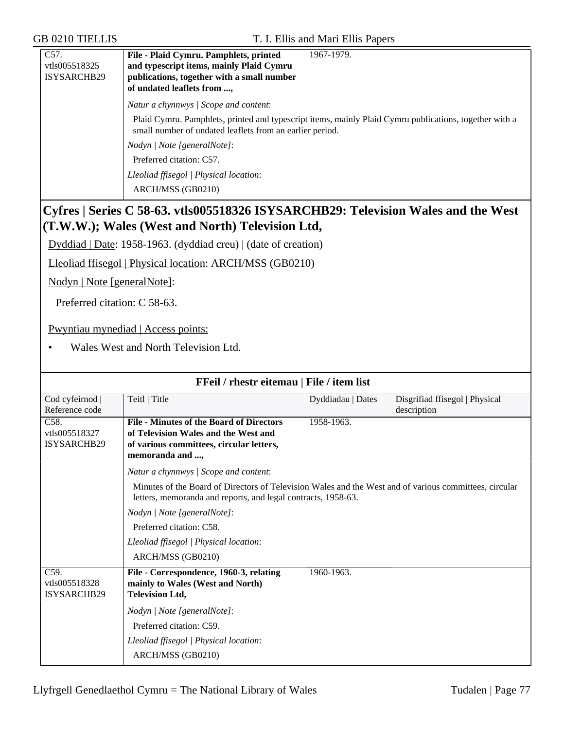| C57.               | File - Plaid Cymru. Pamphlets, printed<br>1967-1979.                                                                                                               |
|--------------------|--------------------------------------------------------------------------------------------------------------------------------------------------------------------|
| vtls005518325      | and typescript items, mainly Plaid Cymru                                                                                                                           |
| <b>ISYSARCHB29</b> | publications, together with a small number                                                                                                                         |
|                    | of undated leaflets from ,                                                                                                                                         |
|                    | Natur a chynnwys / Scope and content:                                                                                                                              |
|                    | Plaid Cymru. Pamphlets, printed and typescript items, mainly Plaid Cymru publications, together with a<br>small number of undated leaflets from an earlier period. |
|                    | Nodyn / Note [generalNote]:                                                                                                                                        |
|                    | Preferred citation: C57.                                                                                                                                           |
|                    | Lleoliad ffisegol   Physical location:                                                                                                                             |
|                    | ARCH/MSS (GB0210)                                                                                                                                                  |

# **Cyfres | Series C 58-63. vtls005518326 ISYSARCHB29: Television Wales and the West (T.W.W.); Wales (West and North) Television Ltd,**

Dyddiad | Date: 1958-1963. (dyddiad creu) | (date of creation)

Lleoliad ffisegol | Physical location: ARCH/MSS (GB0210)

Nodyn | Note [generalNote]:

Preferred citation: C 58-63.

Pwyntiau mynediad | Access points:

• Wales West and North Television Ltd.

| FFeil / rhestr eitemau   File / item list                                                             |                   |                                                                                                                                                                         |  |  |
|-------------------------------------------------------------------------------------------------------|-------------------|-------------------------------------------------------------------------------------------------------------------------------------------------------------------------|--|--|
| Teitl   Title                                                                                         | Dyddiadau   Dates | Disgrifiad ffisegol   Physical                                                                                                                                          |  |  |
|                                                                                                       |                   | description                                                                                                                                                             |  |  |
| <b>File - Minutes of the Board of Directors</b>                                                       | 1958-1963.        |                                                                                                                                                                         |  |  |
| of Television Wales and the West and                                                                  |                   |                                                                                                                                                                         |  |  |
| of various committees, circular letters,                                                              |                   |                                                                                                                                                                         |  |  |
|                                                                                                       |                   |                                                                                                                                                                         |  |  |
| Natur a chynnwys / Scope and content:                                                                 |                   |                                                                                                                                                                         |  |  |
|                                                                                                       |                   |                                                                                                                                                                         |  |  |
| Nodyn   Note [generalNote]:                                                                           |                   |                                                                                                                                                                         |  |  |
| Preferred citation: C58.                                                                              |                   |                                                                                                                                                                         |  |  |
| Lleoliad ffisegol   Physical location:                                                                |                   |                                                                                                                                                                         |  |  |
| ARCH/MSS (GB0210)                                                                                     |                   |                                                                                                                                                                         |  |  |
| File - Correspondence, 1960-3, relating<br>mainly to Wales (West and North)<br><b>Television Ltd,</b> | 1960-1963.        |                                                                                                                                                                         |  |  |
| Nodyn   Note [generalNote]:                                                                           |                   |                                                                                                                                                                         |  |  |
| Preferred citation: C59.                                                                              |                   |                                                                                                                                                                         |  |  |
| Lleoliad ffisegol   Physical location:                                                                |                   |                                                                                                                                                                         |  |  |
| ARCH/MSS (GB0210)                                                                                     |                   |                                                                                                                                                                         |  |  |
|                                                                                                       | memoranda and ,   | Minutes of the Board of Directors of Television Wales and the West and of various committees, circular<br>letters, memoranda and reports, and legal contracts, 1958-63. |  |  |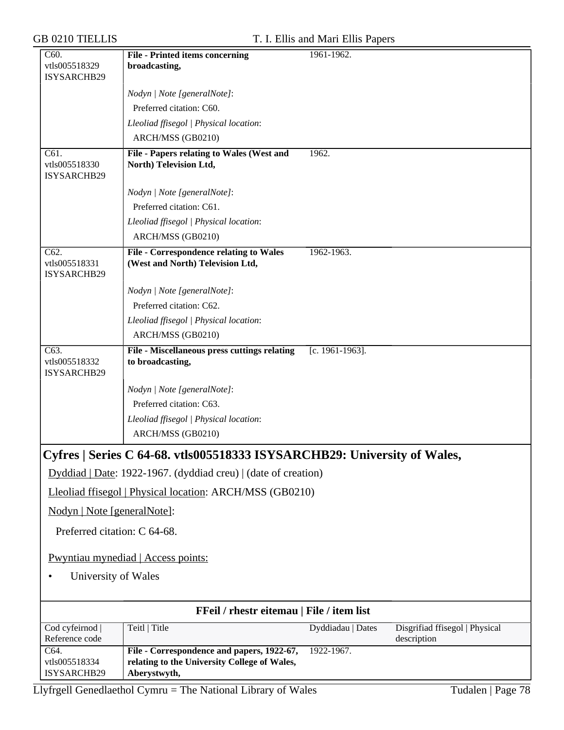| Disgrifiad ffisegol   Physical |
|--------------------------------|
|                                |
|                                |
|                                |

Llyfrgell Genedlaethol Cymru = The National Library of Wales Tudalen | Page 78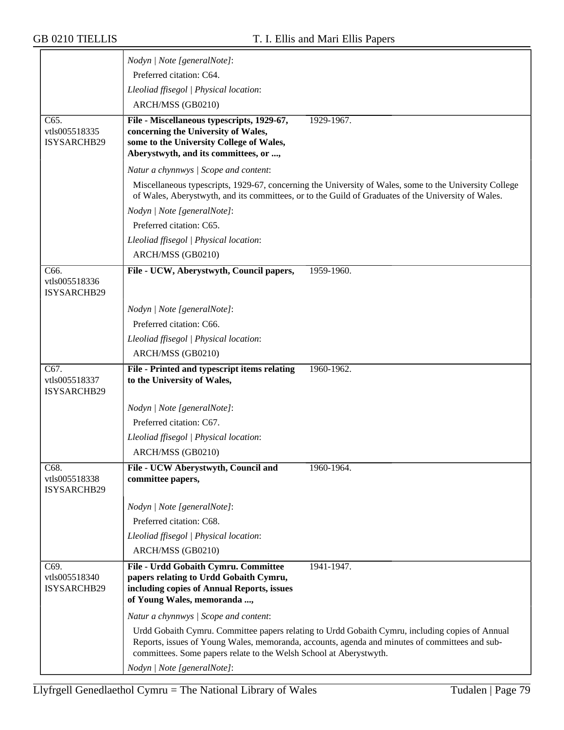|                                             | Nodyn   Note [generalNote]:                                                                                                                                                                                                                                             |
|---------------------------------------------|-------------------------------------------------------------------------------------------------------------------------------------------------------------------------------------------------------------------------------------------------------------------------|
|                                             | Preferred citation: C64.                                                                                                                                                                                                                                                |
|                                             | Lleoliad ffisegol   Physical location:                                                                                                                                                                                                                                  |
|                                             | ARCH/MSS (GB0210)                                                                                                                                                                                                                                                       |
| C65.                                        | File - Miscellaneous typescripts, 1929-67,<br>1929-1967.                                                                                                                                                                                                                |
| vtls005518335<br>ISYSARCHB29                | concerning the University of Wales,<br>some to the University College of Wales,<br>Aberystwyth, and its committees, or ,                                                                                                                                                |
|                                             | Natur a chynnwys / Scope and content:                                                                                                                                                                                                                                   |
|                                             | Miscellaneous typescripts, 1929-67, concerning the University of Wales, some to the University College<br>of Wales, Aberystwyth, and its committees, or to the Guild of Graduates of the University of Wales.                                                           |
|                                             | Nodyn   Note [generalNote]:                                                                                                                                                                                                                                             |
|                                             | Preferred citation: C65.                                                                                                                                                                                                                                                |
|                                             | Lleoliad ffisegol   Physical location:                                                                                                                                                                                                                                  |
|                                             | ARCH/MSS (GB0210)                                                                                                                                                                                                                                                       |
| C66.                                        | File - UCW, Aberystwyth, Council papers,<br>1959-1960.                                                                                                                                                                                                                  |
| vtls005518336<br>ISYSARCHB29                |                                                                                                                                                                                                                                                                         |
|                                             | Nodyn   Note [generalNote]:                                                                                                                                                                                                                                             |
|                                             | Preferred citation: C66.                                                                                                                                                                                                                                                |
|                                             | Lleoliad ffisegol   Physical location:                                                                                                                                                                                                                                  |
|                                             | ARCH/MSS (GB0210)                                                                                                                                                                                                                                                       |
|                                             |                                                                                                                                                                                                                                                                         |
| $\overline{C67}$ .                          | File - Printed and typescript items relating<br>1960-1962.                                                                                                                                                                                                              |
| vtls005518337                               | to the University of Wales,                                                                                                                                                                                                                                             |
| ISYSARCHB29                                 |                                                                                                                                                                                                                                                                         |
|                                             | Nodyn   Note [generalNote]:                                                                                                                                                                                                                                             |
|                                             | Preferred citation: C67.                                                                                                                                                                                                                                                |
|                                             | Lleoliad ffisegol   Physical location:                                                                                                                                                                                                                                  |
|                                             | ARCH/MSS (GB0210)                                                                                                                                                                                                                                                       |
| C68.<br>vtls005518338<br><b>ISYSARCHB29</b> | File - UCW Aberystwyth, Council and<br>1960-1964.<br>committee papers,                                                                                                                                                                                                  |
|                                             | Nodyn   Note [generalNote]:                                                                                                                                                                                                                                             |
|                                             | Preferred citation: C68.                                                                                                                                                                                                                                                |
|                                             |                                                                                                                                                                                                                                                                         |
|                                             | Lleoliad ffisegol   Physical location:<br>ARCH/MSS (GB0210)                                                                                                                                                                                                             |
|                                             |                                                                                                                                                                                                                                                                         |
| C69.<br>vtls005518340<br>ISYSARCHB29        | File - Urdd Gobaith Cymru. Committee<br>1941-1947.<br>papers relating to Urdd Gobaith Cymru,<br>including copies of Annual Reports, issues<br>of Young Wales, memoranda ,                                                                                               |
|                                             | Natur a chynnwys / Scope and content:                                                                                                                                                                                                                                   |
|                                             | Urdd Gobaith Cymru. Committee papers relating to Urdd Gobaith Cymru, including copies of Annual<br>Reports, issues of Young Wales, memoranda, accounts, agenda and minutes of committees and sub-<br>committees. Some papers relate to the Welsh School at Aberystwyth. |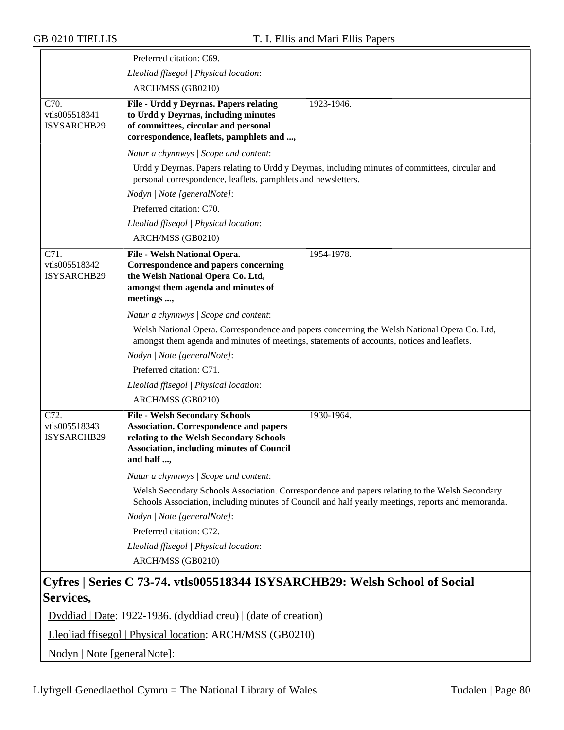|                                                    | Preferred citation: C69.                                                                                                                                                                                          |
|----------------------------------------------------|-------------------------------------------------------------------------------------------------------------------------------------------------------------------------------------------------------------------|
|                                                    | Lleoliad ffisegol   Physical location:                                                                                                                                                                            |
|                                                    | ARCH/MSS (GB0210)                                                                                                                                                                                                 |
| $\overline{C70}$ .<br>vtls005518341<br>ISYSARCHB29 | File - Urdd y Deyrnas. Papers relating<br>1923-1946.<br>to Urdd y Deyrnas, including minutes<br>of committees, circular and personal<br>correspondence, leaflets, pamphlets and ,                                 |
|                                                    | Natur a chynnwys / Scope and content:                                                                                                                                                                             |
|                                                    | Urdd y Deyrnas. Papers relating to Urdd y Deyrnas, including minutes of committees, circular and<br>personal correspondence, leaflets, pamphlets and newsletters.                                                 |
|                                                    | Nodyn   Note [generalNote]:                                                                                                                                                                                       |
|                                                    | Preferred citation: C70.                                                                                                                                                                                          |
|                                                    | Lleoliad ffisegol   Physical location:                                                                                                                                                                            |
|                                                    | ARCH/MSS (GB0210)                                                                                                                                                                                                 |
| C71.<br>vtls005518342<br>ISYSARCHB29               | 1954-1978.<br>File - Welsh National Opera.<br><b>Correspondence and papers concerning</b><br>the Welsh National Opera Co. Ltd,<br>amongst them agenda and minutes of<br>meetings ,                                |
|                                                    | Natur a chynnwys / Scope and content:                                                                                                                                                                             |
|                                                    | Welsh National Opera. Correspondence and papers concerning the Welsh National Opera Co. Ltd,<br>amongst them agenda and minutes of meetings, statements of accounts, notices and leaflets.                        |
|                                                    | Nodyn   Note [generalNote]:                                                                                                                                                                                       |
|                                                    | Preferred citation: C71.                                                                                                                                                                                          |
|                                                    | Lleoliad ffisegol   Physical location:                                                                                                                                                                            |
|                                                    | ARCH/MSS (GB0210)                                                                                                                                                                                                 |
| C72.<br>vtls005518343<br>ISYSARCHB29               | <b>File - Welsh Secondary Schools</b><br>1930-1964.<br><b>Association. Correspondence and papers</b><br>relating to the Welsh Secondary Schools<br><b>Association, including minutes of Council</b><br>and half , |
|                                                    | Natur a chynnwys / Scope and content:                                                                                                                                                                             |
|                                                    | Welsh Secondary Schools Association. Correspondence and papers relating to the Welsh Secondary<br>Schools Association, including minutes of Council and half yearly meetings, reports and memoranda.              |
|                                                    | Nodyn   Note [generalNote]:                                                                                                                                                                                       |
|                                                    | Preferred citation: C72.                                                                                                                                                                                          |
|                                                    | Lleoliad ffisegol   Physical location:                                                                                                                                                                            |
|                                                    | ARCH/MSS (GB0210)                                                                                                                                                                                                 |
| Services,                                          | Cyfres   Series C 73-74. vtls005518344 ISYSARCHB29: Welsh School of Social<br>Dyddiad   Date: 1922-1936. (dyddiad creu)   (date of creation)                                                                      |

Lleoliad ffisegol | Physical location: ARCH/MSS (GB0210)

Nodyn | Note [generalNote]: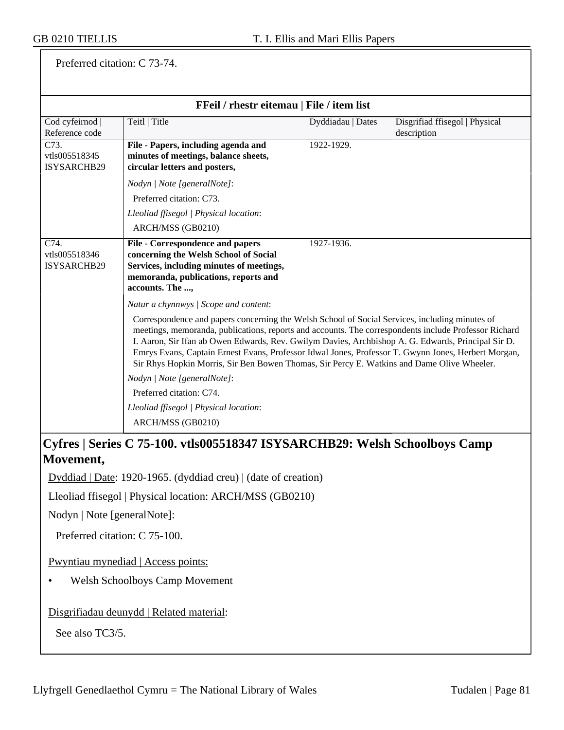Preferred citation: C 73-74.

| FFeil / rhestr eitemau   File / item list          |                                                                                                                                                                                                                                                                                                                                                                                                                                                                                                                                                             |                   |                                               |
|----------------------------------------------------|-------------------------------------------------------------------------------------------------------------------------------------------------------------------------------------------------------------------------------------------------------------------------------------------------------------------------------------------------------------------------------------------------------------------------------------------------------------------------------------------------------------------------------------------------------------|-------------------|-----------------------------------------------|
| Cod cyfeirnod  <br>Reference code                  | Teitl   Title                                                                                                                                                                                                                                                                                                                                                                                                                                                                                                                                               | Dyddiadau   Dates | Disgrifiad ffisegol   Physical<br>description |
| $\overline{C73}$ .<br>vtls005518345<br>ISYSARCHB29 | File - Papers, including agenda and<br>minutes of meetings, balance sheets,<br>circular letters and posters,                                                                                                                                                                                                                                                                                                                                                                                                                                                | 1922-1929.        |                                               |
|                                                    | Nodyn   Note [generalNote]:<br>Preferred citation: C73.<br>Lleoliad ffisegol   Physical location:<br>ARCH/MSS (GB0210)                                                                                                                                                                                                                                                                                                                                                                                                                                      |                   |                                               |
| C74.<br>vtls005518346<br>ISYSARCHB29               | File - Correspondence and papers<br>concerning the Welsh School of Social<br>Services, including minutes of meetings,<br>memoranda, publications, reports and<br>accounts. The ,                                                                                                                                                                                                                                                                                                                                                                            | 1927-1936.        |                                               |
|                                                    | Natur a chynnwys / Scope and content:<br>Correspondence and papers concerning the Welsh School of Social Services, including minutes of<br>meetings, memoranda, publications, reports and accounts. The correspondents include Professor Richard<br>I. Aaron, Sir Ifan ab Owen Edwards, Rev. Gwilym Davies, Archbishop A. G. Edwards, Principal Sir D.<br>Emrys Evans, Captain Ernest Evans, Professor Idwal Jones, Professor T. Gwynn Jones, Herbert Morgan,<br>Sir Rhys Hopkin Morris, Sir Ben Bowen Thomas, Sir Percy E. Watkins and Dame Olive Wheeler. |                   |                                               |
|                                                    | Nodyn   Note [generalNote]:<br>Preferred citation: C74.                                                                                                                                                                                                                                                                                                                                                                                                                                                                                                     |                   |                                               |
|                                                    | Lleoliad ffisegol   Physical location:                                                                                                                                                                                                                                                                                                                                                                                                                                                                                                                      |                   |                                               |
|                                                    | ARCH/MSS (GB0210)                                                                                                                                                                                                                                                                                                                                                                                                                                                                                                                                           |                   |                                               |
|                                                    | Cyfros   Sorios C 75-100 ytls005518347 ISVSA DCHR20, Wolsh Schoolhovs Comp                                                                                                                                                                                                                                                                                                                                                                                                                                                                                  |                   |                                               |

#### **Cyfres | Series C 75-100. vtls005518347 ISYSARCHB29: Welsh Schoolboys Camp Movement,**

Dyddiad | Date: 1920-1965. (dyddiad creu) | (date of creation)

Lleoliad ffisegol | Physical location: ARCH/MSS (GB0210)

Nodyn | Note [generalNote]:

Preferred citation: C 75-100.

Pwyntiau mynediad | Access points:

• Welsh Schoolboys Camp Movement

Disgrifiadau deunydd | Related material:

See also TC3/5.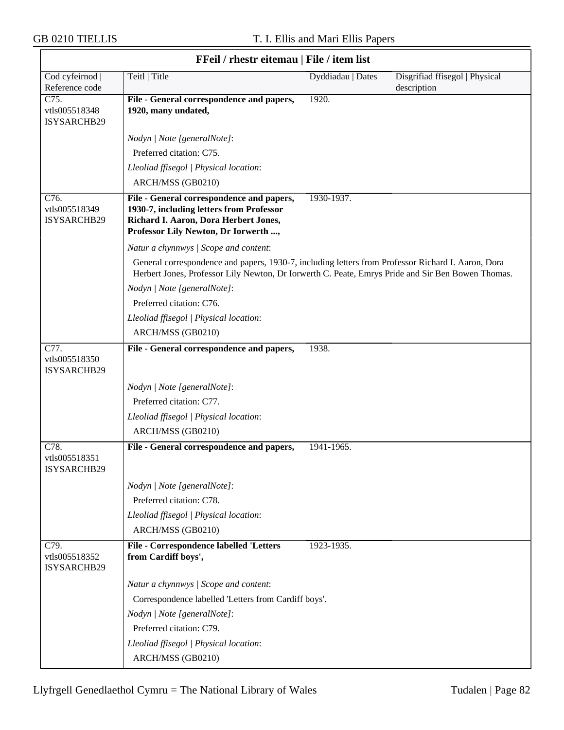$\overline{\phantom{a}}$ 

| FFeil / rhestr eitemau   File / item list |                                                                                                                                                                                                         |                   |                                               |  |
|-------------------------------------------|---------------------------------------------------------------------------------------------------------------------------------------------------------------------------------------------------------|-------------------|-----------------------------------------------|--|
| Cod cyfeirnod  <br>Reference code         | Teitl   Title                                                                                                                                                                                           | Dyddiadau   Dates | Disgrifiad ffisegol   Physical<br>description |  |
| C75.<br>vtls005518348<br>ISYSARCHB29      | File - General correspondence and papers,<br>1920, many undated,                                                                                                                                        | 1920.             |                                               |  |
|                                           | Nodyn   Note [generalNote]:                                                                                                                                                                             |                   |                                               |  |
|                                           | Preferred citation: C75.                                                                                                                                                                                |                   |                                               |  |
|                                           | Lleoliad ffisegol   Physical location:                                                                                                                                                                  |                   |                                               |  |
|                                           | ARCH/MSS (GB0210)                                                                                                                                                                                       |                   |                                               |  |
| C76.<br>vtls005518349<br>ISYSARCHB29      | File - General correspondence and papers,<br>1930-7, including letters from Professor<br>Richard I. Aaron, Dora Herbert Jones,<br>Professor Lily Newton, Dr Iorwerth ,                                  | 1930-1937.        |                                               |  |
|                                           | Natur a chynnwys / Scope and content:                                                                                                                                                                   |                   |                                               |  |
|                                           | General correspondence and papers, 1930-7, including letters from Professor Richard I. Aaron, Dora<br>Herbert Jones, Professor Lily Newton, Dr Iorwerth C. Peate, Emrys Pride and Sir Ben Bowen Thomas. |                   |                                               |  |
|                                           | Nodyn   Note [generalNote]:                                                                                                                                                                             |                   |                                               |  |
|                                           | Preferred citation: C76.                                                                                                                                                                                |                   |                                               |  |
|                                           | Lleoliad ffisegol   Physical location:                                                                                                                                                                  |                   |                                               |  |
|                                           | ARCH/MSS (GB0210)                                                                                                                                                                                       |                   |                                               |  |
| C77.<br>vtls005518350<br>ISYSARCHB29      | File - General correspondence and papers,                                                                                                                                                               | 1938.             |                                               |  |
|                                           | Nodyn   Note [generalNote]:                                                                                                                                                                             |                   |                                               |  |
|                                           | Preferred citation: C77.                                                                                                                                                                                |                   |                                               |  |
|                                           | Lleoliad ffisegol   Physical location:                                                                                                                                                                  |                   |                                               |  |
|                                           | ARCH/MSS (GB0210)                                                                                                                                                                                       |                   |                                               |  |
| C78.<br>vtls005518351<br>ISYSARCHB29      | File - General correspondence and papers,                                                                                                                                                               | 1941-1965.        |                                               |  |
|                                           | Nodyn   Note [generalNote]:                                                                                                                                                                             |                   |                                               |  |
|                                           | Preferred citation: C78.                                                                                                                                                                                |                   |                                               |  |
|                                           | Lleoliad ffisegol   Physical location:                                                                                                                                                                  |                   |                                               |  |
|                                           | ARCH/MSS (GB0210)                                                                                                                                                                                       |                   |                                               |  |
| C79.<br>vtls005518352<br>ISYSARCHB29      | <b>File - Correspondence labelled 'Letters</b><br>from Cardiff boys',                                                                                                                                   | 1923-1935.        |                                               |  |
|                                           | Natur a chynnwys / Scope and content:                                                                                                                                                                   |                   |                                               |  |
|                                           | Correspondence labelled 'Letters from Cardiff boys'.                                                                                                                                                    |                   |                                               |  |
|                                           | Nodyn   Note [generalNote]:                                                                                                                                                                             |                   |                                               |  |
|                                           | Preferred citation: C79.                                                                                                                                                                                |                   |                                               |  |
|                                           | Lleoliad ffisegol   Physical location:                                                                                                                                                                  |                   |                                               |  |
|                                           | ARCH/MSS (GB0210)                                                                                                                                                                                       |                   |                                               |  |

# **FFeil / rhestr eitemau | File / item list**

٦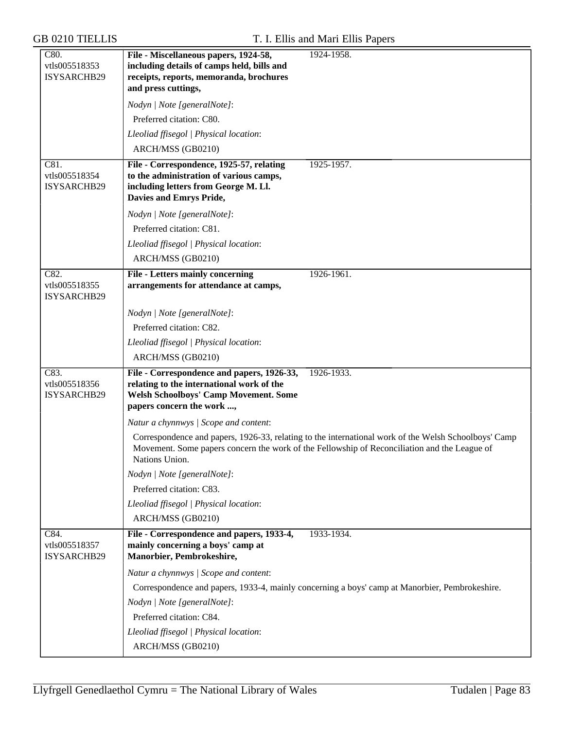| C80.<br>vtls005518353                | File - Miscellaneous papers, 1924-58,<br>including details of camps held, bills and                                                                                  | 1924-1958.                                                                                           |
|--------------------------------------|----------------------------------------------------------------------------------------------------------------------------------------------------------------------|------------------------------------------------------------------------------------------------------|
| ISYSARCHB29                          | receipts, reports, memoranda, brochures<br>and press cuttings,                                                                                                       |                                                                                                      |
|                                      | Nodyn   Note [generalNote]:                                                                                                                                          |                                                                                                      |
|                                      | Preferred citation: C80.                                                                                                                                             |                                                                                                      |
|                                      | Lleoliad ffisegol   Physical location:                                                                                                                               |                                                                                                      |
|                                      | ARCH/MSS (GB0210)                                                                                                                                                    |                                                                                                      |
| C81.<br>vtls005518354<br>ISYSARCHB29 | File - Correspondence, 1925-57, relating<br>to the administration of various camps,<br>including letters from George M. Ll.<br>Davies and Emrys Pride,               | 1925-1957.                                                                                           |
|                                      | Nodyn   Note [generalNote]:                                                                                                                                          |                                                                                                      |
|                                      | Preferred citation: C81.                                                                                                                                             |                                                                                                      |
|                                      | Lleoliad ffisegol   Physical location:                                                                                                                               |                                                                                                      |
|                                      | ARCH/MSS (GB0210)                                                                                                                                                    |                                                                                                      |
| C82.<br>vtls005518355<br>ISYSARCHB29 | <b>File - Letters mainly concerning</b><br>arrangements for attendance at camps,                                                                                     | 1926-1961.                                                                                           |
|                                      | Nodyn   Note [generalNote]:                                                                                                                                          |                                                                                                      |
|                                      | Preferred citation: C82.                                                                                                                                             |                                                                                                      |
|                                      | Lleoliad ffisegol   Physical location:                                                                                                                               |                                                                                                      |
|                                      | ARCH/MSS (GB0210)                                                                                                                                                    |                                                                                                      |
| C83.<br>vtls005518356<br>ISYSARCHB29 | File - Correspondence and papers, 1926-33,<br>relating to the international work of the<br><b>Welsh Schoolboys' Camp Movement. Some</b><br>papers concern the work , | 1926-1933.                                                                                           |
|                                      | Natur a chynnwys / Scope and content:                                                                                                                                |                                                                                                      |
|                                      | Movement. Some papers concern the work of the Fellowship of Reconciliation and the League of<br>Nations Union.                                                       | Correspondence and papers, 1926-33, relating to the international work of the Welsh Schoolboys' Camp |
|                                      | Nodyn   Note [generalNote]:                                                                                                                                          |                                                                                                      |
|                                      | Preferred citation: C83.                                                                                                                                             |                                                                                                      |
|                                      | Lleoliad ffisegol   Physical location:                                                                                                                               |                                                                                                      |
|                                      | ARCH/MSS (GB0210)                                                                                                                                                    |                                                                                                      |
| C84.<br>vtls005518357<br>ISYSARCHB29 | File - Correspondence and papers, 1933-4,<br>mainly concerning a boys' camp at<br>Manorbier, Pembrokeshire,                                                          | 1933-1934.                                                                                           |
|                                      | Natur a chynnwys / Scope and content:                                                                                                                                |                                                                                                      |
|                                      | Correspondence and papers, 1933-4, mainly concerning a boys' camp at Manorbier, Pembrokeshire.                                                                       |                                                                                                      |
|                                      | Nodyn   Note [generalNote]:                                                                                                                                          |                                                                                                      |
|                                      | Preferred citation: C84.                                                                                                                                             |                                                                                                      |
|                                      | Lleoliad ffisegol   Physical location:                                                                                                                               |                                                                                                      |
|                                      | ARCH/MSS (GB0210)                                                                                                                                                    |                                                                                                      |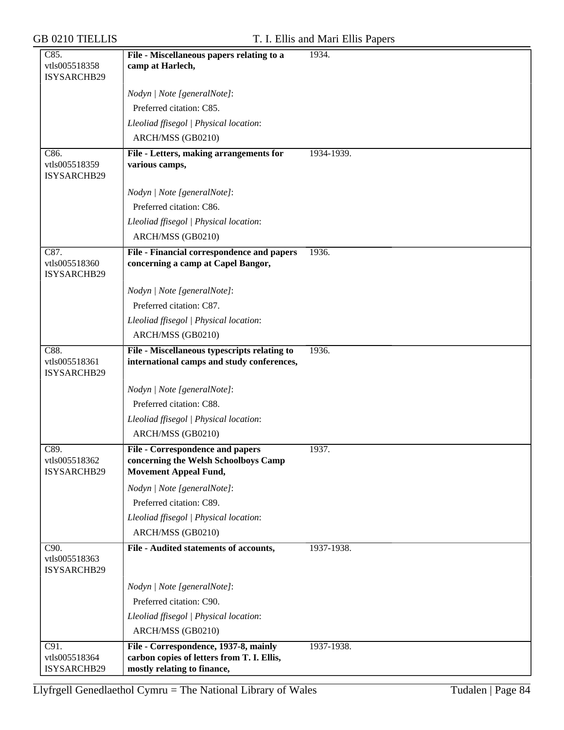| C85.                                 | File - Miscellaneous papers relating to a                                                  | 1934.      |
|--------------------------------------|--------------------------------------------------------------------------------------------|------------|
| vtls005518358                        | camp at Harlech,                                                                           |            |
| ISYSARCHB29                          |                                                                                            |            |
|                                      | Nodyn   Note [generalNote]:                                                                |            |
|                                      | Preferred citation: C85.                                                                   |            |
|                                      | Lleoliad ffisegol   Physical location:                                                     |            |
|                                      | ARCH/MSS (GB0210)                                                                          |            |
| C86.<br>vtls005518359<br>ISYSARCHB29 | File - Letters, making arrangements for<br>various camps,                                  | 1934-1939. |
|                                      | Nodyn   Note [generalNote]:                                                                |            |
|                                      | Preferred citation: C86.                                                                   |            |
|                                      | Lleoliad ffisegol   Physical location:                                                     |            |
|                                      | ARCH/MSS (GB0210)                                                                          |            |
| C87.                                 | File - Financial correspondence and papers                                                 | 1936.      |
| vtls005518360<br>ISYSARCHB29         | concerning a camp at Capel Bangor,                                                         |            |
|                                      | Nodyn   Note [generalNote]:                                                                |            |
|                                      | Preferred citation: C87.                                                                   |            |
|                                      | Lleoliad ffisegol   Physical location:                                                     |            |
|                                      | ARCH/MSS (GB0210)                                                                          |            |
| C88.<br>vtls005518361<br>ISYSARCHB29 | File - Miscellaneous typescripts relating to<br>international camps and study conferences, | 1936.      |
|                                      | Nodyn   Note [generalNote]:                                                                |            |
|                                      | Preferred citation: C88.                                                                   |            |
|                                      | Lleoliad ffisegol   Physical location:                                                     |            |
|                                      | ARCH/MSS (GB0210)                                                                          |            |
| C89.                                 | <b>File - Correspondence and papers</b>                                                    | 1937.      |
| vtls005518362<br>ISYSARCHB29         | concerning the Welsh Schoolboys Camp<br><b>Movement Appeal Fund,</b>                       |            |
|                                      | Nodyn   Note [generalNote]:                                                                |            |
|                                      | Preferred citation: C89.                                                                   |            |
|                                      | Lleoliad ffisegol   Physical location:                                                     |            |
|                                      | ARCH/MSS (GB0210)                                                                          |            |
| C90.<br>vtls005518363<br>ISYSARCHB29 | File - Audited statements of accounts,                                                     | 1937-1938. |
|                                      | Nodyn   Note [generalNote]:                                                                |            |
|                                      | Preferred citation: C90.                                                                   |            |
|                                      | Lleoliad ffisegol   Physical location:                                                     |            |
|                                      | ARCH/MSS (GB0210)                                                                          |            |
| C91.<br>vtls005518364                | File - Correspondence, 1937-8, mainly<br>carbon copies of letters from T. I. Ellis,        | 1937-1938. |
| ISYSARCHB29                          | mostly relating to finance,                                                                |            |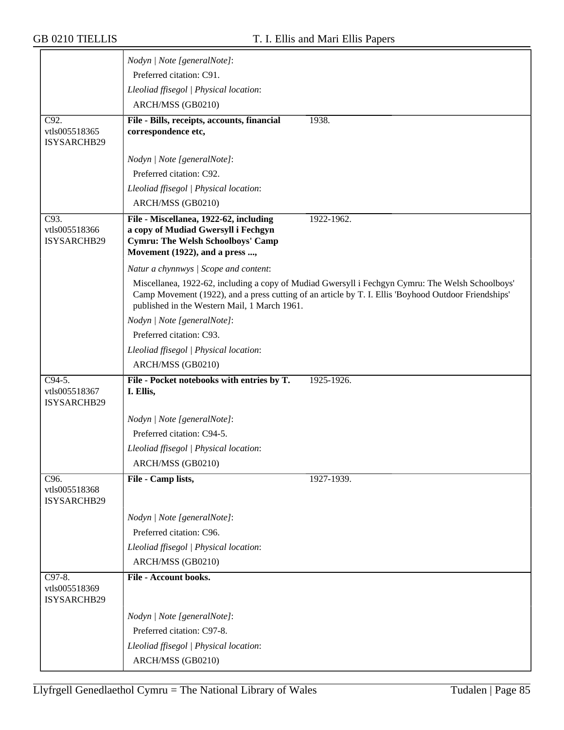|                                                    | Nodyn   Note [generalNote]:                                                                                                                                                                                                                              |
|----------------------------------------------------|----------------------------------------------------------------------------------------------------------------------------------------------------------------------------------------------------------------------------------------------------------|
|                                                    | Preferred citation: C91.                                                                                                                                                                                                                                 |
|                                                    | Lleoliad ffisegol   Physical location:                                                                                                                                                                                                                   |
|                                                    | ARCH/MSS (GB0210)                                                                                                                                                                                                                                        |
| C92.                                               | File - Bills, receipts, accounts, financial<br>1938.                                                                                                                                                                                                     |
| vtls005518365<br>ISYSARCHB29                       | correspondence etc,                                                                                                                                                                                                                                      |
|                                                    | Nodyn   Note [generalNote]:                                                                                                                                                                                                                              |
|                                                    | Preferred citation: C92.                                                                                                                                                                                                                                 |
|                                                    | Lleoliad ffisegol   Physical location:                                                                                                                                                                                                                   |
|                                                    | ARCH/MSS (GB0210)                                                                                                                                                                                                                                        |
| $\overline{C93}$ .<br>vtls005518366<br>ISYSARCHB29 | File - Miscellanea, 1922-62, including<br>1922-1962.<br>a copy of Mudiad Gwersyll i Fechgyn<br><b>Cymru: The Welsh Schoolboys' Camp</b><br>Movement (1922), and a press ,                                                                                |
|                                                    |                                                                                                                                                                                                                                                          |
|                                                    | Natur a chynnwys / Scope and content:                                                                                                                                                                                                                    |
|                                                    | Miscellanea, 1922-62, including a copy of Mudiad Gwersyll i Fechgyn Cymru: The Welsh Schoolboys'<br>Camp Movement (1922), and a press cutting of an article by T. I. Ellis 'Boyhood Outdoor Friendships'<br>published in the Western Mail, 1 March 1961. |
|                                                    | Nodyn   Note [generalNote]:                                                                                                                                                                                                                              |
|                                                    | Preferred citation: C93.                                                                                                                                                                                                                                 |
|                                                    | Lleoliad ffisegol   Physical location:                                                                                                                                                                                                                   |
|                                                    | ARCH/MSS (GB0210)                                                                                                                                                                                                                                        |
| C94-5.<br>vtls005518367<br>ISYSARCHB29             | File - Pocket notebooks with entries by T.<br>1925-1926.<br>I. Ellis,                                                                                                                                                                                    |
|                                                    | Nodyn   Note [generalNote]:                                                                                                                                                                                                                              |
|                                                    | Preferred citation: C94-5.                                                                                                                                                                                                                               |
|                                                    | Lleoliad ffisegol   Physical location:                                                                                                                                                                                                                   |
|                                                    | ARCH/MSS (GB0210)                                                                                                                                                                                                                                        |
| C96.                                               | File - Camp lists,<br>1927-1939.                                                                                                                                                                                                                         |
| vtls005518368<br>ISYSARCHB29                       |                                                                                                                                                                                                                                                          |
|                                                    | Nodyn   Note [generalNote]:                                                                                                                                                                                                                              |
|                                                    |                                                                                                                                                                                                                                                          |
|                                                    | Preferred citation: C96.                                                                                                                                                                                                                                 |
|                                                    | Lleoliad ffisegol   Physical location:                                                                                                                                                                                                                   |
|                                                    | ARCH/MSS (GB0210)                                                                                                                                                                                                                                        |
| C97-8.<br>vtls005518369<br>ISYSARCHB29             | File - Account books.                                                                                                                                                                                                                                    |
|                                                    | Nodyn   Note [generalNote]:                                                                                                                                                                                                                              |
|                                                    | Preferred citation: C97-8.                                                                                                                                                                                                                               |
|                                                    | Lleoliad ffisegol   Physical location:                                                                                                                                                                                                                   |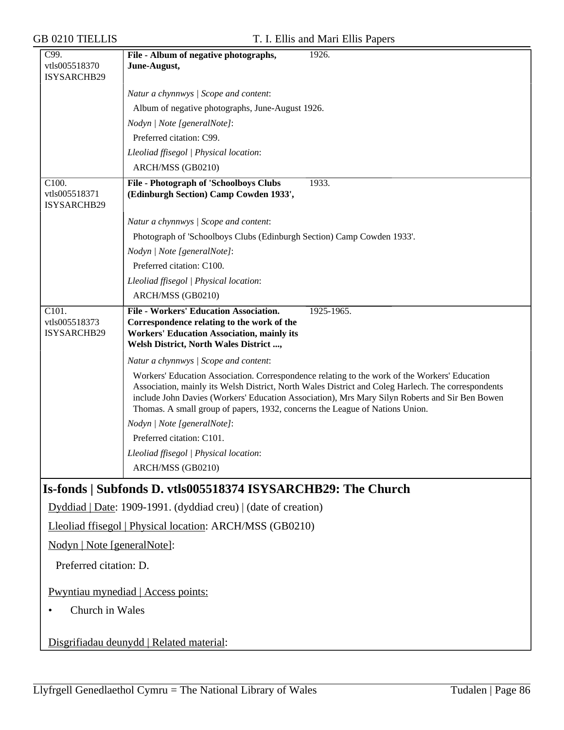| <b>GB 0210 TIELLIS</b>                | T. I. Ellis and Mari Ellis Papers                                                                                                                                                                                                                                                                                                                                                     |
|---------------------------------------|---------------------------------------------------------------------------------------------------------------------------------------------------------------------------------------------------------------------------------------------------------------------------------------------------------------------------------------------------------------------------------------|
| C99.<br>vtls005518370<br>ISYSARCHB29  | 1926.<br>File - Album of negative photographs,<br>June-August,                                                                                                                                                                                                                                                                                                                        |
|                                       | Natur a chynnwys / Scope and content:                                                                                                                                                                                                                                                                                                                                                 |
|                                       | Album of negative photographs, June-August 1926.                                                                                                                                                                                                                                                                                                                                      |
|                                       | Nodyn   Note [generalNote]:                                                                                                                                                                                                                                                                                                                                                           |
|                                       | Preferred citation: C99.                                                                                                                                                                                                                                                                                                                                                              |
|                                       | Lleoliad ffisegol   Physical location:                                                                                                                                                                                                                                                                                                                                                |
|                                       | ARCH/MSS (GB0210)                                                                                                                                                                                                                                                                                                                                                                     |
| C100.<br>vtls005518371<br>ISYSARCHB29 | File - Photograph of 'Schoolboys Clubs<br>1933.<br>(Edinburgh Section) Camp Cowden 1933',                                                                                                                                                                                                                                                                                             |
|                                       | Natur a chynnwys / Scope and content:                                                                                                                                                                                                                                                                                                                                                 |
|                                       | Photograph of 'Schoolboys Clubs (Edinburgh Section) Camp Cowden 1933'.                                                                                                                                                                                                                                                                                                                |
|                                       | Nodyn   Note [generalNote]:                                                                                                                                                                                                                                                                                                                                                           |
|                                       | Preferred citation: C100.                                                                                                                                                                                                                                                                                                                                                             |
|                                       | Lleoliad ffisegol   Physical location:                                                                                                                                                                                                                                                                                                                                                |
|                                       | ARCH/MSS (GB0210)                                                                                                                                                                                                                                                                                                                                                                     |
| C101.<br>vtls005518373<br>ISYSARCHB29 | File - Workers' Education Association.<br>1925-1965.<br>Correspondence relating to the work of the<br><b>Workers' Education Association, mainly its</b><br>Welsh District, North Wales District ,                                                                                                                                                                                     |
|                                       | Natur a chynnwys / Scope and content:                                                                                                                                                                                                                                                                                                                                                 |
|                                       | Workers' Education Association. Correspondence relating to the work of the Workers' Education<br>Association, mainly its Welsh District, North Wales District and Coleg Harlech. The correspondents<br>include John Davies (Workers' Education Association), Mrs Mary Silyn Roberts and Sir Ben Bowen<br>Thomas. A small group of papers, 1932, concerns the League of Nations Union. |
|                                       | Nodyn   Note [generalNote]:                                                                                                                                                                                                                                                                                                                                                           |
|                                       | Preferred citation: C101.                                                                                                                                                                                                                                                                                                                                                             |
|                                       | Lleoliad ffisegol   Physical location:<br>ARCH/MSS (GB0210)                                                                                                                                                                                                                                                                                                                           |
|                                       |                                                                                                                                                                                                                                                                                                                                                                                       |
|                                       | Is-fonds   Subfonds D. vtls005518374 ISYSARCHB29: The Church                                                                                                                                                                                                                                                                                                                          |
|                                       | Dyddiad   Date: 1909-1991. (dyddiad creu)   (date of creation)                                                                                                                                                                                                                                                                                                                        |
|                                       | Lleoliad ffisegol   Physical location: ARCH/MSS (GB0210)                                                                                                                                                                                                                                                                                                                              |
| Nodyn   Note [generalNote]:           |                                                                                                                                                                                                                                                                                                                                                                                       |
| Preferred citation: D.                |                                                                                                                                                                                                                                                                                                                                                                                       |
|                                       | Pwyntiau mynediad   Access points:                                                                                                                                                                                                                                                                                                                                                    |
| Church in Wales                       |                                                                                                                                                                                                                                                                                                                                                                                       |
|                                       | Disgrifiadau deunydd   Related material:                                                                                                                                                                                                                                                                                                                                              |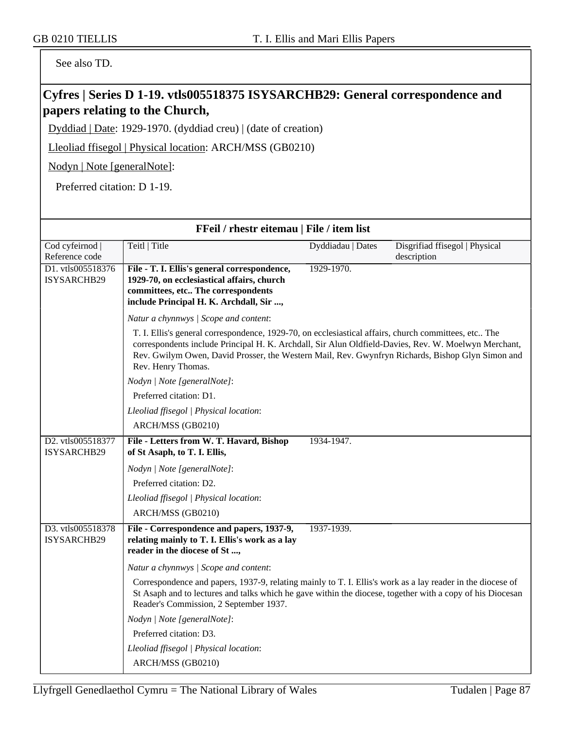See also TD.

# **Cyfres | Series D 1-19. vtls005518375 ISYSARCHB29: General correspondence and papers relating to the Church,**

Dyddiad | Date: 1929-1970. (dyddiad creu) | (date of creation)

Lleoliad ffisegol | Physical location: ARCH/MSS (GB0210)

Nodyn | Note [generalNote]:

Preferred citation: D 1-19.

| FFeil / rhestr eitemau   File / item list |                                                                                                                                                                                                                                                                                                                                        |                   |                                |  |
|-------------------------------------------|----------------------------------------------------------------------------------------------------------------------------------------------------------------------------------------------------------------------------------------------------------------------------------------------------------------------------------------|-------------------|--------------------------------|--|
| Cod cyfeirnod                             | Teitl   Title                                                                                                                                                                                                                                                                                                                          | Dyddiadau   Dates | Disgrifiad ffisegol   Physical |  |
| Reference code                            |                                                                                                                                                                                                                                                                                                                                        |                   | description                    |  |
| D1. vtls005518376<br><b>ISYSARCHB29</b>   | File - T. I. Ellis's general correspondence,<br>1929-70, on ecclesiastical affairs, church                                                                                                                                                                                                                                             | 1929-1970.        |                                |  |
|                                           | committees, etc The correspondents                                                                                                                                                                                                                                                                                                     |                   |                                |  |
|                                           | include Principal H. K. Archdall, Sir ,                                                                                                                                                                                                                                                                                                |                   |                                |  |
|                                           | Natur a chynnwys / Scope and content:                                                                                                                                                                                                                                                                                                  |                   |                                |  |
|                                           | T. I. Ellis's general correspondence, 1929-70, on ecclesiastical affairs, church committees, etc The<br>correspondents include Principal H. K. Archdall, Sir Alun Oldfield-Davies, Rev. W. Moelwyn Merchant,<br>Rev. Gwilym Owen, David Prosser, the Western Mail, Rev. Gwynfryn Richards, Bishop Glyn Simon and<br>Rev. Henry Thomas. |                   |                                |  |
|                                           | Nodyn   Note [generalNote]:                                                                                                                                                                                                                                                                                                            |                   |                                |  |
|                                           | Preferred citation: D1.                                                                                                                                                                                                                                                                                                                |                   |                                |  |
|                                           | Lleoliad ffisegol   Physical location:                                                                                                                                                                                                                                                                                                 |                   |                                |  |
|                                           | ARCH/MSS (GB0210)                                                                                                                                                                                                                                                                                                                      |                   |                                |  |
| D2. vtls005518377<br>ISYSARCHB29          | File - Letters from W. T. Havard, Bishop<br>of St Asaph, to T. I. Ellis,                                                                                                                                                                                                                                                               | 1934-1947.        |                                |  |
|                                           | Nodyn   Note [generalNote]:                                                                                                                                                                                                                                                                                                            |                   |                                |  |
|                                           | Preferred citation: D2.                                                                                                                                                                                                                                                                                                                |                   |                                |  |
|                                           | Lleoliad ffisegol   Physical location:                                                                                                                                                                                                                                                                                                 |                   |                                |  |
|                                           | ARCH/MSS (GB0210)                                                                                                                                                                                                                                                                                                                      |                   |                                |  |
| D3. vtls005518378<br>ISYSARCHB29          | File - Correspondence and papers, 1937-9,<br>relating mainly to T. I. Ellis's work as a lay<br>reader in the diocese of St ,                                                                                                                                                                                                           | 1937-1939.        |                                |  |
|                                           | Natur a chynnwys / Scope and content:                                                                                                                                                                                                                                                                                                  |                   |                                |  |
|                                           | Correspondence and papers, 1937-9, relating mainly to T. I. Ellis's work as a lay reader in the diocese of<br>St Asaph and to lectures and talks which he gave within the diocese, together with a copy of his Diocesan<br>Reader's Commission, 2 September 1937.                                                                      |                   |                                |  |
|                                           | Nodyn   Note [generalNote]:                                                                                                                                                                                                                                                                                                            |                   |                                |  |
|                                           | Preferred citation: D3.                                                                                                                                                                                                                                                                                                                |                   |                                |  |
|                                           | Lleoliad ffisegol   Physical location:                                                                                                                                                                                                                                                                                                 |                   |                                |  |
|                                           | ARCH/MSS (GB0210)                                                                                                                                                                                                                                                                                                                      |                   |                                |  |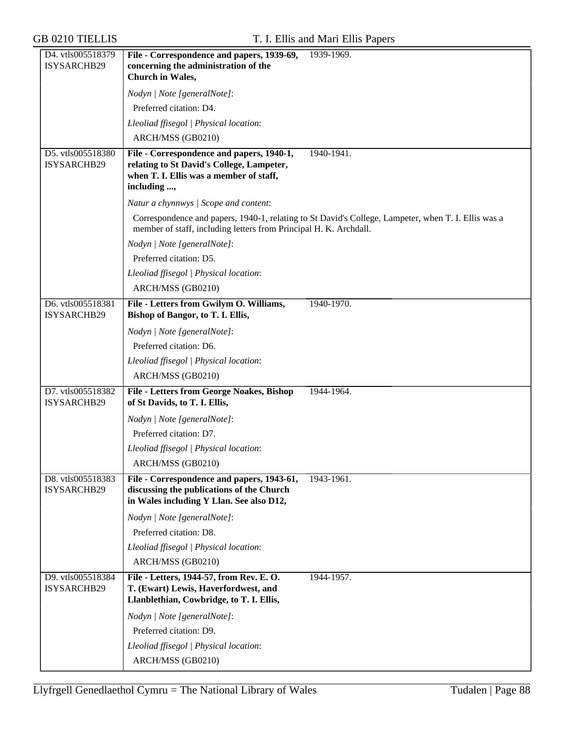| D4. vtls005518379<br>ISYSARCHB29 | File - Correspondence and papers, 1939-69,<br>concerning the administration of the                                           | 1939-1969.                                                                                          |
|----------------------------------|------------------------------------------------------------------------------------------------------------------------------|-----------------------------------------------------------------------------------------------------|
|                                  | <b>Church</b> in Wales,                                                                                                      |                                                                                                     |
|                                  | Nodyn   Note [generalNote]:                                                                                                  |                                                                                                     |
|                                  | Preferred citation: D4.                                                                                                      |                                                                                                     |
|                                  | Lleoliad ffisegol   Physical location:                                                                                       |                                                                                                     |
|                                  | ARCH/MSS (GB0210)                                                                                                            |                                                                                                     |
| D5. vtls005518380                | File - Correspondence and papers, 1940-1,                                                                                    | 1940-1941.                                                                                          |
| ISYSARCHB29                      | relating to St David's College, Lampeter,                                                                                    |                                                                                                     |
|                                  | when T. I. Ellis was a member of staff,<br>including ,                                                                       |                                                                                                     |
|                                  | Natur a chynnwys / Scope and content:                                                                                        |                                                                                                     |
|                                  |                                                                                                                              | Correspondence and papers, 1940-1, relating to St David's College, Lampeter, when T. I. Ellis was a |
|                                  | member of staff, including letters from Principal H. K. Archdall.                                                            |                                                                                                     |
|                                  | Nodyn   Note [generalNote]:                                                                                                  |                                                                                                     |
|                                  | Preferred citation: D5.                                                                                                      |                                                                                                     |
|                                  | Lleoliad ffisegol   Physical location:                                                                                       |                                                                                                     |
|                                  | ARCH/MSS (GB0210)                                                                                                            |                                                                                                     |
| D6. vtls005518381                | File - Letters from Gwilym O. Williams,                                                                                      | 1940-1970.                                                                                          |
| ISYSARCHB29                      | Bishop of Bangor, to T. I. Ellis,                                                                                            |                                                                                                     |
|                                  | Nodyn   Note [generalNote]:                                                                                                  |                                                                                                     |
|                                  | Preferred citation: D6.                                                                                                      |                                                                                                     |
|                                  | Lleoliad ffisegol   Physical location:                                                                                       |                                                                                                     |
|                                  | ARCH/MSS (GB0210)                                                                                                            |                                                                                                     |
| D7. vtls005518382<br>ISYSARCHB29 | <b>File - Letters from George Noakes, Bishop</b><br>of St Davids, to T. I. Ellis,                                            | 1944-1964.                                                                                          |
|                                  | Nodyn   Note [generalNote]:                                                                                                  |                                                                                                     |
|                                  | Preferred citation: D7.                                                                                                      |                                                                                                     |
|                                  | Lleoliad ffisegol   Physical location:                                                                                       |                                                                                                     |
|                                  | ARCH/MSS (GB0210)                                                                                                            |                                                                                                     |
| D8. vtls005518383                | File - Correspondence and papers, 1943-61,                                                                                   | 1943-1961.                                                                                          |
| ISYSARCHB29                      | discussing the publications of the Church<br>in Wales including Y Llan. See also D12,                                        |                                                                                                     |
|                                  | Nodyn   Note [generalNote]:                                                                                                  |                                                                                                     |
|                                  | Preferred citation: D8.                                                                                                      |                                                                                                     |
|                                  | Lleoliad ffisegol   Physical location:                                                                                       |                                                                                                     |
|                                  | ARCH/MSS (GB0210)                                                                                                            |                                                                                                     |
| D9. vtls005518384<br>ISYSARCHB29 | File - Letters, 1944-57, from Rev. E. O.<br>T. (Ewart) Lewis, Haverfordwest, and<br>Llanblethian, Cowbridge, to T. I. Ellis, | 1944-1957.                                                                                          |
|                                  | Nodyn   Note [generalNote]:                                                                                                  |                                                                                                     |
|                                  | Preferred citation: D9.                                                                                                      |                                                                                                     |
|                                  | Lleoliad ffisegol   Physical location:                                                                                       |                                                                                                     |
|                                  | ARCH/MSS (GB0210)                                                                                                            |                                                                                                     |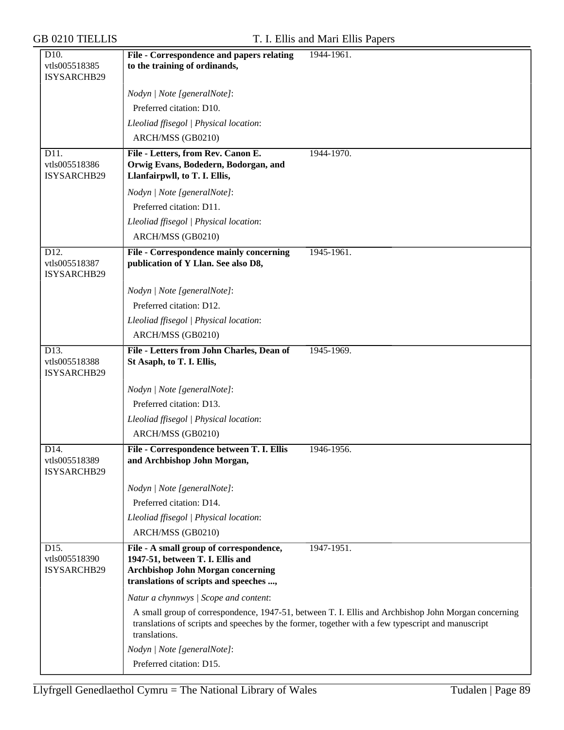| D10.                         | File - Correspondence and papers relating                                                                              | 1944-1961.                                                                                          |
|------------------------------|------------------------------------------------------------------------------------------------------------------------|-----------------------------------------------------------------------------------------------------|
| vtls005518385                | to the training of ordinands,                                                                                          |                                                                                                     |
| ISYSARCHB29                  |                                                                                                                        |                                                                                                     |
|                              | Nodyn   Note [generalNote]:                                                                                            |                                                                                                     |
|                              | Preferred citation: D10.                                                                                               |                                                                                                     |
|                              | Lleoliad ffisegol   Physical location:                                                                                 |                                                                                                     |
|                              | ARCH/MSS (GB0210)                                                                                                      |                                                                                                     |
| D11.                         | File - Letters, from Rev. Canon E.                                                                                     | 1944-1970.                                                                                          |
| vtls005518386<br>ISYSARCHB29 | Orwig Evans, Bodedern, Bodorgan, and<br>Llanfairpwll, to T. I. Ellis,                                                  |                                                                                                     |
|                              | Nodyn   Note [generalNote]:                                                                                            |                                                                                                     |
|                              | Preferred citation: D11.                                                                                               |                                                                                                     |
|                              | Lleoliad ffisegol   Physical location:                                                                                 |                                                                                                     |
|                              | ARCH/MSS (GB0210)                                                                                                      |                                                                                                     |
| D <sub>12</sub> .            | File - Correspondence mainly concerning                                                                                | 1945-1961.                                                                                          |
| vtls005518387<br>ISYSARCHB29 | publication of Y Llan. See also D8,                                                                                    |                                                                                                     |
|                              | Nodyn   Note [generalNote]:                                                                                            |                                                                                                     |
|                              | Preferred citation: D12.                                                                                               |                                                                                                     |
|                              | Lleoliad ffisegol   Physical location:                                                                                 |                                                                                                     |
|                              | ARCH/MSS (GB0210)                                                                                                      |                                                                                                     |
| D13.                         | File - Letters from John Charles, Dean of                                                                              | 1945-1969.                                                                                          |
| vtls005518388<br>ISYSARCHB29 | St Asaph, to T. I. Ellis,                                                                                              |                                                                                                     |
|                              | Nodyn   Note [generalNote]:                                                                                            |                                                                                                     |
|                              | Preferred citation: D13.                                                                                               |                                                                                                     |
|                              | Lleoliad ffisegol   Physical location:                                                                                 |                                                                                                     |
|                              | ARCH/MSS (GB0210)                                                                                                      |                                                                                                     |
| D <sub>14</sub> .            | File - Correspondence between T. I. Ellis                                                                              | 1946-1956.                                                                                          |
| vtls005518389<br>ISYSARCHB29 | and Archbishop John Morgan,                                                                                            |                                                                                                     |
|                              | Nodyn   Note [generalNote]:                                                                                            |                                                                                                     |
|                              | Preferred citation: D14.                                                                                               |                                                                                                     |
|                              | Lleoliad ffisegol   Physical location:                                                                                 |                                                                                                     |
|                              | ARCH/MSS (GB0210)                                                                                                      |                                                                                                     |
| D15.                         | File - A small group of correspondence,                                                                                | 1947-1951.                                                                                          |
| vtls005518390<br>ISYSARCHB29 | 1947-51, between T. I. Ellis and<br><b>Archbishop John Morgan concerning</b><br>translations of scripts and speeches , |                                                                                                     |
|                              | Natur a chynnwys / Scope and content:                                                                                  |                                                                                                     |
|                              |                                                                                                                        | A small group of correspondence, 1947-51, between T. I. Ellis and Archbishop John Morgan concerning |
|                              | translations.                                                                                                          | translations of scripts and speeches by the former, together with a few typescript and manuscript   |
|                              | Nodyn   Note [generalNote]:                                                                                            |                                                                                                     |
|                              | Preferred citation: D15.                                                                                               |                                                                                                     |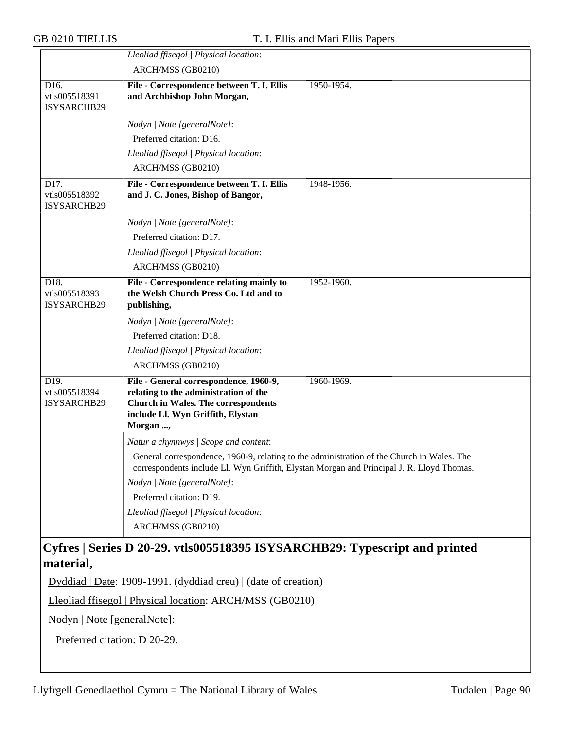|                                                   | Lleoliad ffisegol   Physical location:                                                                                                                                         |                                                                                                                                                                                         |
|---------------------------------------------------|--------------------------------------------------------------------------------------------------------------------------------------------------------------------------------|-----------------------------------------------------------------------------------------------------------------------------------------------------------------------------------------|
|                                                   | ARCH/MSS (GB0210)                                                                                                                                                              |                                                                                                                                                                                         |
| D16.                                              | File - Correspondence between T. I. Ellis                                                                                                                                      | 1950-1954.                                                                                                                                                                              |
| vtls005518391<br>ISYSARCHB29                      | and Archbishop John Morgan,                                                                                                                                                    |                                                                                                                                                                                         |
|                                                   | Nodyn   Note [generalNote]:                                                                                                                                                    |                                                                                                                                                                                         |
|                                                   | Preferred citation: D16.                                                                                                                                                       |                                                                                                                                                                                         |
|                                                   | Lleoliad ffisegol   Physical location:                                                                                                                                         |                                                                                                                                                                                         |
|                                                   | ARCH/MSS (GB0210)                                                                                                                                                              |                                                                                                                                                                                         |
| D <sub>17</sub> .<br>vtls005518392<br>ISYSARCHB29 | File - Correspondence between T. I. Ellis<br>and J. C. Jones, Bishop of Bangor,                                                                                                | 1948-1956.                                                                                                                                                                              |
|                                                   | Nodyn   Note [generalNote]:                                                                                                                                                    |                                                                                                                                                                                         |
|                                                   | Preferred citation: D17.                                                                                                                                                       |                                                                                                                                                                                         |
|                                                   | Lleoliad ffisegol   Physical location:                                                                                                                                         |                                                                                                                                                                                         |
|                                                   | ARCH/MSS (GB0210)                                                                                                                                                              |                                                                                                                                                                                         |
| D18.<br>vtls005518393<br>ISYSARCHB29              | File - Correspondence relating mainly to<br>the Welsh Church Press Co. Ltd and to<br>publishing,                                                                               | 1952-1960.                                                                                                                                                                              |
|                                                   | Nodyn   Note [generalNote]:                                                                                                                                                    |                                                                                                                                                                                         |
|                                                   | Preferred citation: D18.                                                                                                                                                       |                                                                                                                                                                                         |
|                                                   | Lleoliad ffisegol   Physical location:                                                                                                                                         |                                                                                                                                                                                         |
|                                                   | ARCH/MSS (GB0210)                                                                                                                                                              |                                                                                                                                                                                         |
| D19.<br>vtls005518394<br>ISYSARCHB29              | File - General correspondence, 1960-9,<br>relating to the administration of the<br><b>Church in Wales. The correspondents</b><br>include Ll. Wyn Griffith, Elystan<br>Morgan , | 1960-1969.                                                                                                                                                                              |
|                                                   | Natur a chynnwys / Scope and content:                                                                                                                                          |                                                                                                                                                                                         |
|                                                   |                                                                                                                                                                                | General correspondence, 1960-9, relating to the administration of the Church in Wales. The<br>correspondents include Ll. Wyn Griffith, Elystan Morgan and Principal J. R. Lloyd Thomas. |
|                                                   | Nodyn   Note [generalNote]:                                                                                                                                                    |                                                                                                                                                                                         |
|                                                   | Preferred citation: D19.                                                                                                                                                       |                                                                                                                                                                                         |
|                                                   | Lleoliad ffisegol   Physical location:                                                                                                                                         |                                                                                                                                                                                         |
|                                                   | ARCH/MSS (GB0210)                                                                                                                                                              |                                                                                                                                                                                         |
|                                                   | Cyfres   Series D 20-29. vtls005518395 ISYSARCHB29: Typescript and printed                                                                                                     |                                                                                                                                                                                         |
| material,                                         |                                                                                                                                                                                |                                                                                                                                                                                         |

Dyddiad | Date: 1909-1991. (dyddiad creu) | (date of creation)

Lleoliad ffisegol | Physical location: ARCH/MSS (GB0210)

Nodyn | Note [generalNote]:

Preferred citation: D 20-29.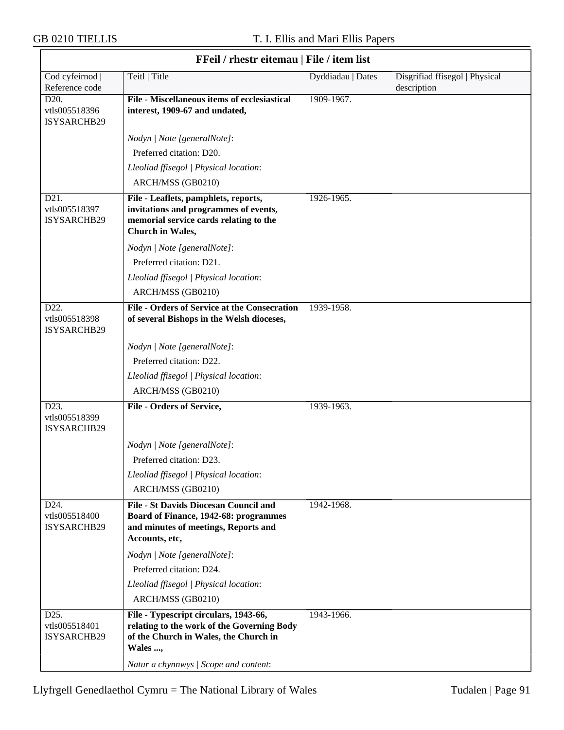$\overline{\phantom{a}}$ 

#### GB 0210 TIELLIS T. I. Ellis and Mari Ellis Papers

|                                                   | <b>FFell</b> / <b>rnestr</b> eitemau   <b>FIIE</b> / Item IIst                                                                                                                   |                   |                                               |
|---------------------------------------------------|----------------------------------------------------------------------------------------------------------------------------------------------------------------------------------|-------------------|-----------------------------------------------|
| Cod cyfeirnod<br>Reference code                   | Teitl   Title                                                                                                                                                                    | Dyddiadau   Dates | Disgrifiad ffisegol   Physical<br>description |
| D <sub>20</sub> .<br>vtls005518396<br>ISYSARCHB29 | File - Miscellaneous items of ecclesiastical<br>interest, 1909-67 and undated,                                                                                                   | 1909-1967.        |                                               |
|                                                   | Nodyn   Note [generalNote]:                                                                                                                                                      |                   |                                               |
|                                                   | Preferred citation: D20.                                                                                                                                                         |                   |                                               |
|                                                   | Lleoliad ffisegol   Physical location:                                                                                                                                           |                   |                                               |
|                                                   | ARCH/MSS (GB0210)                                                                                                                                                                |                   |                                               |
| D21.<br>vtls005518397<br>ISYSARCHB29              | File - Leaflets, pamphlets, reports,<br>invitations and programmes of events,<br>memorial service cards relating to the<br>Church in Wales,                                      | 1926-1965.        |                                               |
|                                                   | Nodyn   Note [generalNote]:                                                                                                                                                      |                   |                                               |
|                                                   | Preferred citation: D21.                                                                                                                                                         |                   |                                               |
|                                                   | Lleoliad ffisegol   Physical location:                                                                                                                                           |                   |                                               |
|                                                   | ARCH/MSS (GB0210)                                                                                                                                                                |                   |                                               |
| D22.<br>vtls005518398<br>ISYSARCHB29              | <b>File - Orders of Service at the Consecration</b><br>of several Bishops in the Welsh dioceses,                                                                                 | 1939-1958.        |                                               |
|                                                   | Nodyn   Note [generalNote]:                                                                                                                                                      |                   |                                               |
|                                                   | Preferred citation: D22.                                                                                                                                                         |                   |                                               |
|                                                   | Lleoliad ffisegol   Physical location:                                                                                                                                           |                   |                                               |
|                                                   | ARCH/MSS (GB0210)                                                                                                                                                                |                   |                                               |
| D23.<br>vtls005518399<br>ISYSARCHB29              | File - Orders of Service,                                                                                                                                                        | 1939-1963.        |                                               |
|                                                   | Nodyn   Note [generalNote]:                                                                                                                                                      |                   |                                               |
|                                                   | Preferred citation: D23.                                                                                                                                                         |                   |                                               |
|                                                   | Lleoliad ffisegol   Physical location:                                                                                                                                           |                   |                                               |
|                                                   | ARCH/MSS (GB0210)                                                                                                                                                                |                   |                                               |
| D24.<br>vtls005518400<br>ISYSARCHB29              | <b>File - St Davids Diocesan Council and</b><br>Board of Finance, 1942-68: programmes<br>and minutes of meetings, Reports and<br>Accounts, etc,                                  | 1942-1968.        |                                               |
|                                                   | Nodyn   Note [generalNote]:                                                                                                                                                      |                   |                                               |
|                                                   | Preferred citation: D24.                                                                                                                                                         |                   |                                               |
|                                                   | Lleoliad ffisegol   Physical location:                                                                                                                                           |                   |                                               |
|                                                   | ARCH/MSS (GB0210)                                                                                                                                                                |                   |                                               |
| D25.<br>vtls005518401<br>ISYSARCHB29              | File - Typescript circulars, 1943-66,<br>relating to the work of the Governing Body<br>of the Church in Wales, the Church in<br>Wales ,<br>Natur a chynnwys / Scope and content: | 1943-1966.        |                                               |
|                                                   |                                                                                                                                                                                  |                   |                                               |

# **FFeil / rhestr eitemau | File / item list**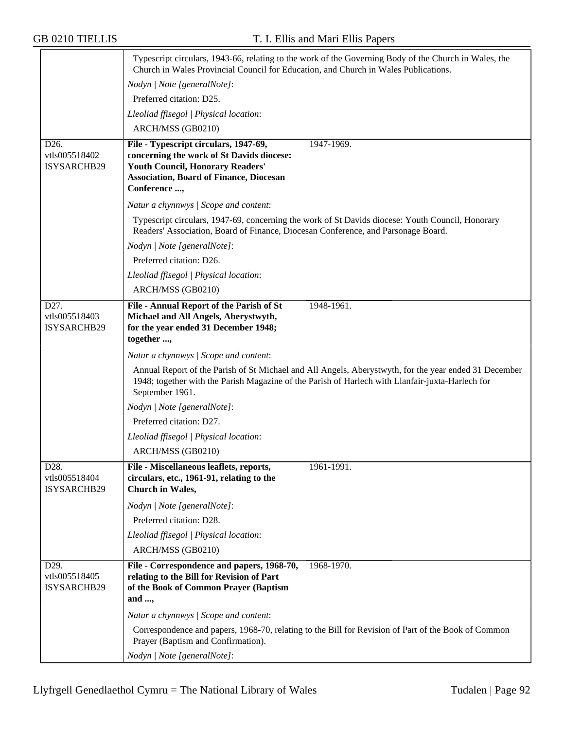|                                     | Typescript circulars, 1943-66, relating to the work of the Governing Body of the Church in Wales, the<br>Church in Wales Provincial Council for Education, and Church in Wales Publications. |  |  |
|-------------------------------------|----------------------------------------------------------------------------------------------------------------------------------------------------------------------------------------------|--|--|
|                                     | Nodyn   Note [generalNote]:                                                                                                                                                                  |  |  |
|                                     | Preferred citation: D25.                                                                                                                                                                     |  |  |
|                                     | Lleoliad ffisegol   Physical location:                                                                                                                                                       |  |  |
|                                     | ARCH/MSS (GB0210)                                                                                                                                                                            |  |  |
| D <sub>26</sub> .                   | 1947-1969.<br>File - Typescript circulars, 1947-69,                                                                                                                                          |  |  |
| vtls005518402                       | concerning the work of St Davids diocese:                                                                                                                                                    |  |  |
| ISYSARCHB29                         | <b>Youth Council, Honorary Readers'</b><br><b>Association, Board of Finance, Diocesan</b>                                                                                                    |  |  |
|                                     | Conference ,                                                                                                                                                                                 |  |  |
|                                     | Natur a chynnwys / Scope and content:                                                                                                                                                        |  |  |
|                                     | Typescript circulars, 1947-69, concerning the work of St Davids diocese: Youth Council, Honorary<br>Readers' Association, Board of Finance, Diocesan Conference, and Parsonage Board.        |  |  |
|                                     | Nodyn   Note [generalNote]:                                                                                                                                                                  |  |  |
|                                     | Preferred citation: D26.                                                                                                                                                                     |  |  |
|                                     | Lleoliad ffisegol   Physical location:                                                                                                                                                       |  |  |
|                                     | ARCH/MSS (GB0210)                                                                                                                                                                            |  |  |
| D27.                                | File - Annual Report of the Parish of St<br>1948-1961.                                                                                                                                       |  |  |
| vtls005518403                       | Michael and All Angels, Aberystwyth,                                                                                                                                                         |  |  |
| ISYSARCHB29                         | for the year ended 31 December 1948;<br>together ,                                                                                                                                           |  |  |
|                                     | Natur a chynnwys / Scope and content:                                                                                                                                                        |  |  |
|                                     | Annual Report of the Parish of St Michael and All Angels, Aberystwyth, for the year ended 31 December                                                                                        |  |  |
|                                     | 1948; together with the Parish Magazine of the Parish of Harlech with Llanfair-juxta-Harlech for<br>September 1961.                                                                          |  |  |
|                                     | Nodyn   Note [generalNote]:                                                                                                                                                                  |  |  |
|                                     | Preferred citation: D27.                                                                                                                                                                     |  |  |
|                                     | Lleoliad ffisegol   Physical location:                                                                                                                                                       |  |  |
|                                     | ARCH/MSS (GB0210)                                                                                                                                                                            |  |  |
| D <sub>28</sub> .                   | File - Miscellaneous leaflets, reports,<br>1961-1991.                                                                                                                                        |  |  |
| vtls005518404<br><b>ISYSARCHB29</b> | circulars, etc., 1961-91, relating to the<br>Church in Wales,                                                                                                                                |  |  |
|                                     | Nodyn   Note [generalNote]:                                                                                                                                                                  |  |  |
|                                     | Preferred citation: D28.                                                                                                                                                                     |  |  |
|                                     | Lleoliad ffisegol   Physical location:                                                                                                                                                       |  |  |
|                                     | ARCH/MSS (GB0210)                                                                                                                                                                            |  |  |
| D29.                                | File - Correspondence and papers, 1968-70,<br>1968-1970.                                                                                                                                     |  |  |
| vtls005518405<br>ISYSARCHB29        | relating to the Bill for Revision of Part                                                                                                                                                    |  |  |
|                                     | of the Book of Common Prayer (Baptism<br>and $,$                                                                                                                                             |  |  |
|                                     | Natur a chynnwys / Scope and content:                                                                                                                                                        |  |  |
|                                     | Correspondence and papers, 1968-70, relating to the Bill for Revision of Part of the Book of Common                                                                                          |  |  |
|                                     | Prayer (Baptism and Confirmation).                                                                                                                                                           |  |  |
|                                     | Nodyn   Note [generalNote]:                                                                                                                                                                  |  |  |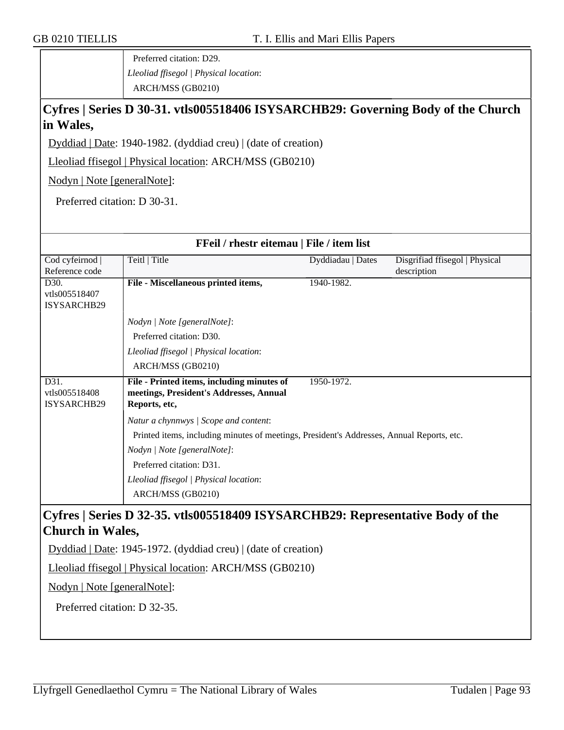Preferred citation: D29. *Lleoliad ffisegol | Physical location*: ARCH/MSS (GB0210)

## **Cyfres | Series D 30-31. vtls005518406 ISYSARCHB29: Governing Body of the Church in Wales,**

Dyddiad | Date: 1940-1982. (dyddiad creu) | (date of creation)

Lleoliad ffisegol | Physical location: ARCH/MSS (GB0210)

Nodyn | Note [generalNote]:

Preferred citation: D 30-31.

| FFeil / rhestr eitemau   File / item list                                                              |                                     |                                                                                                                                                             |  |  |
|--------------------------------------------------------------------------------------------------------|-------------------------------------|-------------------------------------------------------------------------------------------------------------------------------------------------------------|--|--|
| Teitl   Title                                                                                          | Dyddiadau   Dates                   | Disgrifiad ffisegol   Physical                                                                                                                              |  |  |
|                                                                                                        |                                     | description                                                                                                                                                 |  |  |
|                                                                                                        | 1940-1982.                          |                                                                                                                                                             |  |  |
|                                                                                                        |                                     |                                                                                                                                                             |  |  |
|                                                                                                        |                                     |                                                                                                                                                             |  |  |
| Nodyn   Note [generalNote]:                                                                            |                                     |                                                                                                                                                             |  |  |
| Preferred citation: D30.                                                                               |                                     |                                                                                                                                                             |  |  |
| Lleoliad ffisegol   Physical location:                                                                 |                                     |                                                                                                                                                             |  |  |
| ARCH/MSS (GB0210)                                                                                      |                                     |                                                                                                                                                             |  |  |
| File - Printed items, including minutes of<br>meetings, President's Addresses, Annual<br>Reports, etc, | 1950-1972.                          |                                                                                                                                                             |  |  |
| Natur a chynnwys / Scope and content:                                                                  |                                     |                                                                                                                                                             |  |  |
|                                                                                                        |                                     |                                                                                                                                                             |  |  |
| Nodyn   Note [generalNote]:                                                                            |                                     |                                                                                                                                                             |  |  |
| Preferred citation: D31.                                                                               |                                     |                                                                                                                                                             |  |  |
| Lleoliad ffisegol   Physical location:                                                                 |                                     |                                                                                                                                                             |  |  |
| ARCH/MSS (GB0210)                                                                                      |                                     |                                                                                                                                                             |  |  |
| Cyfres   Series D 32-35. vtls005518409 ISYSARCHB29: Representative Body of the                         |                                     |                                                                                                                                                             |  |  |
| <b>Church in Wales,</b>                                                                                |                                     |                                                                                                                                                             |  |  |
|                                                                                                        |                                     |                                                                                                                                                             |  |  |
| Lleoliad ffisegol   Physical location: ARCH/MSS (GB0210)                                               |                                     |                                                                                                                                                             |  |  |
|                                                                                                        | File - Miscellaneous printed items, | Printed items, including minutes of meetings, President's Addresses, Annual Reports, etc.<br>Dyddiad   Date: 1945-1972. (dyddiad creu)   (date of creation) |  |  |

Nodyn | Note [generalNote]:

Preferred citation: D 32-35.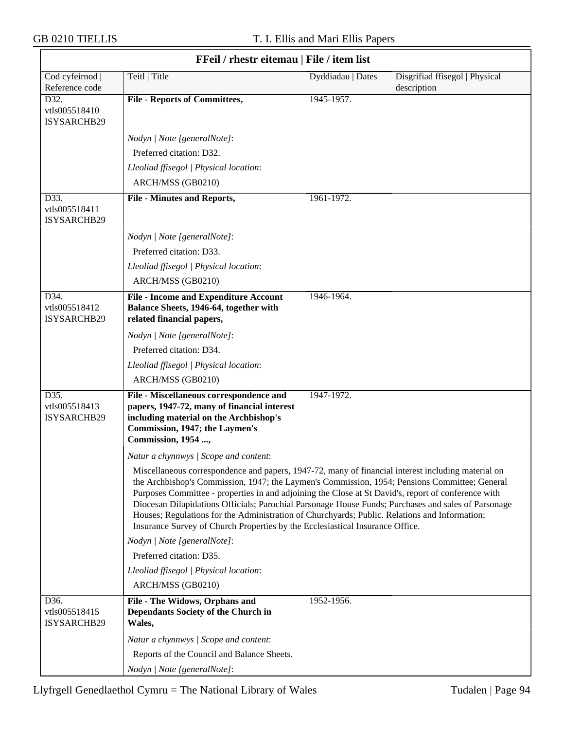$\overline{\phantom{0}}$ 

| FFeil / rhestr eitemau   File / item list |                                                                                                                                                                                                                                                                                                                                                                                                                                                                                                                                                                                                     |                   |                                               |  |
|-------------------------------------------|-----------------------------------------------------------------------------------------------------------------------------------------------------------------------------------------------------------------------------------------------------------------------------------------------------------------------------------------------------------------------------------------------------------------------------------------------------------------------------------------------------------------------------------------------------------------------------------------------------|-------------------|-----------------------------------------------|--|
| Cod cyfeirnod  <br>Reference code         | Teitl   Title                                                                                                                                                                                                                                                                                                                                                                                                                                                                                                                                                                                       | Dyddiadau   Dates | Disgrifiad ffisegol   Physical<br>description |  |
| D32.<br>vtls005518410<br>ISYSARCHB29      | <b>File - Reports of Committees,</b>                                                                                                                                                                                                                                                                                                                                                                                                                                                                                                                                                                | 1945-1957.        |                                               |  |
|                                           | Nodyn   Note [generalNote]:                                                                                                                                                                                                                                                                                                                                                                                                                                                                                                                                                                         |                   |                                               |  |
|                                           | Preferred citation: D32.                                                                                                                                                                                                                                                                                                                                                                                                                                                                                                                                                                            |                   |                                               |  |
|                                           | Lleoliad ffisegol   Physical location:                                                                                                                                                                                                                                                                                                                                                                                                                                                                                                                                                              |                   |                                               |  |
|                                           | ARCH/MSS (GB0210)                                                                                                                                                                                                                                                                                                                                                                                                                                                                                                                                                                                   |                   |                                               |  |
| D33.<br>vtls005518411<br>ISYSARCHB29      | <b>File - Minutes and Reports,</b>                                                                                                                                                                                                                                                                                                                                                                                                                                                                                                                                                                  | 1961-1972.        |                                               |  |
|                                           | Nodyn   Note [generalNote]:                                                                                                                                                                                                                                                                                                                                                                                                                                                                                                                                                                         |                   |                                               |  |
|                                           | Preferred citation: D33.                                                                                                                                                                                                                                                                                                                                                                                                                                                                                                                                                                            |                   |                                               |  |
|                                           | Lleoliad ffisegol   Physical location:                                                                                                                                                                                                                                                                                                                                                                                                                                                                                                                                                              |                   |                                               |  |
|                                           | ARCH/MSS (GB0210)                                                                                                                                                                                                                                                                                                                                                                                                                                                                                                                                                                                   |                   |                                               |  |
| D34.<br>vtls005518412<br>ISYSARCHB29      | <b>File - Income and Expenditure Account</b><br>Balance Sheets, 1946-64, together with<br>related financial papers,                                                                                                                                                                                                                                                                                                                                                                                                                                                                                 | 1946-1964.        |                                               |  |
|                                           | Nodyn   Note [generalNote]:                                                                                                                                                                                                                                                                                                                                                                                                                                                                                                                                                                         |                   |                                               |  |
|                                           | Preferred citation: D34.                                                                                                                                                                                                                                                                                                                                                                                                                                                                                                                                                                            |                   |                                               |  |
|                                           | Lleoliad ffisegol   Physical location:                                                                                                                                                                                                                                                                                                                                                                                                                                                                                                                                                              |                   |                                               |  |
|                                           | ARCH/MSS (GB0210)                                                                                                                                                                                                                                                                                                                                                                                                                                                                                                                                                                                   |                   |                                               |  |
| D35.<br>vtls005518413<br>ISYSARCHB29      | File - Miscellaneous correspondence and<br>papers, 1947-72, many of financial interest<br>including material on the Archbishop's<br>Commission, 1947; the Laymen's<br><b>Commission</b> , 1954 ,                                                                                                                                                                                                                                                                                                                                                                                                    | 1947-1972.        |                                               |  |
|                                           | Natur a chynnwys / Scope and content:                                                                                                                                                                                                                                                                                                                                                                                                                                                                                                                                                               |                   |                                               |  |
|                                           | Miscellaneous correspondence and papers, 1947-72, many of financial interest including material on<br>the Archbishop's Commission, 1947; the Laymen's Commission, 1954; Pensions Committee; General<br>Purposes Committee - properties in and adjoining the Close at St David's, report of conference with<br>Diocesan Dilapidations Officials; Parochial Parsonage House Funds; Purchases and sales of Parsonage<br>Houses; Regulations for the Administration of Churchyards; Public. Relations and Information;<br>Insurance Survey of Church Properties by the Ecclesiastical Insurance Office. |                   |                                               |  |
|                                           | Nodyn   Note [generalNote]:                                                                                                                                                                                                                                                                                                                                                                                                                                                                                                                                                                         |                   |                                               |  |
|                                           | Preferred citation: D35.                                                                                                                                                                                                                                                                                                                                                                                                                                                                                                                                                                            |                   |                                               |  |
|                                           | Lleoliad ffisegol   Physical location:                                                                                                                                                                                                                                                                                                                                                                                                                                                                                                                                                              |                   |                                               |  |
|                                           | ARCH/MSS (GB0210)                                                                                                                                                                                                                                                                                                                                                                                                                                                                                                                                                                                   |                   |                                               |  |
| D36.<br>vtls005518415<br>ISYSARCHB29      | File - The Widows, Orphans and<br>Dependants Society of the Church in<br>Wales,                                                                                                                                                                                                                                                                                                                                                                                                                                                                                                                     | 1952-1956.        |                                               |  |
|                                           | Natur a chynnwys / Scope and content:                                                                                                                                                                                                                                                                                                                                                                                                                                                                                                                                                               |                   |                                               |  |
|                                           | Reports of the Council and Balance Sheets.                                                                                                                                                                                                                                                                                                                                                                                                                                                                                                                                                          |                   |                                               |  |
|                                           | Nodyn   Note [generalNote]:                                                                                                                                                                                                                                                                                                                                                                                                                                                                                                                                                                         |                   |                                               |  |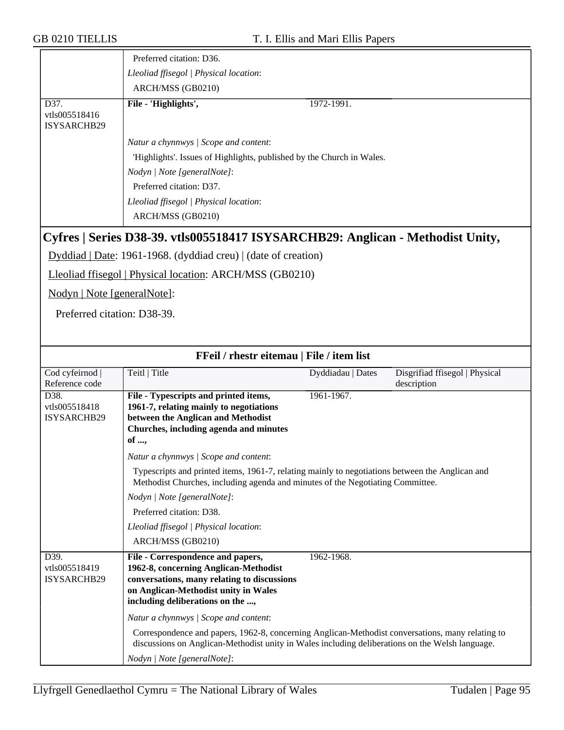| Preferred citation: D36.                                                                                                                                                                                                                 |
|------------------------------------------------------------------------------------------------------------------------------------------------------------------------------------------------------------------------------------------|
| Lleoliad ffisegol   Physical location:                                                                                                                                                                                                   |
| ARCH/MSS (GB0210)                                                                                                                                                                                                                        |
| File - 'Highlights',<br>1972-1991.                                                                                                                                                                                                       |
| Natur a chynnwys / Scope and content:<br>'Highlights'. Issues of Highlights, published by the Church in Wales.<br>Nodyn / Note [generalNote]:<br>Preferred citation: D37.<br>Lleoliad ffisegol   Physical location:<br>ARCH/MSS (GB0210) |
|                                                                                                                                                                                                                                          |

## **Cyfres | Series D38-39. vtls005518417 ISYSARCHB29: Anglican - Methodist Unity,**

Dyddiad | Date: 1961-1968. (dyddiad creu) | (date of creation)

Lleoliad ffisegol | Physical location: ARCH/MSS (GB0210)

Nodyn | Note [generalNote]:

Preferred citation: D38-39.

| FFeil / rhestr eitemau   File / item list   |                                                                                                                                                                                                       |                   |                                |
|---------------------------------------------|-------------------------------------------------------------------------------------------------------------------------------------------------------------------------------------------------------|-------------------|--------------------------------|
| Cod cyfeirnod                               | Teitl   Title                                                                                                                                                                                         | Dyddiadau   Dates | Disgrifiad ffisegol   Physical |
| Reference code                              |                                                                                                                                                                                                       |                   | description                    |
| D <sub>38</sub> .                           | File - Typescripts and printed items,                                                                                                                                                                 | 1961-1967.        |                                |
| vtls005518418                               | 1961-7, relating mainly to negotiations                                                                                                                                                               |                   |                                |
| <b>ISYSARCHB29</b>                          | between the Anglican and Methodist                                                                                                                                                                    |                   |                                |
|                                             | Churches, including agenda and minutes                                                                                                                                                                |                   |                                |
|                                             | of ,                                                                                                                                                                                                  |                   |                                |
|                                             | Natur a chynnwys / Scope and content:                                                                                                                                                                 |                   |                                |
|                                             | Typescripts and printed items, 1961-7, relating mainly to negotiations between the Anglican and<br>Methodist Churches, including agenda and minutes of the Negotiating Committee.                     |                   |                                |
|                                             | Nodyn   Note [generalNote]:                                                                                                                                                                           |                   |                                |
|                                             | Preferred citation: D38.                                                                                                                                                                              |                   |                                |
|                                             | Lleoliad ffisegol   Physical location:                                                                                                                                                                |                   |                                |
|                                             | ARCH/MSS (GB0210)                                                                                                                                                                                     |                   |                                |
| D39.<br>vtls005518419<br><b>ISYSARCHB29</b> | File - Correspondence and papers,<br>1962-8, concerning Anglican-Methodist<br>conversations, many relating to discussions<br>on Anglican-Methodist unity in Wales<br>including deliberations on the , | 1962-1968.        |                                |
|                                             | Natur a chynnwys / Scope and content:                                                                                                                                                                 |                   |                                |
|                                             | Correspondence and papers, 1962-8, concerning Anglican-Methodist conversations, many relating to<br>discussions on Anglican-Methodist unity in Wales including deliberations on the Welsh language.   |                   |                                |
|                                             | Nodyn   Note [generalNote]:                                                                                                                                                                           |                   |                                |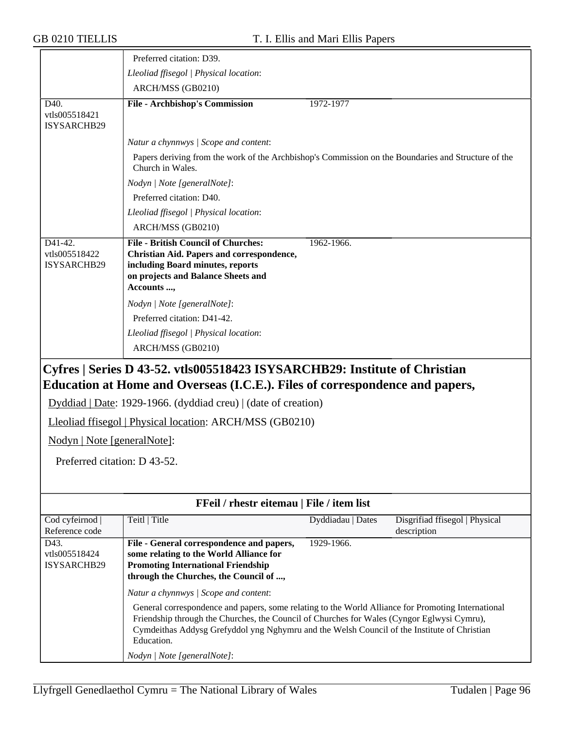|                                         | Preferred citation: D39.                                                                                                                                                                                                                                                                                      |                   |                                               |
|-----------------------------------------|---------------------------------------------------------------------------------------------------------------------------------------------------------------------------------------------------------------------------------------------------------------------------------------------------------------|-------------------|-----------------------------------------------|
|                                         | Lleoliad ffisegol   Physical location:                                                                                                                                                                                                                                                                        |                   |                                               |
|                                         | ARCH/MSS (GB0210)                                                                                                                                                                                                                                                                                             |                   |                                               |
| D40.                                    | <b>File - Archbishop's Commission</b>                                                                                                                                                                                                                                                                         | 1972-1977         |                                               |
| vtls005518421<br>ISYSARCHB29            |                                                                                                                                                                                                                                                                                                               |                   |                                               |
|                                         | Natur a chynnwys / Scope and content:                                                                                                                                                                                                                                                                         |                   |                                               |
|                                         | Papers deriving from the work of the Archbishop's Commission on the Boundaries and Structure of the<br>Church in Wales.                                                                                                                                                                                       |                   |                                               |
|                                         | Nodyn   Note [generalNote]:                                                                                                                                                                                                                                                                                   |                   |                                               |
|                                         | Preferred citation: D40.                                                                                                                                                                                                                                                                                      |                   |                                               |
|                                         | Lleoliad ffisegol   Physical location:                                                                                                                                                                                                                                                                        |                   |                                               |
|                                         | ARCH/MSS (GB0210)                                                                                                                                                                                                                                                                                             |                   |                                               |
| D41-42.<br>vtls005518422<br>ISYSARCHB29 | <b>File - British Council of Churches:</b><br>Christian Aid. Papers and correspondence,<br>including Board minutes, reports<br>on projects and Balance Sheets and<br>Accounts ,                                                                                                                               | 1962-1966.        |                                               |
|                                         | Nodyn   Note [generalNote]:                                                                                                                                                                                                                                                                                   |                   |                                               |
|                                         | Preferred citation: D41-42.                                                                                                                                                                                                                                                                                   |                   |                                               |
|                                         | Lleoliad ffisegol   Physical location:                                                                                                                                                                                                                                                                        |                   |                                               |
|                                         | ARCH/MSS (GB0210)                                                                                                                                                                                                                                                                                             |                   |                                               |
|                                         | Cyfres   Series D 43-52. vtls005518423 ISYSARCHB29: Institute of Christian<br>Education at Home and Overseas (I.C.E.). Files of correspondence and papers,                                                                                                                                                    |                   |                                               |
|                                         | Dyddiad   Date: 1929-1966. (dyddiad creu)   (date of creation)                                                                                                                                                                                                                                                |                   |                                               |
|                                         | Lleoliad ffisegol   Physical location: ARCH/MSS (GB0210)                                                                                                                                                                                                                                                      |                   |                                               |
| Nodyn   Note [generalNote]:             |                                                                                                                                                                                                                                                                                                               |                   |                                               |
| Preferred citation: D 43-52.            |                                                                                                                                                                                                                                                                                                               |                   |                                               |
|                                         |                                                                                                                                                                                                                                                                                                               |                   |                                               |
|                                         |                                                                                                                                                                                                                                                                                                               |                   |                                               |
|                                         | FFeil / rhestr eitemau   File / item list                                                                                                                                                                                                                                                                     |                   |                                               |
| Cod cyfeirnod<br>Reference code         | Teitl   Title                                                                                                                                                                                                                                                                                                 | Dyddiadau   Dates | Disgrifiad ffisegol   Physical<br>description |
| D43.<br>vtls005518424<br>ISYSARCHB29    | File - General correspondence and papers,<br>some relating to the World Alliance for<br><b>Promoting International Friendship</b><br>through the Churches, the Council of ,                                                                                                                                   | 1929-1966.        |                                               |
|                                         | Natur a chynnwys / Scope and content:                                                                                                                                                                                                                                                                         |                   |                                               |
|                                         | General correspondence and papers, some relating to the World Alliance for Promoting International<br>Friendship through the Churches, the Council of Churches for Wales (Cyngor Eglwysi Cymru),<br>Cymdeithas Addysg Grefyddol yng Nghymru and the Welsh Council of the Institute of Christian<br>Education. |                   |                                               |
|                                         | Nodyn   Note [generalNote]:                                                                                                                                                                                                                                                                                   |                   |                                               |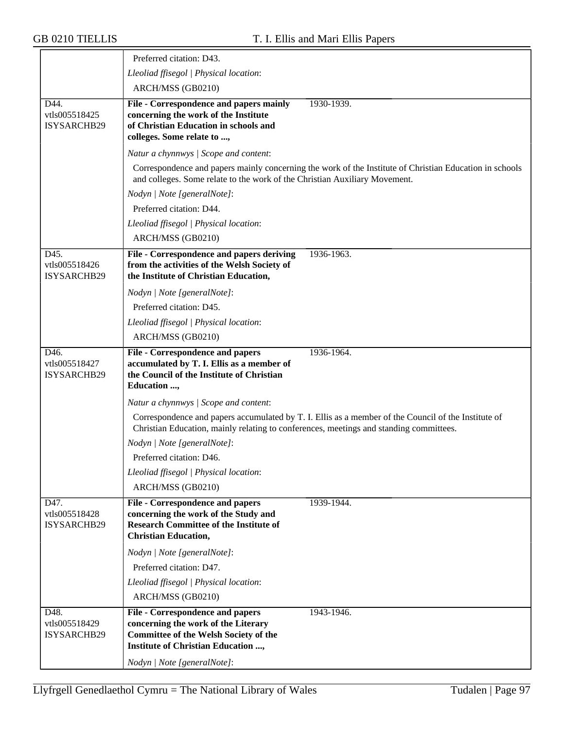|                                                          | Preferred citation: D43.                                                                                                                                        |                                                                                                         |
|----------------------------------------------------------|-----------------------------------------------------------------------------------------------------------------------------------------------------------------|---------------------------------------------------------------------------------------------------------|
|                                                          | Lleoliad ffisegol   Physical location:                                                                                                                          |                                                                                                         |
|                                                          | ARCH/MSS (GB0210)                                                                                                                                               |                                                                                                         |
| D44.<br>vtls005518425<br><b>ISYSARCHB29</b>              | File - Correspondence and papers mainly<br>concerning the work of the Institute<br>of Christian Education in schools and<br>colleges. Some relate to ,          | 1930-1939.                                                                                              |
|                                                          | Natur a chynnwys / Scope and content:                                                                                                                           |                                                                                                         |
|                                                          | and colleges. Some relate to the work of the Christian Auxiliary Movement.                                                                                      | Correspondence and papers mainly concerning the work of the Institute of Christian Education in schools |
|                                                          | Nodyn   Note [generalNote]:                                                                                                                                     |                                                                                                         |
|                                                          | Preferred citation: D44.                                                                                                                                        |                                                                                                         |
|                                                          | Lleoliad ffisegol   Physical location:                                                                                                                          |                                                                                                         |
|                                                          | ARCH/MSS (GB0210)                                                                                                                                               |                                                                                                         |
| D45.<br>vtls005518426<br><b>ISYSARCHB29</b>              | File - Correspondence and papers deriving<br>from the activities of the Welsh Society of<br>the Institute of Christian Education,                               | 1936-1963.                                                                                              |
|                                                          | Nodyn   Note [generalNote]:                                                                                                                                     |                                                                                                         |
|                                                          | Preferred citation: D45.                                                                                                                                        |                                                                                                         |
|                                                          | Lleoliad ffisegol   Physical location:                                                                                                                          |                                                                                                         |
|                                                          | ARCH/MSS (GB0210)                                                                                                                                               |                                                                                                         |
| D <sub>46</sub> .<br>vtls005518427<br><b>ISYSARCHB29</b> | <b>File - Correspondence and papers</b><br>accumulated by T. I. Ellis as a member of<br>the Council of the Institute of Christian<br>Education ,                | 1936-1964.                                                                                              |
|                                                          | Natur a chynnwys / Scope and content:                                                                                                                           |                                                                                                         |
|                                                          | Christian Education, mainly relating to conferences, meetings and standing committees.                                                                          | Correspondence and papers accumulated by T. I. Ellis as a member of the Council of the Institute of     |
|                                                          | Nodyn   Note [generalNote]:                                                                                                                                     |                                                                                                         |
|                                                          | Preferred citation: D46.                                                                                                                                        |                                                                                                         |
|                                                          | Lleoliad ffisegol   Physical location:                                                                                                                          |                                                                                                         |
|                                                          | ARCH/MSS (GB0210)                                                                                                                                               |                                                                                                         |
| D47.<br>vtls005518428<br>ISYSARCHB29                     | <b>File - Correspondence and papers</b><br>concerning the work of the Study and<br><b>Research Committee of the Institute of</b><br><b>Christian Education,</b> | 1939-1944.                                                                                              |
|                                                          | Nodyn   Note [generalNote]:                                                                                                                                     |                                                                                                         |
|                                                          | Preferred citation: D47.                                                                                                                                        |                                                                                                         |
|                                                          | Lleoliad ffisegol   Physical location:                                                                                                                          |                                                                                                         |
|                                                          | ARCH/MSS (GB0210)                                                                                                                                               |                                                                                                         |
| $D\overline{48}$ .<br>vtls005518429<br>ISYSARCHB29       | File - Correspondence and papers<br>concerning the work of the Literary<br><b>Committee of the Welsh Society of the</b><br>Institute of Christian Education ,   | 1943-1946.                                                                                              |
|                                                          | Nodyn   Note [generalNote]:                                                                                                                                     |                                                                                                         |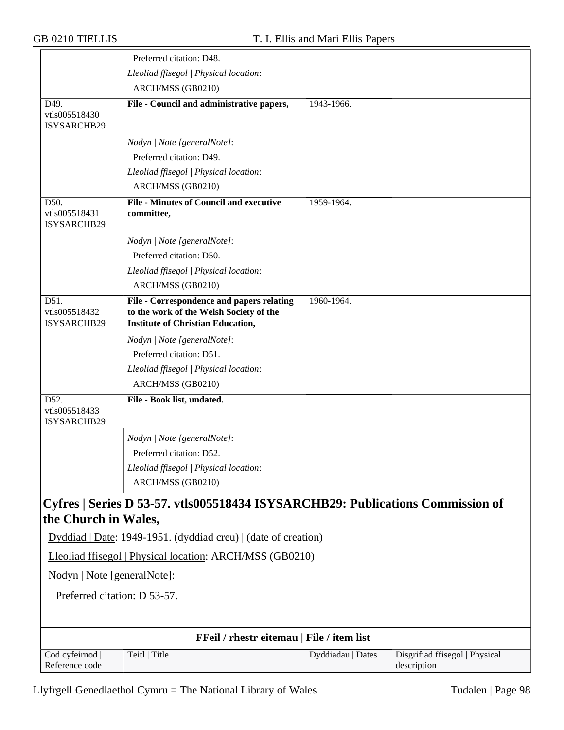|                                      | Preferred citation: D48.                                                                                                         |                                                                                |
|--------------------------------------|----------------------------------------------------------------------------------------------------------------------------------|--------------------------------------------------------------------------------|
|                                      | Lleoliad ffisegol   Physical location:                                                                                           |                                                                                |
|                                      | ARCH/MSS (GB0210)                                                                                                                |                                                                                |
| D49.<br>vtls005518430<br>ISYSARCHB29 | File - Council and administrative papers,                                                                                        | 1943-1966.                                                                     |
|                                      | Nodyn   Note [generalNote]:                                                                                                      |                                                                                |
|                                      | Preferred citation: D49.                                                                                                         |                                                                                |
|                                      | Lleoliad ffisegol   Physical location:                                                                                           |                                                                                |
|                                      | ARCH/MSS (GB0210)                                                                                                                |                                                                                |
| D50.<br>vtls005518431<br>ISYSARCHB29 | <b>File - Minutes of Council and executive</b><br>committee,                                                                     | 1959-1964.                                                                     |
|                                      | Nodyn   Note [generalNote]:                                                                                                      |                                                                                |
|                                      | Preferred citation: D50.                                                                                                         |                                                                                |
|                                      | Lleoliad ffisegol   Physical location:                                                                                           |                                                                                |
|                                      | ARCH/MSS (GB0210)                                                                                                                |                                                                                |
| D51.<br>vtls005518432<br>ISYSARCHB29 | File - Correspondence and papers relating<br>to the work of the Welsh Society of the<br><b>Institute of Christian Education,</b> | 1960-1964.                                                                     |
|                                      | Nodyn   Note [generalNote]:                                                                                                      |                                                                                |
|                                      | Preferred citation: D51.                                                                                                         |                                                                                |
|                                      | Lleoliad ffisegol   Physical location:                                                                                           |                                                                                |
|                                      | ARCH/MSS (GB0210)                                                                                                                |                                                                                |
| D52.<br>vtls005518433<br>ISYSARCHB29 | File - Book list, undated.                                                                                                       |                                                                                |
|                                      | Nodyn   Note [generalNote]:                                                                                                      |                                                                                |
|                                      | Preferred citation: D52.                                                                                                         |                                                                                |
|                                      | Lleoliad ffisegol   Physical location:                                                                                           |                                                                                |
|                                      | ARCH/MSS (GB0210)                                                                                                                |                                                                                |
| the Church in Wales,                 |                                                                                                                                  | Cyfres   Series D 53-57. vtls005518434 ISYSARCHB29: Publications Commission of |
|                                      | Dyddiad   Date: 1949-1951. (dyddiad creu)   (date of creation)                                                                   |                                                                                |
|                                      | Lleoliad ffisegol   Physical location: ARCH/MSS (GB0210)                                                                         |                                                                                |
| Nodyn   Note [generalNote]:          |                                                                                                                                  |                                                                                |
| Preferred citation: D 53-57.         |                                                                                                                                  |                                                                                |
|                                      |                                                                                                                                  |                                                                                |
|                                      | FFeil / rhestr eitemau   File / item list                                                                                        |                                                                                |
| Cod cyfeirnod<br>Reference code      | Teitl   Title                                                                                                                    | Dyddiadau   Dates<br>Disgrifiad ffisegol   Physical<br>description             |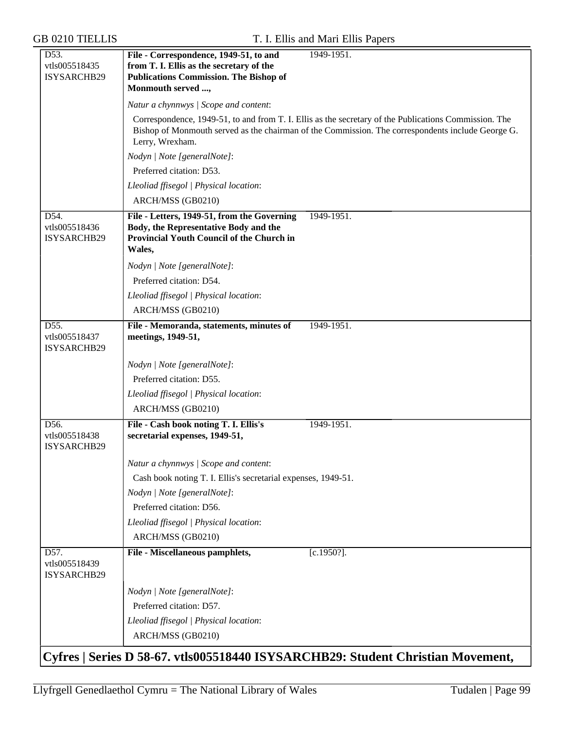| D53.<br>vtls005518435<br>ISYSARCHB29 | File - Correspondence, 1949-51, to and<br>from T. I. Ellis as the secretary of the<br><b>Publications Commission. The Bishop of</b><br>Monmouth served , | 1949-1951.                                                                                                                                                                                                 |  |  |
|--------------------------------------|----------------------------------------------------------------------------------------------------------------------------------------------------------|------------------------------------------------------------------------------------------------------------------------------------------------------------------------------------------------------------|--|--|
|                                      | Natur a chynnwys / Scope and content:                                                                                                                    |                                                                                                                                                                                                            |  |  |
|                                      | Lerry, Wrexham.                                                                                                                                          | Correspondence, 1949-51, to and from T. I. Ellis as the secretary of the Publications Commission. The<br>Bishop of Monmouth served as the chairman of the Commission. The correspondents include George G. |  |  |
|                                      | Nodyn   Note [generalNote]:                                                                                                                              |                                                                                                                                                                                                            |  |  |
|                                      | Preferred citation: D53.                                                                                                                                 |                                                                                                                                                                                                            |  |  |
|                                      | Lleoliad ffisegol   Physical location:                                                                                                                   |                                                                                                                                                                                                            |  |  |
|                                      | ARCH/MSS (GB0210)                                                                                                                                        |                                                                                                                                                                                                            |  |  |
| D54.<br>vtls005518436<br>ISYSARCHB29 | File - Letters, 1949-51, from the Governing<br>Body, the Representative Body and the<br>Provincial Youth Council of the Church in<br>Wales,              | 1949-1951.                                                                                                                                                                                                 |  |  |
|                                      | Nodyn   Note [generalNote]:                                                                                                                              |                                                                                                                                                                                                            |  |  |
|                                      | Preferred citation: D54.                                                                                                                                 |                                                                                                                                                                                                            |  |  |
|                                      | Lleoliad ffisegol   Physical location:                                                                                                                   |                                                                                                                                                                                                            |  |  |
|                                      | ARCH/MSS (GB0210)                                                                                                                                        |                                                                                                                                                                                                            |  |  |
| D55.<br>vtls005518437<br>ISYSARCHB29 | File - Memoranda, statements, minutes of<br>meetings, 1949-51,                                                                                           | 1949-1951.                                                                                                                                                                                                 |  |  |
|                                      | Nodyn   Note [generalNote]:                                                                                                                              |                                                                                                                                                                                                            |  |  |
|                                      | Preferred citation: D55.                                                                                                                                 |                                                                                                                                                                                                            |  |  |
|                                      | Lleoliad ffisegol   Physical location:                                                                                                                   |                                                                                                                                                                                                            |  |  |
|                                      | ARCH/MSS (GB0210)                                                                                                                                        |                                                                                                                                                                                                            |  |  |
| D56.<br>vtls005518438<br>ISYSARCHB29 | File - Cash book noting T. I. Ellis's<br>secretarial expenses, 1949-51,                                                                                  | 1949-1951.                                                                                                                                                                                                 |  |  |
|                                      | Natur a chynnwys / Scope and content:                                                                                                                    |                                                                                                                                                                                                            |  |  |
|                                      | Cash book noting T. I. Ellis's secretarial expenses, 1949-51.                                                                                            |                                                                                                                                                                                                            |  |  |
|                                      | Nodyn   Note [generalNote]:                                                                                                                              |                                                                                                                                                                                                            |  |  |
|                                      | Preferred citation: D56.                                                                                                                                 |                                                                                                                                                                                                            |  |  |
|                                      | Lleoliad ffisegol   Physical location:                                                                                                                   |                                                                                                                                                                                                            |  |  |
|                                      | ARCH/MSS (GB0210)                                                                                                                                        |                                                                                                                                                                                                            |  |  |
| D57.<br>vtls005518439<br>ISYSARCHB29 | File - Miscellaneous pamphlets,                                                                                                                          | $[c.1950?]$ .                                                                                                                                                                                              |  |  |
|                                      | Nodyn   Note [generalNote]:                                                                                                                              |                                                                                                                                                                                                            |  |  |
|                                      | Preferred citation: D57.                                                                                                                                 |                                                                                                                                                                                                            |  |  |
|                                      | Lleoliad ffisegol   Physical location:                                                                                                                   |                                                                                                                                                                                                            |  |  |
|                                      | ARCH/MSS (GB0210)                                                                                                                                        |                                                                                                                                                                                                            |  |  |
|                                      |                                                                                                                                                          | Cyfres   Series D 58-67. vtls005518440 ISYSARCHB29: Student Christian Movement,                                                                                                                            |  |  |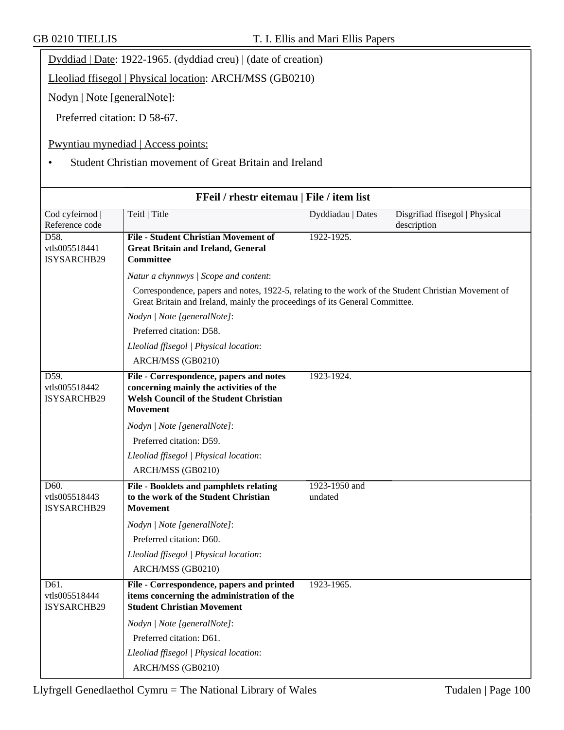| JD VZIV IILLEID                           |                                                                                               | 1, 1, Ellis and Mail Ellis I apels |                         |
|-------------------------------------------|-----------------------------------------------------------------------------------------------|------------------------------------|-------------------------|
|                                           | Dyddiad   Date: 1922-1965. (dyddiad creu)   (date of creation)                                |                                    |                         |
|                                           | Lleoliad ffisegol   Physical location: ARCH/MSS (GB0210)                                      |                                    |                         |
| Nodyn   Note [generalNote]:               |                                                                                               |                                    |                         |
| Preferred citation: D 58-67.              |                                                                                               |                                    |                         |
|                                           | Pwyntiau mynediad   Access points:<br>Student Christian movement of Great Britain and Ireland |                                    |                         |
| FFeil / rhestr eitemau   File / item list |                                                                                               |                                    |                         |
| Cod cyfeirnod                             | Teitl   Title                                                                                 | Dyddiadau   Dates                  | Disgrifiad ffisegol   F |

| Cod cyfeirnod  <br>Reference code           | Teitl   Title                                                                                                                                                                      | Dyddiadau   Dates        | Disgrifiad ffisegol   Physical<br>description |
|---------------------------------------------|------------------------------------------------------------------------------------------------------------------------------------------------------------------------------------|--------------------------|-----------------------------------------------|
| D58.<br>vtls005518441<br>ISYSARCHB29        | <b>File - Student Christian Movement of</b><br><b>Great Britain and Ireland, General</b><br><b>Committee</b>                                                                       | 1922-1925.               |                                               |
|                                             | Natur a chynnwys / Scope and content:                                                                                                                                              |                          |                                               |
|                                             | Correspondence, papers and notes, 1922-5, relating to the work of the Student Christian Movement of<br>Great Britain and Ireland, mainly the proceedings of its General Committee. |                          |                                               |
|                                             | Nodyn   Note [generalNote]:                                                                                                                                                        |                          |                                               |
|                                             | Preferred citation: D58.                                                                                                                                                           |                          |                                               |
|                                             | Lleoliad ffisegol   Physical location:                                                                                                                                             |                          |                                               |
|                                             | ARCH/MSS (GB0210)                                                                                                                                                                  |                          |                                               |
| D59.<br>vtls005518442<br><b>ISYSARCHB29</b> | File - Correspondence, papers and notes<br>concerning mainly the activities of the<br><b>Welsh Council of the Student Christian</b><br><b>Movement</b>                             | 1923-1924.               |                                               |
|                                             | Nodyn   Note [generalNote]:                                                                                                                                                        |                          |                                               |
|                                             | Preferred citation: D59.                                                                                                                                                           |                          |                                               |
|                                             | Lleoliad ffisegol   Physical location:                                                                                                                                             |                          |                                               |
|                                             | ARCH/MSS (GB0210)                                                                                                                                                                  |                          |                                               |
| D60.<br>vtls005518443<br>ISYSARCHB29        | File - Booklets and pamphlets relating<br>to the work of the Student Christian<br><b>Movement</b>                                                                                  | 1923-1950 and<br>undated |                                               |
|                                             | Nodyn   Note [generalNote]:                                                                                                                                                        |                          |                                               |
|                                             | Preferred citation: D60.                                                                                                                                                           |                          |                                               |
|                                             | Lleoliad ffisegol   Physical location:                                                                                                                                             |                          |                                               |
|                                             | ARCH/MSS (GB0210)                                                                                                                                                                  |                          |                                               |
| D61.<br>vtls005518444<br>ISYSARCHB29        | File - Correspondence, papers and printed<br>items concerning the administration of the<br><b>Student Christian Movement</b>                                                       | 1923-1965.               |                                               |
|                                             | Nodyn   Note [generalNote]:                                                                                                                                                        |                          |                                               |
|                                             | Preferred citation: D61.                                                                                                                                                           |                          |                                               |
|                                             | Lleoliad ffisegol   Physical location:                                                                                                                                             |                          |                                               |
|                                             | ARCH/MSS (GB0210)                                                                                                                                                                  |                          |                                               |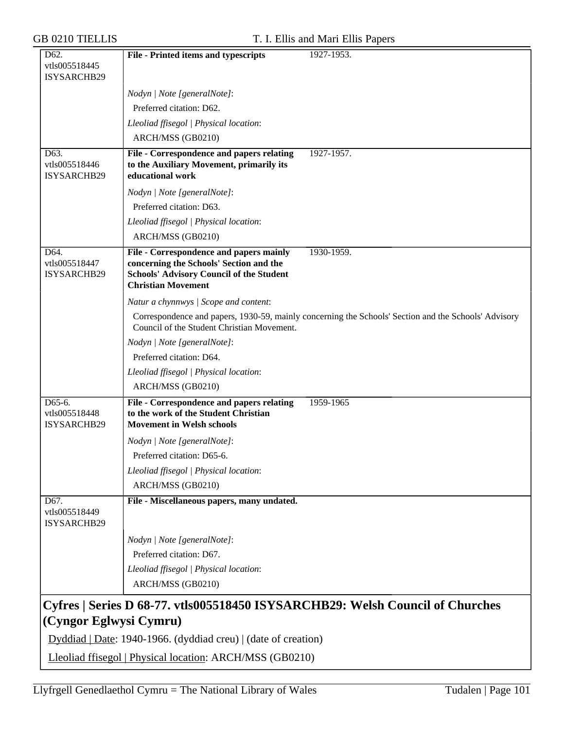| D <sub>62</sub> .                    | File - Printed items and typescripts                                               | 1927-1953.                                                                                           |
|--------------------------------------|------------------------------------------------------------------------------------|------------------------------------------------------------------------------------------------------|
| vtls005518445                        |                                                                                    |                                                                                                      |
| ISYSARCHB29                          |                                                                                    |                                                                                                      |
|                                      | Nodyn   Note [generalNote]:                                                        |                                                                                                      |
|                                      | Preferred citation: D62.                                                           |                                                                                                      |
|                                      | Lleoliad ffisegol   Physical location:                                             |                                                                                                      |
|                                      | ARCH/MSS (GB0210)                                                                  |                                                                                                      |
| D63.                                 | File - Correspondence and papers relating                                          | 1927-1957.                                                                                           |
| vtls005518446<br>ISYSARCHB29         | to the Auxiliary Movement, primarily its<br>educational work                       |                                                                                                      |
|                                      | Nodyn   Note [generalNote]:                                                        |                                                                                                      |
|                                      | Preferred citation: D63.                                                           |                                                                                                      |
|                                      | Lleoliad ffisegol   Physical location:                                             |                                                                                                      |
|                                      |                                                                                    |                                                                                                      |
|                                      | ARCH/MSS (GB0210)                                                                  |                                                                                                      |
| D64.<br>vtls005518447                | File - Correspondence and papers mainly<br>concerning the Schools' Section and the | 1930-1959.                                                                                           |
| ISYSARCHB29                          | <b>Schools' Advisory Council of the Student</b>                                    |                                                                                                      |
|                                      | <b>Christian Movement</b>                                                          |                                                                                                      |
|                                      | Natur a chynnwys / Scope and content:                                              |                                                                                                      |
|                                      | Council of the Student Christian Movement.                                         | Correspondence and papers, 1930-59, mainly concerning the Schools' Section and the Schools' Advisory |
|                                      | Nodyn   Note [generalNote]:                                                        |                                                                                                      |
|                                      | Preferred citation: D64.                                                           |                                                                                                      |
|                                      | Lleoliad ffisegol   Physical location:                                             |                                                                                                      |
|                                      | ARCH/MSS (GB0210)                                                                  |                                                                                                      |
| D65-6.                               | File - Correspondence and papers relating                                          | 1959-1965                                                                                            |
| vtls005518448                        | to the work of the Student Christian                                               |                                                                                                      |
| ISYSARCHB29                          | <b>Movement in Welsh schools</b>                                                   |                                                                                                      |
|                                      | Nodyn   Note [generalNote]:                                                        |                                                                                                      |
|                                      | Preferred citation: D65-6.                                                         |                                                                                                      |
|                                      | Lleoliad ffisegol   Physical location:                                             |                                                                                                      |
|                                      | ARCH/MSS (GB0210)                                                                  |                                                                                                      |
| D67.<br>vtls005518449<br>ISYSARCHB29 | File - Miscellaneous papers, many undated.                                         |                                                                                                      |
|                                      | Nodyn   Note [generalNote]:                                                        |                                                                                                      |
|                                      | Preferred citation: D67.                                                           |                                                                                                      |
|                                      |                                                                                    |                                                                                                      |
|                                      | Lleoliad ffisegol   Physical location:                                             |                                                                                                      |
|                                      | ARCH/MSS (GB0210)                                                                  |                                                                                                      |
| (Cyngor Eglwysi Cymru)               |                                                                                    | Cyfres   Series D 68-77. vtls005518450 ISYSARCHB29: Welsh Council of Churches                        |
|                                      | Dyddiad   Date: 1940-1966. (dyddiad creu)   (date of creation)                     |                                                                                                      |
|                                      |                                                                                    |                                                                                                      |
|                                      | Lleoliad ffisegol   Physical location: ARCH/MSS (GB0210)                           |                                                                                                      |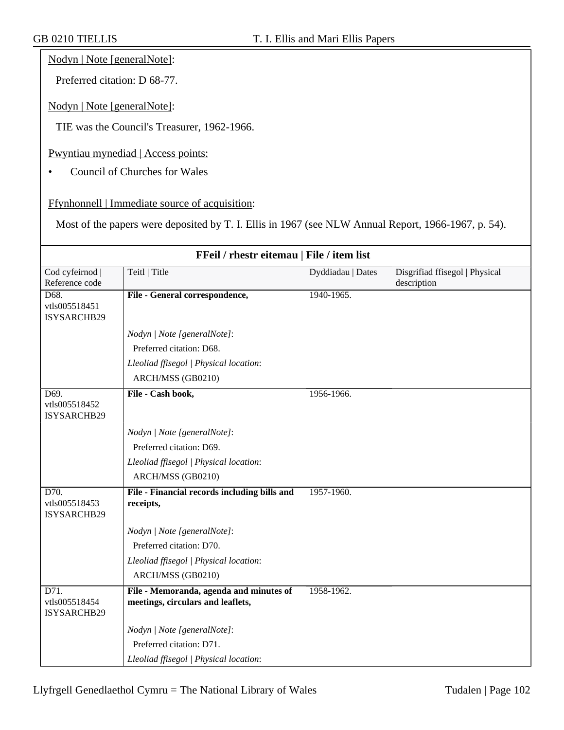#### Nodyn | Note [generalNote]:

Preferred citation: D 68-77.

Nodyn | Note [generalNote]:

TIE was the Council's Treasurer, 1962-1966.

Pwyntiau mynediad | Access points:

• Council of Churches for Wales

Ffynhonnell | Immediate source of acquisition:

Most of the papers were deposited by T. I. Ellis in 1967 (see NLW Annual Report, 1966-1967, p. 54).

| FFeil / rhestr eitemau   File / item list          |                                                                              |                   |                                               |
|----------------------------------------------------|------------------------------------------------------------------------------|-------------------|-----------------------------------------------|
| Cod cyfeirnod<br>Reference code                    | Teitl   Title                                                                | Dyddiadau   Dates | Disgrifiad ffisegol   Physical<br>description |
| D68.<br>vtls005518451<br>ISYSARCHB29               | File - General correspondence,                                               | 1940-1965.        |                                               |
|                                                    | Nodyn   Note [generalNote]:                                                  |                   |                                               |
|                                                    | Preferred citation: D68.                                                     |                   |                                               |
|                                                    | Lleoliad ffisegol   Physical location:                                       |                   |                                               |
|                                                    | ARCH/MSS (GB0210)                                                            |                   |                                               |
| D69.<br>vtls005518452<br>ISYSARCHB29               | File - Cash book,                                                            | 1956-1966.        |                                               |
|                                                    | Nodyn   Note [generalNote]:                                                  |                   |                                               |
|                                                    | Preferred citation: D69.                                                     |                   |                                               |
|                                                    | Lleoliad ffisegol   Physical location:                                       |                   |                                               |
|                                                    | ARCH/MSS (GB0210)                                                            |                   |                                               |
| D70.<br>vtls005518453<br>ISYSARCHB29               | File - Financial records including bills and<br>receipts,                    | 1957-1960.        |                                               |
|                                                    | Nodyn   Note [generalNote]:                                                  |                   |                                               |
|                                                    | Preferred citation: D70.                                                     |                   |                                               |
|                                                    | Lleoliad ffisegol   Physical location:                                       |                   |                                               |
|                                                    | ARCH/MSS (GB0210)                                                            |                   |                                               |
| $\overline{D71}$ .<br>vtls005518454<br>ISYSARCHB29 | File - Memoranda, agenda and minutes of<br>meetings, circulars and leaflets, | 1958-1962.        |                                               |
|                                                    | Nodyn   Note [generalNote]:                                                  |                   |                                               |
|                                                    | Preferred citation: D71.                                                     |                   |                                               |
|                                                    | Lleoliad ffisegol   Physical location:                                       |                   |                                               |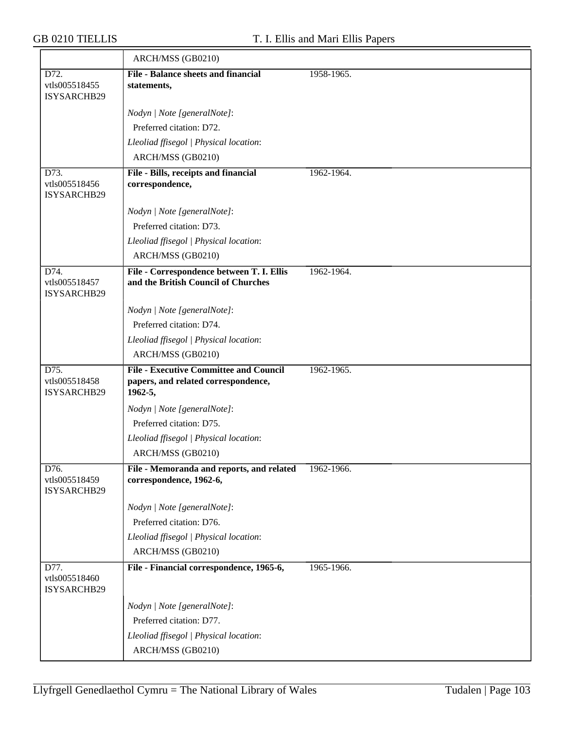|                                      | ARCH/MSS (GB0210)                                                                               |            |
|--------------------------------------|-------------------------------------------------------------------------------------------------|------------|
| D72.<br>vtls005518455<br>ISYSARCHB29 | <b>File - Balance sheets and financial</b><br>statements,                                       | 1958-1965. |
|                                      | Nodyn   Note [generalNote]:                                                                     |            |
|                                      | Preferred citation: D72.                                                                        |            |
|                                      | Lleoliad ffisegol   Physical location:                                                          |            |
|                                      | ARCH/MSS (GB0210)                                                                               |            |
| D73.<br>vtls005518456<br>ISYSARCHB29 | File - Bills, receipts and financial<br>correspondence,                                         | 1962-1964. |
|                                      | Nodyn   Note [generalNote]:                                                                     |            |
|                                      | Preferred citation: D73.                                                                        |            |
|                                      | Lleoliad ffisegol   Physical location:                                                          |            |
|                                      | ARCH/MSS (GB0210)                                                                               |            |
| D74.<br>vtls005518457<br>ISYSARCHB29 | File - Correspondence between T. I. Ellis<br>and the British Council of Churches                | 1962-1964. |
|                                      | Nodyn   Note [generalNote]:                                                                     |            |
|                                      | Preferred citation: D74.                                                                        |            |
|                                      | Lleoliad ffisegol   Physical location:                                                          |            |
|                                      | ARCH/MSS (GB0210)                                                                               |            |
| D75.<br>vtls005518458<br>ISYSARCHB29 | <b>File - Executive Committee and Council</b><br>papers, and related correspondence,<br>1962-5, | 1962-1965. |
|                                      | Nodyn   Note [generalNote]:                                                                     |            |
|                                      | Preferred citation: D75.                                                                        |            |
|                                      | Lleoliad ffisegol   Physical location:                                                          |            |
|                                      | ARCH/MSS (GB0210)                                                                               |            |
| D76.<br>vtls005518459<br>ISYSARCHB29 | File - Memoranda and reports, and related<br>correspondence, 1962-6,                            | 1962-1966. |
|                                      | Nodyn   Note [generalNote]:                                                                     |            |
|                                      | Preferred citation: D76.                                                                        |            |
|                                      | Lleoliad ffisegol   Physical location:                                                          |            |
|                                      | ARCH/MSS (GB0210)                                                                               |            |
| D77.<br>vtls005518460<br>ISYSARCHB29 | File - Financial correspondence, 1965-6,                                                        | 1965-1966. |
|                                      | Nodyn   Note [generalNote]:                                                                     |            |
|                                      | Preferred citation: D77.                                                                        |            |
|                                      | Lleoliad ffisegol   Physical location:                                                          |            |
|                                      | ARCH/MSS (GB0210)                                                                               |            |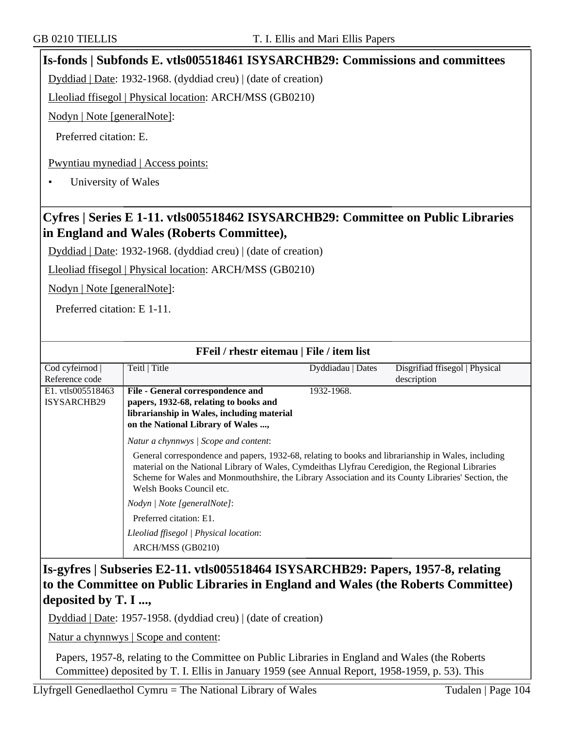## **Is-fonds | Subfonds E. vtls005518461 ISYSARCHB29: Commissions and committees**

Dyddiad | Date: 1932-1968. (dyddiad creu) | (date of creation)

Lleoliad ffisegol | Physical location: ARCH/MSS (GB0210)

Nodyn | Note [generalNote]:

Preferred citation: E.

Pwyntiau mynediad | Access points:

• University of Wales

# **Cyfres | Series E 1-11. vtls005518462 ISYSARCHB29: Committee on Public Libraries in England and Wales (Roberts Committee),**

Dyddiad | Date: 1932-1968. (dyddiad creu) | (date of creation)

Lleoliad ffisegol | Physical location: ARCH/MSS (GB0210)

Nodyn | Note [generalNote]:

Preferred citation: E 1-11.

| FFeil / rhestr eitemau   File / item list |                                                                                                                                                                                                                                                                                                                                           |                   |                                |
|-------------------------------------------|-------------------------------------------------------------------------------------------------------------------------------------------------------------------------------------------------------------------------------------------------------------------------------------------------------------------------------------------|-------------------|--------------------------------|
| Cod cyfeirnod                             | Teitl   Title                                                                                                                                                                                                                                                                                                                             | Dyddiadau   Dates | Disgrifiad ffisegol   Physical |
| Reference code                            |                                                                                                                                                                                                                                                                                                                                           |                   | description                    |
| E1. vtls005518463                         | File - General correspondence and                                                                                                                                                                                                                                                                                                         | 1932-1968.        |                                |
| ISYSARCHB29                               | papers, 1932-68, relating to books and                                                                                                                                                                                                                                                                                                    |                   |                                |
|                                           | librarianship in Wales, including material                                                                                                                                                                                                                                                                                                |                   |                                |
|                                           | on the National Library of Wales ,                                                                                                                                                                                                                                                                                                        |                   |                                |
|                                           | Natur a chynnwys / Scope and content:                                                                                                                                                                                                                                                                                                     |                   |                                |
|                                           | General correspondence and papers, 1932-68, relating to books and librarianship in Wales, including<br>material on the National Library of Wales, Cymdeithas Llyfrau Ceredigion, the Regional Libraries<br>Scheme for Wales and Monmouthshire, the Library Association and its County Libraries' Section, the<br>Welsh Books Council etc. |                   |                                |
|                                           | Nodyn / Note [generalNote]:                                                                                                                                                                                                                                                                                                               |                   |                                |
|                                           | Preferred citation: E1.                                                                                                                                                                                                                                                                                                                   |                   |                                |
|                                           | Lleoliad ffisegol   Physical location:                                                                                                                                                                                                                                                                                                    |                   |                                |
|                                           | ARCH/MSS (GB0210)                                                                                                                                                                                                                                                                                                                         |                   |                                |
|                                           |                                                                                                                                                                                                                                                                                                                                           |                   |                                |

# **Is-gyfres | Subseries E2-11. vtls005518464 ISYSARCHB29: Papers, 1957-8, relating to the Committee on Public Libraries in England and Wales (the Roberts Committee) deposited by T. I ...,**

Dyddiad | Date: 1957-1958. (dyddiad creu) | (date of creation)

Natur a chynnwys | Scope and content:

Papers, 1957-8, relating to the Committee on Public Libraries in England and Wales (the Roberts Committee) deposited by T. I. Ellis in January 1959 (see Annual Report, 1958-1959, p. 53). This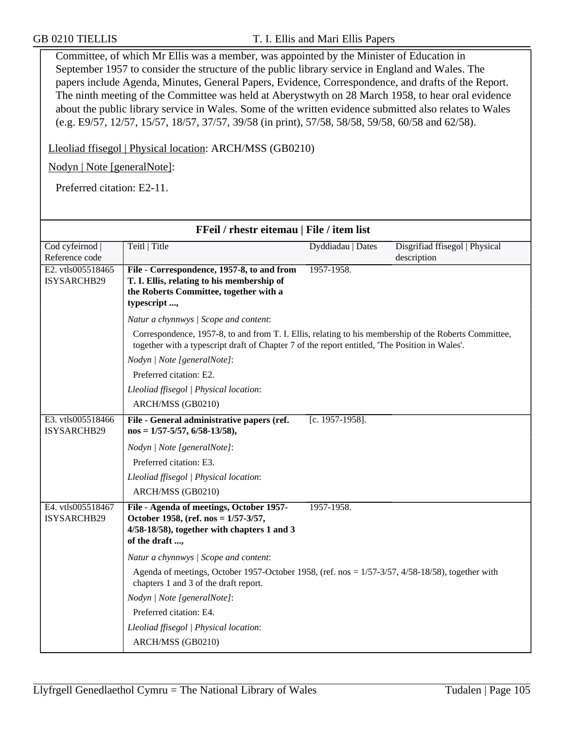Committee, of which Mr Ellis was a member, was appointed by the Minister of Education in September 1957 to consider the structure of the public library service in England and Wales. The papers include Agenda, Minutes, General Papers, Evidence, Correspondence, and drafts of the Report. The ninth meeting of the Committee was held at Aberystwyth on 28 March 1958, to hear oral evidence about the public library service in Wales. Some of the written evidence submitted also relates to Wales (e.g. E9/57, 12/57, 15/57, 18/57, 37/57, 39/58 (in print), 57/58, 58/58, 59/58, 60/58 and 62/58).

Lleoliad ffisegol | Physical location: ARCH/MSS (GB0210)

Nodyn | Note [generalNote]:

Preferred citation: E2-11.

| FFeil / rhestr eitemau   File / item list |                                                                                                                                                                                                         |                   |                                               |  |  |
|-------------------------------------------|---------------------------------------------------------------------------------------------------------------------------------------------------------------------------------------------------------|-------------------|-----------------------------------------------|--|--|
| Cod cyfeirnod<br>Reference code           | Teitl   Title                                                                                                                                                                                           | Dyddiadau   Dates | Disgrifiad ffisegol   Physical<br>description |  |  |
| E2. vtls005518465<br>ISYSARCHB29          | File - Correspondence, 1957-8, to and from<br>T. I. Ellis, relating to his membership of<br>the Roberts Committee, together with a<br>typescript ,                                                      | 1957-1958.        |                                               |  |  |
|                                           | Natur a chynnwys / Scope and content:                                                                                                                                                                   |                   |                                               |  |  |
|                                           | Correspondence, 1957-8, to and from T. I. Ellis, relating to his membership of the Roberts Committee,<br>together with a typescript draft of Chapter 7 of the report entitled, 'The Position in Wales'. |                   |                                               |  |  |
|                                           | Nodyn   Note [generalNote]:                                                                                                                                                                             |                   |                                               |  |  |
|                                           | Preferred citation: E2.                                                                                                                                                                                 |                   |                                               |  |  |
|                                           | Lleoliad ffisegol   Physical location:                                                                                                                                                                  |                   |                                               |  |  |
|                                           | ARCH/MSS (GB0210)                                                                                                                                                                                       |                   |                                               |  |  |
| E3. vtls005518466<br>ISYSARCHB29          | File - General administrative papers (ref.<br>$nos = 1/57 - 5/57, 6/58 - 13/58,$                                                                                                                        | [c. 1957-1958].   |                                               |  |  |
|                                           | Nodyn   Note [generalNote]:                                                                                                                                                                             |                   |                                               |  |  |
|                                           | Preferred citation: E3.                                                                                                                                                                                 |                   |                                               |  |  |
|                                           | Lleoliad ffisegol   Physical location:                                                                                                                                                                  |                   |                                               |  |  |
|                                           | ARCH/MSS (GB0210)                                                                                                                                                                                       |                   |                                               |  |  |
| E4. vtls005518467<br>ISYSARCHB29          | File - Agenda of meetings, October 1957-<br>October 1958, (ref. nos = 1/57-3/57,<br>4/58-18/58), together with chapters 1 and 3<br>of the draft ,                                                       | 1957-1958.        |                                               |  |  |
|                                           | Natur a chynnwys / Scope and content:                                                                                                                                                                   |                   |                                               |  |  |
|                                           | Agenda of meetings, October 1957-October 1958, (ref. nos = $1/57-3/57$ , $4/58-18/58$ ), together with<br>chapters 1 and 3 of the draft report.                                                         |                   |                                               |  |  |
|                                           | Nodyn   Note [generalNote]:                                                                                                                                                                             |                   |                                               |  |  |
|                                           | Preferred citation: E4.                                                                                                                                                                                 |                   |                                               |  |  |
|                                           | Lleoliad ffisegol   Physical location:                                                                                                                                                                  |                   |                                               |  |  |
|                                           | ARCH/MSS (GB0210)                                                                                                                                                                                       |                   |                                               |  |  |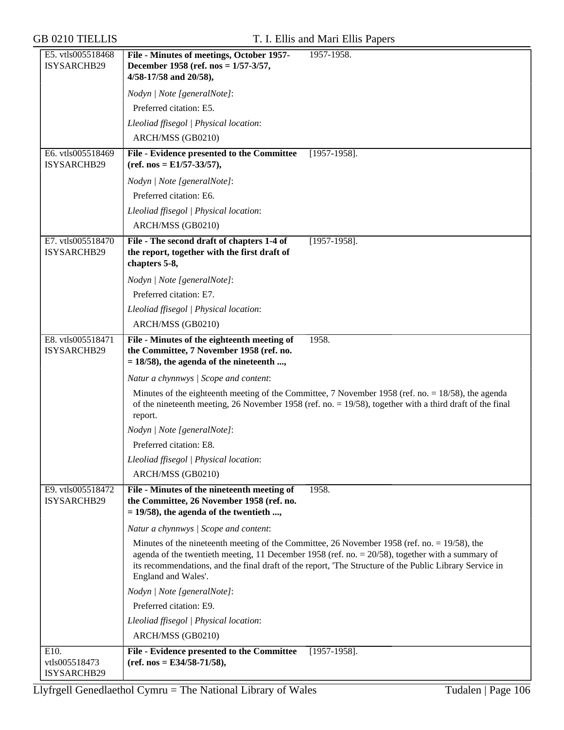| E5. vtls005518468<br>ISYSARCHB29 | File - Minutes of meetings, October 1957-<br>1957-1958.<br>December 1958 (ref. nos = 1/57-3/57,                                                                                                                                                                                                                                       |
|----------------------------------|---------------------------------------------------------------------------------------------------------------------------------------------------------------------------------------------------------------------------------------------------------------------------------------------------------------------------------------|
|                                  | 4/58-17/58 and 20/58),                                                                                                                                                                                                                                                                                                                |
|                                  | Nodyn   Note [generalNote]:                                                                                                                                                                                                                                                                                                           |
|                                  | Preferred citation: E5.                                                                                                                                                                                                                                                                                                               |
|                                  | Lleoliad ffisegol   Physical location:                                                                                                                                                                                                                                                                                                |
|                                  | ARCH/MSS (GB0210)                                                                                                                                                                                                                                                                                                                     |
| E6. vtls005518469<br>ISYSARCHB29 | File - Evidence presented to the Committee<br>$[1957-1958]$ .<br>$(ref. nos = E1/57-33/57),$                                                                                                                                                                                                                                          |
|                                  | Nodyn   Note [generalNote]:                                                                                                                                                                                                                                                                                                           |
|                                  | Preferred citation: E6.                                                                                                                                                                                                                                                                                                               |
|                                  | Lleoliad ffisegol   Physical location:                                                                                                                                                                                                                                                                                                |
|                                  | ARCH/MSS (GB0210)                                                                                                                                                                                                                                                                                                                     |
| E7. vtls005518470                | File - The second draft of chapters 1-4 of<br>$[1957-1958]$ .                                                                                                                                                                                                                                                                         |
| ISYSARCHB29                      | the report, together with the first draft of<br>chapters 5-8,                                                                                                                                                                                                                                                                         |
|                                  | Nodyn   Note [generalNote]:                                                                                                                                                                                                                                                                                                           |
|                                  | Preferred citation: E7.                                                                                                                                                                                                                                                                                                               |
|                                  | Lleoliad ffisegol   Physical location:                                                                                                                                                                                                                                                                                                |
|                                  | ARCH/MSS (GB0210)                                                                                                                                                                                                                                                                                                                     |
| E8. vtls005518471                | File - Minutes of the eighteenth meeting of<br>1958.                                                                                                                                                                                                                                                                                  |
| ISYSARCHB29                      | the Committee, 7 November 1958 (ref. no.<br>$= 18/58$ , the agenda of the nineteenth ,                                                                                                                                                                                                                                                |
|                                  | Natur a chynnwys / Scope and content:                                                                                                                                                                                                                                                                                                 |
|                                  | Minutes of the eighteenth meeting of the Committee, 7 November 1958 (ref. no. $= 18/58$ ), the agenda<br>of the nineteenth meeting, 26 November 1958 (ref. no. = 19/58), together with a third draft of the final<br>report.                                                                                                          |
|                                  | Nodyn   Note [generalNote]:                                                                                                                                                                                                                                                                                                           |
|                                  | Preferred citation: E8.                                                                                                                                                                                                                                                                                                               |
|                                  | Lleoliad ffisegol   Physical location:                                                                                                                                                                                                                                                                                                |
|                                  | ARCH/MSS (GB0210)                                                                                                                                                                                                                                                                                                                     |
| E9. vtls005518472<br>ISYSARCHB29 | 1958.<br>File - Minutes of the nineteenth meeting of<br>the Committee, 26 November 1958 (ref. no.<br>$= 19/58$ , the agenda of the twentieth ,                                                                                                                                                                                        |
|                                  | Natur a chynnwys / Scope and content:                                                                                                                                                                                                                                                                                                 |
|                                  | Minutes of the nineteenth meeting of the Committee, 26 November 1958 (ref. no. = 19/58), the<br>agenda of the twentieth meeting, 11 December 1958 (ref. no. $= 20/58$ ), together with a summary of<br>its recommendations, and the final draft of the report, 'The Structure of the Public Library Service in<br>England and Wales'. |
|                                  | Nodyn   Note [generalNote]:                                                                                                                                                                                                                                                                                                           |
|                                  | Preferred citation: E9.                                                                                                                                                                                                                                                                                                               |
|                                  | Lleoliad ffisegol   Physical location:                                                                                                                                                                                                                                                                                                |
|                                  | ARCH/MSS (GB0210)                                                                                                                                                                                                                                                                                                                     |
| E10.<br>vtls005518473            | <b>File - Evidence presented to the Committee</b><br>$[1957-1958]$ .<br>$(ref. nos = E34/58-71/58),$                                                                                                                                                                                                                                  |
| ISYSARCHB29                      |                                                                                                                                                                                                                                                                                                                                       |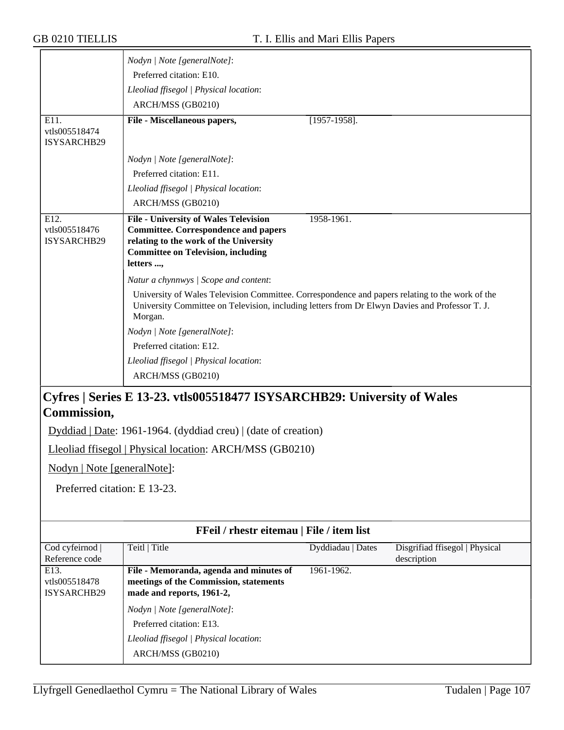|                                   | Nodyn   Note [generalNote]:                                                                               |                   |                                               |
|-----------------------------------|-----------------------------------------------------------------------------------------------------------|-------------------|-----------------------------------------------|
|                                   | Preferred citation: E10.                                                                                  |                   |                                               |
|                                   | Lleoliad ffisegol   Physical location:                                                                    |                   |                                               |
|                                   | ARCH/MSS (GB0210)                                                                                         |                   |                                               |
| E11.                              | File - Miscellaneous papers,                                                                              | $[1957-1958]$ .   |                                               |
| vtls005518474                     |                                                                                                           |                   |                                               |
| ISYSARCHB29                       |                                                                                                           |                   |                                               |
|                                   | Nodyn   Note [generalNote]:                                                                               |                   |                                               |
|                                   | Preferred citation: E11.                                                                                  |                   |                                               |
|                                   | Lleoliad ffisegol   Physical location:                                                                    |                   |                                               |
|                                   | ARCH/MSS (GB0210)                                                                                         |                   |                                               |
| E12.                              | <b>File - University of Wales Television</b>                                                              | 1958-1961.        |                                               |
| vtls005518476<br>ISYSARCHB29      | <b>Committee. Correspondence and papers</b><br>relating to the work of the University                     |                   |                                               |
|                                   | <b>Committee on Television, including</b>                                                                 |                   |                                               |
|                                   | letters ,                                                                                                 |                   |                                               |
|                                   | Natur a chynnwys / Scope and content:                                                                     |                   |                                               |
|                                   | University of Wales Television Committee. Correspondence and papers relating to the work of the           |                   |                                               |
|                                   | University Committee on Television, including letters from Dr Elwyn Davies and Professor T. J.<br>Morgan. |                   |                                               |
|                                   | Nodyn   Note [generalNote]:                                                                               |                   |                                               |
|                                   | Preferred citation: E12.                                                                                  |                   |                                               |
|                                   | Lleoliad ffisegol   Physical location:                                                                    |                   |                                               |
|                                   | ARCH/MSS (GB0210)                                                                                         |                   |                                               |
|                                   | Cyfres   Series E 13-23. vtls005518477 ISYSARCHB29: University of Wales                                   |                   |                                               |
| Commission,                       |                                                                                                           |                   |                                               |
|                                   | Dyddiad   Date: 1961-1964. (dyddiad creu)   (date of creation)                                            |                   |                                               |
|                                   | Lleoliad ffisegol   Physical location: ARCH/MSS (GB0210)                                                  |                   |                                               |
| Nodyn   Note [generalNote]:       |                                                                                                           |                   |                                               |
|                                   |                                                                                                           |                   |                                               |
| Preferred citation: E 13-23.      |                                                                                                           |                   |                                               |
|                                   |                                                                                                           |                   |                                               |
|                                   |                                                                                                           |                   |                                               |
|                                   | FFeil / rhestr eitemau   File / item list                                                                 |                   |                                               |
| Cod cyfeirnod  <br>Reference code | Teitl   Title                                                                                             | Dyddiadau   Dates | Disgrifiad ffisegol   Physical<br>description |
| E13.                              | File - Memoranda, agenda and minutes of                                                                   | 1961-1962.        |                                               |
| vtls005518478<br>ISYSARCHB29      | meetings of the Commission, statements<br>made and reports, 1961-2,                                       |                   |                                               |
|                                   | Nodyn   Note [generalNote]:                                                                               |                   |                                               |
|                                   | Preferred citation: E13.                                                                                  |                   |                                               |
|                                   | Lleoliad ffisegol   Physical location:                                                                    |                   |                                               |
|                                   |                                                                                                           |                   |                                               |

ARCH/MSS (GB0210)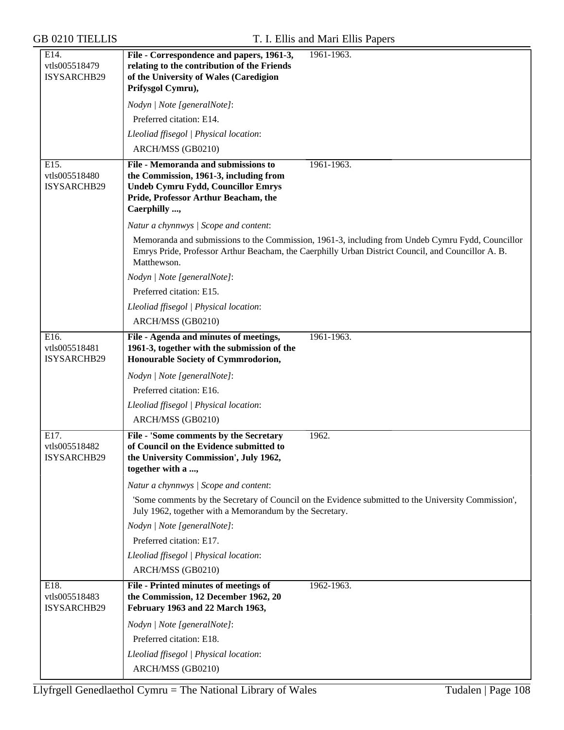| E14.<br>vtls005518479<br>ISYSARCHB29        | 1961-1963.<br>File - Correspondence and papers, 1961-3,<br>relating to the contribution of the Friends<br>of the University of Wales (Caredigion<br>Prifysgol Cymru),                                                 |  |  |
|---------------------------------------------|-----------------------------------------------------------------------------------------------------------------------------------------------------------------------------------------------------------------------|--|--|
|                                             | Nodyn   Note [generalNote]:                                                                                                                                                                                           |  |  |
|                                             | Preferred citation: E14.                                                                                                                                                                                              |  |  |
|                                             | Lleoliad ffisegol   Physical location:                                                                                                                                                                                |  |  |
|                                             | ARCH/MSS (GB0210)                                                                                                                                                                                                     |  |  |
| E15.<br>vtls005518480<br>ISYSARCHB29        | 1961-1963.<br>File - Memoranda and submissions to<br>the Commission, 1961-3, including from<br><b>Undeb Cymru Fydd, Councillor Emrys</b><br>Pride, Professor Arthur Beacham, the<br>Caerphilly ,                      |  |  |
|                                             | Natur a chynnwys / Scope and content:                                                                                                                                                                                 |  |  |
|                                             | Memoranda and submissions to the Commission, 1961-3, including from Undeb Cymru Fydd, Councillor<br>Emrys Pride, Professor Arthur Beacham, the Caerphilly Urban District Council, and Councillor A. B.<br>Matthewson. |  |  |
|                                             | Nodyn   Note [generalNote]:                                                                                                                                                                                           |  |  |
|                                             | Preferred citation: E15.                                                                                                                                                                                              |  |  |
|                                             | Lleoliad ffisegol   Physical location:                                                                                                                                                                                |  |  |
|                                             | ARCH/MSS (GB0210)                                                                                                                                                                                                     |  |  |
| E16.<br>vtls005518481<br>ISYSARCHB29        | File - Agenda and minutes of meetings,<br>1961-1963.<br>1961-3, together with the submission of the<br>Honourable Society of Cymmrodorion,                                                                            |  |  |
|                                             | Nodyn   Note [generalNote]:                                                                                                                                                                                           |  |  |
|                                             | Preferred citation: E16.                                                                                                                                                                                              |  |  |
|                                             | Lleoliad ffisegol   Physical location:                                                                                                                                                                                |  |  |
|                                             | ARCH/MSS (GB0210)                                                                                                                                                                                                     |  |  |
| E17.<br>vtls005518482<br><b>ISYSARCHB29</b> | File - 'Some comments by the Secretary<br>1962.<br>of Council on the Evidence submitted to<br>the University Commission', July 1962,<br>together with a ,                                                             |  |  |
|                                             | Natur a chynnwys / Scope and content:                                                                                                                                                                                 |  |  |
|                                             | 'Some comments by the Secretary of Council on the Evidence submitted to the University Commission',<br>July 1962, together with a Memorandum by the Secretary.                                                        |  |  |
|                                             | Nodyn   Note [generalNote]:                                                                                                                                                                                           |  |  |
|                                             | Preferred citation: E17.                                                                                                                                                                                              |  |  |
|                                             | Lleoliad ffisegol   Physical location:                                                                                                                                                                                |  |  |
|                                             | ARCH/MSS (GB0210)                                                                                                                                                                                                     |  |  |
| E18.<br>vtls005518483<br>ISYSARCHB29        | File - Printed minutes of meetings of<br>1962-1963.<br>the Commission, 12 December 1962, 20<br>February 1963 and 22 March 1963,                                                                                       |  |  |
|                                             | Nodyn   Note [generalNote]:                                                                                                                                                                                           |  |  |
|                                             | Preferred citation: E18.                                                                                                                                                                                              |  |  |
|                                             | Lleoliad ffisegol   Physical location:                                                                                                                                                                                |  |  |
|                                             | ARCH/MSS (GB0210)                                                                                                                                                                                                     |  |  |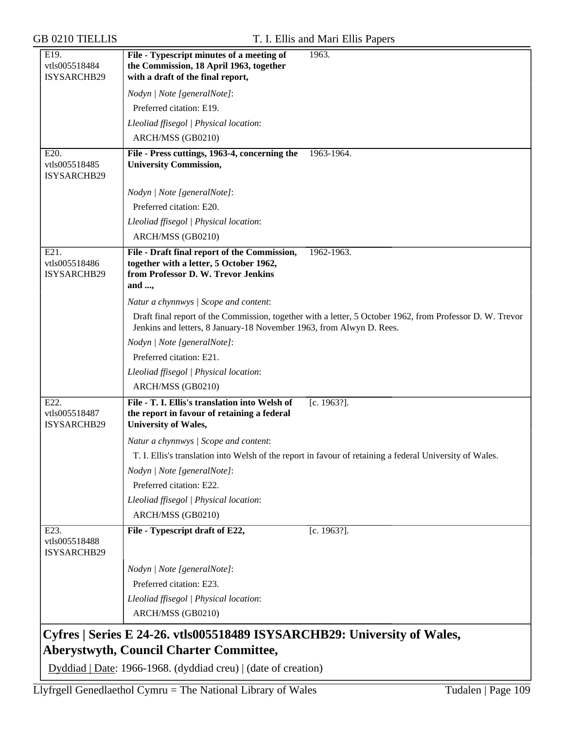| E19.<br>vtls005518484<br>ISYSARCHB29 | File - Typescript minutes of a meeting of<br>the Commission, 18 April 1963, together<br>with a draft of the final report,               | 1963.                                                                                                     |
|--------------------------------------|-----------------------------------------------------------------------------------------------------------------------------------------|-----------------------------------------------------------------------------------------------------------|
|                                      | Nodyn   Note [generalNote]:                                                                                                             |                                                                                                           |
|                                      | Preferred citation: E19.                                                                                                                |                                                                                                           |
|                                      | Lleoliad ffisegol   Physical location:                                                                                                  |                                                                                                           |
|                                      | ARCH/MSS (GB0210)                                                                                                                       |                                                                                                           |
| E20.<br>vtls005518485<br>ISYSARCHB29 | File - Press cuttings, 1963-4, concerning the<br><b>University Commission,</b>                                                          | 1963-1964.                                                                                                |
|                                      | Nodyn   Note [generalNote]:                                                                                                             |                                                                                                           |
|                                      | Preferred citation: E20.                                                                                                                |                                                                                                           |
|                                      | Lleoliad ffisegol   Physical location:                                                                                                  |                                                                                                           |
|                                      | ARCH/MSS (GB0210)                                                                                                                       |                                                                                                           |
| E21.<br>vtls005518486<br>ISYSARCHB29 | File - Draft final report of the Commission,<br>together with a letter, 5 October 1962,<br>from Professor D. W. Trevor Jenkins<br>and , | 1962-1963.                                                                                                |
|                                      | Natur a chynnwys / Scope and content:                                                                                                   |                                                                                                           |
|                                      | Jenkins and letters, 8 January-18 November 1963, from Alwyn D. Rees.                                                                    | Draft final report of the Commission, together with a letter, 5 October 1962, from Professor D. W. Trevor |
|                                      | Nodyn   Note [generalNote]:                                                                                                             |                                                                                                           |
|                                      | Preferred citation: E21.                                                                                                                |                                                                                                           |
|                                      | Lleoliad ffisegol   Physical location:                                                                                                  |                                                                                                           |
|                                      | ARCH/MSS (GB0210)                                                                                                                       |                                                                                                           |
| E22.<br>vtls005518487<br>ISYSARCHB29 | File - T. I. Ellis's translation into Welsh of<br>the report in favour of retaining a federal<br><b>University of Wales,</b>            | [c. 1963?].                                                                                               |
|                                      | Natur a chynnwys / Scope and content:                                                                                                   |                                                                                                           |
|                                      |                                                                                                                                         | T. I. Ellis's translation into Welsh of the report in favour of retaining a federal University of Wales.  |
|                                      | Nodyn   Note [generalNote]:                                                                                                             |                                                                                                           |
|                                      | Preferred citation: E22.                                                                                                                |                                                                                                           |
|                                      | Lleoliad ffisegol   Physical location:                                                                                                  |                                                                                                           |
|                                      | ARCH/MSS (GB0210)                                                                                                                       |                                                                                                           |
| E23.<br>vtls005518488<br>ISYSARCHB29 | File - Typescript draft of E22,                                                                                                         | [c. 1963?].                                                                                               |
|                                      | Nodyn   Note [generalNote]:                                                                                                             |                                                                                                           |
|                                      | Preferred citation: E23.                                                                                                                |                                                                                                           |
|                                      | Lleoliad ffisegol   Physical location:                                                                                                  |                                                                                                           |
|                                      | ARCH/MSS (GB0210)                                                                                                                       |                                                                                                           |
|                                      | Cyfres   Series E 24-26. vtls005518489 ISYSARCHB29: University of Wales,<br><b>Aberystwyth, Council Charter Committee,</b>              |                                                                                                           |

Dyddiad | Date: 1966-1968. (dyddiad creu) | (date of creation)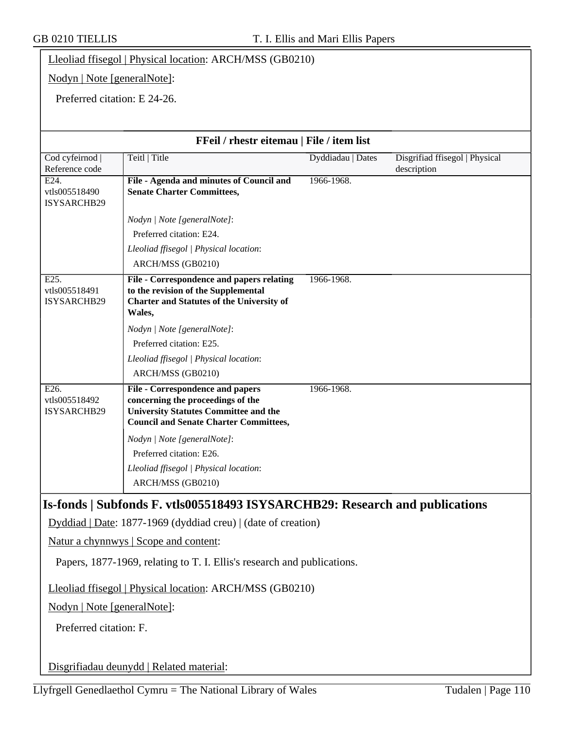|                                                                         | Lleoliad ffisegol   Physical location: ARCH/MSS (GB0210)                                                                                                               |                   |                                               |  |
|-------------------------------------------------------------------------|------------------------------------------------------------------------------------------------------------------------------------------------------------------------|-------------------|-----------------------------------------------|--|
|                                                                         | Nodyn   Note [generalNote]:                                                                                                                                            |                   |                                               |  |
|                                                                         | Preferred citation: E 24-26.                                                                                                                                           |                   |                                               |  |
|                                                                         |                                                                                                                                                                        |                   |                                               |  |
|                                                                         | FFeil / rhestr eitemau   File / item list                                                                                                                              |                   |                                               |  |
| Cod cyfeirnod<br>Reference code                                         | Teitl   Title                                                                                                                                                          | Dyddiadau   Dates | Disgrifiad ffisegol   Physical<br>description |  |
| E24.<br>vtls005518490<br>ISYSARCHB29                                    | File - Agenda and minutes of Council and<br><b>Senate Charter Committees,</b>                                                                                          | 1966-1968.        |                                               |  |
|                                                                         | Nodyn   Note [generalNote]:                                                                                                                                            |                   |                                               |  |
|                                                                         | Preferred citation: E24.                                                                                                                                               |                   |                                               |  |
|                                                                         | Lleoliad ffisegol   Physical location:                                                                                                                                 |                   |                                               |  |
|                                                                         | ARCH/MSS (GB0210)                                                                                                                                                      |                   |                                               |  |
| E25.<br>vtls005518491<br>ISYSARCHB29                                    | File - Correspondence and papers relating<br>to the revision of the Supplemental<br><b>Charter and Statutes of the University of</b><br>Wales,                         | 1966-1968.        |                                               |  |
|                                                                         | Nodyn   Note [generalNote]:                                                                                                                                            |                   |                                               |  |
|                                                                         | Preferred citation: E25.                                                                                                                                               |                   |                                               |  |
|                                                                         | Lleoliad ffisegol   Physical location:                                                                                                                                 |                   |                                               |  |
|                                                                         | ARCH/MSS (GB0210)                                                                                                                                                      |                   |                                               |  |
| E26.<br>vtls005518492<br>ISYSARCHB29                                    | File - Correspondence and papers<br>concerning the proceedings of the<br><b>University Statutes Committee and the</b><br><b>Council and Senate Charter Committees,</b> | 1966-1968.        |                                               |  |
|                                                                         | Nodyn   Note [generalNote]:                                                                                                                                            |                   |                                               |  |
|                                                                         | Preferred citation: E26.                                                                                                                                               |                   |                                               |  |
|                                                                         | Lleoliad ffisegol   Physical location:<br>ARCH/MSS (GB0210)                                                                                                            |                   |                                               |  |
|                                                                         | Is-fonds   Subfonds F. vtls005518493 ISYSARCHB29: Research and publications                                                                                            |                   |                                               |  |
|                                                                         | $Dyddiad   Date: 1877-1969 (dyddiad creu)   (date of creation)$                                                                                                        |                   |                                               |  |
| Natur a chynnwys   Scope and content:                                   |                                                                                                                                                                        |                   |                                               |  |
| Papers, 1877-1969, relating to T. I. Ellis's research and publications. |                                                                                                                                                                        |                   |                                               |  |
| Lleoliad ffisegol   Physical location: ARCH/MSS (GB0210)                |                                                                                                                                                                        |                   |                                               |  |
| Nodyn   Note [generalNote]:                                             |                                                                                                                                                                        |                   |                                               |  |
| Preferred citation: F.                                                  |                                                                                                                                                                        |                   |                                               |  |
|                                                                         | Disgrifiadau deunydd   Related material:                                                                                                                               |                   |                                               |  |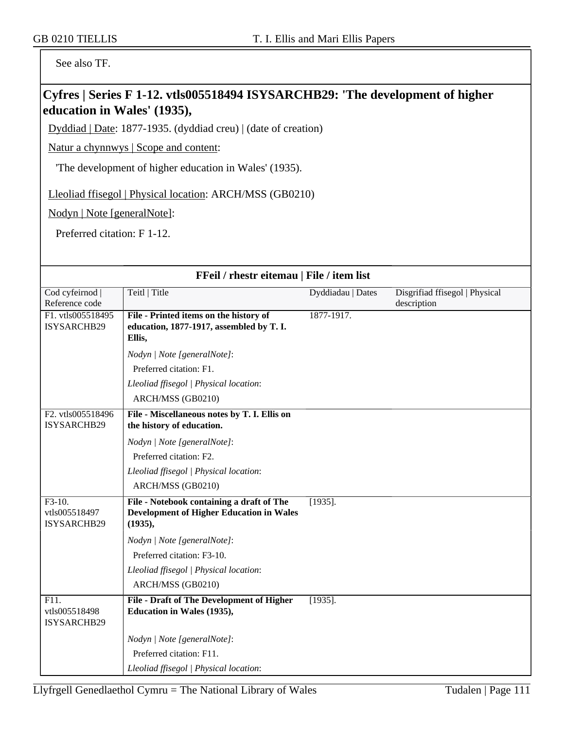See also TF.

### **Cyfres | Series F 1-12. vtls005518494 ISYSARCHB29: 'The development of higher education in Wales' (1935),**

Dyddiad | Date: 1877-1935. (dyddiad creu) | (date of creation)

Natur a chynnwys | Scope and content:

'The development of higher education in Wales' (1935).

Lleoliad ffisegol | Physical location: ARCH/MSS (GB0210)

Nodyn | Note [generalNote]:

Preferred citation: F 1-12.

| FFeil / rhestr eitemau   File / item list |                                                                         |                   |                                |
|-------------------------------------------|-------------------------------------------------------------------------|-------------------|--------------------------------|
| Cod cyfeirnod  <br>Reference code         | Teitl   Title                                                           | Dyddiadau   Dates | Disgrifiad ffisegol   Physical |
| F1. vtls005518495                         | File - Printed items on the history of                                  | 1877-1917.        | description                    |
| ISYSARCHB29                               | education, 1877-1917, assembled by T. I.                                |                   |                                |
|                                           | Ellis,                                                                  |                   |                                |
|                                           | Nodyn   Note [generalNote]:                                             |                   |                                |
|                                           | Preferred citation: F1.                                                 |                   |                                |
|                                           | Lleoliad ffisegol   Physical location:                                  |                   |                                |
|                                           | ARCH/MSS (GB0210)                                                       |                   |                                |
| F2. vtls005518496                         | File - Miscellaneous notes by T. I. Ellis on                            |                   |                                |
| ISYSARCHB29                               | the history of education.                                               |                   |                                |
|                                           | Nodyn   Note [generalNote]:                                             |                   |                                |
|                                           | Preferred citation: F2.                                                 |                   |                                |
|                                           | Lleoliad ffisegol   Physical location:                                  |                   |                                |
|                                           | ARCH/MSS (GB0210)                                                       |                   |                                |
| $F3-10.$                                  | File - Notebook containing a draft of The                               | $[1935]$ .        |                                |
| vtls005518497<br>ISYSARCHB29              | <b>Development of Higher Education in Wales</b><br>(1935),              |                   |                                |
|                                           | Nodyn   Note [generalNote]:                                             |                   |                                |
|                                           | Preferred citation: F3-10.                                              |                   |                                |
|                                           | Lleoliad ffisegol   Physical location:                                  |                   |                                |
|                                           | ARCH/MSS (GB0210)                                                       |                   |                                |
| F11.<br>vtls005518498<br>ISYSARCHB29      | File - Draft of The Development of Higher<br>Education in Wales (1935), | $[1935]$ .        |                                |
|                                           | Nodyn   Note [generalNote]:                                             |                   |                                |
|                                           | Preferred citation: F11.                                                |                   |                                |
|                                           | Lleoliad ffisegol   Physical location:                                  |                   |                                |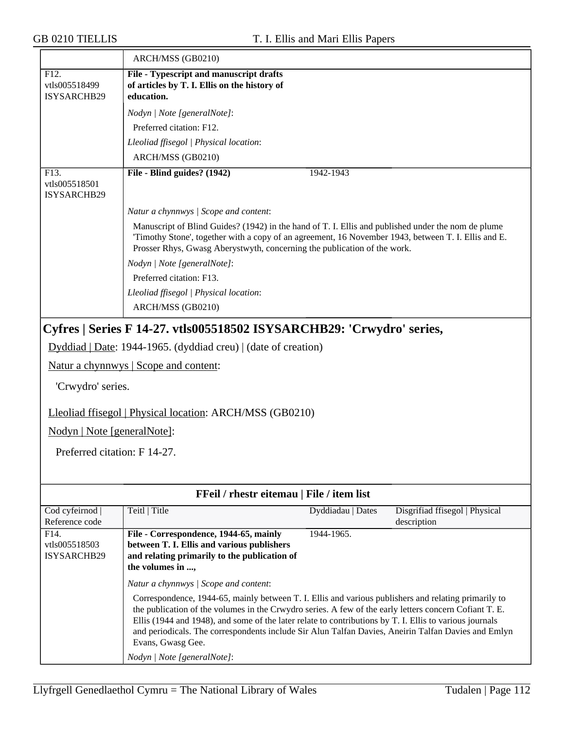|                                                                                  | ARCH/MSS (GB0210)                                                                                                                                                                                                                                                                                                                                                                                                                                     |                   |                                               |
|----------------------------------------------------------------------------------|-------------------------------------------------------------------------------------------------------------------------------------------------------------------------------------------------------------------------------------------------------------------------------------------------------------------------------------------------------------------------------------------------------------------------------------------------------|-------------------|-----------------------------------------------|
| F12.<br>vtls005518499<br>ISYSARCHB29                                             | File - Typescript and manuscript drafts<br>of articles by T. I. Ellis on the history of<br>education.                                                                                                                                                                                                                                                                                                                                                 |                   |                                               |
|                                                                                  | Nodyn   Note [generalNote]:                                                                                                                                                                                                                                                                                                                                                                                                                           |                   |                                               |
|                                                                                  | Preferred citation: F12.                                                                                                                                                                                                                                                                                                                                                                                                                              |                   |                                               |
|                                                                                  | Lleoliad ffisegol   Physical location:                                                                                                                                                                                                                                                                                                                                                                                                                |                   |                                               |
|                                                                                  | ARCH/MSS (GB0210)                                                                                                                                                                                                                                                                                                                                                                                                                                     |                   |                                               |
| F13.<br>vtls005518501<br>ISYSARCHB29                                             | File - Blind guides? (1942)                                                                                                                                                                                                                                                                                                                                                                                                                           | 1942-1943         |                                               |
|                                                                                  | Natur a chynnwys / Scope and content:                                                                                                                                                                                                                                                                                                                                                                                                                 |                   |                                               |
|                                                                                  | Manuscript of Blind Guides? (1942) in the hand of T. I. Ellis and published under the nom de plume<br>Timothy Stone', together with a copy of an agreement, 16 November 1943, between T. I. Ellis and E.<br>Prosser Rhys, Gwasg Aberystwyth, concerning the publication of the work.<br>Nodyn   Note [generalNote]:                                                                                                                                   |                   |                                               |
|                                                                                  | Preferred citation: F13.                                                                                                                                                                                                                                                                                                                                                                                                                              |                   |                                               |
|                                                                                  | Lleoliad ffisegol   Physical location:                                                                                                                                                                                                                                                                                                                                                                                                                |                   |                                               |
|                                                                                  | ARCH/MSS (GB0210)                                                                                                                                                                                                                                                                                                                                                                                                                                     |                   |                                               |
| 'Crwydro' series.<br>Nodyn   Note [generalNote]:<br>Preferred citation: F 14-27. | Dyddiad   Date: 1944-1965. (dyddiad creu)   (date of creation)<br>Natur a chynnwys   Scope and content:<br>Lleoliad ffisegol   Physical location: ARCH/MSS (GB0210)                                                                                                                                                                                                                                                                                   |                   |                                               |
|                                                                                  | FFeil / rhestr eitemau   File / item list                                                                                                                                                                                                                                                                                                                                                                                                             |                   |                                               |
| Cod cyfeirnod  <br>Reference code                                                | Teitl   Title                                                                                                                                                                                                                                                                                                                                                                                                                                         | Dyddiadau   Dates | Disgrifiad ffisegol   Physical<br>description |
| F14.<br>vtls005518503<br><b>ISYSARCHB29</b>                                      | File - Correspondence, 1944-65, mainly<br>between T. I. Ellis and various publishers<br>and relating primarily to the publication of<br>the volumes in ,                                                                                                                                                                                                                                                                                              | 1944-1965.        |                                               |
|                                                                                  | Natur a chynnwys / Scope and content:                                                                                                                                                                                                                                                                                                                                                                                                                 |                   |                                               |
|                                                                                  | Correspondence, 1944-65, mainly between T. I. Ellis and various publishers and relating primarily to<br>the publication of the volumes in the Crwydro series. A few of the early letters concern Cofiant T. E.<br>Ellis (1944 and 1948), and some of the later relate to contributions by T. I. Ellis to various journals<br>and periodicals. The correspondents include Sir Alun Talfan Davies, Aneirin Talfan Davies and Emlyn<br>Evans, Gwasg Gee. |                   |                                               |
|                                                                                  | Nodyn   Note [generalNote]:                                                                                                                                                                                                                                                                                                                                                                                                                           |                   |                                               |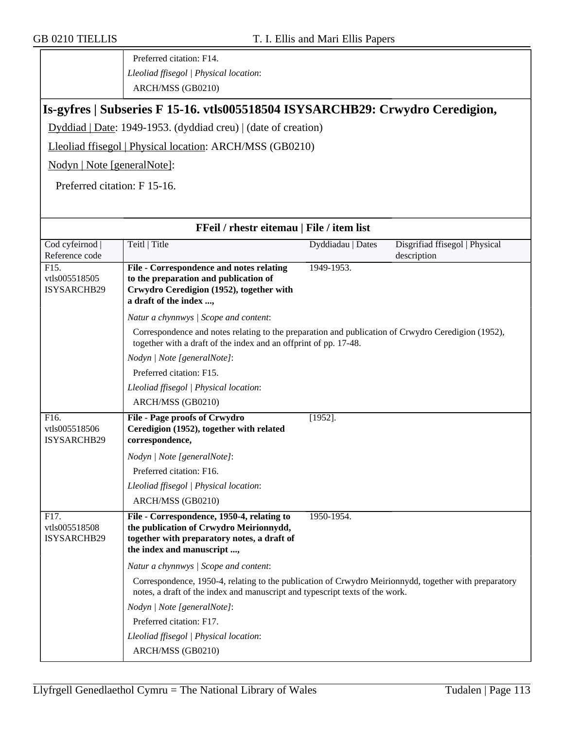Preferred citation: F14. *Lleoliad ffisegol | Physical location*: ARCH/MSS (GB0210)

#### **Is-gyfres | Subseries F 15-16. vtls005518504 ISYSARCHB29: Crwydro Ceredigion,**

Dyddiad | Date: 1949-1953. (dyddiad creu) | (date of creation)

Lleoliad ffisegol | Physical location: ARCH/MSS (GB0210)

Nodyn | Note [generalNote]:

Preferred citation: F 15-16.

| FFeil / rhestr eitemau   File / item list          |                                                                                                                                                                                       |                   |                                               |
|----------------------------------------------------|---------------------------------------------------------------------------------------------------------------------------------------------------------------------------------------|-------------------|-----------------------------------------------|
| Cod cyfeirnod  <br>Reference code                  | Teitl   Title                                                                                                                                                                         | Dyddiadau   Dates | Disgrifiad ffisegol   Physical<br>description |
| $\overline{F15}$ .<br>vtls005518505<br>ISYSARCHB29 | File - Correspondence and notes relating<br>to the preparation and publication of<br>Crwydro Ceredigion (1952), together with<br>a draft of the index ,                               | 1949-1953.        |                                               |
|                                                    | Natur a chynnwys / Scope and content:                                                                                                                                                 |                   |                                               |
|                                                    | Correspondence and notes relating to the preparation and publication of Crwydro Ceredigion (1952),<br>together with a draft of the index and an offprint of pp. 17-48.                |                   |                                               |
|                                                    | Nodyn   Note [generalNote]:                                                                                                                                                           |                   |                                               |
|                                                    | Preferred citation: F15.                                                                                                                                                              |                   |                                               |
|                                                    | Lleoliad ffisegol   Physical location:                                                                                                                                                |                   |                                               |
|                                                    | ARCH/MSS (GB0210)                                                                                                                                                                     |                   |                                               |
| F16.<br>vtls005518506<br>ISYSARCHB29               | <b>File - Page proofs of Crwydro</b><br>Ceredigion (1952), together with related<br>correspondence,                                                                                   | $[1952]$ .        |                                               |
|                                                    | Nodyn   Note [generalNote]:                                                                                                                                                           |                   |                                               |
|                                                    | Preferred citation: F16.                                                                                                                                                              |                   |                                               |
|                                                    | Lleoliad ffisegol   Physical location:                                                                                                                                                |                   |                                               |
|                                                    | ARCH/MSS (GB0210)                                                                                                                                                                     |                   |                                               |
| $\overline{F17}$ .<br>vtls005518508<br>ISYSARCHB29 | File - Correspondence, 1950-4, relating to<br>the publication of Crwydro Meirionnydd,<br>together with preparatory notes, a draft of<br>the index and manuscript ,                    | 1950-1954.        |                                               |
|                                                    | Natur a chynnwys / Scope and content:                                                                                                                                                 |                   |                                               |
|                                                    | Correspondence, 1950-4, relating to the publication of Crwydro Meirionnydd, together with preparatory<br>notes, a draft of the index and manuscript and typescript texts of the work. |                   |                                               |
|                                                    | Nodyn   Note [generalNote]:                                                                                                                                                           |                   |                                               |
|                                                    | Preferred citation: F17.                                                                                                                                                              |                   |                                               |
|                                                    | Lleoliad ffisegol   Physical location:                                                                                                                                                |                   |                                               |
|                                                    | ARCH/MSS (GB0210)                                                                                                                                                                     |                   |                                               |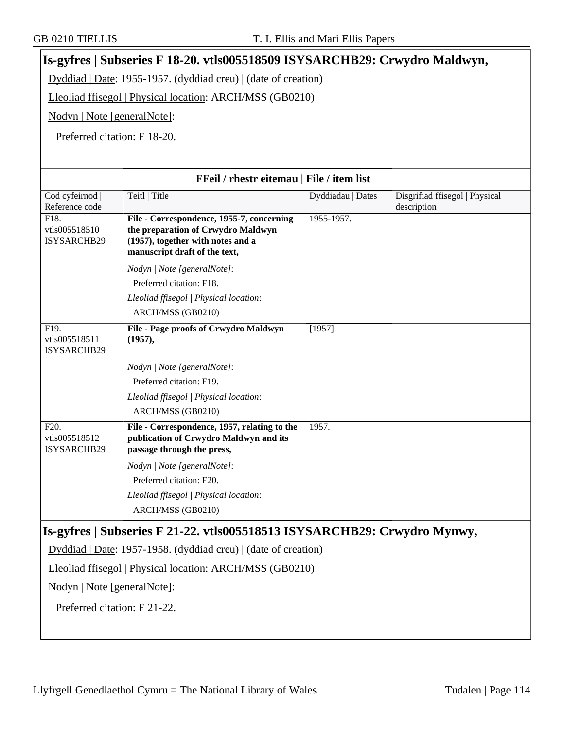### **Is-gyfres | Subseries F 18-20. vtls005518509 ISYSARCHB29: Crwydro Maldwyn,** Dyddiad | Date: 1955-1957. (dyddiad creu) | (date of creation)

Lleoliad ffisegol | Physical location: ARCH/MSS (GB0210)

Nodyn | Note [generalNote]:

Preferred citation: F 18-20.

| FFeil / rhestr eitemau   File / item list         |                                                                                                                      |                   |                                |
|---------------------------------------------------|----------------------------------------------------------------------------------------------------------------------|-------------------|--------------------------------|
| Cod cyfeirnod                                     | Teitl   Title                                                                                                        | Dyddiadau   Dates | Disgrifiad ffisegol   Physical |
| Reference code                                    |                                                                                                                      |                   | description                    |
| F18.<br>vtls005518510                             | File - Correspondence, 1955-7, concerning<br>the preparation of Crwydro Maldwyn                                      | 1955-1957.        |                                |
| ISYSARCHB29                                       | (1957), together with notes and a                                                                                    |                   |                                |
|                                                   | manuscript draft of the text,                                                                                        |                   |                                |
|                                                   | Nodyn   Note [generalNote]:                                                                                          |                   |                                |
|                                                   | Preferred citation: F18.                                                                                             |                   |                                |
|                                                   | Lleoliad ffisegol   Physical location:                                                                               |                   |                                |
|                                                   | ARCH/MSS (GB0210)                                                                                                    |                   |                                |
| F19.<br>vtls005518511<br>ISYSARCHB29              | File - Page proofs of Crwydro Maldwyn<br>(1957),                                                                     | $[1957]$ .        |                                |
|                                                   | Nodyn   Note [generalNote]:                                                                                          |                   |                                |
|                                                   | Preferred citation: F19.                                                                                             |                   |                                |
|                                                   | Lleoliad ffisegol   Physical location:                                                                               |                   |                                |
|                                                   | ARCH/MSS (GB0210)                                                                                                    |                   |                                |
| F <sub>20</sub> .<br>vtls005518512<br>ISYSARCHB29 | File - Correspondence, 1957, relating to the<br>publication of Crwydro Maldwyn and its<br>passage through the press, | 1957.             |                                |
|                                                   | Nodyn   Note [generalNote]:                                                                                          |                   |                                |
|                                                   | Preferred citation: F20.                                                                                             |                   |                                |
|                                                   | Lleoliad ffisegol   Physical location:                                                                               |                   |                                |
|                                                   | ARCH/MSS (GB0210)                                                                                                    |                   |                                |
|                                                   | Is-gyfres   Subseries F 21-22. vtls005518513 ISYSARCHB29: Crwydro Mynwy,                                             |                   |                                |
|                                                   | Dyddiad   Date: 1957-1958. (dyddiad creu)   (date of creation)                                                       |                   |                                |
|                                                   | Lleoliad ffisegol   Physical location: ARCH/MSS (GB0210)                                                             |                   |                                |
| Nodyn   Note [generalNote]:                       |                                                                                                                      |                   |                                |
| Preferred citation: F 21-22.                      |                                                                                                                      |                   |                                |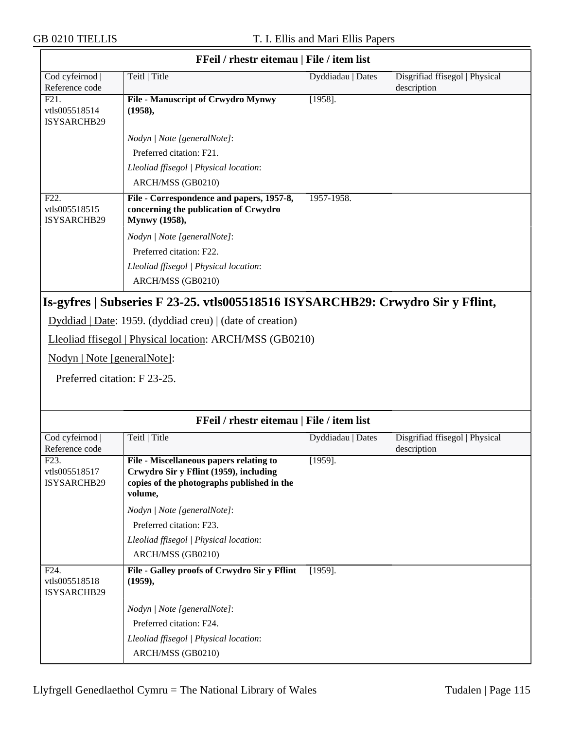| FFeil / rhestr eitemau   File / item list         |                                                                                                                                                   |                   |                                               |
|---------------------------------------------------|---------------------------------------------------------------------------------------------------------------------------------------------------|-------------------|-----------------------------------------------|
| Cod cyfeirnod  <br>Reference code                 | Teitl   Title                                                                                                                                     | Dyddiadau   Dates | Disgrifiad ffisegol   Physical<br>description |
| F21.<br>vtls005518514<br>ISYSARCHB29              | <b>File - Manuscript of Crwydro Mynwy</b><br>(1958),                                                                                              | $[1958]$ .        |                                               |
|                                                   | Nodyn   Note [generalNote]:                                                                                                                       |                   |                                               |
|                                                   | Preferred citation: F21.                                                                                                                          |                   |                                               |
|                                                   | Lleoliad ffisegol   Physical location:                                                                                                            |                   |                                               |
|                                                   | ARCH/MSS (GB0210)                                                                                                                                 |                   |                                               |
| F <sub>22</sub> .<br>vtls005518515<br>ISYSARCHB29 | File - Correspondence and papers, 1957-8,<br>concerning the publication of Crwydro<br>Mynwy (1958),                                               | 1957-1958.        |                                               |
|                                                   | Nodyn   Note [generalNote]:                                                                                                                       |                   |                                               |
|                                                   | Preferred citation: F22.                                                                                                                          |                   |                                               |
|                                                   | Lleoliad ffisegol   Physical location:                                                                                                            |                   |                                               |
|                                                   | ARCH/MSS (GB0210)                                                                                                                                 |                   |                                               |
|                                                   | Is-gyfres   Subseries F 23-25. vtls005518516 ISYSARCHB29: Crwydro Sir y Fflint,<br>Dyddiad   Date: 1959. (dyddiad creu)   (date of creation)      |                   |                                               |
|                                                   | Lleoliad ffisegol   Physical location: ARCH/MSS (GB0210)                                                                                          |                   |                                               |
| Nodyn   Note [generalNote]:                       |                                                                                                                                                   |                   |                                               |
| Preferred citation: F 23-25.                      |                                                                                                                                                   |                   |                                               |
|                                                   | FFeil / rhestr eitemau   File / item list                                                                                                         |                   |                                               |
| Cod cyfeirnod  <br>Reference code                 | Teitl   Title                                                                                                                                     | Dyddiadau   Dates | Disgrifiad ffisegol   Physical<br>description |
| F <sub>23</sub> .<br>vtls005518517<br>ISYSARCHB29 | <b>File - Miscellaneous papers relating to</b><br>Crwydro Sir y Fflint (1959), including<br>copies of the photographs published in the<br>volume, | $[1959]$ .        |                                               |
|                                                   | Nodyn   Note [generalNote]:                                                                                                                       |                   |                                               |
|                                                   | Preferred citation: F23.                                                                                                                          |                   |                                               |
|                                                   | Lleoliad ffisegol   Physical location:                                                                                                            |                   |                                               |
|                                                   | ARCH/MSS (GB0210)                                                                                                                                 |                   |                                               |
| F24.<br>vtls005518518<br>ISYSARCHB29              | File - Galley proofs of Crwydro Sir y Fflint<br>(1959),                                                                                           | $[1959]$ .        |                                               |
|                                                   | Nodyn   Note [generalNote]:                                                                                                                       |                   |                                               |

Preferred citation: F24.

ARCH/MSS (GB0210)

*Lleoliad ffisegol | Physical location*: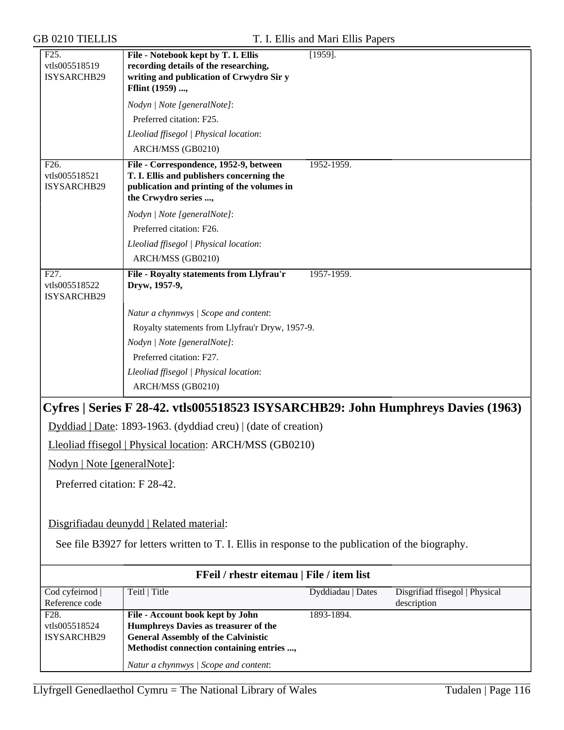| F <sub>25</sub> .<br>vtls005518519<br>ISYSARCHB29 | File - Notebook kept by T. I. Ellis<br>recording details of the researching,<br>writing and publication of Crwydro Sir y<br>Fflint (1959) , | $\overline{1959}$ . |                                               |
|---------------------------------------------------|---------------------------------------------------------------------------------------------------------------------------------------------|---------------------|-----------------------------------------------|
|                                                   | Nodyn   Note [generalNote]:                                                                                                                 |                     |                                               |
|                                                   | Preferred citation: F25.                                                                                                                    |                     |                                               |
|                                                   | Lleoliad ffisegol   Physical location:                                                                                                      |                     |                                               |
|                                                   | ARCH/MSS (GB0210)                                                                                                                           |                     |                                               |
| F <sub>26</sub> .                                 | File - Correspondence, 1952-9, between                                                                                                      | 1952-1959.          |                                               |
| vtls005518521<br>ISYSARCHB29                      | T. I. Ellis and publishers concerning the<br>publication and printing of the volumes in<br>the Crwydro series ,                             |                     |                                               |
|                                                   | Nodyn   Note [generalNote]:                                                                                                                 |                     |                                               |
|                                                   | Preferred citation: F26.                                                                                                                    |                     |                                               |
|                                                   | Lleoliad ffisegol   Physical location:                                                                                                      |                     |                                               |
|                                                   | ARCH/MSS (GB0210)                                                                                                                           |                     |                                               |
| F <sub>27</sub> .<br>vtls005518522<br>ISYSARCHB29 | File - Royalty statements from Llyfrau'r<br>Dryw, 1957-9,                                                                                   | 1957-1959.          |                                               |
|                                                   | Natur a chynnwys / Scope and content:                                                                                                       |                     |                                               |
|                                                   | Royalty statements from Llyfrau'r Dryw, 1957-9.                                                                                             |                     |                                               |
|                                                   | Nodyn   Note [generalNote]:                                                                                                                 |                     |                                               |
|                                                   | Preferred citation: F27.                                                                                                                    |                     |                                               |
|                                                   | Lleoliad ffisegol   Physical location:                                                                                                      |                     |                                               |
|                                                   | ARCH/MSS (GB0210)                                                                                                                           |                     |                                               |
|                                                   | Cyfres   Series F 28-42. vtls005518523 ISYSARCHB29: John Humphreys Davies (1963)                                                            |                     |                                               |
|                                                   | Dyddiad   Date: 1893-1963. (dyddiad creu)   (date of creation)                                                                              |                     |                                               |
|                                                   | Lleoliad ffisegol   Physical location: ARCH/MSS (GB0210)                                                                                    |                     |                                               |
| Nodyn   Note [generalNote]:                       |                                                                                                                                             |                     |                                               |
| Preferred citation: F 28-42.                      |                                                                                                                                             |                     |                                               |
|                                                   |                                                                                                                                             |                     |                                               |
|                                                   | Disgrifiadau deunydd   Related material:                                                                                                    |                     |                                               |
|                                                   | See file B3927 for letters written to T. I. Ellis in response to the publication of the biography.                                          |                     |                                               |
|                                                   | FFeil / rhestr eitemau   File / item list                                                                                                   |                     |                                               |
| Cod cyfeirnod<br>Reference code                   | Teitl   Title                                                                                                                               | Dyddiadau   Dates   | Disgrifiad ffisegol   Physical<br>description |
| F <sub>28</sub> .                                 | File - Account book kept by John                                                                                                            | 1893-1894.          |                                               |
| vtls005518524<br>ISYSARCHB29                      | Humphreys Davies as treasurer of the<br><b>General Assembly of the Calvinistic</b>                                                          |                     |                                               |
|                                                   | Methodist connection containing entries ,                                                                                                   |                     |                                               |

*Natur a chynnwys | Scope and content*: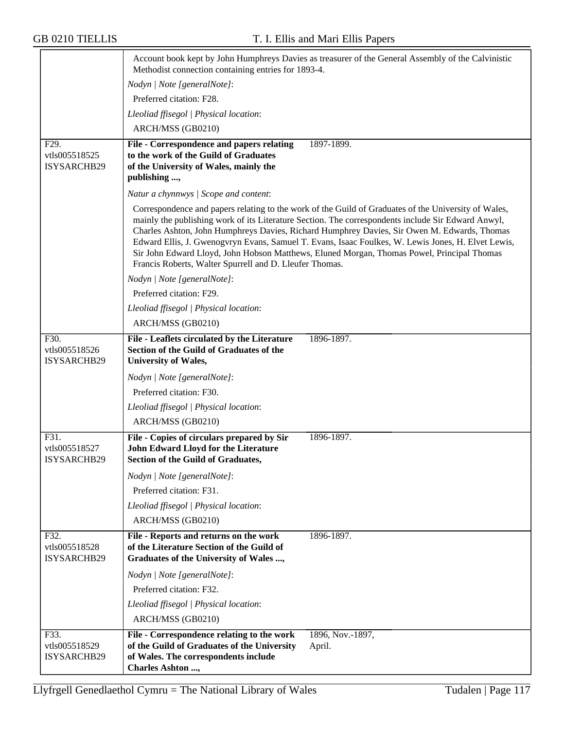|                                             | Methodist connection containing entries for 1893-4.                                                                                                   | Account book kept by John Humphreys Davies as treasurer of the General Assembly of the Calvinistic                                                                                                                                                                                                                                                                                                                                                                                                            |
|---------------------------------------------|-------------------------------------------------------------------------------------------------------------------------------------------------------|---------------------------------------------------------------------------------------------------------------------------------------------------------------------------------------------------------------------------------------------------------------------------------------------------------------------------------------------------------------------------------------------------------------------------------------------------------------------------------------------------------------|
|                                             | Nodyn   Note [generalNote]:                                                                                                                           |                                                                                                                                                                                                                                                                                                                                                                                                                                                                                                               |
|                                             | Preferred citation: F28.                                                                                                                              |                                                                                                                                                                                                                                                                                                                                                                                                                                                                                                               |
|                                             | Lleoliad ffisegol   Physical location:                                                                                                                |                                                                                                                                                                                                                                                                                                                                                                                                                                                                                                               |
|                                             | ARCH/MSS (GB0210)                                                                                                                                     |                                                                                                                                                                                                                                                                                                                                                                                                                                                                                                               |
| F29.                                        | File - Correspondence and papers relating                                                                                                             | 1897-1899.                                                                                                                                                                                                                                                                                                                                                                                                                                                                                                    |
| vtls005518525<br>ISYSARCHB29                | to the work of the Guild of Graduates<br>of the University of Wales, mainly the<br>publishing ,                                                       |                                                                                                                                                                                                                                                                                                                                                                                                                                                                                                               |
|                                             |                                                                                                                                                       |                                                                                                                                                                                                                                                                                                                                                                                                                                                                                                               |
|                                             | Natur a chynnwys / Scope and content:                                                                                                                 |                                                                                                                                                                                                                                                                                                                                                                                                                                                                                                               |
|                                             | Francis Roberts, Walter Spurrell and D. Lleufer Thomas.                                                                                               | Correspondence and papers relating to the work of the Guild of Graduates of the University of Wales,<br>mainly the publishing work of its Literature Section. The correspondents include Sir Edward Anwyl,<br>Charles Ashton, John Humphreys Davies, Richard Humphrey Davies, Sir Owen M. Edwards, Thomas<br>Edward Ellis, J. Gwenogvryn Evans, Samuel T. Evans, Isaac Foulkes, W. Lewis Jones, H. Elvet Lewis,<br>Sir John Edward Lloyd, John Hobson Matthews, Eluned Morgan, Thomas Powel, Principal Thomas |
|                                             | Nodyn   Note [generalNote]:                                                                                                                           |                                                                                                                                                                                                                                                                                                                                                                                                                                                                                                               |
|                                             | Preferred citation: F29.                                                                                                                              |                                                                                                                                                                                                                                                                                                                                                                                                                                                                                                               |
|                                             | Lleoliad ffisegol   Physical location:                                                                                                                |                                                                                                                                                                                                                                                                                                                                                                                                                                                                                                               |
|                                             | ARCH/MSS (GB0210)                                                                                                                                     |                                                                                                                                                                                                                                                                                                                                                                                                                                                                                                               |
| F30.<br>vtls005518526<br>ISYSARCHB29        | File - Leaflets circulated by the Literature<br>Section of the Guild of Graduates of the<br><b>University of Wales,</b>                               | 1896-1897.                                                                                                                                                                                                                                                                                                                                                                                                                                                                                                    |
|                                             | Nodyn   Note [generalNote]:                                                                                                                           |                                                                                                                                                                                                                                                                                                                                                                                                                                                                                                               |
|                                             | Preferred citation: F30.                                                                                                                              |                                                                                                                                                                                                                                                                                                                                                                                                                                                                                                               |
|                                             | Lleoliad ffisegol   Physical location:                                                                                                                |                                                                                                                                                                                                                                                                                                                                                                                                                                                                                                               |
|                                             | ARCH/MSS (GB0210)                                                                                                                                     |                                                                                                                                                                                                                                                                                                                                                                                                                                                                                                               |
| F31.<br>vtls005518527<br><b>ISYSARCHB29</b> | File - Copies of circulars prepared by Sir<br>John Edward Lloyd for the Literature<br>Section of the Guild of Graduates,                              | 1896-1897.                                                                                                                                                                                                                                                                                                                                                                                                                                                                                                    |
|                                             | Nodyn   Note [generalNote]:                                                                                                                           |                                                                                                                                                                                                                                                                                                                                                                                                                                                                                                               |
|                                             | Preferred citation: F31.                                                                                                                              |                                                                                                                                                                                                                                                                                                                                                                                                                                                                                                               |
|                                             | Lleoliad ffisegol   Physical location:                                                                                                                |                                                                                                                                                                                                                                                                                                                                                                                                                                                                                                               |
|                                             | ARCH/MSS (GB0210)                                                                                                                                     |                                                                                                                                                                                                                                                                                                                                                                                                                                                                                                               |
| F32.<br>vtls005518528<br>ISYSARCHB29        | File - Reports and returns on the work<br>of the Literature Section of the Guild of<br>Graduates of the University of Wales ,                         | 1896-1897.                                                                                                                                                                                                                                                                                                                                                                                                                                                                                                    |
|                                             | Nodyn   Note [generalNote]:                                                                                                                           |                                                                                                                                                                                                                                                                                                                                                                                                                                                                                                               |
|                                             | Preferred citation: F32.                                                                                                                              |                                                                                                                                                                                                                                                                                                                                                                                                                                                                                                               |
|                                             | Lleoliad ffisegol   Physical location:                                                                                                                |                                                                                                                                                                                                                                                                                                                                                                                                                                                                                                               |
|                                             | ARCH/MSS (GB0210)                                                                                                                                     |                                                                                                                                                                                                                                                                                                                                                                                                                                                                                                               |
| F33.<br>vtls005518529<br>ISYSARCHB29        | File - Correspondence relating to the work<br>of the Guild of Graduates of the University<br>of Wales. The correspondents include<br>Charles Ashton , | 1896, Nov.-1897,<br>April.                                                                                                                                                                                                                                                                                                                                                                                                                                                                                    |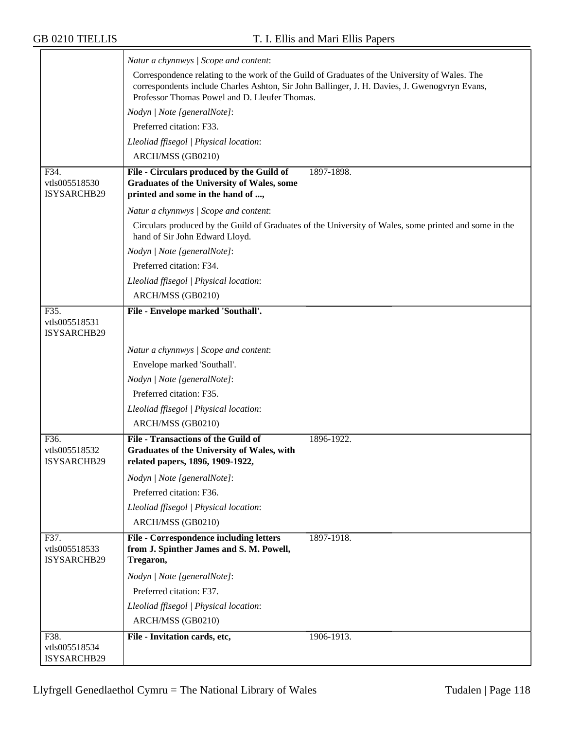|                              | Natur a chynnwys / Scope and content:                                                                                                          |
|------------------------------|------------------------------------------------------------------------------------------------------------------------------------------------|
|                              | Correspondence relating to the work of the Guild of Graduates of the University of Wales. The                                                  |
|                              | correspondents include Charles Ashton, Sir John Ballinger, J. H. Davies, J. Gwenogvryn Evans,<br>Professor Thomas Powel and D. Lleufer Thomas. |
|                              | Nodyn   Note [generalNote]:                                                                                                                    |
|                              | Preferred citation: F33.                                                                                                                       |
|                              | Lleoliad ffisegol   Physical location:                                                                                                         |
|                              | ARCH/MSS (GB0210)                                                                                                                              |
| F34.                         | File - Circulars produced by the Guild of<br>1897-1898.                                                                                        |
| vtls005518530<br>ISYSARCHB29 | Graduates of the University of Wales, some<br>printed and some in the hand of ,                                                                |
|                              | Natur a chynnwys / Scope and content:                                                                                                          |
|                              | Circulars produced by the Guild of Graduates of the University of Wales, some printed and some in the<br>hand of Sir John Edward Lloyd.        |
|                              | Nodyn   Note [generalNote]:                                                                                                                    |
|                              | Preferred citation: F34.                                                                                                                       |
|                              | Lleoliad ffisegol   Physical location:                                                                                                         |
|                              | ARCH/MSS (GB0210)                                                                                                                              |
| F35.                         | File - Envelope marked 'Southall'.                                                                                                             |
| vtls005518531<br>ISYSARCHB29 |                                                                                                                                                |
|                              | Natur a chynnwys / Scope and content:                                                                                                          |
|                              | Envelope marked 'Southall'.                                                                                                                    |
|                              | Nodyn   Note [generalNote]:                                                                                                                    |
|                              | Preferred citation: F35.                                                                                                                       |
|                              | Lleoliad ffisegol   Physical location:                                                                                                         |
|                              | ARCH/MSS (GB0210)                                                                                                                              |
| F36.                         | <b>File - Transactions of the Guild of</b><br>1896-1922.                                                                                       |
| vtls005518532<br>ISYSARCHB29 | Graduates of the University of Wales, with                                                                                                     |
|                              | related papers, 1896, 1909-1922,                                                                                                               |
|                              | Nodyn   Note [generalNote]:                                                                                                                    |
|                              | Preferred citation: F36.                                                                                                                       |
|                              | Lleoliad ffisegol   Physical location:                                                                                                         |
|                              | ARCH/MSS (GB0210)                                                                                                                              |
| F37.<br>vtls005518533        | <b>File - Correspondence including letters</b><br>1897-1918.<br>from J. Spinther James and S. M. Powell,                                       |
| ISYSARCHB29                  | Tregaron,                                                                                                                                      |
|                              | Nodyn   Note [generalNote]:                                                                                                                    |
|                              | Preferred citation: F37.                                                                                                                       |
|                              | Lleoliad ffisegol   Physical location:                                                                                                         |
|                              | ARCH/MSS (GB0210)                                                                                                                              |
| F38.                         | File - Invitation cards, etc,<br>1906-1913.                                                                                                    |
| vtls005518534<br>ISYSARCHB29 |                                                                                                                                                |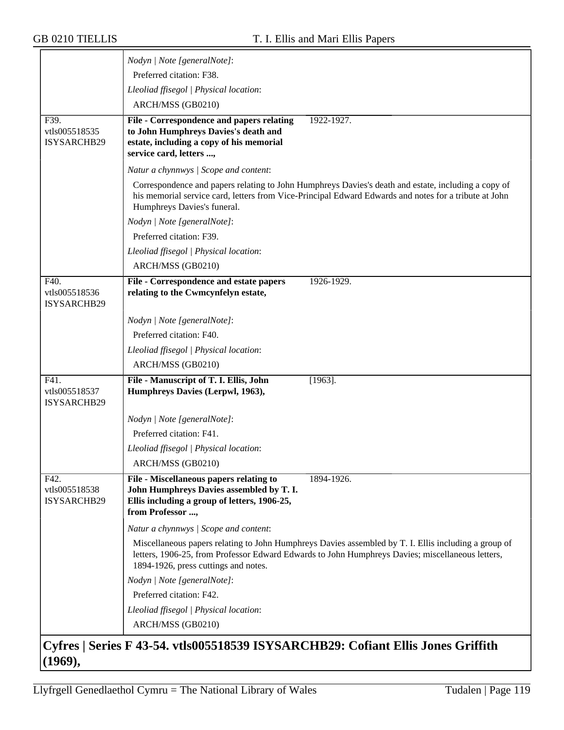|                                      | Nodyn   Note [generalNote]:                                                                                                                                                                                                                      |
|--------------------------------------|--------------------------------------------------------------------------------------------------------------------------------------------------------------------------------------------------------------------------------------------------|
|                                      | Preferred citation: F38.                                                                                                                                                                                                                         |
|                                      | Lleoliad ffisegol   Physical location:                                                                                                                                                                                                           |
|                                      | ARCH/MSS (GB0210)                                                                                                                                                                                                                                |
| F39.                                 | 1922-1927.                                                                                                                                                                                                                                       |
| vtls005518535                        | File - Correspondence and papers relating<br>to John Humphreys Davies's death and                                                                                                                                                                |
| ISYSARCHB29                          | estate, including a copy of his memorial                                                                                                                                                                                                         |
|                                      | service card, letters ,                                                                                                                                                                                                                          |
|                                      | Natur a chynnwys / Scope and content:                                                                                                                                                                                                            |
|                                      | Correspondence and papers relating to John Humphreys Davies's death and estate, including a copy of<br>his memorial service card, letters from Vice-Principal Edward Edwards and notes for a tribute at John<br>Humphreys Davies's funeral.      |
|                                      | Nodyn   Note [generalNote]:                                                                                                                                                                                                                      |
|                                      | Preferred citation: F39.                                                                                                                                                                                                                         |
|                                      | Lleoliad ffisegol   Physical location:                                                                                                                                                                                                           |
|                                      | ARCH/MSS (GB0210)                                                                                                                                                                                                                                |
| F40.                                 | File - Correspondence and estate papers<br>1926-1929.                                                                                                                                                                                            |
| vtls005518536<br>ISYSARCHB29         | relating to the Cwmcynfelyn estate,                                                                                                                                                                                                              |
|                                      | Nodyn   Note [generalNote]:                                                                                                                                                                                                                      |
|                                      | Preferred citation: F40.                                                                                                                                                                                                                         |
|                                      | Lleoliad ffisegol   Physical location:                                                                                                                                                                                                           |
|                                      | ARCH/MSS (GB0210)                                                                                                                                                                                                                                |
| F41.<br>vtls005518537<br>ISYSARCHB29 | File - Manuscript of T. I. Ellis, John<br>$[1963]$ .<br>Humphreys Davies (Lerpwl, 1963),                                                                                                                                                         |
|                                      | Nodyn   Note [generalNote]:                                                                                                                                                                                                                      |
|                                      | Preferred citation: F41.                                                                                                                                                                                                                         |
|                                      | Lleoliad ffisegol   Physical location:                                                                                                                                                                                                           |
|                                      | ARCH/MSS (GB0210)                                                                                                                                                                                                                                |
| F42.                                 | File - Miscellaneous papers relating to<br>1894-1926.                                                                                                                                                                                            |
| vtls005518538                        | John Humphreys Davies assembled by T. I.                                                                                                                                                                                                         |
| <b>ISYSARCHB29</b>                   | Ellis including a group of letters, 1906-25,<br>from Professor ,                                                                                                                                                                                 |
|                                      |                                                                                                                                                                                                                                                  |
|                                      | Natur a chynnwys / Scope and content:                                                                                                                                                                                                            |
|                                      | Miscellaneous papers relating to John Humphreys Davies assembled by T. I. Ellis including a group of<br>letters, 1906-25, from Professor Edward Edwards to John Humphreys Davies; miscellaneous letters,<br>1894-1926, press cuttings and notes. |
|                                      | Nodyn   Note [generalNote]:                                                                                                                                                                                                                      |
|                                      | Preferred citation: F42.                                                                                                                                                                                                                         |
|                                      | Lleoliad ffisegol   Physical location:                                                                                                                                                                                                           |
|                                      | ARCH/MSS (GB0210)                                                                                                                                                                                                                                |
|                                      |                                                                                                                                                                                                                                                  |
|                                      | Cyfres   Series F 43-54. vtls005518539 ISYSARCHB29: Cofiant Ellis Jones Griffith                                                                                                                                                                 |

# **(1969),**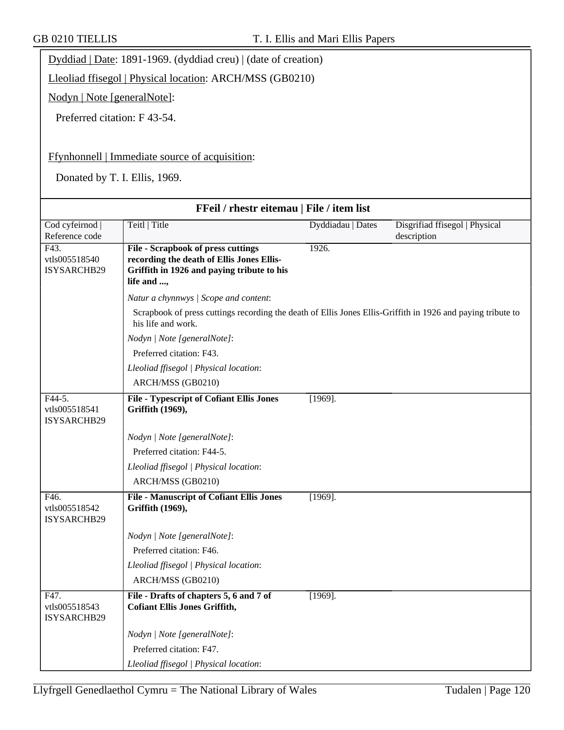Dyddiad | Date: 1891-1969. (dyddiad creu) | (date of creation)

Lleoliad ffisegol | Physical location: ARCH/MSS (GB0210)

Nodyn | Note [generalNote]:

Preferred citation: F 43-54.

#### Ffynhonnell | Immediate source of acquisition:

Donated by T. I. Ellis, 1969.

| FFeil / rhestr eitemau   File / item list |                                                                                                                                                    |                   |                                               |
|-------------------------------------------|----------------------------------------------------------------------------------------------------------------------------------------------------|-------------------|-----------------------------------------------|
| Cod cyfeirnod  <br>Reference code         | Teitl   Title                                                                                                                                      | Dyddiadau   Dates | Disgrifiad ffisegol   Physical<br>description |
| F43.<br>vtls005518540<br>ISYSARCHB29      | <b>File - Scrapbook of press cuttings</b><br>recording the death of Ellis Jones Ellis-<br>Griffith in 1926 and paying tribute to his<br>life and , | 1926.             |                                               |
|                                           | Natur a chynnwys / Scope and content:                                                                                                              |                   |                                               |
|                                           | Scrapbook of press cuttings recording the death of Ellis Jones Ellis-Griffith in 1926 and paying tribute to<br>his life and work.                  |                   |                                               |
|                                           | Nodyn   Note [generalNote]:                                                                                                                        |                   |                                               |
|                                           | Preferred citation: F43.                                                                                                                           |                   |                                               |
|                                           | Lleoliad ffisegol   Physical location:                                                                                                             |                   |                                               |
|                                           | ARCH/MSS (GB0210)                                                                                                                                  |                   |                                               |
| F44-5.<br>vtls005518541<br>ISYSARCHB29    | <b>File - Typescript of Cofiant Ellis Jones</b><br>Griffith (1969),                                                                                | $[1969]$ .        |                                               |
|                                           | Nodyn   Note [generalNote]:                                                                                                                        |                   |                                               |
|                                           | Preferred citation: F44-5.                                                                                                                         |                   |                                               |
|                                           | Lleoliad ffisegol   Physical location:                                                                                                             |                   |                                               |
|                                           | ARCH/MSS (GB0210)                                                                                                                                  |                   |                                               |
| F46.<br>vtls005518542<br>ISYSARCHB29      | <b>File - Manuscript of Cofiant Ellis Jones</b><br>Griffith (1969),                                                                                | $[1969]$ .        |                                               |
|                                           | Nodyn   Note [generalNote]:                                                                                                                        |                   |                                               |
|                                           | Preferred citation: F46.                                                                                                                           |                   |                                               |
|                                           | Lleoliad ffisegol   Physical location:                                                                                                             |                   |                                               |
|                                           | ARCH/MSS (GB0210)                                                                                                                                  |                   |                                               |
| F47.<br>vtls005518543<br>ISYSARCHB29      | File - Drafts of chapters 5, 6 and 7 of<br><b>Cofiant Ellis Jones Griffith,</b>                                                                    | $[1969]$ .        |                                               |
|                                           | Nodyn   Note [generalNote]:                                                                                                                        |                   |                                               |
|                                           | Preferred citation: F47.                                                                                                                           |                   |                                               |
|                                           | Lleoliad ffisegol   Physical location:                                                                                                             |                   |                                               |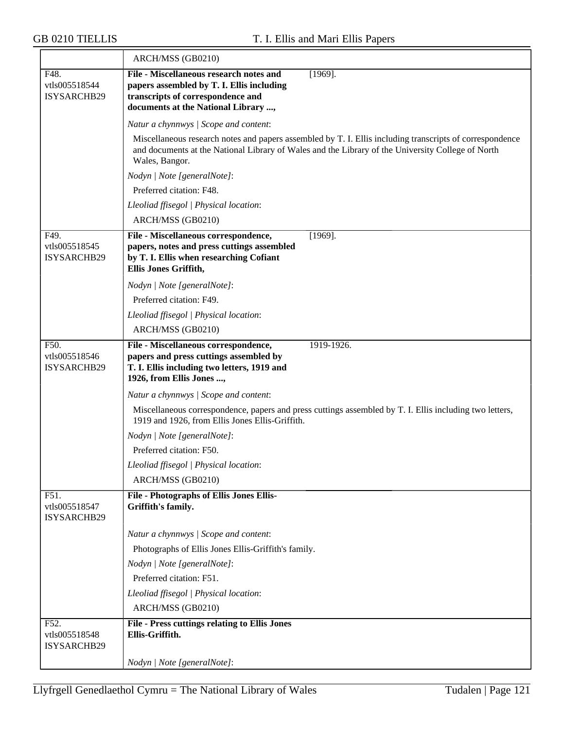|                                      | ARCH/MSS (GB0210)                                                                                                                                                                                                               |
|--------------------------------------|---------------------------------------------------------------------------------------------------------------------------------------------------------------------------------------------------------------------------------|
| F48.<br>vtls005518544<br>ISYSARCHB29 | File - Miscellaneous research notes and<br>$[1969]$ .<br>papers assembled by T. I. Ellis including<br>transcripts of correspondence and<br>documents at the National Library ,                                                  |
|                                      | Natur a chynnwys / Scope and content:                                                                                                                                                                                           |
|                                      | Miscellaneous research notes and papers assembled by T. I. Ellis including transcripts of correspondence<br>and documents at the National Library of Wales and the Library of the University College of North<br>Wales, Bangor. |
|                                      | Nodyn   Note [generalNote]:                                                                                                                                                                                                     |
|                                      | Preferred citation: F48.                                                                                                                                                                                                        |
|                                      | Lleoliad ffisegol   Physical location:                                                                                                                                                                                          |
|                                      | ARCH/MSS (GB0210)                                                                                                                                                                                                               |
| F49.<br>vtls005518545<br>ISYSARCHB29 | File - Miscellaneous correspondence,<br>$[1969]$ .<br>papers, notes and press cuttings assembled<br>by T. I. Ellis when researching Cofiant<br>Ellis Jones Griffith,                                                            |
|                                      | Nodyn   Note [generalNote]:                                                                                                                                                                                                     |
|                                      | Preferred citation: F49.                                                                                                                                                                                                        |
|                                      | Lleoliad ffisegol   Physical location:                                                                                                                                                                                          |
|                                      | ARCH/MSS (GB0210)                                                                                                                                                                                                               |
| F50.<br>vtls005518546<br>ISYSARCHB29 | File - Miscellaneous correspondence,<br>1919-1926.<br>papers and press cuttings assembled by<br>T. I. Ellis including two letters, 1919 and<br>1926, from Ellis Jones ,                                                         |
|                                      | Natur a chynnwys / Scope and content:                                                                                                                                                                                           |
|                                      | Miscellaneous correspondence, papers and press cuttings assembled by T. I. Ellis including two letters,<br>1919 and 1926, from Ellis Jones Ellis-Griffith.                                                                      |
|                                      | Nodyn   Note [generalNote]:                                                                                                                                                                                                     |
|                                      | Preferred citation: F50.                                                                                                                                                                                                        |
|                                      | Lleoliad ffisegol   Physical location:                                                                                                                                                                                          |
|                                      | ARCH/MSS (GB0210)                                                                                                                                                                                                               |
| F51.<br>vtls005518547<br>ISYSARCHB29 | <b>File - Photographs of Ellis Jones Ellis-</b><br>Griffith's family.                                                                                                                                                           |
|                                      | Natur a chynnwys / Scope and content:                                                                                                                                                                                           |
|                                      | Photographs of Ellis Jones Ellis-Griffith's family.                                                                                                                                                                             |
|                                      | Nodyn   Note [generalNote]:                                                                                                                                                                                                     |
|                                      | Preferred citation: F51.                                                                                                                                                                                                        |
|                                      | Lleoliad ffisegol   Physical location:                                                                                                                                                                                          |
|                                      | ARCH/MSS (GB0210)                                                                                                                                                                                                               |
| F52.<br>vtls005518548<br>ISYSARCHB29 | <b>File - Press cuttings relating to Ellis Jones</b><br>Ellis-Griffith.                                                                                                                                                         |
|                                      | Nodyn   Note [generalNote]:                                                                                                                                                                                                     |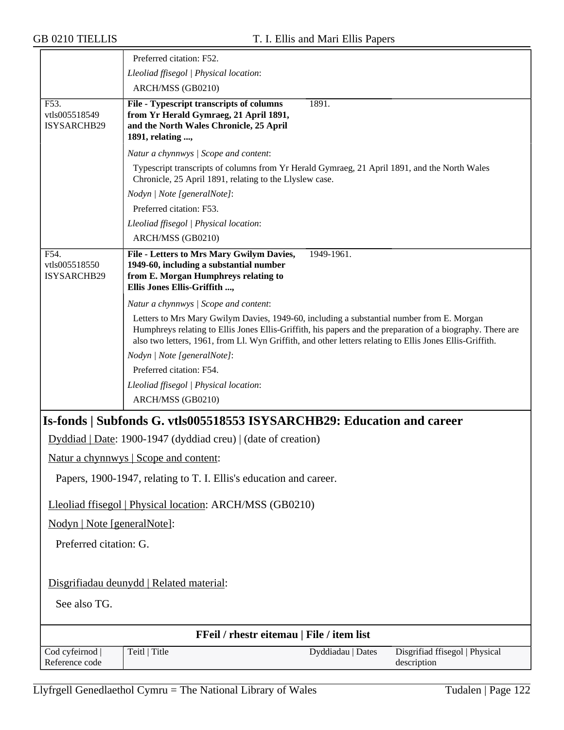|                                      | Preferred citation: F52.                                                                                                                                                                                                                                                                                            |
|--------------------------------------|---------------------------------------------------------------------------------------------------------------------------------------------------------------------------------------------------------------------------------------------------------------------------------------------------------------------|
|                                      | Lleoliad ffisegol   Physical location:                                                                                                                                                                                                                                                                              |
|                                      | ARCH/MSS (GB0210)                                                                                                                                                                                                                                                                                                   |
| F53.<br>vtls005518549<br>ISYSARCHB29 | 1891.<br>File - Typescript transcripts of columns<br>from Yr Herald Gymraeg, 21 April 1891,<br>and the North Wales Chronicle, 25 April<br>1891, relating ,                                                                                                                                                          |
|                                      | Natur a chynnwys / Scope and content:                                                                                                                                                                                                                                                                               |
|                                      | Typescript transcripts of columns from Yr Herald Gymraeg, 21 April 1891, and the North Wales<br>Chronicle, 25 April 1891, relating to the Llyslew case.                                                                                                                                                             |
|                                      | Nodyn   Note [generalNote]:                                                                                                                                                                                                                                                                                         |
|                                      | Preferred citation: F53.                                                                                                                                                                                                                                                                                            |
|                                      | Lleoliad ffisegol   Physical location:                                                                                                                                                                                                                                                                              |
|                                      | ARCH/MSS (GB0210)                                                                                                                                                                                                                                                                                                   |
| F54.<br>vtls005518550<br>ISYSARCHB29 | 1949-1961.<br>File - Letters to Mrs Mary Gwilym Davies,<br>1949-60, including a substantial number<br>from E. Morgan Humphreys relating to<br>Ellis Jones Ellis-Griffith ,                                                                                                                                          |
|                                      | Natur a chynnwys / Scope and content:                                                                                                                                                                                                                                                                               |
|                                      | Letters to Mrs Mary Gwilym Davies, 1949-60, including a substantial number from E. Morgan<br>Humphreys relating to Ellis Jones Ellis-Griffith, his papers and the preparation of a biography. There are<br>also two letters, 1961, from Ll. Wyn Griffith, and other letters relating to Ellis Jones Ellis-Griffith. |
|                                      | Nodyn   Note [generalNote]:                                                                                                                                                                                                                                                                                         |
|                                      | Preferred citation: F54.                                                                                                                                                                                                                                                                                            |
|                                      | Lleoliad ffisegol   Physical location:                                                                                                                                                                                                                                                                              |
|                                      | ARCH/MSS (GB0210)                                                                                                                                                                                                                                                                                                   |
|                                      | Is-fonds   Subfonds G. vtls005518553 ISYSARCHB29: Education and career                                                                                                                                                                                                                                              |
|                                      | Dyddiad   Date: 1900-1947 (dyddiad creu)   (date of creation)                                                                                                                                                                                                                                                       |
|                                      | Natur a chynnwys   Scope and content:                                                                                                                                                                                                                                                                               |
|                                      |                                                                                                                                                                                                                                                                                                                     |
|                                      | Papers, 1900-1947, relating to T. I. Ellis's education and career.                                                                                                                                                                                                                                                  |
|                                      | Lleoliad ffisegol   Physical location: ARCH/MSS (GB0210)                                                                                                                                                                                                                                                            |
| Nodyn   Note [generalNote]:          |                                                                                                                                                                                                                                                                                                                     |
| Preferred citation: G.               |                                                                                                                                                                                                                                                                                                                     |
|                                      | Disgrifiadau deunydd   Related material:                                                                                                                                                                                                                                                                            |
| See also TG.                         |                                                                                                                                                                                                                                                                                                                     |
|                                      | FFeil / rhestr eitemau   File / item list                                                                                                                                                                                                                                                                           |
| Cod cyfeirnod<br>Reference code      | Teitl   Title<br>Dyddiadau   Dates<br>Disgrifiad ffisegol   Physical<br>description                                                                                                                                                                                                                                 |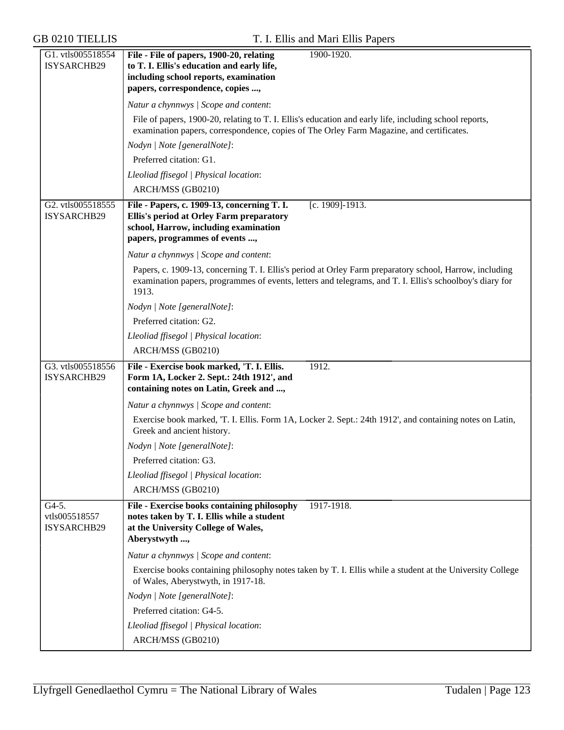| G1. vtls005518554<br>ISYSARCHB29      | File - File of papers, 1900-20, relating<br>1900-1920.<br>to T. I. Ellis's education and early life,<br>including school reports, examination<br>papers, correspondence, copies ,                                            |
|---------------------------------------|------------------------------------------------------------------------------------------------------------------------------------------------------------------------------------------------------------------------------|
|                                       | Natur a chynnwys / Scope and content:                                                                                                                                                                                        |
|                                       | File of papers, 1900-20, relating to T. I. Ellis's education and early life, including school reports,<br>examination papers, correspondence, copies of The Orley Farm Magazine, and certificates.                           |
|                                       | Nodyn   Note [generalNote]:                                                                                                                                                                                                  |
|                                       | Preferred citation: G1.                                                                                                                                                                                                      |
|                                       | Lleoliad ffisegol   Physical location:                                                                                                                                                                                       |
|                                       | ARCH/MSS (GB0210)                                                                                                                                                                                                            |
| G2. vtls005518555<br>ISYSARCHB29      | File - Papers, c. 1909-13, concerning T. I.<br>[c. 1909]-1913.<br><b>Ellis's period at Orley Farm preparatory</b><br>school, Harrow, including examination<br>papers, programmes of events ,                                 |
|                                       | Natur a chynnwys / Scope and content:                                                                                                                                                                                        |
|                                       | Papers, c. 1909-13, concerning T. I. Ellis's period at Orley Farm preparatory school, Harrow, including<br>examination papers, programmes of events, letters and telegrams, and T. I. Ellis's schoolboy's diary for<br>1913. |
|                                       | Nodyn   Note [generalNote]:                                                                                                                                                                                                  |
|                                       | Preferred citation: G2.                                                                                                                                                                                                      |
|                                       | Lleoliad ffisegol   Physical location:                                                                                                                                                                                       |
|                                       | ARCH/MSS (GB0210)                                                                                                                                                                                                            |
| G3. vtls005518556<br>ISYSARCHB29      | File - Exercise book marked, 'T. I. Ellis.<br>1912.<br>Form 1A, Locker 2. Sept.: 24th 1912', and<br>containing notes on Latin, Greek and ,                                                                                   |
|                                       | Natur a chynnwys / Scope and content:                                                                                                                                                                                        |
|                                       | Exercise book marked, T. I. Ellis. Form 1A, Locker 2. Sept.: 24th 1912', and containing notes on Latin,<br>Greek and ancient history.                                                                                        |
|                                       | Nodyn   Note [generalNote]:                                                                                                                                                                                                  |
|                                       | Preferred citation: G3.                                                                                                                                                                                                      |
|                                       | Lleoliad ffisegol   Physical location:                                                                                                                                                                                       |
|                                       | ARCH/MSS (GB0210)                                                                                                                                                                                                            |
| G4-5.<br>vtls005518557<br>ISYSARCHB29 | File - Exercise books containing philosophy<br>1917-1918.<br>notes taken by T. I. Ellis while a student<br>at the University College of Wales,<br>Aberystwyth ,                                                              |
|                                       | Natur a chynnwys / Scope and content:                                                                                                                                                                                        |
|                                       | Exercise books containing philosophy notes taken by T. I. Ellis while a student at the University College<br>of Wales, Aberystwyth, in 1917-18.                                                                              |
|                                       | Nodyn   Note [generalNote]:                                                                                                                                                                                                  |
|                                       | Preferred citation: G4-5.                                                                                                                                                                                                    |
|                                       | Lleoliad ffisegol   Physical location:                                                                                                                                                                                       |
|                                       | ARCH/MSS (GB0210)                                                                                                                                                                                                            |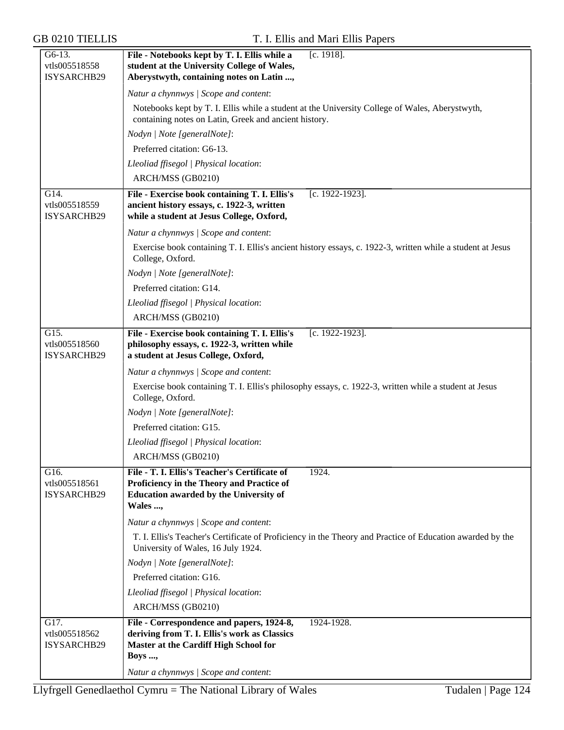| G6-13.<br>vtls005518558<br>ISYSARCHB29 | File - Notebooks kept by T. I. Ellis while a<br>$[c. 1918]$ .<br>student at the University College of Wales,<br>Aberystwyth, containing notes on Latin ,        |
|----------------------------------------|-----------------------------------------------------------------------------------------------------------------------------------------------------------------|
|                                        | Natur a chynnwys / Scope and content:                                                                                                                           |
|                                        | Notebooks kept by T. I. Ellis while a student at the University College of Wales, Aberystwyth,<br>containing notes on Latin, Greek and ancient history.         |
|                                        | Nodyn   Note [generalNote]:                                                                                                                                     |
|                                        | Preferred citation: G6-13.                                                                                                                                      |
|                                        | Lleoliad ffisegol   Physical location:                                                                                                                          |
|                                        | ARCH/MSS (GB0210)                                                                                                                                               |
| G14.<br>vtls005518559<br>ISYSARCHB29   | File - Exercise book containing T. I. Ellis's<br>[c. 1922-1923].<br>ancient history essays, c. 1922-3, written<br>while a student at Jesus College, Oxford,     |
|                                        | Natur a chynnwys / Scope and content:                                                                                                                           |
|                                        | Exercise book containing T. I. Ellis's ancient history essays, c. 1922-3, written while a student at Jesus<br>College, Oxford.                                  |
|                                        | Nodyn   Note [generalNote]:                                                                                                                                     |
|                                        | Preferred citation: G14.                                                                                                                                        |
|                                        | Lleoliad ffisegol   Physical location:                                                                                                                          |
|                                        | ARCH/MSS (GB0210)                                                                                                                                               |
| G15.<br>vtls005518560<br>ISYSARCHB29   | File - Exercise book containing T. I. Ellis's<br>[c. 1922-1923].<br>philosophy essays, c. 1922-3, written while<br>a student at Jesus College, Oxford,          |
|                                        | Natur a chynnwys / Scope and content:                                                                                                                           |
|                                        | Exercise book containing T. I. Ellis's philosophy essays, c. 1922-3, written while a student at Jesus<br>College, Oxford.                                       |
|                                        | Nodyn   Note [generalNote]:                                                                                                                                     |
|                                        | Preferred citation: G15.                                                                                                                                        |
|                                        | Lleoliad ffisegol   Physical location:                                                                                                                          |
|                                        | ARCH/MSS (GB0210)                                                                                                                                               |
| G16.<br>vtls005518561<br>ISYSARCHB29   | File - T. I. Ellis's Teacher's Certificate of<br>1924.<br>Proficiency in the Theory and Practice of<br><b>Education awarded by the University of</b><br>Wales , |
|                                        | Natur a chynnwys / Scope and content:                                                                                                                           |
|                                        | T. I. Ellis's Teacher's Certificate of Proficiency in the Theory and Practice of Education awarded by the<br>University of Wales, 16 July 1924.                 |
|                                        | Nodyn   Note [generalNote]:                                                                                                                                     |
|                                        | Preferred citation: G16.                                                                                                                                        |
|                                        | Lleoliad ffisegol   Physical location:                                                                                                                          |
|                                        | ARCH/MSS (GB0210)                                                                                                                                               |
| G17.<br>vtls005518562<br>ISYSARCHB29   | File - Correspondence and papers, 1924-8,<br>1924-1928.<br>deriving from T. I. Ellis's work as Classics<br>Master at the Cardiff High School for<br>Boys ,      |
|                                        | Natur a chynnwys / Scope and content:                                                                                                                           |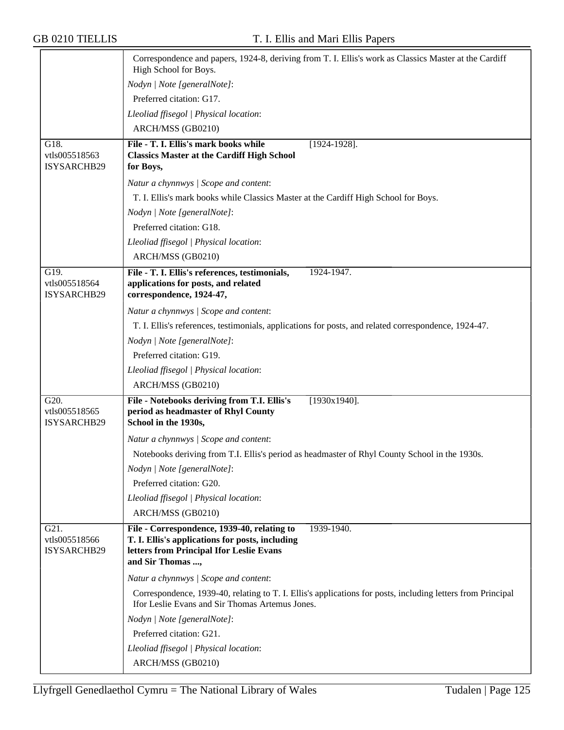|                                      | Correspondence and papers, 1924-8, deriving from T. I. Ellis's work as Classics Master at the Cardiff<br>High School for Boys.                                               |
|--------------------------------------|------------------------------------------------------------------------------------------------------------------------------------------------------------------------------|
|                                      | Nodyn   Note [generalNote]:                                                                                                                                                  |
|                                      | Preferred citation: G17.                                                                                                                                                     |
|                                      | Lleoliad ffisegol   Physical location:                                                                                                                                       |
|                                      | ARCH/MSS (GB0210)                                                                                                                                                            |
| G18.                                 | File - T. I. Ellis's mark books while<br>$[1924-1928]$ .                                                                                                                     |
| vtls005518563<br>ISYSARCHB29         | <b>Classics Master at the Cardiff High School</b><br>for Boys,                                                                                                               |
|                                      | Natur a chynnwys / Scope and content:                                                                                                                                        |
|                                      | T. I. Ellis's mark books while Classics Master at the Cardiff High School for Boys.                                                                                          |
|                                      | Nodyn   Note [generalNote]:                                                                                                                                                  |
|                                      | Preferred citation: G18.                                                                                                                                                     |
|                                      | Lleoliad ffisegol   Physical location:                                                                                                                                       |
|                                      | ARCH/MSS (GB0210)                                                                                                                                                            |
| G19.                                 | File - T. I. Ellis's references, testimonials,<br>1924-1947.                                                                                                                 |
| vtls005518564<br>ISYSARCHB29         | applications for posts, and related<br>correspondence, 1924-47,                                                                                                              |
|                                      | Natur a chynnwys / Scope and content:                                                                                                                                        |
|                                      | T. I. Ellis's references, testimonials, applications for posts, and related correspondence, 1924-47.                                                                         |
|                                      | Nodyn   Note [generalNote]:                                                                                                                                                  |
|                                      | Preferred citation: G19.                                                                                                                                                     |
|                                      | Lleoliad ffisegol   Physical location:                                                                                                                                       |
|                                      | ARCH/MSS (GB0210)                                                                                                                                                            |
| G20.<br>vtls005518565                | $[1930x1940]$ .<br>File - Notebooks deriving from T.I. Ellis's<br>period as headmaster of Rhyl County                                                                        |
| ISYSARCHB29                          | School in the 1930s,                                                                                                                                                         |
|                                      | Natur a chynnwys / Scope and content:                                                                                                                                        |
|                                      | Notebooks deriving from T.I. Ellis's period as headmaster of Rhyl County School in the 1930s.                                                                                |
|                                      | Nodyn   Note [generalNote]:                                                                                                                                                  |
|                                      | Preferred citation: G20.                                                                                                                                                     |
|                                      | Lleoliad ffisegol   Physical location:                                                                                                                                       |
|                                      | ARCH/MSS (GB0210)                                                                                                                                                            |
| G21.<br>vtls005518566<br>ISYSARCHB29 | File - Correspondence, 1939-40, relating to<br>1939-1940.<br>T. I. Ellis's applications for posts, including<br>letters from Principal Ifor Leslie Evans<br>and Sir Thomas , |
|                                      | Natur a chynnwys / Scope and content:                                                                                                                                        |
|                                      | Correspondence, 1939-40, relating to T. I. Ellis's applications for posts, including letters from Principal<br>Ifor Leslie Evans and Sir Thomas Artemus Jones.               |
|                                      | Nodyn   Note [generalNote]:                                                                                                                                                  |
|                                      | Preferred citation: G21.                                                                                                                                                     |
|                                      | Lleoliad ffisegol   Physical location:                                                                                                                                       |
|                                      | ARCH/MSS (GB0210)                                                                                                                                                            |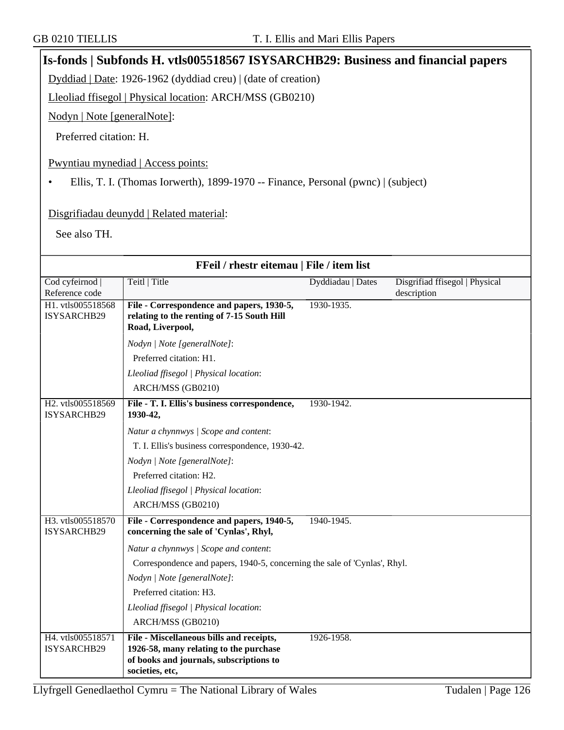**Is-fonds | Subfonds H. vtls005518567 ISYSARCHB29: Business and financial papers**

|                                                                                   | Dyddiad   Date: 1926-1962 (dyddiad creu)   (date of creation)                                                                                    |                   |                                               |  |
|-----------------------------------------------------------------------------------|--------------------------------------------------------------------------------------------------------------------------------------------------|-------------------|-----------------------------------------------|--|
| Lleoliad ffisegol   Physical location: ARCH/MSS (GB0210)                          |                                                                                                                                                  |                   |                                               |  |
| Nodyn   Note [generalNote]:                                                       |                                                                                                                                                  |                   |                                               |  |
|                                                                                   |                                                                                                                                                  |                   |                                               |  |
| Preferred citation: H.                                                            |                                                                                                                                                  |                   |                                               |  |
|                                                                                   | Pwyntiau mynediad   Access points:                                                                                                               |                   |                                               |  |
| Ellis, T. I. (Thomas Iorwerth), 1899-1970 -- Finance, Personal (pwnc)   (subject) |                                                                                                                                                  |                   |                                               |  |
|                                                                                   |                                                                                                                                                  |                   |                                               |  |
|                                                                                   | Disgrifiadau deunydd   Related material:                                                                                                         |                   |                                               |  |
|                                                                                   |                                                                                                                                                  |                   |                                               |  |
| See also TH.                                                                      |                                                                                                                                                  |                   |                                               |  |
|                                                                                   |                                                                                                                                                  |                   |                                               |  |
|                                                                                   | FFeil / rhestr eitemau   File / item list                                                                                                        |                   |                                               |  |
| Cod cyfeirnod<br>Reference code                                                   | Teitl   Title                                                                                                                                    | Dyddiadau   Dates | Disgrifiad ffisegol   Physical<br>description |  |
| H1. vtls005518568                                                                 | File - Correspondence and papers, 1930-5,                                                                                                        | 1930-1935.        |                                               |  |
| ISYSARCHB29                                                                       | relating to the renting of 7-15 South Hill<br>Road, Liverpool,                                                                                   |                   |                                               |  |
|                                                                                   |                                                                                                                                                  |                   |                                               |  |
|                                                                                   | Nodyn   Note [generalNote]:<br>Preferred citation: H1.                                                                                           |                   |                                               |  |
|                                                                                   |                                                                                                                                                  |                   |                                               |  |
|                                                                                   | Lleoliad ffisegol   Physical location:                                                                                                           |                   |                                               |  |
| H2. vtls005518569                                                                 | ARCH/MSS (GB0210)                                                                                                                                |                   |                                               |  |
| ISYSARCHB29                                                                       | File - T. I. Ellis's business correspondence,<br>1930-42,                                                                                        | 1930-1942.        |                                               |  |
|                                                                                   | Natur a chynnwys / Scope and content:                                                                                                            |                   |                                               |  |
|                                                                                   | T. I. Ellis's business correspondence, 1930-42.                                                                                                  |                   |                                               |  |
|                                                                                   | Nodyn   Note [generalNote]:                                                                                                                      |                   |                                               |  |
|                                                                                   | Preferred citation: H2.                                                                                                                          |                   |                                               |  |
|                                                                                   | Lleoliad ffisegol   Physical location:                                                                                                           |                   |                                               |  |
|                                                                                   | ARCH/MSS (GB0210)                                                                                                                                |                   |                                               |  |
| H3. vtls005518570<br>ISYSARCHB29                                                  | File - Correspondence and papers, 1940-5,<br>concerning the sale of 'Cynlas', Rhyl,                                                              | 1940-1945.        |                                               |  |
|                                                                                   | Natur a chynnwys / Scope and content:                                                                                                            |                   |                                               |  |
|                                                                                   | Correspondence and papers, 1940-5, concerning the sale of 'Cynlas', Rhyl.                                                                        |                   |                                               |  |
|                                                                                   | Nodyn   Note [generalNote]:                                                                                                                      |                   |                                               |  |
|                                                                                   | Preferred citation: H3.                                                                                                                          |                   |                                               |  |
|                                                                                   | Lleoliad ffisegol   Physical location:                                                                                                           |                   |                                               |  |
|                                                                                   | ARCH/MSS (GB0210)                                                                                                                                |                   |                                               |  |
| H4. vtls005518571<br>ISYSARCHB29                                                  | File - Miscellaneous bills and receipts,<br>1926-58, many relating to the purchase<br>of books and journals, subscriptions to<br>societies, etc, | 1926-1958.        |                                               |  |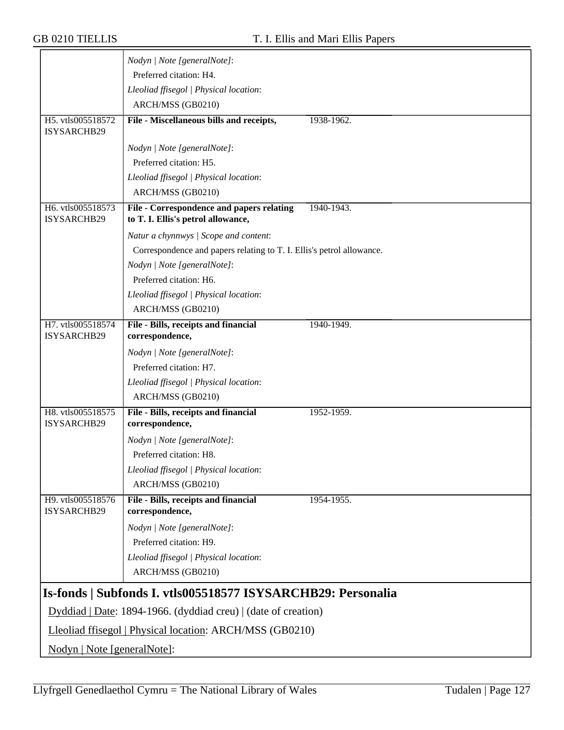|                                  | Nodyn   Note [generalNote]:                                                     |            |
|----------------------------------|---------------------------------------------------------------------------------|------------|
|                                  | Preferred citation: H4.                                                         |            |
|                                  | Lleoliad ffisegol   Physical location:                                          |            |
|                                  | ARCH/MSS (GB0210)                                                               |            |
| H5. vtls005518572                | File - Miscellaneous bills and receipts,                                        | 1938-1962. |
| ISYSARCHB29                      |                                                                                 |            |
|                                  | Nodyn   Note [generalNote]:                                                     |            |
|                                  | Preferred citation: H5.                                                         |            |
|                                  | Lleoliad ffisegol   Physical location:                                          |            |
|                                  | ARCH/MSS (GB0210)                                                               |            |
| H6. vtls005518573<br>ISYSARCHB29 | File - Correspondence and papers relating<br>to T. I. Ellis's petrol allowance, | 1940-1943. |
|                                  | Natur a chynnwys / Scope and content:                                           |            |
|                                  | Correspondence and papers relating to T. I. Ellis's petrol allowance.           |            |
|                                  | Nodyn   Note [generalNote]:                                                     |            |
|                                  | Preferred citation: H6.                                                         |            |
|                                  | Lleoliad ffisegol   Physical location:                                          |            |
|                                  | ARCH/MSS (GB0210)                                                               |            |
| H7. vtls005518574                | File - Bills, receipts and financial                                            | 1940-1949. |
| ISYSARCHB29                      | correspondence,                                                                 |            |
|                                  | Nodyn   Note [generalNote]:                                                     |            |
|                                  | Preferred citation: H7.                                                         |            |
|                                  | Lleoliad ffisegol   Physical location:                                          |            |
|                                  | ARCH/MSS (GB0210)                                                               |            |
| H8. vtls005518575<br>ISYSARCHB29 | File - Bills, receipts and financial<br>correspondence,                         | 1952-1959. |
|                                  | Nodyn   Note [generalNote]:                                                     |            |
|                                  | Preferred citation: H8.                                                         |            |
|                                  | Lleoliad ffisegol   Physical location:                                          |            |
|                                  | ARCH/MSS (GB0210)                                                               |            |
| H9. vtls005518576<br>ISYSARCHB29 | File - Bills, receipts and financial<br>correspondence,                         | 1954-1955. |
|                                  | Nodyn   Note [generalNote]:                                                     |            |
|                                  | Preferred citation: H9.                                                         |            |
|                                  | Lleoliad ffisegol   Physical location:                                          |            |
|                                  | ARCH/MSS (GB0210)                                                               |            |
|                                  | Is-fonds   Subfonds I. vtls005518577 ISYSARCHB29: Personalia                    |            |
|                                  | Dyddiad   Date: 1894-1966. (dyddiad creu)   (date of creation)                  |            |
|                                  | Lleoliad ffisegol   Physical location: ARCH/MSS (GB0210)                        |            |
| Nodyn   Note [generalNote]:      |                                                                                 |            |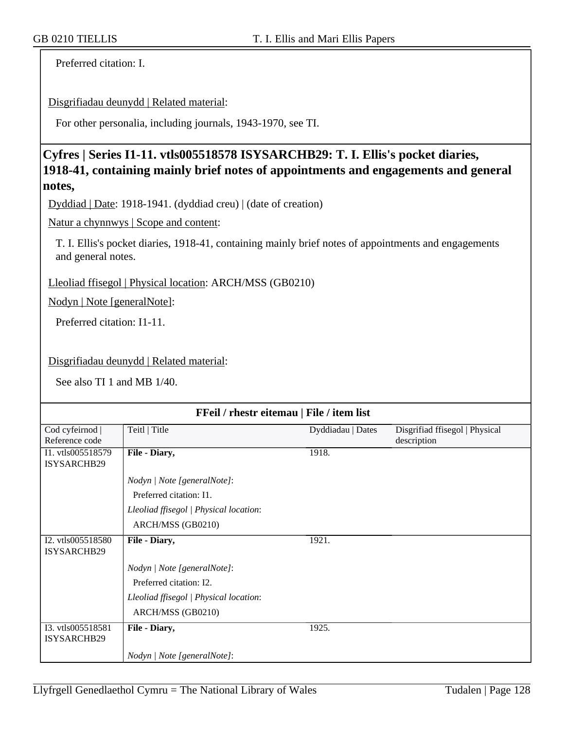Preferred citation: I.

Disgrifiadau deunydd | Related material:

For other personalia, including journals, 1943-1970, see TI.

#### **Cyfres | Series I1-11. vtls005518578 ISYSARCHB29: T. I. Ellis's pocket diaries, 1918-41, containing mainly brief notes of appointments and engagements and general notes,**

Dyddiad | Date: 1918-1941. (dyddiad creu) | (date of creation)

Natur a chynnwys | Scope and content:

T. I. Ellis's pocket diaries, 1918-41, containing mainly brief notes of appointments and engagements and general notes.

Lleoliad ffisegol | Physical location: ARCH/MSS (GB0210)

Nodyn | Note [generalNote]:

Preferred citation: I1-11.

Disgrifiadau deunydd | Related material:

See also TI 1 and MB 1/40.

| FFeil / rhestr eitemau   File / item list |                                        |                   |                                               |
|-------------------------------------------|----------------------------------------|-------------------|-----------------------------------------------|
| Cod cyfeirnod<br>Reference code           | Teitl   Title                          | Dyddiadau   Dates | Disgrifiad ffisegol   Physical<br>description |
| I1. vtls005518579<br>ISYSARCHB29          | File - Diary,                          | 1918.             |                                               |
|                                           | Nodyn   Note [generalNote]:            |                   |                                               |
|                                           | Preferred citation: I1.                |                   |                                               |
|                                           | Lleoliad ffisegol   Physical location: |                   |                                               |
|                                           | ARCH/MSS (GB0210)                      |                   |                                               |
| I2. vtls005518580<br>ISYSARCHB29          | File - Diary,                          | 1921.             |                                               |
|                                           | Nodyn   Note [generalNote]:            |                   |                                               |
|                                           | Preferred citation: I2.                |                   |                                               |
|                                           | Lleoliad ffisegol   Physical location: |                   |                                               |
|                                           | ARCH/MSS (GB0210)                      |                   |                                               |
| I3. vtls005518581<br>ISYSARCHB29          | File - Diary,                          | 1925.             |                                               |
|                                           | Nodyn   Note [generalNote]:            |                   |                                               |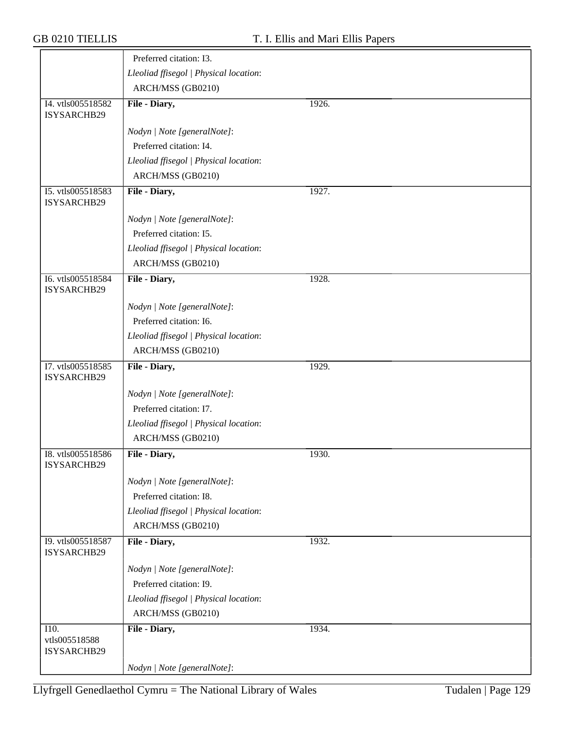|                                         | Preferred citation: I3.                |       |
|-----------------------------------------|----------------------------------------|-------|
|                                         | Lleoliad ffisegol   Physical location: |       |
|                                         | ARCH/MSS (GB0210)                      |       |
| I4. vtls005518582<br>ISYSARCHB29        | File - Diary,                          | 1926. |
|                                         | Nodyn   Note [generalNote]:            |       |
|                                         | Preferred citation: I4.                |       |
|                                         | Lleoliad ffisegol   Physical location: |       |
|                                         | ARCH/MSS (GB0210)                      |       |
| I5. vtls005518583<br>ISYSARCHB29        | File - Diary,                          | 1927. |
|                                         | Nodyn   Note [generalNote]:            |       |
|                                         | Preferred citation: I5.                |       |
|                                         | Lleoliad ffisegol   Physical location: |       |
|                                         | ARCH/MSS (GB0210)                      |       |
| I6. vtls005518584<br>ISYSARCHB29        | File - Diary,                          | 1928. |
|                                         | Nodyn   Note [generalNote]:            |       |
|                                         | Preferred citation: I6.                |       |
|                                         | Lleoliad ffisegol   Physical location: |       |
|                                         | ARCH/MSS (GB0210)                      |       |
| I7. vtls005518585                       | File - Diary,                          | 1929. |
| ISYSARCHB29                             |                                        |       |
|                                         | Nodyn   Note [generalNote]:            |       |
|                                         | Preferred citation: I7.                |       |
|                                         | Lleoliad ffisegol   Physical location: |       |
|                                         | ARCH/MSS (GB0210)                      |       |
| I8. vtls005518586<br><b>ISYSARCHB29</b> | File - Diary,                          | 1930. |
|                                         | Nodyn   Note [generalNote]:            |       |
|                                         | Preferred citation: I8.                |       |
|                                         | Lleoliad ffisegol   Physical location: |       |
|                                         | ARCH/MSS (GB0210)                      |       |
| I9. vtls005518587<br>ISYSARCHB29        | File - Diary,                          | 1932. |
|                                         | Nodyn   Note [generalNote]:            |       |
|                                         | Preferred citation: I9.                |       |
|                                         | Lleoliad ffisegol   Physical location: |       |
|                                         | ARCH/MSS (GB0210)                      |       |
| I10.                                    | File - Diary,                          | 1934. |
| vtls005518588<br>ISYSARCHB29            |                                        |       |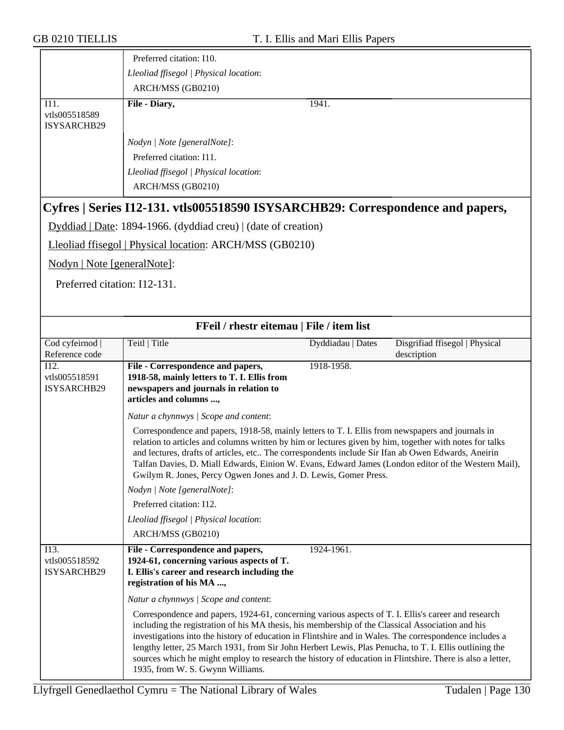|                                                    | Preferred citation: I10.                                                                                                                                                                                                                                                                                                                                                                                                                                                                                                                                                     |                   |                                               |
|----------------------------------------------------|------------------------------------------------------------------------------------------------------------------------------------------------------------------------------------------------------------------------------------------------------------------------------------------------------------------------------------------------------------------------------------------------------------------------------------------------------------------------------------------------------------------------------------------------------------------------------|-------------------|-----------------------------------------------|
|                                                    | Lleoliad ffisegol   Physical location:                                                                                                                                                                                                                                                                                                                                                                                                                                                                                                                                       |                   |                                               |
|                                                    | ARCH/MSS (GB0210)                                                                                                                                                                                                                                                                                                                                                                                                                                                                                                                                                            |                   |                                               |
| I11.<br>vtls005518589<br>ISYSARCHB29               | File - Diary,                                                                                                                                                                                                                                                                                                                                                                                                                                                                                                                                                                | 1941.             |                                               |
|                                                    | Nodyn   Note [generalNote]:                                                                                                                                                                                                                                                                                                                                                                                                                                                                                                                                                  |                   |                                               |
|                                                    | Preferred citation: I11.                                                                                                                                                                                                                                                                                                                                                                                                                                                                                                                                                     |                   |                                               |
|                                                    | Lleoliad ffisegol   Physical location:                                                                                                                                                                                                                                                                                                                                                                                                                                                                                                                                       |                   |                                               |
|                                                    | ARCH/MSS (GB0210)                                                                                                                                                                                                                                                                                                                                                                                                                                                                                                                                                            |                   |                                               |
|                                                    | Cyfres   Series I12-131. vtls005518590 ISYSARCHB29: Correspondence and papers,                                                                                                                                                                                                                                                                                                                                                                                                                                                                                               |                   |                                               |
|                                                    | Dyddiad   Date: 1894-1966. (dyddiad creu)   (date of creation)                                                                                                                                                                                                                                                                                                                                                                                                                                                                                                               |                   |                                               |
|                                                    | Lleoliad ffisegol   Physical location: ARCH/MSS (GB0210)                                                                                                                                                                                                                                                                                                                                                                                                                                                                                                                     |                   |                                               |
| Nodyn   Note [generalNote]:                        |                                                                                                                                                                                                                                                                                                                                                                                                                                                                                                                                                                              |                   |                                               |
| Preferred citation: I12-131.                       |                                                                                                                                                                                                                                                                                                                                                                                                                                                                                                                                                                              |                   |                                               |
|                                                    |                                                                                                                                                                                                                                                                                                                                                                                                                                                                                                                                                                              |                   |                                               |
|                                                    | FFeil / rhestr eitemau   File / item list                                                                                                                                                                                                                                                                                                                                                                                                                                                                                                                                    |                   |                                               |
| Cod cyfeirnod<br>Reference code                    | Teitl   Title                                                                                                                                                                                                                                                                                                                                                                                                                                                                                                                                                                | Dyddiadau   Dates | Disgrifiad ffisegol   Physical<br>description |
| $\overline{112}$ .<br>vtls005518591<br>ISYSARCHB29 | File - Correspondence and papers,<br>1918-58, mainly letters to T. I. Ellis from<br>newspapers and journals in relation to<br>articles and columns ,                                                                                                                                                                                                                                                                                                                                                                                                                         | 1918-1958.        |                                               |
|                                                    | Natur a chynnwys / Scope and content:                                                                                                                                                                                                                                                                                                                                                                                                                                                                                                                                        |                   |                                               |
|                                                    | Correspondence and papers, 1918-58, mainly letters to T. I. Ellis from newspapers and journals in<br>relation to articles and columns written by him or lectures given by him, together with notes for talks<br>and lectures, drafts of articles, etc The correspondents include Sir Ifan ab Owen Edwards, Aneirin<br>Talfan Davies, D. Miall Edwards, Einion W. Evans, Edward James (London editor of the Western Mail),<br>Gwilym R. Jones, Percy Ogwen Jones and J. D. Lewis, Gomer Press.                                                                                |                   |                                               |
|                                                    | Nodyn   Note [generalNote]:                                                                                                                                                                                                                                                                                                                                                                                                                                                                                                                                                  |                   |                                               |
|                                                    | Preferred citation: I12.                                                                                                                                                                                                                                                                                                                                                                                                                                                                                                                                                     |                   |                                               |
|                                                    | Lleoliad ffisegol   Physical location:                                                                                                                                                                                                                                                                                                                                                                                                                                                                                                                                       |                   |                                               |
|                                                    | ARCH/MSS (GB0210)                                                                                                                                                                                                                                                                                                                                                                                                                                                                                                                                                            |                   |                                               |
| I13.<br>vtls005518592<br>ISYSARCHB29               | File - Correspondence and papers,<br>1924-61, concerning various aspects of T.<br>I. Ellis's career and research including the<br>registration of his MA ,                                                                                                                                                                                                                                                                                                                                                                                                                   | 1924-1961.        |                                               |
|                                                    | Natur a chynnwys / Scope and content:                                                                                                                                                                                                                                                                                                                                                                                                                                                                                                                                        |                   |                                               |
|                                                    | Correspondence and papers, 1924-61, concerning various aspects of T. I. Ellis's career and research<br>including the registration of his MA thesis, his membership of the Classical Association and his<br>investigations into the history of education in Flintshire and in Wales. The correspondence includes a<br>lengthy letter, 25 March 1931, from Sir John Herbert Lewis, Plas Penucha, to T. I. Ellis outlining the<br>sources which he might employ to research the history of education in Flintshire. There is also a letter,<br>1935, from W. S. Gwynn Williams. |                   |                                               |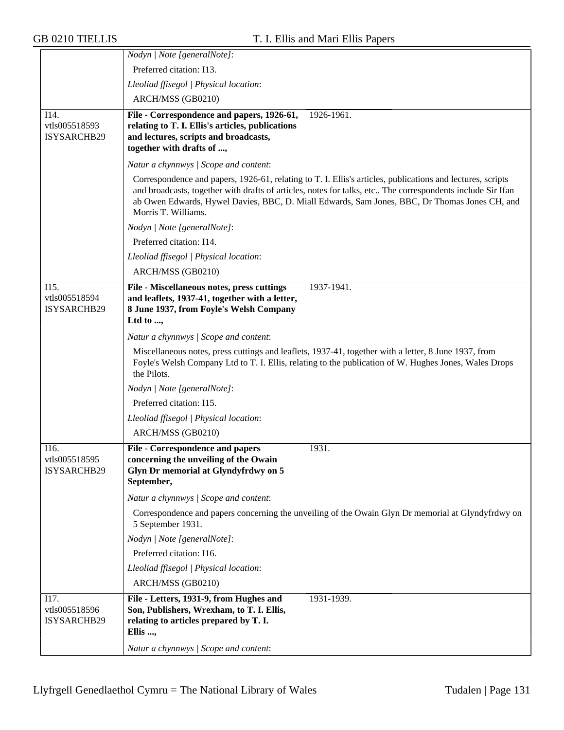|                                      | Nodyn   Note [generalNote]:                                                                                                                                                                                                                                                                                                                      |
|--------------------------------------|--------------------------------------------------------------------------------------------------------------------------------------------------------------------------------------------------------------------------------------------------------------------------------------------------------------------------------------------------|
|                                      | Preferred citation: I13.                                                                                                                                                                                                                                                                                                                         |
|                                      | Lleoliad ffisegol   Physical location:                                                                                                                                                                                                                                                                                                           |
|                                      | ARCH/MSS (GB0210)                                                                                                                                                                                                                                                                                                                                |
| I14.<br>vtls005518593<br>ISYSARCHB29 | File - Correspondence and papers, 1926-61,<br>1926-1961.<br>relating to T. I. Ellis's articles, publications<br>and lectures, scripts and broadcasts,<br>together with drafts of ,                                                                                                                                                               |
|                                      | Natur a chynnwys / Scope and content:                                                                                                                                                                                                                                                                                                            |
|                                      | Correspondence and papers, 1926-61, relating to T. I. Ellis's articles, publications and lectures, scripts<br>and broadcasts, together with drafts of articles, notes for talks, etc The correspondents include Sir Ifan<br>ab Owen Edwards, Hywel Davies, BBC, D. Miall Edwards, Sam Jones, BBC, Dr Thomas Jones CH, and<br>Morris T. Williams. |
|                                      | Nodyn   Note [generalNote]:                                                                                                                                                                                                                                                                                                                      |
|                                      | Preferred citation: I14.                                                                                                                                                                                                                                                                                                                         |
|                                      | Lleoliad ffisegol   Physical location:                                                                                                                                                                                                                                                                                                           |
|                                      | ARCH/MSS (GB0210)                                                                                                                                                                                                                                                                                                                                |
| I15.<br>vtls005518594<br>ISYSARCHB29 | File - Miscellaneous notes, press cuttings<br>1937-1941.<br>and leaflets, 1937-41, together with a letter,<br>8 June 1937, from Foyle's Welsh Company<br>Ltd to ,                                                                                                                                                                                |
|                                      | Natur a chynnwys / Scope and content:                                                                                                                                                                                                                                                                                                            |
|                                      | Miscellaneous notes, press cuttings and leaflets, 1937-41, together with a letter, 8 June 1937, from<br>Foyle's Welsh Company Ltd to T. I. Ellis, relating to the publication of W. Hughes Jones, Wales Drops<br>the Pilots.                                                                                                                     |
|                                      | Nodyn   Note [generalNote]:                                                                                                                                                                                                                                                                                                                      |
|                                      | Preferred citation: I15.                                                                                                                                                                                                                                                                                                                         |
|                                      | Lleoliad ffisegol   Physical location:                                                                                                                                                                                                                                                                                                           |
|                                      | ARCH/MSS (GB0210)                                                                                                                                                                                                                                                                                                                                |
| I16.<br>vtls005518595<br>ISYSARCHB29 | File - Correspondence and papers<br>1931.<br>concerning the unveiling of the Owain<br>Glyn Dr memorial at Glyndyfrdwy on 5<br>September,                                                                                                                                                                                                         |
|                                      | Natur a chynnwys / Scope and content:                                                                                                                                                                                                                                                                                                            |
|                                      | Correspondence and papers concerning the unveiling of the Owain Glyn Dr memorial at Glyndyfrdwy on<br>5 September 1931.                                                                                                                                                                                                                          |
|                                      | Nodyn   Note [generalNote]:                                                                                                                                                                                                                                                                                                                      |
|                                      | Preferred citation: I16.                                                                                                                                                                                                                                                                                                                         |
|                                      | Lleoliad ffisegol   Physical location:                                                                                                                                                                                                                                                                                                           |
|                                      | ARCH/MSS (GB0210)                                                                                                                                                                                                                                                                                                                                |
| I17.<br>vtls005518596<br>ISYSARCHB29 | File - Letters, 1931-9, from Hughes and<br>1931-1939.<br>Son, Publishers, Wrexham, to T. I. Ellis,<br>relating to articles prepared by T. I.<br>Ellis ,<br>Natur a chynnwys / Scope and content:                                                                                                                                                 |
|                                      |                                                                                                                                                                                                                                                                                                                                                  |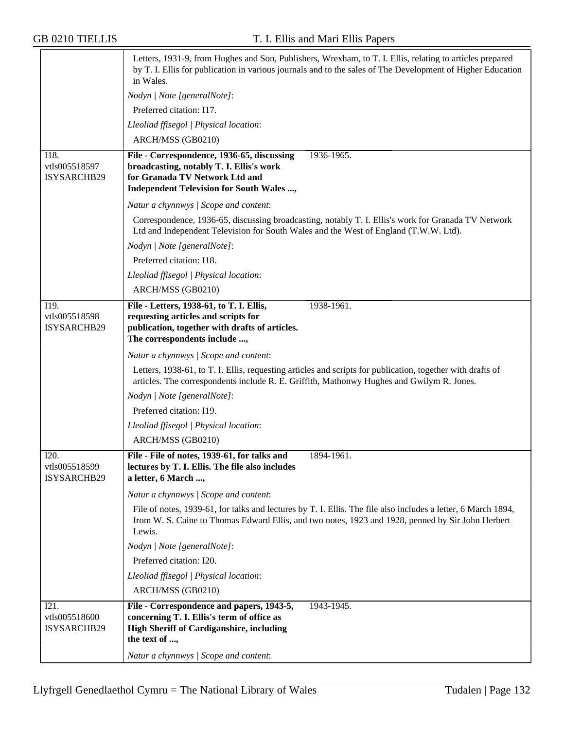|                                             | Letters, 1931-9, from Hughes and Son, Publishers, Wrexham, to T. I. Ellis, relating to articles prepared<br>by T. I. Ellis for publication in various journals and to the sales of The Development of Higher Education<br>in Wales. |
|---------------------------------------------|-------------------------------------------------------------------------------------------------------------------------------------------------------------------------------------------------------------------------------------|
|                                             | Nodyn   Note [generalNote]:                                                                                                                                                                                                         |
|                                             | Preferred citation: I17.                                                                                                                                                                                                            |
|                                             | Lleoliad ffisegol   Physical location:                                                                                                                                                                                              |
|                                             | ARCH/MSS (GB0210)                                                                                                                                                                                                                   |
| I18.<br>vtls005518597<br>ISYSARCHB29        | 1936-1965.<br>File - Correspondence, 1936-65, discussing<br>broadcasting, notably T. I. Ellis's work<br>for Granada TV Network Ltd and<br><b>Independent Television for South Wales ,</b>                                           |
|                                             | Natur a chynnwys / Scope and content:                                                                                                                                                                                               |
|                                             | Correspondence, 1936-65, discussing broadcasting, notably T. I. Ellis's work for Granada TV Network<br>Ltd and Independent Television for South Wales and the West of England (T.W.W. Ltd).                                         |
|                                             | Nodyn   Note [generalNote]:                                                                                                                                                                                                         |
|                                             | Preferred citation: I18.                                                                                                                                                                                                            |
|                                             | Lleoliad ffisegol   Physical location:                                                                                                                                                                                              |
|                                             | ARCH/MSS (GB0210)                                                                                                                                                                                                                   |
| I19.<br>vtls005518598<br><b>ISYSARCHB29</b> | File - Letters, 1938-61, to T. I. Ellis,<br>1938-1961.<br>requesting articles and scripts for<br>publication, together with drafts of articles.<br>The correspondents include ,                                                     |
|                                             | Natur a chynnwys / Scope and content:                                                                                                                                                                                               |
|                                             | Letters, 1938-61, to T. I. Ellis, requesting articles and scripts for publication, together with drafts of<br>articles. The correspondents include R. E. Griffith, Mathonwy Hughes and Gwilym R. Jones.                             |
|                                             | Nodyn   Note [generalNote]:                                                                                                                                                                                                         |
|                                             | Preferred citation: I19.                                                                                                                                                                                                            |
|                                             | Lleoliad ffisegol   Physical location:                                                                                                                                                                                              |
|                                             | ARCH/MSS (GB0210)                                                                                                                                                                                                                   |
| I20.<br>vtls005518599<br>ISYSARCHB29        | File - File of notes, 1939-61, for talks and<br>1894-1961.<br>lectures by T. I. Ellis. The file also includes<br>a letter, 6 March ,                                                                                                |
|                                             | Natur a chynnwys / Scope and content:                                                                                                                                                                                               |
|                                             | File of notes, 1939-61, for talks and lectures by T. I. Ellis. The file also includes a letter, 6 March 1894,<br>from W. S. Caine to Thomas Edward Ellis, and two notes, 1923 and 1928, penned by Sir John Herbert<br>Lewis.        |
|                                             | Nodyn   Note [generalNote]:                                                                                                                                                                                                         |
|                                             | Preferred citation: I20.                                                                                                                                                                                                            |
|                                             | Lleoliad ffisegol   Physical location:                                                                                                                                                                                              |
|                                             | ARCH/MSS (GB0210)                                                                                                                                                                                                                   |
| I21.<br>vtls005518600<br>ISYSARCHB29        | File - Correspondence and papers, 1943-5,<br>1943-1945.<br>concerning T. I. Ellis's term of office as<br><b>High Sheriff of Cardiganshire, including</b><br>the text of ,                                                           |
|                                             | Natur a chynnwys / Scope and content:                                                                                                                                                                                               |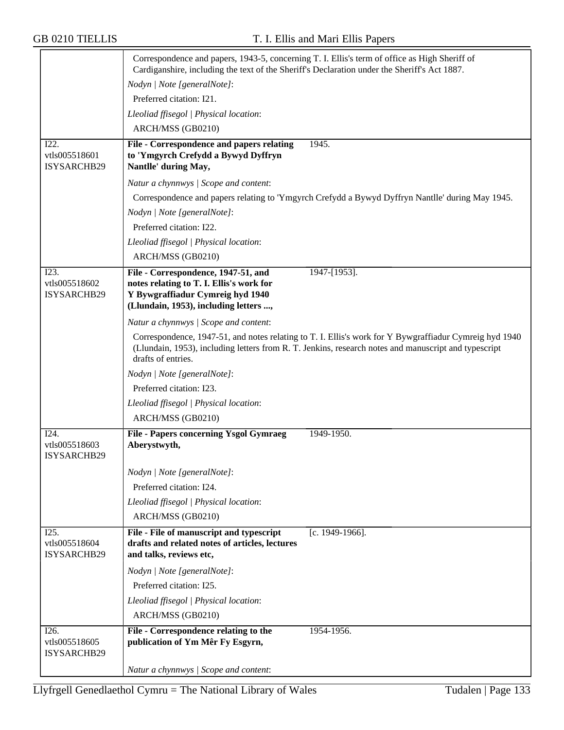|                                             | Correspondence and papers, 1943-5, concerning T. I. Ellis's term of office as High Sheriff of<br>Cardiganshire, including the text of the Sheriff's Declaration under the Sheriff's Act 1887. |                                                                                                                                                                                                                |
|---------------------------------------------|-----------------------------------------------------------------------------------------------------------------------------------------------------------------------------------------------|----------------------------------------------------------------------------------------------------------------------------------------------------------------------------------------------------------------|
|                                             | Nodyn   Note [generalNote]:                                                                                                                                                                   |                                                                                                                                                                                                                |
|                                             | Preferred citation: I21.                                                                                                                                                                      |                                                                                                                                                                                                                |
|                                             | Lleoliad ffisegol   Physical location:                                                                                                                                                        |                                                                                                                                                                                                                |
|                                             | ARCH/MSS (GB0210)                                                                                                                                                                             |                                                                                                                                                                                                                |
| I22.<br>vtls005518601<br>ISYSARCHB29        | <b>File - Correspondence and papers relating</b><br>to 'Ymgyrch Crefydd a Bywyd Dyffryn<br>Nantlle' during May,                                                                               | 1945.                                                                                                                                                                                                          |
|                                             | Natur a chynnwys / Scope and content:                                                                                                                                                         |                                                                                                                                                                                                                |
|                                             |                                                                                                                                                                                               | Correspondence and papers relating to 'Ymgyrch Crefydd a Bywyd Dyffryn Nantlle' during May 1945.                                                                                                               |
|                                             | Nodyn   Note [generalNote]:                                                                                                                                                                   |                                                                                                                                                                                                                |
|                                             | Preferred citation: I22.                                                                                                                                                                      |                                                                                                                                                                                                                |
|                                             | Lleoliad ffisegol   Physical location:                                                                                                                                                        |                                                                                                                                                                                                                |
|                                             | ARCH/MSS (GB0210)                                                                                                                                                                             |                                                                                                                                                                                                                |
| I23.<br>vtls005518602<br>ISYSARCHB29        | File - Correspondence, 1947-51, and<br>notes relating to T. I. Ellis's work for<br>Y Bywgraffiadur Cymreig hyd 1940<br>(Llundain, 1953), including letters ,                                  | 1947-[1953].                                                                                                                                                                                                   |
|                                             | Natur a chynnwys / Scope and content:                                                                                                                                                         |                                                                                                                                                                                                                |
|                                             | drafts of entries.                                                                                                                                                                            | Correspondence, 1947-51, and notes relating to T. I. Ellis's work for Y Bywgraffiadur Cymreig hyd 1940<br>(Llundain, 1953), including letters from R. T. Jenkins, research notes and manuscript and typescript |
|                                             | Nodyn   Note [generalNote]:                                                                                                                                                                   |                                                                                                                                                                                                                |
|                                             | Preferred citation: I23.                                                                                                                                                                      |                                                                                                                                                                                                                |
|                                             | Lleoliad ffisegol   Physical location:                                                                                                                                                        |                                                                                                                                                                                                                |
|                                             | ARCH/MSS (GB0210)                                                                                                                                                                             |                                                                                                                                                                                                                |
| I24.<br>vtls005518603<br><b>ISYSARCHB29</b> | <b>File - Papers concerning Ysgol Gymraeg</b><br>Aberystwyth,                                                                                                                                 | 1949-1950.                                                                                                                                                                                                     |
|                                             | Nodyn   Note [generalNote]:                                                                                                                                                                   |                                                                                                                                                                                                                |
|                                             | Preferred citation: I24.                                                                                                                                                                      |                                                                                                                                                                                                                |
|                                             | Lleoliad ffisegol   Physical location:                                                                                                                                                        |                                                                                                                                                                                                                |
|                                             | ARCH/MSS (GB0210)                                                                                                                                                                             |                                                                                                                                                                                                                |
| I25.                                        | File - File of manuscript and typescript                                                                                                                                                      | [c. 1949-1966].                                                                                                                                                                                                |
| vtls005518604<br>ISYSARCHB29                | drafts and related notes of articles, lectures<br>and talks, reviews etc,                                                                                                                     |                                                                                                                                                                                                                |
|                                             | Nodyn   Note [generalNote]:                                                                                                                                                                   |                                                                                                                                                                                                                |
|                                             | Preferred citation: I25.                                                                                                                                                                      |                                                                                                                                                                                                                |
|                                             | Lleoliad ffisegol   Physical location:                                                                                                                                                        |                                                                                                                                                                                                                |
|                                             | ARCH/MSS (GB0210)                                                                                                                                                                             |                                                                                                                                                                                                                |
| I26.                                        | File - Correspondence relating to the                                                                                                                                                         | 1954-1956.                                                                                                                                                                                                     |
| vtls005518605<br>ISYSARCHB29                | publication of Ym Mêr Fy Esgyrn,                                                                                                                                                              |                                                                                                                                                                                                                |
|                                             | Natur a chynnwys / Scope and content:                                                                                                                                                         |                                                                                                                                                                                                                |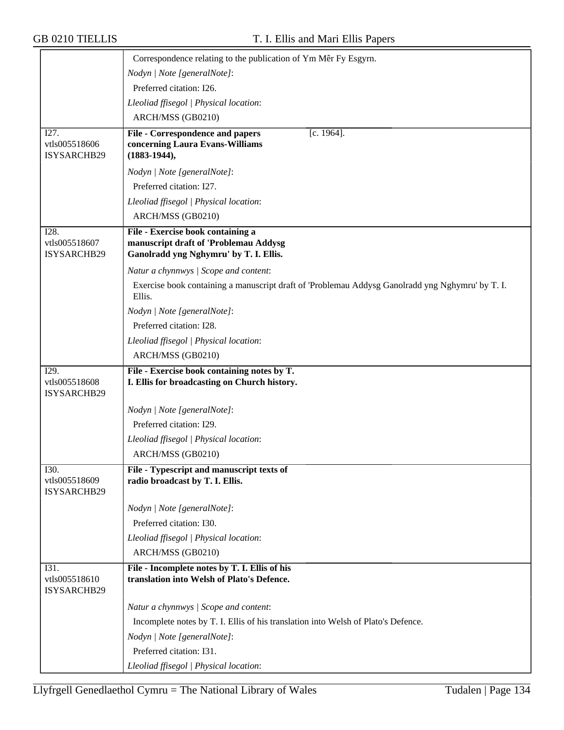|                                      | Correspondence relating to the publication of Ym Mêr Fy Esgyrn.                                            |
|--------------------------------------|------------------------------------------------------------------------------------------------------------|
|                                      | Nodyn   Note [generalNote]:                                                                                |
|                                      | Preferred citation: I26.                                                                                   |
|                                      | Lleoliad ffisegol   Physical location:                                                                     |
|                                      | ARCH/MSS (GB0210)                                                                                          |
| I27.                                 | File - Correspondence and papers<br>$[c. 1964]$ .                                                          |
| vtls005518606<br>ISYSARCHB29         | concerning Laura Evans-Williams<br>$(1883-1944),$                                                          |
|                                      |                                                                                                            |
|                                      | Nodyn   Note [generalNote]:<br>Preferred citation: I27.                                                    |
|                                      | Lleoliad ffisegol   Physical location:                                                                     |
|                                      | ARCH/MSS (GB0210)                                                                                          |
| I28.                                 | File - Exercise book containing a                                                                          |
| vtls005518607                        | manuscript draft of 'Problemau Addysg                                                                      |
| ISYSARCHB29                          | Ganolradd yng Nghymru' by T. I. Ellis.                                                                     |
|                                      | Natur a chynnwys / Scope and content:                                                                      |
|                                      | Exercise book containing a manuscript draft of 'Problemau Addysg Ganolradd yng Nghymru' by T. I.<br>Ellis. |
|                                      | Nodyn   Note [generalNote]:                                                                                |
|                                      | Preferred citation: I28.                                                                                   |
|                                      | Lleoliad ffisegol   Physical location:                                                                     |
|                                      | ARCH/MSS (GB0210)                                                                                          |
|                                      |                                                                                                            |
| I29.                                 | File - Exercise book containing notes by T.                                                                |
| vtls005518608                        | I. Ellis for broadcasting on Church history.                                                               |
| ISYSARCHB29                          |                                                                                                            |
|                                      | Nodyn   Note [generalNote]:                                                                                |
|                                      | Preferred citation: I29.                                                                                   |
|                                      | Lleoliad ffisegol   Physical location:                                                                     |
|                                      | ARCH/MSS (GB0210)                                                                                          |
| I30.<br>vtls005518609                | File - Typescript and manuscript texts of<br>radio broadcast by T. I. Ellis.                               |
| ISYSARCHB29                          |                                                                                                            |
|                                      | Nodyn   Note [generalNote]:                                                                                |
|                                      | Preferred citation: I30.                                                                                   |
|                                      | Lleoliad ffisegol   Physical location:                                                                     |
|                                      | ARCH/MSS (GB0210)                                                                                          |
| I31.<br>vtls005518610<br>ISYSARCHB29 | File - Incomplete notes by T. I. Ellis of his<br>translation into Welsh of Plato's Defence.                |
|                                      | Natur a chynnwys / Scope and content:                                                                      |
|                                      | Incomplete notes by T. I. Ellis of his translation into Welsh of Plato's Defence.                          |
|                                      | Nodyn   Note [generalNote]:                                                                                |
|                                      | Preferred citation: I31.                                                                                   |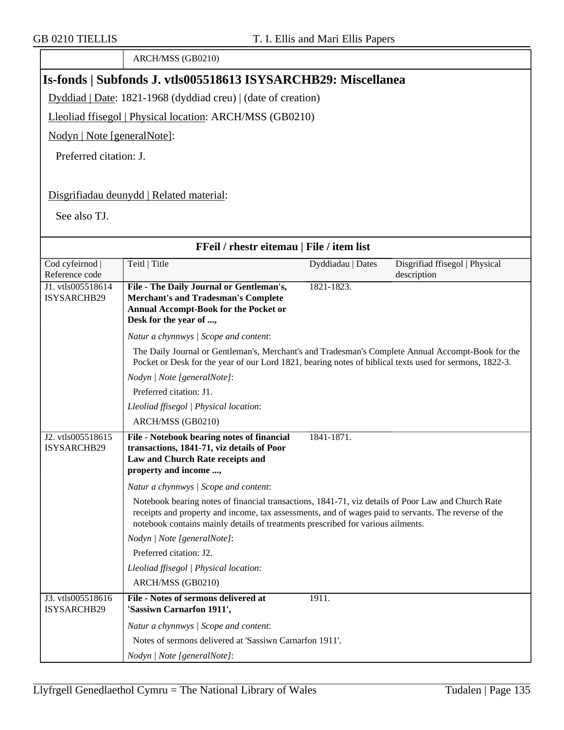ARCH/MSS (GB0210) **Is-fonds | Subfonds J. vtls005518613 ISYSARCHB29: Miscellanea** Dyddiad | Date: 1821-1968 (dyddiad creu) | (date of creation) Lleoliad ffisegol | Physical location: ARCH/MSS (GB0210) Nodyn | Note [generalNote]: Preferred citation: J. Disgrifiadau deunydd | Related material: See also TJ. **FFeil / rhestr eitemau | File / item list** Cod cyfeirnod | Reference code Teitl | Title Dyddiadau | Dates Disgrifiad ffisegol | Physical description J1. vtls005518614 ISYSARCHB29 **File - The Daily Journal or Gentleman's, Merchant's and Tradesman's Complete Annual Accompt-Book for the Pocket or Desk for the year of ...,** 1821-1823. *Natur a chynnwys | Scope and content*: The Daily Journal or Gentleman's, Merchant's and Tradesman's Complete Annual Accompt-Book for the Pocket or Desk for the year of our Lord 1821, bearing notes of biblical texts used for sermons, 1822-3. *Nodyn | Note [generalNote]*: Preferred citation: J1. *Lleoliad ffisegol | Physical location*: ARCH/MSS (GB0210) J2. vtls005518615 ISYSARCHB29 **File - Notebook bearing notes of financial transactions, 1841-71, viz details of Poor Law and Church Rate receipts and property and income ...,** 1841-1871. *Natur a chynnwys | Scope and content*: Notebook bearing notes of financial transactions, 1841-71, viz details of Poor Law and Church Rate receipts and property and income, tax assessments, and of wages paid to servants. The reverse of the notebook contains mainly details of treatments prescribed for various ailments. *Nodyn | Note [generalNote]*: Preferred citation: J2. *Lleoliad ffisegol | Physical location*: ARCH/MSS (GB0210) J3. vtls005518616 ISYSARCHB29 **File - Notes of sermons delivered at 'Sassiwn Carnarfon 1911',** 1911. *Natur a chynnwys | Scope and content*: Notes of sermons delivered at 'Sassiwn Carnarfon 1911'. *Nodyn | Note [generalNote]*: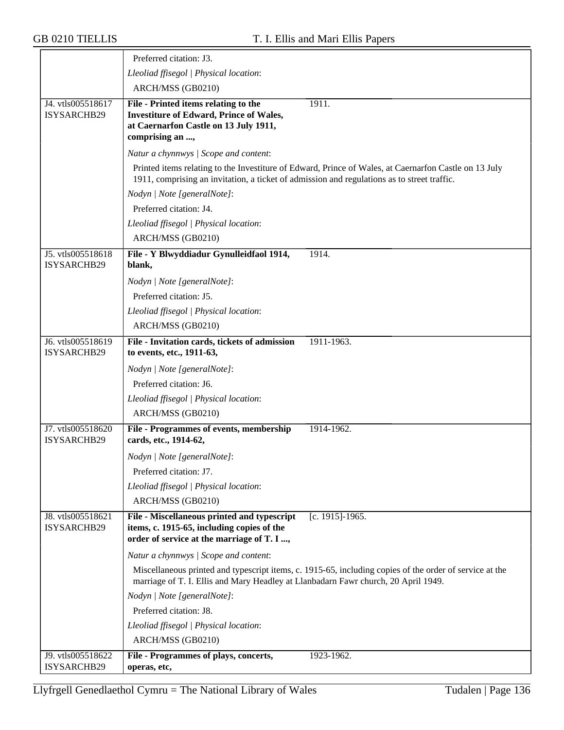|                                  | Preferred citation: J3.                                                                                                                                                                              |
|----------------------------------|------------------------------------------------------------------------------------------------------------------------------------------------------------------------------------------------------|
|                                  | Lleoliad ffisegol   Physical location:                                                                                                                                                               |
|                                  | ARCH/MSS (GB0210)                                                                                                                                                                                    |
| J4. vtls005518617                | 1911.<br>File - Printed items relating to the                                                                                                                                                        |
| ISYSARCHB29                      | <b>Investiture of Edward, Prince of Wales,</b>                                                                                                                                                       |
|                                  | at Caernarfon Castle on 13 July 1911,                                                                                                                                                                |
|                                  | comprising an ,                                                                                                                                                                                      |
|                                  | Natur a chynnwys / Scope and content:                                                                                                                                                                |
|                                  | Printed items relating to the Investiture of Edward, Prince of Wales, at Caernarfon Castle on 13 July<br>1911, comprising an invitation, a ticket of admission and regulations as to street traffic. |
|                                  | Nodyn   Note [generalNote]:                                                                                                                                                                          |
|                                  | Preferred citation: J4.                                                                                                                                                                              |
|                                  | Lleoliad ffisegol   Physical location:                                                                                                                                                               |
|                                  | ARCH/MSS (GB0210)                                                                                                                                                                                    |
| J5. vtls005518618                | File - Y Blwyddiadur Gynulleidfaol 1914,<br>1914.                                                                                                                                                    |
| ISYSARCHB29                      | blank,                                                                                                                                                                                               |
|                                  | Nodyn   Note [generalNote]:                                                                                                                                                                          |
|                                  | Preferred citation: J5.                                                                                                                                                                              |
|                                  | Lleoliad ffisegol   Physical location:                                                                                                                                                               |
|                                  | ARCH/MSS (GB0210)                                                                                                                                                                                    |
| J6. vtls005518619                | 1911-1963.<br>File - Invitation cards, tickets of admission                                                                                                                                          |
| ISYSARCHB29                      | to events, etc., 1911-63,                                                                                                                                                                            |
|                                  | Nodyn   Note [generalNote]:                                                                                                                                                                          |
|                                  | Preferred citation: J6.                                                                                                                                                                              |
|                                  | Lleoliad ffisegol   Physical location:                                                                                                                                                               |
|                                  | ARCH/MSS (GB0210)                                                                                                                                                                                    |
| J7. vtls005518620<br>ISYSARCHB29 | File - Programmes of events, membership<br>1914-1962.<br>cards, etc., 1914-62,                                                                                                                       |
|                                  | Nodyn   Note [generalNote]:                                                                                                                                                                          |
|                                  | Preferred citation: J7.                                                                                                                                                                              |
|                                  | Lleoliad ffisegol   Physical location:                                                                                                                                                               |
|                                  | ARCH/MSS (GB0210)                                                                                                                                                                                    |
| J8. vtls005518621                | [c. 1915]-1965.<br>File - Miscellaneous printed and typescript                                                                                                                                       |
| ISYSARCHB29                      | items, c. 1915-65, including copies of the                                                                                                                                                           |
|                                  | order of service at the marriage of T. I ,                                                                                                                                                           |
|                                  | Natur a chynnwys / Scope and content:                                                                                                                                                                |
|                                  | Miscellaneous printed and typescript items, c. 1915-65, including copies of the order of service at the<br>marriage of T. I. Ellis and Mary Headley at Llanbadarn Fawr church, 20 April 1949.        |
|                                  | Nodyn   Note [generalNote]:                                                                                                                                                                          |
|                                  | Preferred citation: J8.                                                                                                                                                                              |
|                                  | Lleoliad ffisegol   Physical location:                                                                                                                                                               |
|                                  | ARCH/MSS (GB0210)                                                                                                                                                                                    |
| J9. vtls005518622                | 1923-1962.<br>File - Programmes of plays, concerts,                                                                                                                                                  |
| ISYSARCHB29                      | operas, etc,                                                                                                                                                                                         |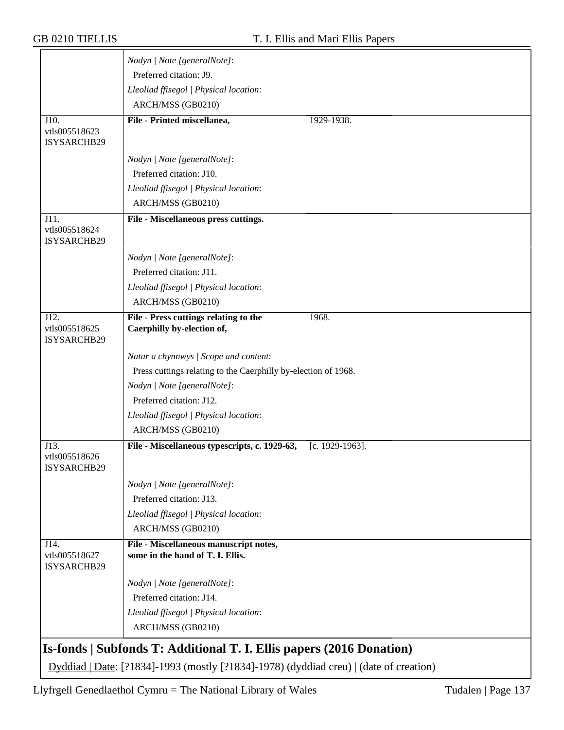|                                      | Nodyn   Note [generalNote]:                                                  |
|--------------------------------------|------------------------------------------------------------------------------|
|                                      | Preferred citation: J9.                                                      |
|                                      | Lleoliad ffisegol   Physical location:                                       |
|                                      | ARCH/MSS (GB0210)                                                            |
| J10.                                 | File - Printed miscellanea,<br>1929-1938.                                    |
| vtls005518623<br>ISYSARCHB29         |                                                                              |
|                                      | Nodyn   Note [generalNote]:                                                  |
|                                      | Preferred citation: J10.                                                     |
|                                      | Lleoliad ffisegol   Physical location:                                       |
|                                      | ARCH/MSS (GB0210)                                                            |
| J11.                                 | File - Miscellaneous press cuttings.                                         |
| vtls005518624                        |                                                                              |
| ISYSARCHB29                          |                                                                              |
|                                      | Nodyn   Note [generalNote]:                                                  |
|                                      | Preferred citation: J11.                                                     |
|                                      | Lleoliad ffisegol   Physical location:                                       |
|                                      | ARCH/MSS (GB0210)                                                            |
| J12.<br>vtls005518625<br>ISYSARCHB29 | File - Press cuttings relating to the<br>1968.<br>Caerphilly by-election of, |
|                                      | Natur a chynnwys / Scope and content:                                        |
|                                      | Press cuttings relating to the Caerphilly by-election of 1968.               |
|                                      | Nodyn   Note [generalNote]:                                                  |
|                                      | Preferred citation: J12.                                                     |
|                                      | Lleoliad ffisegol   Physical location:                                       |
|                                      | ARCH/MSS (GB0210)                                                            |
| J13.                                 | File - Miscellaneous typescripts, c. 1929-63,<br>[c. 1929-1963].             |
| vtls005518626<br>ISYSARCHB29         |                                                                              |
|                                      | Nodyn   Note [generalNote]:                                                  |
|                                      | Preferred citation: J13.                                                     |
|                                      | Lleoliad ffisegol   Physical location:                                       |
|                                      | ARCH/MSS (GB0210)                                                            |
| J14.<br>vtls005518627<br>ISYSARCHB29 | File - Miscellaneous manuscript notes,<br>some in the hand of T. I. Ellis.   |
|                                      | Nodyn   Note [generalNote]:                                                  |
|                                      | Preferred citation: J14.                                                     |
|                                      | Lleoliad ffisegol   Physical location:                                       |
|                                      | ARCH/MSS (GB0210)                                                            |
|                                      | Is-fonds   Subfonds T: Additional T. I. Ellis papers (2016 Donation)         |

Dyddiad | Date: [?1834]-1993 (mostly [?1834]-1978) (dyddiad creu) | (date of creation)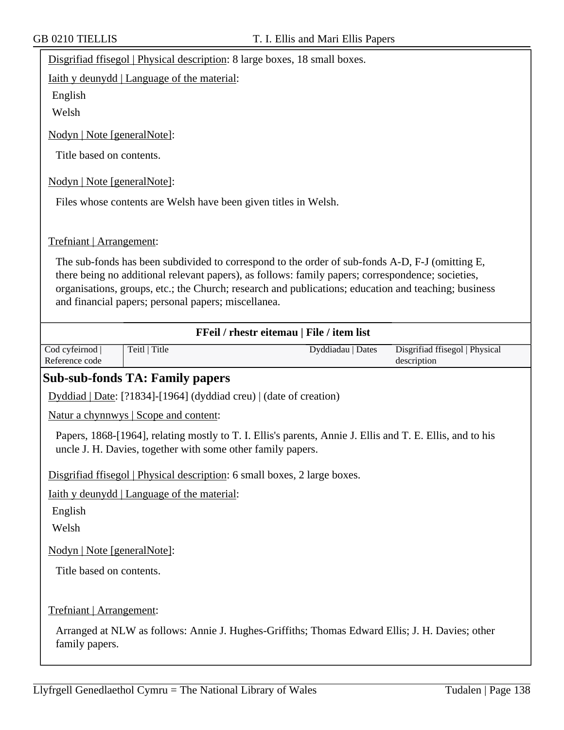| Disgrifiad ffisegol   Physical description: 8 large boxes, 18 small boxes. |  |  |
|----------------------------------------------------------------------------|--|--|
|                                                                            |  |  |

Iaith y deunydd | Language of the material:

English

Welsh

Nodyn | Note [generalNote]:

Title based on contents.

Nodyn | Note [generalNote]:

Files whose contents are Welsh have been given titles in Welsh.

#### Trefniant | Arrangement:

The sub-fonds has been subdivided to correspond to the order of sub-fonds A-D, F-J (omitting E, there being no additional relevant papers), as follows: family papers; correspondence; societies, organisations, groups, etc.; the Church; research and publications; education and teaching; business and financial papers; personal papers; miscellanea.

|                                                    | FFeil / rhestr eitemau   File / item list |                                                                                                                                                                                                                                                                                                                                                                                                                                                                              |
|----------------------------------------------------|-------------------------------------------|------------------------------------------------------------------------------------------------------------------------------------------------------------------------------------------------------------------------------------------------------------------------------------------------------------------------------------------------------------------------------------------------------------------------------------------------------------------------------|
| Teitl   Title                                      | Dyddiadau   Dates                         | Disgrifiad ffisegol   Physical<br>description                                                                                                                                                                                                                                                                                                                                                                                                                                |
|                                                    |                                           |                                                                                                                                                                                                                                                                                                                                                                                                                                                                              |
|                                                    |                                           |                                                                                                                                                                                                                                                                                                                                                                                                                                                                              |
| Natur a chynnwys   Scope and content:              |                                           |                                                                                                                                                                                                                                                                                                                                                                                                                                                                              |
|                                                    |                                           |                                                                                                                                                                                                                                                                                                                                                                                                                                                                              |
|                                                    |                                           |                                                                                                                                                                                                                                                                                                                                                                                                                                                                              |
| <u>Iaith y deunydd   Language of the material:</u> |                                           |                                                                                                                                                                                                                                                                                                                                                                                                                                                                              |
|                                                    |                                           |                                                                                                                                                                                                                                                                                                                                                                                                                                                                              |
|                                                    |                                           |                                                                                                                                                                                                                                                                                                                                                                                                                                                                              |
| Nodyn   Note [generalNote]:                        |                                           |                                                                                                                                                                                                                                                                                                                                                                                                                                                                              |
| Title based on contents.                           |                                           |                                                                                                                                                                                                                                                                                                                                                                                                                                                                              |
|                                                    |                                           |                                                                                                                                                                                                                                                                                                                                                                                                                                                                              |
| Trefniant   Arrangement:                           |                                           |                                                                                                                                                                                                                                                                                                                                                                                                                                                                              |
|                                                    |                                           |                                                                                                                                                                                                                                                                                                                                                                                                                                                                              |
|                                                    |                                           | <b>Sub-sub-fonds TA: Family papers</b><br>$Dyddiad   Date: [?1834] - [1964] (dyddiad creu)   (date of creation)$<br>Papers, 1868-[1964], relating mostly to T. I. Ellis's parents, Annie J. Ellis and T. E. Ellis, and to his<br>uncle J. H. Davies, together with some other family papers.<br>Disgrifiad ffisegol   Physical description: 6 small boxes, 2 large boxes.<br>Arranged at NLW as follows: Annie J. Hughes-Griffiths; Thomas Edward Ellis; J. H. Davies; other |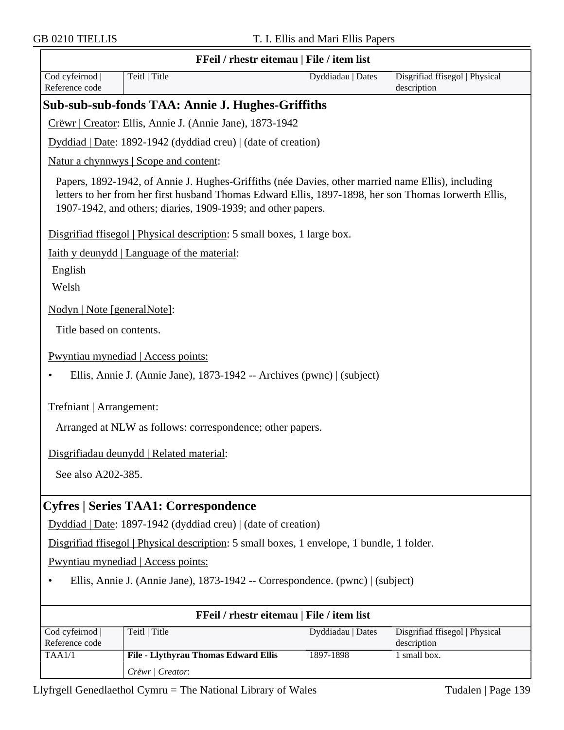|                                   | FFeil / rhestr eitemau   File / item list                                                                                                                                                                                                                                 |                   |                                               |  |  |
|-----------------------------------|---------------------------------------------------------------------------------------------------------------------------------------------------------------------------------------------------------------------------------------------------------------------------|-------------------|-----------------------------------------------|--|--|
| Cod cyfeirnod  <br>Reference code | Teitl   Title                                                                                                                                                                                                                                                             | Dyddiadau   Dates | Disgrifiad ffisegol   Physical<br>description |  |  |
|                                   | Sub-sub-sub-fonds TAA: Annie J. Hughes-Griffiths                                                                                                                                                                                                                          |                   |                                               |  |  |
|                                   | Crëwr   Creator: Ellis, Annie J. (Annie Jane), 1873-1942                                                                                                                                                                                                                  |                   |                                               |  |  |
|                                   | Dyddiad   Date: 1892-1942 (dyddiad creu)   (date of creation)                                                                                                                                                                                                             |                   |                                               |  |  |
|                                   | Natur a chynnwys   Scope and content:                                                                                                                                                                                                                                     |                   |                                               |  |  |
|                                   | Papers, 1892-1942, of Annie J. Hughes-Griffiths (née Davies, other married name Ellis), including<br>letters to her from her first husband Thomas Edward Ellis, 1897-1898, her son Thomas Iorwerth Ellis,<br>1907-1942, and others; diaries, 1909-1939; and other papers. |                   |                                               |  |  |
|                                   | Disgrifiad ffisegol   Physical description: 5 small boxes, 1 large box.                                                                                                                                                                                                   |                   |                                               |  |  |
|                                   | Iaith y deunydd   Language of the material:                                                                                                                                                                                                                               |                   |                                               |  |  |
| English                           |                                                                                                                                                                                                                                                                           |                   |                                               |  |  |
| Welsh                             |                                                                                                                                                                                                                                                                           |                   |                                               |  |  |
| Nodyn   Note [generalNote]:       |                                                                                                                                                                                                                                                                           |                   |                                               |  |  |
| Title based on contents.          |                                                                                                                                                                                                                                                                           |                   |                                               |  |  |
|                                   | Pwyntiau mynediad   Access points:                                                                                                                                                                                                                                        |                   |                                               |  |  |
|                                   | Ellis, Annie J. (Annie Jane), 1873-1942 -- Archives (pwnc)   (subject)                                                                                                                                                                                                    |                   |                                               |  |  |
| Trefniant   Arrangement:          |                                                                                                                                                                                                                                                                           |                   |                                               |  |  |
|                                   | Arranged at NLW as follows: correspondence; other papers.                                                                                                                                                                                                                 |                   |                                               |  |  |
|                                   | Disgrifiadau deunydd   Related material:                                                                                                                                                                                                                                  |                   |                                               |  |  |
| See also A202-385.                |                                                                                                                                                                                                                                                                           |                   |                                               |  |  |
|                                   | <b>Cyfres   Series TAA1: Correspondence</b>                                                                                                                                                                                                                               |                   |                                               |  |  |
|                                   | Dyddiad   Date: 1897-1942 (dyddiad creu)   (date of creation)                                                                                                                                                                                                             |                   |                                               |  |  |
|                                   | Disgrifiad ffisegol   Physical description: 5 small boxes, 1 envelope, 1 bundle, 1 folder.                                                                                                                                                                                |                   |                                               |  |  |
|                                   | Pwyntiau mynediad   Access points:                                                                                                                                                                                                                                        |                   |                                               |  |  |
|                                   | Ellis, Annie J. (Annie Jane), 1873-1942 -- Correspondence. (pwnc)   (subject)                                                                                                                                                                                             |                   |                                               |  |  |
|                                   | FFeil / rhestr eitemau   File / item list                                                                                                                                                                                                                                 |                   |                                               |  |  |
| Cod cyfeirnod<br>Reference code   | Teitl   Title                                                                                                                                                                                                                                                             | Dyddiadau   Dates | Disgrifiad ffisegol   Physical<br>description |  |  |
| TAA1/1                            | File - Llythyrau Thomas Edward Ellis                                                                                                                                                                                                                                      | 1897-1898         | 1 small box.                                  |  |  |
|                                   | Crëwr   Creator:                                                                                                                                                                                                                                                          |                   |                                               |  |  |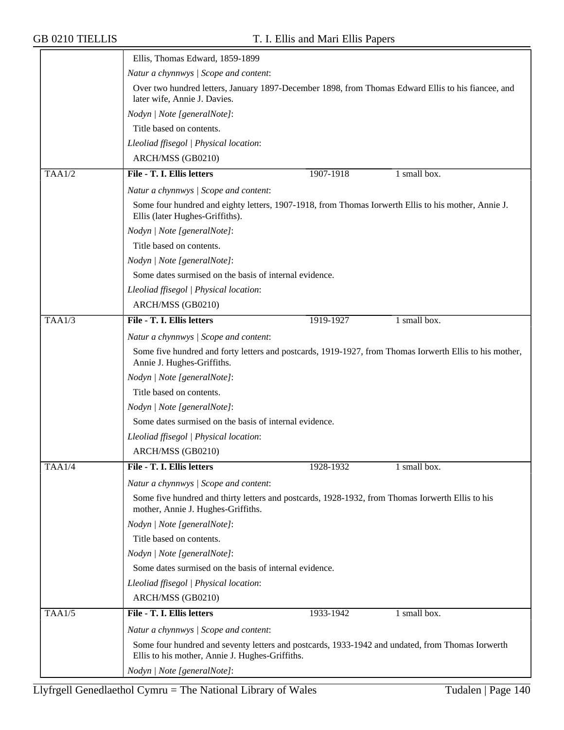|               | Ellis, Thomas Edward, 1859-1899                                                                                                        |                                                                                                                                                  |              |  |  |  |
|---------------|----------------------------------------------------------------------------------------------------------------------------------------|--------------------------------------------------------------------------------------------------------------------------------------------------|--------------|--|--|--|
|               | Natur a chynnwys / Scope and content:                                                                                                  |                                                                                                                                                  |              |  |  |  |
|               | Over two hundred letters, January 1897-December 1898, from Thomas Edward Ellis to his fiancee, and<br>later wife, Annie J. Davies.     |                                                                                                                                                  |              |  |  |  |
|               | Nodyn   Note [generalNote]:                                                                                                            |                                                                                                                                                  |              |  |  |  |
|               | Title based on contents.                                                                                                               |                                                                                                                                                  |              |  |  |  |
|               | Lleoliad ffisegol   Physical location:                                                                                                 |                                                                                                                                                  |              |  |  |  |
|               | ARCH/MSS (GB0210)                                                                                                                      |                                                                                                                                                  |              |  |  |  |
| <b>TAA1/2</b> | File - T. I. Ellis letters                                                                                                             | 1907-1918                                                                                                                                        | 1 small box. |  |  |  |
|               | Natur a chynnwys / Scope and content:                                                                                                  |                                                                                                                                                  |              |  |  |  |
|               | Some four hundred and eighty letters, 1907-1918, from Thomas Iorwerth Ellis to his mother, Annie J.<br>Ellis (later Hughes-Griffiths). |                                                                                                                                                  |              |  |  |  |
|               | Nodyn   Note [generalNote]:                                                                                                            |                                                                                                                                                  |              |  |  |  |
|               | Title based on contents.                                                                                                               |                                                                                                                                                  |              |  |  |  |
|               | Nodyn   Note [generalNote]:                                                                                                            |                                                                                                                                                  |              |  |  |  |
|               | Some dates surmised on the basis of internal evidence.                                                                                 |                                                                                                                                                  |              |  |  |  |
|               | Lleoliad ffisegol   Physical location:                                                                                                 |                                                                                                                                                  |              |  |  |  |
|               | ARCH/MSS (GB0210)                                                                                                                      |                                                                                                                                                  |              |  |  |  |
| TAAI/3        | File - T. I. Ellis letters                                                                                                             | 1919-1927                                                                                                                                        | 1 small box. |  |  |  |
|               |                                                                                                                                        |                                                                                                                                                  |              |  |  |  |
|               |                                                                                                                                        | Natur a chynnwys / Scope and content:<br>Some five hundred and forty letters and postcards, 1919-1927, from Thomas Iorwerth Ellis to his mother, |              |  |  |  |
|               | Annie J. Hughes-Griffiths.                                                                                                             |                                                                                                                                                  |              |  |  |  |
|               | Nodyn   Note [generalNote]:                                                                                                            |                                                                                                                                                  |              |  |  |  |
|               | Title based on contents.                                                                                                               |                                                                                                                                                  |              |  |  |  |
|               | Nodyn   Note [generalNote]:                                                                                                            |                                                                                                                                                  |              |  |  |  |
|               | Some dates surmised on the basis of internal evidence.                                                                                 |                                                                                                                                                  |              |  |  |  |
|               | Lleoliad ffisegol   Physical location:                                                                                                 |                                                                                                                                                  |              |  |  |  |
|               | ARCH/MSS (GB0210)                                                                                                                      |                                                                                                                                                  |              |  |  |  |
| <b>TAA1/4</b> | File - T. I. Ellis letters                                                                                                             | 1928-1932                                                                                                                                        | I small box. |  |  |  |
|               | Natur a chynnwys / Scope and content:                                                                                                  |                                                                                                                                                  |              |  |  |  |
|               | Some five hundred and thirty letters and postcards, 1928-1932, from Thomas Iorwerth Ellis to his<br>mother, Annie J. Hughes-Griffiths. |                                                                                                                                                  |              |  |  |  |
|               | Nodyn   Note [generalNote]:                                                                                                            |                                                                                                                                                  |              |  |  |  |
|               | Title based on contents.                                                                                                               |                                                                                                                                                  |              |  |  |  |
|               | Nodyn   Note [generalNote]:                                                                                                            |                                                                                                                                                  |              |  |  |  |
|               | Some dates surmised on the basis of internal evidence.                                                                                 |                                                                                                                                                  |              |  |  |  |
|               | Lleoliad ffisegol   Physical location:                                                                                                 |                                                                                                                                                  |              |  |  |  |
|               | ARCH/MSS (GB0210)                                                                                                                      |                                                                                                                                                  |              |  |  |  |
| TAAI/5        | File - T. I. Ellis letters                                                                                                             | 1933-1942                                                                                                                                        | 1 small box. |  |  |  |
|               | Natur a chynnwys / Scope and content:                                                                                                  |                                                                                                                                                  |              |  |  |  |
|               | Ellis to his mother, Annie J. Hughes-Griffiths.                                                                                        | Some four hundred and seventy letters and postcards, 1933-1942 and undated, from Thomas Iorwerth                                                 |              |  |  |  |
|               | Nodyn   Note [generalNote]:                                                                                                            |                                                                                                                                                  |              |  |  |  |
|               |                                                                                                                                        |                                                                                                                                                  |              |  |  |  |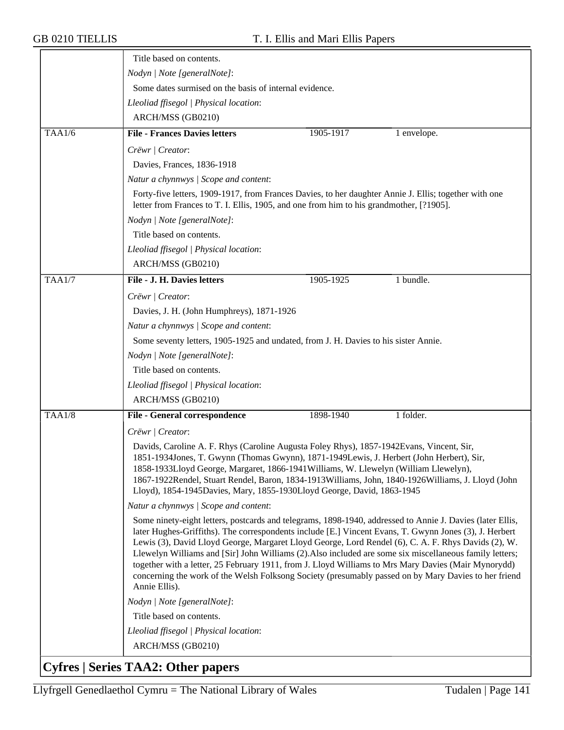|               | Title based on contents.                                                                                                                                                                         |                                                                                                                                                                                                                                                                                                                                                                                                                                                                                                                                                                                                                                                      |             |  |  |
|---------------|--------------------------------------------------------------------------------------------------------------------------------------------------------------------------------------------------|------------------------------------------------------------------------------------------------------------------------------------------------------------------------------------------------------------------------------------------------------------------------------------------------------------------------------------------------------------------------------------------------------------------------------------------------------------------------------------------------------------------------------------------------------------------------------------------------------------------------------------------------------|-------------|--|--|
|               | Nodyn   Note [generalNote]:                                                                                                                                                                      |                                                                                                                                                                                                                                                                                                                                                                                                                                                                                                                                                                                                                                                      |             |  |  |
|               |                                                                                                                                                                                                  | Some dates surmised on the basis of internal evidence.                                                                                                                                                                                                                                                                                                                                                                                                                                                                                                                                                                                               |             |  |  |
|               | Lleoliad ffisegol   Physical location:                                                                                                                                                           |                                                                                                                                                                                                                                                                                                                                                                                                                                                                                                                                                                                                                                                      |             |  |  |
|               | ARCH/MSS (GB0210)                                                                                                                                                                                |                                                                                                                                                                                                                                                                                                                                                                                                                                                                                                                                                                                                                                                      |             |  |  |
| TAA1/6        | <b>File - Frances Davies letters</b>                                                                                                                                                             | 1905-1917                                                                                                                                                                                                                                                                                                                                                                                                                                                                                                                                                                                                                                            | 1 envelope. |  |  |
|               | Crëwr   Creator:                                                                                                                                                                                 |                                                                                                                                                                                                                                                                                                                                                                                                                                                                                                                                                                                                                                                      |             |  |  |
|               | Davies, Frances, 1836-1918                                                                                                                                                                       |                                                                                                                                                                                                                                                                                                                                                                                                                                                                                                                                                                                                                                                      |             |  |  |
|               | Natur a chynnwys / Scope and content:                                                                                                                                                            |                                                                                                                                                                                                                                                                                                                                                                                                                                                                                                                                                                                                                                                      |             |  |  |
|               | Forty-five letters, 1909-1917, from Frances Davies, to her daughter Annie J. Ellis; together with one<br>letter from Frances to T. I. Ellis, 1905, and one from him to his grandmother, [?1905]. |                                                                                                                                                                                                                                                                                                                                                                                                                                                                                                                                                                                                                                                      |             |  |  |
|               | Nodyn   Note [generalNote]:                                                                                                                                                                      |                                                                                                                                                                                                                                                                                                                                                                                                                                                                                                                                                                                                                                                      |             |  |  |
|               | Title based on contents.                                                                                                                                                                         |                                                                                                                                                                                                                                                                                                                                                                                                                                                                                                                                                                                                                                                      |             |  |  |
|               | Lleoliad ffisegol   Physical location:                                                                                                                                                           |                                                                                                                                                                                                                                                                                                                                                                                                                                                                                                                                                                                                                                                      |             |  |  |
|               | ARCH/MSS (GB0210)                                                                                                                                                                                |                                                                                                                                                                                                                                                                                                                                                                                                                                                                                                                                                                                                                                                      |             |  |  |
| TAA1/7        | File - J. H. Davies letters                                                                                                                                                                      | 1905-1925                                                                                                                                                                                                                                                                                                                                                                                                                                                                                                                                                                                                                                            | 1 bundle.   |  |  |
|               | Crëwr   Creator:                                                                                                                                                                                 |                                                                                                                                                                                                                                                                                                                                                                                                                                                                                                                                                                                                                                                      |             |  |  |
|               | Davies, J. H. (John Humphreys), 1871-1926                                                                                                                                                        |                                                                                                                                                                                                                                                                                                                                                                                                                                                                                                                                                                                                                                                      |             |  |  |
|               | Natur a chynnwys / Scope and content:                                                                                                                                                            |                                                                                                                                                                                                                                                                                                                                                                                                                                                                                                                                                                                                                                                      |             |  |  |
|               | Some seventy letters, 1905-1925 and undated, from J. H. Davies to his sister Annie.                                                                                                              |                                                                                                                                                                                                                                                                                                                                                                                                                                                                                                                                                                                                                                                      |             |  |  |
|               | Nodyn   Note [generalNote]:                                                                                                                                                                      |                                                                                                                                                                                                                                                                                                                                                                                                                                                                                                                                                                                                                                                      |             |  |  |
|               | Title based on contents.                                                                                                                                                                         |                                                                                                                                                                                                                                                                                                                                                                                                                                                                                                                                                                                                                                                      |             |  |  |
|               | Lleoliad ffisegol   Physical location:                                                                                                                                                           |                                                                                                                                                                                                                                                                                                                                                                                                                                                                                                                                                                                                                                                      |             |  |  |
|               | ARCH/MSS (GB0210)                                                                                                                                                                                |                                                                                                                                                                                                                                                                                                                                                                                                                                                                                                                                                                                                                                                      |             |  |  |
| <b>TAA1/8</b> | File - General correspondence                                                                                                                                                                    | 1898-1940                                                                                                                                                                                                                                                                                                                                                                                                                                                                                                                                                                                                                                            | 1 folder.   |  |  |
|               |                                                                                                                                                                                                  |                                                                                                                                                                                                                                                                                                                                                                                                                                                                                                                                                                                                                                                      |             |  |  |
|               | Crëwr / Creator:                                                                                                                                                                                 |                                                                                                                                                                                                                                                                                                                                                                                                                                                                                                                                                                                                                                                      |             |  |  |
|               |                                                                                                                                                                                                  | Davids, Caroline A. F. Rhys (Caroline Augusta Foley Rhys), 1857-1942 Evans, Vincent, Sir,<br>1851-1934Jones, T. Gwynn (Thomas Gwynn), 1871-1949Lewis, J. Herbert (John Herbert), Sir,<br>1858-1933Lloyd George, Margaret, 1866-1941 Williams, W. Llewelyn (William Llewelyn),<br>1867-1922Rendel, Stuart Rendel, Baron, 1834-1913Williams, John, 1840-1926Williams, J. Lloyd (John<br>Lloyd), 1854-1945Davies, Mary, 1855-1930Lloyd George, David, 1863-1945                                                                                                                                                                                         |             |  |  |
|               | Natur a chynnwys / Scope and content:                                                                                                                                                            |                                                                                                                                                                                                                                                                                                                                                                                                                                                                                                                                                                                                                                                      |             |  |  |
|               | Annie Ellis).                                                                                                                                                                                    | Some ninety-eight letters, postcards and telegrams, 1898-1940, addressed to Annie J. Davies (later Ellis,<br>later Hughes-Griffiths). The correspondents include [E.] Vincent Evans, T. Gwynn Jones (3), J. Herbert<br>Lewis (3), David Lloyd George, Margaret Lloyd George, Lord Rendel (6), C. A. F. Rhys Davids (2), W.<br>Llewelyn Williams and [Sir] John Williams (2). Also included are some six miscellaneous family letters;<br>together with a letter, 25 February 1911, from J. Lloyd Williams to Mrs Mary Davies (Mair Mynorydd)<br>concerning the work of the Welsh Folksong Society (presumably passed on by Mary Davies to her friend |             |  |  |
|               | Nodyn   Note [generalNote]:                                                                                                                                                                      |                                                                                                                                                                                                                                                                                                                                                                                                                                                                                                                                                                                                                                                      |             |  |  |
|               | Title based on contents.                                                                                                                                                                         |                                                                                                                                                                                                                                                                                                                                                                                                                                                                                                                                                                                                                                                      |             |  |  |
|               | Lleoliad ffisegol   Physical location:                                                                                                                                                           |                                                                                                                                                                                                                                                                                                                                                                                                                                                                                                                                                                                                                                                      |             |  |  |
|               | ARCH/MSS (GB0210)                                                                                                                                                                                |                                                                                                                                                                                                                                                                                                                                                                                                                                                                                                                                                                                                                                                      |             |  |  |

## Llyfrgell Genedlaethol Cymru = The National Library of Wales Tudalen | Page 141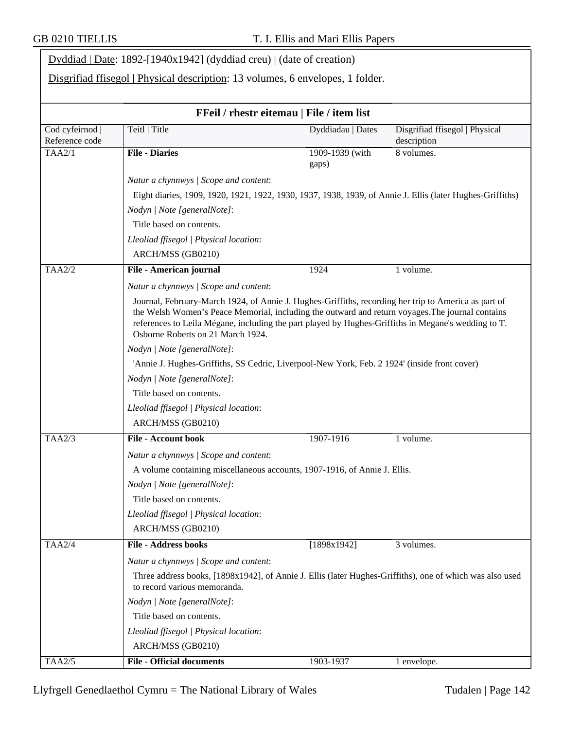|                                 | $Dyddiad   Date: 1892-[1940x1942] (dyddiad creu)   (date of creation)$                                                                                                                                                                                                                                                                               |                          |                                               |  |  |  |
|---------------------------------|------------------------------------------------------------------------------------------------------------------------------------------------------------------------------------------------------------------------------------------------------------------------------------------------------------------------------------------------------|--------------------------|-----------------------------------------------|--|--|--|
|                                 | Disgrifiad ffisegol   Physical description: 13 volumes, 6 envelopes, 1 folder.                                                                                                                                                                                                                                                                       |                          |                                               |  |  |  |
|                                 | FFeil / rhestr eitemau   File / item list                                                                                                                                                                                                                                                                                                            |                          |                                               |  |  |  |
| Cod cyfeirnod<br>Reference code | Teitl   Title                                                                                                                                                                                                                                                                                                                                        | Dyddiadau   Dates        | Disgrifiad ffisegol   Physical<br>description |  |  |  |
| TAA2/1                          | <b>File - Diaries</b>                                                                                                                                                                                                                                                                                                                                | 1909-1939 (with<br>gaps) | 8 volumes.                                    |  |  |  |
|                                 | Natur a chynnwys / Scope and content:                                                                                                                                                                                                                                                                                                                |                          |                                               |  |  |  |
|                                 | Eight diaries, 1909, 1920, 1921, 1922, 1930, 1937, 1938, 1939, of Annie J. Ellis (later Hughes-Griffiths)                                                                                                                                                                                                                                            |                          |                                               |  |  |  |
|                                 | Nodyn   Note [generalNote]:                                                                                                                                                                                                                                                                                                                          |                          |                                               |  |  |  |
|                                 | Title based on contents.                                                                                                                                                                                                                                                                                                                             |                          |                                               |  |  |  |
|                                 | Lleoliad ffisegol   Physical location:                                                                                                                                                                                                                                                                                                               |                          |                                               |  |  |  |
|                                 | ARCH/MSS (GB0210)                                                                                                                                                                                                                                                                                                                                    |                          |                                               |  |  |  |
| <b>TAA2/2</b>                   | File - American journal                                                                                                                                                                                                                                                                                                                              | 1924                     | 1 volume.                                     |  |  |  |
|                                 | Natur a chynnwys / Scope and content:                                                                                                                                                                                                                                                                                                                |                          |                                               |  |  |  |
|                                 | Journal, February-March 1924, of Annie J. Hughes-Griffiths, recording her trip to America as part of<br>the Welsh Women's Peace Memorial, including the outward and return voyages. The journal contains<br>references to Leila Mégane, including the part played by Hughes-Griffiths in Megane's wedding to T.<br>Osborne Roberts on 21 March 1924. |                          |                                               |  |  |  |
|                                 | Nodyn   Note [generalNote]:                                                                                                                                                                                                                                                                                                                          |                          |                                               |  |  |  |
|                                 | 'Annie J. Hughes-Griffiths, SS Cedric, Liverpool-New York, Feb. 2 1924' (inside front cover)                                                                                                                                                                                                                                                         |                          |                                               |  |  |  |
|                                 | Nodyn   Note [generalNote]:                                                                                                                                                                                                                                                                                                                          |                          |                                               |  |  |  |
|                                 | Title based on contents.                                                                                                                                                                                                                                                                                                                             |                          |                                               |  |  |  |
|                                 | Lleoliad ffisegol   Physical location:                                                                                                                                                                                                                                                                                                               |                          |                                               |  |  |  |
|                                 | ARCH/MSS (GB0210)                                                                                                                                                                                                                                                                                                                                    |                          |                                               |  |  |  |
| TAA2/3                          | <b>File - Account book</b>                                                                                                                                                                                                                                                                                                                           | 1907-1916                | 1 volume.                                     |  |  |  |
|                                 | Natur a chynnwys / Scope and content:                                                                                                                                                                                                                                                                                                                |                          |                                               |  |  |  |
|                                 | A volume containing miscellaneous accounts, 1907-1916, of Annie J. Ellis.                                                                                                                                                                                                                                                                            |                          |                                               |  |  |  |
|                                 | Nodyn   Note [generalNote]:                                                                                                                                                                                                                                                                                                                          |                          |                                               |  |  |  |
|                                 | Title based on contents.                                                                                                                                                                                                                                                                                                                             |                          |                                               |  |  |  |
|                                 | Lleoliad ffisegol   Physical location:                                                                                                                                                                                                                                                                                                               |                          |                                               |  |  |  |
|                                 | ARCH/MSS (GB0210)                                                                                                                                                                                                                                                                                                                                    |                          |                                               |  |  |  |
| <b>TAA2/4</b>                   | <b>File - Address books</b>                                                                                                                                                                                                                                                                                                                          | [1898x1942]              | 3 volumes.                                    |  |  |  |
|                                 | Natur a chynnwys / Scope and content:                                                                                                                                                                                                                                                                                                                |                          |                                               |  |  |  |
|                                 | Three address books, [1898x1942], of Annie J. Ellis (later Hughes-Griffiths), one of which was also used<br>to record various memoranda.                                                                                                                                                                                                             |                          |                                               |  |  |  |
|                                 | Nodyn   Note [generalNote]:                                                                                                                                                                                                                                                                                                                          |                          |                                               |  |  |  |
|                                 | Title based on contents.                                                                                                                                                                                                                                                                                                                             |                          |                                               |  |  |  |
|                                 | Lleoliad ffisegol   Physical location:                                                                                                                                                                                                                                                                                                               |                          |                                               |  |  |  |
|                                 | ARCH/MSS (GB0210)                                                                                                                                                                                                                                                                                                                                    |                          |                                               |  |  |  |
| TAA2/5                          | <b>File - Official documents</b>                                                                                                                                                                                                                                                                                                                     | 1903-1937                | 1 envelope.                                   |  |  |  |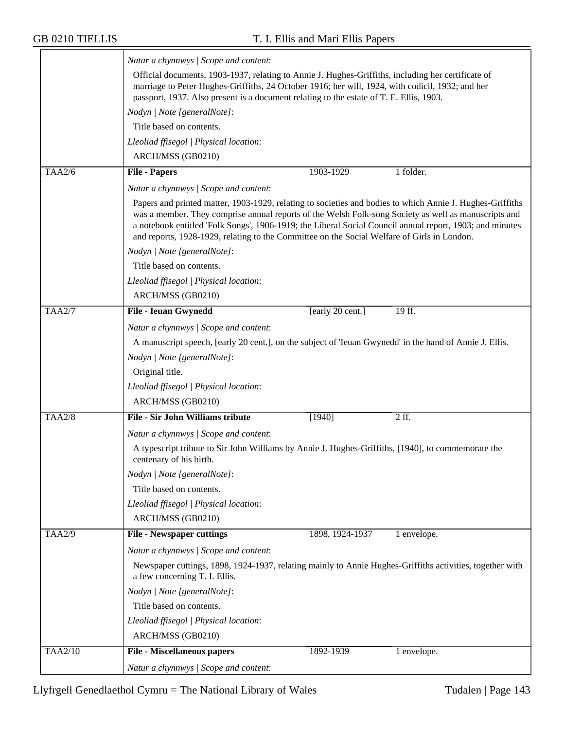|                | Natur a chynnwys / Scope and content:                                                                                                                                                                                                                                                                                                                                                                                        |                  |             |
|----------------|------------------------------------------------------------------------------------------------------------------------------------------------------------------------------------------------------------------------------------------------------------------------------------------------------------------------------------------------------------------------------------------------------------------------------|------------------|-------------|
|                | Official documents, 1903-1937, relating to Annie J. Hughes-Griffiths, including her certificate of<br>marriage to Peter Hughes-Griffiths, 24 October 1916; her will, 1924, with codicil, 1932; and her<br>passport, 1937. Also present is a document relating to the estate of T. E. Ellis, 1903.                                                                                                                            |                  |             |
|                | Nodyn   Note [generalNote]:                                                                                                                                                                                                                                                                                                                                                                                                  |                  |             |
|                | Title based on contents.                                                                                                                                                                                                                                                                                                                                                                                                     |                  |             |
|                | Lleoliad ffisegol   Physical location:                                                                                                                                                                                                                                                                                                                                                                                       |                  |             |
|                | ARCH/MSS (GB0210)                                                                                                                                                                                                                                                                                                                                                                                                            |                  |             |
| <b>TAA2/6</b>  | <b>File - Papers</b>                                                                                                                                                                                                                                                                                                                                                                                                         | 1903-1929        | 1 folder.   |
|                | Natur a chynnwys / Scope and content:                                                                                                                                                                                                                                                                                                                                                                                        |                  |             |
|                | Papers and printed matter, 1903-1929, relating to societies and bodies to which Annie J. Hughes-Griffiths<br>was a member. They comprise annual reports of the Welsh Folk-song Society as well as manuscripts and<br>a notebook entitled 'Folk Songs', 1906-1919; the Liberal Social Council annual report, 1903; and minutes<br>and reports, 1928-1929, relating to the Committee on the Social Welfare of Girls in London. |                  |             |
|                | Nodyn   Note [generalNote]:                                                                                                                                                                                                                                                                                                                                                                                                  |                  |             |
|                | Title based on contents.                                                                                                                                                                                                                                                                                                                                                                                                     |                  |             |
|                | Lleoliad ffisegol   Physical location:                                                                                                                                                                                                                                                                                                                                                                                       |                  |             |
|                | ARCH/MSS (GB0210)                                                                                                                                                                                                                                                                                                                                                                                                            |                  |             |
| TAA2/7         | <b>File - Ieuan Gwynedd</b>                                                                                                                                                                                                                                                                                                                                                                                                  | [early 20 cent.] | 19 ff.      |
|                | Natur a chynnwys / Scope and content:                                                                                                                                                                                                                                                                                                                                                                                        |                  |             |
|                | A manuscript speech, [early 20 cent.], on the subject of 'Ieuan Gwynedd' in the hand of Annie J. Ellis.                                                                                                                                                                                                                                                                                                                      |                  |             |
|                | Nodyn   Note [generalNote]:                                                                                                                                                                                                                                                                                                                                                                                                  |                  |             |
|                | Original title.                                                                                                                                                                                                                                                                                                                                                                                                              |                  |             |
|                | Lleoliad ffisegol   Physical location:                                                                                                                                                                                                                                                                                                                                                                                       |                  |             |
|                | ARCH/MSS (GB0210)                                                                                                                                                                                                                                                                                                                                                                                                            |                  |             |
| <b>TAA2/8</b>  | <b>File - Sir John Williams tribute</b>                                                                                                                                                                                                                                                                                                                                                                                      | [1940]           | 2 ff.       |
|                | Natur a chynnwys / Scope and content:                                                                                                                                                                                                                                                                                                                                                                                        |                  |             |
|                | A typescript tribute to Sir John Williams by Annie J. Hughes-Griffiths, [1940], to commemorate the<br>centenary of his birth.                                                                                                                                                                                                                                                                                                |                  |             |
|                | Nodyn   Note [generalNote]:                                                                                                                                                                                                                                                                                                                                                                                                  |                  |             |
|                | Title based on contents.                                                                                                                                                                                                                                                                                                                                                                                                     |                  |             |
|                | Lleoliad ffisegol   Physical location:                                                                                                                                                                                                                                                                                                                                                                                       |                  |             |
|                | ARCH/MSS (GB0210)                                                                                                                                                                                                                                                                                                                                                                                                            |                  |             |
| <b>TAA2/9</b>  | <b>File - Newspaper cuttings</b>                                                                                                                                                                                                                                                                                                                                                                                             | 1898, 1924-1937  | 1 envelope. |
|                | Natur a chynnwys / Scope and content:                                                                                                                                                                                                                                                                                                                                                                                        |                  |             |
|                | Newspaper cuttings, 1898, 1924-1937, relating mainly to Annie Hughes-Griffiths activities, together with<br>a few concerning T. I. Ellis.                                                                                                                                                                                                                                                                                    |                  |             |
|                | Nodyn   Note [generalNote]:                                                                                                                                                                                                                                                                                                                                                                                                  |                  |             |
|                | Title based on contents.                                                                                                                                                                                                                                                                                                                                                                                                     |                  |             |
|                | Lleoliad ffisegol   Physical location:                                                                                                                                                                                                                                                                                                                                                                                       |                  |             |
|                | ARCH/MSS (GB0210)                                                                                                                                                                                                                                                                                                                                                                                                            |                  |             |
| <b>TAA2/10</b> | <b>File - Miscellaneous papers</b>                                                                                                                                                                                                                                                                                                                                                                                           | 1892-1939        | 1 envelope. |
|                | Natur a chynnwys / Scope and content:                                                                                                                                                                                                                                                                                                                                                                                        |                  |             |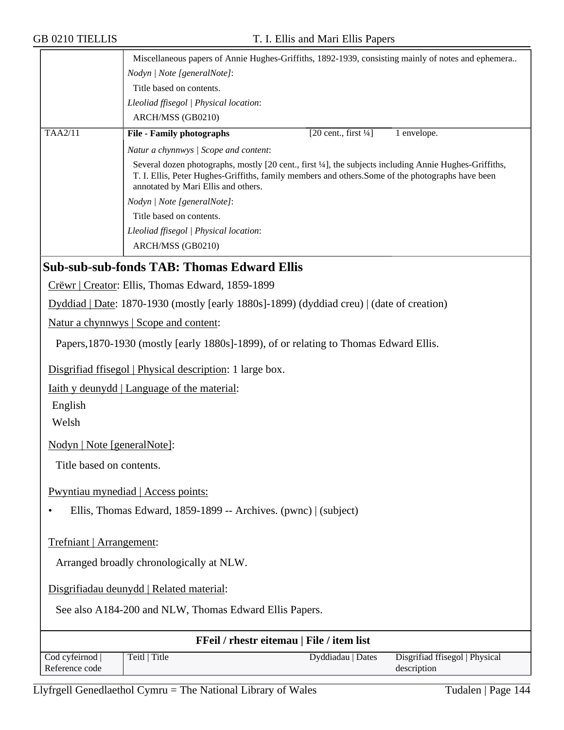|                                 | Miscellaneous papers of Annie Hughes-Griffiths, 1892-1939, consisting mainly of notes and ephemera                                                                                                                                                |
|---------------------------------|---------------------------------------------------------------------------------------------------------------------------------------------------------------------------------------------------------------------------------------------------|
|                                 | Nodyn   Note [generalNote]:                                                                                                                                                                                                                       |
|                                 | Title based on contents.                                                                                                                                                                                                                          |
|                                 | Lleoliad ffisegol   Physical location:                                                                                                                                                                                                            |
|                                 | ARCH/MSS (GB0210)                                                                                                                                                                                                                                 |
| TAA2/11                         | <b>File - Family photographs</b><br>$[20 \text{ cent.}, \text{first } \frac{1}{4}]$<br>1 envelope.                                                                                                                                                |
|                                 | Natur a chynnwys / Scope and content:                                                                                                                                                                                                             |
|                                 | Several dozen photographs, mostly [20 cent., first ¼], the subjects including Annie Hughes-Griffiths,<br>T. I. Ellis, Peter Hughes-Griffiths, family members and others. Some of the photographs have been<br>annotated by Mari Ellis and others. |
|                                 | Nodyn   Note [generalNote]:                                                                                                                                                                                                                       |
|                                 | Title based on contents.                                                                                                                                                                                                                          |
|                                 | Lleoliad ffisegol   Physical location:                                                                                                                                                                                                            |
|                                 | ARCH/MSS (GB0210)                                                                                                                                                                                                                                 |
|                                 | <b>Sub-sub-sub-fonds TAB: Thomas Edward Ellis</b>                                                                                                                                                                                                 |
|                                 |                                                                                                                                                                                                                                                   |
|                                 | Crëwr   Creator: Ellis, Thomas Edward, 1859-1899                                                                                                                                                                                                  |
|                                 | Dyddiad   Date: 1870-1930 (mostly [early 1880s]-1899) (dyddiad creu)   (date of creation)                                                                                                                                                         |
|                                 | <u>Natur a chynnwys</u>   Scope and content:                                                                                                                                                                                                      |
|                                 | Papers, 1870-1930 (mostly [early 1880s]-1899), of or relating to Thomas Edward Ellis.                                                                                                                                                             |
|                                 | Disgrifiad ffisegol   Physical description: 1 large box.                                                                                                                                                                                          |
|                                 | <u>Iaith y deunydd   Language of the material:</u>                                                                                                                                                                                                |
| English                         |                                                                                                                                                                                                                                                   |
| Welsh                           |                                                                                                                                                                                                                                                   |
|                                 |                                                                                                                                                                                                                                                   |
| Nodyn   Note [generalNote]:     |                                                                                                                                                                                                                                                   |
| Title based on contents.        |                                                                                                                                                                                                                                                   |
|                                 | Pwyntiau mynediad   Access points:                                                                                                                                                                                                                |
|                                 | Ellis, Thomas Edward, 1859-1899 -- Archives. (pwnc)   (subject)                                                                                                                                                                                   |
| Trefniant   Arrangement:        |                                                                                                                                                                                                                                                   |
|                                 |                                                                                                                                                                                                                                                   |
|                                 | Arranged broadly chronologically at NLW.                                                                                                                                                                                                          |
|                                 | Disgrifiadau deunydd   Related material:                                                                                                                                                                                                          |
|                                 | See also A184-200 and NLW, Thomas Edward Ellis Papers.                                                                                                                                                                                            |
|                                 | FFeil / rhestr eitemau   File / item list                                                                                                                                                                                                         |
| Cod cyfeirnod<br>Reference code | Disgrifiad ffisegol   Physical<br>Teitl   Title<br>Dyddiadau   Dates<br>description                                                                                                                                                               |

Llyfrgell Genedlaethol Cymru = The National Library of Wales Tudalen | Page 144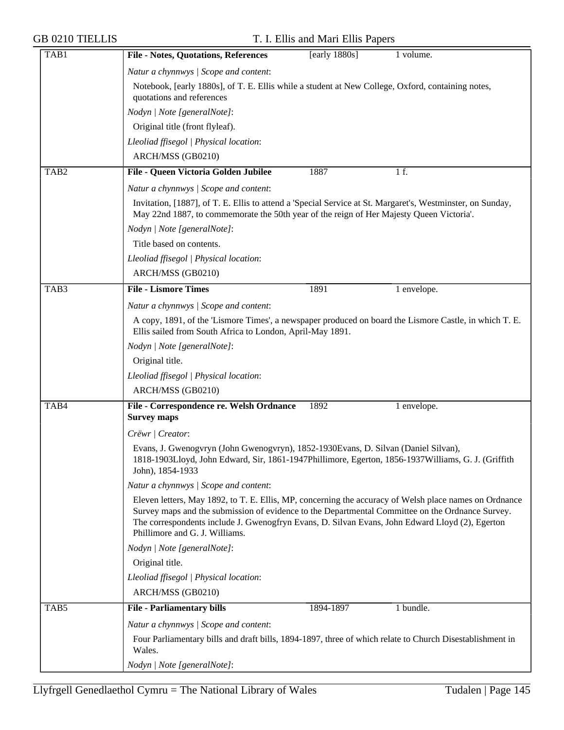| TAB1             | <b>File - Notes, Quotations, References</b>                                                                                                                                                                                                                                                                                                     | [early $1880s$ ] | 1 volume.   |  |  |
|------------------|-------------------------------------------------------------------------------------------------------------------------------------------------------------------------------------------------------------------------------------------------------------------------------------------------------------------------------------------------|------------------|-------------|--|--|
|                  | Natur a chynnwys / Scope and content:                                                                                                                                                                                                                                                                                                           |                  |             |  |  |
|                  | Notebook, [early 1880s], of T. E. Ellis while a student at New College, Oxford, containing notes,<br>quotations and references                                                                                                                                                                                                                  |                  |             |  |  |
|                  | Nodyn   Note [generalNote]:                                                                                                                                                                                                                                                                                                                     |                  |             |  |  |
|                  | Original title (front flyleaf).                                                                                                                                                                                                                                                                                                                 |                  |             |  |  |
|                  | Lleoliad ffisegol   Physical location:                                                                                                                                                                                                                                                                                                          |                  |             |  |  |
|                  | ARCH/MSS (GB0210)                                                                                                                                                                                                                                                                                                                               |                  |             |  |  |
| TAB <sub>2</sub> | File - Queen Victoria Golden Jubilee                                                                                                                                                                                                                                                                                                            | 1887             | 1 f.        |  |  |
|                  | Natur a chynnwys / Scope and content:                                                                                                                                                                                                                                                                                                           |                  |             |  |  |
|                  | Invitation, [1887], of T. E. Ellis to attend a 'Special Service at St. Margaret's, Westminster, on Sunday,<br>May 22nd 1887, to commemorate the 50th year of the reign of Her Majesty Queen Victoria'.                                                                                                                                          |                  |             |  |  |
|                  | Nodyn   Note [generalNote]:                                                                                                                                                                                                                                                                                                                     |                  |             |  |  |
|                  | Title based on contents.                                                                                                                                                                                                                                                                                                                        |                  |             |  |  |
|                  | Lleoliad ffisegol   Physical location:                                                                                                                                                                                                                                                                                                          |                  |             |  |  |
|                  | ARCH/MSS (GB0210)                                                                                                                                                                                                                                                                                                                               |                  |             |  |  |
| TAB3             | <b>File - Lismore Times</b>                                                                                                                                                                                                                                                                                                                     | 1891             | 1 envelope. |  |  |
|                  | Natur a chynnwys / Scope and content:                                                                                                                                                                                                                                                                                                           |                  |             |  |  |
|                  | A copy, 1891, of the 'Lismore Times', a newspaper produced on board the Lismore Castle, in which T. E.                                                                                                                                                                                                                                          |                  |             |  |  |
|                  | Ellis sailed from South Africa to London, April-May 1891.                                                                                                                                                                                                                                                                                       |                  |             |  |  |
|                  | Nodyn   Note [generalNote]:                                                                                                                                                                                                                                                                                                                     |                  |             |  |  |
|                  | Original title.                                                                                                                                                                                                                                                                                                                                 |                  |             |  |  |
|                  | Lleoliad ffisegol   Physical location:                                                                                                                                                                                                                                                                                                          |                  |             |  |  |
|                  | ARCH/MSS (GB0210)                                                                                                                                                                                                                                                                                                                               |                  |             |  |  |
| TAB4             | File - Correspondence re. Welsh Ordnance                                                                                                                                                                                                                                                                                                        | 1892             | 1 envelope. |  |  |
|                  | <b>Survey maps</b>                                                                                                                                                                                                                                                                                                                              |                  |             |  |  |
|                  | Crëwr   Creator:                                                                                                                                                                                                                                                                                                                                |                  |             |  |  |
|                  | Evans, J. Gwenogvryn (John Gwenogvryn), 1852-1930 Evans, D. Silvan (Daniel Silvan),<br>1818-1903Lloyd, John Edward, Sir, 1861-1947Phillimore, Egerton, 1856-1937Williams, G. J. (Griffith<br>John), 1854-1933                                                                                                                                   |                  |             |  |  |
|                  | Natur a chynnwys / Scope and content:                                                                                                                                                                                                                                                                                                           |                  |             |  |  |
|                  | Eleven letters, May 1892, to T. E. Ellis, MP, concerning the accuracy of Welsh place names on Ordnance<br>Survey maps and the submission of evidence to the Departmental Committee on the Ordnance Survey.<br>The correspondents include J. Gwenogfryn Evans, D. Silvan Evans, John Edward Lloyd (2), Egerton<br>Phillimore and G. J. Williams. |                  |             |  |  |
|                  | Nodyn   Note [generalNote]:                                                                                                                                                                                                                                                                                                                     |                  |             |  |  |
|                  | Original title.                                                                                                                                                                                                                                                                                                                                 |                  |             |  |  |
|                  | Lleoliad ffisegol   Physical location:                                                                                                                                                                                                                                                                                                          |                  |             |  |  |
|                  | ARCH/MSS (GB0210)                                                                                                                                                                                                                                                                                                                               |                  |             |  |  |
| TAB5             | <b>File - Parliamentary bills</b>                                                                                                                                                                                                                                                                                                               | 1894-1897        | 1 bundle.   |  |  |
|                  | Natur a chynnwys / Scope and content:                                                                                                                                                                                                                                                                                                           |                  |             |  |  |
|                  | Four Parliamentary bills and draft bills, 1894-1897, three of which relate to Church Disestablishment in<br>Wales.                                                                                                                                                                                                                              |                  |             |  |  |
|                  | Nodyn   Note [generalNote]:                                                                                                                                                                                                                                                                                                                     |                  |             |  |  |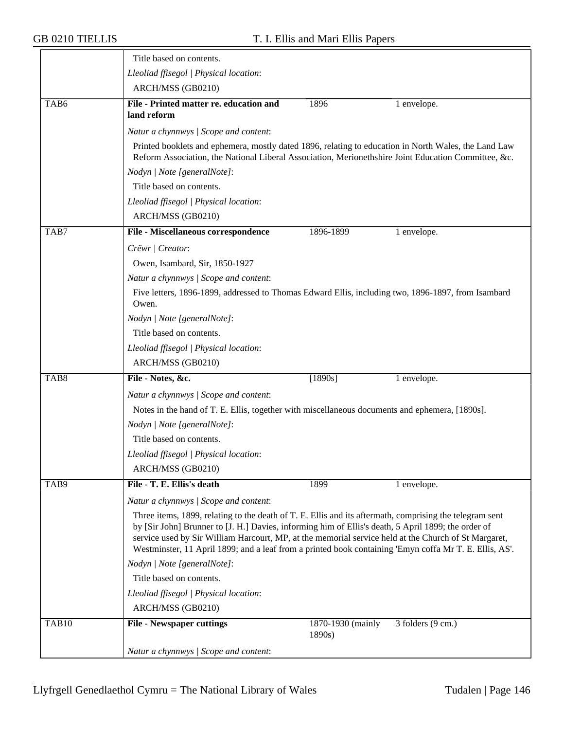|                  | Title based on contents.                                                                                                                                                                                                                                                                                                                                                                                                         |                             |                   |
|------------------|----------------------------------------------------------------------------------------------------------------------------------------------------------------------------------------------------------------------------------------------------------------------------------------------------------------------------------------------------------------------------------------------------------------------------------|-----------------------------|-------------------|
|                  | Lleoliad ffisegol   Physical location:                                                                                                                                                                                                                                                                                                                                                                                           |                             |                   |
|                  | ARCH/MSS (GB0210)                                                                                                                                                                                                                                                                                                                                                                                                                |                             |                   |
| TAB <sub>6</sub> | File - Printed matter re. education and<br>land reform                                                                                                                                                                                                                                                                                                                                                                           | 1896                        | 1 envelope.       |
|                  | Natur a chynnwys / Scope and content:                                                                                                                                                                                                                                                                                                                                                                                            |                             |                   |
|                  | Printed booklets and ephemera, mostly dated 1896, relating to education in North Wales, the Land Law<br>Reform Association, the National Liberal Association, Merionethshire Joint Education Committee, &c.                                                                                                                                                                                                                      |                             |                   |
|                  | Nodyn   Note [generalNote]:                                                                                                                                                                                                                                                                                                                                                                                                      |                             |                   |
|                  | Title based on contents.                                                                                                                                                                                                                                                                                                                                                                                                         |                             |                   |
|                  | Lleoliad ffisegol   Physical location:                                                                                                                                                                                                                                                                                                                                                                                           |                             |                   |
|                  | ARCH/MSS (GB0210)                                                                                                                                                                                                                                                                                                                                                                                                                |                             |                   |
| TAB7             | File - Miscellaneous correspondence                                                                                                                                                                                                                                                                                                                                                                                              | 1896-1899                   | 1 envelope.       |
|                  | Crëwr   Creator:                                                                                                                                                                                                                                                                                                                                                                                                                 |                             |                   |
|                  | Owen, Isambard, Sir, 1850-1927                                                                                                                                                                                                                                                                                                                                                                                                   |                             |                   |
|                  | Natur a chynnwys / Scope and content:                                                                                                                                                                                                                                                                                                                                                                                            |                             |                   |
|                  | Five letters, 1896-1899, addressed to Thomas Edward Ellis, including two, 1896-1897, from Isambard<br>Owen.                                                                                                                                                                                                                                                                                                                      |                             |                   |
|                  | Nodyn   Note [generalNote]:                                                                                                                                                                                                                                                                                                                                                                                                      |                             |                   |
|                  | Title based on contents.                                                                                                                                                                                                                                                                                                                                                                                                         |                             |                   |
|                  | Lleoliad ffisegol   Physical location:                                                                                                                                                                                                                                                                                                                                                                                           |                             |                   |
|                  | ARCH/MSS (GB0210)                                                                                                                                                                                                                                                                                                                                                                                                                |                             |                   |
| TAB <sub>8</sub> | File - Notes, &c.                                                                                                                                                                                                                                                                                                                                                                                                                | $[1890s]$                   | 1 envelope.       |
|                  | Natur a chynnwys / Scope and content:                                                                                                                                                                                                                                                                                                                                                                                            |                             |                   |
|                  | Notes in the hand of T. E. Ellis, together with miscellaneous documents and ephemera, [1890s].                                                                                                                                                                                                                                                                                                                                   |                             |                   |
|                  | Nodyn   Note [generalNote]:                                                                                                                                                                                                                                                                                                                                                                                                      |                             |                   |
|                  | Title based on contents.                                                                                                                                                                                                                                                                                                                                                                                                         |                             |                   |
|                  | Lleoliad ffisegol   Physical location:                                                                                                                                                                                                                                                                                                                                                                                           |                             |                   |
|                  | ARCH/MSS (GB0210)                                                                                                                                                                                                                                                                                                                                                                                                                |                             |                   |
| TAB9             | File - T. E. Ellis's death                                                                                                                                                                                                                                                                                                                                                                                                       | 1899                        | 1 envelope.       |
|                  | Natur a chynnwys / Scope and content:                                                                                                                                                                                                                                                                                                                                                                                            |                             |                   |
|                  | Three items, 1899, relating to the death of T. E. Ellis and its aftermath, comprising the telegram sent<br>by [Sir John] Brunner to [J. H.] Davies, informing him of Ellis's death, 5 April 1899; the order of<br>service used by Sir William Harcourt, MP, at the memorial service held at the Church of St Margaret,<br>Westminster, 11 April 1899; and a leaf from a printed book containing 'Emyn coffa Mr T. E. Ellis, AS'. |                             |                   |
|                  | Nodyn   Note [generalNote]:                                                                                                                                                                                                                                                                                                                                                                                                      |                             |                   |
|                  | Title based on contents.                                                                                                                                                                                                                                                                                                                                                                                                         |                             |                   |
|                  | Lleoliad ffisegol   Physical location:                                                                                                                                                                                                                                                                                                                                                                                           |                             |                   |
|                  | ARCH/MSS (GB0210)                                                                                                                                                                                                                                                                                                                                                                                                                |                             |                   |
| TAB10            | <b>File - Newspaper cuttings</b>                                                                                                                                                                                                                                                                                                                                                                                                 | 1870-1930 (mainly<br>1890s) | 3 folders (9 cm.) |
|                  | Natur a chynnwys / Scope and content:                                                                                                                                                                                                                                                                                                                                                                                            |                             |                   |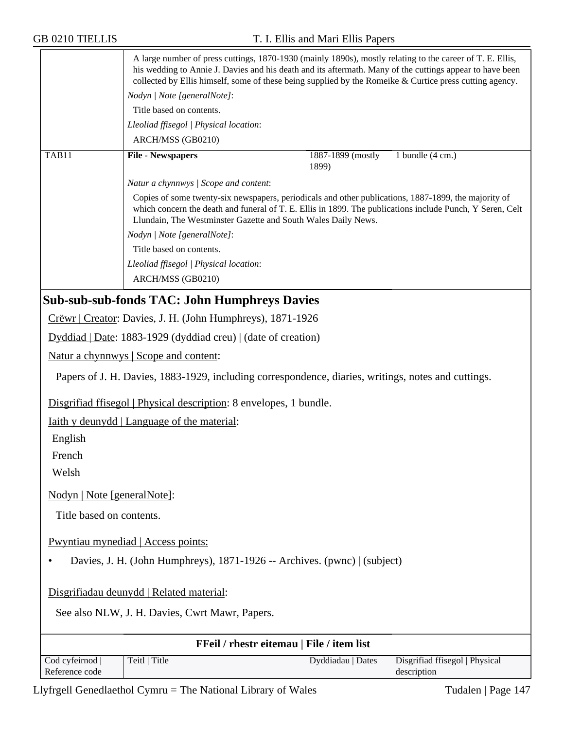| <b>GB 0210 TIELLIS</b>      | T. I. Ellis and Mari Ellis Papers                                                                                                                                                                                                                                                                                                |
|-----------------------------|----------------------------------------------------------------------------------------------------------------------------------------------------------------------------------------------------------------------------------------------------------------------------------------------------------------------------------|
|                             | A large number of press cuttings, 1870-1930 (mainly 1890s), mostly relating to the career of T. E. Ellis,<br>his wedding to Annie J. Davies and his death and its aftermath. Many of the cuttings appear to have been<br>collected by Ellis himself, some of these being supplied by the Romeike & Curtice press cutting agency. |
|                             | Nodyn   Note [generalNote]:                                                                                                                                                                                                                                                                                                      |
|                             | Title based on contents.                                                                                                                                                                                                                                                                                                         |
|                             | Lleoliad ffisegol   Physical location:                                                                                                                                                                                                                                                                                           |
|                             | ARCH/MSS (GB0210)                                                                                                                                                                                                                                                                                                                |
| TAB11                       | <b>File - Newspapers</b><br>1887-1899 (mostly<br>1 bundle $(4 \text{ cm.})$<br>1899)                                                                                                                                                                                                                                             |
|                             | Natur a chynnwys / Scope and content:                                                                                                                                                                                                                                                                                            |
|                             | Copies of some twenty-six newspapers, periodicals and other publications, 1887-1899, the majority of<br>which concern the death and funeral of T. E. Ellis in 1899. The publications include Punch, Y Seren, Celt<br>Llundain, The Westminster Gazette and South Wales Daily News.                                               |
|                             | Nodyn   Note [generalNote]:                                                                                                                                                                                                                                                                                                      |
|                             | Title based on contents.                                                                                                                                                                                                                                                                                                         |
|                             | Lleoliad ffisegol   Physical location:                                                                                                                                                                                                                                                                                           |
|                             | ARCH/MSS (GB0210)                                                                                                                                                                                                                                                                                                                |
|                             | <b>Sub-sub-sub-fonds TAC: John Humphreys Davies</b>                                                                                                                                                                                                                                                                              |
|                             | Crëwr   Creator: Davies, J. H. (John Humphreys), 1871-1926                                                                                                                                                                                                                                                                       |
|                             | Dyddiad   Date: 1883-1929 (dyddiad creu)   (date of creation)                                                                                                                                                                                                                                                                    |
|                             | Natur a chynnwys   Scope and content:                                                                                                                                                                                                                                                                                            |
|                             | Papers of J. H. Davies, 1883-1929, including correspondence, diaries, writings, notes and cuttings.                                                                                                                                                                                                                              |
|                             | Disgrifiad ffisegol   Physical description: 8 envelopes, 1 bundle.                                                                                                                                                                                                                                                               |
|                             | Iaith y deunydd   Language of the material:                                                                                                                                                                                                                                                                                      |
| English                     |                                                                                                                                                                                                                                                                                                                                  |
| French                      |                                                                                                                                                                                                                                                                                                                                  |
| Welsh                       |                                                                                                                                                                                                                                                                                                                                  |
| Nodyn   Note [generalNote]: |                                                                                                                                                                                                                                                                                                                                  |
| Title based on contents.    |                                                                                                                                                                                                                                                                                                                                  |
|                             | Pwyntiau mynediad   Access points:                                                                                                                                                                                                                                                                                               |
|                             | Davies, J. H. (John Humphreys), 1871-1926 -- Archives. (pwnc)   (subject)                                                                                                                                                                                                                                                        |
|                             | Disgrifiadau deunydd   Related material:                                                                                                                                                                                                                                                                                         |
|                             | See also NLW, J. H. Davies, Cwrt Mawr, Papers.                                                                                                                                                                                                                                                                                   |
|                             | FFeil / rhestr eitemau   File / item list                                                                                                                                                                                                                                                                                        |
| Cod cyfeirnod               | Teitl   Title<br>Disgrifiad ffisegol   Physical<br>Dyddiadau   Dates                                                                                                                                                                                                                                                             |
| Reference code              | description                                                                                                                                                                                                                                                                                                                      |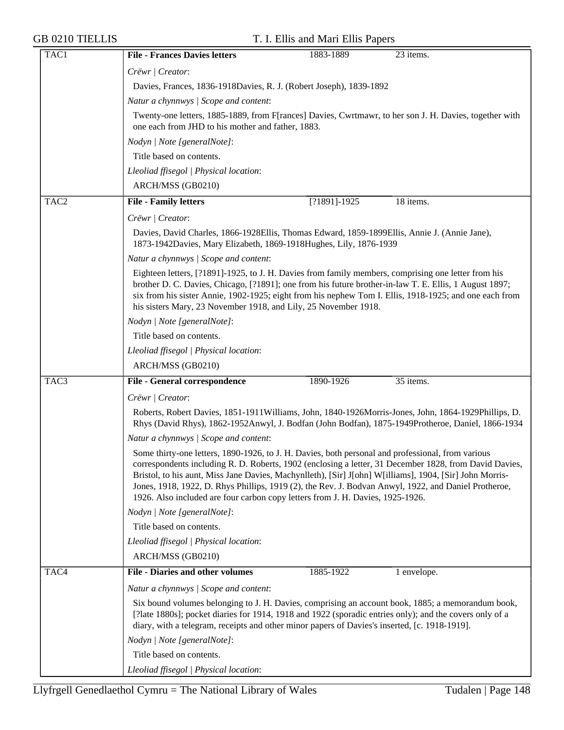| TAC1             | <b>File - Frances Davies letters</b><br>1883-1889<br>23 items.                                                                                                                                                                                                                                                                                                                                                                                                                                                   |
|------------------|------------------------------------------------------------------------------------------------------------------------------------------------------------------------------------------------------------------------------------------------------------------------------------------------------------------------------------------------------------------------------------------------------------------------------------------------------------------------------------------------------------------|
|                  | Crëwr   Creator:                                                                                                                                                                                                                                                                                                                                                                                                                                                                                                 |
|                  | Davies, Frances, 1836-1918Davies, R. J. (Robert Joseph), 1839-1892                                                                                                                                                                                                                                                                                                                                                                                                                                               |
|                  | Natur a chynnwys / Scope and content:                                                                                                                                                                                                                                                                                                                                                                                                                                                                            |
|                  | Twenty-one letters, 1885-1889, from F[rances] Davies, Cwrtmawr, to her son J. H. Davies, together with<br>one each from JHD to his mother and father, 1883.                                                                                                                                                                                                                                                                                                                                                      |
|                  | Nodyn   Note [generalNote]:                                                                                                                                                                                                                                                                                                                                                                                                                                                                                      |
|                  | Title based on contents.                                                                                                                                                                                                                                                                                                                                                                                                                                                                                         |
|                  | Lleoliad ffisegol   Physical location:                                                                                                                                                                                                                                                                                                                                                                                                                                                                           |
|                  | ARCH/MSS (GB0210)                                                                                                                                                                                                                                                                                                                                                                                                                                                                                                |
| TAC <sub>2</sub> | <b>File - Family letters</b><br>$\overline{[?1891]}.1925$<br>18 items.                                                                                                                                                                                                                                                                                                                                                                                                                                           |
|                  | Crëwr   Creator:                                                                                                                                                                                                                                                                                                                                                                                                                                                                                                 |
|                  | Davies, David Charles, 1866-1928 Ellis, Thomas Edward, 1859-1899 Ellis, Annie J. (Annie Jane),<br>1873-1942Davies, Mary Elizabeth, 1869-1918Hughes, Lily, 1876-1939                                                                                                                                                                                                                                                                                                                                              |
|                  | Natur a chynnwys / Scope and content:                                                                                                                                                                                                                                                                                                                                                                                                                                                                            |
|                  | Eighteen letters, [?1891]-1925, to J. H. Davies from family members, comprising one letter from his<br>brother D. C. Davies, Chicago, [?1891]; one from his future brother-in-law T. E. Ellis, 1 August 1897;<br>six from his sister Annie, 1902-1925; eight from his nephew Tom I. Ellis, 1918-1925; and one each from<br>his sisters Mary, 23 November 1918, and Lily, 25 November 1918.                                                                                                                       |
|                  | Nodyn   Note [generalNote]:                                                                                                                                                                                                                                                                                                                                                                                                                                                                                      |
|                  | Title based on contents.                                                                                                                                                                                                                                                                                                                                                                                                                                                                                         |
|                  | Lleoliad ffisegol   Physical location:                                                                                                                                                                                                                                                                                                                                                                                                                                                                           |
|                  | ARCH/MSS (GB0210)                                                                                                                                                                                                                                                                                                                                                                                                                                                                                                |
| TAC <sub>3</sub> | 35 items.<br><b>File - General correspondence</b><br>1890-1926                                                                                                                                                                                                                                                                                                                                                                                                                                                   |
|                  | Crëwr   Creator:                                                                                                                                                                                                                                                                                                                                                                                                                                                                                                 |
|                  | Roberts, Robert Davies, 1851-1911 Williams, John, 1840-1926 Morris-Jones, John, 1864-1929 Phillips, D.<br>Rhys (David Rhys), 1862-1952Anwyl, J. Bodfan (John Bodfan), 1875-1949Protheroe, Daniel, 1866-1934                                                                                                                                                                                                                                                                                                      |
|                  | Natur a chynnwys / Scope and content:                                                                                                                                                                                                                                                                                                                                                                                                                                                                            |
|                  | Some thirty-one letters, 1890-1926, to J. H. Davies, both personal and professional, from various<br>correspondents including R. D. Roberts, 1902 (enclosing a letter, 31 December 1828, from David Davies,<br>Bristol, to his aunt, Miss Jane Davies, Machynlleth), [Sir] J[ohn] W[illiams], 1904, [Sir] John Morris-<br>Jones, 1918, 1922, D. Rhys Phillips, 1919 (2), the Rev. J. Bodvan Anwyl, 1922, and Daniel Protheroe,<br>1926. Also included are four carbon copy letters from J. H. Davies, 1925-1926. |
|                  | Nodyn   Note [generalNote]:                                                                                                                                                                                                                                                                                                                                                                                                                                                                                      |
|                  | Title based on contents.                                                                                                                                                                                                                                                                                                                                                                                                                                                                                         |
|                  | Lleoliad ffisegol   Physical location:                                                                                                                                                                                                                                                                                                                                                                                                                                                                           |
|                  | ARCH/MSS (GB0210)                                                                                                                                                                                                                                                                                                                                                                                                                                                                                                |
| TAC4             | <b>File - Diaries and other volumes</b><br>1885-1922<br>1 envelope.                                                                                                                                                                                                                                                                                                                                                                                                                                              |
|                  | Natur a chynnwys / Scope and content:                                                                                                                                                                                                                                                                                                                                                                                                                                                                            |
|                  | Six bound volumes belonging to J. H. Davies, comprising an account book, 1885; a memorandum book,<br>[?late 1880s]; pocket diaries for 1914, 1918 and 1922 (sporadic entries only); and the covers only of a<br>diary, with a telegram, receipts and other minor papers of Davies's inserted, [c. 1918-1919].                                                                                                                                                                                                    |
|                  | Nodyn   Note [generalNote]:                                                                                                                                                                                                                                                                                                                                                                                                                                                                                      |
|                  | Title based on contents.                                                                                                                                                                                                                                                                                                                                                                                                                                                                                         |
|                  | Lleoliad ffisegol   Physical location:                                                                                                                                                                                                                                                                                                                                                                                                                                                                           |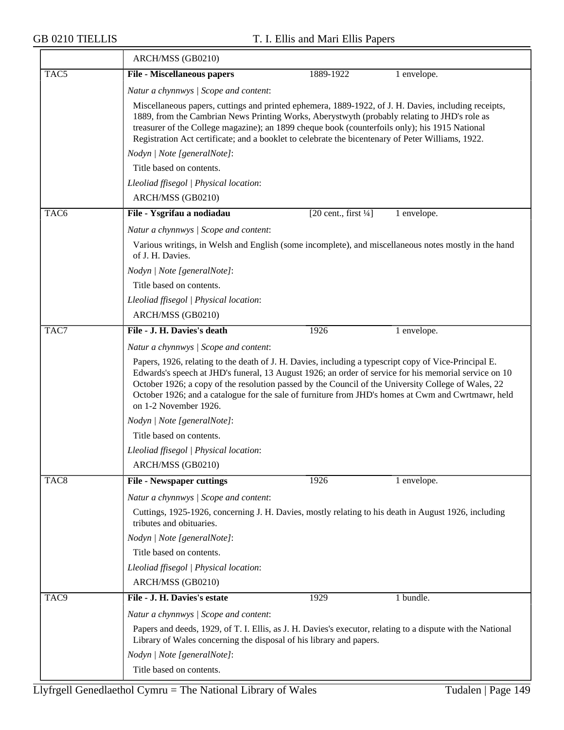≂

|                  | ARCH/MSS (GB0210)                                                                                                                                                                                                                                                                                                                                                                                                                                    |                                                 |             |
|------------------|------------------------------------------------------------------------------------------------------------------------------------------------------------------------------------------------------------------------------------------------------------------------------------------------------------------------------------------------------------------------------------------------------------------------------------------------------|-------------------------------------------------|-------------|
| TAC <sub>5</sub> | <b>File - Miscellaneous papers</b>                                                                                                                                                                                                                                                                                                                                                                                                                   | 1889-1922                                       | 1 envelope. |
|                  | Natur a chynnwys / Scope and content:                                                                                                                                                                                                                                                                                                                                                                                                                |                                                 |             |
|                  | Miscellaneous papers, cuttings and printed ephemera, 1889-1922, of J. H. Davies, including receipts,<br>1889, from the Cambrian News Printing Works, Aberystwyth (probably relating to JHD's role as<br>treasurer of the College magazine); an 1899 cheque book (counterfoils only); his 1915 National<br>Registration Act certificate; and a booklet to celebrate the bicentenary of Peter Williams, 1922.                                          |                                                 |             |
|                  | Nodyn   Note [generalNote]:                                                                                                                                                                                                                                                                                                                                                                                                                          |                                                 |             |
|                  | Title based on contents.                                                                                                                                                                                                                                                                                                                                                                                                                             |                                                 |             |
|                  | Lleoliad ffisegol   Physical location:                                                                                                                                                                                                                                                                                                                                                                                                               |                                                 |             |
|                  | ARCH/MSS (GB0210)                                                                                                                                                                                                                                                                                                                                                                                                                                    |                                                 |             |
| TAC <sub>6</sub> | File - Ysgrifau a nodiadau                                                                                                                                                                                                                                                                                                                                                                                                                           | $[20 \text{ cent.}, \text{first } \frac{1}{4}]$ | 1 envelope. |
|                  | Natur a chynnwys / Scope and content:                                                                                                                                                                                                                                                                                                                                                                                                                |                                                 |             |
|                  | Various writings, in Welsh and English (some incomplete), and miscellaneous notes mostly in the hand<br>of J. H. Davies.                                                                                                                                                                                                                                                                                                                             |                                                 |             |
|                  | Nodyn   Note [generalNote]:                                                                                                                                                                                                                                                                                                                                                                                                                          |                                                 |             |
|                  | Title based on contents.                                                                                                                                                                                                                                                                                                                                                                                                                             |                                                 |             |
|                  | Lleoliad ffisegol   Physical location:                                                                                                                                                                                                                                                                                                                                                                                                               |                                                 |             |
|                  | ARCH/MSS (GB0210)                                                                                                                                                                                                                                                                                                                                                                                                                                    |                                                 |             |
| TAC7             | File - J. H. Davies's death                                                                                                                                                                                                                                                                                                                                                                                                                          | 1926                                            | 1 envelope. |
|                  | Natur a chynnwys / Scope and content:                                                                                                                                                                                                                                                                                                                                                                                                                |                                                 |             |
|                  | Papers, 1926, relating to the death of J. H. Davies, including a typescript copy of Vice-Principal E.<br>Edwards's speech at JHD's funeral, 13 August 1926; an order of service for his memorial service on 10<br>October 1926; a copy of the resolution passed by the Council of the University College of Wales, 22<br>October 1926; and a catalogue for the sale of furniture from JHD's homes at Cwm and Cwrtmawr, held<br>on 1-2 November 1926. |                                                 |             |
|                  | Nodyn   Note [generalNote]:                                                                                                                                                                                                                                                                                                                                                                                                                          |                                                 |             |
|                  | Title based on contents.                                                                                                                                                                                                                                                                                                                                                                                                                             |                                                 |             |
|                  | Lleoliad ffisegol   Physical location:                                                                                                                                                                                                                                                                                                                                                                                                               |                                                 |             |
|                  | ARCH/MSS (GB0210)                                                                                                                                                                                                                                                                                                                                                                                                                                    |                                                 |             |
| TAC <sub>8</sub> | <b>File - Newspaper cuttings</b>                                                                                                                                                                                                                                                                                                                                                                                                                     | 1926                                            | 1 envelope. |
|                  | Natur a chynnwys / Scope and content:                                                                                                                                                                                                                                                                                                                                                                                                                |                                                 |             |
|                  | Cuttings, 1925-1926, concerning J. H. Davies, mostly relating to his death in August 1926, including<br>tributes and obituaries.                                                                                                                                                                                                                                                                                                                     |                                                 |             |
|                  | Nodyn   Note [generalNote]:                                                                                                                                                                                                                                                                                                                                                                                                                          |                                                 |             |
|                  | Title based on contents.                                                                                                                                                                                                                                                                                                                                                                                                                             |                                                 |             |
|                  | Lleoliad ffisegol   Physical location:                                                                                                                                                                                                                                                                                                                                                                                                               |                                                 |             |
|                  | ARCH/MSS (GB0210)                                                                                                                                                                                                                                                                                                                                                                                                                                    |                                                 |             |
| TAC <sub>9</sub> | File - J. H. Davies's estate                                                                                                                                                                                                                                                                                                                                                                                                                         | 1929                                            | 1 bundle.   |
|                  | Natur a chynnwys / Scope and content:                                                                                                                                                                                                                                                                                                                                                                                                                |                                                 |             |
|                  | Papers and deeds, 1929, of T. I. Ellis, as J. H. Davies's executor, relating to a dispute with the National<br>Library of Wales concerning the disposal of his library and papers.                                                                                                                                                                                                                                                                   |                                                 |             |
|                  | Nodyn   Note [generalNote]:                                                                                                                                                                                                                                                                                                                                                                                                                          |                                                 |             |
|                  | Title based on contents.                                                                                                                                                                                                                                                                                                                                                                                                                             |                                                 |             |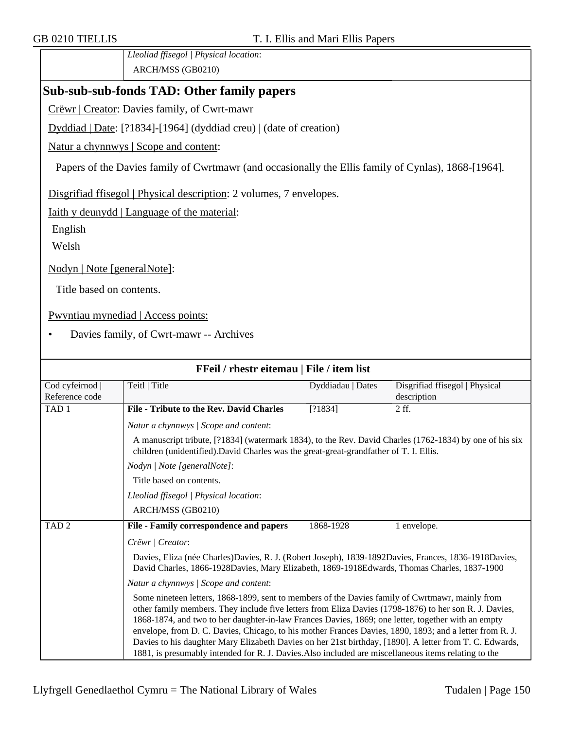*Lleoliad ffisegol | Physical location*: ARCH/MSS (GB0210)

## **Sub-sub-sub-fonds TAD: Other family papers**

Crëwr | Creator: Davies family, of Cwrt-mawr

Dyddiad | Date: [?1834]-[1964] (dyddiad creu) | (date of creation)

Natur a chynnwys | Scope and content:

Papers of the Davies family of Cwrtmawr (and occasionally the Ellis family of Cynlas), 1868-[1964].

Disgrifiad ffisegol | Physical description: 2 volumes, 7 envelopes.

Iaith y deunydd | Language of the material:

English

Welsh

Nodyn | Note [generalNote]:

Title based on contents.

Pwyntiau mynediad | Access points:

• Davies family, of Cwrt-mawr -- Archives

| FFeil / rhestr eitemau   File / item list |                                                                                                                                                                                                                                                                                                                                                                                                                                                                                                                                                                                                                                               |                   |                                               |
|-------------------------------------------|-----------------------------------------------------------------------------------------------------------------------------------------------------------------------------------------------------------------------------------------------------------------------------------------------------------------------------------------------------------------------------------------------------------------------------------------------------------------------------------------------------------------------------------------------------------------------------------------------------------------------------------------------|-------------------|-----------------------------------------------|
| Cod cyfeirnod<br>Reference code           | Teitl   Title                                                                                                                                                                                                                                                                                                                                                                                                                                                                                                                                                                                                                                 | Dyddiadau   Dates | Disgrifiad ffisegol   Physical<br>description |
| TAD <sub>1</sub>                          | File - Tribute to the Rev. David Charles                                                                                                                                                                                                                                                                                                                                                                                                                                                                                                                                                                                                      | [?1834]           | 2 ff.                                         |
|                                           | Natur a chynnwys / Scope and content:                                                                                                                                                                                                                                                                                                                                                                                                                                                                                                                                                                                                         |                   |                                               |
|                                           | A manuscript tribute, [?1834] (watermark 1834), to the Rev. David Charles (1762-1834) by one of his six<br>children (unidentified). David Charles was the great-great-grandfather of T. I. Ellis.                                                                                                                                                                                                                                                                                                                                                                                                                                             |                   |                                               |
|                                           | Nodyn   Note [generalNote]:                                                                                                                                                                                                                                                                                                                                                                                                                                                                                                                                                                                                                   |                   |                                               |
|                                           | Title based on contents.                                                                                                                                                                                                                                                                                                                                                                                                                                                                                                                                                                                                                      |                   |                                               |
|                                           | Lleoliad ffisegol   Physical location:                                                                                                                                                                                                                                                                                                                                                                                                                                                                                                                                                                                                        |                   |                                               |
|                                           | ARCH/MSS (GB0210)                                                                                                                                                                                                                                                                                                                                                                                                                                                                                                                                                                                                                             |                   |                                               |
| TAD <sub>2</sub>                          | File - Family correspondence and papers                                                                                                                                                                                                                                                                                                                                                                                                                                                                                                                                                                                                       | 1868-1928         | 1 envelope.                                   |
|                                           | Crëwr   Creator:                                                                                                                                                                                                                                                                                                                                                                                                                                                                                                                                                                                                                              |                   |                                               |
|                                           | Davies, Eliza (née Charles)Davies, R. J. (Robert Joseph), 1839-1892Davies, Frances, 1836-1918Davies,<br>David Charles, 1866-1928Davies, Mary Elizabeth, 1869-1918Edwards, Thomas Charles, 1837-1900                                                                                                                                                                                                                                                                                                                                                                                                                                           |                   |                                               |
|                                           | Natur a chynnwys / Scope and content:                                                                                                                                                                                                                                                                                                                                                                                                                                                                                                                                                                                                         |                   |                                               |
|                                           | Some nineteen letters, 1868-1899, sent to members of the Davies family of Cwrtmawr, mainly from<br>other family members. They include five letters from Eliza Davies (1798-1876) to her son R. J. Davies,<br>1868-1874, and two to her daughter-in-law Frances Davies, 1869; one letter, together with an empty<br>envelope, from D. C. Davies, Chicago, to his mother Frances Davies, 1890, 1893; and a letter from R. J.<br>Davies to his daughter Mary Elizabeth Davies on her 21st birthday, [1890]. A letter from T. C. Edwards,<br>1881, is presumably intended for R. J. Davies. Also included are miscellaneous items relating to the |                   |                                               |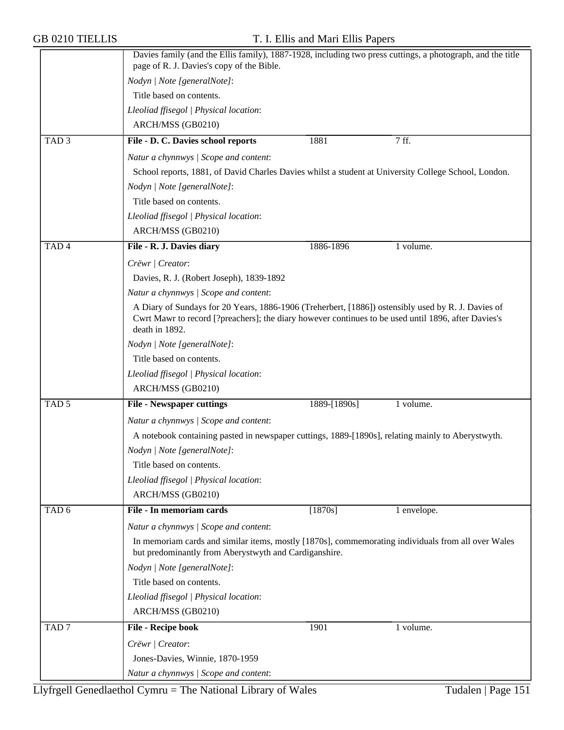|                  | Davies family (and the Ellis family), 1887-1928, including two press cuttings, a photograph, and the title<br>page of R. J. Davies's copy of the Bible.     |              |             |  |  |
|------------------|-------------------------------------------------------------------------------------------------------------------------------------------------------------|--------------|-------------|--|--|
|                  | Nodyn   Note [generalNote]:                                                                                                                                 |              |             |  |  |
|                  | Title based on contents.                                                                                                                                    |              |             |  |  |
|                  |                                                                                                                                                             |              |             |  |  |
|                  | Lleoliad ffisegol   Physical location:                                                                                                                      |              |             |  |  |
|                  | ARCH/MSS (GB0210)                                                                                                                                           |              |             |  |  |
| TAD <sub>3</sub> | File - D. C. Davies school reports                                                                                                                          | 1881         | 7 ff.       |  |  |
|                  | Natur a chynnwys / Scope and content:                                                                                                                       |              |             |  |  |
|                  | School reports, 1881, of David Charles Davies whilst a student at University College School, London.                                                        |              |             |  |  |
|                  | Nodyn   Note [generalNote]:                                                                                                                                 |              |             |  |  |
|                  | Title based on contents.                                                                                                                                    |              |             |  |  |
|                  | Lleoliad ffisegol   Physical location:                                                                                                                      |              |             |  |  |
|                  | ARCH/MSS (GB0210)                                                                                                                                           |              |             |  |  |
| TAD <sub>4</sub> | File - R. J. Davies diary                                                                                                                                   | 1886-1896    | 1 volume.   |  |  |
|                  | Crëwr   Creator:                                                                                                                                            |              |             |  |  |
|                  | Davies, R. J. (Robert Joseph), 1839-1892                                                                                                                    |              |             |  |  |
|                  | Natur a chynnwys / Scope and content:                                                                                                                       |              |             |  |  |
|                  | A Diary of Sundays for 20 Years, 1886-1906 (Treherbert, [1886]) ostensibly used by R. J. Davies of                                                          |              |             |  |  |
|                  | Cwrt Mawr to record [?preachers]; the diary however continues to be used until 1896, after Davies's<br>death in 1892.                                       |              |             |  |  |
|                  | Nodyn   Note [generalNote]:                                                                                                                                 |              |             |  |  |
|                  | Title based on contents.                                                                                                                                    |              |             |  |  |
|                  | Lleoliad ffisegol   Physical location:                                                                                                                      |              |             |  |  |
|                  | ARCH/MSS (GB0210)                                                                                                                                           |              |             |  |  |
| TAD <sub>5</sub> | <b>File - Newspaper cuttings</b>                                                                                                                            | 1889-[1890s] | 1 volume.   |  |  |
|                  | Natur a chynnwys / Scope and content:                                                                                                                       |              |             |  |  |
|                  | A notebook containing pasted in newspaper cuttings, 1889-[1890s], relating mainly to Aberystwyth.                                                           |              |             |  |  |
|                  | Nodyn   Note [generalNote]:                                                                                                                                 |              |             |  |  |
|                  | Title based on contents.                                                                                                                                    |              |             |  |  |
|                  | Lleoliad ffisegol   Physical location:                                                                                                                      |              |             |  |  |
|                  | ARCH/MSS (GB0210)                                                                                                                                           |              |             |  |  |
| TAD <sub>6</sub> | File - In memoriam cards                                                                                                                                    | $[1870s]$    | 1 envelope. |  |  |
|                  | Natur a chynnwys / Scope and content:                                                                                                                       |              |             |  |  |
|                  |                                                                                                                                                             |              |             |  |  |
|                  | In memoriam cards and similar items, mostly [1870s], commemorating individuals from all over Wales<br>but predominantly from Aberystwyth and Cardiganshire. |              |             |  |  |
|                  | Nodyn   Note [generalNote]:                                                                                                                                 |              |             |  |  |
|                  | Title based on contents.                                                                                                                                    |              |             |  |  |
|                  | Lleoliad ffisegol   Physical location:                                                                                                                      |              |             |  |  |
|                  | ARCH/MSS (GB0210)                                                                                                                                           |              |             |  |  |
| TAD <sub>7</sub> | File - Recipe book                                                                                                                                          | 1901         | 1 volume.   |  |  |
|                  |                                                                                                                                                             |              |             |  |  |
|                  | Crëwr   Creator:                                                                                                                                            |              |             |  |  |
|                  | Jones-Davies, Winnie, 1870-1959                                                                                                                             |              |             |  |  |
|                  | Natur a chynnwys / Scope and content:                                                                                                                       |              |             |  |  |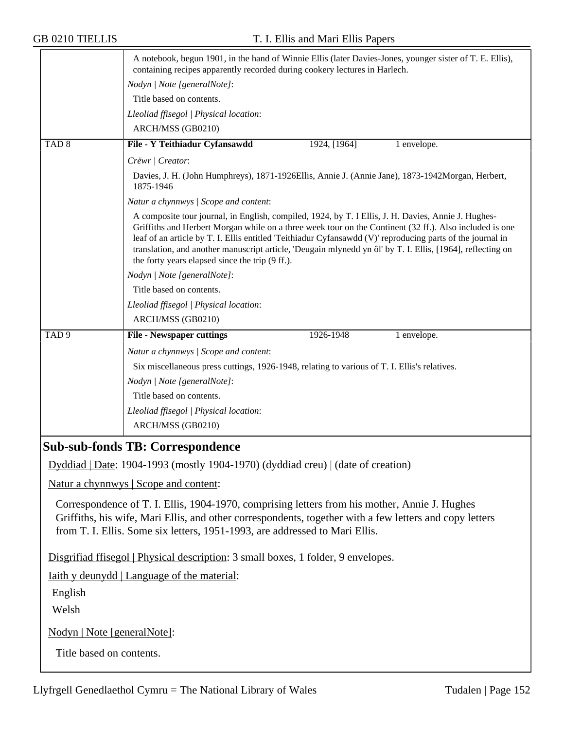|                                                                                                                                                                                                                                                                                         | A notebook, begun 1901, in the hand of Winnie Ellis (later Davies-Jones, younger sister of T. E. Ellis),<br>containing recipes apparently recorded during cookery lectures in Harlech.                                                                                                                                                                                                                                                                                                        |  |  |
|-----------------------------------------------------------------------------------------------------------------------------------------------------------------------------------------------------------------------------------------------------------------------------------------|-----------------------------------------------------------------------------------------------------------------------------------------------------------------------------------------------------------------------------------------------------------------------------------------------------------------------------------------------------------------------------------------------------------------------------------------------------------------------------------------------|--|--|
|                                                                                                                                                                                                                                                                                         | Nodyn   Note [generalNote]:                                                                                                                                                                                                                                                                                                                                                                                                                                                                   |  |  |
|                                                                                                                                                                                                                                                                                         | Title based on contents.                                                                                                                                                                                                                                                                                                                                                                                                                                                                      |  |  |
|                                                                                                                                                                                                                                                                                         | Lleoliad ffisegol   Physical location:                                                                                                                                                                                                                                                                                                                                                                                                                                                        |  |  |
|                                                                                                                                                                                                                                                                                         | ARCH/MSS (GB0210)                                                                                                                                                                                                                                                                                                                                                                                                                                                                             |  |  |
| TAD <sub>8</sub>                                                                                                                                                                                                                                                                        | File - Y Teithiadur Cyfansawdd<br>1924, [1964]<br>1 envelope.                                                                                                                                                                                                                                                                                                                                                                                                                                 |  |  |
|                                                                                                                                                                                                                                                                                         | Crëwr   Creator:                                                                                                                                                                                                                                                                                                                                                                                                                                                                              |  |  |
|                                                                                                                                                                                                                                                                                         | Davies, J. H. (John Humphreys), 1871-1926Ellis, Annie J. (Annie Jane), 1873-1942Morgan, Herbert,<br>1875-1946                                                                                                                                                                                                                                                                                                                                                                                 |  |  |
|                                                                                                                                                                                                                                                                                         | Natur a chynnwys / Scope and content:                                                                                                                                                                                                                                                                                                                                                                                                                                                         |  |  |
|                                                                                                                                                                                                                                                                                         | A composite tour journal, in English, compiled, 1924, by T. I Ellis, J. H. Davies, Annie J. Hughes-<br>Griffiths and Herbert Morgan while on a three week tour on the Continent (32 ff.). Also included is one<br>leaf of an article by T. I. Ellis entitled 'Teithiadur Cyfansawdd (V)' reproducing parts of the journal in<br>translation, and another manuscript article, 'Deugain mlynedd yn ôl' by T. I. Ellis, [1964], reflecting on<br>the forty years elapsed since the trip (9 ff.). |  |  |
|                                                                                                                                                                                                                                                                                         | Nodyn   Note [generalNote]:                                                                                                                                                                                                                                                                                                                                                                                                                                                                   |  |  |
|                                                                                                                                                                                                                                                                                         | Title based on contents.                                                                                                                                                                                                                                                                                                                                                                                                                                                                      |  |  |
|                                                                                                                                                                                                                                                                                         | Lleoliad ffisegol   Physical location:                                                                                                                                                                                                                                                                                                                                                                                                                                                        |  |  |
|                                                                                                                                                                                                                                                                                         | ARCH/MSS (GB0210)                                                                                                                                                                                                                                                                                                                                                                                                                                                                             |  |  |
| TAD <sub>9</sub>                                                                                                                                                                                                                                                                        | 1926-1948<br><b>File - Newspaper cuttings</b><br>1 envelope.                                                                                                                                                                                                                                                                                                                                                                                                                                  |  |  |
|                                                                                                                                                                                                                                                                                         | Natur a chynnwys / Scope and content:                                                                                                                                                                                                                                                                                                                                                                                                                                                         |  |  |
|                                                                                                                                                                                                                                                                                         | Six miscellaneous press cuttings, 1926-1948, relating to various of T. I. Ellis's relatives.                                                                                                                                                                                                                                                                                                                                                                                                  |  |  |
|                                                                                                                                                                                                                                                                                         | Nodyn   Note [generalNote]:                                                                                                                                                                                                                                                                                                                                                                                                                                                                   |  |  |
|                                                                                                                                                                                                                                                                                         | Title based on contents.                                                                                                                                                                                                                                                                                                                                                                                                                                                                      |  |  |
|                                                                                                                                                                                                                                                                                         | Lleoliad ffisegol   Physical location:                                                                                                                                                                                                                                                                                                                                                                                                                                                        |  |  |
|                                                                                                                                                                                                                                                                                         | ARCH/MSS (GB0210)                                                                                                                                                                                                                                                                                                                                                                                                                                                                             |  |  |
|                                                                                                                                                                                                                                                                                         | <b>Sub-sub-fonds TB: Correspondence</b>                                                                                                                                                                                                                                                                                                                                                                                                                                                       |  |  |
|                                                                                                                                                                                                                                                                                         | Dyddiad   Date: 1904-1993 (mostly 1904-1970) (dyddiad creu)   (date of creation)                                                                                                                                                                                                                                                                                                                                                                                                              |  |  |
|                                                                                                                                                                                                                                                                                         | Natur a chynnwys   Scope and content:                                                                                                                                                                                                                                                                                                                                                                                                                                                         |  |  |
| Correspondence of T. I. Ellis, 1904-1970, comprising letters from his mother, Annie J. Hughes<br>Griffiths, his wife, Mari Ellis, and other correspondents, together with a few letters and copy letters<br>from T. I. Ellis. Some six letters, 1951-1993, are addressed to Mari Ellis. |                                                                                                                                                                                                                                                                                                                                                                                                                                                                                               |  |  |
|                                                                                                                                                                                                                                                                                         | Disgrifiad ffisegol   Physical description: 3 small boxes, 1 folder, 9 envelopes.                                                                                                                                                                                                                                                                                                                                                                                                             |  |  |
|                                                                                                                                                                                                                                                                                         | <u>Iaith y deunydd</u>   Language of the material:                                                                                                                                                                                                                                                                                                                                                                                                                                            |  |  |
| English                                                                                                                                                                                                                                                                                 |                                                                                                                                                                                                                                                                                                                                                                                                                                                                                               |  |  |
| Welsh                                                                                                                                                                                                                                                                                   |                                                                                                                                                                                                                                                                                                                                                                                                                                                                                               |  |  |
|                                                                                                                                                                                                                                                                                         |                                                                                                                                                                                                                                                                                                                                                                                                                                                                                               |  |  |

Nodyn | Note [generalNote]:

Title based on contents.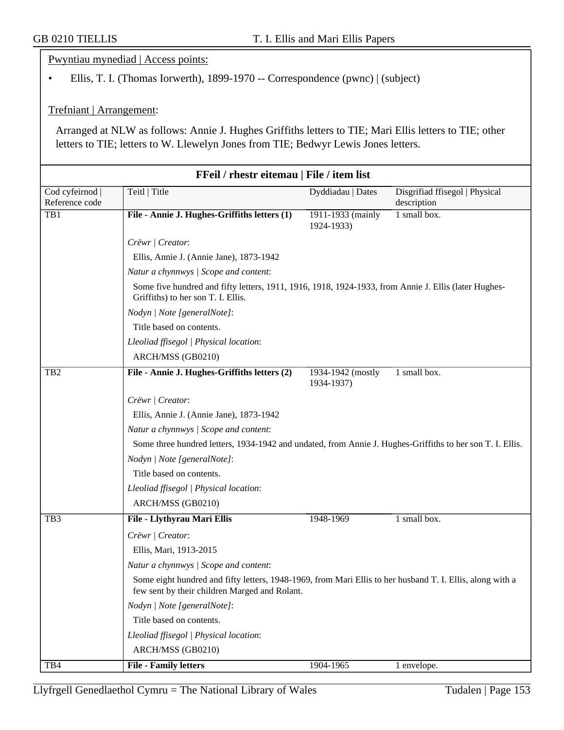Pwyntiau mynediad | Access points:

• Ellis, T. I. (Thomas Iorwerth), 1899-1970 -- Correspondence (pwnc) | (subject)

Trefniant | Arrangement:

Arranged at NLW as follows: Annie J. Hughes Griffiths letters to TIE; Mari Ellis letters to TIE; other letters to TIE; letters to W. Llewelyn Jones from TIE; Bedwyr Lewis Jones letters.

|                 | FFeil / rhestr eitemau   File / item list                                                                                                                  |                                 |                                |  |
|-----------------|------------------------------------------------------------------------------------------------------------------------------------------------------------|---------------------------------|--------------------------------|--|
| Cod cyfeirnod   | Teitl   Title                                                                                                                                              | Dyddiadau   Dates               | Disgrifiad ffisegol   Physical |  |
| Reference code  |                                                                                                                                                            |                                 | description                    |  |
| TB1             | File - Annie J. Hughes-Griffiths letters (1)                                                                                                               | 1911-1933 (mainly<br>1924-1933) | 1 small box.                   |  |
|                 | Crëwr   Creator:                                                                                                                                           |                                 |                                |  |
|                 | Ellis, Annie J. (Annie Jane), 1873-1942                                                                                                                    |                                 |                                |  |
|                 | Natur a chynnwys / Scope and content:                                                                                                                      |                                 |                                |  |
|                 | Some five hundred and fifty letters, 1911, 1916, 1918, 1924-1933, from Annie J. Ellis (later Hughes-<br>Griffiths) to her son T. I. Ellis.                 |                                 |                                |  |
|                 | Nodyn   Note [generalNote]:                                                                                                                                |                                 |                                |  |
|                 | Title based on contents.                                                                                                                                   |                                 |                                |  |
|                 | Lleoliad ffisegol   Physical location:                                                                                                                     |                                 |                                |  |
|                 | ARCH/MSS (GB0210)                                                                                                                                          |                                 |                                |  |
| TB <sub>2</sub> | File - Annie J. Hughes-Griffiths letters (2)                                                                                                               | 1934-1942 (mostly<br>1934-1937) | 1 small box.                   |  |
|                 | Crëwr   Creator:                                                                                                                                           |                                 |                                |  |
|                 | Ellis, Annie J. (Annie Jane), 1873-1942                                                                                                                    |                                 |                                |  |
|                 | Natur a chynnwys / Scope and content:                                                                                                                      |                                 |                                |  |
|                 | Some three hundred letters, 1934-1942 and undated, from Annie J. Hughes-Griffiths to her son T. I. Ellis.                                                  |                                 |                                |  |
|                 | Nodyn   Note [generalNote]:                                                                                                                                |                                 |                                |  |
|                 | Title based on contents.                                                                                                                                   |                                 |                                |  |
|                 | Lleoliad ffisegol   Physical location:                                                                                                                     |                                 |                                |  |
|                 | ARCH/MSS (GB0210)                                                                                                                                          |                                 |                                |  |
| TB <sub>3</sub> | File - Llythyrau Mari Ellis                                                                                                                                | 1948-1969                       | 1 small box.                   |  |
|                 | Crëwr   Creator:                                                                                                                                           |                                 |                                |  |
|                 | Ellis, Mari, 1913-2015                                                                                                                                     |                                 |                                |  |
|                 | Natur a chynnwys / Scope and content:                                                                                                                      |                                 |                                |  |
|                 | Some eight hundred and fifty letters, 1948-1969, from Mari Ellis to her husband T. I. Ellis, along with a<br>few sent by their children Marged and Rolant. |                                 |                                |  |
|                 | Nodyn   Note [generalNote]:                                                                                                                                |                                 |                                |  |
|                 | Title based on contents.                                                                                                                                   |                                 |                                |  |
|                 | Lleoliad ffisegol   Physical location:                                                                                                                     |                                 |                                |  |
|                 | ARCH/MSS (GB0210)                                                                                                                                          |                                 |                                |  |
| TB4             | <b>File - Family letters</b>                                                                                                                               | 1904-1965                       | 1 envelope.                    |  |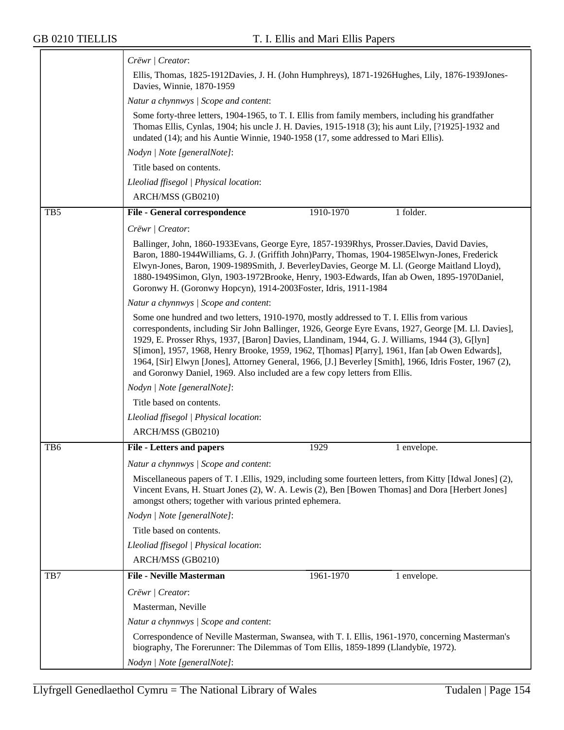≂

|                 | Crëwr   Creator:                                                                                                                                                                                                                                                                                                                                                                                                                                                                                                                                                                               |
|-----------------|------------------------------------------------------------------------------------------------------------------------------------------------------------------------------------------------------------------------------------------------------------------------------------------------------------------------------------------------------------------------------------------------------------------------------------------------------------------------------------------------------------------------------------------------------------------------------------------------|
|                 | Ellis, Thomas, 1825-1912Davies, J. H. (John Humphreys), 1871-1926Hughes, Lily, 1876-1939Jones-<br>Davies, Winnie, 1870-1959                                                                                                                                                                                                                                                                                                                                                                                                                                                                    |
|                 | Natur a chynnwys / Scope and content:                                                                                                                                                                                                                                                                                                                                                                                                                                                                                                                                                          |
|                 | Some forty-three letters, 1904-1965, to T. I. Ellis from family members, including his grandfather<br>Thomas Ellis, Cynlas, 1904; his uncle J. H. Davies, 1915-1918 (3); his aunt Lily, [?1925]-1932 and<br>undated (14); and his Auntie Winnie, 1940-1958 (17, some addressed to Mari Ellis).                                                                                                                                                                                                                                                                                                 |
|                 | Nodyn   Note [generalNote]:                                                                                                                                                                                                                                                                                                                                                                                                                                                                                                                                                                    |
|                 | Title based on contents.                                                                                                                                                                                                                                                                                                                                                                                                                                                                                                                                                                       |
|                 | Lleoliad ffisegol   Physical location:                                                                                                                                                                                                                                                                                                                                                                                                                                                                                                                                                         |
|                 | ARCH/MSS (GB0210)                                                                                                                                                                                                                                                                                                                                                                                                                                                                                                                                                                              |
| TB <sub>5</sub> | 1 folder.<br>1910-1970<br><b>File - General correspondence</b>                                                                                                                                                                                                                                                                                                                                                                                                                                                                                                                                 |
|                 | Crëwr   Creator:                                                                                                                                                                                                                                                                                                                                                                                                                                                                                                                                                                               |
|                 | Ballinger, John, 1860-1933 Evans, George Eyre, 1857-1939 Rhys, Prosser. Davies, David Davies,<br>Baron, 1880-1944 Williams, G. J. (Griffith John) Parry, Thomas, 1904-1985 Elwyn-Jones, Frederick<br>Elwyn-Jones, Baron, 1909-1989Smith, J. BeverleyDavies, George M. Ll. (George Maitland Lloyd),<br>1880-1949Simon, Glyn, 1903-1972Brooke, Henry, 1903-Edwards, Ifan ab Owen, 1895-1970Daniel,<br>Goronwy H. (Goronwy Hopcyn), 1914-2003 Foster, Idris, 1911-1984                                                                                                                            |
|                 | Natur a chynnwys / Scope and content:                                                                                                                                                                                                                                                                                                                                                                                                                                                                                                                                                          |
|                 | Some one hundred and two letters, 1910-1970, mostly addressed to T. I. Ellis from various<br>correspondents, including Sir John Ballinger, 1926, George Eyre Evans, 1927, George [M. Ll. Davies],<br>1929, E. Prosser Rhys, 1937, [Baron] Davies, Llandinam, 1944, G. J. Williams, 1944 (3), G[lyn]<br>S[imon], 1957, 1968, Henry Brooke, 1959, 1962, T[homas] P[arry], 1961, Ifan [ab Owen Edwards],<br>1964, [Sir] Elwyn [Jones], Attorney General, 1966, [J.] Beverley [Smith], 1966, Idris Foster, 1967 (2),<br>and Goronwy Daniel, 1969. Also included are a few copy letters from Ellis. |
|                 | Nodyn   Note [generalNote]:                                                                                                                                                                                                                                                                                                                                                                                                                                                                                                                                                                    |
|                 | Title based on contents.                                                                                                                                                                                                                                                                                                                                                                                                                                                                                                                                                                       |
|                 | Lleoliad ffisegol   Physical location:                                                                                                                                                                                                                                                                                                                                                                                                                                                                                                                                                         |
|                 | ARCH/MSS (GB0210)                                                                                                                                                                                                                                                                                                                                                                                                                                                                                                                                                                              |
| TB <sub>6</sub> | <b>File - Letters and papers</b><br>1929<br>1 envelope.                                                                                                                                                                                                                                                                                                                                                                                                                                                                                                                                        |
|                 | Natur a chynnwys / Scope and content:                                                                                                                                                                                                                                                                                                                                                                                                                                                                                                                                                          |
|                 | Miscellaneous papers of T. I .Ellis, 1929, including some fourteen letters, from Kitty [Idwal Jones] (2),<br>Vincent Evans, H. Stuart Jones (2), W. A. Lewis (2), Ben [Bowen Thomas] and Dora [Herbert Jones]<br>amongst others; together with various printed ephemera.                                                                                                                                                                                                                                                                                                                       |
|                 | Nodyn   Note [generalNote]:                                                                                                                                                                                                                                                                                                                                                                                                                                                                                                                                                                    |
|                 | Title based on contents.                                                                                                                                                                                                                                                                                                                                                                                                                                                                                                                                                                       |
|                 | Lleoliad ffisegol   Physical location:                                                                                                                                                                                                                                                                                                                                                                                                                                                                                                                                                         |
|                 | ARCH/MSS (GB0210)                                                                                                                                                                                                                                                                                                                                                                                                                                                                                                                                                                              |
| TB7             | <b>File - Neville Masterman</b><br>1961-1970<br>1 envelope.                                                                                                                                                                                                                                                                                                                                                                                                                                                                                                                                    |
|                 | Crëwr   Creator:                                                                                                                                                                                                                                                                                                                                                                                                                                                                                                                                                                               |
|                 | Masterman, Neville                                                                                                                                                                                                                                                                                                                                                                                                                                                                                                                                                                             |
|                 | Natur a chynnwys / Scope and content:                                                                                                                                                                                                                                                                                                                                                                                                                                                                                                                                                          |
|                 | Correspondence of Neville Masterman, Swansea, with T. I. Ellis, 1961-1970, concerning Masterman's<br>biography, The Forerunner: The Dilemmas of Tom Ellis, 1859-1899 (Llandybïe, 1972).                                                                                                                                                                                                                                                                                                                                                                                                        |
|                 | Nodyn   Note [generalNote]:                                                                                                                                                                                                                                                                                                                                                                                                                                                                                                                                                                    |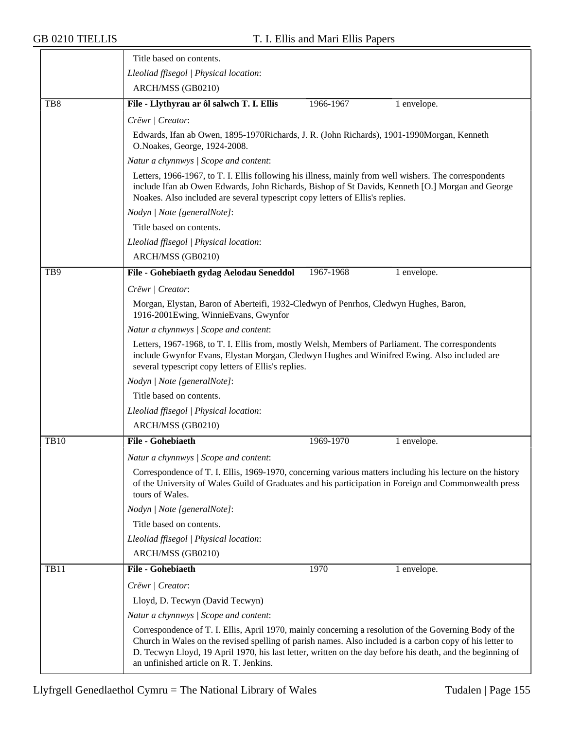|                 | Title based on contents.                                                                                                                                                                                                                                                                                                                                                    |  |  |  |  |
|-----------------|-----------------------------------------------------------------------------------------------------------------------------------------------------------------------------------------------------------------------------------------------------------------------------------------------------------------------------------------------------------------------------|--|--|--|--|
|                 | Lleoliad ffisegol   Physical location:                                                                                                                                                                                                                                                                                                                                      |  |  |  |  |
|                 | ARCH/MSS (GB0210)                                                                                                                                                                                                                                                                                                                                                           |  |  |  |  |
| TB <sub>8</sub> | File - Llythyrau ar ôl salwch T. I. Ellis<br>1966-1967<br>1 envelope.                                                                                                                                                                                                                                                                                                       |  |  |  |  |
|                 | Crëwr   Creator:                                                                                                                                                                                                                                                                                                                                                            |  |  |  |  |
|                 | Edwards, Ifan ab Owen, 1895-1970Richards, J. R. (John Richards), 1901-1990Morgan, Kenneth<br>O.Noakes, George, 1924-2008.                                                                                                                                                                                                                                                   |  |  |  |  |
|                 | Natur a chynnwys / Scope and content:                                                                                                                                                                                                                                                                                                                                       |  |  |  |  |
|                 | Letters, 1966-1967, to T. I. Ellis following his illness, mainly from well wishers. The correspondents<br>include Ifan ab Owen Edwards, John Richards, Bishop of St Davids, Kenneth [O.] Morgan and George<br>Noakes. Also included are several typescript copy letters of Ellis's replies.                                                                                 |  |  |  |  |
|                 | Nodyn   Note [generalNote]:                                                                                                                                                                                                                                                                                                                                                 |  |  |  |  |
|                 | Title based on contents.                                                                                                                                                                                                                                                                                                                                                    |  |  |  |  |
|                 | Lleoliad ffisegol   Physical location:                                                                                                                                                                                                                                                                                                                                      |  |  |  |  |
|                 | ARCH/MSS (GB0210)                                                                                                                                                                                                                                                                                                                                                           |  |  |  |  |
| TB9             | File - Gohebiaeth gydag Aelodau Seneddol<br>1967-1968<br>1 envelope.                                                                                                                                                                                                                                                                                                        |  |  |  |  |
|                 | Crëwr   Creator:                                                                                                                                                                                                                                                                                                                                                            |  |  |  |  |
|                 | Morgan, Elystan, Baron of Aberteifi, 1932-Cledwyn of Penrhos, Cledwyn Hughes, Baron,<br>1916-2001Ewing, WinnieEvans, Gwynfor                                                                                                                                                                                                                                                |  |  |  |  |
|                 | Natur a chynnwys / Scope and content:                                                                                                                                                                                                                                                                                                                                       |  |  |  |  |
|                 | Letters, 1967-1968, to T. I. Ellis from, mostly Welsh, Members of Parliament. The correspondents<br>include Gwynfor Evans, Elystan Morgan, Cledwyn Hughes and Winifred Ewing. Also included are<br>several typescript copy letters of Ellis's replies.                                                                                                                      |  |  |  |  |
|                 | Nodyn   Note [generalNote]:                                                                                                                                                                                                                                                                                                                                                 |  |  |  |  |
|                 | Title based on contents.                                                                                                                                                                                                                                                                                                                                                    |  |  |  |  |
|                 | Lleoliad ffisegol   Physical location:                                                                                                                                                                                                                                                                                                                                      |  |  |  |  |
|                 | ARCH/MSS (GB0210)                                                                                                                                                                                                                                                                                                                                                           |  |  |  |  |
| <b>TB10</b>     | <b>File - Gohebiaeth</b><br>1969-1970<br>1 envelope.                                                                                                                                                                                                                                                                                                                        |  |  |  |  |
|                 | Natur a chynnwys / Scope and content:                                                                                                                                                                                                                                                                                                                                       |  |  |  |  |
|                 | Correspondence of T. I. Ellis, 1969-1970, concerning various matters including his lecture on the history<br>of the University of Wales Guild of Graduates and his participation in Foreign and Commonwealth press<br>tours of Wales.                                                                                                                                       |  |  |  |  |
|                 | Nodyn   Note [generalNote]:                                                                                                                                                                                                                                                                                                                                                 |  |  |  |  |
|                 | Title based on contents.                                                                                                                                                                                                                                                                                                                                                    |  |  |  |  |
|                 | Lleoliad ffisegol   Physical location:                                                                                                                                                                                                                                                                                                                                      |  |  |  |  |
|                 | ARCH/MSS (GB0210)                                                                                                                                                                                                                                                                                                                                                           |  |  |  |  |
| <b>TB11</b>     | File - Gohebiaeth<br>1970<br>1 envelope.                                                                                                                                                                                                                                                                                                                                    |  |  |  |  |
|                 | Crëwr   Creator:                                                                                                                                                                                                                                                                                                                                                            |  |  |  |  |
|                 | Lloyd, D. Tecwyn (David Tecwyn)                                                                                                                                                                                                                                                                                                                                             |  |  |  |  |
|                 | Natur a chynnwys / Scope and content:                                                                                                                                                                                                                                                                                                                                       |  |  |  |  |
|                 | Correspondence of T. I. Ellis, April 1970, mainly concerning a resolution of the Governing Body of the<br>Church in Wales on the revised spelling of parish names. Also included is a carbon copy of his letter to<br>D. Tecwyn Lloyd, 19 April 1970, his last letter, written on the day before his death, and the beginning of<br>an unfinished article on R. T. Jenkins. |  |  |  |  |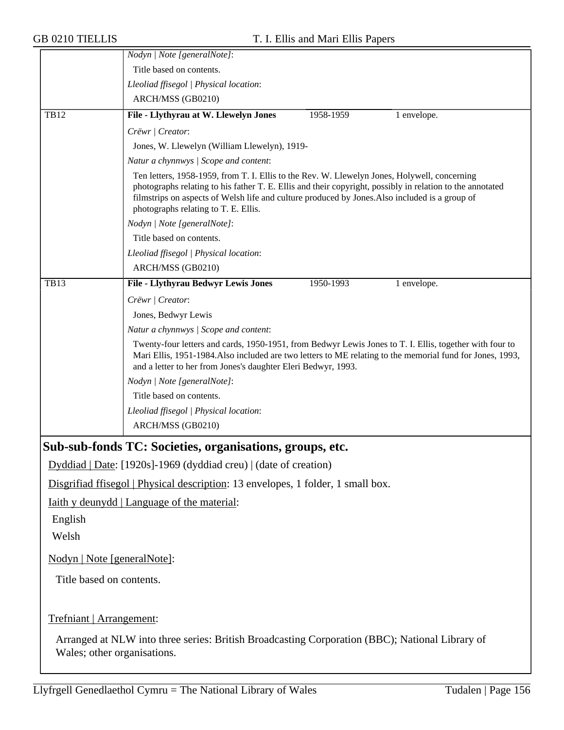|                             | Title based on contents.<br>Lleoliad ffisegol   Physical location:                                                                                                                                                                                                                                                                                  |
|-----------------------------|-----------------------------------------------------------------------------------------------------------------------------------------------------------------------------------------------------------------------------------------------------------------------------------------------------------------------------------------------------|
|                             |                                                                                                                                                                                                                                                                                                                                                     |
|                             |                                                                                                                                                                                                                                                                                                                                                     |
|                             | ARCH/MSS (GB0210)                                                                                                                                                                                                                                                                                                                                   |
| <b>TB12</b>                 | File - Llythyrau at W. Llewelyn Jones<br>1958-1959<br>1 envelope.                                                                                                                                                                                                                                                                                   |
|                             | Crëwr   Creator:                                                                                                                                                                                                                                                                                                                                    |
|                             | Jones, W. Llewelyn (William Llewelyn), 1919-                                                                                                                                                                                                                                                                                                        |
|                             | Natur a chynnwys / Scope and content:                                                                                                                                                                                                                                                                                                               |
|                             | Ten letters, 1958-1959, from T. I. Ellis to the Rev. W. Llewelyn Jones, Holywell, concerning<br>photographs relating to his father T. E. Ellis and their copyright, possibly in relation to the annotated<br>filmstrips on aspects of Welsh life and culture produced by Jones. Also included is a group of<br>photographs relating to T. E. Ellis. |
|                             | Nodyn   Note [generalNote]:                                                                                                                                                                                                                                                                                                                         |
|                             | Title based on contents.                                                                                                                                                                                                                                                                                                                            |
|                             | Lleoliad ffisegol   Physical location:                                                                                                                                                                                                                                                                                                              |
|                             | ARCH/MSS (GB0210)                                                                                                                                                                                                                                                                                                                                   |
| <b>TB13</b>                 | File - Llythyrau Bedwyr Lewis Jones<br>1950-1993<br>1 envelope.                                                                                                                                                                                                                                                                                     |
|                             | Crëwr   Creator:                                                                                                                                                                                                                                                                                                                                    |
|                             | Jones, Bedwyr Lewis                                                                                                                                                                                                                                                                                                                                 |
|                             | Natur a chynnwys / Scope and content:                                                                                                                                                                                                                                                                                                               |
|                             | Twenty-four letters and cards, 1950-1951, from Bedwyr Lewis Jones to T. I. Ellis, together with four to<br>Mari Ellis, 1951-1984. Also included are two letters to ME relating to the memorial fund for Jones, 1993,<br>and a letter to her from Jones's daughter Eleri Bedwyr, 1993.                                                               |
|                             | Nodyn   Note [generalNote]:                                                                                                                                                                                                                                                                                                                         |
|                             | Title based on contents.                                                                                                                                                                                                                                                                                                                            |
|                             | Lleoliad ffisegol   Physical location:                                                                                                                                                                                                                                                                                                              |
|                             | ARCH/MSS (GB0210)                                                                                                                                                                                                                                                                                                                                   |
|                             | Sub-sub-fonds TC: Societies, organisations, groups, etc.                                                                                                                                                                                                                                                                                            |
|                             | Dyddiad   Date: [1920s]-1969 (dyddiad creu)   (date of creation)                                                                                                                                                                                                                                                                                    |
|                             | Disgrifiad ffisegol   Physical description: 13 envelopes, 1 folder, 1 small box.                                                                                                                                                                                                                                                                    |
|                             | <u>Iaith y deunydd   Language of the material:</u>                                                                                                                                                                                                                                                                                                  |
| English                     |                                                                                                                                                                                                                                                                                                                                                     |
|                             |                                                                                                                                                                                                                                                                                                                                                     |
| Welsh                       |                                                                                                                                                                                                                                                                                                                                                     |
| Nodyn   Note [generalNote]: |                                                                                                                                                                                                                                                                                                                                                     |
| Title based on contents.    |                                                                                                                                                                                                                                                                                                                                                     |
| Trefniant   Arrangement:    |                                                                                                                                                                                                                                                                                                                                                     |
| Wales; other organisations. | Arranged at NLW into three series: British Broadcasting Corporation (BBC); National Library of                                                                                                                                                                                                                                                      |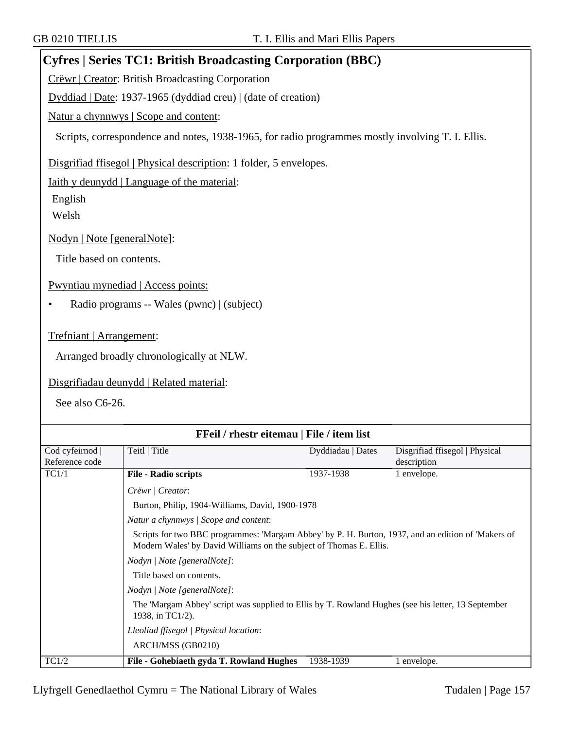## **Cyfres | Series TC1: British Broadcasting Corporation (BBC)**

Crëwr | Creator: British Broadcasting Corporation

Dyddiad | Date: 1937-1965 (dyddiad creu) | (date of creation)

Natur a chynnwys | Scope and content:

Scripts, correspondence and notes, 1938-1965, for radio programmes mostly involving T. I. Ellis.

Disgrifiad ffisegol | Physical description: 1 folder, 5 envelopes.

Iaith y deunydd | Language of the material:

English

Welsh

Nodyn | Note [generalNote]:

Title based on contents.

Pwyntiau mynediad | Access points:

• Radio programs -- Wales (pwnc) | (subject)

Trefniant | Arrangement:

Arranged broadly chronologically at NLW.

Disgrifiadau deunydd | Related material:

See also C6-26.

| FFeil / rhestr eitemau   File / item list |                                                                                                                                                                                                                   |                   |                                |  |
|-------------------------------------------|-------------------------------------------------------------------------------------------------------------------------------------------------------------------------------------------------------------------|-------------------|--------------------------------|--|
| Cod cyfeirnod                             | Teitl   Title                                                                                                                                                                                                     | Dyddiadau   Dates | Disgrifiad ffisegol   Physical |  |
| Reference code                            |                                                                                                                                                                                                                   |                   | description                    |  |
| TC1/1                                     | <b>File - Radio scripts</b>                                                                                                                                                                                       | 1937-1938         | 1 envelope.                    |  |
|                                           | Crëwr   Creator:                                                                                                                                                                                                  |                   |                                |  |
|                                           | Burton, Philip, 1904-Williams, David, 1900-1978                                                                                                                                                                   |                   |                                |  |
|                                           | Natur a chynnwys / Scope and content:<br>Scripts for two BBC programmes: 'Margam Abbey' by P. H. Burton, 1937, and an edition of 'Makers of<br>Modern Wales' by David Williams on the subject of Thomas E. Ellis. |                   |                                |  |
|                                           |                                                                                                                                                                                                                   |                   |                                |  |
|                                           | Nodyn   Note [generalNote]:                                                                                                                                                                                       |                   |                                |  |
|                                           | Title based on contents.                                                                                                                                                                                          |                   |                                |  |
|                                           | Nodyn   Note [generalNote]:                                                                                                                                                                                       |                   |                                |  |
|                                           | The 'Margam Abbey' script was supplied to Ellis by T. Rowland Hughes (see his letter, 13 September<br>1938, in TC1/2).                                                                                            |                   |                                |  |
|                                           | Lleoliad ffisegol   Physical location:                                                                                                                                                                            |                   |                                |  |
|                                           | ARCH/MSS (GB0210)                                                                                                                                                                                                 |                   |                                |  |
| TC1/2                                     | File - Gohebiaeth gyda T. Rowland Hughes                                                                                                                                                                          | 1938-1939         | 1 envelope.                    |  |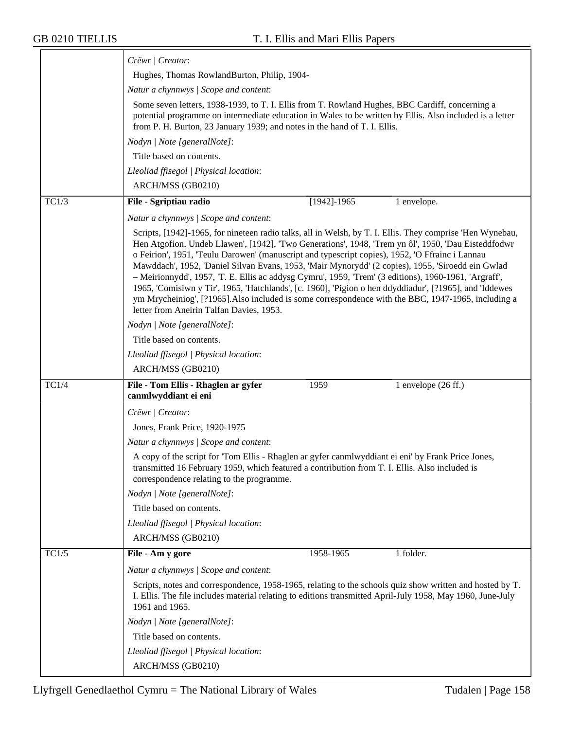|       | Crëwr   Creator:                                                                                                                                                                                                                                                                                                                                                                                                                                                                                                                                                                                                                                                                                                                                                                                |
|-------|-------------------------------------------------------------------------------------------------------------------------------------------------------------------------------------------------------------------------------------------------------------------------------------------------------------------------------------------------------------------------------------------------------------------------------------------------------------------------------------------------------------------------------------------------------------------------------------------------------------------------------------------------------------------------------------------------------------------------------------------------------------------------------------------------|
|       | Hughes, Thomas RowlandBurton, Philip, 1904-                                                                                                                                                                                                                                                                                                                                                                                                                                                                                                                                                                                                                                                                                                                                                     |
|       | Natur a chynnwys / Scope and content:                                                                                                                                                                                                                                                                                                                                                                                                                                                                                                                                                                                                                                                                                                                                                           |
|       | Some seven letters, 1938-1939, to T. I. Ellis from T. Rowland Hughes, BBC Cardiff, concerning a<br>potential programme on intermediate education in Wales to be written by Ellis. Also included is a letter<br>from P. H. Burton, 23 January 1939; and notes in the hand of T. I. Ellis.                                                                                                                                                                                                                                                                                                                                                                                                                                                                                                        |
|       | Nodyn   Note [generalNote]:                                                                                                                                                                                                                                                                                                                                                                                                                                                                                                                                                                                                                                                                                                                                                                     |
|       | Title based on contents.                                                                                                                                                                                                                                                                                                                                                                                                                                                                                                                                                                                                                                                                                                                                                                        |
|       | Lleoliad ffisegol   Physical location:                                                                                                                                                                                                                                                                                                                                                                                                                                                                                                                                                                                                                                                                                                                                                          |
|       | ARCH/MSS (GB0210)                                                                                                                                                                                                                                                                                                                                                                                                                                                                                                                                                                                                                                                                                                                                                                               |
| TC1/3 | File - Sgriptiau radio<br>$[1942] - 1965$<br>1 envelope.                                                                                                                                                                                                                                                                                                                                                                                                                                                                                                                                                                                                                                                                                                                                        |
|       | Natur a chynnwys / Scope and content:                                                                                                                                                                                                                                                                                                                                                                                                                                                                                                                                                                                                                                                                                                                                                           |
|       | Scripts, [1942]-1965, for nineteen radio talks, all in Welsh, by T. I. Ellis. They comprise 'Hen Wynebau,<br>Hen Atgofion, Undeb Llawen', [1942], 'Two Generations', 1948, 'Trem yn ôl', 1950, 'Dau Eisteddfodwr<br>o Feirion', 1951, 'Teulu Darowen' (manuscript and typescript copies), 1952, 'O Ffrainc i Lannau<br>Mawddach', 1952, 'Daniel Silvan Evans, 1953, 'Mair Mynorydd' (2 copies), 1955, 'Siroedd ein Gwlad<br>- Meirionnydd', 1957, 'T. E. Ellis ac addysg Cymru', 1959, 'Trem' (3 editions), 1960-1961, 'Argraff',<br>1965, 'Comisiwn y Tir', 1965, 'Hatchlands', [c. 1960], 'Pigion o hen ddyddiadur', [?1965], and 'Iddewes<br>ym Mrycheiniog', [?1965]. Also included is some correspondence with the BBC, 1947-1965, including a<br>letter from Aneirin Talfan Davies, 1953. |
|       | Nodyn   Note [generalNote]:                                                                                                                                                                                                                                                                                                                                                                                                                                                                                                                                                                                                                                                                                                                                                                     |
|       | Title based on contents.                                                                                                                                                                                                                                                                                                                                                                                                                                                                                                                                                                                                                                                                                                                                                                        |
|       | Lleoliad ffisegol   Physical location:                                                                                                                                                                                                                                                                                                                                                                                                                                                                                                                                                                                                                                                                                                                                                          |
|       | ARCH/MSS (GB0210)                                                                                                                                                                                                                                                                                                                                                                                                                                                                                                                                                                                                                                                                                                                                                                               |
| TC1/4 | File - Tom Ellis - Rhaglen ar gyfer<br>1 envelope $(26$ ff.)<br>1959                                                                                                                                                                                                                                                                                                                                                                                                                                                                                                                                                                                                                                                                                                                            |
|       | canmlwyddiant ei eni                                                                                                                                                                                                                                                                                                                                                                                                                                                                                                                                                                                                                                                                                                                                                                            |
|       | Crëwr   Creator:                                                                                                                                                                                                                                                                                                                                                                                                                                                                                                                                                                                                                                                                                                                                                                                |
|       | Jones, Frank Price, 1920-1975                                                                                                                                                                                                                                                                                                                                                                                                                                                                                                                                                                                                                                                                                                                                                                   |
|       | Natur a chynnwys / Scope and content:                                                                                                                                                                                                                                                                                                                                                                                                                                                                                                                                                                                                                                                                                                                                                           |
|       | A copy of the script for 'Tom Ellis - Rhaglen ar gyfer canmlwyddiant ei eni' by Frank Price Jones,<br>transmitted 16 February 1959, which featured a contribution from T. I. Ellis. Also included is<br>correspondence relating to the programme.                                                                                                                                                                                                                                                                                                                                                                                                                                                                                                                                               |
|       | Nodyn   Note [generalNote]:                                                                                                                                                                                                                                                                                                                                                                                                                                                                                                                                                                                                                                                                                                                                                                     |
|       | Title based on contents.                                                                                                                                                                                                                                                                                                                                                                                                                                                                                                                                                                                                                                                                                                                                                                        |
|       | Lleoliad ffisegol   Physical location:                                                                                                                                                                                                                                                                                                                                                                                                                                                                                                                                                                                                                                                                                                                                                          |
|       | ARCH/MSS (GB0210)                                                                                                                                                                                                                                                                                                                                                                                                                                                                                                                                                                                                                                                                                                                                                                               |
| TC1/5 | 1 folder.<br>File - Am y gore<br>1958-1965                                                                                                                                                                                                                                                                                                                                                                                                                                                                                                                                                                                                                                                                                                                                                      |
|       | Natur a chynnwys / Scope and content:                                                                                                                                                                                                                                                                                                                                                                                                                                                                                                                                                                                                                                                                                                                                                           |
|       | Scripts, notes and correspondence, 1958-1965, relating to the schools quiz show written and hosted by T.<br>I. Ellis. The file includes material relating to editions transmitted April-July 1958, May 1960, June-July<br>1961 and 1965.                                                                                                                                                                                                                                                                                                                                                                                                                                                                                                                                                        |
|       | Nodyn   Note [generalNote]:                                                                                                                                                                                                                                                                                                                                                                                                                                                                                                                                                                                                                                                                                                                                                                     |
|       | Title based on contents.                                                                                                                                                                                                                                                                                                                                                                                                                                                                                                                                                                                                                                                                                                                                                                        |
|       | Lleoliad ffisegol   Physical location:                                                                                                                                                                                                                                                                                                                                                                                                                                                                                                                                                                                                                                                                                                                                                          |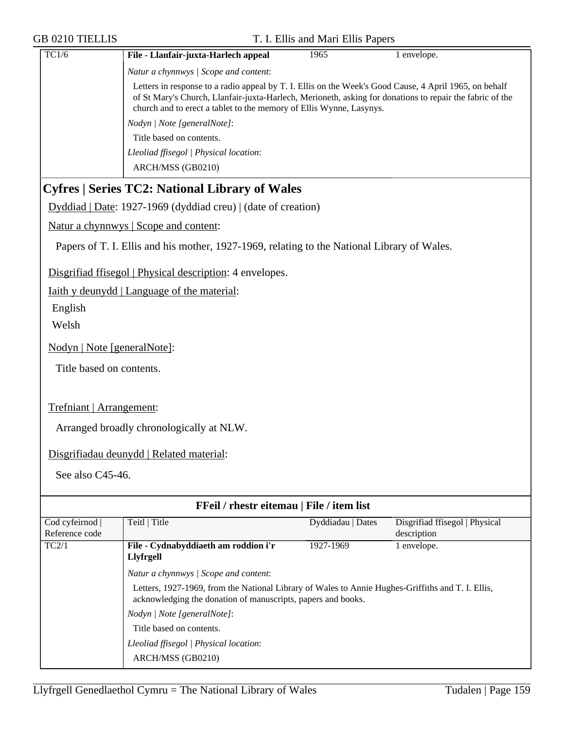| <b>GB 0210 TIELLIS</b>          |                                                                                                                                                                                                                                                                                           | T. I. Ellis and Mari Ellis Papers |                                               |
|---------------------------------|-------------------------------------------------------------------------------------------------------------------------------------------------------------------------------------------------------------------------------------------------------------------------------------------|-----------------------------------|-----------------------------------------------|
| TC1/6                           | File - Llanfair-juxta-Harlech appeal                                                                                                                                                                                                                                                      | 1965                              | 1 envelope.                                   |
|                                 | Natur a chynnwys / Scope and content:                                                                                                                                                                                                                                                     |                                   |                                               |
|                                 | Letters in response to a radio appeal by T. I. Ellis on the Week's Good Cause, 4 April 1965, on behalf<br>of St Mary's Church, Llanfair-juxta-Harlech, Merioneth, asking for donations to repair the fabric of the<br>church and to erect a tablet to the memory of Ellis Wynne, Lasynys. |                                   |                                               |
|                                 | Nodyn   Note [generalNote]:                                                                                                                                                                                                                                                               |                                   |                                               |
|                                 | Title based on contents.                                                                                                                                                                                                                                                                  |                                   |                                               |
|                                 | Lleoliad ffisegol   Physical location:<br>ARCH/MSS (GB0210)                                                                                                                                                                                                                               |                                   |                                               |
|                                 | <b>Cyfres   Series TC2: National Library of Wales</b>                                                                                                                                                                                                                                     |                                   |                                               |
|                                 | Dyddiad   Date: 1927-1969 (dyddiad creu)   (date of creation)                                                                                                                                                                                                                             |                                   |                                               |
|                                 | Natur a chynnwys   Scope and content:                                                                                                                                                                                                                                                     |                                   |                                               |
|                                 | Papers of T. I. Ellis and his mother, 1927-1969, relating to the National Library of Wales.                                                                                                                                                                                               |                                   |                                               |
|                                 | Disgrifiad ffisegol   Physical description: 4 envelopes.                                                                                                                                                                                                                                  |                                   |                                               |
|                                 | Iaith y deunydd   Language of the material:                                                                                                                                                                                                                                               |                                   |                                               |
| English                         |                                                                                                                                                                                                                                                                                           |                                   |                                               |
| Welsh                           |                                                                                                                                                                                                                                                                                           |                                   |                                               |
| Nodyn   Note [generalNote]:     |                                                                                                                                                                                                                                                                                           |                                   |                                               |
| Title based on contents.        |                                                                                                                                                                                                                                                                                           |                                   |                                               |
|                                 |                                                                                                                                                                                                                                                                                           |                                   |                                               |
| Trefniant   Arrangement:        |                                                                                                                                                                                                                                                                                           |                                   |                                               |
|                                 | Arranged broadly chronologically at NLW.                                                                                                                                                                                                                                                  |                                   |                                               |
|                                 | Disgrifiadau deunydd   Related material:                                                                                                                                                                                                                                                  |                                   |                                               |
| See also C45-46.                |                                                                                                                                                                                                                                                                                           |                                   |                                               |
|                                 |                                                                                                                                                                                                                                                                                           |                                   |                                               |
|                                 | FFeil / rhestr eitemau   File / item list                                                                                                                                                                                                                                                 |                                   |                                               |
| Cod cyfeirnod<br>Reference code | Teitl   Title                                                                                                                                                                                                                                                                             | Dyddiadau   Dates                 | Disgrifiad ffisegol   Physical<br>description |
| TC2/1                           | File - Cydnabyddiaeth am roddion i'r<br><b>Llyfrgell</b>                                                                                                                                                                                                                                  | 1927-1969                         | 1 envelope.                                   |
|                                 | Natur a chynnwys / Scope and content:                                                                                                                                                                                                                                                     |                                   |                                               |
|                                 | Letters, 1927-1969, from the National Library of Wales to Annie Hughes-Griffiths and T. I. Ellis,                                                                                                                                                                                         |                                   |                                               |
|                                 | acknowledging the donation of manuscripts, papers and books.                                                                                                                                                                                                                              |                                   |                                               |
|                                 | Nodyn   Note [generalNote]:<br>Title based on contents.                                                                                                                                                                                                                                   |                                   |                                               |
|                                 | Lleoliad ffisegol   Physical location:                                                                                                                                                                                                                                                    |                                   |                                               |
|                                 | ARCH/MSS (GB0210)                                                                                                                                                                                                                                                                         |                                   |                                               |
|                                 |                                                                                                                                                                                                                                                                                           |                                   |                                               |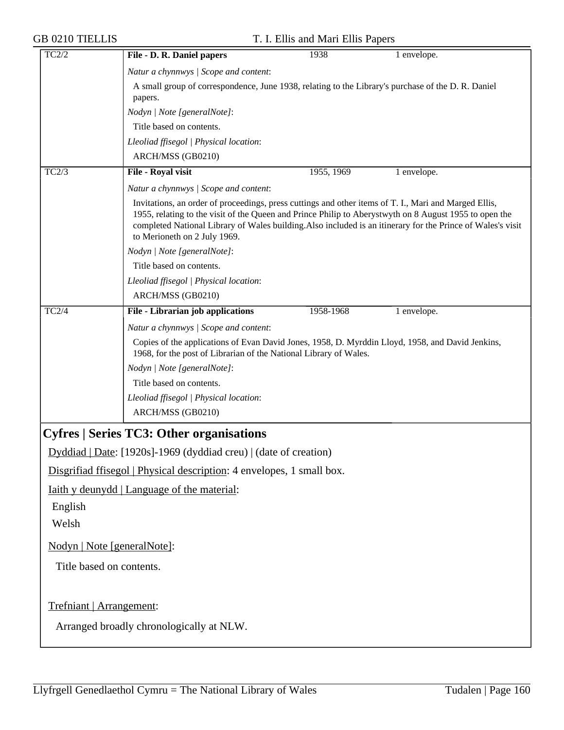| TC2/2                       | File - D. R. Daniel papers                                                                                                                                                                                                                                                                                                                                     | 1938       | 1 envelope. |
|-----------------------------|----------------------------------------------------------------------------------------------------------------------------------------------------------------------------------------------------------------------------------------------------------------------------------------------------------------------------------------------------------------|------------|-------------|
|                             | Natur a chynnwys / Scope and content:                                                                                                                                                                                                                                                                                                                          |            |             |
|                             | A small group of correspondence, June 1938, relating to the Library's purchase of the D. R. Daniel<br>papers.                                                                                                                                                                                                                                                  |            |             |
|                             | Nodyn   Note [generalNote]:                                                                                                                                                                                                                                                                                                                                    |            |             |
|                             | Title based on contents.                                                                                                                                                                                                                                                                                                                                       |            |             |
|                             | Lleoliad ffisegol   Physical location:                                                                                                                                                                                                                                                                                                                         |            |             |
|                             | ARCH/MSS (GB0210)                                                                                                                                                                                                                                                                                                                                              |            |             |
| TC2/3                       | File - Royal visit                                                                                                                                                                                                                                                                                                                                             | 1955, 1969 | 1 envelope. |
|                             | Natur a chynnwys / Scope and content:                                                                                                                                                                                                                                                                                                                          |            |             |
|                             | Invitations, an order of proceedings, press cuttings and other items of T. I., Mari and Marged Ellis,<br>1955, relating to the visit of the Queen and Prince Philip to Aberystwyth on 8 August 1955 to open the<br>completed National Library of Wales building. Also included is an itinerary for the Prince of Wales's visit<br>to Merioneth on 2 July 1969. |            |             |
|                             | Nodyn   Note [generalNote]:                                                                                                                                                                                                                                                                                                                                    |            |             |
|                             | Title based on contents.                                                                                                                                                                                                                                                                                                                                       |            |             |
|                             | Lleoliad ffisegol   Physical location:                                                                                                                                                                                                                                                                                                                         |            |             |
|                             | ARCH/MSS (GB0210)                                                                                                                                                                                                                                                                                                                                              |            |             |
| TC2/4                       | File - Librarian job applications                                                                                                                                                                                                                                                                                                                              | 1958-1968  | 1 envelope. |
|                             | Natur a chynnwys / Scope and content:                                                                                                                                                                                                                                                                                                                          |            |             |
|                             | Copies of the applications of Evan David Jones, 1958, D. Myrddin Lloyd, 1958, and David Jenkins,<br>1968, for the post of Librarian of the National Library of Wales.                                                                                                                                                                                          |            |             |
|                             | Nodyn   Note [generalNote]:                                                                                                                                                                                                                                                                                                                                    |            |             |
|                             | Title based on contents.                                                                                                                                                                                                                                                                                                                                       |            |             |
|                             | Lleoliad ffisegol   Physical location:                                                                                                                                                                                                                                                                                                                         |            |             |
|                             | ARCH/MSS (GB0210)                                                                                                                                                                                                                                                                                                                                              |            |             |
|                             | <b>Cyfres   Series TC3: Other organisations</b>                                                                                                                                                                                                                                                                                                                |            |             |
|                             | Dyddiad   Date: [1920s]-1969 (dyddiad creu)   (date of creation)                                                                                                                                                                                                                                                                                               |            |             |
|                             | Disgrifiad ffisegol   Physical description: 4 envelopes, 1 small box.                                                                                                                                                                                                                                                                                          |            |             |
|                             | <u>Iaith y deunydd   Language of the material:</u>                                                                                                                                                                                                                                                                                                             |            |             |
| English                     |                                                                                                                                                                                                                                                                                                                                                                |            |             |
| Welsh                       |                                                                                                                                                                                                                                                                                                                                                                |            |             |
|                             |                                                                                                                                                                                                                                                                                                                                                                |            |             |
| Nodyn   Note [generalNote]: |                                                                                                                                                                                                                                                                                                                                                                |            |             |
| Title based on contents.    |                                                                                                                                                                                                                                                                                                                                                                |            |             |
|                             |                                                                                                                                                                                                                                                                                                                                                                |            |             |
| Trefniant   Arrangement:    |                                                                                                                                                                                                                                                                                                                                                                |            |             |
|                             | Arranged broadly chronologically at NLW.                                                                                                                                                                                                                                                                                                                       |            |             |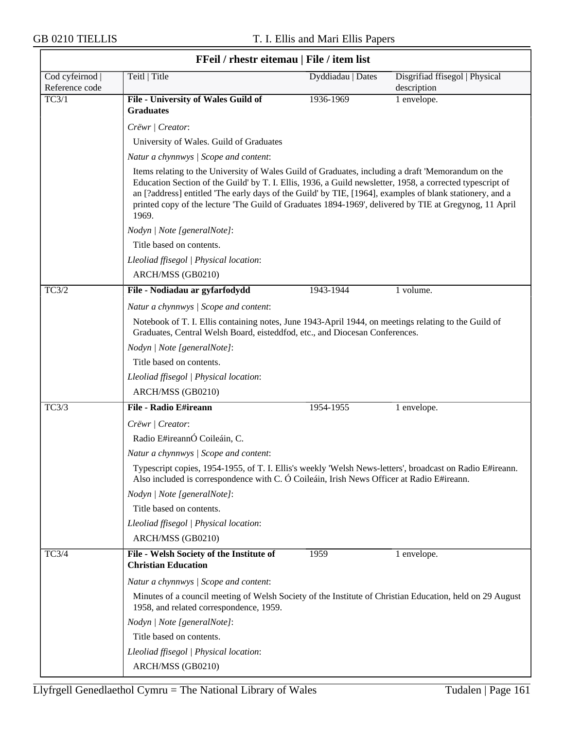$\overline{\phantom{0}}$ 

|                                 | FFeil / rhestr eitemau   File / item list                                                                                                                                                             |                                                                                                                                                                                                                                                                                                                                                                                                                                       |                                               |  |
|---------------------------------|-------------------------------------------------------------------------------------------------------------------------------------------------------------------------------------------------------|---------------------------------------------------------------------------------------------------------------------------------------------------------------------------------------------------------------------------------------------------------------------------------------------------------------------------------------------------------------------------------------------------------------------------------------|-----------------------------------------------|--|
| Cod cyfeirnod<br>Reference code | Teitl   Title                                                                                                                                                                                         | Dyddiadau   Dates                                                                                                                                                                                                                                                                                                                                                                                                                     | Disgrifiad ffisegol   Physical<br>description |  |
| TC3/1                           | File - University of Wales Guild of<br><b>Graduates</b>                                                                                                                                               | 1936-1969                                                                                                                                                                                                                                                                                                                                                                                                                             | 1 envelope.                                   |  |
|                                 | Crëwr   Creator:                                                                                                                                                                                      |                                                                                                                                                                                                                                                                                                                                                                                                                                       |                                               |  |
|                                 | University of Wales. Guild of Graduates                                                                                                                                                               |                                                                                                                                                                                                                                                                                                                                                                                                                                       |                                               |  |
|                                 | Natur a chynnwys / Scope and content:                                                                                                                                                                 |                                                                                                                                                                                                                                                                                                                                                                                                                                       |                                               |  |
|                                 | 1969.                                                                                                                                                                                                 | Items relating to the University of Wales Guild of Graduates, including a draft 'Memorandum on the<br>Education Section of the Guild' by T. I. Ellis, 1936, a Guild newsletter, 1958, a corrected typescript of<br>an [?address] entitled 'The early days of the Guild' by TIE, [1964], examples of blank stationery, and a<br>printed copy of the lecture 'The Guild of Graduates 1894-1969', delivered by TIE at Gregynog, 11 April |                                               |  |
|                                 | Nodyn   Note [generalNote]:                                                                                                                                                                           |                                                                                                                                                                                                                                                                                                                                                                                                                                       |                                               |  |
|                                 | Title based on contents.                                                                                                                                                                              |                                                                                                                                                                                                                                                                                                                                                                                                                                       |                                               |  |
|                                 | Lleoliad ffisegol   Physical location:                                                                                                                                                                |                                                                                                                                                                                                                                                                                                                                                                                                                                       |                                               |  |
|                                 | ARCH/MSS (GB0210)                                                                                                                                                                                     |                                                                                                                                                                                                                                                                                                                                                                                                                                       |                                               |  |
| TC3/2                           | File - Nodiadau ar gyfarfodydd                                                                                                                                                                        | 1943-1944                                                                                                                                                                                                                                                                                                                                                                                                                             | 1 volume.                                     |  |
|                                 | Natur a chynnwys / Scope and content:                                                                                                                                                                 |                                                                                                                                                                                                                                                                                                                                                                                                                                       |                                               |  |
|                                 | Notebook of T. I. Ellis containing notes, June 1943-April 1944, on meetings relating to the Guild of<br>Graduates, Central Welsh Board, eisteddfod, etc., and Diocesan Conferences.                   |                                                                                                                                                                                                                                                                                                                                                                                                                                       |                                               |  |
|                                 | Nodyn   Note [generalNote]:                                                                                                                                                                           |                                                                                                                                                                                                                                                                                                                                                                                                                                       |                                               |  |
|                                 | Title based on contents.                                                                                                                                                                              |                                                                                                                                                                                                                                                                                                                                                                                                                                       |                                               |  |
|                                 | Lleoliad ffisegol   Physical location:                                                                                                                                                                |                                                                                                                                                                                                                                                                                                                                                                                                                                       |                                               |  |
|                                 | ARCH/MSS (GB0210)                                                                                                                                                                                     |                                                                                                                                                                                                                                                                                                                                                                                                                                       |                                               |  |
| TC3/3                           | File - Radio E#ireann                                                                                                                                                                                 | 1954-1955                                                                                                                                                                                                                                                                                                                                                                                                                             | 1 envelope.                                   |  |
|                                 | Crëwr   Creator:                                                                                                                                                                                      |                                                                                                                                                                                                                                                                                                                                                                                                                                       |                                               |  |
|                                 | Radio E#ireannÓ Coileáin, C.                                                                                                                                                                          |                                                                                                                                                                                                                                                                                                                                                                                                                                       |                                               |  |
|                                 | Natur a chynnwys / Scope and content:                                                                                                                                                                 |                                                                                                                                                                                                                                                                                                                                                                                                                                       |                                               |  |
|                                 | Typescript copies, 1954-1955, of T. I. Ellis's weekly 'Welsh News-letters', broadcast on Radio E#ireann.<br>Also included is correspondence with C. O Coileáin, Irish News Officer at Radio E#ireann. |                                                                                                                                                                                                                                                                                                                                                                                                                                       |                                               |  |
|                                 | Nodyn   Note [generalNote]:                                                                                                                                                                           |                                                                                                                                                                                                                                                                                                                                                                                                                                       |                                               |  |
|                                 | Title based on contents.                                                                                                                                                                              |                                                                                                                                                                                                                                                                                                                                                                                                                                       |                                               |  |
|                                 | Lleoliad ffisegol   Physical location:                                                                                                                                                                |                                                                                                                                                                                                                                                                                                                                                                                                                                       |                                               |  |
|                                 | ARCH/MSS (GB0210)                                                                                                                                                                                     |                                                                                                                                                                                                                                                                                                                                                                                                                                       |                                               |  |
| TC3/4                           | File - Welsh Society of the Institute of<br><b>Christian Education</b>                                                                                                                                | 1959                                                                                                                                                                                                                                                                                                                                                                                                                                  | 1 envelope.                                   |  |
|                                 | Natur a chynnwys / Scope and content:                                                                                                                                                                 |                                                                                                                                                                                                                                                                                                                                                                                                                                       |                                               |  |
|                                 | Minutes of a council meeting of Welsh Society of the Institute of Christian Education, held on 29 August<br>1958, and related correspondence, 1959.                                                   |                                                                                                                                                                                                                                                                                                                                                                                                                                       |                                               |  |
|                                 | Nodyn   Note [generalNote]:                                                                                                                                                                           |                                                                                                                                                                                                                                                                                                                                                                                                                                       |                                               |  |
|                                 | Title based on contents.                                                                                                                                                                              |                                                                                                                                                                                                                                                                                                                                                                                                                                       |                                               |  |
|                                 | Lleoliad ffisegol   Physical location:                                                                                                                                                                |                                                                                                                                                                                                                                                                                                                                                                                                                                       |                                               |  |
|                                 | ARCH/MSS (GB0210)                                                                                                                                                                                     |                                                                                                                                                                                                                                                                                                                                                                                                                                       |                                               |  |

٦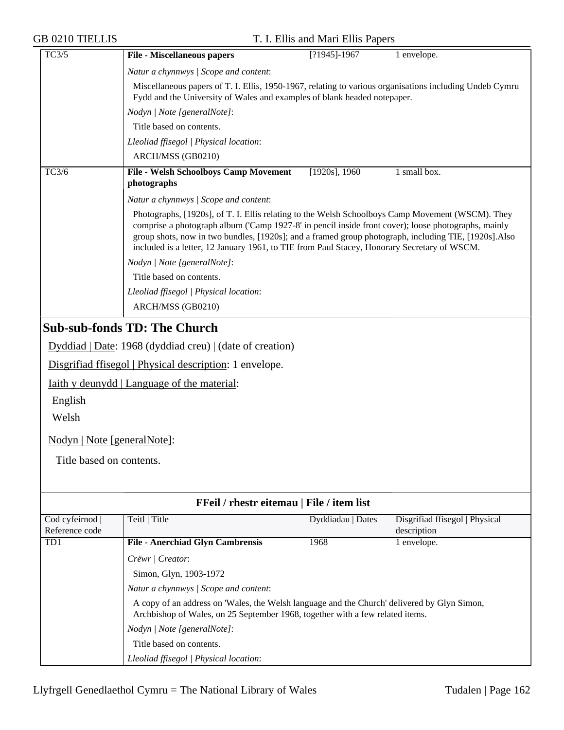| <b>GB 0210 TIELLIS</b>                                                              |                                                                                                                                                                                                                                                                                                                                                                                                                 | T. I. Ellis and Mari Ellis Papers         |                                               |  |
|-------------------------------------------------------------------------------------|-----------------------------------------------------------------------------------------------------------------------------------------------------------------------------------------------------------------------------------------------------------------------------------------------------------------------------------------------------------------------------------------------------------------|-------------------------------------------|-----------------------------------------------|--|
| TC3/5                                                                               | <b>File - Miscellaneous papers</b>                                                                                                                                                                                                                                                                                                                                                                              | $[?1945] - 1967$                          | 1 envelope.                                   |  |
|                                                                                     | Natur a chynnwys / Scope and content:                                                                                                                                                                                                                                                                                                                                                                           |                                           |                                               |  |
|                                                                                     | Miscellaneous papers of T. I. Ellis, 1950-1967, relating to various organisations including Undeb Cymru<br>Fydd and the University of Wales and examples of blank headed notepaper.                                                                                                                                                                                                                             |                                           |                                               |  |
|                                                                                     | Nodyn   Note [generalNote]:                                                                                                                                                                                                                                                                                                                                                                                     |                                           |                                               |  |
|                                                                                     | Title based on contents.                                                                                                                                                                                                                                                                                                                                                                                        |                                           |                                               |  |
|                                                                                     | Lleoliad ffisegol   Physical location:                                                                                                                                                                                                                                                                                                                                                                          |                                           |                                               |  |
|                                                                                     | ARCH/MSS (GB0210)                                                                                                                                                                                                                                                                                                                                                                                               |                                           |                                               |  |
| TC3/6                                                                               | <b>File - Welsh Schoolboys Camp Movement</b><br>photographs                                                                                                                                                                                                                                                                                                                                                     | $[1920s]$ , 1960                          | 1 small box.                                  |  |
|                                                                                     | Natur a chynnwys / Scope and content:                                                                                                                                                                                                                                                                                                                                                                           |                                           |                                               |  |
|                                                                                     | Photographs, [1920s], of T. I. Ellis relating to the Welsh Schoolboys Camp Movement (WSCM). They<br>comprise a photograph album ('Camp 1927-8' in pencil inside front cover); loose photographs, mainly<br>group shots, now in two bundles, [1920s]; and a framed group photograph, including TIE, [1920s]. Also<br>included is a letter, 12 January 1961, to TIE from Paul Stacey, Honorary Secretary of WSCM. |                                           |                                               |  |
|                                                                                     | Nodyn   Note [generalNote]:                                                                                                                                                                                                                                                                                                                                                                                     |                                           |                                               |  |
|                                                                                     | Title based on contents.                                                                                                                                                                                                                                                                                                                                                                                        |                                           |                                               |  |
|                                                                                     | Lleoliad ffisegol   Physical location:                                                                                                                                                                                                                                                                                                                                                                          |                                           |                                               |  |
|                                                                                     | ARCH/MSS (GB0210)                                                                                                                                                                                                                                                                                                                                                                                               |                                           |                                               |  |
| English<br>Welsh<br><u>Nodyn   Note [generalNote]</u> :<br>Title based on contents. | Disgrifiad ffisegol   Physical description: 1 envelope.<br><u>Iaith y deunydd   Language of the material:</u>                                                                                                                                                                                                                                                                                                   |                                           |                                               |  |
|                                                                                     |                                                                                                                                                                                                                                                                                                                                                                                                                 | FFeil / rhestr eitemau   File / item list |                                               |  |
| Cod cyfeirnod<br>Reference code                                                     | Teitl   Title                                                                                                                                                                                                                                                                                                                                                                                                   | Dyddiadau   Dates                         | Disgrifiad ffisegol   Physical<br>description |  |
| TD1                                                                                 | <b>File - Anerchiad Glyn Cambrensis</b>                                                                                                                                                                                                                                                                                                                                                                         | 1968                                      | 1 envelope.                                   |  |
|                                                                                     | Crëwr   Creator:                                                                                                                                                                                                                                                                                                                                                                                                |                                           |                                               |  |
|                                                                                     | Simon, Glyn, 1903-1972                                                                                                                                                                                                                                                                                                                                                                                          |                                           |                                               |  |
|                                                                                     | Natur a chynnwys / Scope and content:                                                                                                                                                                                                                                                                                                                                                                           |                                           |                                               |  |
|                                                                                     | A copy of an address on 'Wales, the Welsh language and the Church' delivered by Glyn Simon,<br>Archbishop of Wales, on 25 September 1968, together with a few related items.                                                                                                                                                                                                                                    |                                           |                                               |  |
|                                                                                     | Nodyn   Note [generalNote]:                                                                                                                                                                                                                                                                                                                                                                                     |                                           |                                               |  |
|                                                                                     | Title based on contents.                                                                                                                                                                                                                                                                                                                                                                                        |                                           |                                               |  |
|                                                                                     | Lleoliad ffisegol   Physical location:                                                                                                                                                                                                                                                                                                                                                                          |                                           |                                               |  |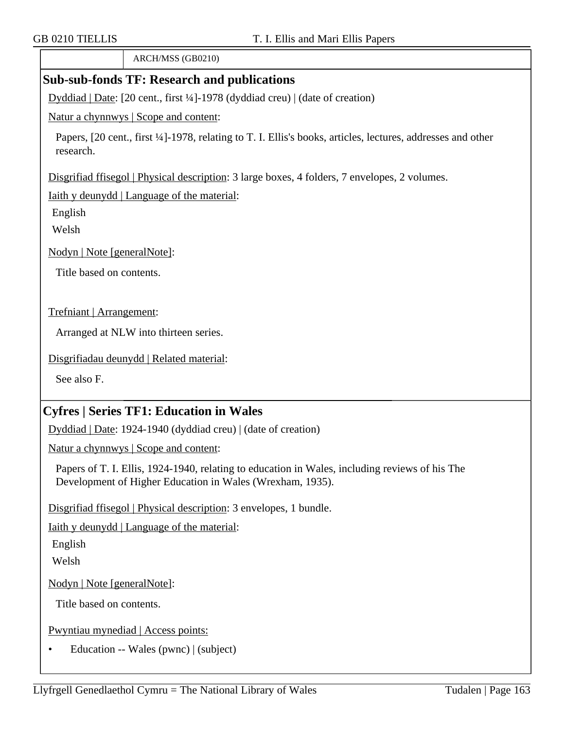ARCH/MSS (GB0210)

# **Sub-sub-fonds TF: Research and publications**

Dyddiad | Date: [20 cent., first ¼]-1978 (dyddiad creu) | (date of creation)

Natur a chynnwys | Scope and content:

Papers, [20 cent., first ¼]-1978, relating to T. I. Ellis's books, articles, lectures, addresses and other research.

Disgrifiad ffisegol | Physical description: 3 large boxes, 4 folders, 7 envelopes, 2 volumes.

Iaith y deunydd | Language of the material:

English

Welsh

Nodyn | Note [generalNote]:

Title based on contents.

Trefniant | Arrangement:

Arranged at NLW into thirteen series.

Disgrifiadau deunydd | Related material:

See also F.

# **Cyfres | Series TF1: Education in Wales**

Dyddiad | Date: 1924-1940 (dyddiad creu) | (date of creation)

Natur a chynnwys | Scope and content:

Papers of T. I. Ellis, 1924-1940, relating to education in Wales, including reviews of his The Development of Higher Education in Wales (Wrexham, 1935).

Disgrifiad ffisegol | Physical description: 3 envelopes, 1 bundle.

Iaith y deunydd | Language of the material:

English

Welsh

Nodyn | Note [generalNote]:

Title based on contents.

Pwyntiau mynediad | Access points:

• Education -- Wales (pwnc) | (subject)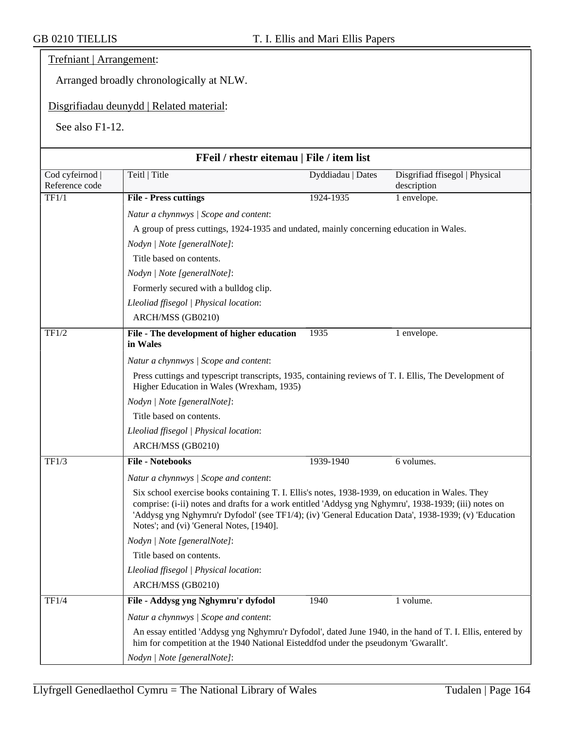## Trefniant | Arrangement:

Arranged broadly chronologically at NLW.

## Disgrifiadau deunydd | Related material:

See also F1-12.

|                                 | FFeil / rhestr eitemau   File / item list                                                                                                                                                                                                                                                                                                                     |                   |                                               |
|---------------------------------|---------------------------------------------------------------------------------------------------------------------------------------------------------------------------------------------------------------------------------------------------------------------------------------------------------------------------------------------------------------|-------------------|-----------------------------------------------|
| Cod cyfeirnod<br>Reference code | Teitl   Title                                                                                                                                                                                                                                                                                                                                                 | Dyddiadau   Dates | Disgrifiad ffisegol   Physical<br>description |
| TF1/1                           | <b>File - Press cuttings</b>                                                                                                                                                                                                                                                                                                                                  | 1924-1935         | 1 envelope.                                   |
|                                 | Natur a chynnwys / Scope and content:                                                                                                                                                                                                                                                                                                                         |                   |                                               |
|                                 | A group of press cuttings, 1924-1935 and undated, mainly concerning education in Wales.                                                                                                                                                                                                                                                                       |                   |                                               |
|                                 | Nodyn   Note [generalNote]:                                                                                                                                                                                                                                                                                                                                   |                   |                                               |
|                                 | Title based on contents.                                                                                                                                                                                                                                                                                                                                      |                   |                                               |
|                                 | Nodyn   Note [generalNote]:                                                                                                                                                                                                                                                                                                                                   |                   |                                               |
|                                 | Formerly secured with a bulldog clip.                                                                                                                                                                                                                                                                                                                         |                   |                                               |
|                                 | Lleoliad ffisegol   Physical location:                                                                                                                                                                                                                                                                                                                        |                   |                                               |
|                                 | ARCH/MSS (GB0210)                                                                                                                                                                                                                                                                                                                                             |                   |                                               |
| TF1/2                           | File - The development of higher education<br>in Wales                                                                                                                                                                                                                                                                                                        | 1935              | 1 envelope.                                   |
|                                 | Natur a chynnwys / Scope and content:                                                                                                                                                                                                                                                                                                                         |                   |                                               |
|                                 | Press cuttings and typescript transcripts, 1935, containing reviews of T. I. Ellis, The Development of<br>Higher Education in Wales (Wrexham, 1935)                                                                                                                                                                                                           |                   |                                               |
|                                 | Nodyn   Note [generalNote]:                                                                                                                                                                                                                                                                                                                                   |                   |                                               |
|                                 | Title based on contents.                                                                                                                                                                                                                                                                                                                                      |                   |                                               |
|                                 | Lleoliad ffisegol   Physical location:                                                                                                                                                                                                                                                                                                                        |                   |                                               |
|                                 | ARCH/MSS (GB0210)                                                                                                                                                                                                                                                                                                                                             |                   |                                               |
| TF1/3                           | <b>File - Notebooks</b>                                                                                                                                                                                                                                                                                                                                       | 1939-1940         | 6 volumes.                                    |
|                                 | Natur a chynnwys / Scope and content:                                                                                                                                                                                                                                                                                                                         |                   |                                               |
|                                 | Six school exercise books containing T. I. Ellis's notes, 1938-1939, on education in Wales. They<br>comprise: (i-ii) notes and drafts for a work entitled 'Addysg yng Nghymru', 1938-1939; (iii) notes on<br>'Addysg yng Nghymru'r Dyfodol' (see TF1/4); (iv) 'General Education Data', 1938-1939; (v) 'Education<br>Notes'; and (vi) 'General Notes, [1940]. |                   |                                               |
|                                 | Nodyn   Note [generalNote]:                                                                                                                                                                                                                                                                                                                                   |                   |                                               |
|                                 | Title based on contents.                                                                                                                                                                                                                                                                                                                                      |                   |                                               |
|                                 | Lleoliad ffisegol   Physical location:                                                                                                                                                                                                                                                                                                                        |                   |                                               |
|                                 | ARCH/MSS (GB0210)                                                                                                                                                                                                                                                                                                                                             |                   |                                               |
| TF1/4                           | File - Addysg yng Nghymru'r dyfodol                                                                                                                                                                                                                                                                                                                           | 1940              | 1 volume.                                     |
|                                 | Natur a chynnwys / Scope and content:                                                                                                                                                                                                                                                                                                                         |                   |                                               |
|                                 | An essay entitled 'Addysg yng Nghymru'r Dyfodol', dated June 1940, in the hand of T. I. Ellis, entered by<br>him for competition at the 1940 National Eisteddfod under the pseudonym 'Gwarallt'.                                                                                                                                                              |                   |                                               |
|                                 | Nodyn   Note [generalNote]:                                                                                                                                                                                                                                                                                                                                   |                   |                                               |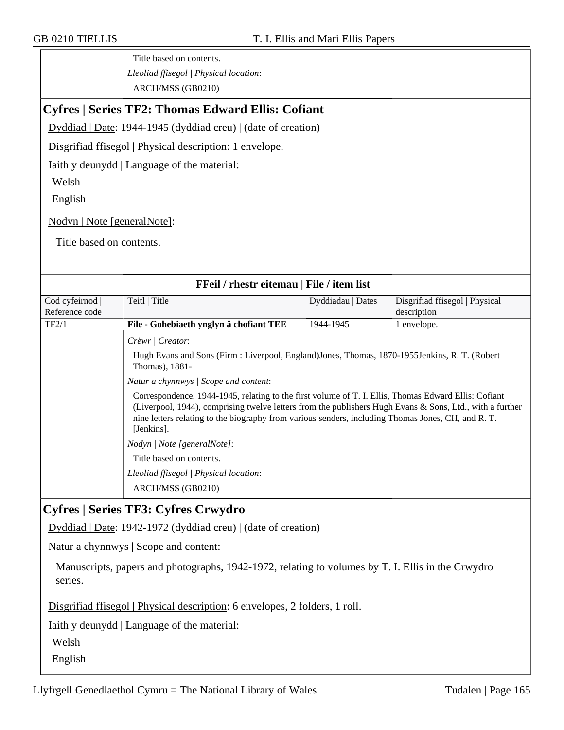Title based on contents. *Lleoliad ffisegol | Physical location*: ARCH/MSS (GB0210)

# **Cyfres | Series TF2: Thomas Edward Ellis: Cofiant**

Dyddiad | Date: 1944-1945 (dyddiad creu) | (date of creation)

Disgrifiad ffisegol | Physical description: 1 envelope.

Iaith y deunydd | Language of the material:

Welsh

English

Nodyn | Note [generalNote]:

Title based on contents.

| FFeil / rhestr eitemau   File / item list |                                                                                                                   |                                                                                                                                                                                                                                                                                                                        |                                |  |
|-------------------------------------------|-------------------------------------------------------------------------------------------------------------------|------------------------------------------------------------------------------------------------------------------------------------------------------------------------------------------------------------------------------------------------------------------------------------------------------------------------|--------------------------------|--|
| Cod cyfeirnod                             | Teitl   Title                                                                                                     | Dyddiadau   Dates                                                                                                                                                                                                                                                                                                      | Disgrifiad ffisegol   Physical |  |
| Reference code                            |                                                                                                                   |                                                                                                                                                                                                                                                                                                                        | description                    |  |
| TF2/1                                     | File - Gohebiaeth ynglyn â chofiant TEE                                                                           | 1944-1945                                                                                                                                                                                                                                                                                                              | 1 envelope.                    |  |
|                                           | Crëwr   Creator:                                                                                                  |                                                                                                                                                                                                                                                                                                                        |                                |  |
|                                           | Hugh Evans and Sons (Firm : Liverpool, England) Jones, Thomas, 1870-1955 Jenkins, R. T. (Robert<br>Thomas), 1881- |                                                                                                                                                                                                                                                                                                                        |                                |  |
|                                           | Natur a chynnwys / Scope and content:                                                                             |                                                                                                                                                                                                                                                                                                                        |                                |  |
|                                           | [Jenkins].                                                                                                        | Correspondence, 1944-1945, relating to the first volume of T. I. Ellis, Thomas Edward Ellis: Cofiant<br>(Liverpool, 1944), comprising twelve letters from the publishers Hugh Evans & Sons, Ltd., with a further<br>nine letters relating to the biography from various senders, including Thomas Jones, CH, and R. T. |                                |  |
|                                           | Nodyn / Note [generalNote]:                                                                                       |                                                                                                                                                                                                                                                                                                                        |                                |  |
|                                           | Title based on contents.                                                                                          |                                                                                                                                                                                                                                                                                                                        |                                |  |
|                                           | Lleoliad ffisegol   Physical location:                                                                            |                                                                                                                                                                                                                                                                                                                        |                                |  |
|                                           | ARCH/MSS (GB0210)                                                                                                 |                                                                                                                                                                                                                                                                                                                        |                                |  |
|                                           | Cyfros   Sarias TF3, Cyfros Crwydro                                                                               |                                                                                                                                                                                                                                                                                                                        |                                |  |

**Cyfres | Series TF3: Cyfres Crwydro**

Dyddiad | Date: 1942-1972 (dyddiad creu) | (date of creation)

Natur a chynnwys | Scope and content:

Manuscripts, papers and photographs, 1942-1972, relating to volumes by T. I. Ellis in the Crwydro series.

Disgrifiad ffisegol | Physical description: 6 envelopes, 2 folders, 1 roll.

Iaith y deunydd | Language of the material:

Welsh

English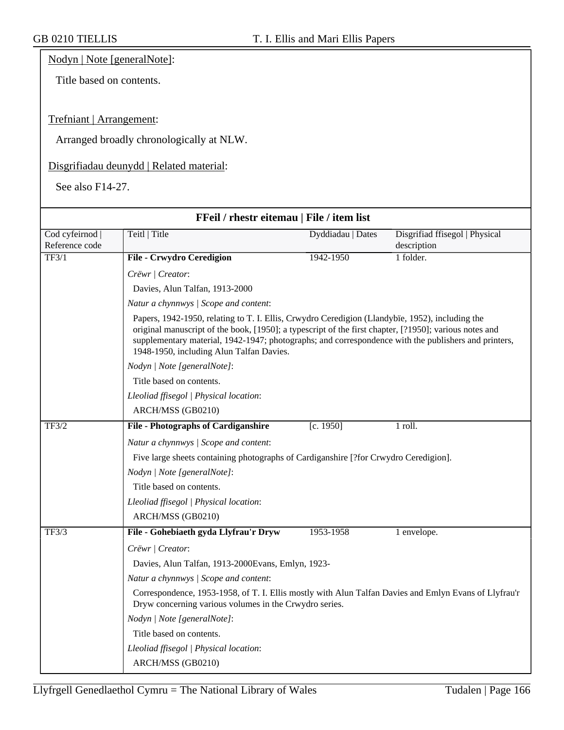Nodyn | Note [generalNote]:

Title based on contents.

## Trefniant | Arrangement:

Arranged broadly chronologically at NLW.

## Disgrifiadau deunydd | Related material:

See also F14-27.

| FFeil / rhestr eitemau   File / item list |                                                                                                                                                                                                                                                                                                                                                               |                   |                                |  |
|-------------------------------------------|---------------------------------------------------------------------------------------------------------------------------------------------------------------------------------------------------------------------------------------------------------------------------------------------------------------------------------------------------------------|-------------------|--------------------------------|--|
| Cod cyfeirnod                             | Teitl   Title                                                                                                                                                                                                                                                                                                                                                 | Dyddiadau   Dates | Disgrifiad ffisegol   Physical |  |
| Reference code                            |                                                                                                                                                                                                                                                                                                                                                               |                   | description                    |  |
| TF3/1                                     | <b>File - Crwydro Ceredigion</b>                                                                                                                                                                                                                                                                                                                              | 1942-1950         | 1 folder.                      |  |
|                                           | Crëwr   Creator:                                                                                                                                                                                                                                                                                                                                              |                   |                                |  |
|                                           | Davies, Alun Talfan, 1913-2000                                                                                                                                                                                                                                                                                                                                |                   |                                |  |
|                                           | Natur a chynnwys / Scope and content:                                                                                                                                                                                                                                                                                                                         |                   |                                |  |
|                                           | Papers, 1942-1950, relating to T. I. Ellis, Crwydro Ceredigion (Llandybïe, 1952), including the<br>original manuscript of the book, [1950]; a typescript of the first chapter, [?1950]; various notes and<br>supplementary material, 1942-1947; photographs; and correspondence with the publishers and printers,<br>1948-1950, including Alun Talfan Davies. |                   |                                |  |
|                                           | Nodyn   Note [generalNote]:                                                                                                                                                                                                                                                                                                                                   |                   |                                |  |
|                                           | Title based on contents.                                                                                                                                                                                                                                                                                                                                      |                   |                                |  |
|                                           | Lleoliad ffisegol   Physical location:                                                                                                                                                                                                                                                                                                                        |                   |                                |  |
|                                           | ARCH/MSS (GB0210)                                                                                                                                                                                                                                                                                                                                             |                   |                                |  |
| TF3/2                                     | <b>File - Photographs of Cardiganshire</b>                                                                                                                                                                                                                                                                                                                    | [c. 1950]         | 1 roll.                        |  |
|                                           | Natur a chynnwys / Scope and content:                                                                                                                                                                                                                                                                                                                         |                   |                                |  |
|                                           | Five large sheets containing photographs of Cardiganshire [?for Crwydro Ceredigion].                                                                                                                                                                                                                                                                          |                   |                                |  |
|                                           | Nodyn   Note [generalNote]:                                                                                                                                                                                                                                                                                                                                   |                   |                                |  |
|                                           | Title based on contents.                                                                                                                                                                                                                                                                                                                                      |                   |                                |  |
|                                           | Lleoliad ffisegol   Physical location:                                                                                                                                                                                                                                                                                                                        |                   |                                |  |
|                                           | ARCH/MSS (GB0210)                                                                                                                                                                                                                                                                                                                                             |                   |                                |  |
| TF3/3                                     | File - Gohebiaeth gyda Llyfrau'r Dryw                                                                                                                                                                                                                                                                                                                         | 1953-1958         | 1 envelope.                    |  |
|                                           | Crëwr   Creator:                                                                                                                                                                                                                                                                                                                                              |                   |                                |  |
|                                           | Davies, Alun Talfan, 1913-2000Evans, Emlyn, 1923-                                                                                                                                                                                                                                                                                                             |                   |                                |  |
|                                           | Natur a chynnwys / Scope and content:                                                                                                                                                                                                                                                                                                                         |                   |                                |  |
|                                           | Correspondence, 1953-1958, of T. I. Ellis mostly with Alun Talfan Davies and Emlyn Evans of Llyfrau'r<br>Dryw concerning various volumes in the Crwydro series.                                                                                                                                                                                               |                   |                                |  |
|                                           | Nodyn   Note [generalNote]:                                                                                                                                                                                                                                                                                                                                   |                   |                                |  |
|                                           | Title based on contents.                                                                                                                                                                                                                                                                                                                                      |                   |                                |  |
|                                           | Lleoliad ffisegol   Physical location:                                                                                                                                                                                                                                                                                                                        |                   |                                |  |
|                                           | ARCH/MSS (GB0210)                                                                                                                                                                                                                                                                                                                                             |                   |                                |  |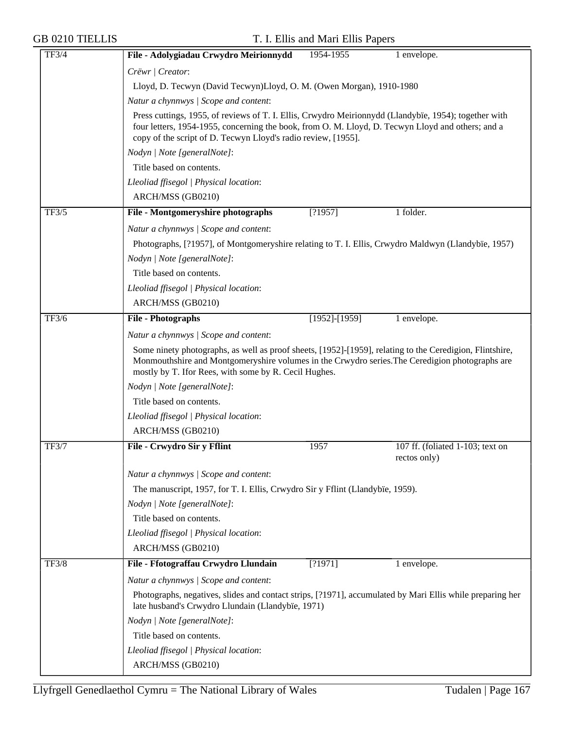| <b>TF3/4</b> | File - Adolygiadau Crwydro Meirionnydd                                                                                                                         | 1954-1955                                                                                                                                                                                                                                                                   | 1 envelope.                                      |  |  |  |
|--------------|----------------------------------------------------------------------------------------------------------------------------------------------------------------|-----------------------------------------------------------------------------------------------------------------------------------------------------------------------------------------------------------------------------------------------------------------------------|--------------------------------------------------|--|--|--|
|              | Crëwr   Creator:                                                                                                                                               |                                                                                                                                                                                                                                                                             |                                                  |  |  |  |
|              | Lloyd, D. Tecwyn (David Tecwyn)Lloyd, O. M. (Owen Morgan), 1910-1980                                                                                           |                                                                                                                                                                                                                                                                             |                                                  |  |  |  |
|              | Natur a chynnwys / Scope and content:                                                                                                                          | Press cuttings, 1955, of reviews of T. I. Ellis, Crwydro Meirionnydd (Llandybïe, 1954); together with<br>four letters, 1954-1955, concerning the book, from O. M. Lloyd, D. Tecwyn Lloyd and others; and a<br>copy of the script of D. Tecwyn Lloyd's radio review, [1955]. |                                                  |  |  |  |
|              |                                                                                                                                                                |                                                                                                                                                                                                                                                                             |                                                  |  |  |  |
|              | Nodyn   Note [generalNote]:                                                                                                                                    |                                                                                                                                                                                                                                                                             |                                                  |  |  |  |
|              | Title based on contents.                                                                                                                                       |                                                                                                                                                                                                                                                                             |                                                  |  |  |  |
|              | Lleoliad ffisegol   Physical location:                                                                                                                         |                                                                                                                                                                                                                                                                             |                                                  |  |  |  |
|              | ARCH/MSS (GB0210)                                                                                                                                              |                                                                                                                                                                                                                                                                             |                                                  |  |  |  |
| TF3/5        | File - Montgomeryshire photographs                                                                                                                             | [?1957]                                                                                                                                                                                                                                                                     | 1 folder.                                        |  |  |  |
|              | Natur a chynnwys / Scope and content:                                                                                                                          |                                                                                                                                                                                                                                                                             |                                                  |  |  |  |
|              | Photographs, [?1957], of Montgomeryshire relating to T. I. Ellis, Crwydro Maldwyn (Llandybïe, 1957)                                                            |                                                                                                                                                                                                                                                                             |                                                  |  |  |  |
|              | Nodyn   Note [generalNote]:                                                                                                                                    |                                                                                                                                                                                                                                                                             |                                                  |  |  |  |
|              | Title based on contents.                                                                                                                                       |                                                                                                                                                                                                                                                                             |                                                  |  |  |  |
|              | Lleoliad ffisegol   Physical location:                                                                                                                         |                                                                                                                                                                                                                                                                             |                                                  |  |  |  |
|              | ARCH/MSS (GB0210)                                                                                                                                              |                                                                                                                                                                                                                                                                             |                                                  |  |  |  |
| TF3/6        | <b>File - Photographs</b>                                                                                                                                      | $[1952]$ - $[1959]$                                                                                                                                                                                                                                                         | 1 envelope.                                      |  |  |  |
|              | Natur a chynnwys / Scope and content:                                                                                                                          |                                                                                                                                                                                                                                                                             |                                                  |  |  |  |
|              |                                                                                                                                                                | Some ninety photographs, as well as proof sheets, [1952]-[1959], relating to the Ceredigion, Flintshire,<br>Monmouthshire and Montgomeryshire volumes in the Crwydro series. The Ceredigion photographs are<br>mostly by T. Ifor Rees, with some by R. Cecil Hughes.        |                                                  |  |  |  |
|              | Nodyn   Note [generalNote]:                                                                                                                                    |                                                                                                                                                                                                                                                                             |                                                  |  |  |  |
|              | Title based on contents.                                                                                                                                       |                                                                                                                                                                                                                                                                             |                                                  |  |  |  |
|              | Lleoliad ffisegol   Physical location:                                                                                                                         |                                                                                                                                                                                                                                                                             |                                                  |  |  |  |
|              | ARCH/MSS (GB0210)                                                                                                                                              |                                                                                                                                                                                                                                                                             |                                                  |  |  |  |
| <b>TF3/7</b> | File - Crwydro Sir y Fflint                                                                                                                                    | 1957                                                                                                                                                                                                                                                                        | 107 ff. (foliated 1-103; text on<br>rectos only) |  |  |  |
|              | Natur a chynnwys / Scope and content:                                                                                                                          |                                                                                                                                                                                                                                                                             |                                                  |  |  |  |
|              | The manuscript, 1957, for T. I. Ellis, Crwydro Sir y Fflint (Llandybïe, 1959).                                                                                 |                                                                                                                                                                                                                                                                             |                                                  |  |  |  |
|              | Nodyn   Note [generalNote]:                                                                                                                                    |                                                                                                                                                                                                                                                                             |                                                  |  |  |  |
|              | Title based on contents.                                                                                                                                       |                                                                                                                                                                                                                                                                             |                                                  |  |  |  |
|              | Lleoliad ffisegol   Physical location:                                                                                                                         |                                                                                                                                                                                                                                                                             |                                                  |  |  |  |
|              | ARCH/MSS (GB0210)                                                                                                                                              |                                                                                                                                                                                                                                                                             |                                                  |  |  |  |
| <b>TF3/8</b> | File - Ffotograffau Crwydro Llundain                                                                                                                           | [?1971]                                                                                                                                                                                                                                                                     | 1 envelope.                                      |  |  |  |
|              | Natur a chynnwys / Scope and content:                                                                                                                          |                                                                                                                                                                                                                                                                             |                                                  |  |  |  |
|              | Photographs, negatives, slides and contact strips, [?1971], accumulated by Mari Ellis while preparing her<br>late husband's Crwydro Llundain (Llandybïe, 1971) |                                                                                                                                                                                                                                                                             |                                                  |  |  |  |
|              | Nodyn   Note [generalNote]:                                                                                                                                    |                                                                                                                                                                                                                                                                             |                                                  |  |  |  |
|              | Title based on contents.                                                                                                                                       |                                                                                                                                                                                                                                                                             |                                                  |  |  |  |
|              | Lleoliad ffisegol   Physical location:                                                                                                                         |                                                                                                                                                                                                                                                                             |                                                  |  |  |  |
|              | ARCH/MSS (GB0210)                                                                                                                                              |                                                                                                                                                                                                                                                                             |                                                  |  |  |  |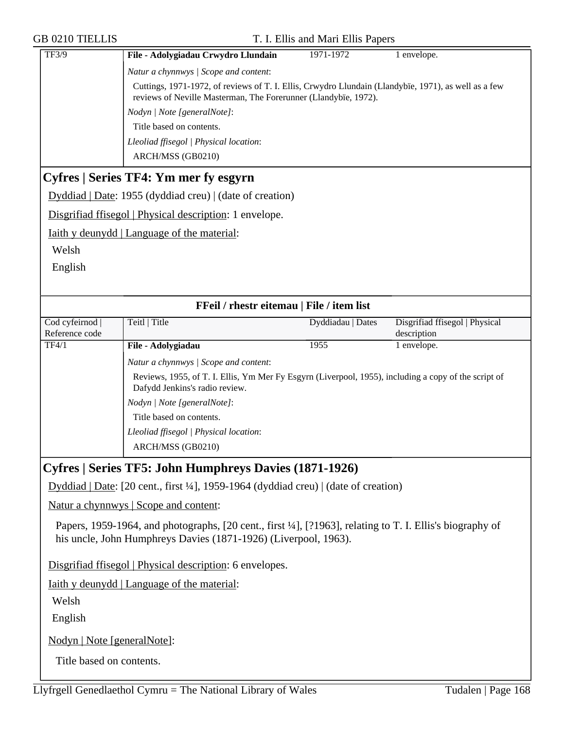| <b>GB 0210 TIELLIS</b>      |                                                                                                                                                                         | T. I. Ellis and Mari Ellis Papers |                                |
|-----------------------------|-------------------------------------------------------------------------------------------------------------------------------------------------------------------------|-----------------------------------|--------------------------------|
| <b>TF3/9</b>                | File - Adolygiadau Crwydro Llundain                                                                                                                                     | 1971-1972                         | 1 envelope.                    |
|                             | Natur a chynnwys / Scope and content:                                                                                                                                   |                                   |                                |
|                             | Cuttings, 1971-1972, of reviews of T. I. Ellis, Crwydro Llundain (Llandybïe, 1971), as well as a few<br>reviews of Neville Masterman, The Forerunner (Llandybïe, 1972). |                                   |                                |
|                             | Nodyn   Note [generalNote]:                                                                                                                                             |                                   |                                |
|                             | Title based on contents.                                                                                                                                                |                                   |                                |
|                             | Lleoliad ffisegol   Physical location:                                                                                                                                  |                                   |                                |
|                             | ARCH/MSS (GB0210)                                                                                                                                                       |                                   |                                |
|                             | Cyfres   Series TF4: Ym mer fy esgyrn                                                                                                                                   |                                   |                                |
|                             | Dyddiad   Date: 1955 (dyddiad creu)   (date of creation)                                                                                                                |                                   |                                |
|                             | Disgrifiad ffisegol   Physical description: 1 envelope.                                                                                                                 |                                   |                                |
|                             | <u>Iaith y deunydd</u>   Language of the material:                                                                                                                      |                                   |                                |
| Welsh                       |                                                                                                                                                                         |                                   |                                |
| English                     |                                                                                                                                                                         |                                   |                                |
|                             |                                                                                                                                                                         |                                   |                                |
|                             | FFeil / rhestr eitemau   File / item list                                                                                                                               |                                   |                                |
| Cod cyfeirnod               | Teitl   Title                                                                                                                                                           | Dyddiadau   Dates                 | Disgrifiad ffisegol   Physical |
| Reference code              |                                                                                                                                                                         |                                   | description                    |
| TF4/1                       | File - Adolygiadau                                                                                                                                                      | 1955                              | 1 envelope.                    |
|                             | Natur a chynnwys / Scope and content:                                                                                                                                   |                                   |                                |
|                             | Reviews, 1955, of T. I. Ellis, Ym Mer Fy Esgyrn (Liverpool, 1955), including a copy of the script of<br>Dafydd Jenkins's radio review.                                  |                                   |                                |
|                             | Nodyn   Note [generalNote]:                                                                                                                                             |                                   |                                |
|                             | Title based on contents.                                                                                                                                                |                                   |                                |
|                             | Lleoliad ffisegol   Physical location:                                                                                                                                  |                                   |                                |
|                             | ARCH/MSS (GB0210)                                                                                                                                                       |                                   |                                |
|                             | Cyfres   Series TF5: John Humphreys Davies (1871-1926)                                                                                                                  |                                   |                                |
|                             | Dyddiad   Date: [20 cent., first $\frac{1}{4}$ ], 1959-1964 (dyddiad creu)   (date of creation)                                                                         |                                   |                                |
|                             | Natur a chynnwys   Scope and content:                                                                                                                                   |                                   |                                |
|                             | Papers, 1959-1964, and photographs, [20 cent., first ¼], [?1963], relating to T. I. Ellis's biography of                                                                |                                   |                                |
|                             | his uncle, John Humphreys Davies (1871-1926) (Liverpool, 1963).                                                                                                         |                                   |                                |
|                             |                                                                                                                                                                         |                                   |                                |
|                             | Disgrifiad ffisegol   Physical description: 6 envelopes.                                                                                                                |                                   |                                |
|                             | <b>Iaith y deunydd</b>   Language of the material:                                                                                                                      |                                   |                                |
| Welsh                       |                                                                                                                                                                         |                                   |                                |
| English                     |                                                                                                                                                                         |                                   |                                |
| Nodyn   Note [generalNote]: |                                                                                                                                                                         |                                   |                                |
| Title based on contents.    |                                                                                                                                                                         |                                   |                                |
|                             |                                                                                                                                                                         |                                   |                                |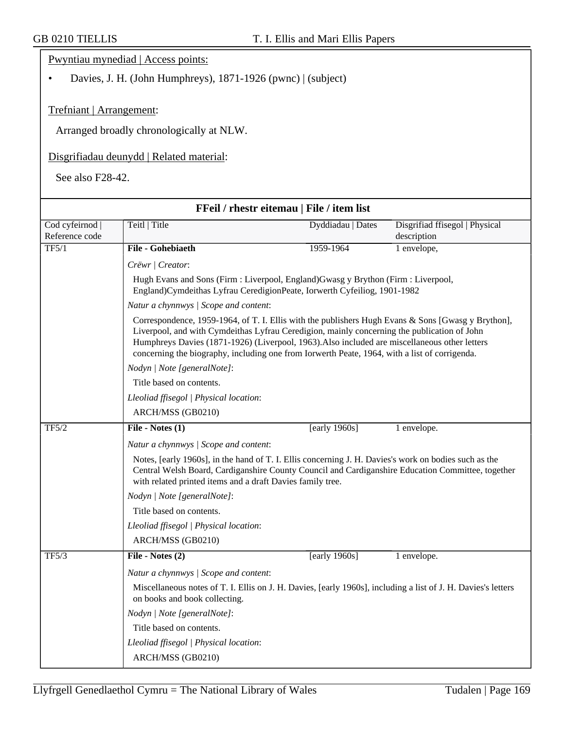Pwyntiau mynediad | Access points:

• Davies, J. H. (John Humphreys), 1871-1926 (pwnc) | (subject)

## Trefniant | Arrangement:

Arranged broadly chronologically at NLW.

## Disgrifiadau deunydd | Related material:

See also F28-42.

| FFeil / rhestr eitemau   File / item list |                                                                                                                                                                                                                                                                                                                                                                                                     |                   |                                |  |  |
|-------------------------------------------|-----------------------------------------------------------------------------------------------------------------------------------------------------------------------------------------------------------------------------------------------------------------------------------------------------------------------------------------------------------------------------------------------------|-------------------|--------------------------------|--|--|
| Cod cyfeirnod                             | Teitl   Title                                                                                                                                                                                                                                                                                                                                                                                       | Dyddiadau   Dates | Disgrifiad ffisegol   Physical |  |  |
| Reference code                            |                                                                                                                                                                                                                                                                                                                                                                                                     |                   | description                    |  |  |
| TF5/1                                     | File - Gohebiaeth                                                                                                                                                                                                                                                                                                                                                                                   | 1959-1964         | 1 envelope,                    |  |  |
|                                           | Crëwr / Creator:                                                                                                                                                                                                                                                                                                                                                                                    |                   |                                |  |  |
|                                           | Hugh Evans and Sons (Firm : Liverpool, England) Gwasg y Brython (Firm : Liverpool,<br>England)Cymdeithas Lyfrau CeredigionPeate, Iorwerth Cyfeiliog, 1901-1982                                                                                                                                                                                                                                      |                   |                                |  |  |
|                                           | Natur a chynnwys / Scope and content:                                                                                                                                                                                                                                                                                                                                                               |                   |                                |  |  |
|                                           | Correspondence, 1959-1964, of T. I. Ellis with the publishers Hugh Evans & Sons [Gwasg y Brython],<br>Liverpool, and with Cymdeithas Lyfrau Ceredigion, mainly concerning the publication of John<br>Humphreys Davies (1871-1926) (Liverpool, 1963). Also included are miscellaneous other letters<br>concerning the biography, including one from Iorwerth Peate, 1964, with a list of corrigenda. |                   |                                |  |  |
|                                           | Nodyn   Note [generalNote]:                                                                                                                                                                                                                                                                                                                                                                         |                   |                                |  |  |
|                                           | Title based on contents.                                                                                                                                                                                                                                                                                                                                                                            |                   |                                |  |  |
|                                           | Lleoliad ffisegol   Physical location:                                                                                                                                                                                                                                                                                                                                                              |                   |                                |  |  |
|                                           | ARCH/MSS (GB0210)                                                                                                                                                                                                                                                                                                                                                                                   |                   |                                |  |  |
| TF5/2                                     | File - Notes $(1)$                                                                                                                                                                                                                                                                                                                                                                                  | [early $1960s$ ]  | 1 envelope.                    |  |  |
|                                           | Natur a chynnwys / Scope and content:                                                                                                                                                                                                                                                                                                                                                               |                   |                                |  |  |
|                                           | Notes, [early 1960s], in the hand of T. I. Ellis concerning J. H. Davies's work on bodies such as the<br>Central Welsh Board, Cardiganshire County Council and Cardiganshire Education Committee, together<br>with related printed items and a draft Davies family tree.                                                                                                                            |                   |                                |  |  |
|                                           | Nodyn   Note [generalNote]:                                                                                                                                                                                                                                                                                                                                                                         |                   |                                |  |  |
|                                           | Title based on contents.                                                                                                                                                                                                                                                                                                                                                                            |                   |                                |  |  |
|                                           | Lleoliad ffisegol   Physical location:                                                                                                                                                                                                                                                                                                                                                              |                   |                                |  |  |
|                                           | ARCH/MSS (GB0210)                                                                                                                                                                                                                                                                                                                                                                                   |                   |                                |  |  |
| TF5/3                                     | File - Notes (2)                                                                                                                                                                                                                                                                                                                                                                                    | [early $1960s$ ]  | 1 envelope.                    |  |  |
|                                           | Natur a chynnwys / Scope and content:                                                                                                                                                                                                                                                                                                                                                               |                   |                                |  |  |
|                                           | Miscellaneous notes of T. I. Ellis on J. H. Davies, [early 1960s], including a list of J. H. Davies's letters<br>on books and book collecting.                                                                                                                                                                                                                                                      |                   |                                |  |  |
|                                           | Nodyn   Note [generalNote]:                                                                                                                                                                                                                                                                                                                                                                         |                   |                                |  |  |
|                                           | Title based on contents.                                                                                                                                                                                                                                                                                                                                                                            |                   |                                |  |  |
|                                           | Lleoliad ffisegol   Physical location:                                                                                                                                                                                                                                                                                                                                                              |                   |                                |  |  |
|                                           | ARCH/MSS (GB0210)                                                                                                                                                                                                                                                                                                                                                                                   |                   |                                |  |  |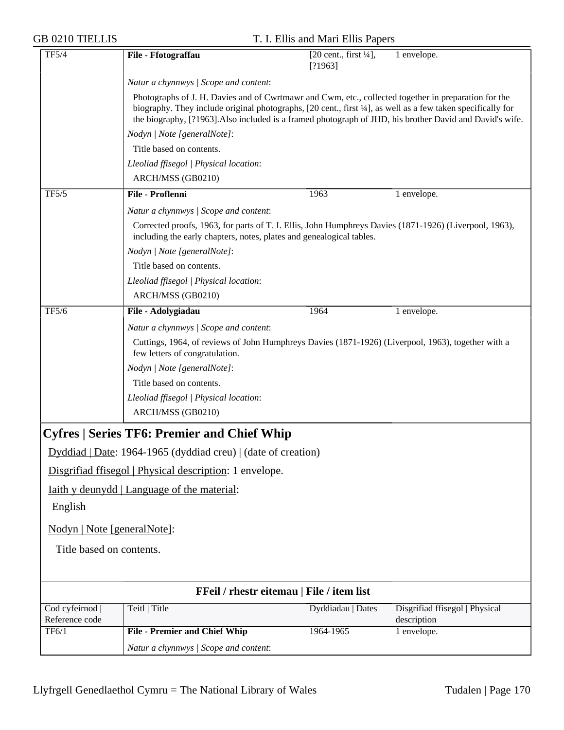|  | <b>GB 0210 TIELLIS</b> |
|--|------------------------|
|  |                        |

| <b>TF5/4</b>                                                    | File - Ffotograffau                                                                                                                                                                                                                                                                                                              | $[20$ cent., first $\frac{1}{4}$ ,<br>[?1963] | 1 envelope.                    |
|-----------------------------------------------------------------|----------------------------------------------------------------------------------------------------------------------------------------------------------------------------------------------------------------------------------------------------------------------------------------------------------------------------------|-----------------------------------------------|--------------------------------|
|                                                                 | Natur a chynnwys / Scope and content:                                                                                                                                                                                                                                                                                            |                                               |                                |
|                                                                 | Photographs of J. H. Davies and of Cwrtmawr and Cwm, etc., collected together in preparation for the<br>biography. They include original photographs, [20 cent., first 1/4], as well as a few taken specifically for<br>the biography, [?1963]. Also included is a framed photograph of JHD, his brother David and David's wife. |                                               |                                |
|                                                                 | Nodyn   Note [generalNote]:                                                                                                                                                                                                                                                                                                      |                                               |                                |
|                                                                 | Title based on contents.                                                                                                                                                                                                                                                                                                         |                                               |                                |
|                                                                 | Lleoliad ffisegol   Physical location:                                                                                                                                                                                                                                                                                           |                                               |                                |
|                                                                 | ARCH/MSS (GB0210)                                                                                                                                                                                                                                                                                                                |                                               |                                |
| TF5/5                                                           | File - Proflenni                                                                                                                                                                                                                                                                                                                 | 1963                                          | 1 envelope.                    |
|                                                                 | Natur a chynnwys / Scope and content:                                                                                                                                                                                                                                                                                            |                                               |                                |
|                                                                 | Corrected proofs, 1963, for parts of T. I. Ellis, John Humphreys Davies (1871-1926) (Liverpool, 1963),<br>including the early chapters, notes, plates and genealogical tables.                                                                                                                                                   |                                               |                                |
|                                                                 | Nodyn   Note [generalNote]:                                                                                                                                                                                                                                                                                                      |                                               |                                |
|                                                                 | Title based on contents.                                                                                                                                                                                                                                                                                                         |                                               |                                |
|                                                                 | Lleoliad ffisegol   Physical location:                                                                                                                                                                                                                                                                                           |                                               |                                |
|                                                                 | ARCH/MSS (GB0210)                                                                                                                                                                                                                                                                                                                |                                               |                                |
| TF5/6                                                           | File - Adolygiadau                                                                                                                                                                                                                                                                                                               | 1964                                          | 1 envelope.                    |
|                                                                 | Natur a chynnwys / Scope and content:                                                                                                                                                                                                                                                                                            |                                               |                                |
|                                                                 | Cuttings, 1964, of reviews of John Humphreys Davies (1871-1926) (Liverpool, 1963), together with a<br>few letters of congratulation.                                                                                                                                                                                             |                                               |                                |
|                                                                 | Nodyn   Note [generalNote]:                                                                                                                                                                                                                                                                                                      |                                               |                                |
|                                                                 | Title based on contents.                                                                                                                                                                                                                                                                                                         |                                               |                                |
|                                                                 | Lleoliad ffisegol   Physical location:                                                                                                                                                                                                                                                                                           |                                               |                                |
|                                                                 | ARCH/MSS (GB0210)                                                                                                                                                                                                                                                                                                                |                                               |                                |
|                                                                 | <b>Cyfres   Series TF6: Premier and Chief Whip</b>                                                                                                                                                                                                                                                                               |                                               |                                |
| $Dyddiad   Date: 1964-1965 (dyddiad creu)   (date of creation)$ |                                                                                                                                                                                                                                                                                                                                  |                                               |                                |
|                                                                 | Disgrifiad ffisegol   Physical description: 1 envelope.                                                                                                                                                                                                                                                                          |                                               |                                |
|                                                                 | <u>Iaith y deunydd</u>   Language of the material:                                                                                                                                                                                                                                                                               |                                               |                                |
| English                                                         |                                                                                                                                                                                                                                                                                                                                  |                                               |                                |
| Nodyn   Note [generalNote]:                                     |                                                                                                                                                                                                                                                                                                                                  |                                               |                                |
| Title based on contents.                                        |                                                                                                                                                                                                                                                                                                                                  |                                               |                                |
|                                                                 |                                                                                                                                                                                                                                                                                                                                  |                                               |                                |
|                                                                 | FFeil / rhestr eitemau   File / item list                                                                                                                                                                                                                                                                                        |                                               |                                |
| Cod cyfeirnod                                                   | Teitl   Title                                                                                                                                                                                                                                                                                                                    | Dyddiadau   Dates                             | Disgrifiad ffisegol   Physical |
| Reference code                                                  |                                                                                                                                                                                                                                                                                                                                  |                                               | description                    |
| TF6/1                                                           | <b>File - Premier and Chief Whip</b>                                                                                                                                                                                                                                                                                             | 1964-1965                                     | 1 envelope.                    |
|                                                                 | Natur a chynnwys / Scope and content:                                                                                                                                                                                                                                                                                            |                                               |                                |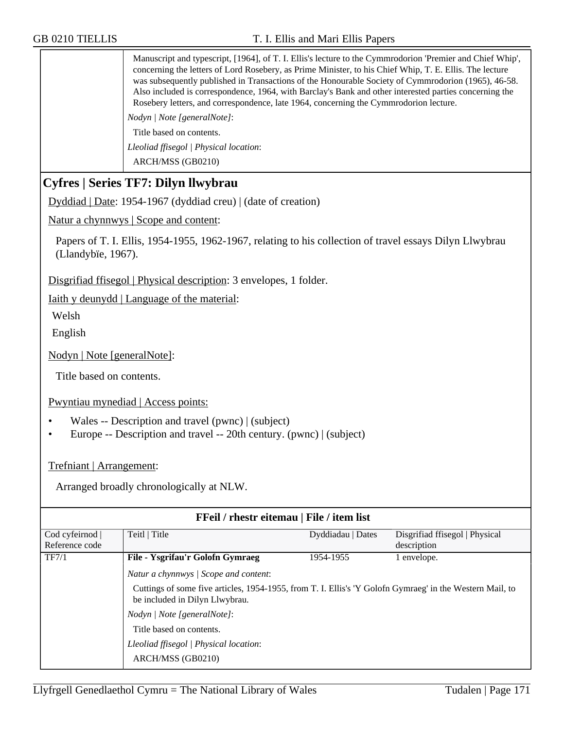Manuscript and typescript, [1964], of T. I. Ellis's lecture to the Cymmrodorion 'Premier and Chief Whip', concerning the letters of Lord Rosebery, as Prime Minister, to his Chief Whip, T. E. Ellis. The lecture was subsequently published in Transactions of the Honourable Society of Cymmrodorion (1965), 46-58. Also included is correspondence, 1964, with Barclay's Bank and other interested parties concerning the Rosebery letters, and correspondence, late 1964, concerning the Cymmrodorion lecture.

*Nodyn | Note [generalNote]*:

Title based on contents.

*Lleoliad ffisegol | Physical location*: ARCH/MSS (GB0210)

# **Cyfres | Series TF7: Dilyn llwybrau**

Dyddiad | Date: 1954-1967 (dyddiad creu) | (date of creation)

Natur a chynnwys | Scope and content:

Papers of T. I. Ellis, 1954-1955, 1962-1967, relating to his collection of travel essays Dilyn Llwybrau (Llandybïe, 1967).

Disgrifiad ffisegol | Physical description: 3 envelopes, 1 folder.

Iaith y deunydd | Language of the material:

Welsh

English

Nodyn | Note [generalNote]:

Title based on contents.

Pwyntiau mynediad | Access points:

- Wales -- Description and travel (pwnc) | (subject)
- Europe -- Description and travel -- 20th century. (pwnc) | (subject)

### Trefniant | Arrangement:

Arranged broadly chronologically at NLW.

| FFeil / rhestr eitemau   File / item list |                                                                                                                                                                                                                                                                                                               |                   |                                |
|-------------------------------------------|---------------------------------------------------------------------------------------------------------------------------------------------------------------------------------------------------------------------------------------------------------------------------------------------------------------|-------------------|--------------------------------|
| Cod cyfeirnod                             | Teitl   Title                                                                                                                                                                                                                                                                                                 | Dyddiadau   Dates | Disgrifiad ffisegol   Physical |
| Reference code                            |                                                                                                                                                                                                                                                                                                               |                   | description                    |
| TF7/1                                     | File - Ysgrifau'r Golofn Gymraeg                                                                                                                                                                                                                                                                              | 1954-1955         | 1 envelope.                    |
|                                           | Natur a chynnwys / Scope and content:<br>Cuttings of some five articles, 1954-1955, from T. I. Ellis's 'Y Golofn Gymraeg' in the Western Mail, to<br>be included in Dilyn Llwybrau.<br>Nodyn / Note [generalNote]:<br>Title based on contents.<br>Lleoliad ffisegol   Physical location:<br>ARCH/MSS (GB0210) |                   |                                |
|                                           |                                                                                                                                                                                                                                                                                                               |                   |                                |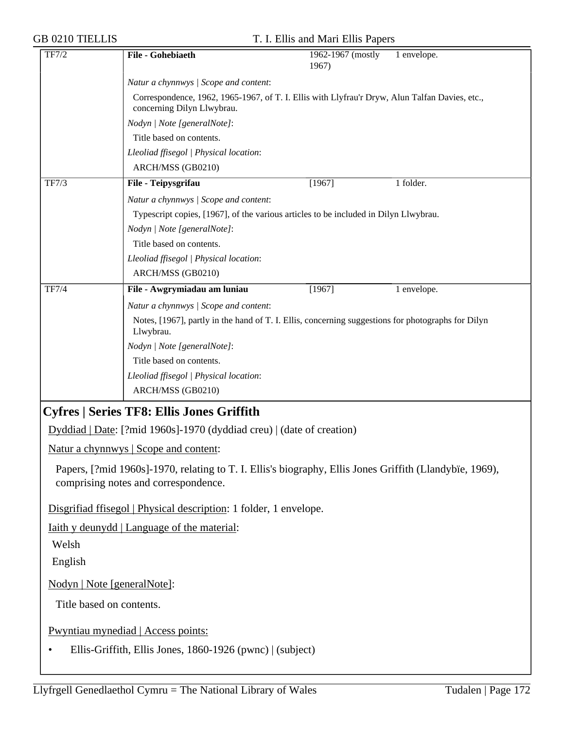|  |  | <b>GB 0210 TIELLIS</b> |
|--|--|------------------------|
|--|--|------------------------|

| TF7/2                       | File - Gohebiaeth                                                                                                            | 1962-1967 (mostly<br>1967) | 1 envelope. |
|-----------------------------|------------------------------------------------------------------------------------------------------------------------------|----------------------------|-------------|
|                             | Natur a chynnwys / Scope and content:                                                                                        |                            |             |
|                             | Correspondence, 1962, 1965-1967, of T. I. Ellis with Llyfrau'r Dryw, Alun Talfan Davies, etc.,<br>concerning Dilyn Llwybrau. |                            |             |
|                             | Nodyn   Note [generalNote]:                                                                                                  |                            |             |
|                             | Title based on contents.                                                                                                     |                            |             |
|                             | Lleoliad ffisegol   Physical location:                                                                                       |                            |             |
|                             | ARCH/MSS (GB0210)                                                                                                            |                            |             |
| TF7/3                       | File - Teipysgrifau                                                                                                          | [1967]                     | 1 folder.   |
|                             | Natur a chynnwys / Scope and content:                                                                                        |                            |             |
|                             | Typescript copies, [1967], of the various articles to be included in Dilyn Llwybrau.                                         |                            |             |
|                             | Nodyn   Note [generalNote]:                                                                                                  |                            |             |
|                             | Title based on contents.                                                                                                     |                            |             |
|                             | Lleoliad ffisegol   Physical location:                                                                                       |                            |             |
|                             | ARCH/MSS (GB0210)                                                                                                            |                            |             |
| <b>TF7/4</b>                | File - Awgrymiadau am luniau                                                                                                 | [1967]                     | 1 envelope. |
|                             | Natur a chynnwys / Scope and content:                                                                                        |                            |             |
|                             | Notes, [1967], partly in the hand of T. I. Ellis, concerning suggestions for photographs for Dilyn<br>Llwybrau.              |                            |             |
|                             | Nodyn   Note [generalNote]:                                                                                                  |                            |             |
|                             | Title based on contents.                                                                                                     |                            |             |
|                             | Lleoliad ffisegol   Physical location:                                                                                       |                            |             |
|                             | ARCH/MSS (GB0210)                                                                                                            |                            |             |
|                             | <b>Cyfres   Series TF8: Ellis Jones Griffith</b>                                                                             |                            |             |
|                             | Dyddiad   Date: [?mid 1960s]-1970 (dyddiad creu)   (date of creation)                                                        |                            |             |
|                             | Natur a chynnwys   Scope and content:                                                                                        |                            |             |
|                             | Papers, [?mid 1960s]-1970, relating to T. I. Ellis's biography, Ellis Jones Griffith (Llandybïe, 1969),                      |                            |             |
|                             | comprising notes and correspondence.                                                                                         |                            |             |
|                             | Disgrifiad ffisegol   Physical description: 1 folder, 1 envelope.                                                            |                            |             |
|                             | <u>Iaith y deunydd</u>   Language of the material:                                                                           |                            |             |
| Welsh                       |                                                                                                                              |                            |             |
| English                     |                                                                                                                              |                            |             |
|                             |                                                                                                                              |                            |             |
| Nodyn   Note [generalNote]: |                                                                                                                              |                            |             |
| Title based on contents.    |                                                                                                                              |                            |             |
|                             | Pwyntiau mynediad   Access points:                                                                                           |                            |             |
|                             | Ellis-Griffith, Ellis Jones, 1860-1926 (pwnc)   (subject)                                                                    |                            |             |
|                             |                                                                                                                              |                            |             |
|                             |                                                                                                                              |                            |             |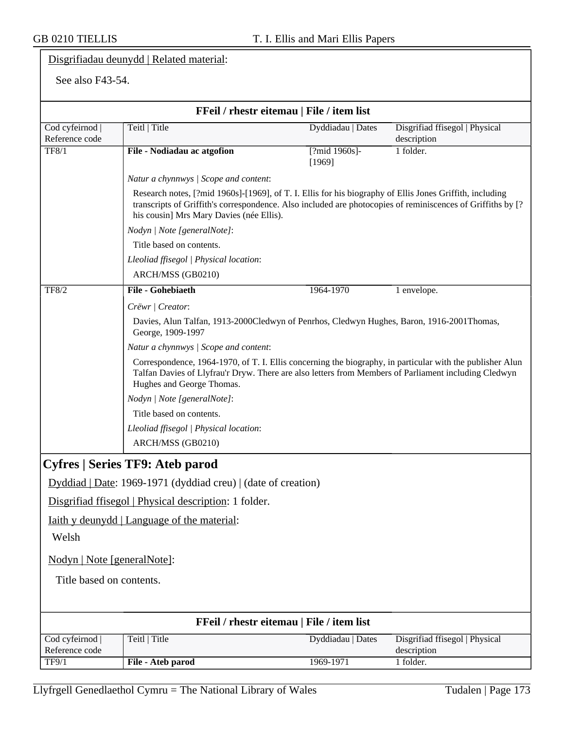# Disgrifiadau deunydd | Related material:

## See also F43-54.

|                                   | FFeil / rhestr eitemau   File / item list                                                                                                                                                                                                                           |                         |                                               |  |
|-----------------------------------|---------------------------------------------------------------------------------------------------------------------------------------------------------------------------------------------------------------------------------------------------------------------|-------------------------|-----------------------------------------------|--|
| Cod cyfeirnod  <br>Reference code | Teitl   Title                                                                                                                                                                                                                                                       | Dyddiadau   Dates       | Disgrifiad ffisegol   Physical<br>description |  |
| TF8/1                             | File - Nodiadau ac atgofion                                                                                                                                                                                                                                         | [?mid 1960s]-<br>[1969] | 1 folder.                                     |  |
|                                   | Natur a chynnwys / Scope and content:                                                                                                                                                                                                                               |                         |                                               |  |
|                                   | Research notes, [?mid 1960s]-[1969], of T. I. Ellis for his biography of Ellis Jones Griffith, including<br>transcripts of Griffith's correspondence. Also included are photocopies of reminiscences of Griffiths by [?<br>his cousin] Mrs Mary Davies (née Ellis). |                         |                                               |  |
|                                   | Nodyn   Note [generalNote]:                                                                                                                                                                                                                                         |                         |                                               |  |
|                                   | Title based on contents.                                                                                                                                                                                                                                            |                         |                                               |  |
|                                   | Lleoliad ffisegol   Physical location:                                                                                                                                                                                                                              |                         |                                               |  |
|                                   | ARCH/MSS (GB0210)                                                                                                                                                                                                                                                   |                         |                                               |  |
| <b>TF8/2</b>                      | <b>File - Gohebiaeth</b>                                                                                                                                                                                                                                            | 1964-1970               | 1 envelope.                                   |  |
|                                   | Crëwr   Creator:                                                                                                                                                                                                                                                    |                         |                                               |  |
|                                   | Davies, Alun Talfan, 1913-2000Cledwyn of Penrhos, Cledwyn Hughes, Baron, 1916-2001Thomas,<br>George, 1909-1997                                                                                                                                                      |                         |                                               |  |
|                                   | Natur a chynnwys / Scope and content:                                                                                                                                                                                                                               |                         |                                               |  |
|                                   | Correspondence, 1964-1970, of T. I. Ellis concerning the biography, in particular with the publisher Alun<br>Talfan Davies of Llyfrau'r Dryw. There are also letters from Members of Parliament including Cledwyn<br>Hughes and George Thomas.                      |                         |                                               |  |
|                                   | Nodyn   Note [generalNote]:                                                                                                                                                                                                                                         |                         |                                               |  |
|                                   | Title based on contents.                                                                                                                                                                                                                                            |                         |                                               |  |
|                                   | Lleoliad ffisegol   Physical location:                                                                                                                                                                                                                              |                         |                                               |  |
|                                   | ARCH/MSS (GB0210)                                                                                                                                                                                                                                                   |                         |                                               |  |
|                                   | <b>Cyfres   Series TF9: Ateb parod</b>                                                                                                                                                                                                                              |                         |                                               |  |
|                                   | $Dyddiad   Date: 1969-1971 (dyddiad creu)   (date of creation)$                                                                                                                                                                                                     |                         |                                               |  |
|                                   | Disgrifiad ffisegol   Physical description: 1 folder.                                                                                                                                                                                                               |                         |                                               |  |
|                                   | <u>Iaith y deunydd</u>   Language of the material:                                                                                                                                                                                                                  |                         |                                               |  |
| Welsh                             |                                                                                                                                                                                                                                                                     |                         |                                               |  |
| Nodyn   Note [generalNote]:       |                                                                                                                                                                                                                                                                     |                         |                                               |  |
| Title based on contents.          |                                                                                                                                                                                                                                                                     |                         |                                               |  |
|                                   |                                                                                                                                                                                                                                                                     |                         |                                               |  |
|                                   | FFeil / rhestr eitemau   File / item list                                                                                                                                                                                                                           |                         |                                               |  |
| Cod cyfeirnod                     | Teitl   Title                                                                                                                                                                                                                                                       | Dyddiadau   Dates       | Disgrifiad ffisegol   Physical                |  |
| Reference code                    |                                                                                                                                                                                                                                                                     |                         | description                                   |  |
| <b>TF9/1</b>                      | File - Ateb parod                                                                                                                                                                                                                                                   | 1969-1971               | 1 folder.                                     |  |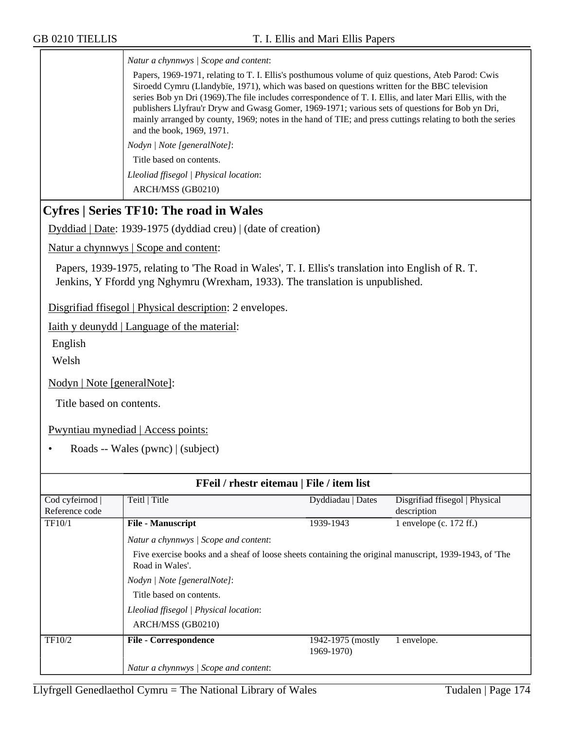*Natur a chynnwys | Scope and content*:

Papers, 1969-1971, relating to T. I. Ellis's posthumous volume of quiz questions, Ateb Parod: Cwis Siroedd Cymru (Llandybïe, 1971), which was based on questions written for the BBC television series Bob yn Dri (1969).The file includes correspondence of T. I. Ellis, and later Mari Ellis, with the publishers Llyfrau'r Dryw and Gwasg Gomer, 1969-1971; various sets of questions for Bob yn Dri, mainly arranged by county, 1969; notes in the hand of TIE; and press cuttings relating to both the series and the book, 1969, 1971.

*Nodyn | Note [generalNote]*:

Title based on contents.

*Lleoliad ffisegol | Physical location*:

ARCH/MSS (GB0210)

# **Cyfres | Series TF10: The road in Wales**

Dyddiad | Date: 1939-1975 (dyddiad creu) | (date of creation)

Natur a chynnwys | Scope and content:

Papers, 1939-1975, relating to 'The Road in Wales', T. I. Ellis's translation into English of R. T. Jenkins, Y Ffordd yng Nghymru (Wrexham, 1933). The translation is unpublished.

Disgrifiad ffisegol | Physical description: 2 envelopes.

Iaith y deunydd | Language of the material:

English

Welsh

Nodyn | Note [generalNote]:

Title based on contents.

Pwyntiau mynediad | Access points:

• Roads -- Wales (pwnc) | (subject)

| FFeil / rhestr eitemau   File / item list |                                                                                                                           |                   |                                |
|-------------------------------------------|---------------------------------------------------------------------------------------------------------------------------|-------------------|--------------------------------|
| Cod cyfeirnod                             | Teitl   Title                                                                                                             | Dyddiadau   Dates | Disgrifiad ffisegol   Physical |
| Reference code                            |                                                                                                                           |                   | description                    |
| TF10/1                                    | <b>File - Manuscript</b>                                                                                                  | 1939-1943         | 1 envelope (c. $172$ ff.)      |
|                                           | Natur a chynnwys / Scope and content:                                                                                     |                   |                                |
|                                           | Five exercise books and a sheaf of loose sheets containing the original manuscript, 1939-1943, of 'The<br>Road in Wales'. |                   |                                |
|                                           | Nodyn   Note [generalNote]:                                                                                               |                   |                                |
|                                           | Title based on contents.                                                                                                  |                   |                                |
|                                           | Lleoliad ffisegol   Physical location:                                                                                    |                   |                                |
|                                           | ARCH/MSS (GB0210)                                                                                                         |                   |                                |
| TF10/2                                    | <b>File - Correspondence</b>                                                                                              | 1942-1975 (mostly | 1 envelope.                    |
|                                           |                                                                                                                           | 1969-1970)        |                                |
|                                           | Natur a chynnwys / Scope and content:                                                                                     |                   |                                |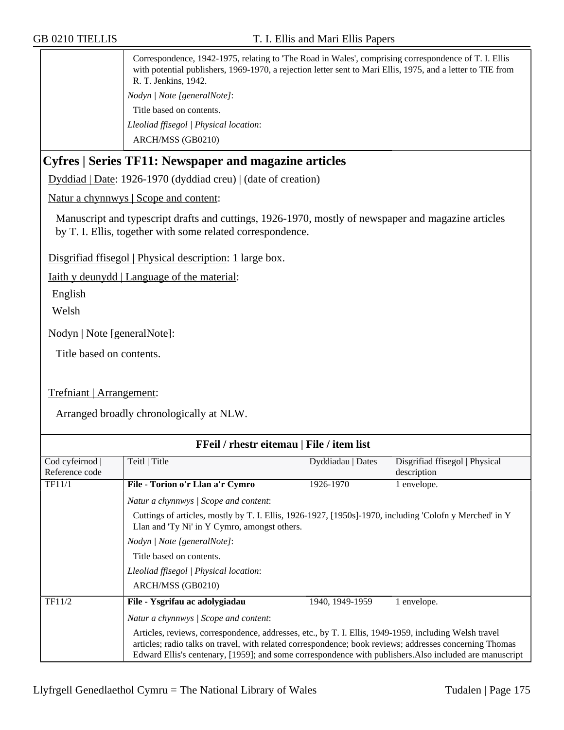Correspondence, 1942-1975, relating to 'The Road in Wales', comprising correspondence of T. I. Ellis with potential publishers, 1969-1970, a rejection letter sent to Mari Ellis, 1975, and a letter to TIE from R. T. Jenkins, 1942. *Nodyn | Note [generalNote]*: Title based on contents. *Lleoliad ffisegol | Physical location*: ARCH/MSS (GB0210)

# **Cyfres | Series TF11: Newspaper and magazine articles**

Dyddiad | Date: 1926-1970 (dyddiad creu) | (date of creation)

Natur a chynnwys | Scope and content:

Manuscript and typescript drafts and cuttings, 1926-1970, mostly of newspaper and magazine articles by T. I. Ellis, together with some related correspondence.

Disgrifiad ffisegol | Physical description: 1 large box.

Iaith y deunydd | Language of the material:

English

Welsh

Nodyn | Note [generalNote]:

Title based on contents.

Trefniant | Arrangement:

Arranged broadly chronologically at NLW.

| FFeil / rhestr eitemau   File / item list |                                                                                                                                                                                                                                                                                                                             |                   |                                |
|-------------------------------------------|-----------------------------------------------------------------------------------------------------------------------------------------------------------------------------------------------------------------------------------------------------------------------------------------------------------------------------|-------------------|--------------------------------|
| Cod cyfeirnod                             | Teitl   Title                                                                                                                                                                                                                                                                                                               | Dyddiadau   Dates | Disgrifiad ffisegol   Physical |
| Reference code                            |                                                                                                                                                                                                                                                                                                                             |                   | description                    |
| <b>TF11/1</b>                             | File - Torion o'r Llan a'r Cymro                                                                                                                                                                                                                                                                                            | 1926-1970         | 1 envelope.                    |
|                                           | Natur a chynnwys / Scope and content:                                                                                                                                                                                                                                                                                       |                   |                                |
|                                           | Cuttings of articles, mostly by T. I. Ellis, 1926-1927, [1950s]-1970, including 'Colofn y Merched' in Y<br>Llan and 'Ty Ni' in Y Cymro, amongst others.                                                                                                                                                                     |                   |                                |
|                                           | Nodyn   Note [generalNote]:                                                                                                                                                                                                                                                                                                 |                   |                                |
|                                           | Title based on contents.                                                                                                                                                                                                                                                                                                    |                   |                                |
|                                           | Lleoliad ffisegol   Physical location:                                                                                                                                                                                                                                                                                      |                   |                                |
|                                           | ARCH/MSS (GB0210)                                                                                                                                                                                                                                                                                                           |                   |                                |
| TF11/2                                    | File - Ysgrifau ac adolygiadau                                                                                                                                                                                                                                                                                              | 1940, 1949-1959   | 1 envelope.                    |
|                                           | Natur a chynnwys / Scope and content:                                                                                                                                                                                                                                                                                       |                   |                                |
|                                           | Articles, reviews, correspondence, addresses, etc., by T. I. Ellis, 1949-1959, including Welsh travel<br>articles; radio talks on travel, with related correspondence; book reviews; addresses concerning Thomas<br>Edward Ellis's centenary, [1959]; and some correspondence with publishers. Also included are manuscript |                   |                                |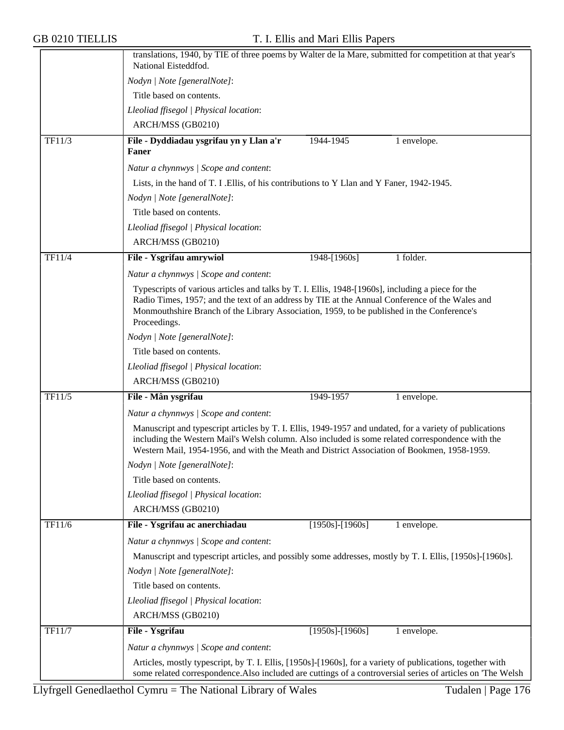|        | translations, 1940, by TIE of three poems by Walter de la Mare, submitted for competition at that year's<br>National Eisteddfod.                                                                                                                                                                                  |  |  |  |
|--------|-------------------------------------------------------------------------------------------------------------------------------------------------------------------------------------------------------------------------------------------------------------------------------------------------------------------|--|--|--|
|        | Nodyn   Note [generalNote]:                                                                                                                                                                                                                                                                                       |  |  |  |
|        | Title based on contents.                                                                                                                                                                                                                                                                                          |  |  |  |
|        | Lleoliad ffisegol   Physical location:                                                                                                                                                                                                                                                                            |  |  |  |
|        | ARCH/MSS (GB0210)                                                                                                                                                                                                                                                                                                 |  |  |  |
|        |                                                                                                                                                                                                                                                                                                                   |  |  |  |
| TF11/3 | File - Dyddiadau ysgrifau yn y Llan a'r<br>1944-1945<br>1 envelope.<br>Faner                                                                                                                                                                                                                                      |  |  |  |
|        | Natur a chynnwys / Scope and content:                                                                                                                                                                                                                                                                             |  |  |  |
|        | Lists, in the hand of T. I .Ellis, of his contributions to Y Llan and Y Faner, 1942-1945.                                                                                                                                                                                                                         |  |  |  |
|        | Nodyn   Note [generalNote]:                                                                                                                                                                                                                                                                                       |  |  |  |
|        | Title based on contents.                                                                                                                                                                                                                                                                                          |  |  |  |
|        | Lleoliad ffisegol   Physical location:                                                                                                                                                                                                                                                                            |  |  |  |
|        | ARCH/MSS (GB0210)                                                                                                                                                                                                                                                                                                 |  |  |  |
| TF11/4 | File - Ysgrifau amrywiol<br>$1948 - [1960s]$<br>1 folder.                                                                                                                                                                                                                                                         |  |  |  |
|        | Natur a chynnwys / Scope and content:                                                                                                                                                                                                                                                                             |  |  |  |
|        | Typescripts of various articles and talks by T. I. Ellis, 1948-[1960s], including a piece for the<br>Radio Times, 1957; and the text of an address by TIE at the Annual Conference of the Wales and<br>Monmouthshire Branch of the Library Association, 1959, to be published in the Conference's<br>Proceedings. |  |  |  |
|        | Nodyn   Note [generalNote]:                                                                                                                                                                                                                                                                                       |  |  |  |
|        | Title based on contents.                                                                                                                                                                                                                                                                                          |  |  |  |
|        | Lleoliad ffisegol   Physical location:                                                                                                                                                                                                                                                                            |  |  |  |
|        | ARCH/MSS (GB0210)                                                                                                                                                                                                                                                                                                 |  |  |  |
| TF11/5 | File - Mân ysgrifau<br>1949-1957<br>1 envelope.                                                                                                                                                                                                                                                                   |  |  |  |
|        | Natur a chynnwys / Scope and content:                                                                                                                                                                                                                                                                             |  |  |  |
|        | Manuscript and typescript articles by T. I. Ellis, 1949-1957 and undated, for a variety of publications<br>including the Western Mail's Welsh column. Also included is some related correspondence with the<br>Western Mail, 1954-1956, and with the Meath and District Association of Bookmen, 1958-1959.        |  |  |  |
|        | Nodyn   Note [generalNote]:                                                                                                                                                                                                                                                                                       |  |  |  |
|        | Title based on contents.                                                                                                                                                                                                                                                                                          |  |  |  |
|        | Lleoliad ffisegol   Physical location:                                                                                                                                                                                                                                                                            |  |  |  |
|        | ARCH/MSS (GB0210)                                                                                                                                                                                                                                                                                                 |  |  |  |
| TF11/6 | File - Ysgrifau ac anerchiadau<br>$[1950s]$ - $[1960s]$<br>1 envelope.                                                                                                                                                                                                                                            |  |  |  |
|        | Natur a chynnwys / Scope and content:                                                                                                                                                                                                                                                                             |  |  |  |
|        | Manuscript and typescript articles, and possibly some addresses, mostly by T. I. Ellis, [1950s]-[1960s].                                                                                                                                                                                                          |  |  |  |
|        | Nodyn   Note [generalNote]:                                                                                                                                                                                                                                                                                       |  |  |  |
|        | Title based on contents.                                                                                                                                                                                                                                                                                          |  |  |  |
|        | Lleoliad ffisegol   Physical location:                                                                                                                                                                                                                                                                            |  |  |  |
|        | ARCH/MSS (GB0210)                                                                                                                                                                                                                                                                                                 |  |  |  |
| TF11/7 | File - Ysgrifau<br>$[1950s]$ - $[1960s]$<br>1 envelope.                                                                                                                                                                                                                                                           |  |  |  |
|        |                                                                                                                                                                                                                                                                                                                   |  |  |  |
|        | Natur a chynnwys / Scope and content:                                                                                                                                                                                                                                                                             |  |  |  |
|        | Articles, mostly typescript, by T. I. Ellis, [1950s]-[1960s], for a variety of publications, together with<br>some related correspondence. Also included are cuttings of a controversial series of articles on 'The Welsh                                                                                         |  |  |  |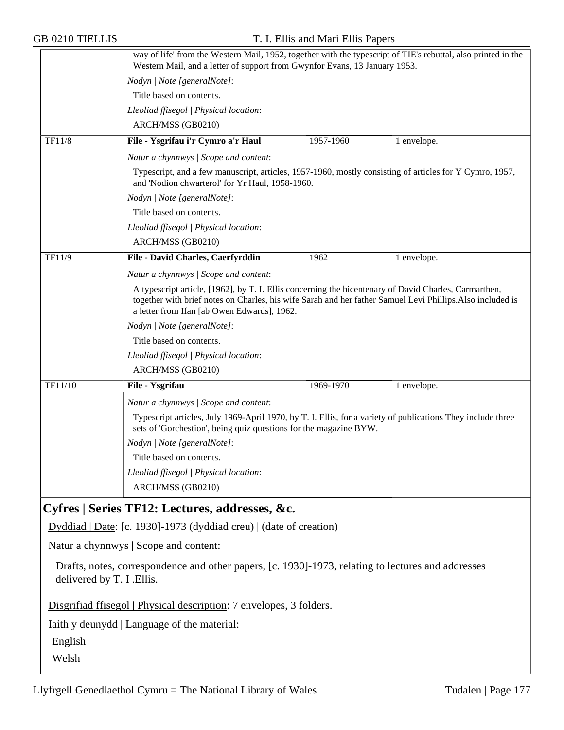|                                                                                                                                  | way of life' from the Western Mail, 1952, together with the typescript of TIE's rebuttal, also printed in the<br>Western Mail, and a letter of support from Gwynfor Evans, 13 January 1953.                                                                        |           |             |
|----------------------------------------------------------------------------------------------------------------------------------|--------------------------------------------------------------------------------------------------------------------------------------------------------------------------------------------------------------------------------------------------------------------|-----------|-------------|
|                                                                                                                                  | Nodyn   Note [generalNote]:                                                                                                                                                                                                                                        |           |             |
|                                                                                                                                  | Title based on contents.                                                                                                                                                                                                                                           |           |             |
|                                                                                                                                  | Lleoliad ffisegol   Physical location:                                                                                                                                                                                                                             |           |             |
|                                                                                                                                  | ARCH/MSS (GB0210)                                                                                                                                                                                                                                                  |           |             |
| TF11/8                                                                                                                           | File - Ysgrifau i'r Cymro a'r Haul                                                                                                                                                                                                                                 | 1957-1960 | 1 envelope. |
|                                                                                                                                  | Natur a chynnwys / Scope and content:                                                                                                                                                                                                                              |           |             |
|                                                                                                                                  | Typescript, and a few manuscript, articles, 1957-1960, mostly consisting of articles for Y Cymro, 1957,<br>and 'Nodion chwarterol' for Yr Haul, 1958-1960.                                                                                                         |           |             |
|                                                                                                                                  | Nodyn   Note [generalNote]:                                                                                                                                                                                                                                        |           |             |
|                                                                                                                                  | Title based on contents.                                                                                                                                                                                                                                           |           |             |
|                                                                                                                                  | Lleoliad ffisegol   Physical location:                                                                                                                                                                                                                             |           |             |
|                                                                                                                                  | ARCH/MSS (GB0210)                                                                                                                                                                                                                                                  |           |             |
| TF11/9                                                                                                                           | File - David Charles, Caerfyrddin                                                                                                                                                                                                                                  | 1962      | 1 envelope. |
|                                                                                                                                  | Natur a chynnwys / Scope and content:                                                                                                                                                                                                                              |           |             |
|                                                                                                                                  | A typescript article, [1962], by T. I. Ellis concerning the bicentenary of David Charles, Carmarthen,<br>together with brief notes on Charles, his wife Sarah and her father Samuel Levi Phillips. Also included is<br>a letter from Ifan [ab Owen Edwards], 1962. |           |             |
|                                                                                                                                  | Nodyn   Note [generalNote]:                                                                                                                                                                                                                                        |           |             |
|                                                                                                                                  | Title based on contents.                                                                                                                                                                                                                                           |           |             |
|                                                                                                                                  | Lleoliad ffisegol   Physical location:                                                                                                                                                                                                                             |           |             |
|                                                                                                                                  | ARCH/MSS (GB0210)                                                                                                                                                                                                                                                  |           |             |
| TF11/10                                                                                                                          | File - Ysgrifau                                                                                                                                                                                                                                                    | 1969-1970 | 1 envelope. |
|                                                                                                                                  | Natur a chynnwys / Scope and content:                                                                                                                                                                                                                              |           |             |
|                                                                                                                                  | Typescript articles, July 1969-April 1970, by T. I. Ellis, for a variety of publications They include three<br>sets of 'Gorchestion', being quiz questions for the magazine BYW.                                                                                   |           |             |
|                                                                                                                                  | Nodyn   Note [generalNote]:                                                                                                                                                                                                                                        |           |             |
|                                                                                                                                  | Title based on contents.                                                                                                                                                                                                                                           |           |             |
|                                                                                                                                  | Lleoliad ffisegol   Physical location:                                                                                                                                                                                                                             |           |             |
|                                                                                                                                  | ARCH/MSS (GB0210)                                                                                                                                                                                                                                                  |           |             |
|                                                                                                                                  | Cyfres   Series TF12: Lectures, addresses, &c.                                                                                                                                                                                                                     |           |             |
|                                                                                                                                  | Dyddiad   Date: [c. 1930]-1973 (dyddiad creu)   (date of creation)                                                                                                                                                                                                 |           |             |
|                                                                                                                                  | Natur a chynnwys   Scope and content:                                                                                                                                                                                                                              |           |             |
| Drafts, notes, correspondence and other papers, [c. 1930]-1973, relating to lectures and addresses<br>delivered by T. I . Ellis. |                                                                                                                                                                                                                                                                    |           |             |

Disgrifiad ffisegol | Physical description: 7 envelopes, 3 folders.

Iaith y deunydd | Language of the material:

English

Welsh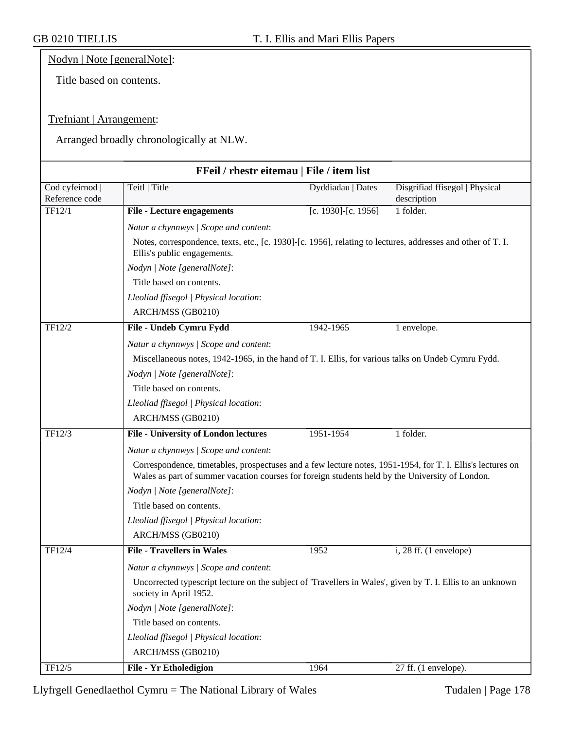## Nodyn | Note [generalNote]:

Title based on contents.

## Trefniant | Arrangement:

Arranged broadly chronologically at NLW.

|                                 | FFeil / rhestr eitemau   File / item list                                                                                                                                                                     |                     |                                               |
|---------------------------------|---------------------------------------------------------------------------------------------------------------------------------------------------------------------------------------------------------------|---------------------|-----------------------------------------------|
| Cod cyfeirnod<br>Reference code | Teitl   Title                                                                                                                                                                                                 | Dyddiadau   Dates   | Disgrifiad ffisegol   Physical<br>description |
| TF12/1                          | <b>File - Lecture engagements</b>                                                                                                                                                                             | [c. 1930]-[c. 1956] | 1 folder.                                     |
|                                 | Natur a chynnwys / Scope and content:                                                                                                                                                                         |                     |                                               |
|                                 | Notes, correspondence, texts, etc., [c. 1930]-[c. 1956], relating to lectures, addresses and other of T. I.<br>Ellis's public engagements.                                                                    |                     |                                               |
|                                 | Nodyn   Note [generalNote]:                                                                                                                                                                                   |                     |                                               |
|                                 | Title based on contents.                                                                                                                                                                                      |                     |                                               |
|                                 | Lleoliad ffisegol   Physical location:                                                                                                                                                                        |                     |                                               |
|                                 | ARCH/MSS (GB0210)                                                                                                                                                                                             |                     |                                               |
| TF12/2                          | File - Undeb Cymru Fydd                                                                                                                                                                                       | 1942-1965           | 1 envelope.                                   |
|                                 | Natur a chynnwys / Scope and content:                                                                                                                                                                         |                     |                                               |
|                                 | Miscellaneous notes, 1942-1965, in the hand of T. I. Ellis, for various talks on Undeb Cymru Fydd.                                                                                                            |                     |                                               |
|                                 | Nodyn   Note [generalNote]:                                                                                                                                                                                   |                     |                                               |
|                                 | Title based on contents.                                                                                                                                                                                      |                     |                                               |
|                                 | Lleoliad ffisegol   Physical location:                                                                                                                                                                        |                     |                                               |
|                                 | ARCH/MSS (GB0210)                                                                                                                                                                                             |                     |                                               |
| TF12/3                          | <b>File - University of London lectures</b>                                                                                                                                                                   | 1951-1954           | 1 folder.                                     |
|                                 | Natur a chynnwys / Scope and content:                                                                                                                                                                         |                     |                                               |
|                                 | Correspondence, timetables, prospectuses and a few lecture notes, 1951-1954, for T. I. Ellis's lectures on<br>Wales as part of summer vacation courses for foreign students held by the University of London. |                     |                                               |
|                                 | Nodyn   Note [generalNote]:                                                                                                                                                                                   |                     |                                               |
|                                 | Title based on contents.                                                                                                                                                                                      |                     |                                               |
|                                 | Lleoliad ffisegol   Physical location:                                                                                                                                                                        |                     |                                               |
|                                 | ARCH/MSS (GB0210)                                                                                                                                                                                             |                     |                                               |
| TF12/4                          | <b>File - Travellers in Wales</b>                                                                                                                                                                             | 1952                | $i$ , 28 ff. (1 envelope)                     |
|                                 | Natur a chynnwys / Scope and content:                                                                                                                                                                         |                     |                                               |
|                                 | Uncorrected typescript lecture on the subject of 'Travellers in Wales', given by T. I. Ellis to an unknown<br>society in April 1952.                                                                          |                     |                                               |
|                                 | Nodyn   Note [generalNote]:                                                                                                                                                                                   |                     |                                               |
|                                 | Title based on contents.                                                                                                                                                                                      |                     |                                               |
|                                 | Lleoliad ffisegol   Physical location:                                                                                                                                                                        |                     |                                               |
|                                 | ARCH/MSS (GB0210)                                                                                                                                                                                             |                     |                                               |
| TF12/5                          | <b>File - Yr Etholedigion</b>                                                                                                                                                                                 | 1964                | 27 ff. (1 envelope).                          |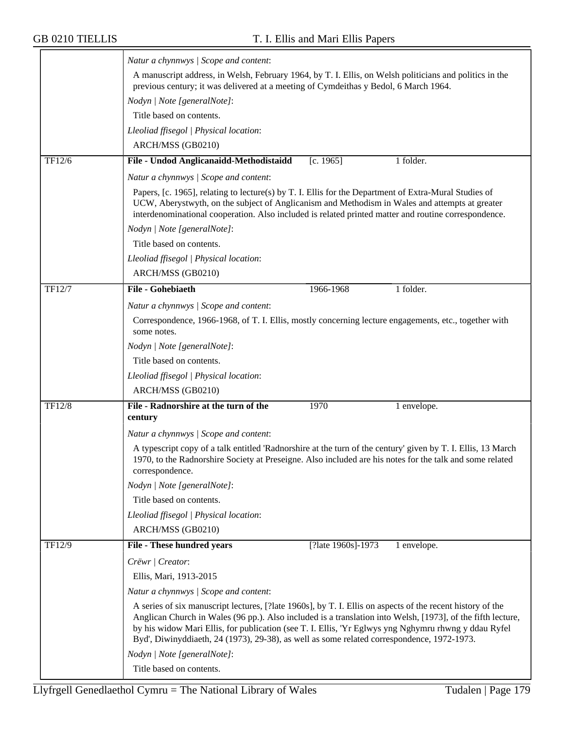|        | Natur a chynnwys / Scope and content:                                                                                                                                                                                                                                                                                                                                                                                           |  |  |  |
|--------|---------------------------------------------------------------------------------------------------------------------------------------------------------------------------------------------------------------------------------------------------------------------------------------------------------------------------------------------------------------------------------------------------------------------------------|--|--|--|
|        | A manuscript address, in Welsh, February 1964, by T. I. Ellis, on Welsh politicians and politics in the<br>previous century; it was delivered at a meeting of Cymdeithas y Bedol, 6 March 1964.                                                                                                                                                                                                                                 |  |  |  |
|        | Nodyn   Note [generalNote]:                                                                                                                                                                                                                                                                                                                                                                                                     |  |  |  |
|        | Title based on contents.                                                                                                                                                                                                                                                                                                                                                                                                        |  |  |  |
|        | Lleoliad ffisegol   Physical location:                                                                                                                                                                                                                                                                                                                                                                                          |  |  |  |
|        | ARCH/MSS (GB0210)                                                                                                                                                                                                                                                                                                                                                                                                               |  |  |  |
| TF12/6 | File - Undod Anglicanaidd-Methodistaidd<br>[c. 1965]<br>1 folder.                                                                                                                                                                                                                                                                                                                                                               |  |  |  |
|        | Natur a chynnwys / Scope and content:                                                                                                                                                                                                                                                                                                                                                                                           |  |  |  |
|        | Papers, [c. 1965], relating to lecture(s) by T. I. Ellis for the Department of Extra-Mural Studies of<br>UCW, Aberystwyth, on the subject of Anglicanism and Methodism in Wales and attempts at greater<br>interdenominational cooperation. Also included is related printed matter and routine correspondence.                                                                                                                 |  |  |  |
|        | Nodyn   Note [generalNote]:                                                                                                                                                                                                                                                                                                                                                                                                     |  |  |  |
|        | Title based on contents.                                                                                                                                                                                                                                                                                                                                                                                                        |  |  |  |
|        | Lleoliad ffisegol   Physical location:                                                                                                                                                                                                                                                                                                                                                                                          |  |  |  |
|        | ARCH/MSS (GB0210)                                                                                                                                                                                                                                                                                                                                                                                                               |  |  |  |
| TF12/7 | <b>File - Gohebiaeth</b><br>1 folder.<br>1966-1968                                                                                                                                                                                                                                                                                                                                                                              |  |  |  |
|        | Natur a chynnwys / Scope and content:                                                                                                                                                                                                                                                                                                                                                                                           |  |  |  |
|        | Correspondence, 1966-1968, of T. I. Ellis, mostly concerning lecture engagements, etc., together with                                                                                                                                                                                                                                                                                                                           |  |  |  |
|        | some notes.                                                                                                                                                                                                                                                                                                                                                                                                                     |  |  |  |
|        | Nodyn   Note [generalNote]:                                                                                                                                                                                                                                                                                                                                                                                                     |  |  |  |
|        | Title based on contents.                                                                                                                                                                                                                                                                                                                                                                                                        |  |  |  |
|        | Lleoliad ffisegol   Physical location:                                                                                                                                                                                                                                                                                                                                                                                          |  |  |  |
|        | ARCH/MSS (GB0210)                                                                                                                                                                                                                                                                                                                                                                                                               |  |  |  |
| TF12/8 | File - Radnorshire at the turn of the<br>1970<br>1 envelope.<br>century                                                                                                                                                                                                                                                                                                                                                         |  |  |  |
|        | Natur a chynnwys / Scope and content:                                                                                                                                                                                                                                                                                                                                                                                           |  |  |  |
|        | A typescript copy of a talk entitled 'Radnorshire at the turn of the century' given by T. I. Ellis, 13 March<br>1970, to the Radnorshire Society at Preseigne. Also included are his notes for the talk and some related<br>correspondence.                                                                                                                                                                                     |  |  |  |
|        | Nodyn   Note [generalNote]:                                                                                                                                                                                                                                                                                                                                                                                                     |  |  |  |
|        | Title based on contents.                                                                                                                                                                                                                                                                                                                                                                                                        |  |  |  |
|        | Lleoliad ffisegol   Physical location:                                                                                                                                                                                                                                                                                                                                                                                          |  |  |  |
|        | ARCH/MSS (GB0210)                                                                                                                                                                                                                                                                                                                                                                                                               |  |  |  |
| TF12/9 | [?late 1960s]-1973<br><b>File - These hundred years</b><br>1 envelope.                                                                                                                                                                                                                                                                                                                                                          |  |  |  |
|        | Crëwr   Creator:                                                                                                                                                                                                                                                                                                                                                                                                                |  |  |  |
|        | Ellis, Mari, 1913-2015                                                                                                                                                                                                                                                                                                                                                                                                          |  |  |  |
|        | Natur a chynnwys / Scope and content:                                                                                                                                                                                                                                                                                                                                                                                           |  |  |  |
|        | A series of six manuscript lectures, [?late 1960s], by T. I. Ellis on aspects of the recent history of the<br>Anglican Church in Wales (96 pp.). Also included is a translation into Welsh, [1973], of the fifth lecture,<br>by his widow Mari Ellis, for publication (see T. I. Ellis, 'Yr Eglwys yng Nghymru rhwng y ddau Ryfel<br>Byd', Diwinyddiaeth, 24 (1973), 29-38), as well as some related correspondence, 1972-1973. |  |  |  |
|        | Nodyn   Note [generalNote]:                                                                                                                                                                                                                                                                                                                                                                                                     |  |  |  |
|        | Title based on contents.                                                                                                                                                                                                                                                                                                                                                                                                        |  |  |  |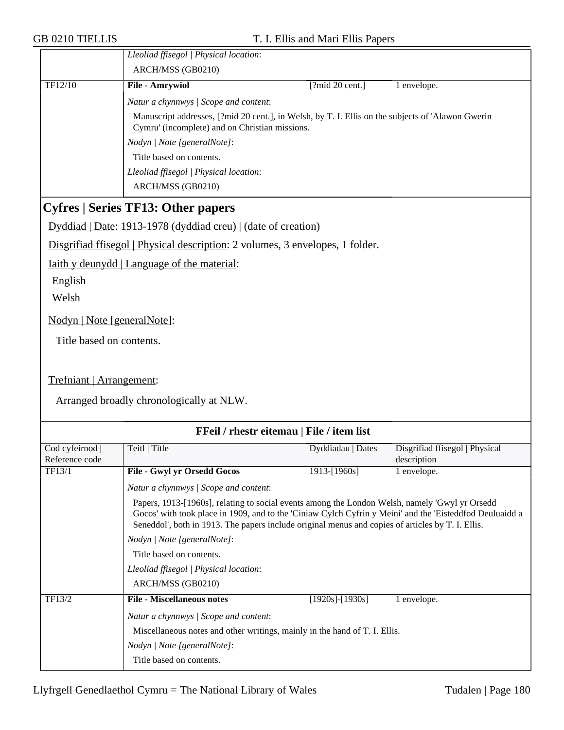|                                                                               | Lleoliad ffisegol   Physical location:                                                                                                                                                                                                                                                                          |                       |                                |
|-------------------------------------------------------------------------------|-----------------------------------------------------------------------------------------------------------------------------------------------------------------------------------------------------------------------------------------------------------------------------------------------------------------|-----------------------|--------------------------------|
|                                                                               | ARCH/MSS (GB0210)                                                                                                                                                                                                                                                                                               |                       |                                |
| TF12/10                                                                       | <b>File - Amrywiol</b>                                                                                                                                                                                                                                                                                          | [?mid 20 cent.]       | 1 envelope.                    |
|                                                                               | Natur a chynnwys / Scope and content:                                                                                                                                                                                                                                                                           |                       |                                |
|                                                                               | Manuscript addresses, [?mid 20 cent.], in Welsh, by T. I. Ellis on the subjects of 'Alawon Gwerin                                                                                                                                                                                                               |                       |                                |
|                                                                               | Cymru' (incomplete) and on Christian missions.                                                                                                                                                                                                                                                                  |                       |                                |
|                                                                               | Nodyn   Note [generalNote]:                                                                                                                                                                                                                                                                                     |                       |                                |
|                                                                               | Title based on contents.<br>Lleoliad ffisegol   Physical location:                                                                                                                                                                                                                                              |                       |                                |
|                                                                               | ARCH/MSS (GB0210)                                                                                                                                                                                                                                                                                               |                       |                                |
|                                                                               |                                                                                                                                                                                                                                                                                                                 |                       |                                |
| <b>Cyfres   Series TF13: Other papers</b>                                     |                                                                                                                                                                                                                                                                                                                 |                       |                                |
| Dyddiad   Date: 1913-1978 (dyddiad creu)   (date of creation)                 |                                                                                                                                                                                                                                                                                                                 |                       |                                |
| Disgrifiad ffisegol   Physical description: 2 volumes, 3 envelopes, 1 folder. |                                                                                                                                                                                                                                                                                                                 |                       |                                |
| Iaith y deunydd   Language of the material:                                   |                                                                                                                                                                                                                                                                                                                 |                       |                                |
| English                                                                       |                                                                                                                                                                                                                                                                                                                 |                       |                                |
| Welsh                                                                         |                                                                                                                                                                                                                                                                                                                 |                       |                                |
|                                                                               |                                                                                                                                                                                                                                                                                                                 |                       |                                |
| Nodyn   Note [generalNote]:                                                   |                                                                                                                                                                                                                                                                                                                 |                       |                                |
| Title based on contents.                                                      |                                                                                                                                                                                                                                                                                                                 |                       |                                |
|                                                                               |                                                                                                                                                                                                                                                                                                                 |                       |                                |
| Trefniant   Arrangement:                                                      |                                                                                                                                                                                                                                                                                                                 |                       |                                |
| Arranged broadly chronologically at NLW.                                      |                                                                                                                                                                                                                                                                                                                 |                       |                                |
|                                                                               |                                                                                                                                                                                                                                                                                                                 |                       |                                |
| FFeil / rhestr eitemau   File / item list                                     |                                                                                                                                                                                                                                                                                                                 |                       |                                |
| Cod cyfeirnod                                                                 | Teitl   Title                                                                                                                                                                                                                                                                                                   | Dyddiadau   Dates     | Disgrifiad ffisegol   Physical |
| Reference code                                                                |                                                                                                                                                                                                                                                                                                                 |                       | description                    |
| TF13/1                                                                        | <b>File - Gwyl yr Orsedd Gocos</b>                                                                                                                                                                                                                                                                              | 1913-[1960s]          | 1 envelope.                    |
|                                                                               | Natur a chynnwys / Scope and content:                                                                                                                                                                                                                                                                           |                       |                                |
|                                                                               | Papers, 1913-[1960s], relating to social events among the London Welsh, namely 'Gwyl yr Orsedd<br>Gocos' with took place in 1909, and to the 'Ciniaw Cylch Cyfrin y Meini' and the 'Eisteddfod Deuluaidd a<br>Seneddol', both in 1913. The papers include original menus and copies of articles by T. I. Ellis. |                       |                                |
|                                                                               | Nodyn   Note [generalNote]:                                                                                                                                                                                                                                                                                     |                       |                                |
|                                                                               | Title based on contents.                                                                                                                                                                                                                                                                                        |                       |                                |
|                                                                               | Lleoliad ffisegol   Physical location:                                                                                                                                                                                                                                                                          |                       |                                |
|                                                                               | ARCH/MSS (GB0210)                                                                                                                                                                                                                                                                                               |                       |                                |
| TF13/2                                                                        | <b>File - Miscellaneous notes</b>                                                                                                                                                                                                                                                                               | $[1920s]$ - $[1930s]$ | 1 envelope.                    |
|                                                                               | Natur a chynnwys / Scope and content:                                                                                                                                                                                                                                                                           |                       |                                |
|                                                                               | Miscellaneous notes and other writings, mainly in the hand of T. I. Ellis.                                                                                                                                                                                                                                      |                       |                                |
|                                                                               | Nodyn   Note [generalNote]:                                                                                                                                                                                                                                                                                     |                       |                                |
|                                                                               | Title based on contents.                                                                                                                                                                                                                                                                                        |                       |                                |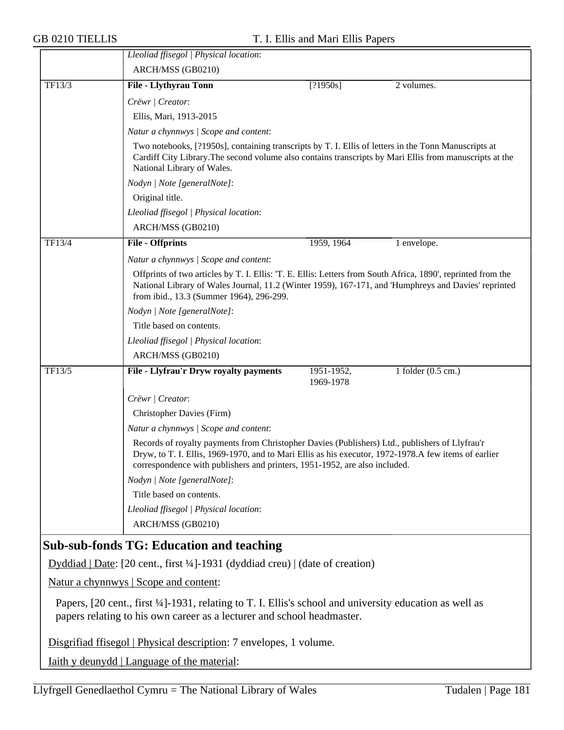|        | Lleoliad ffisegol   Physical location:                                                                                                                                                                                                                                                |                         |                              |  |
|--------|---------------------------------------------------------------------------------------------------------------------------------------------------------------------------------------------------------------------------------------------------------------------------------------|-------------------------|------------------------------|--|
|        | ARCH/MSS (GB0210)                                                                                                                                                                                                                                                                     |                         |                              |  |
| TF13/3 | File - Llythyrau Tonn                                                                                                                                                                                                                                                                 | [?1950s]                | 2 volumes.                   |  |
|        | Crëwr   Creator:                                                                                                                                                                                                                                                                      |                         |                              |  |
|        | Ellis, Mari, 1913-2015                                                                                                                                                                                                                                                                |                         |                              |  |
|        | Natur a chynnwys / Scope and content:                                                                                                                                                                                                                                                 |                         |                              |  |
|        | Two notebooks, [?1950s], containing transcripts by T. I. Ellis of letters in the Tonn Manuscripts at<br>Cardiff City Library. The second volume also contains transcripts by Mari Ellis from manuscripts at the<br>National Library of Wales.                                         |                         |                              |  |
|        | Nodyn   Note [generalNote]:                                                                                                                                                                                                                                                           |                         |                              |  |
|        | Original title.                                                                                                                                                                                                                                                                       |                         |                              |  |
|        | Lleoliad ffisegol   Physical location:                                                                                                                                                                                                                                                |                         |                              |  |
|        | ARCH/MSS (GB0210)                                                                                                                                                                                                                                                                     |                         |                              |  |
| TF13/4 | <b>File - Offprints</b>                                                                                                                                                                                                                                                               | 1959, 1964              | 1 envelope.                  |  |
|        | Natur a chynnwys / Scope and content:                                                                                                                                                                                                                                                 |                         |                              |  |
|        | Offprints of two articles by T. I. Ellis: 'T. E. Ellis: Letters from South Africa, 1890', reprinted from the<br>National Library of Wales Journal, 11.2 (Winter 1959), 167-171, and 'Humphreys and Davies' reprinted<br>from ibid., 13.3 (Summer 1964), 296-299.                      |                         |                              |  |
|        | Nodyn   Note [generalNote]:                                                                                                                                                                                                                                                           |                         |                              |  |
|        | Title based on contents.                                                                                                                                                                                                                                                              |                         |                              |  |
|        | Lleoliad ffisegol   Physical location:                                                                                                                                                                                                                                                |                         |                              |  |
|        | ARCH/MSS (GB0210)                                                                                                                                                                                                                                                                     |                         |                              |  |
| TF13/5 | File - Llyfrau'r Dryw royalty payments                                                                                                                                                                                                                                                | 1951-1952,<br>1969-1978 | 1 folder $(0.5 \text{ cm.})$ |  |
|        | Crëwr   Creator:                                                                                                                                                                                                                                                                      |                         |                              |  |
|        | Christopher Davies (Firm)                                                                                                                                                                                                                                                             |                         |                              |  |
|        | Natur a chynnwys / Scope and content:                                                                                                                                                                                                                                                 |                         |                              |  |
|        | Records of royalty payments from Christopher Davies (Publishers) Ltd., publishers of Llyfrau'r<br>Dryw, to T. I. Ellis, 1969-1970, and to Mari Ellis as his executor, 1972-1978. A few items of earlier<br>correspondence with publishers and printers, 1951-1952, are also included. |                         |                              |  |
|        | Nodyn   Note [generalNote]:                                                                                                                                                                                                                                                           |                         |                              |  |
|        | Title based on contents.                                                                                                                                                                                                                                                              |                         |                              |  |
|        | Lleoliad ffisegol   Physical location:                                                                                                                                                                                                                                                |                         |                              |  |
|        | ARCH/MSS (GB0210)                                                                                                                                                                                                                                                                     |                         |                              |  |
|        | <b>Sub-sub-fonds TG: Education and teaching</b>                                                                                                                                                                                                                                       |                         |                              |  |

Dyddiad | Date: [20 cent., first ¼]-1931 (dyddiad creu) | (date of creation)

Natur a chynnwys | Scope and content:

Papers, [20 cent., first ¼]-1931, relating to T. I. Ellis's school and university education as well as papers relating to his own career as a lecturer and school headmaster.

Disgrifiad ffisegol | Physical description: 7 envelopes, 1 volume.

Iaith y deunydd | Language of the material: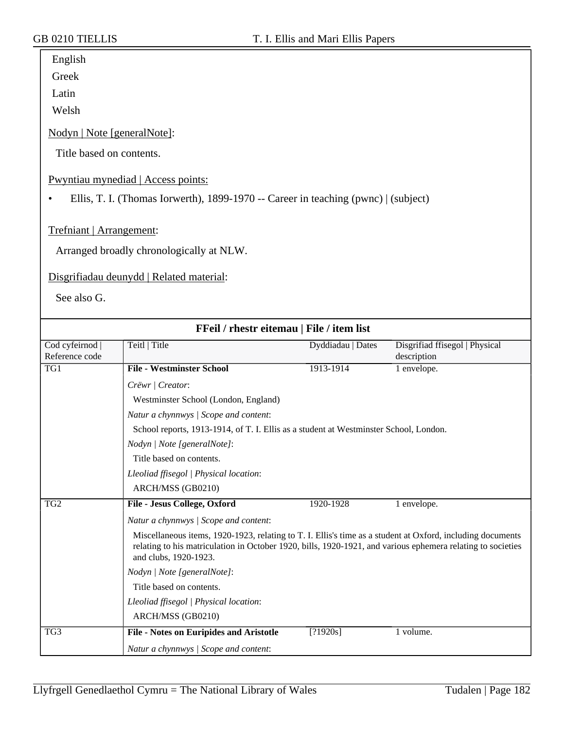| english |
|---------|
|---------|

Greek

Latin

Welsh

Nodyn | Note [generalNote]:

Title based on contents.

Pwyntiau mynediad | Access points:

• Ellis, T. I. (Thomas Iorwerth), 1899-1970 -- Career in teaching (pwnc) | (subject)

Trefniant | Arrangement:

Arranged broadly chronologically at NLW.

Disgrifiadau deunydd | Related material:

See also G.

| FFeil / rhestr eitemau   File / item list |                                                                                                                                                                                                                                                    |                   |                                               |  |  |  |
|-------------------------------------------|----------------------------------------------------------------------------------------------------------------------------------------------------------------------------------------------------------------------------------------------------|-------------------|-----------------------------------------------|--|--|--|
| Cod cyfeirnod<br>Reference code           | Teitl   Title                                                                                                                                                                                                                                      | Dyddiadau   Dates | Disgrifiad ffisegol   Physical<br>description |  |  |  |
| TG1                                       | <b>File - Westminster School</b>                                                                                                                                                                                                                   | 1913-1914         | 1 envelope.                                   |  |  |  |
|                                           | Crëwr   Creator:                                                                                                                                                                                                                                   |                   |                                               |  |  |  |
|                                           | Westminster School (London, England)                                                                                                                                                                                                               |                   |                                               |  |  |  |
|                                           | Natur a chynnwys / Scope and content:                                                                                                                                                                                                              |                   |                                               |  |  |  |
|                                           | School reports, 1913-1914, of T. I. Ellis as a student at Westminster School, London.                                                                                                                                                              |                   |                                               |  |  |  |
|                                           | Nodyn   Note [generalNote]:                                                                                                                                                                                                                        |                   |                                               |  |  |  |
|                                           | Title based on contents.                                                                                                                                                                                                                           |                   |                                               |  |  |  |
|                                           | Lleoliad ffisegol   Physical location:                                                                                                                                                                                                             |                   |                                               |  |  |  |
|                                           | ARCH/MSS (GB0210)                                                                                                                                                                                                                                  |                   |                                               |  |  |  |
| TG <sub>2</sub>                           | File - Jesus College, Oxford                                                                                                                                                                                                                       | 1920-1928         | 1 envelope.                                   |  |  |  |
|                                           | Natur a chynnwys / Scope and content:                                                                                                                                                                                                              |                   |                                               |  |  |  |
|                                           | Miscellaneous items, 1920-1923, relating to T. I. Ellis's time as a student at Oxford, including documents<br>relating to his matriculation in October 1920, bills, 1920-1921, and various ephemera relating to societies<br>and clubs, 1920-1923. |                   |                                               |  |  |  |
|                                           | Nodyn   Note [generalNote]:                                                                                                                                                                                                                        |                   |                                               |  |  |  |
|                                           | Title based on contents.                                                                                                                                                                                                                           |                   |                                               |  |  |  |
|                                           | Lleoliad ffisegol   Physical location:                                                                                                                                                                                                             |                   |                                               |  |  |  |
|                                           | ARCH/MSS (GB0210)                                                                                                                                                                                                                                  |                   |                                               |  |  |  |
| TG3                                       | <b>File - Notes on Euripides and Aristotle</b>                                                                                                                                                                                                     | [?1920s]          | 1 volume.                                     |  |  |  |
|                                           | Natur a chynnwys / Scope and content:                                                                                                                                                                                                              |                   |                                               |  |  |  |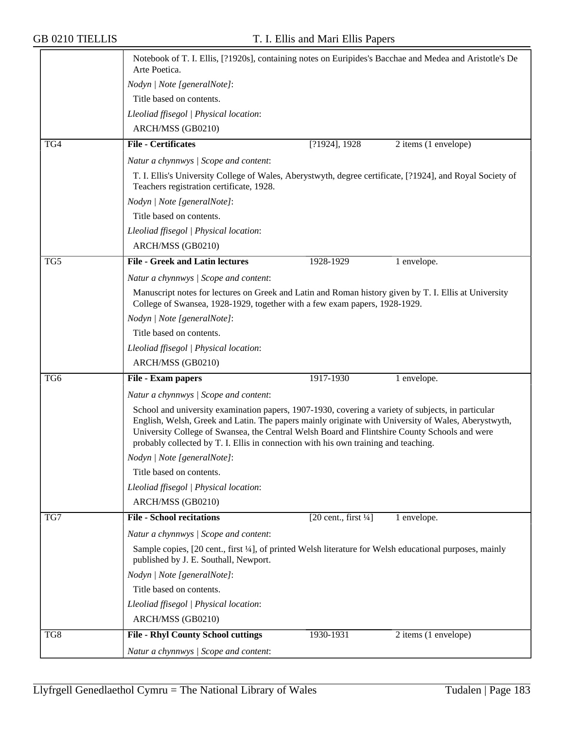$\overline{\phantom{a}}$ 

|     | Arte Poetica.                                                                                                                                                                                             |                                                 | Notebook of T. I. Ellis, [?1920s], containing notes on Euripides's Bacchae and Medea and Aristotle's De |
|-----|-----------------------------------------------------------------------------------------------------------------------------------------------------------------------------------------------------------|-------------------------------------------------|---------------------------------------------------------------------------------------------------------|
|     | Nodyn   Note [generalNote]:                                                                                                                                                                               |                                                 |                                                                                                         |
|     | Title based on contents.                                                                                                                                                                                  |                                                 |                                                                                                         |
|     | Lleoliad ffisegol   Physical location:                                                                                                                                                                    |                                                 |                                                                                                         |
|     | ARCH/MSS (GB0210)                                                                                                                                                                                         |                                                 |                                                                                                         |
| TG4 | <b>File - Certificates</b>                                                                                                                                                                                | [?1924], 1928                                   | 2 items (1 envelope)                                                                                    |
|     | Natur a chynnwys / Scope and content:                                                                                                                                                                     |                                                 |                                                                                                         |
|     | T. I. Ellis's University College of Wales, Aberystwyth, degree certificate, [?1924], and Royal Society of<br>Teachers registration certificate, 1928.                                                     |                                                 |                                                                                                         |
|     | Nodyn   Note [generalNote]:                                                                                                                                                                               |                                                 |                                                                                                         |
|     | Title based on contents.                                                                                                                                                                                  |                                                 |                                                                                                         |
|     | Lleoliad ffisegol   Physical location:                                                                                                                                                                    |                                                 |                                                                                                         |
|     | ARCH/MSS (GB0210)                                                                                                                                                                                         |                                                 |                                                                                                         |
| TG5 | <b>File - Greek and Latin lectures</b>                                                                                                                                                                    | 1928-1929                                       | 1 envelope.                                                                                             |
|     | Natur a chynnwys / Scope and content:                                                                                                                                                                     |                                                 |                                                                                                         |
|     | Manuscript notes for lectures on Greek and Latin and Roman history given by T. I. Ellis at University                                                                                                     |                                                 |                                                                                                         |
|     | College of Swansea, 1928-1929, together with a few exam papers, 1928-1929.                                                                                                                                |                                                 |                                                                                                         |
|     | Nodyn   Note [generalNote]:                                                                                                                                                                               |                                                 |                                                                                                         |
|     | Title based on contents.                                                                                                                                                                                  |                                                 |                                                                                                         |
|     | Lleoliad ffisegol   Physical location:                                                                                                                                                                    |                                                 |                                                                                                         |
|     | ARCH/MSS (GB0210)                                                                                                                                                                                         |                                                 |                                                                                                         |
| TG6 | File - Exam papers                                                                                                                                                                                        | 1917-1930                                       | 1 envelope.                                                                                             |
|     | Natur a chynnwys / Scope and content:                                                                                                                                                                     |                                                 |                                                                                                         |
|     | School and university examination papers, 1907-1930, covering a variety of subjects, in particular<br>English, Welsh, Greek and Latin. The papers mainly originate with University of Wales, Aberystwyth, |                                                 |                                                                                                         |
|     | probably collected by T. I. Ellis in connection with his own training and teaching.                                                                                                                       |                                                 | University College of Swansea, the Central Welsh Board and Flintshire County Schools and were           |
|     | Nodyn   Note [generalNote]:                                                                                                                                                                               |                                                 |                                                                                                         |
|     | Title based on contents.                                                                                                                                                                                  |                                                 |                                                                                                         |
|     | Lleoliad ffisegol   Physical location:                                                                                                                                                                    |                                                 |                                                                                                         |
|     | ARCH/MSS (GB0210)                                                                                                                                                                                         |                                                 |                                                                                                         |
| TG7 | <b>File - School recitations</b>                                                                                                                                                                          | $[20 \text{ cent.}, \text{first } \frac{1}{4}]$ | 1 envelope.                                                                                             |
|     |                                                                                                                                                                                                           |                                                 |                                                                                                         |
|     | Natur a chynnwys / Scope and content:<br>Sample copies, [20 cent., first 1/4], of printed Welsh literature for Welsh educational purposes, mainly<br>published by J. E. Southall, Newport.                |                                                 |                                                                                                         |
|     | Nodyn   Note [generalNote]:                                                                                                                                                                               |                                                 |                                                                                                         |
|     | Title based on contents.                                                                                                                                                                                  |                                                 |                                                                                                         |
|     | Lleoliad ffisegol   Physical location:                                                                                                                                                                    |                                                 |                                                                                                         |
|     | ARCH/MSS (GB0210)                                                                                                                                                                                         |                                                 |                                                                                                         |
| TG8 | <b>File - Rhyl County School cuttings</b>                                                                                                                                                                 | 1930-1931                                       | 2 items (1 envelope)                                                                                    |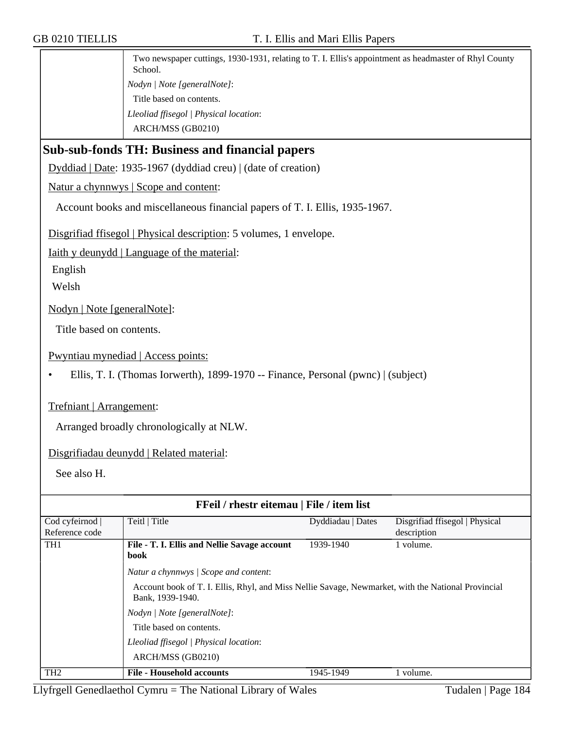Two newspaper cuttings, 1930-1931, relating to T. I. Ellis's appointment as headmaster of Rhyl County School. *Nodyn | Note [generalNote]*: Title based on contents. *Lleoliad ffisegol | Physical location*: ARCH/MSS (GB0210)

## **Sub-sub-fonds TH: Business and financial papers**

Dyddiad | Date: 1935-1967 (dyddiad creu) | (date of creation)

Natur a chynnwys | Scope and content:

Account books and miscellaneous financial papers of T. I. Ellis, 1935-1967.

Disgrifiad ffisegol | Physical description: 5 volumes, 1 envelope.

Iaith y deunydd | Language of the material:

English

Welsh

Nodyn | Note [generalNote]:

Title based on contents.

Pwyntiau mynediad | Access points:

• Ellis, T. I. (Thomas Iorwerth), 1899-1970 -- Finance, Personal (pwnc) | (subject)

#### Trefniant | Arrangement:

Arranged broadly chronologically at NLW.

Disgrifiadau deunydd | Related material:

See also H.

| FFeil / rhestr eitemau   File / item list |                                                                                                                        |                   |                                |
|-------------------------------------------|------------------------------------------------------------------------------------------------------------------------|-------------------|--------------------------------|
| Cod cyfeirnod                             | Teitl   Title                                                                                                          | Dyddiadau   Dates | Disgrifiad ffisegol   Physical |
| Reference code                            |                                                                                                                        |                   | description                    |
| TH <sub>1</sub>                           | File - T. I. Ellis and Nellie Savage account                                                                           | 1939-1940         | 1 volume.                      |
|                                           | book                                                                                                                   |                   |                                |
|                                           | Natur a chynnwys   Scope and content:                                                                                  |                   |                                |
|                                           | Account book of T. I. Ellis, Rhyl, and Miss Nellie Savage, Newmarket, with the National Provincial<br>Bank, 1939-1940. |                   |                                |
|                                           | Nodyn   Note [generalNote]:                                                                                            |                   |                                |
|                                           | Title based on contents.                                                                                               |                   |                                |
|                                           | Lleoliad ffisegol   Physical location:                                                                                 |                   |                                |
|                                           | ARCH/MSS (GB0210)                                                                                                      |                   |                                |
| TH <sub>2</sub>                           | <b>File - Household accounts</b>                                                                                       | 1945-1949         | 1 volume.                      |

Llyfrgell Genedlaethol Cymru = The National Library of Wales Tudalen | Page  $184$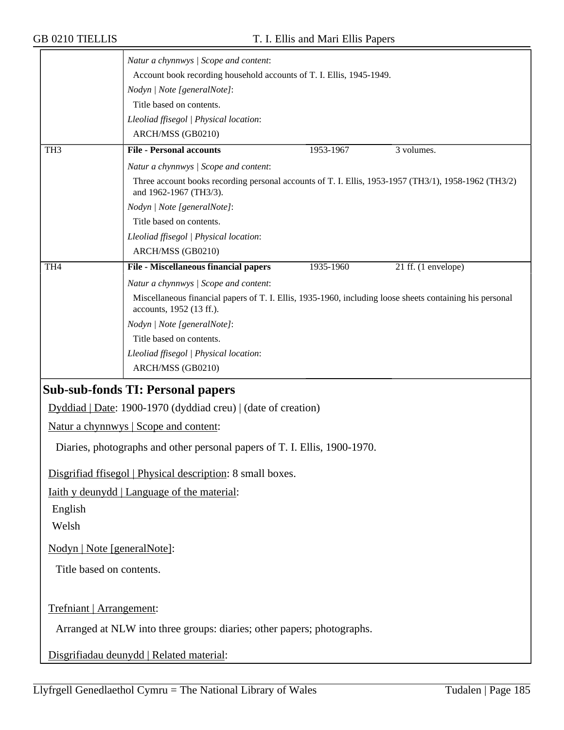|                             | Natur a chynnwys / Scope and content:                                                                                                |           |                     |
|-----------------------------|--------------------------------------------------------------------------------------------------------------------------------------|-----------|---------------------|
|                             | Account book recording household accounts of T. I. Ellis, 1945-1949.                                                                 |           |                     |
|                             | Nodyn   Note [generalNote]:                                                                                                          |           |                     |
|                             | Title based on contents.                                                                                                             |           |                     |
|                             | Lleoliad ffisegol   Physical location:                                                                                               |           |                     |
|                             | ARCH/MSS (GB0210)                                                                                                                    |           |                     |
| TH <sub>3</sub>             | <b>File - Personal accounts</b>                                                                                                      | 1953-1967 | 3 volumes.          |
|                             | Natur a chynnwys / Scope and content:                                                                                                |           |                     |
|                             | Three account books recording personal accounts of T. I. Ellis, 1953-1957 (TH3/1), 1958-1962 (TH3/2)<br>and 1962-1967 (TH3/3).       |           |                     |
|                             | Nodyn   Note [generalNote]:                                                                                                          |           |                     |
|                             | Title based on contents.                                                                                                             |           |                     |
|                             | Lleoliad ffisegol   Physical location:                                                                                               |           |                     |
|                             | ARCH/MSS (GB0210)                                                                                                                    |           |                     |
| TH <sub>4</sub>             | File - Miscellaneous financial papers                                                                                                | 1935-1960 | 21 ff. (1 envelope) |
|                             | Natur a chynnwys / Scope and content:                                                                                                |           |                     |
|                             | Miscellaneous financial papers of T. I. Ellis, 1935-1960, including loose sheets containing his personal<br>accounts, 1952 (13 ff.). |           |                     |
|                             | Nodyn   Note [generalNote]:                                                                                                          |           |                     |
|                             | Title based on contents.                                                                                                             |           |                     |
|                             | Lleoliad ffisegol   Physical location:                                                                                               |           |                     |
|                             | ARCH/MSS (GB0210)                                                                                                                    |           |                     |
|                             | <b>Sub-sub-fonds TI: Personal papers</b>                                                                                             |           |                     |
|                             | Dyddiad   Date: 1900-1970 (dyddiad creu)   (date of creation)                                                                        |           |                     |
|                             | Natur a chynnwys   Scope and content:                                                                                                |           |                     |
|                             | Diaries, photographs and other personal papers of T. I. Ellis, 1900-1970.                                                            |           |                     |
|                             | Disgrifiad ffisegol   Physical description: 8 small boxes.                                                                           |           |                     |
|                             | <u>Iaith y deunydd</u>   Language of the material:                                                                                   |           |                     |
| English                     |                                                                                                                                      |           |                     |
| Welsh                       |                                                                                                                                      |           |                     |
| Nodyn   Note [generalNote]: |                                                                                                                                      |           |                     |
| Title based on contents.    |                                                                                                                                      |           |                     |
|                             |                                                                                                                                      |           |                     |
| Trefniant   Arrangement:    |                                                                                                                                      |           |                     |
|                             | Arranged at NLW into three groups: diaries; other papers; photographs.                                                               |           |                     |
|                             | Disgrifiadau deunydd   Related material:                                                                                             |           |                     |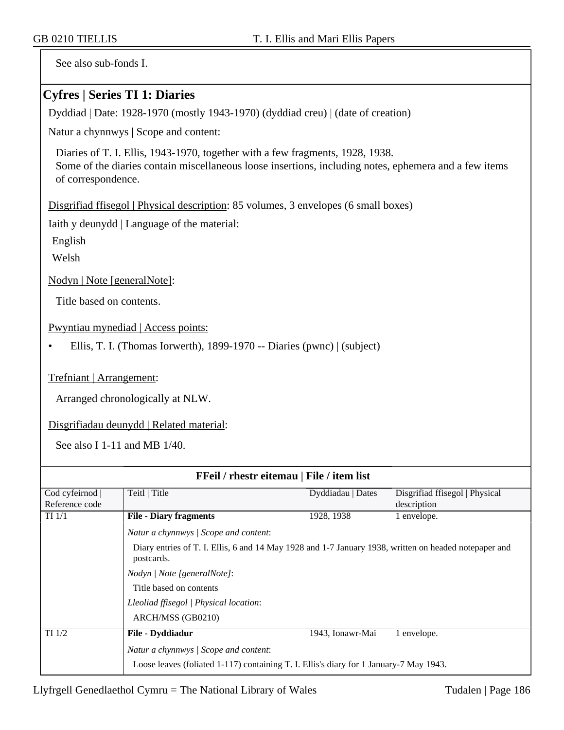See also sub-fonds I.

#### **Cyfres | Series TI 1: Diaries**

Dyddiad | Date: 1928-1970 (mostly 1943-1970) (dyddiad creu) | (date of creation)

Natur a chynnwys | Scope and content:

Diaries of T. I. Ellis, 1943-1970, together with a few fragments, 1928, 1938. Some of the diaries contain miscellaneous loose insertions, including notes, ephemera and a few items of correspondence.

Disgrifiad ffisegol | Physical description: 85 volumes, 3 envelopes (6 small boxes)

Iaith y deunydd | Language of the material:

English

Welsh

Nodyn | Note [generalNote]:

Title based on contents.

Pwyntiau mynediad | Access points:

• Ellis, T. I. (Thomas Iorwerth), 1899-1970 -- Diaries (pwnc) | (subject)

Trefniant | Arrangement:

Arranged chronologically at NLW.

Disgrifiadau deunydd | Related material:

See also I 1-11 and MB 1/40.

| FFeil / rhestr eitemau   File / item list |                                                                                                                     |                   |                                |
|-------------------------------------------|---------------------------------------------------------------------------------------------------------------------|-------------------|--------------------------------|
| Cod cyfeirnod                             | Teitl   Title                                                                                                       | Dyddiadau   Dates | Disgrifiad ffisegol   Physical |
| Reference code                            |                                                                                                                     |                   | description                    |
| $TI$ $1/1$                                | <b>File - Diary fragments</b>                                                                                       | 1928, 1938        | 1 envelope.                    |
|                                           | Natur a chynnwys / Scope and content:                                                                               |                   |                                |
|                                           | Diary entries of T. I. Ellis, 6 and 14 May 1928 and 1-7 January 1938, written on headed notepaper and<br>postcards. |                   |                                |
|                                           | <i>Nodyn</i>   <i>Note</i> [general <i>Note</i> ]:                                                                  |                   |                                |
|                                           | Title based on contents                                                                                             |                   |                                |
|                                           | Lleoliad ffisegol   Physical location:                                                                              |                   |                                |
|                                           | ARCH/MSS (GB0210)                                                                                                   |                   |                                |
| $TI$ $1/2$                                | File - Dyddiadur                                                                                                    | 1943, Ionawr-Mai  | 1 envelope.                    |
|                                           | Natur a chynnwys / Scope and content:                                                                               |                   |                                |
|                                           | Loose leaves (foliated 1-117) containing T. I. Ellis's diary for 1 January-7 May 1943.                              |                   |                                |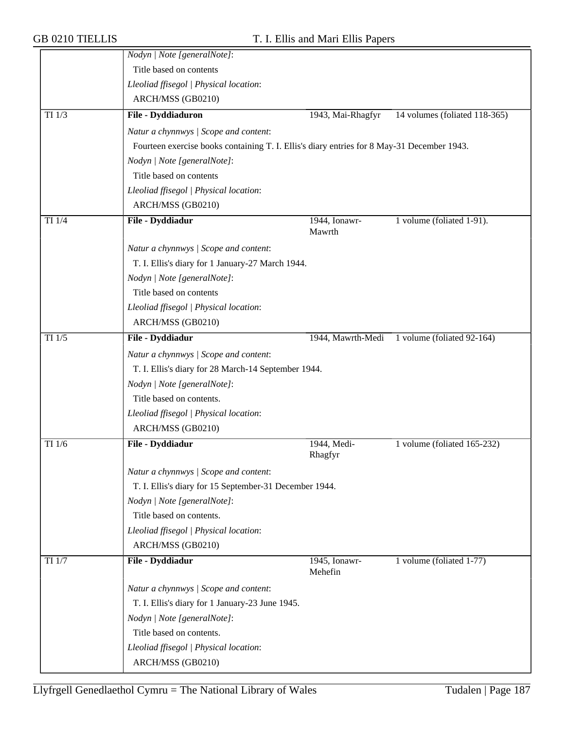|            | Nodyn   Note [generalNote]:                                                                |                         |                               |
|------------|--------------------------------------------------------------------------------------------|-------------------------|-------------------------------|
|            | Title based on contents                                                                    |                         |                               |
|            | Lleoliad ffisegol   Physical location:                                                     |                         |                               |
|            | ARCH/MSS (GB0210)                                                                          |                         |                               |
| $TI$ $1/3$ | File - Dyddiaduron                                                                         | 1943, Mai-Rhagfyr       | 14 volumes (foliated 118-365) |
|            | Natur a chynnwys / Scope and content:                                                      |                         |                               |
|            | Fourteen exercise books containing T. I. Ellis's diary entries for 8 May-31 December 1943. |                         |                               |
|            | Nodyn   Note [generalNote]:                                                                |                         |                               |
|            | Title based on contents                                                                    |                         |                               |
|            | Lleoliad ffisegol   Physical location:                                                     |                         |                               |
|            | ARCH/MSS (GB0210)                                                                          |                         |                               |
| TI 1/4     | File - Dyddiadur                                                                           | 1944, Ionawr-<br>Mawrth | 1 volume (foliated 1-91).     |
|            | Natur a chynnwys / Scope and content:                                                      |                         |                               |
|            | T. I. Ellis's diary for 1 January-27 March 1944.                                           |                         |                               |
|            | Nodyn   Note [generalNote]:                                                                |                         |                               |
|            | Title based on contents                                                                    |                         |                               |
|            | Lleoliad ffisegol   Physical location:                                                     |                         |                               |
|            | ARCH/MSS (GB0210)                                                                          |                         |                               |
| $TI$ $1/5$ | File - Dyddiadur                                                                           | 1944, Mawrth-Medi       | 1 volume (foliated 92-164)    |
|            | Natur a chynnwys / Scope and content:                                                      |                         |                               |
|            | T. I. Ellis's diary for 28 March-14 September 1944.                                        |                         |                               |
|            | Nodyn   Note [generalNote]:                                                                |                         |                               |
|            | Title based on contents.                                                                   |                         |                               |
|            | Lleoliad ffisegol   Physical location:                                                     |                         |                               |
|            | ARCH/MSS (GB0210)                                                                          |                         |                               |
| TI 1/6     | File - Dyddiadur                                                                           | 1944, Medi-             | 1 volume (foliated 165-232)   |
|            |                                                                                            | Rhagfyr                 |                               |
|            | Natur a chynnwys / Scope and content:                                                      |                         |                               |
|            | T. I. Ellis's diary for 15 September-31 December 1944.                                     |                         |                               |
|            | Nodyn   Note [generalNote]:                                                                |                         |                               |
|            | Title based on contents.                                                                   |                         |                               |
|            | Lleoliad ffisegol   Physical location:                                                     |                         |                               |
|            | ARCH/MSS (GB0210)                                                                          |                         |                               |
| TI 1/7     | File - Dyddiadur                                                                           | 1945, Ionawr-           | 1 volume (foliated 1-77)      |
|            |                                                                                            | Mehefin                 |                               |
|            | Natur a chynnwys / Scope and content:                                                      |                         |                               |
|            | T. I. Ellis's diary for 1 January-23 June 1945.                                            |                         |                               |
|            | Nodyn   Note [generalNote]:                                                                |                         |                               |
|            | Title based on contents.                                                                   |                         |                               |
|            | Lleoliad ffisegol   Physical location:                                                     |                         |                               |
|            | ARCH/MSS (GB0210)                                                                          |                         |                               |
|            |                                                                                            |                         |                               |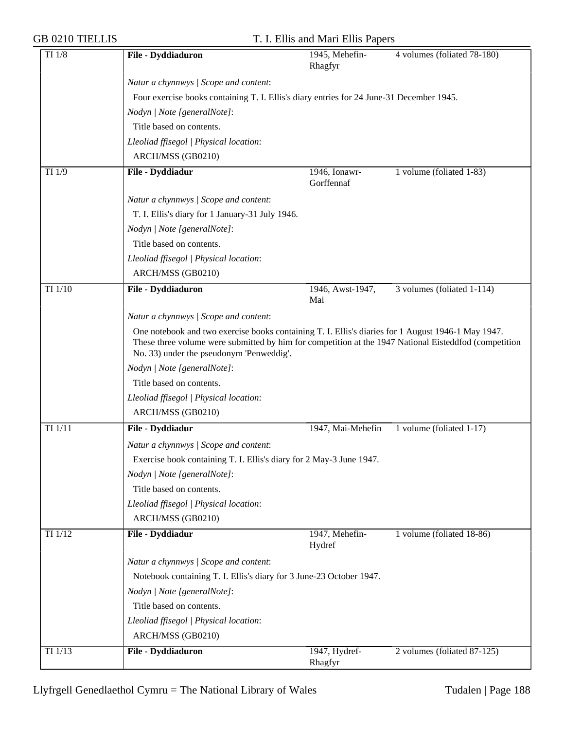| $TI$ $1/8$ | File - Dyddiaduron                                                                                                                                                                                                                                                                                                                                           | 1945, Mehefin-<br>Rhagfyr   | 4 volumes (foliated 78-180) |  |
|------------|--------------------------------------------------------------------------------------------------------------------------------------------------------------------------------------------------------------------------------------------------------------------------------------------------------------------------------------------------------------|-----------------------------|-----------------------------|--|
|            | Natur a chynnwys / Scope and content:                                                                                                                                                                                                                                                                                                                        |                             |                             |  |
|            | Four exercise books containing T. I. Ellis's diary entries for 24 June-31 December 1945.                                                                                                                                                                                                                                                                     |                             |                             |  |
|            | Nodyn   Note [generalNote]:                                                                                                                                                                                                                                                                                                                                  |                             |                             |  |
|            | Title based on contents.                                                                                                                                                                                                                                                                                                                                     |                             |                             |  |
|            | Lleoliad ffisegol   Physical location:                                                                                                                                                                                                                                                                                                                       |                             |                             |  |
|            | ARCH/MSS (GB0210)                                                                                                                                                                                                                                                                                                                                            |                             |                             |  |
| TI 1/9     | File - Dyddiadur                                                                                                                                                                                                                                                                                                                                             | 1946, Ionawr-<br>Gorffennaf | 1 volume (foliated 1-83)    |  |
|            | Natur a chynnwys / Scope and content:                                                                                                                                                                                                                                                                                                                        |                             |                             |  |
|            | T. I. Ellis's diary for 1 January-31 July 1946.                                                                                                                                                                                                                                                                                                              |                             |                             |  |
|            | Nodyn   Note [generalNote]:                                                                                                                                                                                                                                                                                                                                  |                             |                             |  |
|            | Title based on contents.                                                                                                                                                                                                                                                                                                                                     |                             |                             |  |
|            | Lleoliad ffisegol   Physical location:                                                                                                                                                                                                                                                                                                                       |                             |                             |  |
|            | ARCH/MSS (GB0210)                                                                                                                                                                                                                                                                                                                                            |                             |                             |  |
| TI 1/10    | File - Dyddiaduron                                                                                                                                                                                                                                                                                                                                           | 1946, Awst-1947,<br>Mai     | 3 volumes (foliated 1-114)  |  |
|            | Natur a chynnwys / Scope and content:                                                                                                                                                                                                                                                                                                                        |                             |                             |  |
|            | One notebook and two exercise books containing T. I. Ellis's diaries for 1 August 1946-1 May 1947.<br>These three volume were submitted by him for competition at the 1947 National Eisteddfod (competition<br>No. 33) under the pseudonym 'Penweddig'.<br>Nodyn   Note [generalNote]:<br>Title based on contents.<br>Lleoliad ffisegol   Physical location: |                             |                             |  |
|            | ARCH/MSS (GB0210)                                                                                                                                                                                                                                                                                                                                            |                             |                             |  |
| TI 1/11    | File - Dyddiadur                                                                                                                                                                                                                                                                                                                                             | 1947, Mai-Mehefin           | 1 volume (foliated 1-17)    |  |
|            | Natur a chynnwys / Scope and content:<br>Exercise book containing T. I. Ellis's diary for 2 May-3 June 1947.<br>Nodyn   Note [generalNote]:<br>Title based on contents.<br>Lleoliad ffisegol   Physical location:<br>ARCH/MSS (GB0210)                                                                                                                       |                             |                             |  |
| TI 1/12    | File - Dyddiadur                                                                                                                                                                                                                                                                                                                                             | 1947, Mehefin-<br>Hydref    | 1 volume (foliated 18-86)   |  |
|            | Natur a chynnwys / Scope and content:                                                                                                                                                                                                                                                                                                                        |                             |                             |  |
|            | Notebook containing T. I. Ellis's diary for 3 June-23 October 1947.                                                                                                                                                                                                                                                                                          |                             |                             |  |
|            | Nodyn   Note [generalNote]:                                                                                                                                                                                                                                                                                                                                  |                             |                             |  |
|            | Title based on contents.                                                                                                                                                                                                                                                                                                                                     |                             |                             |  |
|            | Lleoliad ffisegol   Physical location:                                                                                                                                                                                                                                                                                                                       |                             |                             |  |
|            | ARCH/MSS (GB0210)                                                                                                                                                                                                                                                                                                                                            |                             |                             |  |
| TI 1/13    | File - Dyddiaduron                                                                                                                                                                                                                                                                                                                                           | 1947, Hydref-<br>Rhagfyr    | 2 volumes (foliated 87-125) |  |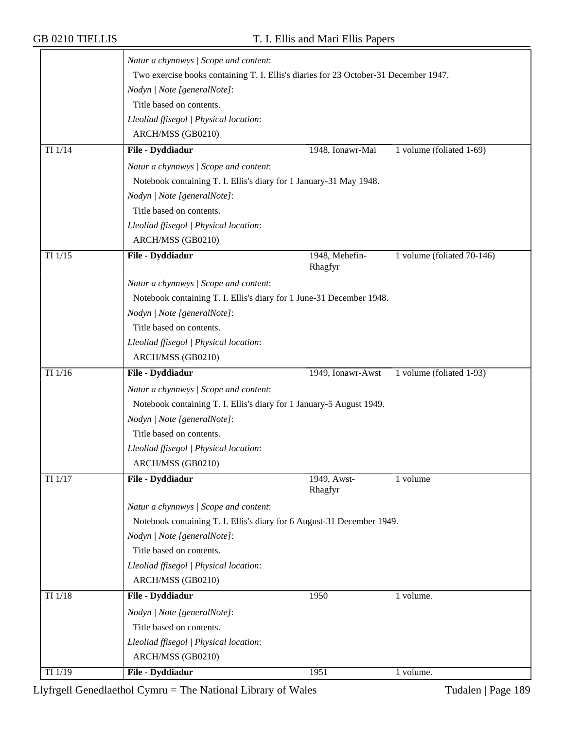|             | Natur a chynnwys / Scope and content:                                                |                           |                            |
|-------------|--------------------------------------------------------------------------------------|---------------------------|----------------------------|
|             | Two exercise books containing T. I. Ellis's diaries for 23 October-31 December 1947. |                           |                            |
|             | Nodyn   Note [generalNote]:                                                          |                           |                            |
|             | Title based on contents.                                                             |                           |                            |
|             | Lleoliad ffisegol   Physical location:                                               |                           |                            |
|             | ARCH/MSS (GB0210)                                                                    |                           |                            |
| $TI$ $1/14$ | File - Dyddiadur                                                                     | 1948, Ionawr-Mai          | 1 volume (foliated 1-69)   |
|             | Natur a chynnwys / Scope and content:                                                |                           |                            |
|             | Notebook containing T. I. Ellis's diary for 1 January-31 May 1948.                   |                           |                            |
|             | Nodyn   Note [generalNote]:                                                          |                           |                            |
|             | Title based on contents.                                                             |                           |                            |
|             | Lleoliad ffisegol   Physical location:                                               |                           |                            |
|             | ARCH/MSS (GB0210)                                                                    |                           |                            |
| TI $1/15$   | File - Dyddiadur                                                                     | 1948, Mehefin-<br>Rhagfyr | 1 volume (foliated 70-146) |
|             | Natur a chynnwys / Scope and content:                                                |                           |                            |
|             | Notebook containing T. I. Ellis's diary for 1 June-31 December 1948.                 |                           |                            |
|             | Nodyn   Note [generalNote]:                                                          |                           |                            |
|             | Title based on contents.                                                             |                           |                            |
|             | Lleoliad ffisegol   Physical location:                                               |                           |                            |
|             | ARCH/MSS (GB0210)                                                                    |                           |                            |
| TI 1/16     | File - Dyddiadur                                                                     | 1949, Ionawr-Awst         | 1 volume (foliated 1-93)   |
|             | Natur a chynnwys / Scope and content:                                                |                           |                            |
|             | Notebook containing T. I. Ellis's diary for 1 January-5 August 1949.                 |                           |                            |
|             | Nodyn   Note [generalNote]:                                                          |                           |                            |
|             | Title based on contents.                                                             |                           |                            |
|             | Lleoliad ffisegol   Physical location:                                               |                           |                            |
|             |                                                                                      |                           |                            |
|             | ARCH/MSS (GB0210)                                                                    |                           |                            |
| TI 1/17     | File - Dyddiadur                                                                     | 1949, Awst-<br>Rhagfyr    | 1 volume                   |
|             | Natur a chynnwys / Scope and content:                                                |                           |                            |
|             | Notebook containing T. I. Ellis's diary for 6 August-31 December 1949.               |                           |                            |
|             | Nodyn   Note [generalNote]:                                                          |                           |                            |
|             | Title based on contents.                                                             |                           |                            |
|             | Lleoliad ffisegol   Physical location:                                               |                           |                            |
|             | ARCH/MSS (GB0210)                                                                    |                           |                            |
| TI 1/18     | File - Dyddiadur                                                                     | 1950                      | 1 volume.                  |
|             | Nodyn   Note [generalNote]:                                                          |                           |                            |
|             | Title based on contents.                                                             |                           |                            |
|             | Lleoliad ffisegol   Physical location:                                               |                           |                            |
|             | ARCH/MSS (GB0210)                                                                    |                           |                            |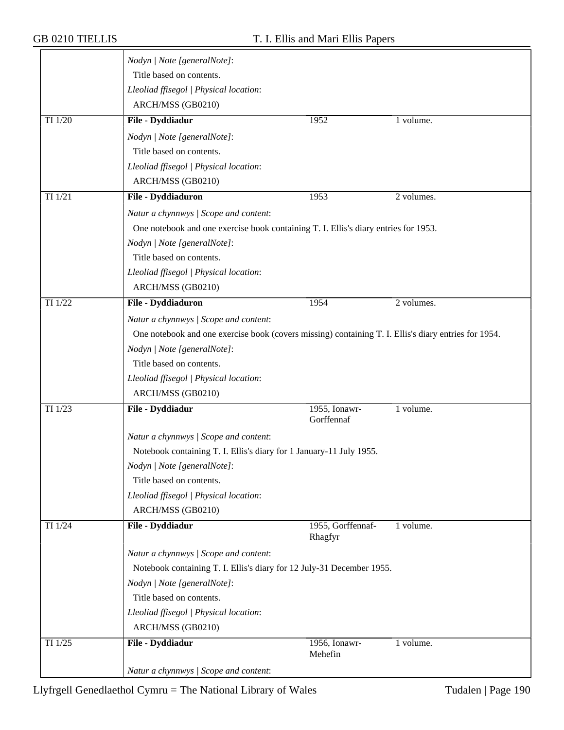|             | Nodyn   Note [generalNote]:                                                                          |                              |            |  |
|-------------|------------------------------------------------------------------------------------------------------|------------------------------|------------|--|
|             | Title based on contents.                                                                             |                              |            |  |
|             | Lleoliad ffisegol   Physical location:                                                               |                              |            |  |
|             | ARCH/MSS (GB0210)                                                                                    |                              |            |  |
| TI 1/20     | File - Dyddiadur                                                                                     | 1952                         | 1 volume.  |  |
|             |                                                                                                      |                              |            |  |
|             | Nodyn   Note [generalNote]:                                                                          |                              |            |  |
|             | Title based on contents.                                                                             |                              |            |  |
|             | Lleoliad ffisegol   Physical location:                                                               |                              |            |  |
|             | ARCH/MSS (GB0210)                                                                                    |                              |            |  |
| $TI$ $1/21$ | File - Dyddiaduron                                                                                   | 1953                         | 2 volumes. |  |
|             | Natur a chynnwys / Scope and content:                                                                |                              |            |  |
|             | One notebook and one exercise book containing T. I. Ellis's diary entries for 1953.                  |                              |            |  |
|             | Nodyn   Note [generalNote]:                                                                          |                              |            |  |
|             | Title based on contents.                                                                             |                              |            |  |
|             | Lleoliad ffisegol   Physical location:                                                               |                              |            |  |
|             | ARCH/MSS (GB0210)                                                                                    |                              |            |  |
| TI 1/22     | File - Dyddiaduron                                                                                   | 1954                         | 2 volumes. |  |
|             | Natur a chynnwys / Scope and content:                                                                |                              |            |  |
|             | One notebook and one exercise book (covers missing) containing T. I. Ellis's diary entries for 1954. |                              |            |  |
|             | Nodyn   Note [generalNote]:                                                                          |                              |            |  |
|             | Title based on contents.                                                                             |                              |            |  |
|             | Lleoliad ffisegol   Physical location:                                                               |                              |            |  |
|             | ARCH/MSS (GB0210)                                                                                    |                              |            |  |
| TI 1/23     | File - Dyddiadur                                                                                     | 1955, Ionawr-                | 1 volume.  |  |
|             |                                                                                                      | Gorffennaf                   |            |  |
|             | Natur a chynnwys / Scope and content:                                                                |                              |            |  |
|             | Notebook containing T. I. Ellis's diary for 1 January-11 July 1955.                                  |                              |            |  |
|             | Nodyn   Note [generalNote]:                                                                          |                              |            |  |
|             | Title based on contents.                                                                             |                              |            |  |
|             | Lleoliad ffisegol   Physical location:                                                               |                              |            |  |
|             | ARCH/MSS (GB0210)                                                                                    |                              |            |  |
| TI 1/24     | File - Dyddiadur                                                                                     | 1955, Gorffennaf-<br>Rhagfyr | 1 volume.  |  |
|             | Natur a chynnwys / Scope and content:                                                                |                              |            |  |
|             | Notebook containing T. I. Ellis's diary for 12 July-31 December 1955.                                |                              |            |  |
|             | Nodyn   Note [generalNote]:                                                                          |                              |            |  |
|             | Title based on contents.                                                                             |                              |            |  |
|             | Lleoliad ffisegol   Physical location:                                                               |                              |            |  |
|             | ARCH/MSS (GB0210)                                                                                    |                              |            |  |
| TI 1/25     | File - Dyddiadur                                                                                     | 1956, Ionawr-                | 1 volume.  |  |
|             |                                                                                                      | Mehefin                      |            |  |
|             | Natur a chynnwys / Scope and content:                                                                |                              |            |  |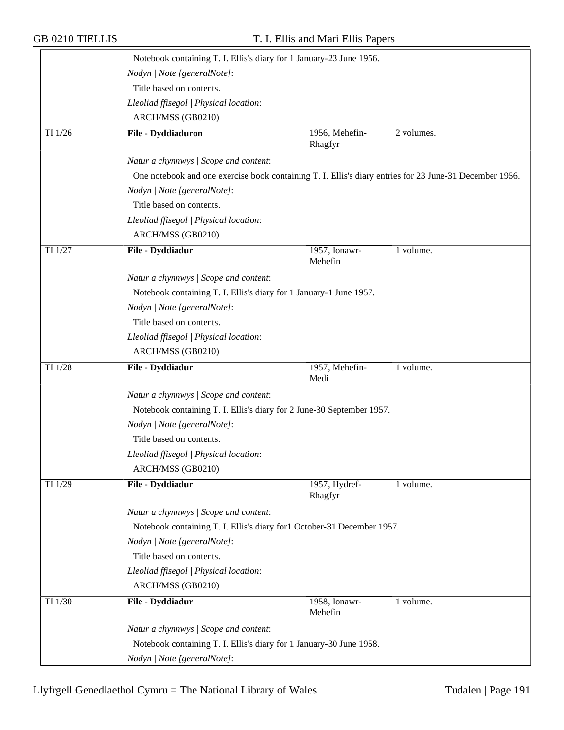|         | Notebook containing T. I. Ellis's diary for 1 January-23 June 1956.                                     |                           |            |
|---------|---------------------------------------------------------------------------------------------------------|---------------------------|------------|
|         | Nodyn   Note [generalNote]:                                                                             |                           |            |
|         | Title based on contents.                                                                                |                           |            |
|         | Lleoliad ffisegol   Physical location:                                                                  |                           |            |
|         | ARCH/MSS (GB0210)                                                                                       |                           |            |
| TI 1/26 | File - Dyddiaduron                                                                                      | 1956, Mehefin-<br>Rhagfyr | 2 volumes. |
|         | Natur a chynnwys / Scope and content:                                                                   |                           |            |
|         | One notebook and one exercise book containing T. I. Ellis's diary entries for 23 June-31 December 1956. |                           |            |
|         | Nodyn   Note [generalNote]:                                                                             |                           |            |
|         | Title based on contents.                                                                                |                           |            |
|         | Lleoliad ffisegol   Physical location:                                                                  |                           |            |
|         | ARCH/MSS (GB0210)                                                                                       |                           |            |
| TI 1/27 | File - Dyddiadur                                                                                        | 1957, Ionawr-<br>Mehefin  | 1 volume.  |
|         | Natur a chynnwys / Scope and content:                                                                   |                           |            |
|         | Notebook containing T. I. Ellis's diary for 1 January-1 June 1957.                                      |                           |            |
|         | Nodyn   Note [generalNote]:                                                                             |                           |            |
|         | Title based on contents.                                                                                |                           |            |
|         | Lleoliad ffisegol   Physical location:                                                                  |                           |            |
|         | ARCH/MSS (GB0210)                                                                                       |                           |            |
| TI 1/28 | File - Dyddiadur                                                                                        | 1957, Mehefin-<br>Medi    | 1 volume.  |
|         | Natur a chynnwys / Scope and content:                                                                   |                           |            |
|         | Notebook containing T. I. Ellis's diary for 2 June-30 September 1957.                                   |                           |            |
|         | Nodyn   Note [generalNote]:                                                                             |                           |            |
|         | Title based on contents.                                                                                |                           |            |
|         | Lleoliad ffisegol   Physical location:                                                                  |                           |            |
|         | ARCH/MSS (GB0210)                                                                                       |                           |            |
| TI 1/29 | File - Dyddiadur                                                                                        | 1957, Hydref-<br>Rhagfyr  | 1 volume.  |
|         | Natur a chynnwys / Scope and content:                                                                   |                           |            |
|         | Notebook containing T. I. Ellis's diary for1 October-31 December 1957.                                  |                           |            |
|         | Nodyn   Note [generalNote]:                                                                             |                           |            |
|         | Title based on contents.                                                                                |                           |            |
|         | Lleoliad ffisegol   Physical location:                                                                  |                           |            |
|         | ARCH/MSS (GB0210)                                                                                       |                           |            |
| TI 1/30 | File - Dyddiadur                                                                                        | 1958, Ionawr-<br>Mehefin  | 1 volume.  |
|         | Natur a chynnwys / Scope and content:                                                                   |                           |            |
|         | Notebook containing T. I. Ellis's diary for 1 January-30 June 1958.                                     |                           |            |
|         | Nodyn   Note [generalNote]:                                                                             |                           |            |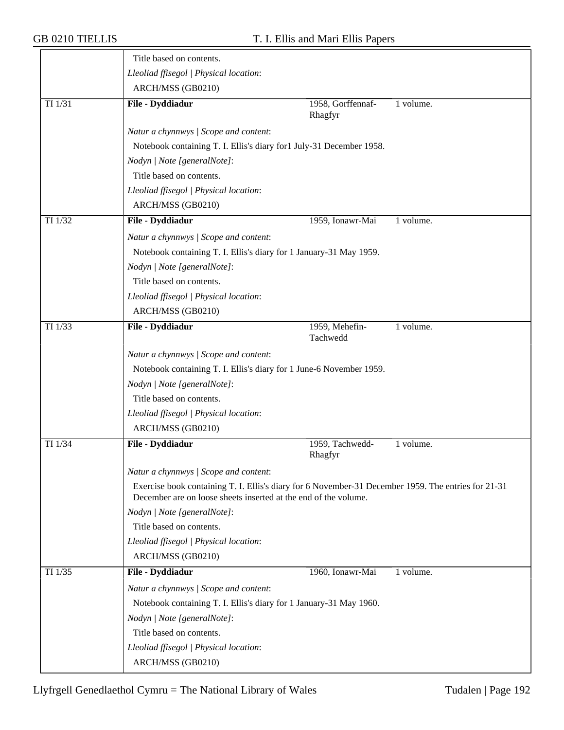|           | Title based on contents.                                                                                                                                               |                              |           |  |
|-----------|------------------------------------------------------------------------------------------------------------------------------------------------------------------------|------------------------------|-----------|--|
|           | Lleoliad ffisegol   Physical location:                                                                                                                                 |                              |           |  |
|           | ARCH/MSS (GB0210)                                                                                                                                                      |                              |           |  |
| TI $1/31$ | File - Dyddiadur                                                                                                                                                       | 1958, Gorffennaf-<br>Rhagfyr | 1 volume. |  |
|           | Natur a chynnwys / Scope and content:                                                                                                                                  |                              |           |  |
|           | Notebook containing T. I. Ellis's diary for1 July-31 December 1958.                                                                                                    |                              |           |  |
|           | Nodyn   Note [generalNote]:                                                                                                                                            |                              |           |  |
|           | Title based on contents.                                                                                                                                               |                              |           |  |
|           | Lleoliad ffisegol   Physical location:                                                                                                                                 |                              |           |  |
|           | ARCH/MSS (GB0210)                                                                                                                                                      |                              |           |  |
| TI 1/32   | File - Dyddiadur                                                                                                                                                       | 1959, Ionawr-Mai             | 1 volume. |  |
|           | Natur a chynnwys / Scope and content:                                                                                                                                  |                              |           |  |
|           | Notebook containing T. I. Ellis's diary for 1 January-31 May 1959.                                                                                                     |                              |           |  |
|           | Nodyn   Note [generalNote]:                                                                                                                                            |                              |           |  |
|           | Title based on contents.                                                                                                                                               |                              |           |  |
|           | Lleoliad ffisegol   Physical location:                                                                                                                                 |                              |           |  |
|           | ARCH/MSS (GB0210)                                                                                                                                                      |                              |           |  |
| TI 1/33   | File - Dyddiadur                                                                                                                                                       | 1959, Mehefin-<br>Tachwedd   | 1 volume. |  |
|           | Natur a chynnwys / Scope and content:                                                                                                                                  |                              |           |  |
|           | Notebook containing T. I. Ellis's diary for 1 June-6 November 1959.                                                                                                    |                              |           |  |
|           | Nodyn   Note [generalNote]:                                                                                                                                            |                              |           |  |
|           | Title based on contents.                                                                                                                                               |                              |           |  |
|           | Lleoliad ffisegol   Physical location:                                                                                                                                 |                              |           |  |
|           | ARCH/MSS (GB0210)                                                                                                                                                      |                              |           |  |
| TI 1/34   | File - Dyddiadur                                                                                                                                                       | 1959, Tachwedd-<br>Rhagfyr   | 1 volume. |  |
|           | Natur a chynnwys / Scope and content:                                                                                                                                  |                              |           |  |
|           | Exercise book containing T. I. Ellis's diary for 6 November-31 December 1959. The entries for 21-31<br>December are on loose sheets inserted at the end of the volume. |                              |           |  |
|           | Nodyn   Note [generalNote]:                                                                                                                                            |                              |           |  |
|           | Title based on contents.                                                                                                                                               |                              |           |  |
|           | Lleoliad ffisegol   Physical location:                                                                                                                                 |                              |           |  |
|           | ARCH/MSS (GB0210)                                                                                                                                                      |                              |           |  |
| TI 1/35   | File - Dyddiadur                                                                                                                                                       | 1960, Ionawr-Mai             | 1 volume. |  |
|           | Natur a chynnwys / Scope and content:                                                                                                                                  |                              |           |  |
|           | Notebook containing T. I. Ellis's diary for 1 January-31 May 1960.                                                                                                     |                              |           |  |
|           | Nodyn   Note [generalNote]:                                                                                                                                            |                              |           |  |
|           | Title based on contents.                                                                                                                                               |                              |           |  |
|           | Lleoliad ffisegol   Physical location:                                                                                                                                 |                              |           |  |
|           | ARCH/MSS (GB0210)                                                                                                                                                      |                              |           |  |
|           |                                                                                                                                                                        |                              |           |  |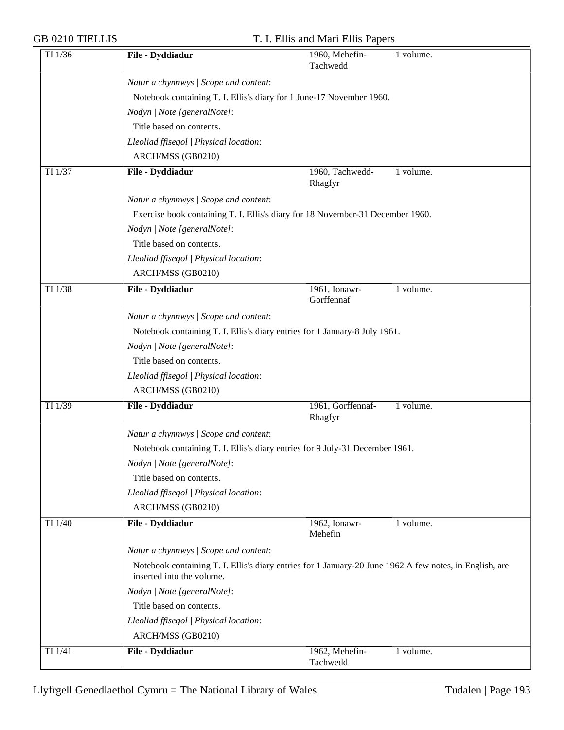| TI 1/36     | File - Dyddiadur                                                               | 1960, Mehefin-<br>1 volume.                                                                             |
|-------------|--------------------------------------------------------------------------------|---------------------------------------------------------------------------------------------------------|
|             |                                                                                | Tachwedd                                                                                                |
|             | Natur a chynnwys / Scope and content:                                          |                                                                                                         |
|             | Notebook containing T. I. Ellis's diary for 1 June-17 November 1960.           |                                                                                                         |
|             | Nodyn   Note [generalNote]:                                                    |                                                                                                         |
|             | Title based on contents.                                                       |                                                                                                         |
|             | Lleoliad ffisegol   Physical location:                                         |                                                                                                         |
|             | ARCH/MSS (GB0210)                                                              |                                                                                                         |
| TI 1/37     | File - Dyddiadur                                                               | 1960, Tachwedd-<br>1 volume.                                                                            |
|             |                                                                                | Rhagfyr                                                                                                 |
|             | Natur a chynnwys / Scope and content:                                          |                                                                                                         |
|             | Exercise book containing T. I. Ellis's diary for 18 November-31 December 1960. |                                                                                                         |
|             | Nodyn   Note [generalNote]:                                                    |                                                                                                         |
|             | Title based on contents.                                                       |                                                                                                         |
|             | Lleoliad ffisegol   Physical location:                                         |                                                                                                         |
|             | ARCH/MSS (GB0210)                                                              |                                                                                                         |
| TI 1/38     | File - Dyddiadur                                                               | 1961, Ionawr-<br>1 volume.                                                                              |
|             |                                                                                | Gorffennaf                                                                                              |
|             | Natur a chynnwys / Scope and content:                                          |                                                                                                         |
|             | Notebook containing T. I. Ellis's diary entries for 1 January-8 July 1961.     |                                                                                                         |
|             | Nodyn   Note [generalNote]:                                                    |                                                                                                         |
|             | Title based on contents.                                                       |                                                                                                         |
|             | Lleoliad ffisegol   Physical location:                                         |                                                                                                         |
|             | ARCH/MSS (GB0210)                                                              |                                                                                                         |
| TI 1/39     | File - Dyddiadur                                                               | 1961, Gorffennaf-<br>1 volume.                                                                          |
|             |                                                                                | Rhagfyr                                                                                                 |
|             | Natur a chynnwys / Scope and content:                                          |                                                                                                         |
|             | Notebook containing T. I. Ellis's diary entries for 9 July-31 December 1961.   |                                                                                                         |
|             | Nodyn   Note [generalNote]:                                                    |                                                                                                         |
|             | Title based on contents.                                                       |                                                                                                         |
|             | Lleoliad ffisegol   Physical location:                                         |                                                                                                         |
|             | ARCH/MSS (GB0210)                                                              |                                                                                                         |
| TI 1/40     | File - Dyddiadur                                                               | 1962, Ionawr-<br>1 volume.<br>Mehefin                                                                   |
|             | Natur a chynnwys / Scope and content:                                          |                                                                                                         |
|             | inserted into the volume.                                                      | Notebook containing T. I. Ellis's diary entries for 1 January-20 June 1962.A few notes, in English, are |
|             | Nodyn   Note [generalNote]:                                                    |                                                                                                         |
|             | Title based on contents.                                                       |                                                                                                         |
|             | Lleoliad ffisegol   Physical location:                                         |                                                                                                         |
|             | ARCH/MSS (GB0210)                                                              |                                                                                                         |
| $TI$ $1/41$ | File - Dyddiadur                                                               | 1962, Mehefin-<br>1 volume.                                                                             |
|             |                                                                                | Tachwedd                                                                                                |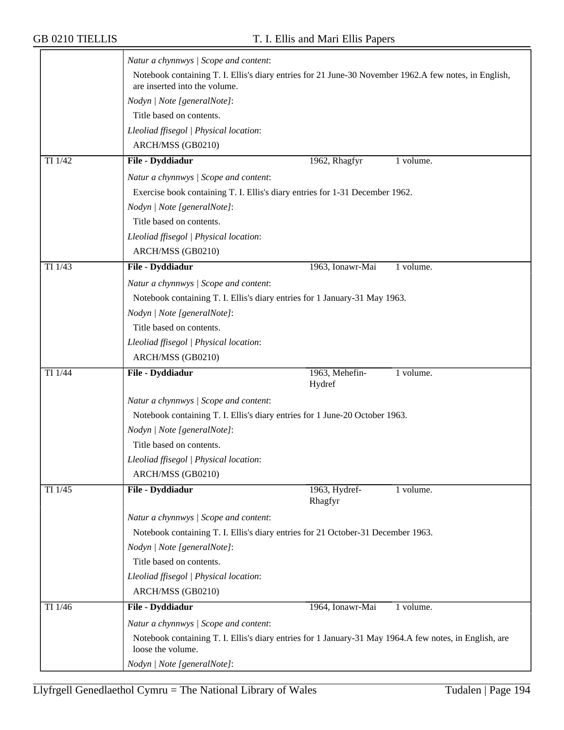|                      | Natur a chynnwys / Scope and content:                                                                                                  |                          |           |
|----------------------|----------------------------------------------------------------------------------------------------------------------------------------|--------------------------|-----------|
|                      | Notebook containing T. I. Ellis's diary entries for 21 June-30 November 1962.A few notes, in English,<br>are inserted into the volume. |                          |           |
|                      | Nodyn   Note [generalNote]:                                                                                                            |                          |           |
|                      | Title based on contents.                                                                                                               |                          |           |
|                      | Lleoliad ffisegol   Physical location:                                                                                                 |                          |           |
|                      | ARCH/MSS (GB0210)                                                                                                                      |                          |           |
| TI 1/42              | File - Dyddiadur                                                                                                                       | 1962, Rhagfyr            | 1 volume. |
|                      | Natur a chynnwys / Scope and content:                                                                                                  |                          |           |
|                      | Exercise book containing T. I. Ellis's diary entries for 1-31 December 1962.                                                           |                          |           |
|                      | Nodyn   Note [generalNote]:                                                                                                            |                          |           |
|                      | Title based on contents.                                                                                                               |                          |           |
|                      | Lleoliad ffisegol   Physical location:                                                                                                 |                          |           |
|                      | ARCH/MSS (GB0210)                                                                                                                      |                          |           |
| TI 1/43              | File - Dyddiadur                                                                                                                       | 1963, Ionawr-Mai         | 1 volume. |
|                      | Natur a chynnwys / Scope and content:                                                                                                  |                          |           |
|                      | Notebook containing T. I. Ellis's diary entries for 1 January-31 May 1963.                                                             |                          |           |
|                      | Nodyn   Note [generalNote]:                                                                                                            |                          |           |
|                      | Title based on contents.                                                                                                               |                          |           |
|                      | Lleoliad ffisegol   Physical location:                                                                                                 |                          |           |
|                      | ARCH/MSS (GB0210)                                                                                                                      |                          |           |
| TI 1/44              | File - Dyddiadur                                                                                                                       | 1963, Mehefin-<br>Hydref | 1 volume. |
|                      | Natur a chynnwys / Scope and content:                                                                                                  |                          |           |
|                      | Notebook containing T. I. Ellis's diary entries for 1 June-20 October 1963.                                                            |                          |           |
|                      | Nodyn   Note [generalNote]:                                                                                                            |                          |           |
|                      | Title based on contents.                                                                                                               |                          |           |
|                      | Lleoliad ffisegol   Physical location:                                                                                                 |                          |           |
|                      | ARCH/MSS (GB0210)                                                                                                                      |                          |           |
| TI 1/45              | File - Dyddiadur                                                                                                                       | 1963, Hydref-<br>Rhagfyr | 1 volume. |
|                      | Natur a chynnwys / Scope and content:                                                                                                  |                          |           |
|                      | Notebook containing T. I. Ellis's diary entries for 21 October-31 December 1963.                                                       |                          |           |
|                      | Nodyn   Note [generalNote]:                                                                                                            |                          |           |
|                      | Title based on contents.                                                                                                               |                          |           |
|                      | Lleoliad ffisegol   Physical location:                                                                                                 |                          |           |
|                      | ARCH/MSS (GB0210)                                                                                                                      |                          |           |
| TI $1/\overline{46}$ | File - Dyddiadur                                                                                                                       | 1964, Ionawr-Mai         | 1 volume. |
|                      | Natur a chynnwys / Scope and content:                                                                                                  |                          |           |
|                      | Notebook containing T. I. Ellis's diary entries for 1 January-31 May 1964.A few notes, in English, are<br>loose the volume.            |                          |           |
|                      | Nodyn   Note [generalNote]:                                                                                                            |                          |           |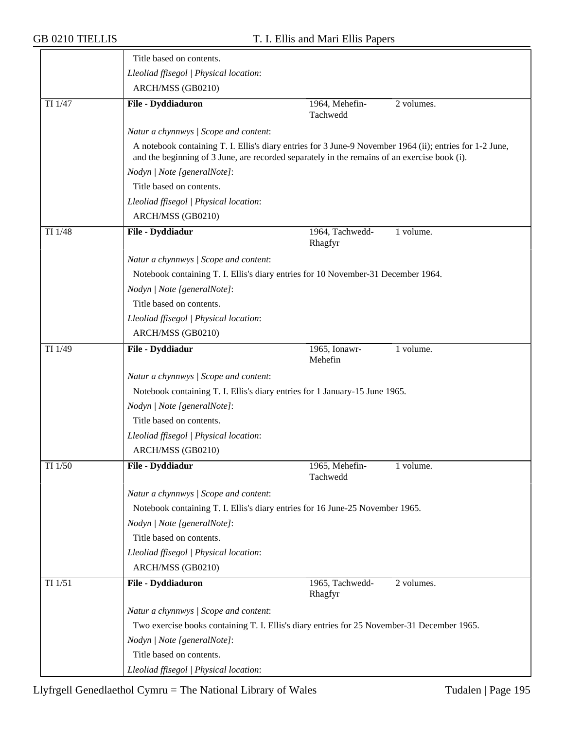|         | Title based on contents.                                                                                                                                                                                 |                            |            |
|---------|----------------------------------------------------------------------------------------------------------------------------------------------------------------------------------------------------------|----------------------------|------------|
|         | Lleoliad ffisegol   Physical location:                                                                                                                                                                   |                            |            |
|         | ARCH/MSS (GB0210)                                                                                                                                                                                        |                            |            |
| TI 1/47 | File - Dyddiaduron                                                                                                                                                                                       | 1964, Mehefin-<br>Tachwedd | 2 volumes. |
|         | Natur a chynnwys / Scope and content:                                                                                                                                                                    |                            |            |
|         | A notebook containing T. I. Ellis's diary entries for 3 June-9 November 1964 (ii); entries for 1-2 June,<br>and the beginning of 3 June, are recorded separately in the remains of an exercise book (i). |                            |            |
|         | Nodyn   Note [generalNote]:                                                                                                                                                                              |                            |            |
|         | Title based on contents.                                                                                                                                                                                 |                            |            |
|         | Lleoliad ffisegol   Physical location:                                                                                                                                                                   |                            |            |
|         | ARCH/MSS (GB0210)                                                                                                                                                                                        |                            |            |
| TI 1/48 | File - Dyddiadur                                                                                                                                                                                         | 1964, Tachwedd-<br>Rhagfyr | 1 volume.  |
|         | Natur a chynnwys / Scope and content:                                                                                                                                                                    |                            |            |
|         | Notebook containing T. I. Ellis's diary entries for 10 November-31 December 1964.                                                                                                                        |                            |            |
|         | Nodyn   Note [generalNote]:                                                                                                                                                                              |                            |            |
|         | Title based on contents.                                                                                                                                                                                 |                            |            |
|         | Lleoliad ffisegol   Physical location:                                                                                                                                                                   |                            |            |
|         | ARCH/MSS (GB0210)                                                                                                                                                                                        |                            |            |
| TI 1/49 | File - Dyddiadur                                                                                                                                                                                         | 1965, Ionawr-<br>Mehefin   | 1 volume.  |
|         | Natur a chynnwys / Scope and content:                                                                                                                                                                    |                            |            |
|         | Notebook containing T. I. Ellis's diary entries for 1 January-15 June 1965.                                                                                                                              |                            |            |
|         | Nodyn   Note [generalNote]:                                                                                                                                                                              |                            |            |
|         | Title based on contents.                                                                                                                                                                                 |                            |            |
|         | Lleoliad ffisegol   Physical location:                                                                                                                                                                   |                            |            |
|         | ARCH/MSS (GB0210)                                                                                                                                                                                        |                            |            |
| TI 1/50 | File - Dyddiadur                                                                                                                                                                                         | 1965, Mehefin-<br>Tachwedd | 1 volume.  |
|         | Natur a chynnwys / Scope and content:                                                                                                                                                                    |                            |            |
|         | Notebook containing T. I. Ellis's diary entries for 16 June-25 November 1965.                                                                                                                            |                            |            |
|         | Nodyn   Note [generalNote]:                                                                                                                                                                              |                            |            |
|         | Title based on contents.                                                                                                                                                                                 |                            |            |
|         | Lleoliad ffisegol   Physical location:                                                                                                                                                                   |                            |            |
|         | ARCH/MSS (GB0210)                                                                                                                                                                                        |                            |            |
| TI 1/51 | File - Dyddiaduron                                                                                                                                                                                       | 1965, Tachwedd-<br>Rhagfyr | 2 volumes. |
|         | Natur a chynnwys / Scope and content:                                                                                                                                                                    |                            |            |
|         | Two exercise books containing T. I. Ellis's diary entries for 25 November-31 December 1965.                                                                                                              |                            |            |
|         | Nodyn   Note [generalNote]:                                                                                                                                                                              |                            |            |
|         | Title based on contents.                                                                                                                                                                                 |                            |            |
|         | Lleoliad ffisegol   Physical location:                                                                                                                                                                   |                            |            |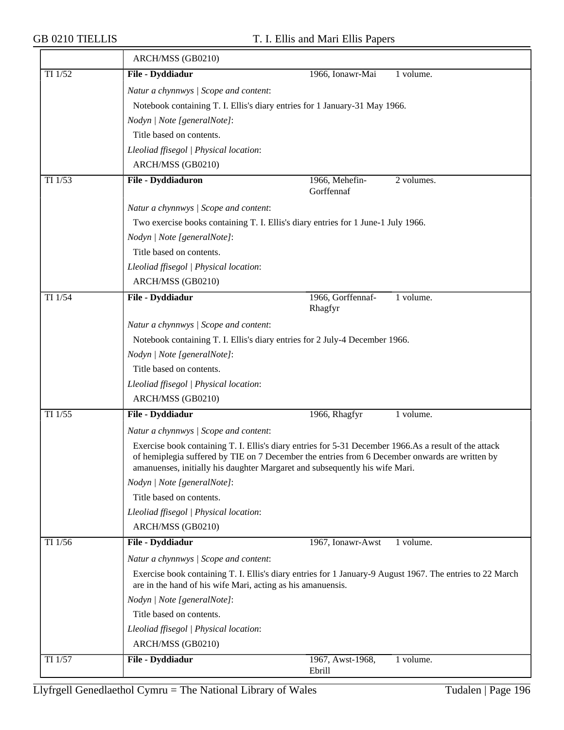|           | ARCH/MSS (GB0210)                                                                                                                                                                                                                                                                       |                              |            |
|-----------|-----------------------------------------------------------------------------------------------------------------------------------------------------------------------------------------------------------------------------------------------------------------------------------------|------------------------------|------------|
| TI 1/52   | File - Dyddiadur                                                                                                                                                                                                                                                                        | 1966, Ionawr-Mai             | 1 volume.  |
|           | Natur a chynnwys / Scope and content:                                                                                                                                                                                                                                                   |                              |            |
|           | Notebook containing T. I. Ellis's diary entries for 1 January-31 May 1966.                                                                                                                                                                                                              |                              |            |
|           | Nodyn   Note [generalNote]:                                                                                                                                                                                                                                                             |                              |            |
|           | Title based on contents.                                                                                                                                                                                                                                                                |                              |            |
|           | Lleoliad ffisegol   Physical location:                                                                                                                                                                                                                                                  |                              |            |
|           | ARCH/MSS (GB0210)                                                                                                                                                                                                                                                                       |                              |            |
| TI 1/53   | File - Dyddiaduron                                                                                                                                                                                                                                                                      | 1966, Mehefin-<br>Gorffennaf | 2 volumes. |
|           | Natur a chynnwys / Scope and content:                                                                                                                                                                                                                                                   |                              |            |
|           | Two exercise books containing T. I. Ellis's diary entries for 1 June-1 July 1966.                                                                                                                                                                                                       |                              |            |
|           | Nodyn   Note [generalNote]:                                                                                                                                                                                                                                                             |                              |            |
|           | Title based on contents.                                                                                                                                                                                                                                                                |                              |            |
|           | Lleoliad ffisegol   Physical location:                                                                                                                                                                                                                                                  |                              |            |
|           | ARCH/MSS (GB0210)                                                                                                                                                                                                                                                                       |                              |            |
| TI 1/54   | File - Dyddiadur                                                                                                                                                                                                                                                                        | 1966, Gorffennaf-            | 1 volume.  |
|           |                                                                                                                                                                                                                                                                                         | Rhagfyr                      |            |
|           | Natur a chynnwys / Scope and content:                                                                                                                                                                                                                                                   |                              |            |
|           | Notebook containing T. I. Ellis's diary entries for 2 July-4 December 1966.                                                                                                                                                                                                             |                              |            |
|           | Nodyn   Note [generalNote]:                                                                                                                                                                                                                                                             |                              |            |
|           | Title based on contents.                                                                                                                                                                                                                                                                |                              |            |
|           | Lleoliad ffisegol   Physical location:                                                                                                                                                                                                                                                  |                              |            |
|           | ARCH/MSS (GB0210)                                                                                                                                                                                                                                                                       |                              |            |
| TI 1/55   | File - Dyddiadur                                                                                                                                                                                                                                                                        | 1966, Rhagfyr                | 1 volume.  |
|           | Natur a chynnwys / Scope and content:                                                                                                                                                                                                                                                   |                              |            |
|           | Exercise book containing T. I. Ellis's diary entries for 5-31 December 1966. As a result of the attack<br>of hemiplegia suffered by TIE on 7 December the entries from 6 December onwards are written by<br>amanuenses, initially his daughter Margaret and subsequently his wife Mari. |                              |            |
|           | Nodyn   Note [generalNote]:                                                                                                                                                                                                                                                             |                              |            |
|           | Title based on contents.                                                                                                                                                                                                                                                                |                              |            |
|           | Lleoliad ffisegol   Physical location:                                                                                                                                                                                                                                                  |                              |            |
|           | ARCH/MSS (GB0210)                                                                                                                                                                                                                                                                       |                              |            |
| $TI$ 1/56 | File - Dyddiadur                                                                                                                                                                                                                                                                        | 1967, Ionawr-Awst            | 1 volume.  |
|           | Natur a chynnwys / Scope and content:                                                                                                                                                                                                                                                   |                              |            |
|           | Exercise book containing T. I. Ellis's diary entries for 1 January-9 August 1967. The entries to 22 March<br>are in the hand of his wife Mari, acting as his amanuensis.                                                                                                                |                              |            |
|           | Nodyn   Note [generalNote]:                                                                                                                                                                                                                                                             |                              |            |
|           | Title based on contents.                                                                                                                                                                                                                                                                |                              |            |
|           | Lleoliad ffisegol   Physical location:                                                                                                                                                                                                                                                  |                              |            |
|           | ARCH/MSS (GB0210)                                                                                                                                                                                                                                                                       |                              |            |
| TI 1/57   | File - Dyddiadur                                                                                                                                                                                                                                                                        | 1967, Awst-1968,             | 1 volume.  |
|           |                                                                                                                                                                                                                                                                                         | Ebrill                       |            |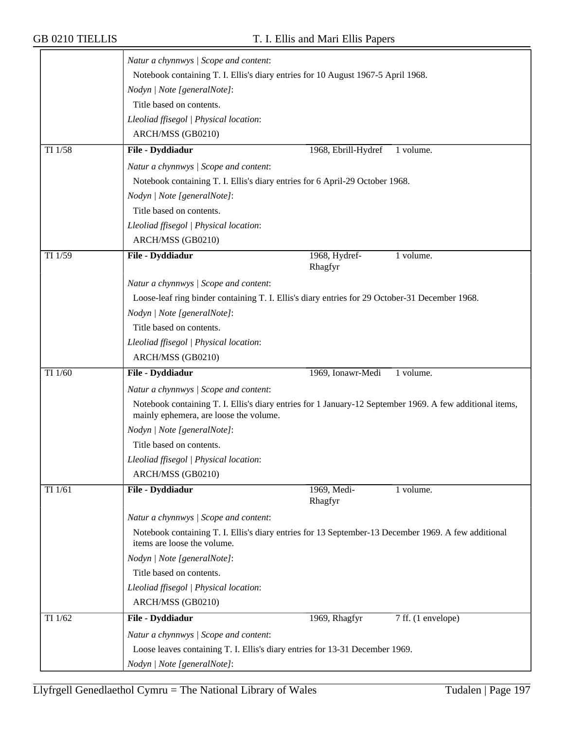|         | Natur a chynnwys / Scope and content:                                                                                                              |                        |                    |
|---------|----------------------------------------------------------------------------------------------------------------------------------------------------|------------------------|--------------------|
|         | Notebook containing T. I. Ellis's diary entries for 10 August 1967-5 April 1968.                                                                   |                        |                    |
|         | Nodyn   Note [generalNote]:                                                                                                                        |                        |                    |
|         | Title based on contents.                                                                                                                           |                        |                    |
|         | Lleoliad ffisegol   Physical location:                                                                                                             |                        |                    |
|         | ARCH/MSS (GB0210)                                                                                                                                  |                        |                    |
| TI 1/58 | File - Dyddiadur                                                                                                                                   | 1968, Ebrill-Hydref    | 1 volume.          |
|         | Natur a chynnwys / Scope and content:                                                                                                              |                        |                    |
|         | Notebook containing T. I. Ellis's diary entries for 6 April-29 October 1968.                                                                       |                        |                    |
|         | Nodyn   Note [generalNote]:                                                                                                                        |                        |                    |
|         | Title based on contents.                                                                                                                           |                        |                    |
|         | Lleoliad ffisegol   Physical location:                                                                                                             |                        |                    |
|         | ARCH/MSS (GB0210)                                                                                                                                  |                        |                    |
| TI 1/59 | File - Dyddiadur                                                                                                                                   | 1968, Hydref-          | 1 volume.          |
|         |                                                                                                                                                    | Rhagfyr                |                    |
|         | Natur a chynnwys / Scope and content:                                                                                                              |                        |                    |
|         | Loose-leaf ring binder containing T. I. Ellis's diary entries for 29 October-31 December 1968.                                                     |                        |                    |
|         | Nodyn   Note [generalNote]:                                                                                                                        |                        |                    |
|         | Title based on contents.                                                                                                                           |                        |                    |
|         | Lleoliad ffisegol   Physical location:                                                                                                             |                        |                    |
|         | ARCH/MSS (GB0210)                                                                                                                                  |                        |                    |
| TI 1/60 | File - Dyddiadur                                                                                                                                   | 1969, Ionawr-Medi      | 1 volume.          |
|         | Natur a chynnwys / Scope and content:                                                                                                              |                        |                    |
|         | Notebook containing T. I. Ellis's diary entries for 1 January-12 September 1969. A few additional items,<br>mainly ephemera, are loose the volume. |                        |                    |
|         | Nodyn   Note [generalNote]:                                                                                                                        |                        |                    |
|         | Title based on contents.                                                                                                                           |                        |                    |
|         | Lleoliad ffisegol   Physical location:                                                                                                             |                        |                    |
|         | ARCH/MSS (GB0210)                                                                                                                                  |                        |                    |
| TI 1/61 | File - Dyddiadur                                                                                                                                   | 1969, Medi-<br>Rhagfyr | 1 volume.          |
|         | Natur a chynnwys / Scope and content:                                                                                                              |                        |                    |
|         | Notebook containing T. I. Ellis's diary entries for 13 September-13 December 1969. A few additional<br>items are loose the volume.                 |                        |                    |
|         | Nodyn   Note [generalNote]:                                                                                                                        |                        |                    |
|         | Title based on contents.                                                                                                                           |                        |                    |
|         | Lleoliad ffisegol   Physical location:                                                                                                             |                        |                    |
|         | ARCH/MSS (GB0210)                                                                                                                                  |                        |                    |
| TI 1/62 | File - Dyddiadur                                                                                                                                   | 1969, Rhagfyr          | 7 ff. (1 envelope) |
|         | Natur a chynnwys / Scope and content:                                                                                                              |                        |                    |
|         | Loose leaves containing T. I. Ellis's diary entries for 13-31 December 1969.                                                                       |                        |                    |
|         | Nodyn   Note [generalNote]:                                                                                                                        |                        |                    |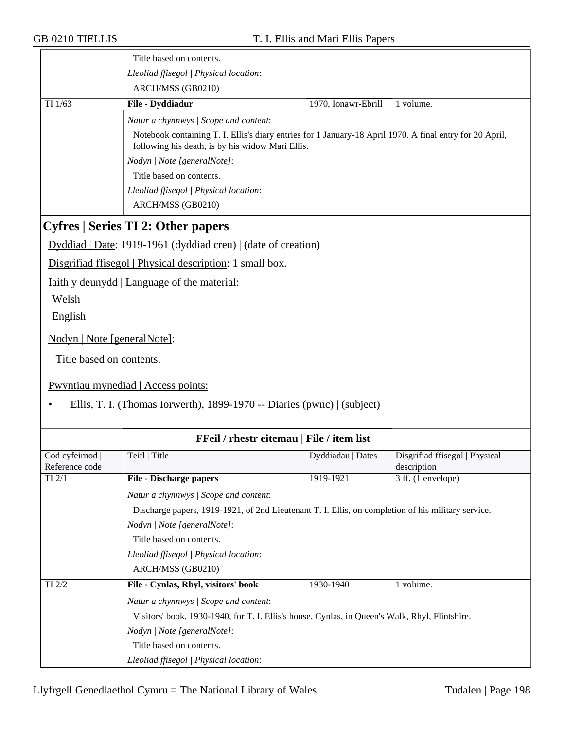|                                   | Title based on contents.                                                                                                                                     |                     |                                               |
|-----------------------------------|--------------------------------------------------------------------------------------------------------------------------------------------------------------|---------------------|-----------------------------------------------|
|                                   | Lleoliad ffisegol   Physical location:                                                                                                                       |                     |                                               |
|                                   | ARCH/MSS (GB0210)                                                                                                                                            |                     |                                               |
| TI $1/63$                         | File - Dyddiadur                                                                                                                                             | 1970, Ionawr-Ebrill | 1 volume.                                     |
|                                   | Natur a chynnwys / Scope and content:                                                                                                                        |                     |                                               |
|                                   | Notebook containing T. I. Ellis's diary entries for 1 January-18 April 1970. A final entry for 20 April,<br>following his death, is by his widow Mari Ellis. |                     |                                               |
|                                   | Nodyn   Note [generalNote]:                                                                                                                                  |                     |                                               |
|                                   | Title based on contents.                                                                                                                                     |                     |                                               |
|                                   | Lleoliad ffisegol   Physical location:                                                                                                                       |                     |                                               |
|                                   | ARCH/MSS (GB0210)                                                                                                                                            |                     |                                               |
|                                   | <b>Cyfres   Series TI 2: Other papers</b>                                                                                                                    |                     |                                               |
|                                   | Dyddiad   Date: 1919-1961 (dyddiad creu)   (date of creation)                                                                                                |                     |                                               |
|                                   | Disgrifiad ffisegol   Physical description: 1 small box.                                                                                                     |                     |                                               |
|                                   | Iaith y deunydd   Language of the material:                                                                                                                  |                     |                                               |
| Welsh                             |                                                                                                                                                              |                     |                                               |
| English                           |                                                                                                                                                              |                     |                                               |
|                                   |                                                                                                                                                              |                     |                                               |
| Nodyn   Note [generalNote]:       |                                                                                                                                                              |                     |                                               |
| Title based on contents.          |                                                                                                                                                              |                     |                                               |
|                                   |                                                                                                                                                              |                     |                                               |
|                                   | Pwyntiau mynediad   Access points:                                                                                                                           |                     |                                               |
|                                   | Ellis, T. I. (Thomas Iorwerth), 1899-1970 -- Diaries (pwnc)   (subject)                                                                                      |                     |                                               |
|                                   |                                                                                                                                                              |                     |                                               |
|                                   | FFeil / rhestr eitemau   File / item list                                                                                                                    |                     |                                               |
| Cod cyfeirnod  <br>Reference code | Teitl   Title                                                                                                                                                | Dyddiadau   Dates   | Disgrifiad ffisegol   Physical<br>description |
| $TI$ $2/1$                        | <b>File - Discharge papers</b>                                                                                                                               | 1919-1921           | 3 ff. (1 envelope)                            |
|                                   | Natur a chynnwys / Scope and content:                                                                                                                        |                     |                                               |
|                                   | Discharge papers, 1919-1921, of 2nd Lieutenant T. I. Ellis, on completion of his military service.                                                           |                     |                                               |
|                                   | Nodyn   Note [generalNote]:                                                                                                                                  |                     |                                               |
|                                   | Title based on contents.                                                                                                                                     |                     |                                               |
|                                   | Lleoliad ffisegol   Physical location:                                                                                                                       |                     |                                               |
|                                   | ARCH/MSS (GB0210)                                                                                                                                            |                     |                                               |
| TI 2/2                            | File - Cynlas, Rhyl, visitors' book                                                                                                                          | 1930-1940           | 1 volume.                                     |
|                                   | Natur a chynnwys / Scope and content:                                                                                                                        |                     |                                               |
|                                   | Visitors' book, 1930-1940, for T. I. Ellis's house, Cynlas, in Queen's Walk, Rhyl, Flintshire.                                                               |                     |                                               |
|                                   | Nodyn   Note [generalNote]:                                                                                                                                  |                     |                                               |
|                                   | Title based on contents.                                                                                                                                     |                     |                                               |
|                                   | Lleoliad ffisegol   Physical location:                                                                                                                       |                     |                                               |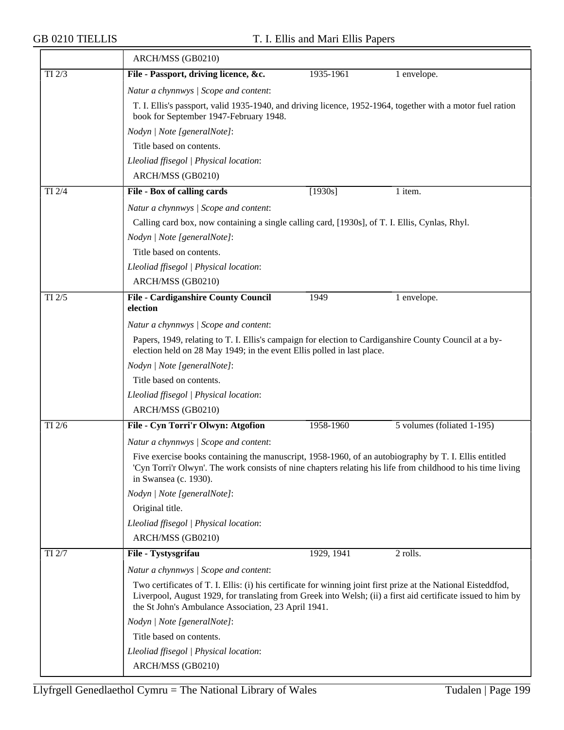|            | ARCH/MSS (GB0210)                                                                                                                                                                                                                                                                     |  |  |  |  |
|------------|---------------------------------------------------------------------------------------------------------------------------------------------------------------------------------------------------------------------------------------------------------------------------------------|--|--|--|--|
| $TI$ $2/3$ | File - Passport, driving licence, &c.<br>1935-1961<br>1 envelope.                                                                                                                                                                                                                     |  |  |  |  |
|            | Natur a chynnwys / Scope and content:                                                                                                                                                                                                                                                 |  |  |  |  |
|            | T. I. Ellis's passport, valid 1935-1940, and driving licence, 1952-1964, together with a motor fuel ration<br>book for September 1947-February 1948.                                                                                                                                  |  |  |  |  |
|            | Nodyn   Note [generalNote]:                                                                                                                                                                                                                                                           |  |  |  |  |
|            | Title based on contents.                                                                                                                                                                                                                                                              |  |  |  |  |
|            | Lleoliad ffisegol   Physical location:                                                                                                                                                                                                                                                |  |  |  |  |
|            | ARCH/MSS (GB0210)                                                                                                                                                                                                                                                                     |  |  |  |  |
| $TI$ $2/4$ | File - Box of calling cards<br>[1930s]<br>1 item.                                                                                                                                                                                                                                     |  |  |  |  |
|            | Natur a chynnwys / Scope and content:                                                                                                                                                                                                                                                 |  |  |  |  |
|            | Calling card box, now containing a single calling card, [1930s], of T. I. Ellis, Cynlas, Rhyl.                                                                                                                                                                                        |  |  |  |  |
|            | Nodyn   Note [generalNote]:                                                                                                                                                                                                                                                           |  |  |  |  |
|            | Title based on contents.                                                                                                                                                                                                                                                              |  |  |  |  |
|            | Lleoliad ffisegol   Physical location:                                                                                                                                                                                                                                                |  |  |  |  |
|            | ARCH/MSS (GB0210)                                                                                                                                                                                                                                                                     |  |  |  |  |
| TI 2/5     | <b>File - Cardiganshire County Council</b><br>1949<br>1 envelope.                                                                                                                                                                                                                     |  |  |  |  |
|            | election                                                                                                                                                                                                                                                                              |  |  |  |  |
|            | Natur a chynnwys / Scope and content:                                                                                                                                                                                                                                                 |  |  |  |  |
|            | Papers, 1949, relating to T. I. Ellis's campaign for election to Cardiganshire County Council at a by-<br>election held on 28 May 1949; in the event Ellis polled in last place.                                                                                                      |  |  |  |  |
|            | Nodyn   Note [generalNote]:                                                                                                                                                                                                                                                           |  |  |  |  |
|            | Title based on contents.                                                                                                                                                                                                                                                              |  |  |  |  |
|            | Lleoliad ffisegol   Physical location:                                                                                                                                                                                                                                                |  |  |  |  |
|            | ARCH/MSS (GB0210)                                                                                                                                                                                                                                                                     |  |  |  |  |
| TI 2/6     | File - Cyn Torri'r Olwyn: Atgofion<br>1958-1960<br>5 volumes (foliated 1-195)                                                                                                                                                                                                         |  |  |  |  |
|            | Natur a chynnwys / Scope and content:                                                                                                                                                                                                                                                 |  |  |  |  |
|            | Five exercise books containing the manuscript, 1958-1960, of an autobiography by T. I. Ellis entitled<br>'Cyn Torri'r Olwyn'. The work consists of nine chapters relating his life from childhood to his time living<br>in Swansea (c. 1930).                                         |  |  |  |  |
|            | Nodyn   Note [generalNote]:                                                                                                                                                                                                                                                           |  |  |  |  |
|            | Original title.                                                                                                                                                                                                                                                                       |  |  |  |  |
|            | Lleoliad ffisegol   Physical location:                                                                                                                                                                                                                                                |  |  |  |  |
|            | ARCH/MSS (GB0210)                                                                                                                                                                                                                                                                     |  |  |  |  |
| TI 2/7     | File - Tystysgrifau<br>1929, 1941<br>2 rolls.                                                                                                                                                                                                                                         |  |  |  |  |
|            | Natur a chynnwys / Scope and content:                                                                                                                                                                                                                                                 |  |  |  |  |
|            | Two certificates of T. I. Ellis: (i) his certificate for winning joint first prize at the National Eisteddfod,<br>Liverpool, August 1929, for translating from Greek into Welsh; (ii) a first aid certificate issued to him by<br>the St John's Ambulance Association, 23 April 1941. |  |  |  |  |
|            | Nodyn   Note [generalNote]:                                                                                                                                                                                                                                                           |  |  |  |  |
|            | Title based on contents.                                                                                                                                                                                                                                                              |  |  |  |  |
|            | Lleoliad ffisegol   Physical location:                                                                                                                                                                                                                                                |  |  |  |  |
|            | ARCH/MSS (GB0210)                                                                                                                                                                                                                                                                     |  |  |  |  |
|            |                                                                                                                                                                                                                                                                                       |  |  |  |  |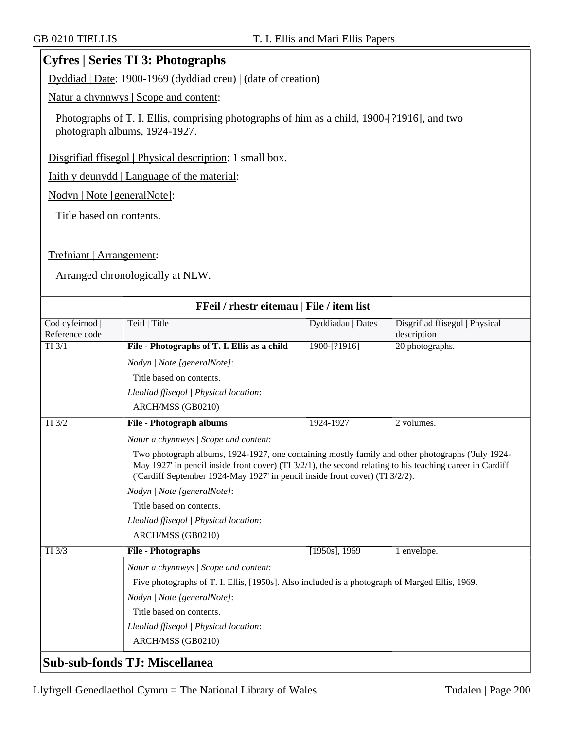### **Cyfres | Series TI 3: Photographs**

Dyddiad | Date: 1900-1969 (dyddiad creu) | (date of creation)

Natur a chynnwys | Scope and content:

Photographs of T. I. Ellis, comprising photographs of him as a child, 1900-[?1916], and two photograph albums, 1924-1927.

Disgrifiad ffisegol | Physical description: 1 small box.

Iaith y deunydd | Language of the material:

Nodyn | Note [generalNote]:

Title based on contents.

#### Trefniant | Arrangement:

Arranged chronologically at NLW.

|                                   | FFeil / rhestr eitemau   File / item list                                                                                                                                                                                                                                                        |                   |                                               |  |  |
|-----------------------------------|--------------------------------------------------------------------------------------------------------------------------------------------------------------------------------------------------------------------------------------------------------------------------------------------------|-------------------|-----------------------------------------------|--|--|
| Cod cyfeirnod  <br>Reference code | Teitl   Title                                                                                                                                                                                                                                                                                    | Dyddiadau   Dates | Disgrifiad ffisegol   Physical<br>description |  |  |
| $TI$ $3/1$                        | File - Photographs of T. I. Ellis as a child                                                                                                                                                                                                                                                     | 1900-[?1916]      | 20 photographs.                               |  |  |
|                                   | Nodyn   Note [generalNote]:                                                                                                                                                                                                                                                                      |                   |                                               |  |  |
|                                   | Title based on contents.                                                                                                                                                                                                                                                                         |                   |                                               |  |  |
|                                   | Lleoliad ffisegol   Physical location:                                                                                                                                                                                                                                                           |                   |                                               |  |  |
|                                   | ARCH/MSS (GB0210)                                                                                                                                                                                                                                                                                |                   |                                               |  |  |
| TI 3/2                            | <b>File - Photograph albums</b>                                                                                                                                                                                                                                                                  | 1924-1927         | 2 volumes.                                    |  |  |
|                                   | Natur a chynnwys / Scope and content:                                                                                                                                                                                                                                                            |                   |                                               |  |  |
|                                   | Two photograph albums, 1924-1927, one containing mostly family and other photographs ('July 1924-<br>May 1927 in pencil inside front cover) (TI $3/2/1$ ), the second relating to his teaching career in Cardiff<br>('Cardiff September 1924-May 1927' in pencil inside front cover) (TI 3/2/2). |                   |                                               |  |  |
|                                   | Nodyn   Note [generalNote]:                                                                                                                                                                                                                                                                      |                   |                                               |  |  |
|                                   | Title based on contents.                                                                                                                                                                                                                                                                         |                   |                                               |  |  |
|                                   | Lleoliad ffisegol   Physical location:                                                                                                                                                                                                                                                           |                   |                                               |  |  |
|                                   | ARCH/MSS (GB0210)                                                                                                                                                                                                                                                                                |                   |                                               |  |  |
| TI 3/3                            | <b>File - Photographs</b>                                                                                                                                                                                                                                                                        | $[1950s]$ , 1969  | 1 envelope.                                   |  |  |
|                                   | Natur a chynnwys / Scope and content:                                                                                                                                                                                                                                                            |                   |                                               |  |  |
|                                   | Five photographs of T. I. Ellis, [1950s]. Also included is a photograph of Marged Ellis, 1969.                                                                                                                                                                                                   |                   |                                               |  |  |
|                                   | Nodyn   Note [generalNote]:                                                                                                                                                                                                                                                                      |                   |                                               |  |  |
|                                   | Title based on contents.                                                                                                                                                                                                                                                                         |                   |                                               |  |  |
|                                   | Lleoliad ffisegol   Physical location:                                                                                                                                                                                                                                                           |                   |                                               |  |  |
|                                   | ARCH/MSS (GB0210)                                                                                                                                                                                                                                                                                |                   |                                               |  |  |
|                                   | Sub-sub-fonds TJ: Miscellanea                                                                                                                                                                                                                                                                    |                   |                                               |  |  |

### Llyfrgell Genedlaethol Cymru = The National Library of Wales Tudalen | Page  $200$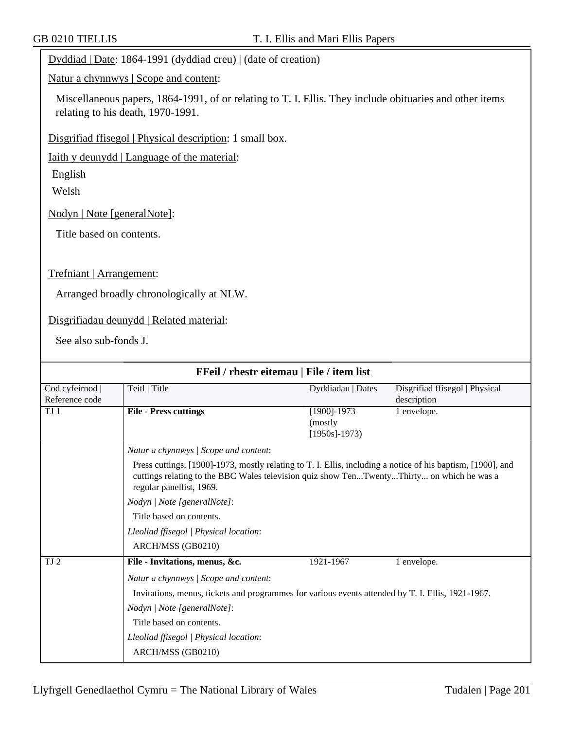Dyddiad | Date: 1864-1991 (dyddiad creu) | (date of creation)

Natur a chynnwys | Scope and content:

Miscellaneous papers, 1864-1991, of or relating to T. I. Ellis. They include obituaries and other items relating to his death, 1970-1991.

Disgrifiad ffisegol | Physical description: 1 small box.

Iaith y deunydd | Language of the material:

English

Welsh

Nodyn | Note [generalNote]:

Title based on contents.

Trefniant | Arrangement:

Arranged broadly chronologically at NLW.

Disgrifiadau deunydd | Related material:

See also sub-fonds J.

|                                   |                                                                                                                                                                                                                                      | <b>FFeil</b> / rhestr eitemau   File / item list |                                               |  |
|-----------------------------------|--------------------------------------------------------------------------------------------------------------------------------------------------------------------------------------------------------------------------------------|--------------------------------------------------|-----------------------------------------------|--|
| Cod cyfeirnod  <br>Reference code | Teitl   Title                                                                                                                                                                                                                        | Dyddiadau   Dates                                | Disgrifiad ffisegol   Physical<br>description |  |
| TJ <sub>1</sub>                   | <b>File - Press cuttings</b>                                                                                                                                                                                                         | $[1900] - 1973$<br>(mostly)<br>$[1950s] - 1973$  | 1 envelope.                                   |  |
|                                   | Natur a chynnwys / Scope and content:                                                                                                                                                                                                |                                                  |                                               |  |
|                                   | Press cuttings, [1900]-1973, mostly relating to T. I. Ellis, including a notice of his baptism, [1900], and<br>cuttings relating to the BBC Wales television quiz show TenTwentyThirty on which he was a<br>regular panellist, 1969. |                                                  |                                               |  |
|                                   | Nodyn   Note [generalNote]:                                                                                                                                                                                                          |                                                  |                                               |  |
|                                   | Title based on contents.                                                                                                                                                                                                             |                                                  |                                               |  |
|                                   | Lleoliad ffisegol   Physical location:                                                                                                                                                                                               |                                                  |                                               |  |
|                                   | ARCH/MSS (GB0210)                                                                                                                                                                                                                    |                                                  |                                               |  |
| TJ 2                              | File - Invitations, menus, &c.                                                                                                                                                                                                       | 1921-1967                                        | 1 envelope.                                   |  |
|                                   | Natur a chynnwys / Scope and content:                                                                                                                                                                                                |                                                  |                                               |  |
|                                   | Invitations, menus, tickets and programmes for various events attended by T. I. Ellis, 1921-1967.                                                                                                                                    |                                                  |                                               |  |
|                                   | Nodyn   Note [generalNote]:                                                                                                                                                                                                          |                                                  |                                               |  |
|                                   | Title based on contents.                                                                                                                                                                                                             |                                                  |                                               |  |
|                                   | Lleoliad ffisegol   Physical location:                                                                                                                                                                                               |                                                  |                                               |  |
|                                   | ARCH/MSS (GB0210)                                                                                                                                                                                                                    |                                                  |                                               |  |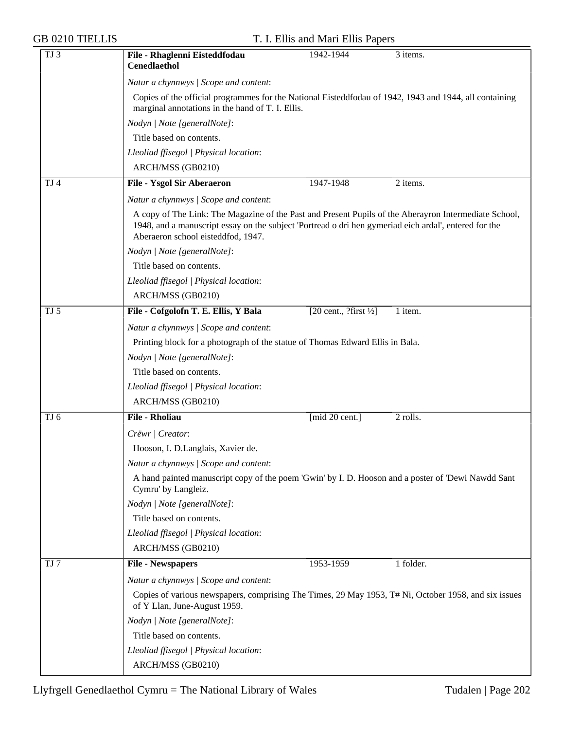| <b>GB 0210 TIELLIS</b> |                                                                                                                                                                                                                                                      | T. I. Ellis and Mari Ellis Papers                 |           |  |  |
|------------------------|------------------------------------------------------------------------------------------------------------------------------------------------------------------------------------------------------------------------------------------------------|---------------------------------------------------|-----------|--|--|
| TJ <sub>3</sub>        | File - Rhaglenni Eisteddfodau<br><b>Cenedlaethol</b>                                                                                                                                                                                                 | 1942-1944                                         | 3 items.  |  |  |
|                        | Natur a chynnwys / Scope and content:                                                                                                                                                                                                                |                                                   |           |  |  |
|                        | Copies of the official programmes for the National Eisteddfodau of 1942, 1943 and 1944, all containing<br>marginal annotations in the hand of T. I. Ellis.                                                                                           |                                                   |           |  |  |
|                        | Nodyn   Note [generalNote]:                                                                                                                                                                                                                          |                                                   |           |  |  |
|                        | Title based on contents.                                                                                                                                                                                                                             |                                                   |           |  |  |
|                        | Lleoliad ffisegol   Physical location:                                                                                                                                                                                                               |                                                   |           |  |  |
|                        | ARCH/MSS (GB0210)                                                                                                                                                                                                                                    |                                                   |           |  |  |
| TJ <sub>4</sub>        | <b>File - Ysgol Sir Aberaeron</b>                                                                                                                                                                                                                    | 1947-1948                                         | 2 items.  |  |  |
|                        | Natur a chynnwys / Scope and content:                                                                                                                                                                                                                |                                                   |           |  |  |
|                        | A copy of The Link: The Magazine of the Past and Present Pupils of the Aberayron Intermediate School,<br>1948, and a manuscript essay on the subject 'Portread o dri hen gymeriad eich ardal', entered for the<br>Aberaeron school eisteddfod, 1947. |                                                   |           |  |  |
|                        | Nodyn   Note [generalNote]:                                                                                                                                                                                                                          |                                                   |           |  |  |
|                        | Title based on contents.                                                                                                                                                                                                                             |                                                   |           |  |  |
|                        | Lleoliad ffisegol   Physical location:                                                                                                                                                                                                               |                                                   |           |  |  |
|                        | ARCH/MSS (GB0210)                                                                                                                                                                                                                                    |                                                   |           |  |  |
| TJ <sub>5</sub>        | File - Cofgolofn T. E. Ellis, Y Bala                                                                                                                                                                                                                 | $[20 \text{ cent.}, ? \text{first } \frac{1}{2}]$ | 1 item.   |  |  |
|                        | Natur a chynnwys / Scope and content:                                                                                                                                                                                                                |                                                   |           |  |  |
|                        | Printing block for a photograph of the statue of Thomas Edward Ellis in Bala.                                                                                                                                                                        |                                                   |           |  |  |
|                        | Nodyn   Note [generalNote]:                                                                                                                                                                                                                          |                                                   |           |  |  |
|                        | Title based on contents.                                                                                                                                                                                                                             |                                                   |           |  |  |
|                        | Lleoliad ffisegol   Physical location:                                                                                                                                                                                                               |                                                   |           |  |  |
|                        | ARCH/MSS (GB0210)                                                                                                                                                                                                                                    |                                                   |           |  |  |
| TJ 6                   | <b>File - Rholiau</b>                                                                                                                                                                                                                                | [mid 20 cent.]                                    | 2 rolls.  |  |  |
|                        | Crëwr   Creator:                                                                                                                                                                                                                                     |                                                   |           |  |  |
|                        | Hooson, I. D.Langlais, Xavier de.                                                                                                                                                                                                                    |                                                   |           |  |  |
|                        | Natur a chynnwys / Scope and content:                                                                                                                                                                                                                |                                                   |           |  |  |
|                        | A hand painted manuscript copy of the poem 'Gwin' by I. D. Hooson and a poster of 'Dewi Nawdd Sant<br>Cymru' by Langleiz.                                                                                                                            |                                                   |           |  |  |
|                        | Nodyn   Note [generalNote]:                                                                                                                                                                                                                          |                                                   |           |  |  |
|                        | Title based on contents.                                                                                                                                                                                                                             |                                                   |           |  |  |
|                        | Lleoliad ffisegol   Physical location:                                                                                                                                                                                                               |                                                   |           |  |  |
|                        | ARCH/MSS (GB0210)                                                                                                                                                                                                                                    |                                                   |           |  |  |
| TJ 7                   | <b>File - Newspapers</b>                                                                                                                                                                                                                             | 1953-1959                                         | 1 folder. |  |  |
|                        | Natur a chynnwys / Scope and content:                                                                                                                                                                                                                |                                                   |           |  |  |
|                        | Copies of various newspapers, comprising The Times, 29 May 1953, T# Ni, October 1958, and six issues<br>of Y Llan, June-August 1959.                                                                                                                 |                                                   |           |  |  |
|                        | Nodyn   Note [generalNote]:                                                                                                                                                                                                                          |                                                   |           |  |  |
|                        | Title based on contents.                                                                                                                                                                                                                             |                                                   |           |  |  |
|                        | Lleoliad ffisegol   Physical location:                                                                                                                                                                                                               |                                                   |           |  |  |
|                        | ARCH/MSS (GB0210)                                                                                                                                                                                                                                    |                                                   |           |  |  |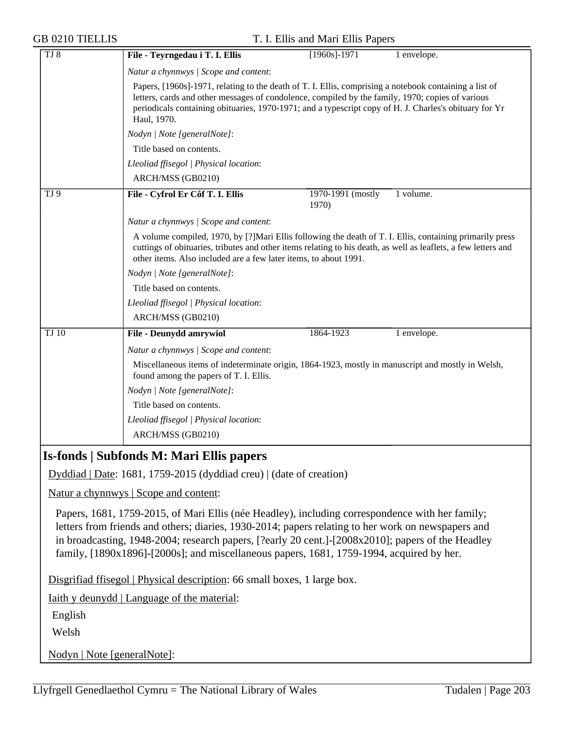|  |  |  | <b>GB 0210 TIELLIS</b> |  |
|--|--|--|------------------------|--|
|--|--|--|------------------------|--|

| <b>GB 0210 TIELLIS</b>      | T. I. Ellis and Mari Ellis Papers                                                                                                                                                                                                                                                                                                                                                                      |
|-----------------------------|--------------------------------------------------------------------------------------------------------------------------------------------------------------------------------------------------------------------------------------------------------------------------------------------------------------------------------------------------------------------------------------------------------|
| TJ 8                        | File - Teyrngedau i T. I. Ellis<br>$[1960s] - 1971$<br>1 envelope.                                                                                                                                                                                                                                                                                                                                     |
|                             | Natur a chynnwys   Scope and content:                                                                                                                                                                                                                                                                                                                                                                  |
|                             | Papers, [1960s]-1971, relating to the death of T. I. Ellis, comprising a notebook containing a list of<br>letters, cards and other messages of condolence, compiled by the family, 1970; copies of various<br>periodicals containing obituaries, 1970-1971; and a typescript copy of H. J. Charles's obituary for Yr<br>Haul, 1970.                                                                    |
|                             | Nodyn   Note [generalNote]:                                                                                                                                                                                                                                                                                                                                                                            |
|                             | Title based on contents.                                                                                                                                                                                                                                                                                                                                                                               |
|                             | Lleoliad ffisegol   Physical location:                                                                                                                                                                                                                                                                                                                                                                 |
|                             | ARCH/MSS (GB0210)                                                                                                                                                                                                                                                                                                                                                                                      |
| TJ 9                        | File - Cyfrol Er Côf T. I. Ellis<br>1 volume.<br>1970-1991 (mostly<br>1970)                                                                                                                                                                                                                                                                                                                            |
|                             | Natur a chynnwys / Scope and content:                                                                                                                                                                                                                                                                                                                                                                  |
|                             | A volume compiled, 1970, by [?] Mari Ellis following the death of T. I. Ellis, containing primarily press<br>cuttings of obituaries, tributes and other items relating to his death, as well as leaflets, a few letters and<br>other items. Also included are a few later items, to about 1991.                                                                                                        |
|                             | Nodyn   Note [generalNote]:                                                                                                                                                                                                                                                                                                                                                                            |
|                             | Title based on contents.                                                                                                                                                                                                                                                                                                                                                                               |
|                             | Lleoliad ffisegol   Physical location:                                                                                                                                                                                                                                                                                                                                                                 |
|                             | ARCH/MSS (GB0210)                                                                                                                                                                                                                                                                                                                                                                                      |
| TJ10                        | <b>File - Deunydd amrywiol</b><br>1 envelope.<br>1864-1923                                                                                                                                                                                                                                                                                                                                             |
|                             | Natur a chynnwys / Scope and content:                                                                                                                                                                                                                                                                                                                                                                  |
|                             | Miscellaneous items of indeterminate origin, 1864-1923, mostly in manuscript and mostly in Welsh,<br>found among the papers of T. I. Ellis.                                                                                                                                                                                                                                                            |
|                             | Nodyn   Note [generalNote]:                                                                                                                                                                                                                                                                                                                                                                            |
|                             | Title based on contents.                                                                                                                                                                                                                                                                                                                                                                               |
|                             | Lleoliad ffisegol   Physical location:                                                                                                                                                                                                                                                                                                                                                                 |
|                             | ARCH/MSS (GB0210)                                                                                                                                                                                                                                                                                                                                                                                      |
|                             | <b>Is-fonds   Subfonds M: Mari Ellis papers</b>                                                                                                                                                                                                                                                                                                                                                        |
|                             | Dyddiad   Date: 1681, 1759-2015 (dyddiad creu)   (date of creation)                                                                                                                                                                                                                                                                                                                                    |
|                             | Natur a chynnwys   Scope and content:                                                                                                                                                                                                                                                                                                                                                                  |
|                             | Papers, 1681, 1759-2015, of Mari Ellis (née Headley), including correspondence with her family;<br>letters from friends and others; diaries, 1930-2014; papers relating to her work on newspapers and<br>in broadcasting, 1948-2004; research papers, [?early 20 cent.]-[2008x2010]; papers of the Headley<br>family, [1890x1896]-[2000s]; and miscellaneous papers, 1681, 1759-1994, acquired by her. |
|                             | Disgrifiad ffisegol   Physical description: 66 small boxes, 1 large box.                                                                                                                                                                                                                                                                                                                               |
|                             | <u>Iaith y deunydd</u>   Language of the material:                                                                                                                                                                                                                                                                                                                                                     |
| English                     |                                                                                                                                                                                                                                                                                                                                                                                                        |
| Welsh                       |                                                                                                                                                                                                                                                                                                                                                                                                        |
|                             |                                                                                                                                                                                                                                                                                                                                                                                                        |
| Nodyn   Note [generalNote]: |                                                                                                                                                                                                                                                                                                                                                                                                        |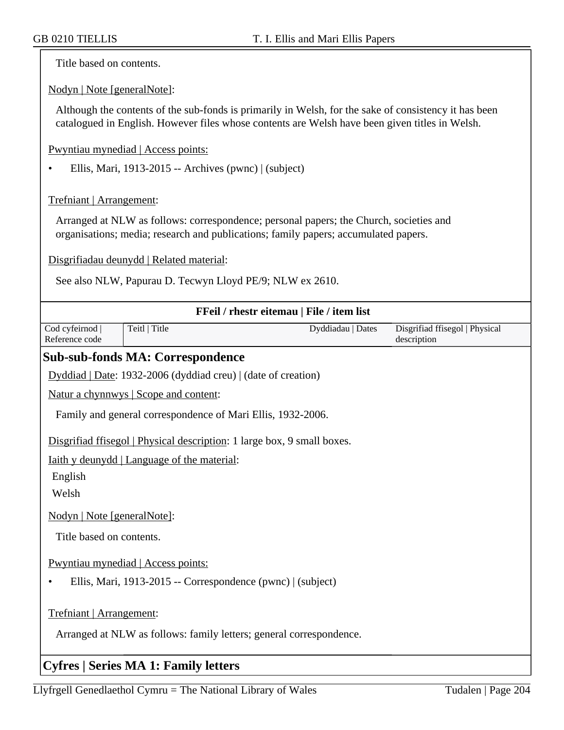Title based on contents.

Nodyn | Note [generalNote]:

Although the contents of the sub-fonds is primarily in Welsh, for the sake of consistency it has been catalogued in English. However files whose contents are Welsh have been given titles in Welsh.

Pwyntiau mynediad | Access points:

• Ellis, Mari, 1913-2015 -- Archives (pwnc) | (subject)

Trefniant | Arrangement:

Arranged at NLW as follows: correspondence; personal papers; the Church, societies and organisations; media; research and publications; family papers; accumulated papers.

Disgrifiadau deunydd | Related material:

See also NLW, Papurau D. Tecwyn Lloyd PE/9; NLW ex 2610.

| FFeil / rhestr eitemau   File / item list                                                       |                                                                                                                                                                                                                                                                                                                                                                                      |                   |                                               |
|-------------------------------------------------------------------------------------------------|--------------------------------------------------------------------------------------------------------------------------------------------------------------------------------------------------------------------------------------------------------------------------------------------------------------------------------------------------------------------------------------|-------------------|-----------------------------------------------|
| Cod cyfeirnod<br>Reference code                                                                 | Teitl   Title                                                                                                                                                                                                                                                                                                                                                                        | Dyddiadau   Dates | Disgrifiad ffisegol   Physical<br>description |
|                                                                                                 | <b>Sub-sub-fonds MA: Correspondence</b>                                                                                                                                                                                                                                                                                                                                              |                   |                                               |
|                                                                                                 | Dyddiad   Date: 1932-2006 (dyddiad creu)   (date of creation)                                                                                                                                                                                                                                                                                                                        |                   |                                               |
|                                                                                                 | Natur a chynnwys   Scope and content:                                                                                                                                                                                                                                                                                                                                                |                   |                                               |
|                                                                                                 | Family and general correspondence of Mari Ellis, 1932-2006.                                                                                                                                                                                                                                                                                                                          |                   |                                               |
|                                                                                                 | Disgrifiad ffisegol   Physical description: 1 large box, 9 small boxes.                                                                                                                                                                                                                                                                                                              |                   |                                               |
|                                                                                                 | <u>Iaith y deunydd   Language of the material:</u>                                                                                                                                                                                                                                                                                                                                   |                   |                                               |
| English                                                                                         |                                                                                                                                                                                                                                                                                                                                                                                      |                   |                                               |
| Welsh                                                                                           |                                                                                                                                                                                                                                                                                                                                                                                      |                   |                                               |
| Nodyn   Note [generalNote]:                                                                     |                                                                                                                                                                                                                                                                                                                                                                                      |                   |                                               |
| Title based on contents.                                                                        |                                                                                                                                                                                                                                                                                                                                                                                      |                   |                                               |
| Pwyntiau mynediad   Access points:                                                              |                                                                                                                                                                                                                                                                                                                                                                                      |                   |                                               |
|                                                                                                 | Ellis, Mari, 1913-2015 -- Correspondence (pwnc)   (subject)                                                                                                                                                                                                                                                                                                                          |                   |                                               |
| Trefniant   Arrangement:<br>Arranged at NLW as follows: family letters; general correspondence. |                                                                                                                                                                                                                                                                                                                                                                                      |                   |                                               |
|                                                                                                 | $\overline{a}$ $\overline{b}$ $\overline{c}$ $\overline{d}$ $\overline{c}$ $\overline{d}$ $\overline{c}$ $\overline{c}$ $\overline{d}$ $\overline{c}$ $\overline{d}$ $\overline{c}$ $\overline{d}$ $\overline{c}$ $\overline{d}$ $\overline{c}$ $\overline{d}$ $\overline{c}$ $\overline{d}$ $\overline{c}$ $\overline{d}$ $\overline{c}$ $\overline{d}$ $\overline{c}$ $\overline{$ |                   |                                               |

# **Cyfres | Series MA 1: Family letters**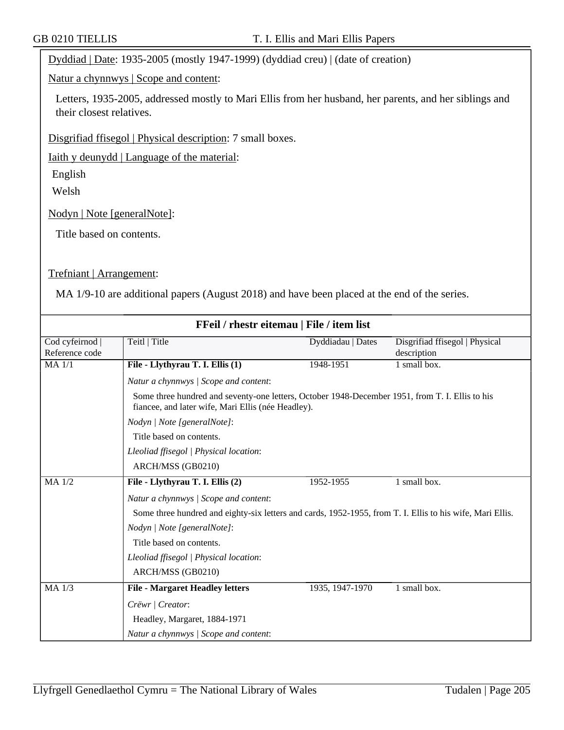Dyddiad | Date: 1935-2005 (mostly 1947-1999) (dyddiad creu) | (date of creation)

Natur a chynnwys | Scope and content:

Letters, 1935-2005, addressed mostly to Mari Ellis from her husband, her parents, and her siblings and their closest relatives.

Disgrifiad ffisegol | Physical description: 7 small boxes.

Iaith y deunydd | Language of the material:

English

Welsh

Nodyn | Note [generalNote]:

Title based on contents.

#### Trefniant | Arrangement:

MA 1/9-10 are additional papers (August 2018) and have been placed at the end of the series.

| FFeil / rhestr eitemau   File / item list |                                                                                                                                                       |                   |                                               |  |
|-------------------------------------------|-------------------------------------------------------------------------------------------------------------------------------------------------------|-------------------|-----------------------------------------------|--|
| Cod cyfeirnod  <br>Reference code         | Teitl   Title                                                                                                                                         | Dyddiadau   Dates | Disgrifiad ffisegol   Physical<br>description |  |
| <b>MA</b> 1/1                             | File - Llythyrau T. I. Ellis (1)                                                                                                                      | 1948-1951         | 1 small box.                                  |  |
|                                           | Natur a chynnwys / Scope and content:                                                                                                                 |                   |                                               |  |
|                                           | Some three hundred and seventy-one letters, October 1948-December 1951, from T. I. Ellis to his<br>fiancee, and later wife, Mari Ellis (née Headley). |                   |                                               |  |
| Nodyn   Note [generalNote]:               |                                                                                                                                                       |                   |                                               |  |
|                                           | Title based on contents.                                                                                                                              |                   |                                               |  |
|                                           | Lleoliad ffisegol   Physical location:                                                                                                                |                   |                                               |  |
|                                           | ARCH/MSS (GB0210)                                                                                                                                     |                   |                                               |  |
| MA 1/2                                    | File - Llythyrau T. I. Ellis (2)                                                                                                                      | 1952-1955         | 1 small box.                                  |  |
|                                           | Natur a chynnwys / Scope and content:                                                                                                                 |                   |                                               |  |
|                                           | Some three hundred and eighty-six letters and cards, 1952-1955, from T. I. Ellis to his wife, Mari Ellis.                                             |                   |                                               |  |
|                                           | Nodyn   Note [generalNote]:                                                                                                                           |                   |                                               |  |
|                                           | Title based on contents.                                                                                                                              |                   |                                               |  |
|                                           | Lleoliad ffisegol   Physical location:                                                                                                                |                   |                                               |  |
|                                           | ARCH/MSS (GB0210)                                                                                                                                     |                   |                                               |  |
| $MA$ 1/3                                  | <b>File - Margaret Headley letters</b>                                                                                                                | 1935, 1947-1970   | 1 small box.                                  |  |
|                                           | Crëwr   Creator:                                                                                                                                      |                   |                                               |  |
|                                           | Headley, Margaret, 1884-1971                                                                                                                          |                   |                                               |  |
|                                           | Natur a chynnwys / Scope and content:                                                                                                                 |                   |                                               |  |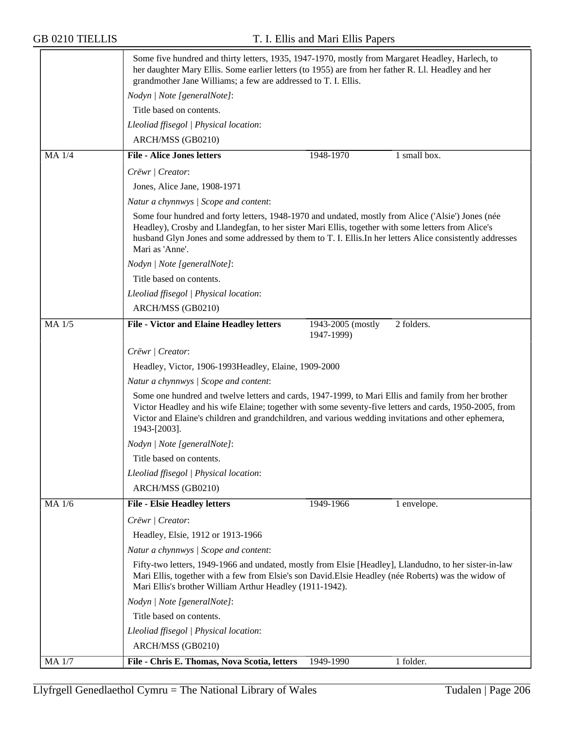|              | Some five hundred and thirty letters, 1935, 1947-1970, mostly from Margaret Headley, Harlech, to<br>her daughter Mary Ellis. Some earlier letters (to 1955) are from her father R. Ll. Headley and her<br>grandmother Jane Williams; a few are addressed to T. I. Ellis.                                                                 |  |  |  |
|--------------|------------------------------------------------------------------------------------------------------------------------------------------------------------------------------------------------------------------------------------------------------------------------------------------------------------------------------------------|--|--|--|
|              | Nodyn   Note [generalNote]:                                                                                                                                                                                                                                                                                                              |  |  |  |
|              | Title based on contents.                                                                                                                                                                                                                                                                                                                 |  |  |  |
|              | Lleoliad ffisegol   Physical location:                                                                                                                                                                                                                                                                                                   |  |  |  |
|              | ARCH/MSS (GB0210)                                                                                                                                                                                                                                                                                                                        |  |  |  |
| MA 1/4       | <b>File - Alice Jones letters</b><br>1948-1970<br>1 small box.                                                                                                                                                                                                                                                                           |  |  |  |
|              | Crëwr   Creator:                                                                                                                                                                                                                                                                                                                         |  |  |  |
|              | Jones, Alice Jane, 1908-1971                                                                                                                                                                                                                                                                                                             |  |  |  |
|              | Natur a chynnwys / Scope and content:                                                                                                                                                                                                                                                                                                    |  |  |  |
|              | Some four hundred and forty letters, 1948-1970 and undated, mostly from Alice ('Alsie') Jones (née<br>Headley), Crosby and Llandegfan, to her sister Mari Ellis, together with some letters from Alice's<br>husband Glyn Jones and some addressed by them to T. I. Ellis. In her letters Alice consistently addresses<br>Mari as 'Anne'. |  |  |  |
|              | Nodyn   Note [generalNote]:                                                                                                                                                                                                                                                                                                              |  |  |  |
|              | Title based on contents.                                                                                                                                                                                                                                                                                                                 |  |  |  |
|              | Lleoliad ffisegol   Physical location:                                                                                                                                                                                                                                                                                                   |  |  |  |
|              | ARCH/MSS (GB0210)                                                                                                                                                                                                                                                                                                                        |  |  |  |
| MA 1/5       | <b>File - Victor and Elaine Headley letters</b><br>2 folders.<br>1943-2005 (mostly<br>1947-1999)                                                                                                                                                                                                                                         |  |  |  |
|              | Crëwr   Creator:                                                                                                                                                                                                                                                                                                                         |  |  |  |
|              | Headley, Victor, 1906-1993 Headley, Elaine, 1909-2000                                                                                                                                                                                                                                                                                    |  |  |  |
|              | Natur a chynnwys / Scope and content:                                                                                                                                                                                                                                                                                                    |  |  |  |
|              | Some one hundred and twelve letters and cards, 1947-1999, to Mari Ellis and family from her brother<br>Victor Headley and his wife Elaine; together with some seventy-five letters and cards, 1950-2005, from<br>Victor and Elaine's children and grandchildren, and various wedding invitations and other ephemera,<br>1943-[2003].     |  |  |  |
|              | Nodyn   Note [generalNote]:                                                                                                                                                                                                                                                                                                              |  |  |  |
|              | Title based on contents.                                                                                                                                                                                                                                                                                                                 |  |  |  |
|              | Lleoliad ffisegol   Physical location:                                                                                                                                                                                                                                                                                                   |  |  |  |
|              | ARCH/MSS (GB0210)                                                                                                                                                                                                                                                                                                                        |  |  |  |
| MA 1/6       | <b>File - Elsie Headley letters</b><br>1949-1966<br>1 envelope.                                                                                                                                                                                                                                                                          |  |  |  |
|              | Crëwr   Creator:                                                                                                                                                                                                                                                                                                                         |  |  |  |
|              | Headley, Elsie, 1912 or 1913-1966                                                                                                                                                                                                                                                                                                        |  |  |  |
|              | Natur a chynnwys / Scope and content:                                                                                                                                                                                                                                                                                                    |  |  |  |
|              | Fifty-two letters, 1949-1966 and undated, mostly from Elsie [Headley], Llandudno, to her sister-in-law<br>Mari Ellis, together with a few from Elsie's son David. Elsie Headley (née Roberts) was the widow of<br>Mari Ellis's brother William Arthur Headley (1911-1942).                                                               |  |  |  |
|              | Nodyn   Note [generalNote]:                                                                                                                                                                                                                                                                                                              |  |  |  |
|              | Title based on contents.                                                                                                                                                                                                                                                                                                                 |  |  |  |
|              | Lleoliad ffisegol   Physical location:                                                                                                                                                                                                                                                                                                   |  |  |  |
|              | ARCH/MSS (GB0210)                                                                                                                                                                                                                                                                                                                        |  |  |  |
| <b>MA1/7</b> | File - Chris E. Thomas, Nova Scotia, letters<br>1949-1990<br>1 folder.                                                                                                                                                                                                                                                                   |  |  |  |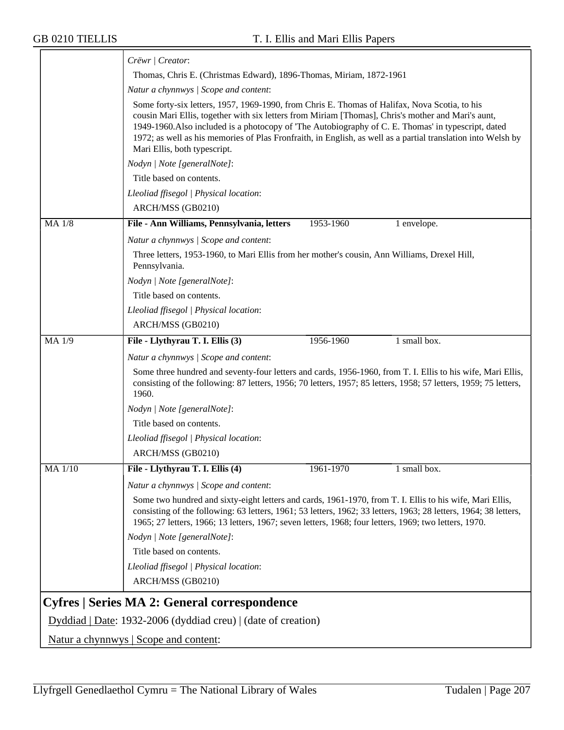|                                                                 | Crëwr   Creator:                                                                                                                                                                                                                                                                                                                                                                                                                                                                                    |  |  |
|-----------------------------------------------------------------|-----------------------------------------------------------------------------------------------------------------------------------------------------------------------------------------------------------------------------------------------------------------------------------------------------------------------------------------------------------------------------------------------------------------------------------------------------------------------------------------------------|--|--|
|                                                                 | Thomas, Chris E. (Christmas Edward), 1896-Thomas, Miriam, 1872-1961                                                                                                                                                                                                                                                                                                                                                                                                                                 |  |  |
|                                                                 | Natur a chynnwys / Scope and content:<br>Some forty-six letters, 1957, 1969-1990, from Chris E. Thomas of Halifax, Nova Scotia, to his<br>cousin Mari Ellis, together with six letters from Miriam [Thomas], Chris's mother and Mari's aunt,<br>1949-1960. Also included is a photocopy of 'The Autobiography of C. E. Thomas' in typescript, dated<br>1972; as well as his memories of Plas Fronfraith, in English, as well as a partial translation into Welsh by<br>Mari Ellis, both typescript. |  |  |
|                                                                 |                                                                                                                                                                                                                                                                                                                                                                                                                                                                                                     |  |  |
|                                                                 | Nodyn   Note [generalNote]:                                                                                                                                                                                                                                                                                                                                                                                                                                                                         |  |  |
|                                                                 | Title based on contents.                                                                                                                                                                                                                                                                                                                                                                                                                                                                            |  |  |
|                                                                 | Lleoliad ffisegol   Physical location:                                                                                                                                                                                                                                                                                                                                                                                                                                                              |  |  |
|                                                                 | ARCH/MSS (GB0210)                                                                                                                                                                                                                                                                                                                                                                                                                                                                                   |  |  |
| <b>MA 1/8</b>                                                   | File - Ann Williams, Pennsylvania, letters<br>1953-1960<br>1 envelope.                                                                                                                                                                                                                                                                                                                                                                                                                              |  |  |
|                                                                 | Natur a chynnwys / Scope and content:                                                                                                                                                                                                                                                                                                                                                                                                                                                               |  |  |
|                                                                 | Three letters, 1953-1960, to Mari Ellis from her mother's cousin, Ann Williams, Drexel Hill,<br>Pennsylvania.                                                                                                                                                                                                                                                                                                                                                                                       |  |  |
|                                                                 | Nodyn   Note [generalNote]:                                                                                                                                                                                                                                                                                                                                                                                                                                                                         |  |  |
|                                                                 | Title based on contents.                                                                                                                                                                                                                                                                                                                                                                                                                                                                            |  |  |
|                                                                 | Lleoliad ffisegol   Physical location:                                                                                                                                                                                                                                                                                                                                                                                                                                                              |  |  |
|                                                                 | ARCH/MSS (GB0210)                                                                                                                                                                                                                                                                                                                                                                                                                                                                                   |  |  |
| MA 1/9                                                          | File - Llythyrau T. I. Ellis (3)<br>1956-1960<br>1 small box.                                                                                                                                                                                                                                                                                                                                                                                                                                       |  |  |
|                                                                 | Natur a chynnwys / Scope and content:                                                                                                                                                                                                                                                                                                                                                                                                                                                               |  |  |
|                                                                 | Some three hundred and seventy-four letters and cards, 1956-1960, from T. I. Ellis to his wife, Mari Ellis,<br>consisting of the following: 87 letters, 1956; 70 letters, 1957; 85 letters, 1958; 57 letters, 1959; 75 letters,<br>1960.                                                                                                                                                                                                                                                            |  |  |
|                                                                 | Nodyn   Note [generalNote]:                                                                                                                                                                                                                                                                                                                                                                                                                                                                         |  |  |
|                                                                 | Title based on contents.                                                                                                                                                                                                                                                                                                                                                                                                                                                                            |  |  |
|                                                                 | Lleoliad ffisegol   Physical location:                                                                                                                                                                                                                                                                                                                                                                                                                                                              |  |  |
|                                                                 | ARCH/MSS (GB0210)                                                                                                                                                                                                                                                                                                                                                                                                                                                                                   |  |  |
| MA 1/10                                                         | File - Llythyrau T. I. Ellis (4)<br>1961-1970<br>1 small box.                                                                                                                                                                                                                                                                                                                                                                                                                                       |  |  |
|                                                                 | Natur a chynnwys / Scope and content:                                                                                                                                                                                                                                                                                                                                                                                                                                                               |  |  |
|                                                                 | Some two hundred and sixty-eight letters and cards, 1961-1970, from T. I. Ellis to his wife, Mari Ellis,<br>consisting of the following: 63 letters, 1961; 53 letters, 1962; 33 letters, 1963; 28 letters, 1964; 38 letters,<br>1965; 27 letters, 1966; 13 letters, 1967; seven letters, 1968; four letters, 1969; two letters, 1970.                                                                                                                                                               |  |  |
|                                                                 | Nodyn   Note [generalNote]:                                                                                                                                                                                                                                                                                                                                                                                                                                                                         |  |  |
|                                                                 | Title based on contents.                                                                                                                                                                                                                                                                                                                                                                                                                                                                            |  |  |
|                                                                 | Lleoliad ffisegol   Physical location:                                                                                                                                                                                                                                                                                                                                                                                                                                                              |  |  |
|                                                                 | ARCH/MSS (GB0210)                                                                                                                                                                                                                                                                                                                                                                                                                                                                                   |  |  |
|                                                                 | Cyfres   Series MA 2: General correspondence                                                                                                                                                                                                                                                                                                                                                                                                                                                        |  |  |
| $Dyddiad   Date: 1932-2006 (dyddiad creu)   (date of creation)$ |                                                                                                                                                                                                                                                                                                                                                                                                                                                                                                     |  |  |
|                                                                 | <u>Natur a chynnwys</u>   Scope and content:                                                                                                                                                                                                                                                                                                                                                                                                                                                        |  |  |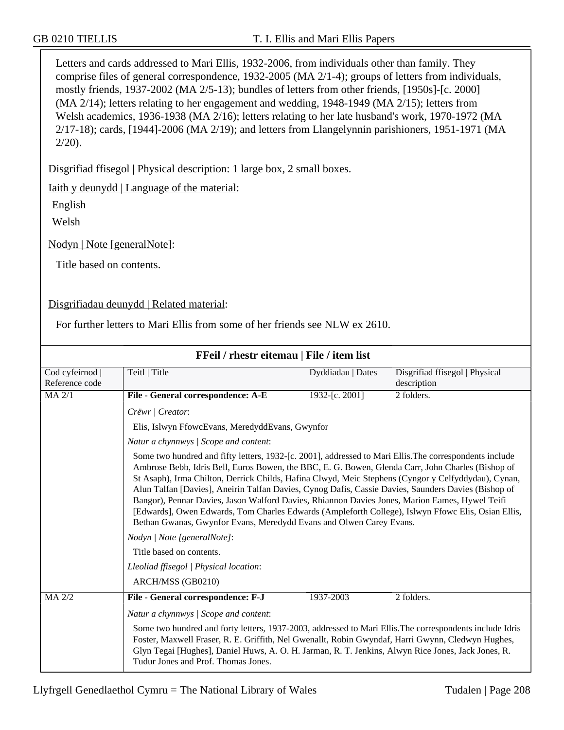Letters and cards addressed to Mari Ellis, 1932-2006, from individuals other than family. They comprise files of general correspondence, 1932-2005 (MA 2/1-4); groups of letters from individuals, mostly friends, 1937-2002 (MA 2/5-13); bundles of letters from other friends, [1950s]-[c. 2000] (MA 2/14); letters relating to her engagement and wedding, 1948-1949 (MA 2/15); letters from Welsh academics, 1936-1938 (MA 2/16); letters relating to her late husband's work, 1970-1972 (MA 2/17-18); cards, [1944]-2006 (MA 2/19); and letters from Llangelynnin parishioners, 1951-1971 (MA  $2/20$ ).

Disgrifiad ffisegol | Physical description: 1 large box, 2 small boxes.

Iaith y deunydd | Language of the material:

English

Welsh

Nodyn | Note [generalNote]:

Title based on contents.

Disgrifiadau deunydd | Related material:

For further letters to Mari Ellis from some of her friends see NLW ex 2610.

| FFeil / rhestr eitemau   File / item list |                                                                                                                                                                                                                                                                                                                                                                                                                                                                                                                                                                                                                                                                                                                                                                                                                |                   |                                               |  |
|-------------------------------------------|----------------------------------------------------------------------------------------------------------------------------------------------------------------------------------------------------------------------------------------------------------------------------------------------------------------------------------------------------------------------------------------------------------------------------------------------------------------------------------------------------------------------------------------------------------------------------------------------------------------------------------------------------------------------------------------------------------------------------------------------------------------------------------------------------------------|-------------------|-----------------------------------------------|--|
| Cod cyfeirnod  <br>Reference code         | Teitl   Title                                                                                                                                                                                                                                                                                                                                                                                                                                                                                                                                                                                                                                                                                                                                                                                                  | Dyddiadau   Dates | Disgrifiad ffisegol   Physical<br>description |  |
| $MA$ $2/1$                                | File - General correspondence: A-E                                                                                                                                                                                                                                                                                                                                                                                                                                                                                                                                                                                                                                                                                                                                                                             | 1932-[c. 2001]    | 2 folders.                                    |  |
|                                           | Crëwr   Creator:                                                                                                                                                                                                                                                                                                                                                                                                                                                                                                                                                                                                                                                                                                                                                                                               |                   |                                               |  |
|                                           | Elis, Islwyn FfowcEvans, MeredyddEvans, Gwynfor                                                                                                                                                                                                                                                                                                                                                                                                                                                                                                                                                                                                                                                                                                                                                                |                   |                                               |  |
|                                           | Natur a chynnwys / Scope and content:                                                                                                                                                                                                                                                                                                                                                                                                                                                                                                                                                                                                                                                                                                                                                                          |                   |                                               |  |
|                                           | Some two hundred and fifty letters, 1932-[c. 2001], addressed to Mari Ellis. The correspondents include<br>Ambrose Bebb, Idris Bell, Euros Bowen, the BBC, E. G. Bowen, Glenda Carr, John Charles (Bishop of<br>St Asaph), Irma Chilton, Derrick Childs, Hafina Clwyd, Meic Stephens (Cyngor y Celfyddydau), Cynan,<br>Alun Talfan [Davies], Aneirin Talfan Davies, Cynog Dafis, Cassie Davies, Saunders Davies (Bishop of<br>Bangor), Pennar Davies, Jason Walford Davies, Rhiannon Davies Jones, Marion Eames, Hywel Teifi<br>[Edwards], Owen Edwards, Tom Charles Edwards (Ampleforth College), Islwyn Ffowc Elis, Osian Ellis,<br>Bethan Gwanas, Gwynfor Evans, Meredydd Evans and Olwen Carey Evans.<br>Nodyn   Note [generalNote]:<br>Title based on contents.<br>Lleoliad ffisegol   Physical location: |                   |                                               |  |
|                                           |                                                                                                                                                                                                                                                                                                                                                                                                                                                                                                                                                                                                                                                                                                                                                                                                                |                   |                                               |  |
|                                           |                                                                                                                                                                                                                                                                                                                                                                                                                                                                                                                                                                                                                                                                                                                                                                                                                |                   |                                               |  |
|                                           |                                                                                                                                                                                                                                                                                                                                                                                                                                                                                                                                                                                                                                                                                                                                                                                                                |                   |                                               |  |
|                                           | ARCH/MSS (GB0210)                                                                                                                                                                                                                                                                                                                                                                                                                                                                                                                                                                                                                                                                                                                                                                                              |                   |                                               |  |
| MA 2/2                                    | File - General correspondence: F-J                                                                                                                                                                                                                                                                                                                                                                                                                                                                                                                                                                                                                                                                                                                                                                             | 1937-2003         | 2 folders.                                    |  |
|                                           | Natur a chynnwys / Scope and content:<br>Some two hundred and forty letters, 1937-2003, addressed to Mari Ellis. The correspondents include Idris<br>Foster, Maxwell Fraser, R. E. Griffith, Nel Gwenallt, Robin Gwyndaf, Harri Gwynn, Cledwyn Hughes,<br>Glyn Tegai [Hughes], Daniel Huws, A. O. H. Jarman, R. T. Jenkins, Alwyn Rice Jones, Jack Jones, R.<br>Tudur Jones and Prof. Thomas Jones.                                                                                                                                                                                                                                                                                                                                                                                                            |                   |                                               |  |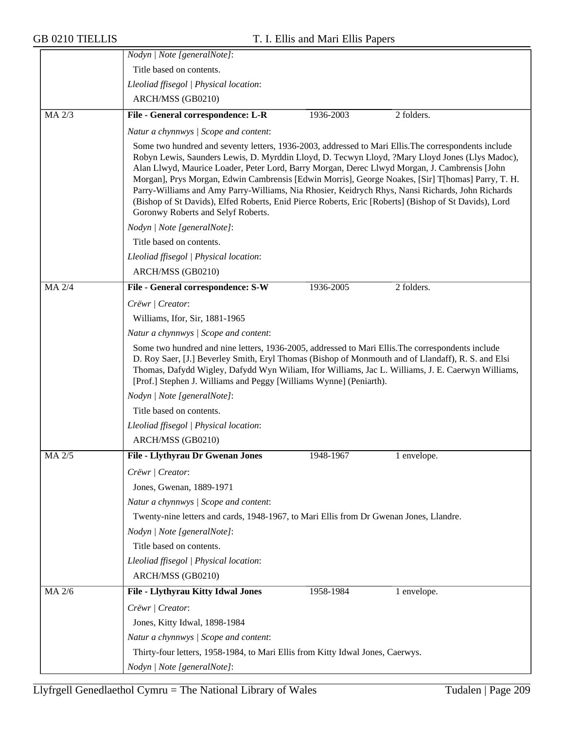|            | Nodyn   Note [generalNote]:                                                                                                                                                                                                                                                                                                                                                                                                                                                                                                                                                                                                                                      |  |  |  |
|------------|------------------------------------------------------------------------------------------------------------------------------------------------------------------------------------------------------------------------------------------------------------------------------------------------------------------------------------------------------------------------------------------------------------------------------------------------------------------------------------------------------------------------------------------------------------------------------------------------------------------------------------------------------------------|--|--|--|
|            | Title based on contents.                                                                                                                                                                                                                                                                                                                                                                                                                                                                                                                                                                                                                                         |  |  |  |
|            | Lleoliad ffisegol   Physical location:                                                                                                                                                                                                                                                                                                                                                                                                                                                                                                                                                                                                                           |  |  |  |
|            | ARCH/MSS (GB0210)                                                                                                                                                                                                                                                                                                                                                                                                                                                                                                                                                                                                                                                |  |  |  |
| $MA$ $2/3$ | 2 folders.<br>File - General correspondence: L-R<br>1936-2003                                                                                                                                                                                                                                                                                                                                                                                                                                                                                                                                                                                                    |  |  |  |
|            | Natur a chynnwys / Scope and content:                                                                                                                                                                                                                                                                                                                                                                                                                                                                                                                                                                                                                            |  |  |  |
|            | Some two hundred and seventy letters, 1936-2003, addressed to Mari Ellis. The correspondents include<br>Robyn Lewis, Saunders Lewis, D. Myrddin Lloyd, D. Tecwyn Lloyd, ?Mary Lloyd Jones (Llys Madoc),<br>Alan Llwyd, Maurice Loader, Peter Lord, Barry Morgan, Derec Llwyd Morgan, J. Cambrensis [John<br>Morgan], Prys Morgan, Edwin Cambrensis [Edwin Morris], George Noakes, [Sir] T[homas] Parry, T. H.<br>Parry-Williams and Amy Parry-Williams, Nia Rhosier, Keidrych Rhys, Nansi Richards, John Richards<br>(Bishop of St Davids), Elfed Roberts, Enid Pierce Roberts, Eric [Roberts] (Bishop of St Davids), Lord<br>Goronwy Roberts and Selyf Roberts. |  |  |  |
|            | Nodyn   Note [generalNote]:                                                                                                                                                                                                                                                                                                                                                                                                                                                                                                                                                                                                                                      |  |  |  |
|            | Title based on contents.                                                                                                                                                                                                                                                                                                                                                                                                                                                                                                                                                                                                                                         |  |  |  |
|            | Lleoliad ffisegol   Physical location:                                                                                                                                                                                                                                                                                                                                                                                                                                                                                                                                                                                                                           |  |  |  |
|            | ARCH/MSS (GB0210)                                                                                                                                                                                                                                                                                                                                                                                                                                                                                                                                                                                                                                                |  |  |  |
| MA 2/4     | File - General correspondence: S-W<br>2 folders.<br>1936-2005                                                                                                                                                                                                                                                                                                                                                                                                                                                                                                                                                                                                    |  |  |  |
|            | Crëwr   Creator:                                                                                                                                                                                                                                                                                                                                                                                                                                                                                                                                                                                                                                                 |  |  |  |
|            | Williams, Ifor, Sir, 1881-1965                                                                                                                                                                                                                                                                                                                                                                                                                                                                                                                                                                                                                                   |  |  |  |
|            | Natur a chynnwys / Scope and content:                                                                                                                                                                                                                                                                                                                                                                                                                                                                                                                                                                                                                            |  |  |  |
|            | Some two hundred and nine letters, 1936-2005, addressed to Mari Ellis. The correspondents include<br>D. Roy Saer, [J.] Beverley Smith, Eryl Thomas (Bishop of Monmouth and of Llandaff), R. S. and Elsi<br>Thomas, Dafydd Wigley, Dafydd Wyn Wiliam, Ifor Williams, Jac L. Williams, J. E. Caerwyn Williams,<br>[Prof.] Stephen J. Williams and Peggy [Williams Wynne] (Peniarth).                                                                                                                                                                                                                                                                               |  |  |  |
|            | Nodyn   Note [generalNote]:                                                                                                                                                                                                                                                                                                                                                                                                                                                                                                                                                                                                                                      |  |  |  |
|            | Title based on contents.                                                                                                                                                                                                                                                                                                                                                                                                                                                                                                                                                                                                                                         |  |  |  |
|            | Lleoliad ffisegol   Physical location:                                                                                                                                                                                                                                                                                                                                                                                                                                                                                                                                                                                                                           |  |  |  |
|            | ARCH/MSS (GB0210)                                                                                                                                                                                                                                                                                                                                                                                                                                                                                                                                                                                                                                                |  |  |  |
| MA 2/5     | <b>File - Llythyrau Dr Gwenan Jones</b><br>1948-1967<br>1 envelope.                                                                                                                                                                                                                                                                                                                                                                                                                                                                                                                                                                                              |  |  |  |
|            | Crëwr   Creator:                                                                                                                                                                                                                                                                                                                                                                                                                                                                                                                                                                                                                                                 |  |  |  |
|            | Jones, Gwenan, 1889-1971                                                                                                                                                                                                                                                                                                                                                                                                                                                                                                                                                                                                                                         |  |  |  |
|            | Natur a chynnwys / Scope and content:                                                                                                                                                                                                                                                                                                                                                                                                                                                                                                                                                                                                                            |  |  |  |
|            | Twenty-nine letters and cards, 1948-1967, to Mari Ellis from Dr Gwenan Jones, Llandre.                                                                                                                                                                                                                                                                                                                                                                                                                                                                                                                                                                           |  |  |  |
|            | Nodyn   Note [generalNote]:                                                                                                                                                                                                                                                                                                                                                                                                                                                                                                                                                                                                                                      |  |  |  |
|            | Title based on contents.                                                                                                                                                                                                                                                                                                                                                                                                                                                                                                                                                                                                                                         |  |  |  |
|            | Lleoliad ffisegol   Physical location:                                                                                                                                                                                                                                                                                                                                                                                                                                                                                                                                                                                                                           |  |  |  |
|            | ARCH/MSS (GB0210)                                                                                                                                                                                                                                                                                                                                                                                                                                                                                                                                                                                                                                                |  |  |  |
| MA 2/6     | File - Llythyrau Kitty Idwal Jones<br>1958-1984<br>1 envelope.                                                                                                                                                                                                                                                                                                                                                                                                                                                                                                                                                                                                   |  |  |  |
|            | Crëwr   Creator:                                                                                                                                                                                                                                                                                                                                                                                                                                                                                                                                                                                                                                                 |  |  |  |
|            | Jones, Kitty Idwal, 1898-1984                                                                                                                                                                                                                                                                                                                                                                                                                                                                                                                                                                                                                                    |  |  |  |
|            | Natur a chynnwys / Scope and content:                                                                                                                                                                                                                                                                                                                                                                                                                                                                                                                                                                                                                            |  |  |  |
|            | Thirty-four letters, 1958-1984, to Mari Ellis from Kitty Idwal Jones, Caerwys.                                                                                                                                                                                                                                                                                                                                                                                                                                                                                                                                                                                   |  |  |  |
|            | Nodyn   Note [generalNote]:                                                                                                                                                                                                                                                                                                                                                                                                                                                                                                                                                                                                                                      |  |  |  |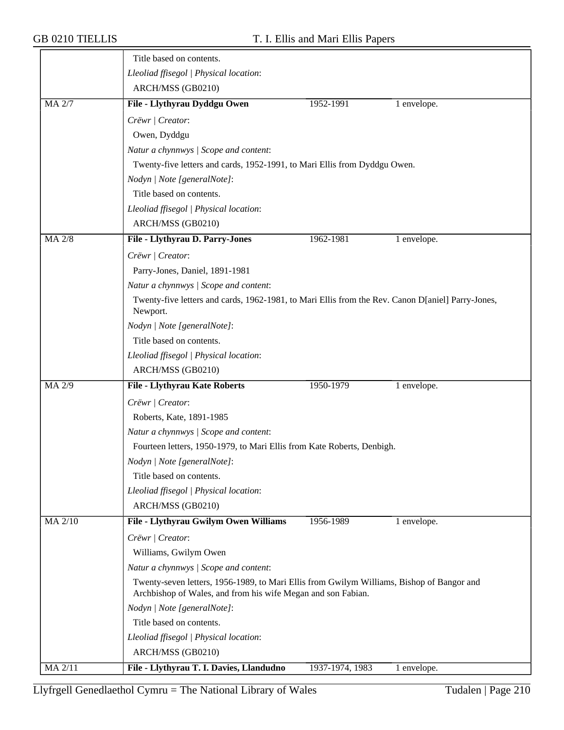|                | Title based on contents.                                                                                                                                  |                 |               |  |  |
|----------------|-----------------------------------------------------------------------------------------------------------------------------------------------------------|-----------------|---------------|--|--|
|                | Lleoliad ffisegol   Physical location:                                                                                                                    |                 |               |  |  |
|                | ARCH/MSS (GB0210)                                                                                                                                         |                 |               |  |  |
| <b>MA 2/7</b>  | File - Llythyrau Dyddgu Owen                                                                                                                              | 1952-1991       | $1$ envelope. |  |  |
|                | Crëwr   Creator:                                                                                                                                          |                 |               |  |  |
|                | Owen, Dyddgu                                                                                                                                              |                 |               |  |  |
|                | Natur a chynnwys / Scope and content:                                                                                                                     |                 |               |  |  |
|                | Twenty-five letters and cards, 1952-1991, to Mari Ellis from Dyddgu Owen.                                                                                 |                 |               |  |  |
|                | Nodyn   Note [generalNote]:                                                                                                                               |                 |               |  |  |
|                | Title based on contents.                                                                                                                                  |                 |               |  |  |
|                | Lleoliad ffisegol   Physical location:                                                                                                                    |                 |               |  |  |
|                | ARCH/MSS (GB0210)                                                                                                                                         |                 |               |  |  |
| MA 2/8         | File - Llythyrau D. Parry-Jones                                                                                                                           | 1962-1981       | 1 envelope.   |  |  |
|                | Crëwr   Creator:                                                                                                                                          |                 |               |  |  |
|                | Parry-Jones, Daniel, 1891-1981                                                                                                                            |                 |               |  |  |
|                | Natur a chynnwys / Scope and content:                                                                                                                     |                 |               |  |  |
|                | Twenty-five letters and cards, 1962-1981, to Mari Ellis from the Rev. Canon D[aniel] Parry-Jones,                                                         |                 |               |  |  |
|                | Newport.                                                                                                                                                  |                 |               |  |  |
|                | Nodyn   Note [generalNote]:                                                                                                                               |                 |               |  |  |
|                | Title based on contents.                                                                                                                                  |                 |               |  |  |
|                | Lleoliad ffisegol   Physical location:                                                                                                                    |                 |               |  |  |
|                | ARCH/MSS (GB0210)                                                                                                                                         |                 |               |  |  |
| MA 2/9         | <b>File - Llythyrau Kate Roberts</b>                                                                                                                      | 1950-1979       | 1 envelope.   |  |  |
|                | Crëwr   Creator:                                                                                                                                          |                 |               |  |  |
|                | Roberts, Kate, 1891-1985                                                                                                                                  |                 |               |  |  |
|                | Natur a chynnwys / Scope and content:                                                                                                                     |                 |               |  |  |
|                | Fourteen letters, 1950-1979, to Mari Ellis from Kate Roberts, Denbigh.                                                                                    |                 |               |  |  |
|                | Nodyn   Note [generalNote]:                                                                                                                               |                 |               |  |  |
|                | Title based on contents.                                                                                                                                  |                 |               |  |  |
|                | Lleoliad ffisegol   Physical location:                                                                                                                    |                 |               |  |  |
|                | ARCH/MSS (GB0210)                                                                                                                                         |                 |               |  |  |
| <b>MA 2/10</b> | File - Llythyrau Gwilym Owen Williams                                                                                                                     | 1956-1989       | 1 envelope.   |  |  |
|                | Crëwr   Creator:                                                                                                                                          |                 |               |  |  |
|                | Williams, Gwilym Owen                                                                                                                                     |                 |               |  |  |
|                | Natur a chynnwys / Scope and content:                                                                                                                     |                 |               |  |  |
|                | Twenty-seven letters, 1956-1989, to Mari Ellis from Gwilym Williams, Bishop of Bangor and<br>Archbishop of Wales, and from his wife Megan and son Fabian. |                 |               |  |  |
|                | Nodyn   Note [generalNote]:                                                                                                                               |                 |               |  |  |
|                | Title based on contents.                                                                                                                                  |                 |               |  |  |
|                | Lleoliad ffisegol   Physical location:                                                                                                                    |                 |               |  |  |
|                | ARCH/MSS (GB0210)                                                                                                                                         |                 |               |  |  |
| MA 2/11        | File - Llythyrau T. I. Davies, Llandudno                                                                                                                  | 1937-1974, 1983 | 1 envelope.   |  |  |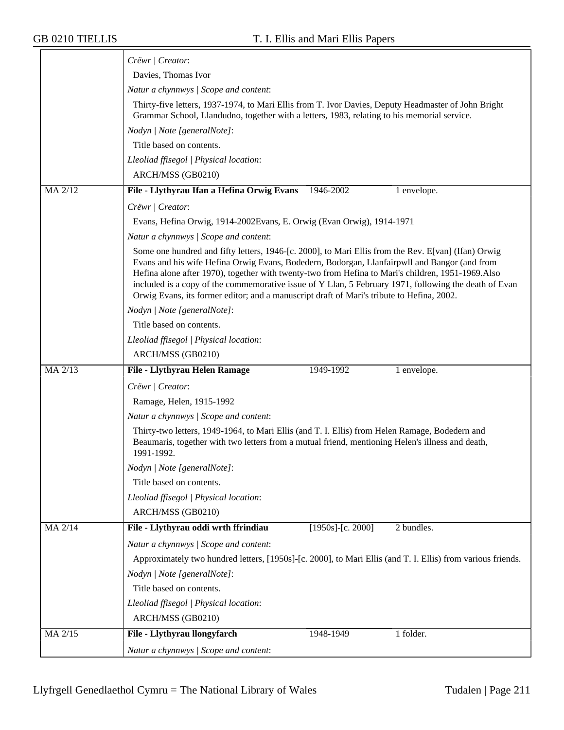|         | Crëwr   Creator:                                                                                                                                                                                                                                                                                                                                                                                                                                                                                                |  |  |  |
|---------|-----------------------------------------------------------------------------------------------------------------------------------------------------------------------------------------------------------------------------------------------------------------------------------------------------------------------------------------------------------------------------------------------------------------------------------------------------------------------------------------------------------------|--|--|--|
|         | Davies, Thomas Ivor                                                                                                                                                                                                                                                                                                                                                                                                                                                                                             |  |  |  |
|         | Natur a chynnwys / Scope and content:                                                                                                                                                                                                                                                                                                                                                                                                                                                                           |  |  |  |
|         | Thirty-five letters, 1937-1974, to Mari Ellis from T. Ivor Davies, Deputy Headmaster of John Bright<br>Grammar School, Llandudno, together with a letters, 1983, relating to his memorial service.                                                                                                                                                                                                                                                                                                              |  |  |  |
|         | Nodyn   Note [generalNote]:                                                                                                                                                                                                                                                                                                                                                                                                                                                                                     |  |  |  |
|         | Title based on contents.                                                                                                                                                                                                                                                                                                                                                                                                                                                                                        |  |  |  |
|         | Lleoliad ffisegol   Physical location:                                                                                                                                                                                                                                                                                                                                                                                                                                                                          |  |  |  |
|         | ARCH/MSS (GB0210)                                                                                                                                                                                                                                                                                                                                                                                                                                                                                               |  |  |  |
| MA 2/12 | File - Llythyrau Ifan a Hefina Orwig Evans<br>1946-2002<br>1 envelope.                                                                                                                                                                                                                                                                                                                                                                                                                                          |  |  |  |
|         | Crëwr / Creator:                                                                                                                                                                                                                                                                                                                                                                                                                                                                                                |  |  |  |
|         | Evans, Hefina Orwig, 1914-2002Evans, E. Orwig (Evan Orwig), 1914-1971                                                                                                                                                                                                                                                                                                                                                                                                                                           |  |  |  |
|         | Natur a chynnwys / Scope and content:                                                                                                                                                                                                                                                                                                                                                                                                                                                                           |  |  |  |
|         | Some one hundred and fifty letters, 1946-[c. 2000], to Mari Ellis from the Rev. E[van] (Ifan) Orwig<br>Evans and his wife Hefina Orwig Evans, Bodedern, Bodorgan, Llanfairpwll and Bangor (and from<br>Hefina alone after 1970), together with twenty-two from Hefina to Mari's children, 1951-1969. Also<br>included is a copy of the commemorative issue of Y Llan, 5 February 1971, following the death of Evan<br>Orwig Evans, its former editor; and a manuscript draft of Mari's tribute to Hefina, 2002. |  |  |  |
|         | Nodyn   Note [generalNote]:                                                                                                                                                                                                                                                                                                                                                                                                                                                                                     |  |  |  |
|         | Title based on contents.                                                                                                                                                                                                                                                                                                                                                                                                                                                                                        |  |  |  |
|         | Lleoliad ffisegol   Physical location:                                                                                                                                                                                                                                                                                                                                                                                                                                                                          |  |  |  |
|         | ARCH/MSS (GB0210)                                                                                                                                                                                                                                                                                                                                                                                                                                                                                               |  |  |  |
| MA 2/13 | File - Llythyrau Helen Ramage<br>1949-1992<br>1 envelope.                                                                                                                                                                                                                                                                                                                                                                                                                                                       |  |  |  |
|         | Crëwr   Creator:                                                                                                                                                                                                                                                                                                                                                                                                                                                                                                |  |  |  |
|         | Ramage, Helen, 1915-1992                                                                                                                                                                                                                                                                                                                                                                                                                                                                                        |  |  |  |
|         | Natur a chynnwys / Scope and content:                                                                                                                                                                                                                                                                                                                                                                                                                                                                           |  |  |  |
|         | Thirty-two letters, 1949-1964, to Mari Ellis (and T. I. Ellis) from Helen Ramage, Bodedern and<br>Beaumaris, together with two letters from a mutual friend, mentioning Helen's illness and death,<br>1991-1992.                                                                                                                                                                                                                                                                                                |  |  |  |
|         | Nodyn   Note [generalNote]:                                                                                                                                                                                                                                                                                                                                                                                                                                                                                     |  |  |  |
|         | Title based on contents.                                                                                                                                                                                                                                                                                                                                                                                                                                                                                        |  |  |  |
|         | Lleoliad ffisegol   Physical location:                                                                                                                                                                                                                                                                                                                                                                                                                                                                          |  |  |  |
|         | ARCH/MSS (GB0210)                                                                                                                                                                                                                                                                                                                                                                                                                                                                                               |  |  |  |
| MA 2/14 | File - Llythyrau oddi wrth ffrindiau<br>$[1950s]$ -[c. 2000]<br>2 bundles.                                                                                                                                                                                                                                                                                                                                                                                                                                      |  |  |  |
|         | Natur a chynnwys / Scope and content:                                                                                                                                                                                                                                                                                                                                                                                                                                                                           |  |  |  |
|         | Approximately two hundred letters, [1950s]-[c. 2000], to Mari Ellis (and T. I. Ellis) from various friends.                                                                                                                                                                                                                                                                                                                                                                                                     |  |  |  |
|         | Nodyn   Note [generalNote]:                                                                                                                                                                                                                                                                                                                                                                                                                                                                                     |  |  |  |
|         | Title based on contents.                                                                                                                                                                                                                                                                                                                                                                                                                                                                                        |  |  |  |
|         | Lleoliad ffisegol   Physical location:                                                                                                                                                                                                                                                                                                                                                                                                                                                                          |  |  |  |
|         | ARCH/MSS (GB0210)                                                                                                                                                                                                                                                                                                                                                                                                                                                                                               |  |  |  |
| MA 2/15 | File - Llythyrau llongyfarch<br>1 folder.<br>1948-1949                                                                                                                                                                                                                                                                                                                                                                                                                                                          |  |  |  |
|         | Natur a chynnwys / Scope and content:                                                                                                                                                                                                                                                                                                                                                                                                                                                                           |  |  |  |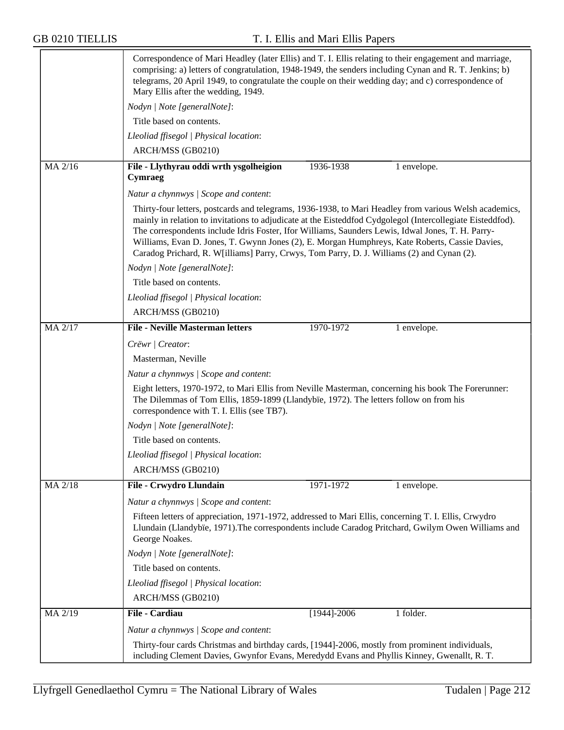|                | Correspondence of Mari Headley (later Ellis) and T. I. Ellis relating to their engagement and marriage,<br>comprising: a) letters of congratulation, 1948-1949, the senders including Cynan and R. T. Jenkins; b)<br>telegrams, 20 April 1949, to congratulate the couple on their wedding day; and c) correspondence of<br>Mary Ellis after the wedding, 1949.                                                                                                                                                           |  |  |  |
|----------------|---------------------------------------------------------------------------------------------------------------------------------------------------------------------------------------------------------------------------------------------------------------------------------------------------------------------------------------------------------------------------------------------------------------------------------------------------------------------------------------------------------------------------|--|--|--|
|                | Nodyn   Note [generalNote]:                                                                                                                                                                                                                                                                                                                                                                                                                                                                                               |  |  |  |
|                | Title based on contents.                                                                                                                                                                                                                                                                                                                                                                                                                                                                                                  |  |  |  |
|                | Lleoliad ffisegol   Physical location:                                                                                                                                                                                                                                                                                                                                                                                                                                                                                    |  |  |  |
|                | ARCH/MSS (GB0210)                                                                                                                                                                                                                                                                                                                                                                                                                                                                                                         |  |  |  |
| MA 2/16        | File - Llythyrau oddi wrth ysgolheigion<br>1936-1938<br>1 envelope.<br>Cymraeg                                                                                                                                                                                                                                                                                                                                                                                                                                            |  |  |  |
|                | Natur a chynnwys / Scope and content:                                                                                                                                                                                                                                                                                                                                                                                                                                                                                     |  |  |  |
|                | Thirty-four letters, postcards and telegrams, 1936-1938, to Mari Headley from various Welsh academics,<br>mainly in relation to invitations to adjudicate at the Eisteddfod Cydgolegol (Intercollegiate Eisteddfod).<br>The correspondents include Idris Foster, Ifor Williams, Saunders Lewis, Idwal Jones, T. H. Parry-<br>Williams, Evan D. Jones, T. Gwynn Jones (2), E. Morgan Humphreys, Kate Roberts, Cassie Davies,<br>Caradog Prichard, R. W[illiams] Parry, Crwys, Tom Parry, D. J. Williams (2) and Cynan (2). |  |  |  |
|                | Nodyn   Note [generalNote]:                                                                                                                                                                                                                                                                                                                                                                                                                                                                                               |  |  |  |
|                | Title based on contents.                                                                                                                                                                                                                                                                                                                                                                                                                                                                                                  |  |  |  |
|                | Lleoliad ffisegol   Physical location:                                                                                                                                                                                                                                                                                                                                                                                                                                                                                    |  |  |  |
|                | ARCH/MSS (GB0210)                                                                                                                                                                                                                                                                                                                                                                                                                                                                                                         |  |  |  |
| <b>MA 2/17</b> | <b>File - Neville Masterman letters</b><br>1970-1972<br>1 envelope.                                                                                                                                                                                                                                                                                                                                                                                                                                                       |  |  |  |
|                | Crëwr   Creator:                                                                                                                                                                                                                                                                                                                                                                                                                                                                                                          |  |  |  |
|                | Masterman, Neville                                                                                                                                                                                                                                                                                                                                                                                                                                                                                                        |  |  |  |
|                | Natur a chynnwys   Scope and content:                                                                                                                                                                                                                                                                                                                                                                                                                                                                                     |  |  |  |
|                | Eight letters, 1970-1972, to Mari Ellis from Neville Masterman, concerning his book The Forerunner:<br>The Dilemmas of Tom Ellis, 1859-1899 (Llandybïe, 1972). The letters follow on from his<br>correspondence with T. I. Ellis (see TB7).                                                                                                                                                                                                                                                                               |  |  |  |
|                | Nodyn   Note [generalNote]:                                                                                                                                                                                                                                                                                                                                                                                                                                                                                               |  |  |  |
|                | Title based on contents.                                                                                                                                                                                                                                                                                                                                                                                                                                                                                                  |  |  |  |
|                | Lleoliad ffisegol   Physical location:                                                                                                                                                                                                                                                                                                                                                                                                                                                                                    |  |  |  |
|                | ARCH/MSS (GB0210)                                                                                                                                                                                                                                                                                                                                                                                                                                                                                                         |  |  |  |
| MA 2/18        | File - Crwydro Llundain<br>1971-1972<br>1 envelope.                                                                                                                                                                                                                                                                                                                                                                                                                                                                       |  |  |  |
|                | Natur a chynnwys / Scope and content:                                                                                                                                                                                                                                                                                                                                                                                                                                                                                     |  |  |  |
|                | Fifteen letters of appreciation, 1971-1972, addressed to Mari Ellis, concerning T. I. Ellis, Crwydro<br>Llundain (Llandybïe, 1971). The correspondents include Caradog Pritchard, Gwilym Owen Williams and<br>George Noakes.                                                                                                                                                                                                                                                                                              |  |  |  |
|                | Nodyn   Note [generalNote]:                                                                                                                                                                                                                                                                                                                                                                                                                                                                                               |  |  |  |
|                | Title based on contents.                                                                                                                                                                                                                                                                                                                                                                                                                                                                                                  |  |  |  |
|                | Lleoliad ffisegol   Physical location:                                                                                                                                                                                                                                                                                                                                                                                                                                                                                    |  |  |  |
|                | ARCH/MSS (GB0210)                                                                                                                                                                                                                                                                                                                                                                                                                                                                                                         |  |  |  |
| MA 2/19        | <b>File - Cardiau</b><br>1 folder.<br>$[1944] - 2006$                                                                                                                                                                                                                                                                                                                                                                                                                                                                     |  |  |  |
|                | Natur a chynnwys / Scope and content:                                                                                                                                                                                                                                                                                                                                                                                                                                                                                     |  |  |  |
|                | Thirty-four cards Christmas and birthday cards, [1944]-2006, mostly from prominent individuals,<br>including Clement Davies, Gwynfor Evans, Meredydd Evans and Phyllis Kinney, Gwenallt, R. T.                                                                                                                                                                                                                                                                                                                            |  |  |  |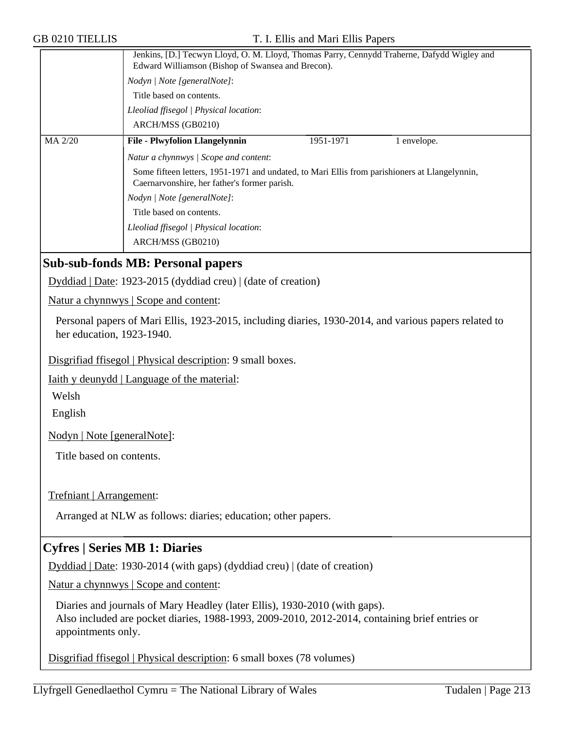|         | Jenkins, [D.] Tecwyn Lloyd, O. M. Lloyd, Thomas Parry, Cennydd Traherne, Dafydd Wigley and<br>Edward Williamson (Bishop of Swansea and Brecon). |           |             |
|---------|-------------------------------------------------------------------------------------------------------------------------------------------------|-----------|-------------|
|         | Nodyn   Note [generalNote]:                                                                                                                     |           |             |
|         | Title based on contents.<br>Lleoliad ffisegol   Physical location:                                                                              |           |             |
|         |                                                                                                                                                 |           |             |
|         | ARCH/MSS (GB0210)                                                                                                                               |           |             |
| MA 2/20 | <b>File - Plwyfolion Llangelynnin</b>                                                                                                           | 1951-1971 | 1 envelope. |
|         | Natur a chynnwys / Scope and content:                                                                                                           |           |             |
|         | Some fifteen letters, 1951-1971 and undated, to Mari Ellis from parishioners at Llangelynnin,<br>Caernarvonshire, her father's former parish.   |           |             |
|         | Nodyn   Note [generalNote]:                                                                                                                     |           |             |
|         | Title based on contents.                                                                                                                        |           |             |
|         | Lleoliad ffisegol   Physical location:                                                                                                          |           |             |
|         | ARCH/MSS (GB0210)                                                                                                                               |           |             |

### **Sub-sub-fonds MB: Personal papers**

Dyddiad | Date: 1923-2015 (dyddiad creu) | (date of creation)

Natur a chynnwys | Scope and content:

Personal papers of Mari Ellis, 1923-2015, including diaries, 1930-2014, and various papers related to her education, 1923-1940.

Disgrifiad ffisegol | Physical description: 9 small boxes.

Iaith y deunydd | Language of the material:

Welsh

English

Nodyn | Note [generalNote]:

Title based on contents.

Trefniant | Arrangement:

Arranged at NLW as follows: diaries; education; other papers.

### **Cyfres | Series MB 1: Diaries**

Dyddiad | Date: 1930-2014 (with gaps) (dyddiad creu) | (date of creation)

Natur a chynnwys | Scope and content:

Diaries and journals of Mary Headley (later Ellis), 1930-2010 (with gaps). Also included are pocket diaries, 1988-1993, 2009-2010, 2012-2014, containing brief entries or appointments only.

Disgrifiad ffisegol | Physical description: 6 small boxes (78 volumes)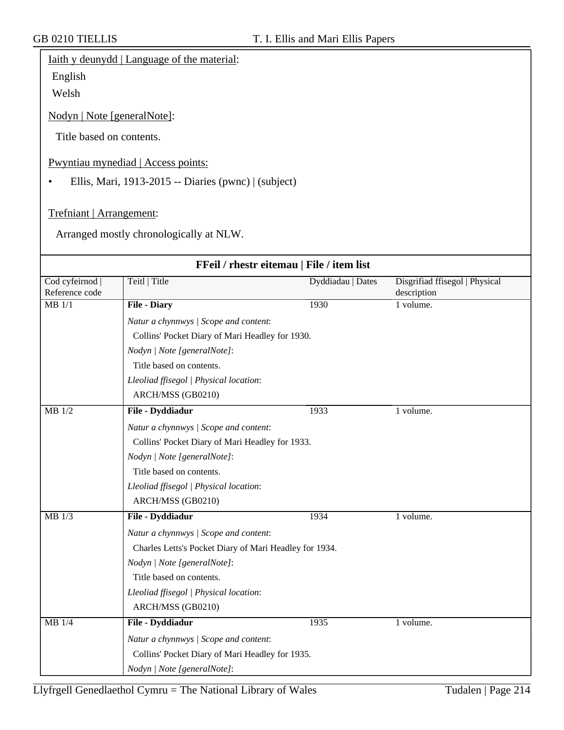## Iaith y deunydd | Language of the material:

English

Welsh

Nodyn | Note [generalNote]:

Title based on contents.

#### Pwyntiau mynediad | Access points:

• Ellis, Mari, 1913-2015 -- Diaries (pwnc) | (subject)

Trefniant | Arrangement:

Arranged mostly chronologically at NLW.

| FFeil / rhestr eitemau   File / item list |                                                        |                   |                                               |  |
|-------------------------------------------|--------------------------------------------------------|-------------------|-----------------------------------------------|--|
| Cod cyfeirnod  <br>Reference code         | Teitl   Title                                          | Dyddiadau   Dates | Disgrifiad ffisegol   Physical<br>description |  |
| $MB$ 1/1                                  | <b>File - Diary</b>                                    | 1930              | 1 volume.                                     |  |
|                                           | Natur a chynnwys / Scope and content:                  |                   |                                               |  |
|                                           | Collins' Pocket Diary of Mari Headley for 1930.        |                   |                                               |  |
|                                           | Nodyn   Note [generalNote]:                            |                   |                                               |  |
|                                           | Title based on contents.                               |                   |                                               |  |
|                                           | Lleoliad ffisegol   Physical location:                 |                   |                                               |  |
|                                           | ARCH/MSS (GB0210)                                      |                   |                                               |  |
| $MB$ 1/2                                  | File - Dyddiadur                                       | 1933              | 1 volume.                                     |  |
|                                           | Natur a chynnwys / Scope and content:                  |                   |                                               |  |
|                                           | Collins' Pocket Diary of Mari Headley for 1933.        |                   |                                               |  |
|                                           | Nodyn   Note [generalNote]:                            |                   |                                               |  |
|                                           | Title based on contents.                               |                   |                                               |  |
|                                           | Lleoliad ffisegol   Physical location:                 |                   |                                               |  |
|                                           | ARCH/MSS (GB0210)                                      |                   |                                               |  |
| MB 1/3                                    | File - Dyddiadur                                       | 1934              | 1 volume.                                     |  |
|                                           | Natur a chynnwys / Scope and content:                  |                   |                                               |  |
|                                           | Charles Letts's Pocket Diary of Mari Headley for 1934. |                   |                                               |  |
|                                           | Nodyn   Note [generalNote]:                            |                   |                                               |  |
|                                           | Title based on contents.                               |                   |                                               |  |
|                                           | Lleoliad ffisegol   Physical location:                 |                   |                                               |  |
|                                           | ARCH/MSS (GB0210)                                      |                   |                                               |  |
| $MB$ 1/4                                  | File - Dyddiadur                                       | 1935              | 1 volume.                                     |  |
|                                           | Natur a chynnwys / Scope and content:                  |                   |                                               |  |
|                                           | Collins' Pocket Diary of Mari Headley for 1935.        |                   |                                               |  |
|                                           | Nodyn   Note [generalNote]:                            |                   |                                               |  |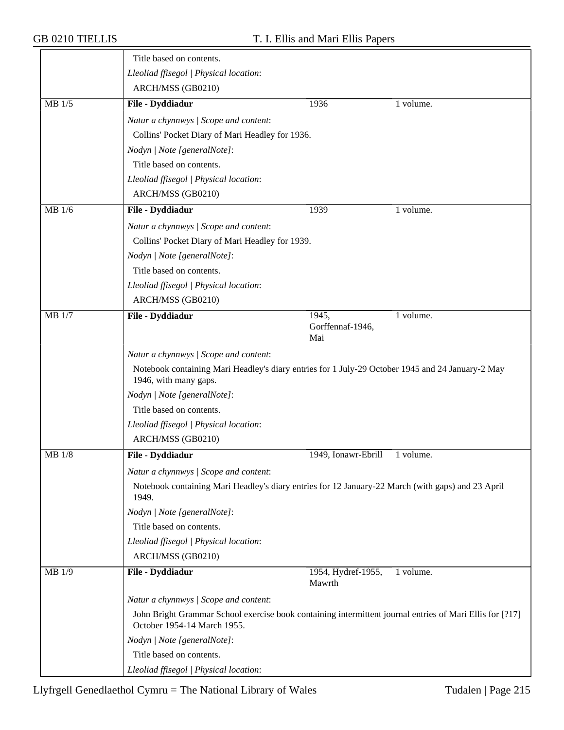|          | Title based on contents.                                                                                                                |                              |           |  |  |
|----------|-----------------------------------------------------------------------------------------------------------------------------------------|------------------------------|-----------|--|--|
|          | Lleoliad ffisegol   Physical location:                                                                                                  |                              |           |  |  |
|          | ARCH/MSS (GB0210)                                                                                                                       |                              |           |  |  |
| $MB$ 1/5 | File - Dyddiadur                                                                                                                        | 1936                         | 1 volume. |  |  |
|          | Natur a chynnwys / Scope and content:                                                                                                   |                              |           |  |  |
|          | Collins' Pocket Diary of Mari Headley for 1936.                                                                                         |                              |           |  |  |
|          | Nodyn   Note [generalNote]:                                                                                                             |                              |           |  |  |
|          | Title based on contents.                                                                                                                |                              |           |  |  |
|          | Lleoliad ffisegol   Physical location:                                                                                                  |                              |           |  |  |
|          | ARCH/MSS (GB0210)                                                                                                                       |                              |           |  |  |
| MB 1/6   | File - Dyddiadur                                                                                                                        | 1939                         | 1 volume. |  |  |
|          | Natur a chynnwys / Scope and content:                                                                                                   |                              |           |  |  |
|          | Collins' Pocket Diary of Mari Headley for 1939.                                                                                         |                              |           |  |  |
|          | Nodyn   Note [generalNote]:                                                                                                             |                              |           |  |  |
|          | Title based on contents.                                                                                                                |                              |           |  |  |
|          | Lleoliad ffisegol   Physical location:                                                                                                  |                              |           |  |  |
|          | ARCH/MSS (GB0210)                                                                                                                       |                              |           |  |  |
| MB 1/7   | File - Dyddiadur                                                                                                                        | 1945,                        | 1 volume. |  |  |
|          |                                                                                                                                         | Gorffennaf-1946,<br>Mai      |           |  |  |
|          | Natur a chynnwys / Scope and content:                                                                                                   |                              |           |  |  |
|          | Notebook containing Mari Headley's diary entries for 1 July-29 October 1945 and 24 January-2 May<br>1946, with many gaps.               |                              |           |  |  |
|          | Nodyn   Note [generalNote]:                                                                                                             |                              |           |  |  |
|          | Title based on contents.                                                                                                                |                              |           |  |  |
|          | Lleoliad ffisegol   Physical location:                                                                                                  |                              |           |  |  |
|          | ARCH/MSS (GB0210)                                                                                                                       |                              |           |  |  |
| MB 1/8   | File - Dyddiadur                                                                                                                        | 1949, Ionawr-Ebrill          | 1 volume. |  |  |
|          | Natur a chynnwys / Scope and content:                                                                                                   |                              |           |  |  |
|          | Notebook containing Mari Headley's diary entries for 12 January-22 March (with gaps) and 23 April<br>1949.                              |                              |           |  |  |
|          | Nodyn   Note [generalNote]:                                                                                                             |                              |           |  |  |
|          | Title based on contents.                                                                                                                |                              |           |  |  |
|          | Lleoliad ffisegol   Physical location:                                                                                                  |                              |           |  |  |
|          | ARCH/MSS (GB0210)                                                                                                                       |                              |           |  |  |
| MB 1/9   | File - Dyddiadur                                                                                                                        | 1954, Hydref-1955,<br>Mawrth | 1 volume. |  |  |
|          | Natur a chynnwys / Scope and content:                                                                                                   |                              |           |  |  |
|          | John Bright Grammar School exercise book containing intermittent journal entries of Mari Ellis for [?17]<br>October 1954-14 March 1955. |                              |           |  |  |
|          | Nodyn   Note [generalNote]:                                                                                                             |                              |           |  |  |
|          | Title based on contents.                                                                                                                |                              |           |  |  |
|          | Lleoliad ffisegol   Physical location:                                                                                                  |                              |           |  |  |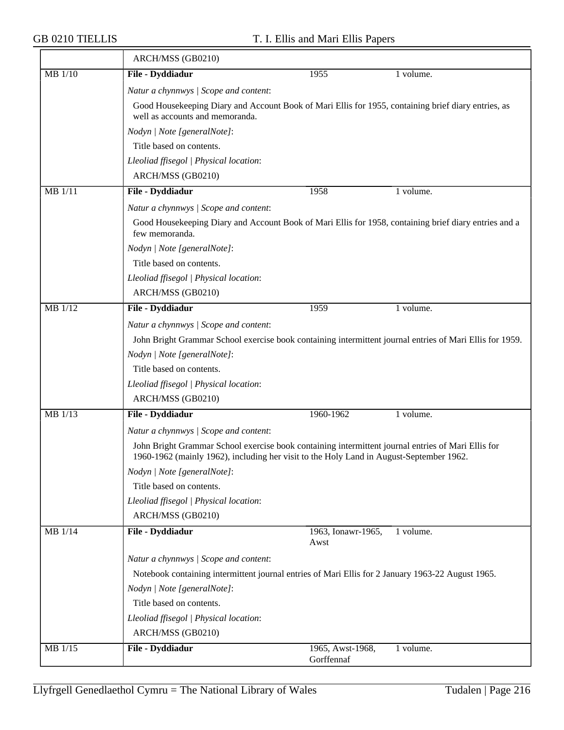$\overline{\phantom{a}}$ 

|                | ARCH/MSS (GB0210)                                                                                                                                                                             |                                |           |  |  |
|----------------|-----------------------------------------------------------------------------------------------------------------------------------------------------------------------------------------------|--------------------------------|-----------|--|--|
| MB 1/10        | File - Dyddiadur                                                                                                                                                                              | 1955                           | 1 volume. |  |  |
|                | Natur a chynnwys / Scope and content:                                                                                                                                                         |                                |           |  |  |
|                | Good Housekeeping Diary and Account Book of Mari Ellis for 1955, containing brief diary entries, as<br>well as accounts and memoranda.                                                        |                                |           |  |  |
|                | Nodyn   Note [generalNote]:                                                                                                                                                                   |                                |           |  |  |
|                | Title based on contents.                                                                                                                                                                      |                                |           |  |  |
|                | Lleoliad ffisegol   Physical location:                                                                                                                                                        |                                |           |  |  |
|                | ARCH/MSS (GB0210)                                                                                                                                                                             |                                |           |  |  |
| MB 1/11        | File - Dyddiadur                                                                                                                                                                              | 1958                           | 1 volume. |  |  |
|                | Natur a chynnwys / Scope and content:                                                                                                                                                         |                                |           |  |  |
|                | Good Housekeeping Diary and Account Book of Mari Ellis for 1958, containing brief diary entries and a<br>few memoranda.                                                                       |                                |           |  |  |
|                | Nodyn   Note [generalNote]:                                                                                                                                                                   |                                |           |  |  |
|                | Title based on contents.                                                                                                                                                                      |                                |           |  |  |
|                | Lleoliad ffisegol   Physical location:                                                                                                                                                        |                                |           |  |  |
|                | ARCH/MSS (GB0210)                                                                                                                                                                             |                                |           |  |  |
| <b>MB</b> 1/12 | File - Dyddiadur                                                                                                                                                                              | 1959                           | 1 volume. |  |  |
|                | Natur a chynnwys / Scope and content:                                                                                                                                                         |                                |           |  |  |
|                | John Bright Grammar School exercise book containing intermittent journal entries of Mari Ellis for 1959.                                                                                      |                                |           |  |  |
|                | Nodyn   Note [generalNote]:                                                                                                                                                                   |                                |           |  |  |
|                | Title based on contents.                                                                                                                                                                      |                                |           |  |  |
|                | Lleoliad ffisegol   Physical location:                                                                                                                                                        |                                |           |  |  |
|                | ARCH/MSS (GB0210)                                                                                                                                                                             |                                |           |  |  |
| MB 1/13        | File - Dyddiadur                                                                                                                                                                              | 1960-1962                      | 1 volume. |  |  |
|                | Natur a chynnwys / Scope and content:                                                                                                                                                         |                                |           |  |  |
|                | John Bright Grammar School exercise book containing intermittent journal entries of Mari Ellis for<br>1960-1962 (mainly 1962), including her visit to the Holy Land in August-September 1962. |                                |           |  |  |
|                | Nodyn   Note [generalNote]:                                                                                                                                                                   |                                |           |  |  |
|                | Title based on contents.                                                                                                                                                                      |                                |           |  |  |
|                | Lleoliad ffisegol   Physical location:                                                                                                                                                        |                                |           |  |  |
|                | ARCH/MSS (GB0210)                                                                                                                                                                             |                                |           |  |  |
| MB 1/14        | File - Dyddiadur                                                                                                                                                                              | 1963, Ionawr-1965,<br>Awst     | 1 volume. |  |  |
|                | Natur a chynnwys / Scope and content:                                                                                                                                                         |                                |           |  |  |
|                | Notebook containing intermittent journal entries of Mari Ellis for 2 January 1963-22 August 1965.                                                                                             |                                |           |  |  |
|                | Nodyn   Note [generalNote]:                                                                                                                                                                   |                                |           |  |  |
|                | Title based on contents.                                                                                                                                                                      |                                |           |  |  |
|                | Lleoliad ffisegol   Physical location:                                                                                                                                                        |                                |           |  |  |
|                | ARCH/MSS (GB0210)                                                                                                                                                                             |                                |           |  |  |
| MB 1/15        | File - Dyddiadur                                                                                                                                                                              | 1965, Awst-1968,<br>Gorffennaf | 1 volume. |  |  |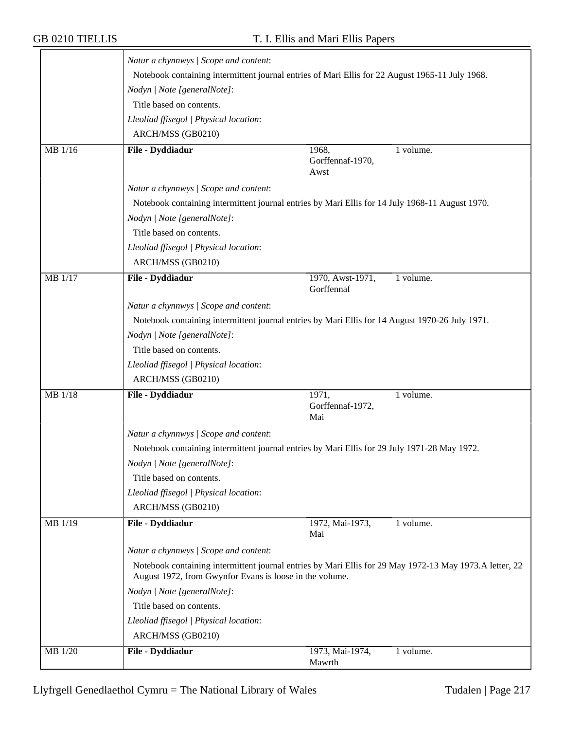|                | Natur a chynnwys / Scope and content:                                                           |                                                                                                         |  |
|----------------|-------------------------------------------------------------------------------------------------|---------------------------------------------------------------------------------------------------------|--|
|                |                                                                                                 | Notebook containing intermittent journal entries of Mari Ellis for 22 August 1965-11 July 1968.         |  |
|                | Nodyn   Note [generalNote]:                                                                     |                                                                                                         |  |
|                | Title based on contents.                                                                        |                                                                                                         |  |
|                | Lleoliad ffisegol   Physical location:                                                          |                                                                                                         |  |
|                | ARCH/MSS (GB0210)                                                                               |                                                                                                         |  |
| MB 1/16        | File - Dyddiadur                                                                                | 1968,<br>1 volume.<br>Gorffennaf-1970,<br>Awst                                                          |  |
|                | Natur a chynnwys / Scope and content:                                                           |                                                                                                         |  |
|                |                                                                                                 | Notebook containing intermittent journal entries by Mari Ellis for 14 July 1968-11 August 1970.         |  |
|                | Nodyn   Note [generalNote]:                                                                     |                                                                                                         |  |
|                | Title based on contents.                                                                        |                                                                                                         |  |
|                | Lleoliad ffisegol   Physical location:                                                          |                                                                                                         |  |
|                | ARCH/MSS (GB0210)                                                                               |                                                                                                         |  |
| <b>MB</b> 1/17 | File - Dyddiadur                                                                                | 1970, Awst-1971,<br>1 volume.<br>Gorffennaf                                                             |  |
|                | Natur a chynnwys / Scope and content:                                                           |                                                                                                         |  |
|                | Notebook containing intermittent journal entries by Mari Ellis for 14 August 1970-26 July 1971. |                                                                                                         |  |
|                | Nodyn   Note [generalNote]:                                                                     |                                                                                                         |  |
|                | Title based on contents.                                                                        |                                                                                                         |  |
|                | Lleoliad ffisegol   Physical location:                                                          |                                                                                                         |  |
|                | ARCH/MSS (GB0210)                                                                               |                                                                                                         |  |
| MB 1/18        | File - Dyddiadur                                                                                | 1971,<br>1 volume.<br>Gorffennaf-1972,<br>Mai                                                           |  |
|                | Natur a chynnwys / Scope and content:                                                           |                                                                                                         |  |
|                | Notebook containing intermittent journal entries by Mari Ellis for 29 July 1971-28 May 1972.    |                                                                                                         |  |
|                | Nodyn   Note [generalNote]:                                                                     |                                                                                                         |  |
|                | Title based on contents.                                                                        |                                                                                                         |  |
|                | Lleoliad ffisegol   Physical location:                                                          |                                                                                                         |  |
|                | ARCH/MSS (GB0210)                                                                               |                                                                                                         |  |
| MB 1/19        | File - Dyddiadur                                                                                | 1 volume.<br>1972, Mai-1973,<br>Mai                                                                     |  |
|                | Natur a chynnwys / Scope and content:                                                           |                                                                                                         |  |
|                | August 1972, from Gwynfor Evans is loose in the volume.                                         | Notebook containing intermittent journal entries by Mari Ellis for 29 May 1972-13 May 1973.A letter, 22 |  |
|                | Nodyn   Note [generalNote]:                                                                     |                                                                                                         |  |
|                | Title based on contents.                                                                        |                                                                                                         |  |
|                | Lleoliad ffisegol   Physical location:                                                          |                                                                                                         |  |
|                | ARCH/MSS (GB0210)                                                                               |                                                                                                         |  |
| MB 1/20        | File - Dyddiadur                                                                                | 1973, Mai-1974,<br>1 volume.<br>Mawrth                                                                  |  |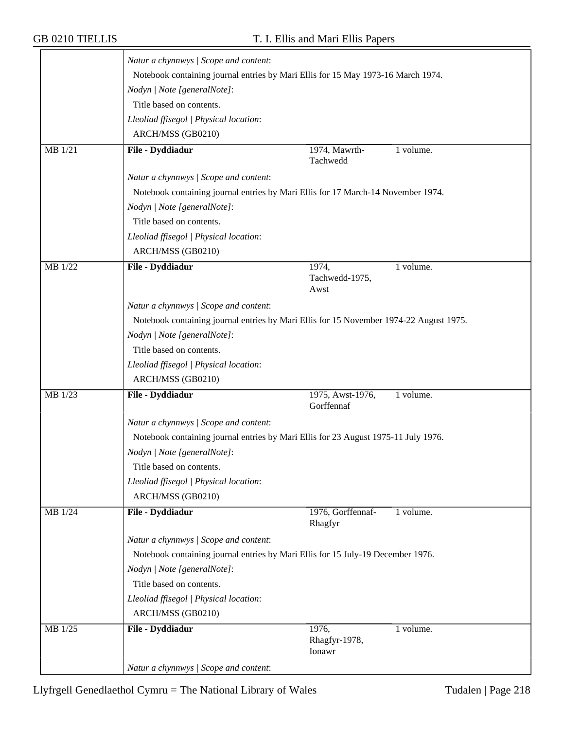|           | Natur a chynnwys / Scope and content:                                                  |                                |           |
|-----------|----------------------------------------------------------------------------------------|--------------------------------|-----------|
|           | Notebook containing journal entries by Mari Ellis for 15 May 1973-16 March 1974.       |                                |           |
|           | Nodyn   Note [generalNote]:                                                            |                                |           |
|           | Title based on contents.                                                               |                                |           |
|           | Lleoliad ffisegol   Physical location:                                                 |                                |           |
|           | ARCH/MSS (GB0210)                                                                      |                                |           |
| $MB$ 1/21 | File - Dyddiadur                                                                       | 1974, Mawrth-                  | 1 volume. |
|           |                                                                                        | Tachwedd                       |           |
|           | Natur a chynnwys / Scope and content:                                                  |                                |           |
|           | Notebook containing journal entries by Mari Ellis for 17 March-14 November 1974.       |                                |           |
|           | Nodyn   Note [generalNote]:                                                            |                                |           |
|           | Title based on contents.                                                               |                                |           |
|           | Lleoliad ffisegol   Physical location:                                                 |                                |           |
|           | ARCH/MSS (GB0210)                                                                      |                                |           |
| MB 1/22   | File - Dyddiadur                                                                       | 1974,                          | 1 volume. |
|           |                                                                                        | Tachwedd-1975,<br>Awst         |           |
|           | Natur a chynnwys / Scope and content:                                                  |                                |           |
|           | Notebook containing journal entries by Mari Ellis for 15 November 1974-22 August 1975. |                                |           |
|           | Nodyn   Note [generalNote]:                                                            |                                |           |
|           | Title based on contents.                                                               |                                |           |
|           | Lleoliad ffisegol   Physical location:                                                 |                                |           |
|           | ARCH/MSS (GB0210)                                                                      |                                |           |
| MB 1/23   | File - Dyddiadur                                                                       | 1975, Awst-1976,<br>Gorffennaf | 1 volume. |
|           | Natur a chynnwys / Scope and content:                                                  |                                |           |
|           | Notebook containing journal entries by Mari Ellis for 23 August 1975-11 July 1976.     |                                |           |
|           | Nodyn   Note [generalNote]:                                                            |                                |           |
|           | Title based on contents.                                                               |                                |           |
|           | Lleoliad ffisegol   Physical location:                                                 |                                |           |
|           | ARCH/MSS (GB0210)                                                                      |                                |           |
| MB 1/24   | File - Dyddiadur                                                                       | 1976, Gorffennaf-              | 1 volume. |
|           |                                                                                        | Rhagfyr                        |           |
|           | Natur a chynnwys / Scope and content:                                                  |                                |           |
|           | Notebook containing journal entries by Mari Ellis for 15 July-19 December 1976.        |                                |           |
|           | Nodyn   Note [generalNote]:                                                            |                                |           |
|           | Title based on contents.                                                               |                                |           |
|           | Lleoliad ffisegol   Physical location:                                                 |                                |           |
|           | ARCH/MSS (GB0210)                                                                      |                                |           |
| MB 1/25   | File - Dyddiadur                                                                       | 1976,<br>Rhagfyr-1978,         | 1 volume. |
|           |                                                                                        | Ionawr                         |           |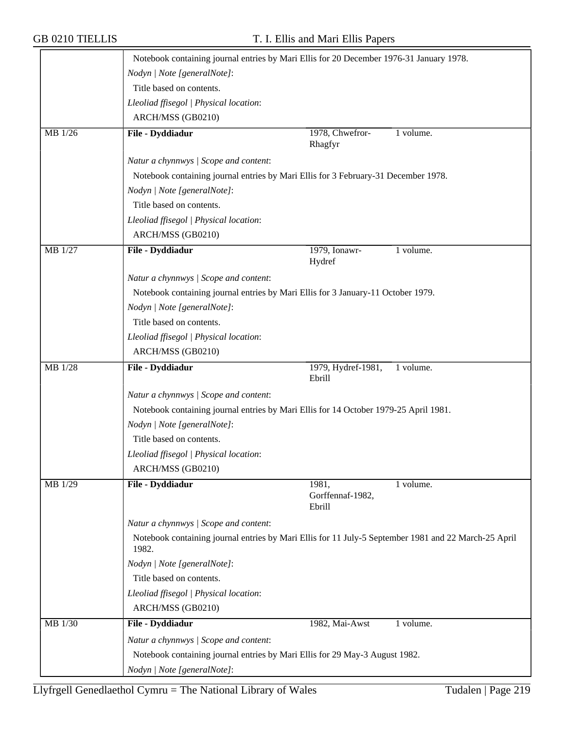|           | Notebook containing journal entries by Mari Ellis for 20 December 1976-31 January 1978.                       |                              |           |  |
|-----------|---------------------------------------------------------------------------------------------------------------|------------------------------|-----------|--|
|           | Nodyn   Note [generalNote]:                                                                                   |                              |           |  |
|           | Title based on contents.                                                                                      |                              |           |  |
|           | Lleoliad ffisegol   Physical location:                                                                        |                              |           |  |
|           | ARCH/MSS (GB0210)                                                                                             |                              |           |  |
| $MB$ 1/26 | File - Dyddiadur                                                                                              | 1978, Chwefror-<br>Rhagfyr   | 1 volume. |  |
|           | Natur a chynnwys / Scope and content:                                                                         |                              |           |  |
|           | Notebook containing journal entries by Mari Ellis for 3 February-31 December 1978.                            |                              |           |  |
|           | Nodyn   Note [generalNote]:                                                                                   |                              |           |  |
|           | Title based on contents.                                                                                      |                              |           |  |
|           | Lleoliad ffisegol   Physical location:                                                                        |                              |           |  |
|           | ARCH/MSS (GB0210)                                                                                             |                              |           |  |
| MB 1/27   | File - Dyddiadur                                                                                              | 1979, Ionawr-<br>Hydref      | 1 volume. |  |
|           | Natur a chynnwys / Scope and content:                                                                         |                              |           |  |
|           | Notebook containing journal entries by Mari Ellis for 3 January-11 October 1979.                              |                              |           |  |
|           | Nodyn   Note [generalNote]:                                                                                   |                              |           |  |
|           | Title based on contents.                                                                                      |                              |           |  |
|           | Lleoliad ffisegol   Physical location:                                                                        |                              |           |  |
|           | ARCH/MSS (GB0210)                                                                                             |                              |           |  |
| MB 1/28   | File - Dyddiadur                                                                                              | 1979, Hydref-1981,<br>Ebrill | 1 volume. |  |
|           | Natur a chynnwys / Scope and content:                                                                         |                              |           |  |
|           | Notebook containing journal entries by Mari Ellis for 14 October 1979-25 April 1981.                          |                              |           |  |
|           | Nodyn   Note [generalNote]:                                                                                   |                              |           |  |
|           | Title based on contents.                                                                                      |                              |           |  |
|           | Lleoliad ffisegol   Physical location:                                                                        |                              |           |  |
|           | ARCH/MSS (GB0210)                                                                                             |                              |           |  |
| MB 1/29   | File - Dyddiadur                                                                                              | 1981,                        | 1 volume. |  |
|           |                                                                                                               | Gorffennaf-1982,<br>Ebrill   |           |  |
|           | Natur a chynnwys / Scope and content:                                                                         |                              |           |  |
|           | Notebook containing journal entries by Mari Ellis for 11 July-5 September 1981 and 22 March-25 April<br>1982. |                              |           |  |
|           | Nodyn   Note [generalNote]:                                                                                   |                              |           |  |
|           | Title based on contents.                                                                                      |                              |           |  |
|           | Lleoliad ffisegol   Physical location:                                                                        |                              |           |  |
|           | ARCH/MSS (GB0210)                                                                                             |                              |           |  |
| MB 1/30   | File - Dyddiadur                                                                                              | 1982, Mai-Awst               | 1 volume. |  |
|           | Natur a chynnwys / Scope and content:                                                                         |                              |           |  |
|           | Notebook containing journal entries by Mari Ellis for 29 May-3 August 1982.                                   |                              |           |  |
|           |                                                                                                               |                              |           |  |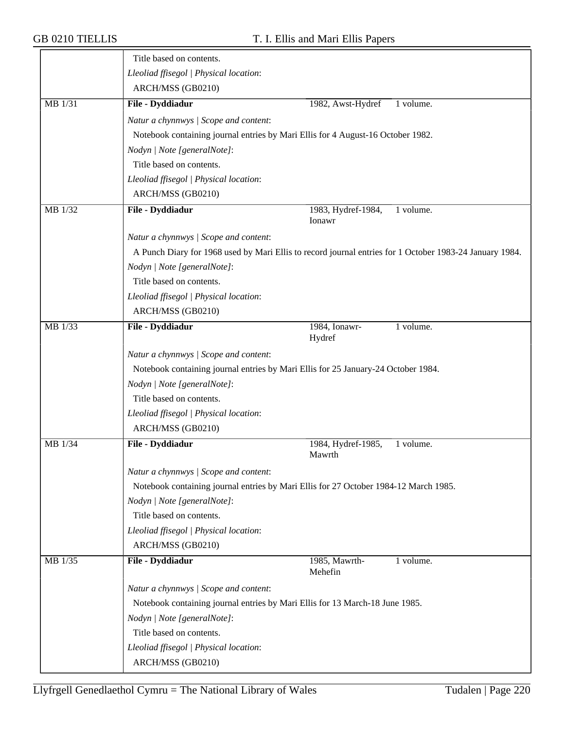|         | Title based on contents.                                                          |                                                                                                         |
|---------|-----------------------------------------------------------------------------------|---------------------------------------------------------------------------------------------------------|
|         | Lleoliad ffisegol   Physical location:                                            |                                                                                                         |
|         | ARCH/MSS (GB0210)                                                                 |                                                                                                         |
| MB 1/31 | File - Dyddiadur                                                                  | 1982, Awst-Hydref<br>1 volume.                                                                          |
|         | Natur a chynnwys / Scope and content:                                             |                                                                                                         |
|         | Notebook containing journal entries by Mari Ellis for 4 August-16 October 1982.   |                                                                                                         |
|         | Nodyn   Note [generalNote]:                                                       |                                                                                                         |
|         | Title based on contents.                                                          |                                                                                                         |
|         | Lleoliad ffisegol   Physical location:                                            |                                                                                                         |
|         | ARCH/MSS (GB0210)                                                                 |                                                                                                         |
| MB 1/32 | File - Dyddiadur                                                                  | 1983, Hydref-1984,<br>1 volume.<br>Ionawr                                                               |
|         | Natur a chynnwys / Scope and content:                                             |                                                                                                         |
|         |                                                                                   | A Punch Diary for 1968 used by Mari Ellis to record journal entries for 1 October 1983-24 January 1984. |
|         | Nodyn   Note [generalNote]:                                                       |                                                                                                         |
|         | Title based on contents.                                                          |                                                                                                         |
|         | Lleoliad ffisegol   Physical location:                                            |                                                                                                         |
|         | ARCH/MSS (GB0210)                                                                 |                                                                                                         |
| MB 1/33 | File - Dyddiadur                                                                  | 1984, Ionawr-<br>1 volume.<br>Hydref                                                                    |
|         | Natur a chynnwys / Scope and content:                                             |                                                                                                         |
|         | Notebook containing journal entries by Mari Ellis for 25 January-24 October 1984. |                                                                                                         |
|         | Nodyn   Note [generalNote]:                                                       |                                                                                                         |
|         | Title based on contents.                                                          |                                                                                                         |
|         | Lleoliad ffisegol   Physical location:                                            |                                                                                                         |
|         | ARCH/MSS (GB0210)                                                                 |                                                                                                         |
| MB 1/34 | File - Dyddiadur                                                                  | 1984, Hydref-1985,<br>1 volume.<br>Mawrth                                                               |
|         | Natur a chynnwys / Scope and content:                                             |                                                                                                         |
|         |                                                                                   | Notebook containing journal entries by Mari Ellis for 27 October 1984-12 March 1985.                    |
|         | Nodyn   Note [generalNote]:                                                       |                                                                                                         |
|         | Title based on contents.                                                          |                                                                                                         |
|         | Lleoliad ffisegol   Physical location:                                            |                                                                                                         |
|         | ARCH/MSS (GB0210)                                                                 |                                                                                                         |
| MB 1/35 | File - Dyddiadur                                                                  | 1985, Mawrth-<br>1 volume.<br>Mehefin                                                                   |
|         | Natur a chynnwys / Scope and content:                                             |                                                                                                         |
|         | Notebook containing journal entries by Mari Ellis for 13 March-18 June 1985.      |                                                                                                         |
|         | Nodyn   Note [generalNote]:                                                       |                                                                                                         |
|         | Title based on contents.                                                          |                                                                                                         |
|         | Lleoliad ffisegol   Physical location:                                            |                                                                                                         |
|         | ARCH/MSS (GB0210)                                                                 |                                                                                                         |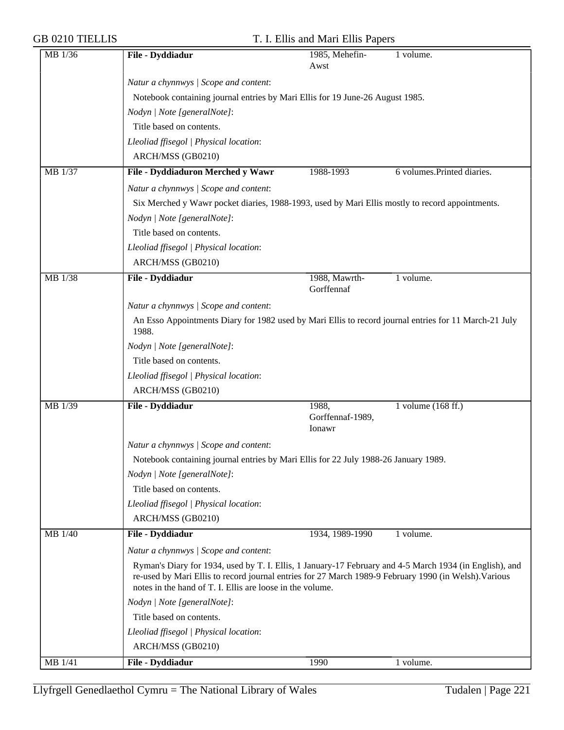| MB 1/36 | File - Dyddiadur                                                                                                                                                                                                                                                              | 1985, Mehefin-<br>Awst      | 1 volume.                  |
|---------|-------------------------------------------------------------------------------------------------------------------------------------------------------------------------------------------------------------------------------------------------------------------------------|-----------------------------|----------------------------|
|         | Natur a chynnwys / Scope and content:                                                                                                                                                                                                                                         |                             |                            |
|         | Notebook containing journal entries by Mari Ellis for 19 June-26 August 1985.                                                                                                                                                                                                 |                             |                            |
|         | Nodyn   Note [generalNote]:                                                                                                                                                                                                                                                   |                             |                            |
|         | Title based on contents.                                                                                                                                                                                                                                                      |                             |                            |
|         | Lleoliad ffisegol   Physical location:                                                                                                                                                                                                                                        |                             |                            |
|         | ARCH/MSS (GB0210)                                                                                                                                                                                                                                                             |                             |                            |
| MB 1/37 | File - Dyddiaduron Merched y Wawr                                                                                                                                                                                                                                             | 1988-1993                   | 6 volumes.Printed diaries. |
|         |                                                                                                                                                                                                                                                                               |                             |                            |
|         | Natur a chynnwys / Scope and content:                                                                                                                                                                                                                                         |                             |                            |
|         | Six Merched y Wawr pocket diaries, 1988-1993, used by Mari Ellis mostly to record appointments.                                                                                                                                                                               |                             |                            |
|         | Nodyn   Note [generalNote]:                                                                                                                                                                                                                                                   |                             |                            |
|         | Title based on contents.                                                                                                                                                                                                                                                      |                             |                            |
|         | Lleoliad ffisegol   Physical location:                                                                                                                                                                                                                                        |                             |                            |
|         | ARCH/MSS (GB0210)                                                                                                                                                                                                                                                             |                             |                            |
| MB 1/38 | File - Dyddiadur                                                                                                                                                                                                                                                              | 1988, Mawrth-<br>Gorffennaf | 1 volume.                  |
|         | Natur a chynnwys / Scope and content:                                                                                                                                                                                                                                         |                             |                            |
|         | An Esso Appointments Diary for 1982 used by Mari Ellis to record journal entries for 11 March-21 July<br>1988.                                                                                                                                                                |                             |                            |
|         | Nodyn   Note [generalNote]:                                                                                                                                                                                                                                                   |                             |                            |
|         | Title based on contents.                                                                                                                                                                                                                                                      |                             |                            |
|         | Lleoliad ffisegol   Physical location:                                                                                                                                                                                                                                        |                             |                            |
|         | ARCH/MSS (GB0210)                                                                                                                                                                                                                                                             |                             |                            |
| MB 1/39 | File - Dyddiadur                                                                                                                                                                                                                                                              | 1988,                       | 1 volume (168 ff.)         |
|         |                                                                                                                                                                                                                                                                               | Gorffennaf-1989,<br>Ionawr  |                            |
|         | Natur a chynnwys / Scope and content:                                                                                                                                                                                                                                         |                             |                            |
|         | Notebook containing journal entries by Mari Ellis for 22 July 1988-26 January 1989.                                                                                                                                                                                           |                             |                            |
|         | Nodyn   Note [generalNote]:                                                                                                                                                                                                                                                   |                             |                            |
|         | Title based on contents.                                                                                                                                                                                                                                                      |                             |                            |
|         | Lleoliad ffisegol   Physical location:                                                                                                                                                                                                                                        |                             |                            |
|         | ARCH/MSS (GB0210)                                                                                                                                                                                                                                                             |                             |                            |
| MB 1/40 | File - Dyddiadur                                                                                                                                                                                                                                                              | 1934, 1989-1990             | 1 volume.                  |
|         | Natur a chynnwys / Scope and content:                                                                                                                                                                                                                                         |                             |                            |
|         | Ryman's Diary for 1934, used by T. I. Ellis, 1 January-17 February and 4-5 March 1934 (in English), and<br>re-used by Mari Ellis to record journal entries for 27 March 1989-9 February 1990 (in Welsh). Various<br>notes in the hand of T. I. Ellis are loose in the volume. |                             |                            |
|         | Nodyn   Note [generalNote]:                                                                                                                                                                                                                                                   |                             |                            |
|         | Title based on contents.                                                                                                                                                                                                                                                      |                             |                            |
|         | Lleoliad ffisegol   Physical location:                                                                                                                                                                                                                                        |                             |                            |
|         | ARCH/MSS (GB0210)                                                                                                                                                                                                                                                             |                             |                            |
| MB 1/41 | File - Dyddiadur                                                                                                                                                                                                                                                              | 1990                        | 1 volume.                  |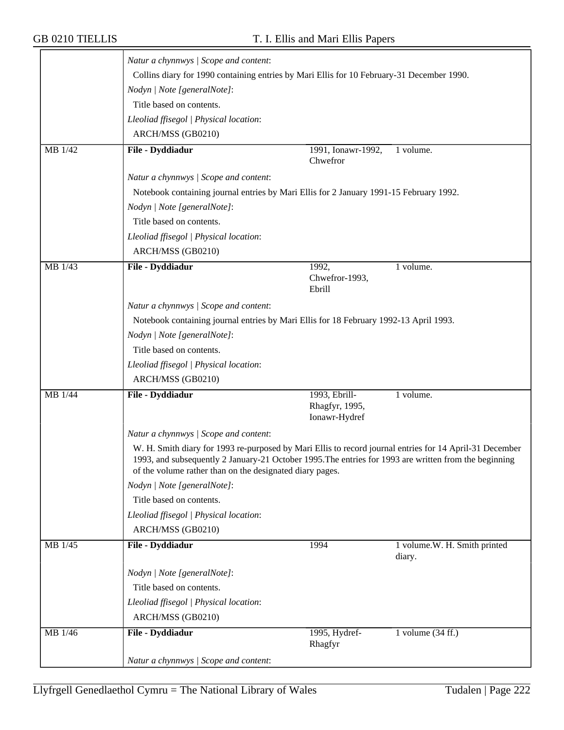|         | Natur a chynnwys / Scope and content:                                                                                                                                                                                                                                        |                                                  |                                        |  |
|---------|------------------------------------------------------------------------------------------------------------------------------------------------------------------------------------------------------------------------------------------------------------------------------|--------------------------------------------------|----------------------------------------|--|
|         | Collins diary for 1990 containing entries by Mari Ellis for 10 February-31 December 1990.                                                                                                                                                                                    |                                                  |                                        |  |
|         | Nodyn   Note [generalNote]:                                                                                                                                                                                                                                                  |                                                  |                                        |  |
|         | Title based on contents.                                                                                                                                                                                                                                                     |                                                  |                                        |  |
|         | Lleoliad ffisegol   Physical location:                                                                                                                                                                                                                                       |                                                  |                                        |  |
|         | ARCH/MSS (GB0210)                                                                                                                                                                                                                                                            |                                                  |                                        |  |
| MB 1/42 | File - Dyddiadur                                                                                                                                                                                                                                                             | 1991, Ionawr-1992,                               | 1 volume.                              |  |
|         |                                                                                                                                                                                                                                                                              | Chwefror                                         |                                        |  |
|         | Natur a chynnwys / Scope and content:                                                                                                                                                                                                                                        |                                                  |                                        |  |
|         | Notebook containing journal entries by Mari Ellis for 2 January 1991-15 February 1992.                                                                                                                                                                                       |                                                  |                                        |  |
|         | Nodyn   Note [generalNote]:                                                                                                                                                                                                                                                  |                                                  |                                        |  |
|         | Title based on contents.                                                                                                                                                                                                                                                     |                                                  |                                        |  |
|         | Lleoliad ffisegol   Physical location:                                                                                                                                                                                                                                       |                                                  |                                        |  |
|         | ARCH/MSS (GB0210)                                                                                                                                                                                                                                                            |                                                  |                                        |  |
| MB 1/43 | File - Dyddiadur                                                                                                                                                                                                                                                             | 1992,<br>Chwefror-1993,<br>Ebrill                | 1 volume.                              |  |
|         | Natur a chynnwys / Scope and content:                                                                                                                                                                                                                                        |                                                  |                                        |  |
|         | Notebook containing journal entries by Mari Ellis for 18 February 1992-13 April 1993.                                                                                                                                                                                        |                                                  |                                        |  |
|         | Nodyn   Note [generalNote]:                                                                                                                                                                                                                                                  |                                                  |                                        |  |
|         | Title based on contents.                                                                                                                                                                                                                                                     |                                                  |                                        |  |
|         | Lleoliad ffisegol   Physical location:                                                                                                                                                                                                                                       |                                                  |                                        |  |
|         | ARCH/MSS (GB0210)                                                                                                                                                                                                                                                            |                                                  |                                        |  |
| MB 1/44 | File - Dyddiadur                                                                                                                                                                                                                                                             | 1993, Ebrill-<br>Rhagfyr, 1995,<br>Ionawr-Hydref | 1 volume.                              |  |
|         | Natur a chynnwys / Scope and content:                                                                                                                                                                                                                                        |                                                  |                                        |  |
|         | W. H. Smith diary for 1993 re-purposed by Mari Ellis to record journal entries for 14 April-31 December<br>1993, and subsequently 2 January-21 October 1995. The entries for 1993 are written from the beginning<br>of the volume rather than on the designated diary pages. |                                                  |                                        |  |
|         | Nodyn   Note [generalNote]:                                                                                                                                                                                                                                                  |                                                  |                                        |  |
|         | Title based on contents.                                                                                                                                                                                                                                                     |                                                  |                                        |  |
|         | Lleoliad ffisegol   Physical location:                                                                                                                                                                                                                                       |                                                  |                                        |  |
|         | ARCH/MSS (GB0210)                                                                                                                                                                                                                                                            |                                                  |                                        |  |
| MB 1/45 | File - Dyddiadur                                                                                                                                                                                                                                                             | 1994                                             | 1 volume.W. H. Smith printed<br>diary. |  |
|         | Nodyn   Note [generalNote]:                                                                                                                                                                                                                                                  |                                                  |                                        |  |
|         | Title based on contents.                                                                                                                                                                                                                                                     |                                                  |                                        |  |
|         | Lleoliad ffisegol   Physical location:                                                                                                                                                                                                                                       |                                                  |                                        |  |
|         | ARCH/MSS (GB0210)                                                                                                                                                                                                                                                            |                                                  |                                        |  |
| MB 1/46 | File - Dyddiadur                                                                                                                                                                                                                                                             | 1995, Hydref-<br>Rhagfyr                         | 1 volume $(34 \text{ ff.})$            |  |
|         | Natur a chynnwys / Scope and content:                                                                                                                                                                                                                                        |                                                  |                                        |  |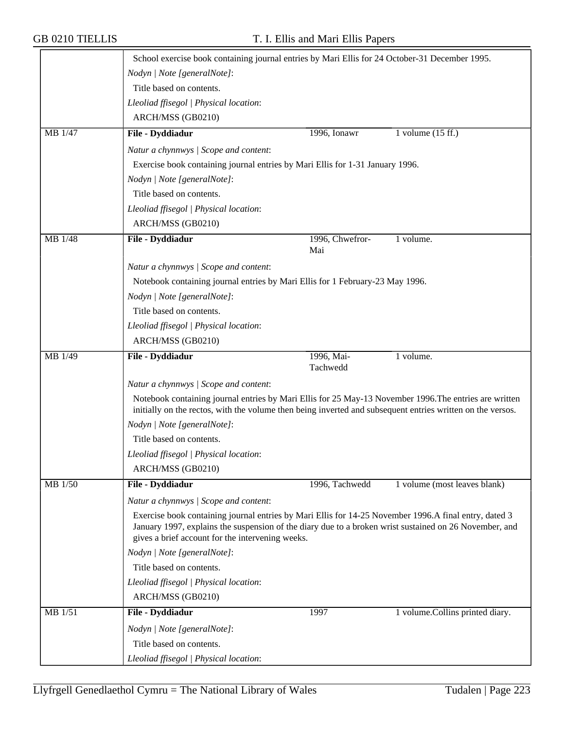|         | School exercise book containing journal entries by Mari Ellis for 24 October-31 December 1995.                                                                                                                                                                      |                        |                                 |
|---------|---------------------------------------------------------------------------------------------------------------------------------------------------------------------------------------------------------------------------------------------------------------------|------------------------|---------------------------------|
|         | Nodyn   Note [generalNote]:                                                                                                                                                                                                                                         |                        |                                 |
|         | Title based on contents.                                                                                                                                                                                                                                            |                        |                                 |
|         | Lleoliad ffisegol   Physical location:                                                                                                                                                                                                                              |                        |                                 |
|         | ARCH/MSS (GB0210)                                                                                                                                                                                                                                                   |                        |                                 |
| MB 1/47 | File - Dyddiadur                                                                                                                                                                                                                                                    | 1996, Ionawr           | 1 volume $(15 \text{ ff.})$     |
|         | Natur a chynnwys / Scope and content:                                                                                                                                                                                                                               |                        |                                 |
|         | Exercise book containing journal entries by Mari Ellis for 1-31 January 1996.                                                                                                                                                                                       |                        |                                 |
|         | Nodyn   Note [generalNote]:                                                                                                                                                                                                                                         |                        |                                 |
|         | Title based on contents.                                                                                                                                                                                                                                            |                        |                                 |
|         | Lleoliad ffisegol   Physical location:                                                                                                                                                                                                                              |                        |                                 |
|         | ARCH/MSS (GB0210)                                                                                                                                                                                                                                                   |                        |                                 |
| MB 1/48 | File - Dyddiadur                                                                                                                                                                                                                                                    | 1996, Chwefror-<br>Mai | 1 volume.                       |
|         | Natur a chynnwys / Scope and content:                                                                                                                                                                                                                               |                        |                                 |
|         | Notebook containing journal entries by Mari Ellis for 1 February-23 May 1996.                                                                                                                                                                                       |                        |                                 |
|         | Nodyn   Note [generalNote]:                                                                                                                                                                                                                                         |                        |                                 |
|         | Title based on contents.                                                                                                                                                                                                                                            |                        |                                 |
|         | Lleoliad ffisegol   Physical location:                                                                                                                                                                                                                              |                        |                                 |
|         | ARCH/MSS (GB0210)                                                                                                                                                                                                                                                   |                        |                                 |
| MB 1/49 | File - Dyddiadur                                                                                                                                                                                                                                                    | 1996, Mai-<br>Tachwedd | 1 volume.                       |
|         | Natur a chynnwys / Scope and content:                                                                                                                                                                                                                               |                        |                                 |
|         | Notebook containing journal entries by Mari Ellis for 25 May-13 November 1996. The entries are written<br>initially on the rectos, with the volume then being inverted and subsequent entries written on the versos.                                                |                        |                                 |
|         | Nodyn   Note [generalNote]:                                                                                                                                                                                                                                         |                        |                                 |
|         | Title based on contents.                                                                                                                                                                                                                                            |                        |                                 |
|         | Lleoliad ffisegol   Physical location:                                                                                                                                                                                                                              |                        |                                 |
|         | ARCH/MSS (GB0210)                                                                                                                                                                                                                                                   |                        |                                 |
| MB 1/50 | File - Dyddiadur                                                                                                                                                                                                                                                    | 1996, Tachwedd         | 1 volume (most leaves blank)    |
|         | Natur a chynnwys / Scope and content:                                                                                                                                                                                                                               |                        |                                 |
|         | Exercise book containing journal entries by Mari Ellis for 14-25 November 1996.A final entry, dated 3<br>January 1997, explains the suspension of the diary due to a broken wrist sustained on 26 November, and<br>gives a brief account for the intervening weeks. |                        |                                 |
|         | Nodyn   Note [generalNote]:                                                                                                                                                                                                                                         |                        |                                 |
|         | Title based on contents.                                                                                                                                                                                                                                            |                        |                                 |
|         | Lleoliad ffisegol   Physical location:                                                                                                                                                                                                                              |                        |                                 |
|         | ARCH/MSS (GB0210)                                                                                                                                                                                                                                                   |                        |                                 |
| MB 1/51 | File - Dyddiadur                                                                                                                                                                                                                                                    | 1997                   | 1 volume.Collins printed diary. |
|         | Nodyn   Note [generalNote]:                                                                                                                                                                                                                                         |                        |                                 |
|         | Title based on contents.                                                                                                                                                                                                                                            |                        |                                 |
|         | Lleoliad ffisegol   Physical location:                                                                                                                                                                                                                              |                        |                                 |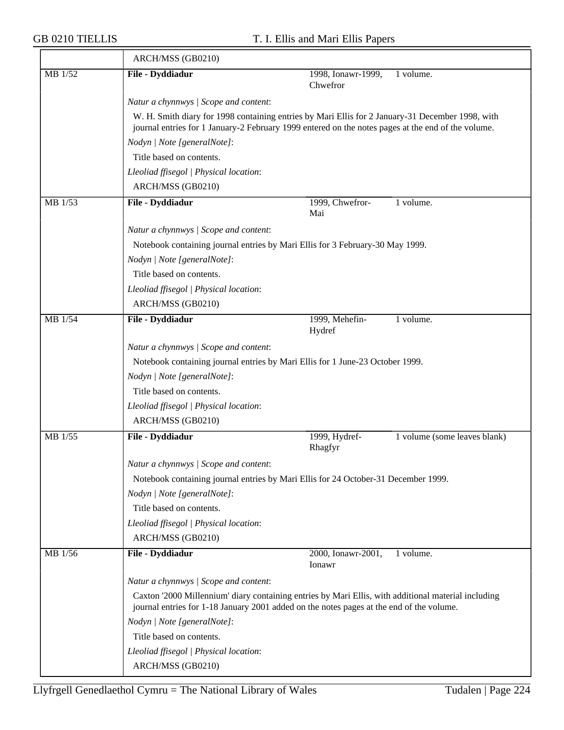|         | ARCH/MSS (GB0210)                                                                  |                                                                                                                                                                                                        |  |
|---------|------------------------------------------------------------------------------------|--------------------------------------------------------------------------------------------------------------------------------------------------------------------------------------------------------|--|
| MB 1/52 | File - Dyddiadur                                                                   | 1998, Ionawr-1999,<br>1 volume.<br>Chwefror                                                                                                                                                            |  |
|         | Natur a chynnwys / Scope and content:                                              |                                                                                                                                                                                                        |  |
|         |                                                                                    | W. H. Smith diary for 1998 containing entries by Mari Ellis for 2 January-31 December 1998, with<br>journal entries for 1 January-2 February 1999 entered on the notes pages at the end of the volume. |  |
|         | Nodyn   Note [generalNote]:                                                        |                                                                                                                                                                                                        |  |
|         | Title based on contents.                                                           |                                                                                                                                                                                                        |  |
|         | Lleoliad ffisegol   Physical location:                                             |                                                                                                                                                                                                        |  |
|         | ARCH/MSS (GB0210)                                                                  |                                                                                                                                                                                                        |  |
| MB 1/53 | File - Dyddiadur                                                                   | 1999, Chwefror-<br>1 volume.                                                                                                                                                                           |  |
|         |                                                                                    | Mai                                                                                                                                                                                                    |  |
|         | Natur a chynnwys / Scope and content:                                              |                                                                                                                                                                                                        |  |
|         | Notebook containing journal entries by Mari Ellis for 3 February-30 May 1999.      |                                                                                                                                                                                                        |  |
|         | Nodyn   Note [generalNote]:                                                        |                                                                                                                                                                                                        |  |
|         | Title based on contents.                                                           |                                                                                                                                                                                                        |  |
|         | Lleoliad ffisegol   Physical location:                                             |                                                                                                                                                                                                        |  |
|         | ARCH/MSS (GB0210)                                                                  |                                                                                                                                                                                                        |  |
| MB 1/54 | File - Dyddiadur                                                                   | 1999, Mehefin-<br>1 volume.<br>Hydref                                                                                                                                                                  |  |
|         | Natur a chynnwys / Scope and content:                                              |                                                                                                                                                                                                        |  |
|         | Notebook containing journal entries by Mari Ellis for 1 June-23 October 1999.      |                                                                                                                                                                                                        |  |
|         | Nodyn   Note [generalNote]:                                                        |                                                                                                                                                                                                        |  |
|         | Title based on contents.                                                           |                                                                                                                                                                                                        |  |
|         | Lleoliad ffisegol   Physical location:                                             |                                                                                                                                                                                                        |  |
|         | ARCH/MSS (GB0210)                                                                  |                                                                                                                                                                                                        |  |
| MB 1/55 | File - Dyddiadur                                                                   | 1999, Hydref-<br>1 volume (some leaves blank)<br>Rhagfyr                                                                                                                                               |  |
|         | Natur a chynnwys / Scope and content:                                              |                                                                                                                                                                                                        |  |
|         | Notebook containing journal entries by Mari Ellis for 24 October-31 December 1999. |                                                                                                                                                                                                        |  |
|         | Nodyn   Note [generalNote]:                                                        |                                                                                                                                                                                                        |  |
|         | Title based on contents.                                                           |                                                                                                                                                                                                        |  |
|         | Lleoliad ffisegol   Physical location:                                             |                                                                                                                                                                                                        |  |
|         | ARCH/MSS (GB0210)                                                                  |                                                                                                                                                                                                        |  |
| MB 1/56 | File - Dyddiadur                                                                   | 2000, Ionawr-2001,<br>1 volume.<br>Ionawr                                                                                                                                                              |  |
|         | Natur a chynnwys / Scope and content:                                              |                                                                                                                                                                                                        |  |
|         |                                                                                    | Caxton '2000 Millennium' diary containing entries by Mari Ellis, with additional material including<br>journal entries for 1-18 January 2001 added on the notes pages at the end of the volume.        |  |
|         | Nodyn   Note [generalNote]:                                                        |                                                                                                                                                                                                        |  |
|         | Title based on contents.                                                           |                                                                                                                                                                                                        |  |
|         | Lleoliad ffisegol   Physical location:                                             |                                                                                                                                                                                                        |  |
|         | ARCH/MSS (GB0210)                                                                  |                                                                                                                                                                                                        |  |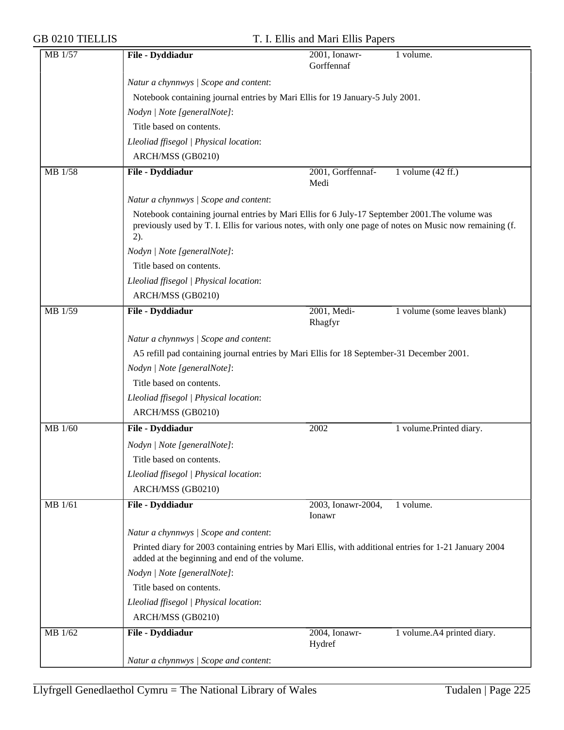| MB 1/57        | File - Dyddiadur                                                                                                                                                                                                     | 2001, Ionawr-<br>Gorffennaf | 1 volume.                    |
|----------------|----------------------------------------------------------------------------------------------------------------------------------------------------------------------------------------------------------------------|-----------------------------|------------------------------|
|                | Natur a chynnwys / Scope and content:                                                                                                                                                                                |                             |                              |
|                | Notebook containing journal entries by Mari Ellis for 19 January-5 July 2001.                                                                                                                                        |                             |                              |
|                | Nodyn   Note [generalNote]:                                                                                                                                                                                          |                             |                              |
|                | Title based on contents.                                                                                                                                                                                             |                             |                              |
|                | Lleoliad ffisegol   Physical location:                                                                                                                                                                               |                             |                              |
|                | ARCH/MSS (GB0210)                                                                                                                                                                                                    |                             |                              |
| MB 1/58        | File - Dyddiadur                                                                                                                                                                                                     | 2001, Gorffennaf-           | 1 volume $(42 \text{ ff.})$  |
|                |                                                                                                                                                                                                                      | Medi                        |                              |
|                | Natur a chynnwys / Scope and content:                                                                                                                                                                                |                             |                              |
|                | Notebook containing journal entries by Mari Ellis for 6 July-17 September 2001. The volume was<br>previously used by T. I. Ellis for various notes, with only one page of notes on Music now remaining (f.<br>$2)$ . |                             |                              |
|                | Nodyn   Note [generalNote]:                                                                                                                                                                                          |                             |                              |
|                | Title based on contents.                                                                                                                                                                                             |                             |                              |
|                | Lleoliad ffisegol   Physical location:                                                                                                                                                                               |                             |                              |
|                | ARCH/MSS (GB0210)                                                                                                                                                                                                    |                             |                              |
| MB 1/59        | File - Dyddiadur                                                                                                                                                                                                     | 2001, Medi-<br>Rhagfyr      | 1 volume (some leaves blank) |
|                | Natur a chynnwys / Scope and content:                                                                                                                                                                                |                             |                              |
|                | A5 refill pad containing journal entries by Mari Ellis for 18 September-31 December 2001.                                                                                                                            |                             |                              |
|                | Nodyn   Note [generalNote]:                                                                                                                                                                                          |                             |                              |
|                | Title based on contents.                                                                                                                                                                                             |                             |                              |
|                | Lleoliad ffisegol   Physical location:                                                                                                                                                                               |                             |                              |
|                | ARCH/MSS (GB0210)                                                                                                                                                                                                    |                             |                              |
| MB 1/60        | File - Dyddiadur                                                                                                                                                                                                     | 2002                        | 1 volume.Printed diary.      |
|                | Nodyn   Note [generalNote]:                                                                                                                                                                                          |                             |                              |
|                | Title based on contents.                                                                                                                                                                                             |                             |                              |
|                | Lleoliad ffisegol   Physical location:                                                                                                                                                                               |                             |                              |
|                | ARCH/MSS (GB0210)                                                                                                                                                                                                    |                             |                              |
| <b>MB</b> 1/61 | File - Dyddiadur                                                                                                                                                                                                     | 2003, Ionawr-2004,          | 1 volume.                    |
|                |                                                                                                                                                                                                                      | Ionawr                      |                              |
|                | Natur a chynnwys / Scope and content:                                                                                                                                                                                |                             |                              |
|                | Printed diary for 2003 containing entries by Mari Ellis, with additional entries for 1-21 January 2004<br>added at the beginning and end of the volume.                                                              |                             |                              |
|                | Nodyn   Note [generalNote]:                                                                                                                                                                                          |                             |                              |
|                | Title based on contents.                                                                                                                                                                                             |                             |                              |
|                | Lleoliad ffisegol   Physical location:                                                                                                                                                                               |                             |                              |
|                | ARCH/MSS (GB0210)                                                                                                                                                                                                    |                             |                              |
| MB 1/62        | File - Dyddiadur                                                                                                                                                                                                     | 2004, Ionawr-<br>Hydref     | 1 volume.A4 printed diary.   |
|                | Natur a chynnwys / Scope and content:                                                                                                                                                                                |                             |                              |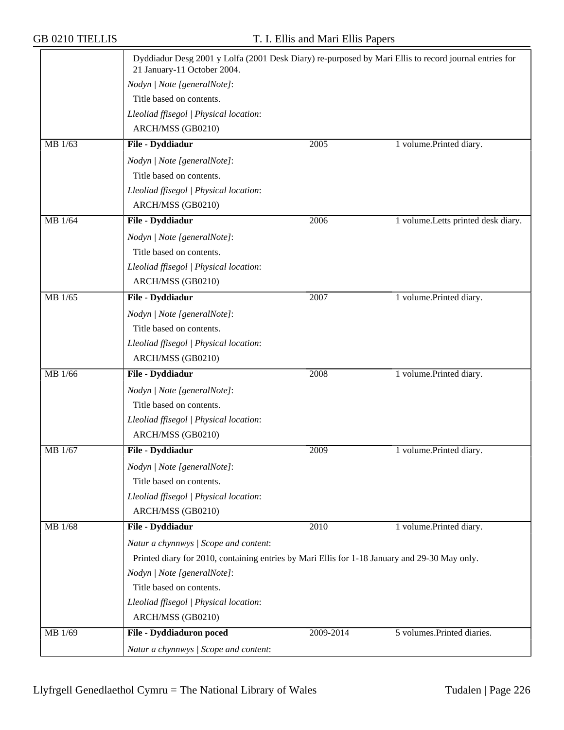|             | Dyddiadur Desg 2001 y Lolfa (2001 Desk Diary) re-purposed by Mari Ellis to record journal entries for<br>21 January-11 October 2004. |           |                                     |
|-------------|--------------------------------------------------------------------------------------------------------------------------------------|-----------|-------------------------------------|
|             | Nodyn   Note [generalNote]:                                                                                                          |           |                                     |
|             | Title based on contents.                                                                                                             |           |                                     |
|             | Lleoliad ffisegol   Physical location:                                                                                               |           |                                     |
|             | ARCH/MSS (GB0210)                                                                                                                    |           |                                     |
|             |                                                                                                                                      |           |                                     |
| MB 1/63     | File - Dyddiadur                                                                                                                     | 2005      | 1 volume.Printed diary.             |
|             | Nodyn   Note [generalNote]:                                                                                                          |           |                                     |
|             | Title based on contents.                                                                                                             |           |                                     |
|             | Lleoliad ffisegol   Physical location:                                                                                               |           |                                     |
|             | ARCH/MSS (GB0210)                                                                                                                    |           |                                     |
| MB 1/64     | File - Dyddiadur                                                                                                                     | 2006      | 1 volume. Letts printed desk diary. |
|             | Nodyn   Note [generalNote]:                                                                                                          |           |                                     |
|             | Title based on contents.                                                                                                             |           |                                     |
|             | Lleoliad ffisegol   Physical location:                                                                                               |           |                                     |
|             | ARCH/MSS (GB0210)                                                                                                                    |           |                                     |
| MB 1/65     | File - Dyddiadur                                                                                                                     | 2007      | 1 volume.Printed diary.             |
|             | Nodyn   Note [generalNote]:                                                                                                          |           |                                     |
|             | Title based on contents.                                                                                                             |           |                                     |
|             | Lleoliad ffisegol   Physical location:                                                                                               |           |                                     |
|             | ARCH/MSS (GB0210)                                                                                                                    |           |                                     |
| MB 1/66     | File - Dyddiadur                                                                                                                     | 2008      | 1 volume.Printed diary.             |
|             |                                                                                                                                      |           |                                     |
|             | Nodyn   Note [generalNote]:                                                                                                          |           |                                     |
|             | Title based on contents.                                                                                                             |           |                                     |
|             | Lleoliad ffisegol   Physical location:                                                                                               |           |                                     |
|             | ARCH/MSS (GB0210)                                                                                                                    |           |                                     |
| MB 1/67     | File - Dyddiadur                                                                                                                     | 2009      | 1 volume.Printed diary.             |
|             | Nodyn   Note [generalNote]:                                                                                                          |           |                                     |
|             | Title based on contents.                                                                                                             |           |                                     |
|             | Lleoliad ffisegol   Physical location:                                                                                               |           |                                     |
|             | ARCH/MSS (GB0210)                                                                                                                    |           |                                     |
| MB 1/68     | File - Dyddiadur                                                                                                                     | 2010      | 1 volume.Printed diary.             |
|             | Natur a chynnwys / Scope and content:                                                                                                |           |                                     |
|             | Printed diary for 2010, containing entries by Mari Ellis for 1-18 January and 29-30 May only.                                        |           |                                     |
|             | Nodyn   Note [generalNote]:                                                                                                          |           |                                     |
|             | Title based on contents.                                                                                                             |           |                                     |
|             | Lleoliad ffisegol   Physical location:                                                                                               |           |                                     |
|             | ARCH/MSS (GB0210)                                                                                                                    |           |                                     |
| $MB$ $1/69$ | File - Dyddiaduron poced                                                                                                             | 2009-2014 | 5 volumes. Printed diaries.         |
|             | Natur a chynnwys / Scope and content:                                                                                                |           |                                     |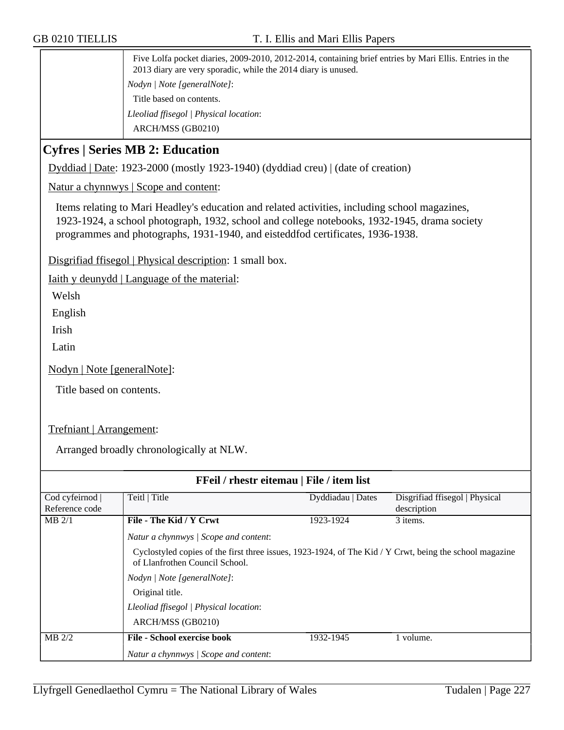Five Lolfa pocket diaries, 2009-2010, 2012-2014, containing brief entries by Mari Ellis. Entries in the 2013 diary are very sporadic, while the 2014 diary is unused. *Nodyn | Note [generalNote]*: Title based on contents. *Lleoliad ffisegol | Physical location*: ARCH/MSS (GB0210)

## **Cyfres | Series MB 2: Education**

Dyddiad | Date: 1923-2000 (mostly 1923-1940) (dyddiad creu) | (date of creation)

Natur a chynnwys | Scope and content:

Items relating to Mari Headley's education and related activities, including school magazines, 1923-1924, a school photograph, 1932, school and college notebooks, 1932-1945, drama society programmes and photographs, 1931-1940, and eisteddfod certificates, 1936-1938.

Disgrifiad ffisegol | Physical description: 1 small box.

Iaith y deunydd | Language of the material:

Welsh

English

Irish

Latin

Nodyn | Note [generalNote]:

Title based on contents.

Trefniant | Arrangement:

Arranged broadly chronologically at NLW.

| FFeil / rhestr eitemau   File / item list |                                                                                                                                           |                   |                                |
|-------------------------------------------|-------------------------------------------------------------------------------------------------------------------------------------------|-------------------|--------------------------------|
| Cod cyfeirnod                             | Teitl   Title                                                                                                                             | Dyddiadau   Dates | Disgrifiad ffisegol   Physical |
| Reference code                            |                                                                                                                                           |                   | description                    |
| $MB$ 2/1                                  | File - The Kid / Y Crwt                                                                                                                   | 1923-1924         | 3 items.                       |
|                                           | Natur a chynnwys / Scope and content:                                                                                                     |                   |                                |
|                                           | Cyclostyled copies of the first three issues, 1923-1924, of The Kid / Y Crwt, being the school magazine<br>of Llanfrothen Council School. |                   |                                |
|                                           | Nodyn   Note [generalNote]:                                                                                                               |                   |                                |
|                                           | Original title.                                                                                                                           |                   |                                |
|                                           | Lleoliad ffisegol   Physical location:                                                                                                    |                   |                                |
|                                           | ARCH/MSS (GB0210)                                                                                                                         |                   |                                |
| $MB$ 2/2                                  | <b>File - School exercise book</b>                                                                                                        | 1932-1945         | volume.                        |
|                                           | Natur a chynnwys / Scope and content:                                                                                                     |                   |                                |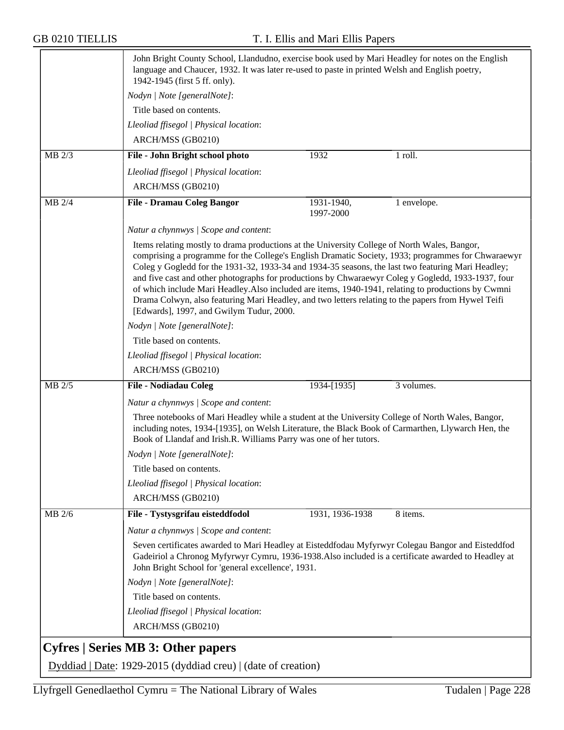|        | John Bright County School, Llandudno, exercise book used by Mari Headley for notes on the English<br>language and Chaucer, 1932. It was later re-used to paste in printed Welsh and English poetry,<br>1942-1945 (first 5 ff. only).                                                                                                                                                                                                                                                                                                                                                                                                                                    |                         |             |
|--------|-------------------------------------------------------------------------------------------------------------------------------------------------------------------------------------------------------------------------------------------------------------------------------------------------------------------------------------------------------------------------------------------------------------------------------------------------------------------------------------------------------------------------------------------------------------------------------------------------------------------------------------------------------------------------|-------------------------|-------------|
|        | Nodyn   Note [generalNote]:                                                                                                                                                                                                                                                                                                                                                                                                                                                                                                                                                                                                                                             |                         |             |
|        | Title based on contents.                                                                                                                                                                                                                                                                                                                                                                                                                                                                                                                                                                                                                                                |                         |             |
|        | Lleoliad ffisegol   Physical location:                                                                                                                                                                                                                                                                                                                                                                                                                                                                                                                                                                                                                                  |                         |             |
|        | ARCH/MSS (GB0210)                                                                                                                                                                                                                                                                                                                                                                                                                                                                                                                                                                                                                                                       |                         |             |
| MB 2/3 | File - John Bright school photo                                                                                                                                                                                                                                                                                                                                                                                                                                                                                                                                                                                                                                         | 1932                    | 1 roll.     |
|        | Lleoliad ffisegol   Physical location:                                                                                                                                                                                                                                                                                                                                                                                                                                                                                                                                                                                                                                  |                         |             |
|        | ARCH/MSS (GB0210)                                                                                                                                                                                                                                                                                                                                                                                                                                                                                                                                                                                                                                                       |                         |             |
| MB 2/4 | <b>File - Dramau Coleg Bangor</b>                                                                                                                                                                                                                                                                                                                                                                                                                                                                                                                                                                                                                                       | 1931-1940,<br>1997-2000 | 1 envelope. |
|        | Natur a chynnwys / Scope and content:                                                                                                                                                                                                                                                                                                                                                                                                                                                                                                                                                                                                                                   |                         |             |
|        | Items relating mostly to drama productions at the University College of North Wales, Bangor,<br>comprising a programme for the College's English Dramatic Society, 1933; programmes for Chwaraewyr<br>Coleg y Gogledd for the 1931-32, 1933-34 and 1934-35 seasons, the last two featuring Mari Headley;<br>and five cast and other photographs for productions by Chwaraewyr Coleg y Gogledd, 1933-1937, four<br>of which include Mari Headley. Also included are items, 1940-1941, relating to productions by Cwmni<br>Drama Colwyn, also featuring Mari Headley, and two letters relating to the papers from Hywel Teifi<br>[Edwards], 1997, and Gwilym Tudur, 2000. |                         |             |
|        | Nodyn   Note [generalNote]:                                                                                                                                                                                                                                                                                                                                                                                                                                                                                                                                                                                                                                             |                         |             |
|        | Title based on contents.                                                                                                                                                                                                                                                                                                                                                                                                                                                                                                                                                                                                                                                |                         |             |
|        | Lleoliad ffisegol   Physical location:                                                                                                                                                                                                                                                                                                                                                                                                                                                                                                                                                                                                                                  |                         |             |
|        | ARCH/MSS (GB0210)                                                                                                                                                                                                                                                                                                                                                                                                                                                                                                                                                                                                                                                       |                         |             |
| MB 2/5 | <b>File - Nodiadau Coleg</b>                                                                                                                                                                                                                                                                                                                                                                                                                                                                                                                                                                                                                                            | 1934-[1935]             | 3 volumes.  |
|        | Natur a chynnwys / Scope and content:                                                                                                                                                                                                                                                                                                                                                                                                                                                                                                                                                                                                                                   |                         |             |
|        | Three notebooks of Mari Headley while a student at the University College of North Wales, Bangor,<br>including notes, 1934-[1935], on Welsh Literature, the Black Book of Carmarthen, Llywarch Hen, the<br>Book of Llandaf and Irish.R. Williams Parry was one of her tutors.                                                                                                                                                                                                                                                                                                                                                                                           |                         |             |
|        | Nodyn   Note [generalNote]:                                                                                                                                                                                                                                                                                                                                                                                                                                                                                                                                                                                                                                             |                         |             |
|        | Title based on contents.                                                                                                                                                                                                                                                                                                                                                                                                                                                                                                                                                                                                                                                |                         |             |
|        | Lleoliad ffisegol   Physical location:                                                                                                                                                                                                                                                                                                                                                                                                                                                                                                                                                                                                                                  |                         |             |
|        | ARCH/MSS (GB0210)                                                                                                                                                                                                                                                                                                                                                                                                                                                                                                                                                                                                                                                       |                         |             |
| MB 2/6 | File - Tystysgrifau eisteddfodol                                                                                                                                                                                                                                                                                                                                                                                                                                                                                                                                                                                                                                        | 1931, 1936-1938         | 8 items.    |
|        | Natur a chynnwys / Scope and content:                                                                                                                                                                                                                                                                                                                                                                                                                                                                                                                                                                                                                                   |                         |             |
|        | Seven certificates awarded to Mari Headley at Eisteddfodau Myfyrwyr Colegau Bangor and Eisteddfod<br>Gadeiriol a Chronog Myfyrwyr Cymru, 1936-1938. Also included is a certificate awarded to Headley at<br>John Bright School for 'general excellence', 1931.                                                                                                                                                                                                                                                                                                                                                                                                          |                         |             |
|        | Nodyn   Note [generalNote]:                                                                                                                                                                                                                                                                                                                                                                                                                                                                                                                                                                                                                                             |                         |             |
|        | Title based on contents.                                                                                                                                                                                                                                                                                                                                                                                                                                                                                                                                                                                                                                                |                         |             |
|        | Lleoliad ffisegol   Physical location:                                                                                                                                                                                                                                                                                                                                                                                                                                                                                                                                                                                                                                  |                         |             |
|        | ARCH/MSS (GB0210)                                                                                                                                                                                                                                                                                                                                                                                                                                                                                                                                                                                                                                                       |                         |             |
|        | <b>Cyfres   Series MB 3: Other papers</b>                                                                                                                                                                                                                                                                                                                                                                                                                                                                                                                                                                                                                               |                         |             |
|        |                                                                                                                                                                                                                                                                                                                                                                                                                                                                                                                                                                                                                                                                         |                         |             |
|        | Dyddiad   Date: 1929-2015 (dyddiad creu)   (date of creation)                                                                                                                                                                                                                                                                                                                                                                                                                                                                                                                                                                                                           |                         |             |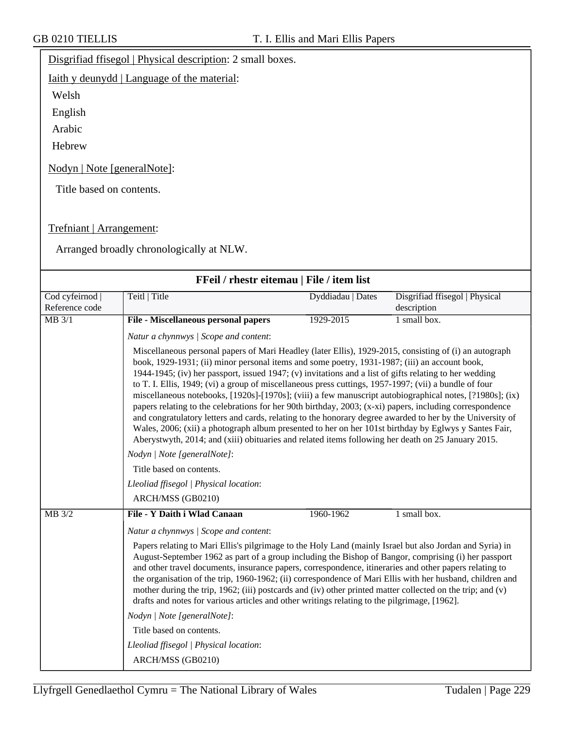### Disgrifiad ffisegol | Physical description: 2 small boxes.

Iaith y deunydd | Language of the material:

Welsh

English

Arabic

Hebrew

Nodyn | Note [generalNote]:

Title based on contents.

#### Trefniant | Arrangement:

Arranged broadly chronologically at NLW.

| FFeil / rhestr eitemau   File / item list |                                                                                                                                                                                                                                                                                                                                                                                                                                                                                                                                                                                                                                                                                                                                                                                                                                                                                                                                                                                                               |                   |                                               |  |
|-------------------------------------------|---------------------------------------------------------------------------------------------------------------------------------------------------------------------------------------------------------------------------------------------------------------------------------------------------------------------------------------------------------------------------------------------------------------------------------------------------------------------------------------------------------------------------------------------------------------------------------------------------------------------------------------------------------------------------------------------------------------------------------------------------------------------------------------------------------------------------------------------------------------------------------------------------------------------------------------------------------------------------------------------------------------|-------------------|-----------------------------------------------|--|
| Cod cyfeirnod  <br>Reference code         | Teitl   Title                                                                                                                                                                                                                                                                                                                                                                                                                                                                                                                                                                                                                                                                                                                                                                                                                                                                                                                                                                                                 | Dyddiadau   Dates | Disgrifiad ffisegol   Physical<br>description |  |
| $MB$ 3/1                                  | File - Miscellaneous personal papers                                                                                                                                                                                                                                                                                                                                                                                                                                                                                                                                                                                                                                                                                                                                                                                                                                                                                                                                                                          | 1929-2015         | $1$ small box.                                |  |
|                                           | Natur a chynnwys / Scope and content:                                                                                                                                                                                                                                                                                                                                                                                                                                                                                                                                                                                                                                                                                                                                                                                                                                                                                                                                                                         |                   |                                               |  |
|                                           | Miscellaneous personal papers of Mari Headley (later Ellis), 1929-2015, consisting of (i) an autograph<br>book, 1929-1931; (ii) minor personal items and some poetry, 1931-1987; (iii) an account book,<br>1944-1945; (iv) her passport, issued 1947; (v) invitations and a list of gifts relating to her wedding<br>to T. I. Ellis, 1949; (vi) a group of miscellaneous press cuttings, 1957-1997; (vii) a bundle of four<br>miscellaneous notebooks, [1920s]-[1970s]; (viii) a few manuscript autobiographical notes, [?1980s]; (ix)<br>papers relating to the celebrations for her 90th birthday, 2003; (x-xi) papers, including correspondence<br>and congratulatory letters and cards, relating to the honorary degree awarded to her by the University of<br>Wales, 2006; (xii) a photograph album presented to her on her 101st birthday by Eglwys y Santes Fair,<br>Aberystwyth, 2014; and (xiii) obituaries and related items following her death on 25 January 2015.<br>Nodyn   Note [generalNote]: |                   |                                               |  |
|                                           | Title based on contents.                                                                                                                                                                                                                                                                                                                                                                                                                                                                                                                                                                                                                                                                                                                                                                                                                                                                                                                                                                                      |                   |                                               |  |
|                                           | Lleoliad ffisegol   Physical location:                                                                                                                                                                                                                                                                                                                                                                                                                                                                                                                                                                                                                                                                                                                                                                                                                                                                                                                                                                        |                   |                                               |  |
|                                           | ARCH/MSS (GB0210)                                                                                                                                                                                                                                                                                                                                                                                                                                                                                                                                                                                                                                                                                                                                                                                                                                                                                                                                                                                             |                   |                                               |  |
| MB 3/2                                    | File - Y Daith i Wlad Canaan                                                                                                                                                                                                                                                                                                                                                                                                                                                                                                                                                                                                                                                                                                                                                                                                                                                                                                                                                                                  | 1960-1962         | 1 small box.                                  |  |
|                                           | Natur a chynnwys / Scope and content:                                                                                                                                                                                                                                                                                                                                                                                                                                                                                                                                                                                                                                                                                                                                                                                                                                                                                                                                                                         |                   |                                               |  |
|                                           | Papers relating to Mari Ellis's pilgrimage to the Holy Land (mainly Israel but also Jordan and Syria) in<br>August-September 1962 as part of a group including the Bishop of Bangor, comprising (i) her passport<br>and other travel documents, insurance papers, correspondence, itineraries and other papers relating to<br>the organisation of the trip, 1960-1962; (ii) correspondence of Mari Ellis with her husband, children and<br>mother during the trip, 1962; (iii) postcards and (iv) other printed matter collected on the trip; and (v)<br>drafts and notes for various articles and other writings relating to the pilgrimage, [1962].                                                                                                                                                                                                                                                                                                                                                         |                   |                                               |  |
|                                           | Nodyn   Note [generalNote]:                                                                                                                                                                                                                                                                                                                                                                                                                                                                                                                                                                                                                                                                                                                                                                                                                                                                                                                                                                                   |                   |                                               |  |
|                                           | Title based on contents.                                                                                                                                                                                                                                                                                                                                                                                                                                                                                                                                                                                                                                                                                                                                                                                                                                                                                                                                                                                      |                   |                                               |  |
|                                           | Lleoliad ffisegol   Physical location:                                                                                                                                                                                                                                                                                                                                                                                                                                                                                                                                                                                                                                                                                                                                                                                                                                                                                                                                                                        |                   |                                               |  |
|                                           | ARCH/MSS (GB0210)                                                                                                                                                                                                                                                                                                                                                                                                                                                                                                                                                                                                                                                                                                                                                                                                                                                                                                                                                                                             |                   |                                               |  |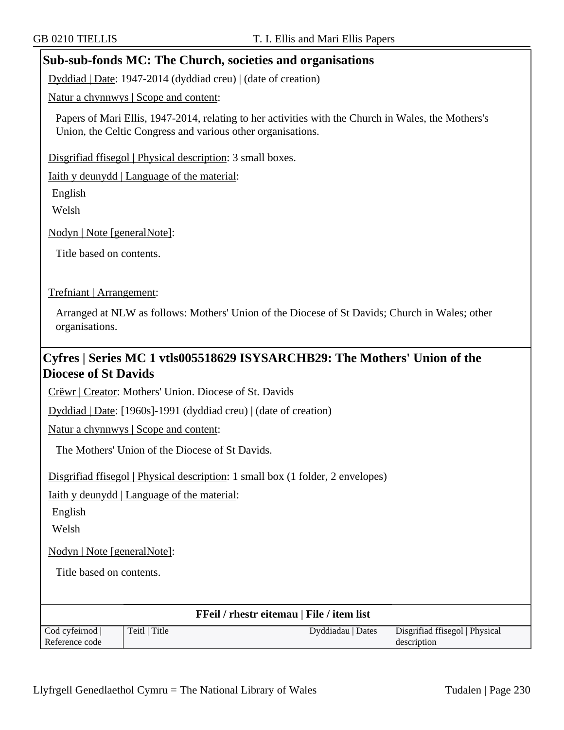### **Sub-sub-fonds MC: The Church, societies and organisations**

Dyddiad | Date: 1947-2014 (dyddiad creu) | (date of creation)

Natur a chynnwys | Scope and content:

Papers of Mari Ellis, 1947-2014, relating to her activities with the Church in Wales, the Mothers's Union, the Celtic Congress and various other organisations.

Disgrifiad ffisegol | Physical description: 3 small boxes.

Iaith y deunydd | Language of the material:

English

Welsh

Nodyn | Note [generalNote]:

Title based on contents.

#### Trefniant | Arrangement:

Arranged at NLW as follows: Mothers' Union of the Diocese of St Davids; Church in Wales; other organisations.

## **Cyfres | Series MC 1 vtls005518629 ISYSARCHB29: The Mothers' Union of the Diocese of St Davids**

Crëwr | Creator: Mothers' Union. Diocese of St. Davids

Dyddiad | Date: [1960s]-1991 (dyddiad creu) | (date of creation)

Natur a chynnwys | Scope and content:

The Mothers' Union of the Diocese of St Davids.

Disgrifiad ffisegol | Physical description: 1 small box (1 folder, 2 envelopes)

Iaith y deunydd | Language of the material:

English

Welsh

Nodyn | Note [generalNote]:

Title based on contents.

| <b>FFeil</b> / rhestr eitemau   File / item list |               |                   |                                |  |
|--------------------------------------------------|---------------|-------------------|--------------------------------|--|
| Cod cyfeirnod                                    | Teitl   Title | Dyddiadau   Dates | Disgrifiad ffisegol   Physical |  |
| Reference code                                   |               |                   | description                    |  |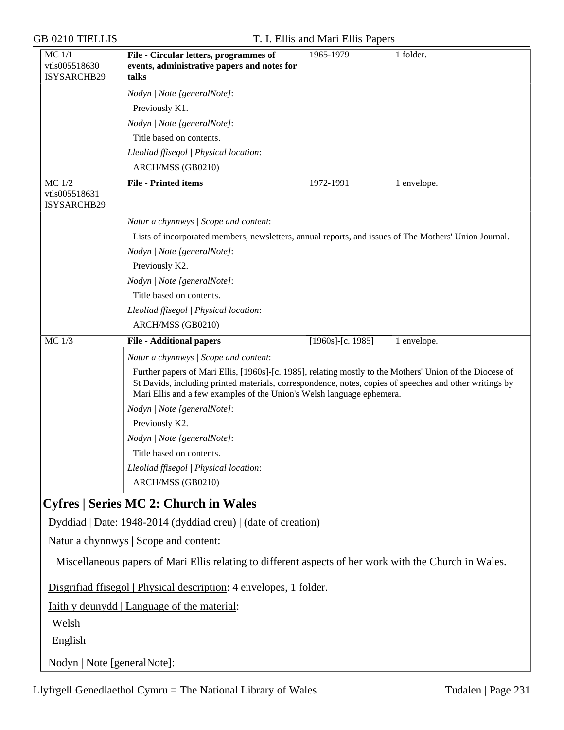| <b>GB 0210 TIELLIS</b>                     | T. I. Ellis and Mari Ellis Papers                                                                                                                                                                                                                                                                                                     |             |
|--------------------------------------------|---------------------------------------------------------------------------------------------------------------------------------------------------------------------------------------------------------------------------------------------------------------------------------------------------------------------------------------|-------------|
| $MC$ $1/1$<br>vtls005518630<br>ISYSARCHB29 | 1965-1979<br>File - Circular letters, programmes of<br>events, administrative papers and notes for<br>talks                                                                                                                                                                                                                           | 1 folder.   |
|                                            | Nodyn   Note [generalNote]:                                                                                                                                                                                                                                                                                                           |             |
|                                            | Previously K1.                                                                                                                                                                                                                                                                                                                        |             |
|                                            | Nodyn   Note [generalNote]:                                                                                                                                                                                                                                                                                                           |             |
|                                            | Title based on contents.                                                                                                                                                                                                                                                                                                              |             |
|                                            | Lleoliad ffisegol   Physical location:                                                                                                                                                                                                                                                                                                |             |
|                                            | ARCH/MSS (GB0210)                                                                                                                                                                                                                                                                                                                     |             |
| $MC$ 1/2<br>vtls005518631<br>ISYSARCHB29   | <b>File - Printed items</b><br>1972-1991                                                                                                                                                                                                                                                                                              | 1 envelope. |
|                                            | Natur a chynnwys / Scope and content:                                                                                                                                                                                                                                                                                                 |             |
|                                            | Lists of incorporated members, newsletters, annual reports, and issues of The Mothers' Union Journal.                                                                                                                                                                                                                                 |             |
|                                            | Nodyn   Note [generalNote]:                                                                                                                                                                                                                                                                                                           |             |
|                                            | Previously K2.                                                                                                                                                                                                                                                                                                                        |             |
|                                            | Nodyn   Note [generalNote]:                                                                                                                                                                                                                                                                                                           |             |
|                                            | Title based on contents.                                                                                                                                                                                                                                                                                                              |             |
|                                            | Lleoliad ffisegol   Physical location:                                                                                                                                                                                                                                                                                                |             |
|                                            | ARCH/MSS (GB0210)                                                                                                                                                                                                                                                                                                                     |             |
| $MC$ 1/3                                   | $[1960s]$ -[c. 1985]<br><b>File - Additional papers</b>                                                                                                                                                                                                                                                                               | 1 envelope. |
|                                            | Natur a chynnwys / Scope and content:<br>Further papers of Mari Ellis, [1960s]-[c. 1985], relating mostly to the Mothers' Union of the Diocese of<br>St Davids, including printed materials, correspondence, notes, copies of speeches and other writings by<br>Mari Ellis and a few examples of the Union's Welsh language ephemera. |             |
|                                            | Nodyn   Note [generalNote]:                                                                                                                                                                                                                                                                                                           |             |
|                                            | Previously K2.                                                                                                                                                                                                                                                                                                                        |             |
|                                            | Nodyn   Note [generalNote]:                                                                                                                                                                                                                                                                                                           |             |
|                                            | Title based on contents.                                                                                                                                                                                                                                                                                                              |             |
|                                            | Lleoliad ffisegol   Physical location:                                                                                                                                                                                                                                                                                                |             |
|                                            | ARCH/MSS (GB0210)                                                                                                                                                                                                                                                                                                                     |             |
|                                            | <b>Cyfres   Series MC 2: Church in Wales</b>                                                                                                                                                                                                                                                                                          |             |
|                                            | Dyddiad   Date: 1948-2014 (dyddiad creu)   (date of creation)                                                                                                                                                                                                                                                                         |             |
|                                            | Natur a chynnwys   Scope and content:                                                                                                                                                                                                                                                                                                 |             |
|                                            | Miscellaneous papers of Mari Ellis relating to different aspects of her work with the Church in Wales.                                                                                                                                                                                                                                |             |
|                                            | Disgrifiad ffisegol   Physical description: 4 envelopes, 1 folder.                                                                                                                                                                                                                                                                    |             |
|                                            | Iaith y deunydd   Language of the material:                                                                                                                                                                                                                                                                                           |             |
| Welsh                                      |                                                                                                                                                                                                                                                                                                                                       |             |
| English                                    |                                                                                                                                                                                                                                                                                                                                       |             |
| Nodyn   Note [generalNote]:                |                                                                                                                                                                                                                                                                                                                                       |             |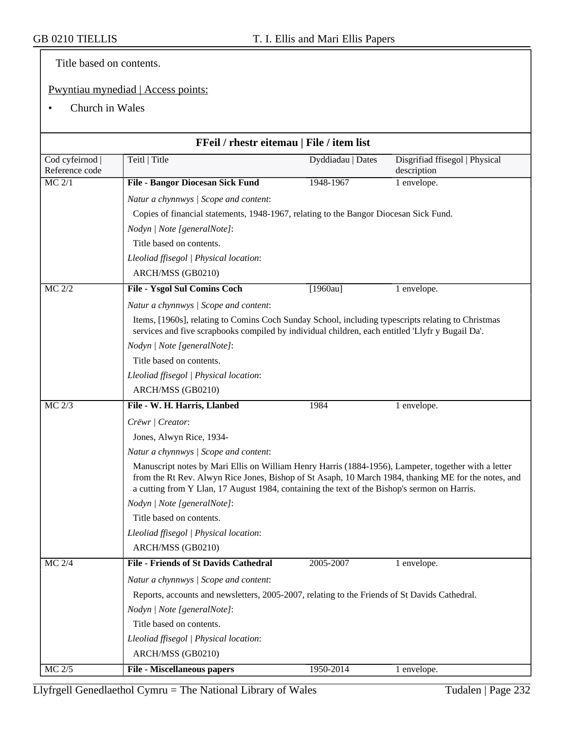Title based on contents.

## Pwyntiau mynediad | Access points:

• Church in Wales

|                                 | FFeil / rhestr eitemau   File / item list                                                                                                                                                                                                                                                                    |                   |                                               |  |
|---------------------------------|--------------------------------------------------------------------------------------------------------------------------------------------------------------------------------------------------------------------------------------------------------------------------------------------------------------|-------------------|-----------------------------------------------|--|
|                                 | Teitl   Title                                                                                                                                                                                                                                                                                                |                   |                                               |  |
| Cod cyfeirnod<br>Reference code |                                                                                                                                                                                                                                                                                                              | Dyddiadau   Dates | Disgrifiad ffisegol   Physical<br>description |  |
| MC 2/1                          | <b>File - Bangor Diocesan Sick Fund</b>                                                                                                                                                                                                                                                                      | 1948-1967         | 1 envelope.                                   |  |
|                                 | Natur a chynnwys / Scope and content:                                                                                                                                                                                                                                                                        |                   |                                               |  |
|                                 | Copies of financial statements, 1948-1967, relating to the Bangor Diocesan Sick Fund.                                                                                                                                                                                                                        |                   |                                               |  |
|                                 | Nodyn   Note [generalNote]:                                                                                                                                                                                                                                                                                  |                   |                                               |  |
|                                 | Title based on contents.                                                                                                                                                                                                                                                                                     |                   |                                               |  |
|                                 | Lleoliad ffisegol   Physical location:                                                                                                                                                                                                                                                                       |                   |                                               |  |
|                                 | ARCH/MSS (GB0210)                                                                                                                                                                                                                                                                                            |                   |                                               |  |
| MC 2/2                          | File - Ysgol Sul Comins Coch                                                                                                                                                                                                                                                                                 | $[1960au]$        | 1 envelope.                                   |  |
|                                 | Natur a chynnwys / Scope and content:                                                                                                                                                                                                                                                                        |                   |                                               |  |
|                                 | Items, [1960s], relating to Comins Coch Sunday School, including typescripts relating to Christmas<br>services and five scrapbooks compiled by individual children, each entitled 'Llyfr y Bugail Da'.                                                                                                       |                   |                                               |  |
|                                 | Nodyn   Note [generalNote]:                                                                                                                                                                                                                                                                                  |                   |                                               |  |
|                                 | Title based on contents.                                                                                                                                                                                                                                                                                     |                   |                                               |  |
|                                 | Lleoliad ffisegol   Physical location:                                                                                                                                                                                                                                                                       |                   |                                               |  |
|                                 | ARCH/MSS (GB0210)                                                                                                                                                                                                                                                                                            |                   |                                               |  |
| MC 2/3                          | File - W. H. Harris, Llanbed                                                                                                                                                                                                                                                                                 | 1984              | 1 envelope.                                   |  |
|                                 | Crëwr   Creator:                                                                                                                                                                                                                                                                                             |                   |                                               |  |
|                                 | Jones, Alwyn Rice, 1934-                                                                                                                                                                                                                                                                                     |                   |                                               |  |
|                                 | Natur a chynnwys / Scope and content:                                                                                                                                                                                                                                                                        |                   |                                               |  |
|                                 | Manuscript notes by Mari Ellis on William Henry Harris (1884-1956), Lampeter, together with a letter<br>from the Rt Rev. Alwyn Rice Jones, Bishop of St Asaph, 10 March 1984, thanking ME for the notes, and<br>a cutting from Y Llan, 17 August 1984, containing the text of the Bishop's sermon on Harris. |                   |                                               |  |
|                                 | Nodyn   Note [generalNote]:                                                                                                                                                                                                                                                                                  |                   |                                               |  |
|                                 | Title based on contents.                                                                                                                                                                                                                                                                                     |                   |                                               |  |
|                                 | Lleoliad ffisegol   Physical location:                                                                                                                                                                                                                                                                       |                   |                                               |  |
|                                 | ARCH/MSS (GB0210)                                                                                                                                                                                                                                                                                            |                   |                                               |  |
| $MC$ 2/4                        | <b>File - Friends of St Davids Cathedral</b>                                                                                                                                                                                                                                                                 | 2005-2007         | 1 envelope.                                   |  |
|                                 | Natur a chynnwys / Scope and content:                                                                                                                                                                                                                                                                        |                   |                                               |  |
|                                 | Reports, accounts and newsletters, 2005-2007, relating to the Friends of St Davids Cathedral.                                                                                                                                                                                                                |                   |                                               |  |
|                                 | Nodyn   Note [generalNote]:                                                                                                                                                                                                                                                                                  |                   |                                               |  |
|                                 | Title based on contents.                                                                                                                                                                                                                                                                                     |                   |                                               |  |
|                                 | Lleoliad ffisegol   Physical location:                                                                                                                                                                                                                                                                       |                   |                                               |  |
|                                 | ARCH/MSS (GB0210)                                                                                                                                                                                                                                                                                            |                   |                                               |  |
| $MC$ $2/5$                      | <b>File - Miscellaneous papers</b>                                                                                                                                                                                                                                                                           | 1950-2014         | 1 envelope.                                   |  |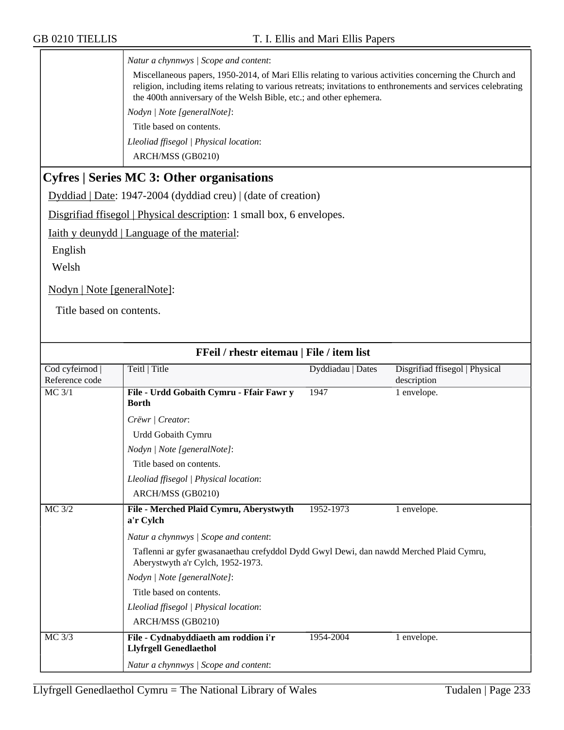*Natur a chynnwys | Scope and content*:

Miscellaneous papers, 1950-2014, of Mari Ellis relating to various activities concerning the Church and religion, including items relating to various retreats; invitations to enthronements and services celebrating the 400th anniversary of the Welsh Bible, etc.; and other ephemera.

*Nodyn | Note [generalNote]*:

Title based on contents.

*Lleoliad ffisegol | Physical location*:

ARCH/MSS (GB0210)

## **Cyfres | Series MC 3: Other organisations**

Dyddiad | Date: 1947-2004 (dyddiad creu) | (date of creation)

Disgrifiad ffisegol | Physical description: 1 small box, 6 envelopes.

Iaith y deunydd | Language of the material:

English

Welsh

Nodyn | Note [generalNote]:

Title based on contents.

| FFeil / rhestr eitemau   File / item list |                                                                                                                              |                   |                                |
|-------------------------------------------|------------------------------------------------------------------------------------------------------------------------------|-------------------|--------------------------------|
| Cod cyfeirnod                             | Teitl   Title                                                                                                                | Dyddiadau   Dates | Disgrifiad ffisegol   Physical |
| Reference code                            |                                                                                                                              |                   | description                    |
| $MC$ 3/1                                  | File - Urdd Gobaith Cymru - Ffair Fawr y<br><b>Borth</b>                                                                     | 1947              | 1 envelope.                    |
|                                           | Crëwr   Creator:                                                                                                             |                   |                                |
|                                           | Urdd Gobaith Cymru                                                                                                           |                   |                                |
|                                           | Nodyn   Note [generalNote]:                                                                                                  |                   |                                |
|                                           | Title based on contents.                                                                                                     |                   |                                |
|                                           | Lleoliad ffisegol   Physical location:                                                                                       |                   |                                |
|                                           | ARCH/MSS (GB0210)                                                                                                            |                   |                                |
| $MC$ 3/2                                  | File - Merched Plaid Cymru, Aberystwyth                                                                                      | 1952-1973         | 1 envelope.                    |
|                                           | a'r Cylch                                                                                                                    |                   |                                |
|                                           | Natur a chynnwys / Scope and content:                                                                                        |                   |                                |
|                                           | Taflenni ar gyfer gwasanaethau crefyddol Dydd Gwyl Dewi, dan nawdd Merched Plaid Cymru,<br>Aberystwyth a'r Cylch, 1952-1973. |                   |                                |
|                                           | Nodyn   Note [generalNote]:                                                                                                  |                   |                                |
|                                           | Title based on contents.                                                                                                     |                   |                                |
|                                           | Lleoliad ffisegol   Physical location:                                                                                       |                   |                                |
|                                           | ARCH/MSS (GB0210)                                                                                                            |                   |                                |
| MC 3/3                                    | File - Cydnabyddiaeth am roddion i'r<br><b>Llyfrgell Genedlaethol</b>                                                        | 1954-2004         | 1 envelope.                    |
|                                           | Natur a chynnwys / Scope and content:                                                                                        |                   |                                |

### Llyfrgell Genedlaethol Cymru = The National Library of Wales Tudalen | Page  $233$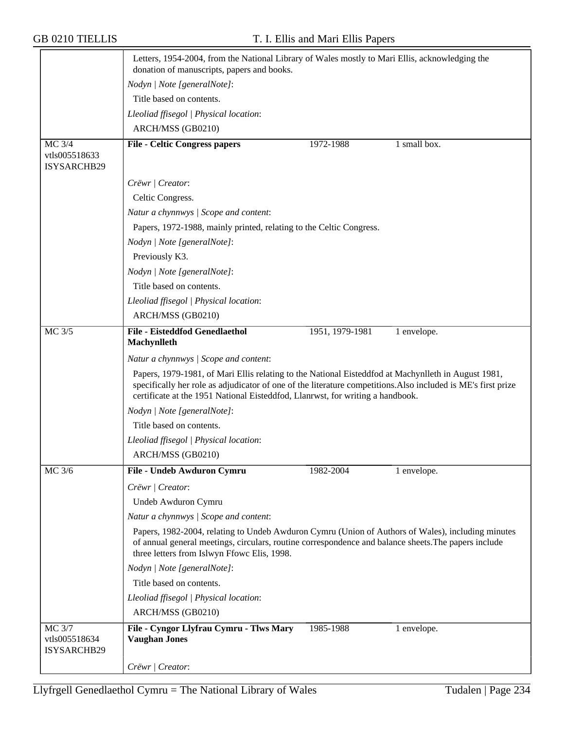|                                        | Letters, 1954-2004, from the National Library of Wales mostly to Mari Ellis, acknowledging the<br>donation of manuscripts, papers and books.                                                                                                                                                           |                 |              |  |
|----------------------------------------|--------------------------------------------------------------------------------------------------------------------------------------------------------------------------------------------------------------------------------------------------------------------------------------------------------|-----------------|--------------|--|
|                                        | Nodyn   Note [generalNote]:                                                                                                                                                                                                                                                                            |                 |              |  |
|                                        | Title based on contents.                                                                                                                                                                                                                                                                               |                 |              |  |
|                                        | Lleoliad ffisegol   Physical location:                                                                                                                                                                                                                                                                 |                 |              |  |
|                                        | ARCH/MSS (GB0210)                                                                                                                                                                                                                                                                                      |                 |              |  |
| MC 3/4<br>vtls005518633<br>ISYSARCHB29 | <b>File - Celtic Congress papers</b>                                                                                                                                                                                                                                                                   | 1972-1988       | 1 small box. |  |
|                                        | Crëwr   Creator:                                                                                                                                                                                                                                                                                       |                 |              |  |
|                                        | Celtic Congress.                                                                                                                                                                                                                                                                                       |                 |              |  |
|                                        | Natur a chynnwys / Scope and content:                                                                                                                                                                                                                                                                  |                 |              |  |
|                                        | Papers, 1972-1988, mainly printed, relating to the Celtic Congress.                                                                                                                                                                                                                                    |                 |              |  |
|                                        | Nodyn   Note [generalNote]:                                                                                                                                                                                                                                                                            |                 |              |  |
|                                        | Previously K3.                                                                                                                                                                                                                                                                                         |                 |              |  |
|                                        | Nodyn   Note [generalNote]:                                                                                                                                                                                                                                                                            |                 |              |  |
|                                        | Title based on contents.                                                                                                                                                                                                                                                                               |                 |              |  |
|                                        | Lleoliad ffisegol   Physical location:                                                                                                                                                                                                                                                                 |                 |              |  |
|                                        | ARCH/MSS (GB0210)                                                                                                                                                                                                                                                                                      |                 |              |  |
| MC 3/5                                 | File - Eisteddfod Genedlaethol                                                                                                                                                                                                                                                                         | 1951, 1979-1981 | 1 envelope.  |  |
|                                        | Machynlleth                                                                                                                                                                                                                                                                                            |                 |              |  |
|                                        | Natur a chynnwys / Scope and content:                                                                                                                                                                                                                                                                  |                 |              |  |
|                                        | Papers, 1979-1981, of Mari Ellis relating to the National Eisteddfod at Machynlleth in August 1981,<br>specifically her role as adjudicator of one of the literature competitions. Also included is ME's first prize<br>certificate at the 1951 National Eisteddfod, Llanrwst, for writing a handbook. |                 |              |  |
|                                        | Nodyn   Note [generalNote]:                                                                                                                                                                                                                                                                            |                 |              |  |
|                                        | Title based on contents.                                                                                                                                                                                                                                                                               |                 |              |  |
|                                        | Lleoliad ffisegol   Physical location:                                                                                                                                                                                                                                                                 |                 |              |  |
|                                        | ARCH/MSS (GB0210)                                                                                                                                                                                                                                                                                      |                 |              |  |
| MC 3/6                                 | File - Undeb Awduron Cymru                                                                                                                                                                                                                                                                             | 1982-2004       | 1 envelope.  |  |
|                                        | Crëwr   Creator:                                                                                                                                                                                                                                                                                       |                 |              |  |
|                                        | Undeb Awduron Cymru                                                                                                                                                                                                                                                                                    |                 |              |  |
|                                        | Natur a chynnwys / Scope and content:                                                                                                                                                                                                                                                                  |                 |              |  |
|                                        | Papers, 1982-2004, relating to Undeb Awduron Cymru (Union of Authors of Wales), including minutes<br>of annual general meetings, circulars, routine correspondence and balance sheets. The papers include<br>three letters from Islwyn Ffowc Elis, 1998.                                               |                 |              |  |
|                                        | Nodyn   Note [generalNote]:                                                                                                                                                                                                                                                                            |                 |              |  |
|                                        | Title based on contents.                                                                                                                                                                                                                                                                               |                 |              |  |
|                                        | Lleoliad ffisegol   Physical location:                                                                                                                                                                                                                                                                 |                 |              |  |
|                                        | ARCH/MSS (GB0210)                                                                                                                                                                                                                                                                                      |                 |              |  |
| <b>MC 3/7</b><br>vtls005518634         | File - Cyngor Llyfrau Cymru - Tlws Mary<br><b>Vaughan Jones</b>                                                                                                                                                                                                                                        | 1985-1988       | 1 envelope.  |  |
| ISYSARCHB29                            |                                                                                                                                                                                                                                                                                                        |                 |              |  |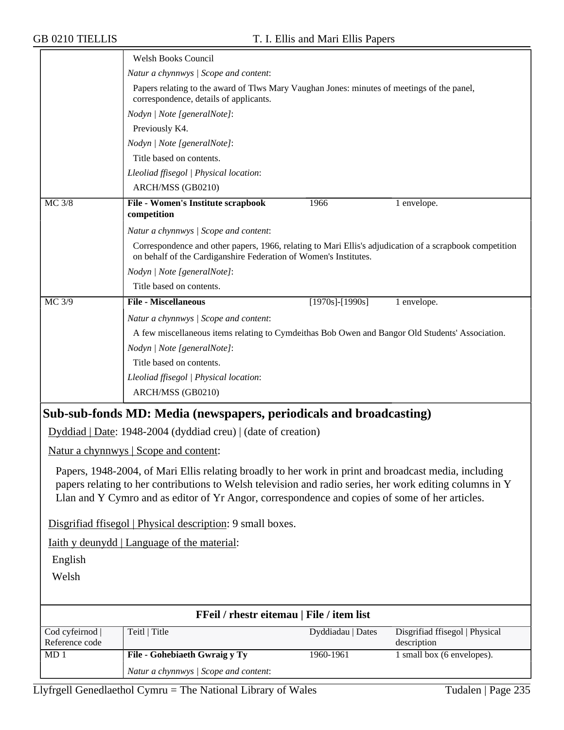| Natur a chynnwys / Scope and content:<br>Papers relating to the award of Tlws Mary Vaughan Jones: minutes of meetings of the panel,<br>correspondence, details of applicants.<br>Nodyn   Note [generalNote]:<br>Previously K4.<br>Nodyn   Note [generalNote]:<br>Title based on contents.<br>Lleoliad ffisegol   Physical location:<br>ARCH/MSS (GB0210)<br>File - Women's Institute scrapbook<br>MC 3/8<br>1966<br>1 envelope.<br>competition<br>Natur a chynnwys / Scope and content:<br>Correspondence and other papers, 1966, relating to Mari Ellis's adjudication of a scrapbook competition<br>on behalf of the Cardiganshire Federation of Women's Institutes. |
|------------------------------------------------------------------------------------------------------------------------------------------------------------------------------------------------------------------------------------------------------------------------------------------------------------------------------------------------------------------------------------------------------------------------------------------------------------------------------------------------------------------------------------------------------------------------------------------------------------------------------------------------------------------------|
|                                                                                                                                                                                                                                                                                                                                                                                                                                                                                                                                                                                                                                                                        |
|                                                                                                                                                                                                                                                                                                                                                                                                                                                                                                                                                                                                                                                                        |
|                                                                                                                                                                                                                                                                                                                                                                                                                                                                                                                                                                                                                                                                        |
|                                                                                                                                                                                                                                                                                                                                                                                                                                                                                                                                                                                                                                                                        |
|                                                                                                                                                                                                                                                                                                                                                                                                                                                                                                                                                                                                                                                                        |
|                                                                                                                                                                                                                                                                                                                                                                                                                                                                                                                                                                                                                                                                        |
|                                                                                                                                                                                                                                                                                                                                                                                                                                                                                                                                                                                                                                                                        |
|                                                                                                                                                                                                                                                                                                                                                                                                                                                                                                                                                                                                                                                                        |
|                                                                                                                                                                                                                                                                                                                                                                                                                                                                                                                                                                                                                                                                        |
|                                                                                                                                                                                                                                                                                                                                                                                                                                                                                                                                                                                                                                                                        |
|                                                                                                                                                                                                                                                                                                                                                                                                                                                                                                                                                                                                                                                                        |
|                                                                                                                                                                                                                                                                                                                                                                                                                                                                                                                                                                                                                                                                        |
| Nodyn   Note [generalNote]:                                                                                                                                                                                                                                                                                                                                                                                                                                                                                                                                                                                                                                            |
| Title based on contents.                                                                                                                                                                                                                                                                                                                                                                                                                                                                                                                                                                                                                                               |
| <b>File - Miscellaneous</b><br>MC 3/9<br>$[1970s]$ - $[1990s]$<br>1 envelope.                                                                                                                                                                                                                                                                                                                                                                                                                                                                                                                                                                                          |
| Natur a chynnwys / Scope and content:                                                                                                                                                                                                                                                                                                                                                                                                                                                                                                                                                                                                                                  |
| A few miscellaneous items relating to Cymdeithas Bob Owen and Bangor Old Students' Association.                                                                                                                                                                                                                                                                                                                                                                                                                                                                                                                                                                        |
| Nodyn   Note [generalNote]:                                                                                                                                                                                                                                                                                                                                                                                                                                                                                                                                                                                                                                            |
| Title based on contents.                                                                                                                                                                                                                                                                                                                                                                                                                                                                                                                                                                                                                                               |
| Lleoliad ffisegol   Physical location:                                                                                                                                                                                                                                                                                                                                                                                                                                                                                                                                                                                                                                 |
| ARCH/MSS (GB0210)                                                                                                                                                                                                                                                                                                                                                                                                                                                                                                                                                                                                                                                      |
| Sub-sub-fonds MD: Media (newspapers, periodicals and broadcasting)                                                                                                                                                                                                                                                                                                                                                                                                                                                                                                                                                                                                     |
| Dyddiad   Date: 1948-2004 (dyddiad creu)   (date of creation)                                                                                                                                                                                                                                                                                                                                                                                                                                                                                                                                                                                                          |
| Natur a chynnwys   Scope and content:                                                                                                                                                                                                                                                                                                                                                                                                                                                                                                                                                                                                                                  |
| Papers, 1948-2004, of Mari Ellis relating broadly to her work in print and broadcast media, including<br>papers relating to her contributions to Welsh television and radio series, her work editing columns in Y<br>Llan and Y Cymro and as editor of Yr Angor, correspondence and copies of some of her articles.                                                                                                                                                                                                                                                                                                                                                    |
| Disgrifiad ffisegol   Physical description: 9 small boxes.                                                                                                                                                                                                                                                                                                                                                                                                                                                                                                                                                                                                             |
| <u>Iaith y deunydd   Language of the material:</u>                                                                                                                                                                                                                                                                                                                                                                                                                                                                                                                                                                                                                     |
| English                                                                                                                                                                                                                                                                                                                                                                                                                                                                                                                                                                                                                                                                |
| Welsh                                                                                                                                                                                                                                                                                                                                                                                                                                                                                                                                                                                                                                                                  |
|                                                                                                                                                                                                                                                                                                                                                                                                                                                                                                                                                                                                                                                                        |
| FFeil / rhestr eitemau   File / item list                                                                                                                                                                                                                                                                                                                                                                                                                                                                                                                                                                                                                              |
| Cod cyfeirnod  <br>Teitl   Title<br>Dyddiadau   Dates<br>Disgrifiad ffisegol   Physical<br>Reference code<br>description                                                                                                                                                                                                                                                                                                                                                                                                                                                                                                                                               |
| 1 small box (6 envelopes).<br>MD1<br>File - Gohebiaeth Gwraig y Ty<br>1960-1961                                                                                                                                                                                                                                                                                                                                                                                                                                                                                                                                                                                        |
| Natur a chynnwys / Scope and content:                                                                                                                                                                                                                                                                                                                                                                                                                                                                                                                                                                                                                                  |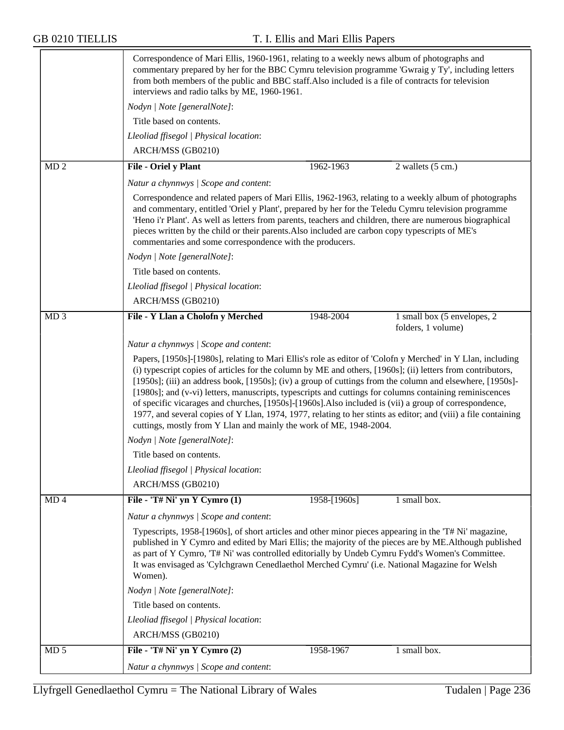|                 | Correspondence of Mari Ellis, 1960-1961, relating to a weekly news album of photographs and<br>commentary prepared by her for the BBC Cymru television programme 'Gwraig y Ty', including letters<br>from both members of the public and BBC staff. Also included is a file of contracts for television<br>interviews and radio talks by ME, 1960-1961.                                                                                                                                                                                                                                                                                                                                                                                                                                                                                                                                                                 |
|-----------------|-------------------------------------------------------------------------------------------------------------------------------------------------------------------------------------------------------------------------------------------------------------------------------------------------------------------------------------------------------------------------------------------------------------------------------------------------------------------------------------------------------------------------------------------------------------------------------------------------------------------------------------------------------------------------------------------------------------------------------------------------------------------------------------------------------------------------------------------------------------------------------------------------------------------------|
|                 | Nodyn   Note [generalNote]:                                                                                                                                                                                                                                                                                                                                                                                                                                                                                                                                                                                                                                                                                                                                                                                                                                                                                             |
|                 | Title based on contents.                                                                                                                                                                                                                                                                                                                                                                                                                                                                                                                                                                                                                                                                                                                                                                                                                                                                                                |
|                 | Lleoliad ffisegol   Physical location:                                                                                                                                                                                                                                                                                                                                                                                                                                                                                                                                                                                                                                                                                                                                                                                                                                                                                  |
|                 | ARCH/MSS (GB0210)                                                                                                                                                                                                                                                                                                                                                                                                                                                                                                                                                                                                                                                                                                                                                                                                                                                                                                       |
| MD <sub>2</sub> | File - Oriel y Plant<br>1962-1963<br>2 wallets (5 cm.)                                                                                                                                                                                                                                                                                                                                                                                                                                                                                                                                                                                                                                                                                                                                                                                                                                                                  |
|                 | Natur a chynnwys / Scope and content:                                                                                                                                                                                                                                                                                                                                                                                                                                                                                                                                                                                                                                                                                                                                                                                                                                                                                   |
|                 | Correspondence and related papers of Mari Ellis, 1962-1963, relating to a weekly album of photographs<br>and commentary, entitled 'Oriel y Plant', prepared by her for the Teledu Cymru television programme<br>'Heno i'r Plant'. As well as letters from parents, teachers and children, there are numerous biographical<br>pieces written by the child or their parents. Also included are carbon copy typescripts of ME's<br>commentaries and some correspondence with the producers.                                                                                                                                                                                                                                                                                                                                                                                                                                |
|                 | Nodyn   Note [generalNote]:                                                                                                                                                                                                                                                                                                                                                                                                                                                                                                                                                                                                                                                                                                                                                                                                                                                                                             |
|                 | Title based on contents.                                                                                                                                                                                                                                                                                                                                                                                                                                                                                                                                                                                                                                                                                                                                                                                                                                                                                                |
|                 | Lleoliad ffisegol   Physical location:                                                                                                                                                                                                                                                                                                                                                                                                                                                                                                                                                                                                                                                                                                                                                                                                                                                                                  |
|                 | ARCH/MSS (GB0210)                                                                                                                                                                                                                                                                                                                                                                                                                                                                                                                                                                                                                                                                                                                                                                                                                                                                                                       |
| MD <sub>3</sub> | File - Y Llan a Cholofn y Merched<br>1948-2004<br>1 small box (5 envelopes, 2<br>folders, 1 volume)                                                                                                                                                                                                                                                                                                                                                                                                                                                                                                                                                                                                                                                                                                                                                                                                                     |
|                 | Natur a chynnwys / Scope and content:<br>Papers, [1950s]-[1980s], relating to Mari Ellis's role as editor of 'Colofn y Merched' in Y Llan, including<br>(i) typescript copies of articles for the column by ME and others, [1960s]; (ii) letters from contributors,<br>[1950s]; (iii) an address book, [1950s]; (iv) a group of cuttings from the column and elsewhere, [1950s]-<br>[1980s]; and (v-vi) letters, manuscripts, typescripts and cuttings for columns containing reminiscences<br>of specific vicarages and churches, [1950s]-[1960s]. Also included is (vii) a group of correspondence,<br>1977, and several copies of Y Llan, 1974, 1977, relating to her stints as editor; and (viii) a file containing<br>cuttings, mostly from Y Llan and mainly the work of ME, 1948-2004.<br>Nodyn   Note [generalNote]:<br>Title based on contents.<br>Lleoliad ffisegol   Physical location:<br>ARCH/MSS (GB0210) |
| MD4             | File - 'T# Ni' yn Y Cymro $(1)$<br>1 small box.<br>1958-[1960s]<br>Natur a chynnwys / Scope and content:<br>Typescripts, 1958-[1960s], of short articles and other minor pieces appearing in the 'T# Ni' magazine,<br>published in Y Cymro and edited by Mari Ellis; the majority of the pieces are by ME. Although published<br>as part of Y Cymro, 'T# Ni' was controlled editorially by Undeb Cymru Fydd's Women's Committee.<br>It was envisaged as 'Cylchgrawn Cenedlaethol Merched Cymru' (i.e. National Magazine for Welsh<br>Women).<br>Nodyn   Note [generalNote]:<br>Title based on contents.<br>Lleoliad ffisegol   Physical location:<br>ARCH/MSS (GB0210)                                                                                                                                                                                                                                                  |
| MD <sub>5</sub> | File - 'T# Ni' yn Y Cymro $(2)$<br>1958-1967<br>1 small box.                                                                                                                                                                                                                                                                                                                                                                                                                                                                                                                                                                                                                                                                                                                                                                                                                                                            |
|                 | Natur a chynnwys / Scope and content:                                                                                                                                                                                                                                                                                                                                                                                                                                                                                                                                                                                                                                                                                                                                                                                                                                                                                   |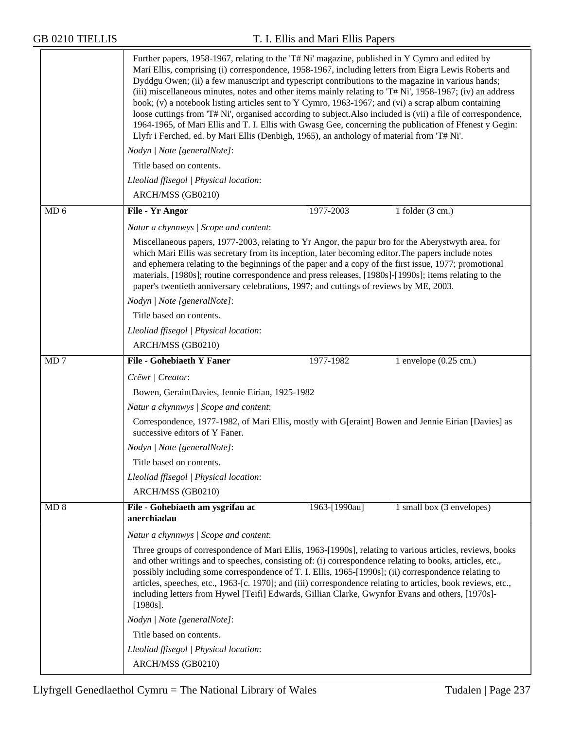|                 | Further papers, 1958-1967, relating to the 'T# Ni' magazine, published in Y Cymro and edited by<br>Mari Ellis, comprising (i) correspondence, 1958-1967, including letters from Eigra Lewis Roberts and<br>Dyddgu Owen; (ii) a few manuscript and typescript contributions to the magazine in various hands;<br>(iii) miscellaneous minutes, notes and other items mainly relating to 'T# Ni', 1958-1967; (iv) an address<br>book; (v) a notebook listing articles sent to Y Cymro, 1963-1967; and (vi) a scrap album containing<br>loose cuttings from 'T# Ni', organised according to subject. Also included is (vii) a file of correspondence,<br>1964-1965, of Mari Ellis and T. I. Ellis with Gwasg Gee, concerning the publication of Ffenest y Gegin:<br>Llyfr i Ferched, ed. by Mari Ellis (Denbigh, 1965), an anthology of material from 'T# Ni'. |  |  |  |  |
|-----------------|------------------------------------------------------------------------------------------------------------------------------------------------------------------------------------------------------------------------------------------------------------------------------------------------------------------------------------------------------------------------------------------------------------------------------------------------------------------------------------------------------------------------------------------------------------------------------------------------------------------------------------------------------------------------------------------------------------------------------------------------------------------------------------------------------------------------------------------------------------|--|--|--|--|
|                 | Nodyn   Note [generalNote]:                                                                                                                                                                                                                                                                                                                                                                                                                                                                                                                                                                                                                                                                                                                                                                                                                                |  |  |  |  |
|                 | Title based on contents.                                                                                                                                                                                                                                                                                                                                                                                                                                                                                                                                                                                                                                                                                                                                                                                                                                   |  |  |  |  |
|                 | Lleoliad ffisegol   Physical location:                                                                                                                                                                                                                                                                                                                                                                                                                                                                                                                                                                                                                                                                                                                                                                                                                     |  |  |  |  |
|                 | ARCH/MSS (GB0210)                                                                                                                                                                                                                                                                                                                                                                                                                                                                                                                                                                                                                                                                                                                                                                                                                                          |  |  |  |  |
| MD <sub>6</sub> | 1977-2003<br>File - Yr Angor<br>1 folder $(3 \text{ cm.})$                                                                                                                                                                                                                                                                                                                                                                                                                                                                                                                                                                                                                                                                                                                                                                                                 |  |  |  |  |
|                 | Natur a chynnwys / Scope and content:                                                                                                                                                                                                                                                                                                                                                                                                                                                                                                                                                                                                                                                                                                                                                                                                                      |  |  |  |  |
|                 | Miscellaneous papers, 1977-2003, relating to Yr Angor, the papur bro for the Aberystwyth area, for<br>which Mari Ellis was secretary from its inception, later becoming editor. The papers include notes<br>and ephemera relating to the beginnings of the paper and a copy of the first issue, 1977; promotional<br>materials, [1980s]; routine correspondence and press releases, [1980s]-[1990s]; items relating to the<br>paper's twentieth anniversary celebrations, 1997; and cuttings of reviews by ME, 2003.                                                                                                                                                                                                                                                                                                                                       |  |  |  |  |
|                 | Nodyn   Note [generalNote]:                                                                                                                                                                                                                                                                                                                                                                                                                                                                                                                                                                                                                                                                                                                                                                                                                                |  |  |  |  |
|                 | Title based on contents.                                                                                                                                                                                                                                                                                                                                                                                                                                                                                                                                                                                                                                                                                                                                                                                                                                   |  |  |  |  |
|                 | Lleoliad ffisegol   Physical location:                                                                                                                                                                                                                                                                                                                                                                                                                                                                                                                                                                                                                                                                                                                                                                                                                     |  |  |  |  |
|                 | ARCH/MSS (GB0210)                                                                                                                                                                                                                                                                                                                                                                                                                                                                                                                                                                                                                                                                                                                                                                                                                                          |  |  |  |  |
| MD <sub>7</sub> | <b>File - Gohebiaeth Y Faner</b><br>1 envelope $(0.25 \text{ cm.})$<br>1977-1982                                                                                                                                                                                                                                                                                                                                                                                                                                                                                                                                                                                                                                                                                                                                                                           |  |  |  |  |
|                 | Crëwr   Creator:                                                                                                                                                                                                                                                                                                                                                                                                                                                                                                                                                                                                                                                                                                                                                                                                                                           |  |  |  |  |
|                 | Bowen, GeraintDavies, Jennie Eirian, 1925-1982                                                                                                                                                                                                                                                                                                                                                                                                                                                                                                                                                                                                                                                                                                                                                                                                             |  |  |  |  |
|                 | Natur a chynnwys / Scope and content:                                                                                                                                                                                                                                                                                                                                                                                                                                                                                                                                                                                                                                                                                                                                                                                                                      |  |  |  |  |
|                 | Correspondence, 1977-1982, of Mari Ellis, mostly with G[eraint] Bowen and Jennie Eirian [Davies] as<br>successive editors of Y Faner.                                                                                                                                                                                                                                                                                                                                                                                                                                                                                                                                                                                                                                                                                                                      |  |  |  |  |
|                 | Nodyn   Note [generalNote]:                                                                                                                                                                                                                                                                                                                                                                                                                                                                                                                                                                                                                                                                                                                                                                                                                                |  |  |  |  |
|                 | Title based on contents.                                                                                                                                                                                                                                                                                                                                                                                                                                                                                                                                                                                                                                                                                                                                                                                                                                   |  |  |  |  |
|                 | Lleoliad ffisegol   Physical location:                                                                                                                                                                                                                                                                                                                                                                                                                                                                                                                                                                                                                                                                                                                                                                                                                     |  |  |  |  |
|                 | ARCH/MSS (GB0210)                                                                                                                                                                                                                                                                                                                                                                                                                                                                                                                                                                                                                                                                                                                                                                                                                                          |  |  |  |  |
| MD 8            | File - Gohebiaeth am ysgrifau ac<br>1 small box $(3$ envelopes)<br>1963-[1990au]<br>anerchiadau                                                                                                                                                                                                                                                                                                                                                                                                                                                                                                                                                                                                                                                                                                                                                            |  |  |  |  |
|                 | Natur a chynnwys / Scope and content:                                                                                                                                                                                                                                                                                                                                                                                                                                                                                                                                                                                                                                                                                                                                                                                                                      |  |  |  |  |
|                 | Three groups of correspondence of Mari Ellis, 1963-[1990s], relating to various articles, reviews, books<br>and other writings and to speeches, consisting of: (i) correspondence relating to books, articles, etc.,<br>possibly including some correspondence of T. I. Ellis, 1965-[1990s]; (ii) correspondence relating to<br>articles, speeches, etc., 1963-[c. 1970]; and (iii) correspondence relating to articles, book reviews, etc.,<br>including letters from Hywel [Teifi] Edwards, Gillian Clarke, Gwynfor Evans and others, [1970s]-<br>$[1980s]$ .                                                                                                                                                                                                                                                                                            |  |  |  |  |
|                 | Nodyn   Note [generalNote]:                                                                                                                                                                                                                                                                                                                                                                                                                                                                                                                                                                                                                                                                                                                                                                                                                                |  |  |  |  |
|                 | Title based on contents.                                                                                                                                                                                                                                                                                                                                                                                                                                                                                                                                                                                                                                                                                                                                                                                                                                   |  |  |  |  |
|                 | Lleoliad ffisegol   Physical location:                                                                                                                                                                                                                                                                                                                                                                                                                                                                                                                                                                                                                                                                                                                                                                                                                     |  |  |  |  |
|                 | ARCH/MSS (GB0210)                                                                                                                                                                                                                                                                                                                                                                                                                                                                                                                                                                                                                                                                                                                                                                                                                                          |  |  |  |  |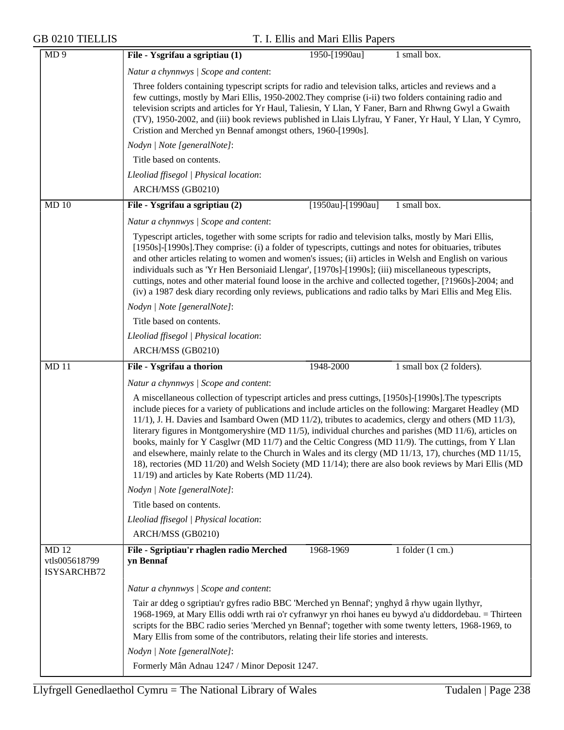| MD <sub>9</sub>                             | File - Ysgrifau a sgriptiau (1)<br>1 small box.<br>1950-[1990au]                                                                                                                                                                                                                                                                                                                                                                                                                                                                                                                                                                                                                                                                                                                                                          |
|---------------------------------------------|---------------------------------------------------------------------------------------------------------------------------------------------------------------------------------------------------------------------------------------------------------------------------------------------------------------------------------------------------------------------------------------------------------------------------------------------------------------------------------------------------------------------------------------------------------------------------------------------------------------------------------------------------------------------------------------------------------------------------------------------------------------------------------------------------------------------------|
|                                             | Natur a chynnwys / Scope and content:                                                                                                                                                                                                                                                                                                                                                                                                                                                                                                                                                                                                                                                                                                                                                                                     |
|                                             | Three folders containing typescript scripts for radio and television talks, articles and reviews and a<br>few cuttings, mostly by Mari Ellis, 1950-2002. They comprise (i-ii) two folders containing radio and<br>television scripts and articles for Yr Haul, Taliesin, Y Llan, Y Faner, Barn and Rhwng Gwyl a Gwaith<br>(TV), 1950-2002, and (iii) book reviews published in Llais Llyfrau, Y Faner, Yr Haul, Y Llan, Y Cymro,<br>Cristion and Merched yn Bennaf amongst others, 1960-[1990s].                                                                                                                                                                                                                                                                                                                          |
|                                             | Nodyn   Note [generalNote]:                                                                                                                                                                                                                                                                                                                                                                                                                                                                                                                                                                                                                                                                                                                                                                                               |
|                                             | Title based on contents.                                                                                                                                                                                                                                                                                                                                                                                                                                                                                                                                                                                                                                                                                                                                                                                                  |
|                                             | Lleoliad ffisegol   Physical location:                                                                                                                                                                                                                                                                                                                                                                                                                                                                                                                                                                                                                                                                                                                                                                                    |
|                                             | ARCH/MSS (GB0210)                                                                                                                                                                                                                                                                                                                                                                                                                                                                                                                                                                                                                                                                                                                                                                                                         |
| MD 10                                       | File - Ysgrifau a sgriptiau (2)<br>[1950au]-[1990au]<br>1 small box.                                                                                                                                                                                                                                                                                                                                                                                                                                                                                                                                                                                                                                                                                                                                                      |
|                                             | Natur a chynnwys / Scope and content:                                                                                                                                                                                                                                                                                                                                                                                                                                                                                                                                                                                                                                                                                                                                                                                     |
|                                             | Typescript articles, together with some scripts for radio and television talks, mostly by Mari Ellis,<br>[1950s]-[1990s]. They comprise: (i) a folder of typescripts, cuttings and notes for obituaries, tributes<br>and other articles relating to women and women's issues; (ii) articles in Welsh and English on various<br>individuals such as 'Yr Hen Bersoniaid Llengar', [1970s]-[1990s]; (iii) miscellaneous typescripts,<br>cuttings, notes and other material found loose in the archive and collected together, [?1960s]-2004; and<br>(iv) a 1987 desk diary recording only reviews, publications and radio talks by Mari Ellis and Meg Elis.                                                                                                                                                                  |
|                                             | Nodyn   Note [generalNote]:                                                                                                                                                                                                                                                                                                                                                                                                                                                                                                                                                                                                                                                                                                                                                                                               |
|                                             | Title based on contents.                                                                                                                                                                                                                                                                                                                                                                                                                                                                                                                                                                                                                                                                                                                                                                                                  |
|                                             | Lleoliad ffisegol   Physical location:                                                                                                                                                                                                                                                                                                                                                                                                                                                                                                                                                                                                                                                                                                                                                                                    |
|                                             | ARCH/MSS (GB0210)                                                                                                                                                                                                                                                                                                                                                                                                                                                                                                                                                                                                                                                                                                                                                                                                         |
| MD 11                                       | File - Ysgrifau a thorion<br>1948-2000<br>1 small box (2 folders).                                                                                                                                                                                                                                                                                                                                                                                                                                                                                                                                                                                                                                                                                                                                                        |
|                                             | Natur a chynnwys / Scope and content:                                                                                                                                                                                                                                                                                                                                                                                                                                                                                                                                                                                                                                                                                                                                                                                     |
|                                             | A miscellaneous collection of typescript articles and press cuttings, [1950s]-[1990s]. The typescripts<br>include pieces for a variety of publications and include articles on the following: Margaret Headley (MD)<br>$11/1$ , J. H. Davies and Isambard Owen (MD $11/2$ ), tributes to academics, clergy and others (MD $11/3$ ),<br>literary figures in Montgomeryshire (MD 11/5), individual churches and parishes (MD 11/6), articles on<br>books, mainly for Y Casglwr (MD 11/7) and the Celtic Congress (MD 11/9). The cuttings, from Y Llan<br>and elsewhere, mainly relate to the Church in Wales and its clergy (MD 11/13, 17), churches (MD 11/15,<br>18), rectories (MD 11/20) and Welsh Society (MD 11/14); there are also book reviews by Mari Ellis (MD<br>11/19) and articles by Kate Roberts (MD 11/24). |
|                                             | Nodyn   Note [generalNote]:                                                                                                                                                                                                                                                                                                                                                                                                                                                                                                                                                                                                                                                                                                                                                                                               |
|                                             | Title based on contents.                                                                                                                                                                                                                                                                                                                                                                                                                                                                                                                                                                                                                                                                                                                                                                                                  |
|                                             | Lleoliad ffisegol   Physical location:                                                                                                                                                                                                                                                                                                                                                                                                                                                                                                                                                                                                                                                                                                                                                                                    |
|                                             | ARCH/MSS (GB0210)                                                                                                                                                                                                                                                                                                                                                                                                                                                                                                                                                                                                                                                                                                                                                                                                         |
| <b>MD12</b><br>vtls005618799<br>ISYSARCHB72 | File - Sgriptiau'r rhaglen radio Merched<br>1968-1969<br>1 folder $(1 \text{ cm.})$<br>yn Bennaf                                                                                                                                                                                                                                                                                                                                                                                                                                                                                                                                                                                                                                                                                                                          |
|                                             | Natur a chynnwys / Scope and content:                                                                                                                                                                                                                                                                                                                                                                                                                                                                                                                                                                                                                                                                                                                                                                                     |
|                                             | Tair ar ddeg o sgriptiau'r gyfres radio BBC 'Merched yn Bennaf'; ynghyd â rhyw ugain llythyr,<br>1968-1969, at Mary Ellis oddi wrth rai o'r cyfranwyr yn rhoi hanes eu bywyd a'u diddordebau. = Thirteen<br>scripts for the BBC radio series 'Merched yn Bennaf'; together with some twenty letters, 1968-1969, to<br>Mary Ellis from some of the contributors, relating their life stories and interests.                                                                                                                                                                                                                                                                                                                                                                                                                |
|                                             | Nodyn   Note [generalNote]:                                                                                                                                                                                                                                                                                                                                                                                                                                                                                                                                                                                                                                                                                                                                                                                               |
|                                             | Formerly Mân Adnau 1247 / Minor Deposit 1247.                                                                                                                                                                                                                                                                                                                                                                                                                                                                                                                                                                                                                                                                                                                                                                             |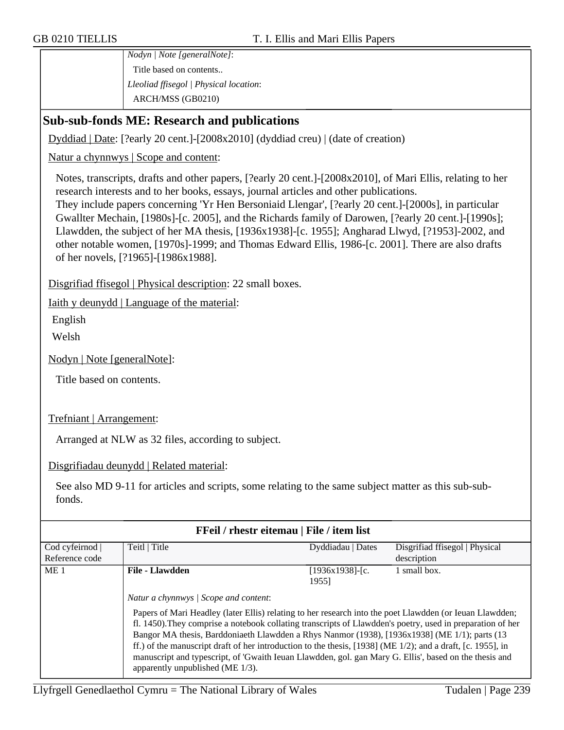*Nodyn | Note [generalNote]*: Title based on contents.. *Lleoliad ffisegol | Physical location*: ARCH/MSS (GB0210)

## **Sub-sub-fonds ME: Research and publications**

Dyddiad | Date: [?early 20 cent.]-[2008x2010] (dyddiad creu) | (date of creation)

Natur a chynnwys | Scope and content:

Notes, transcripts, drafts and other papers, [?early 20 cent.]-[2008x2010], of Mari Ellis, relating to her research interests and to her books, essays, journal articles and other publications.

They include papers concerning 'Yr Hen Bersoniaid Llengar', [?early 20 cent.]-[2000s], in particular Gwallter Mechain, [1980s]-[c. 2005], and the Richards family of Darowen, [?early 20 cent.]-[1990s]; Llawdden, the subject of her MA thesis, [1936x1938]-[c. 1955]; Angharad Llwyd, [?1953]-2002, and other notable women, [1970s]-1999; and Thomas Edward Ellis, 1986-[c. 2001]. There are also drafts of her novels, [?1965]-[1986x1988].

Disgrifiad ffisegol | Physical description: 22 small boxes.

Iaith y deunydd | Language of the material:

English

Welsh

Nodyn | Note [generalNote]:

Title based on contents.

Trefniant | Arrangement:

Arranged at NLW as 32 files, according to subject.

Disgrifiadau deunydd | Related material:

See also MD 9-11 for articles and scripts, some relating to the same subject matter as this sub-subfonds.

| FFeil / rhestr eitemau   File / item list |                                                                                                                                                                                                                                                                                                                                                                                                                                                                                                                                                                                                                                 |                             |                                |
|-------------------------------------------|---------------------------------------------------------------------------------------------------------------------------------------------------------------------------------------------------------------------------------------------------------------------------------------------------------------------------------------------------------------------------------------------------------------------------------------------------------------------------------------------------------------------------------------------------------------------------------------------------------------------------------|-----------------------------|--------------------------------|
| Cod cyfeirnod                             | Teitl   Title                                                                                                                                                                                                                                                                                                                                                                                                                                                                                                                                                                                                                   | Dyddiadau   Dates           | Disgrifiad ffisegol   Physical |
| Reference code                            |                                                                                                                                                                                                                                                                                                                                                                                                                                                                                                                                                                                                                                 |                             | description                    |
| ME <sub>1</sub>                           | <b>File - Llawdden</b>                                                                                                                                                                                                                                                                                                                                                                                                                                                                                                                                                                                                          | $[1936x1938]$ -[c.<br>19551 | 1 small box.                   |
|                                           | Natur a chynnwys   Scope and content:<br>Papers of Mari Headley (later Ellis) relating to her research into the poet Llawdden (or Ieuan Llawdden;<br>fl. 1450). They comprise a notebook collating transcripts of Llawdden's poetry, used in preparation of her<br>Bangor MA thesis, Barddoniaeth Llawdden a Rhys Nanmor (1938), [1936x1938] (ME 1/1); parts (13<br>ff.) of the manuscript draft of her introduction to the thesis, $[1938]$ (ME 1/2); and a draft, [c. 1955], in<br>manuscript and typescript, of 'Gwaith Ieuan Llawdden, gol. gan Mary G. Ellis', based on the thesis and<br>apparently unpublished (ME 1/3). |                             |                                |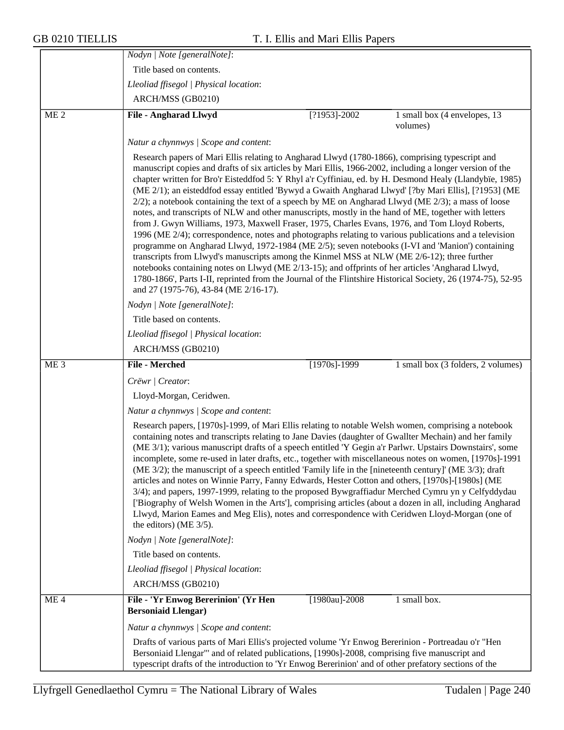|                 | Nodyn   Note [generalNote]:                                                                                                                                                                                                                                                                                                                                                                                                                                                                                                                                                                                                                                                                                                                                                                                                                                                                                                                                                                                                                                                                                                                                                                                                                                                                                                                                                                                                                                                 |  |  |  |
|-----------------|-----------------------------------------------------------------------------------------------------------------------------------------------------------------------------------------------------------------------------------------------------------------------------------------------------------------------------------------------------------------------------------------------------------------------------------------------------------------------------------------------------------------------------------------------------------------------------------------------------------------------------------------------------------------------------------------------------------------------------------------------------------------------------------------------------------------------------------------------------------------------------------------------------------------------------------------------------------------------------------------------------------------------------------------------------------------------------------------------------------------------------------------------------------------------------------------------------------------------------------------------------------------------------------------------------------------------------------------------------------------------------------------------------------------------------------------------------------------------------|--|--|--|
|                 | Title based on contents.                                                                                                                                                                                                                                                                                                                                                                                                                                                                                                                                                                                                                                                                                                                                                                                                                                                                                                                                                                                                                                                                                                                                                                                                                                                                                                                                                                                                                                                    |  |  |  |
|                 | Lleoliad ffisegol   Physical location:                                                                                                                                                                                                                                                                                                                                                                                                                                                                                                                                                                                                                                                                                                                                                                                                                                                                                                                                                                                                                                                                                                                                                                                                                                                                                                                                                                                                                                      |  |  |  |
|                 | ARCH/MSS (GB0210)                                                                                                                                                                                                                                                                                                                                                                                                                                                                                                                                                                                                                                                                                                                                                                                                                                                                                                                                                                                                                                                                                                                                                                                                                                                                                                                                                                                                                                                           |  |  |  |
| ME <sub>2</sub> | <b>File - Angharad Llwyd</b><br>$[?1953] - 2002$<br>1 small box (4 envelopes, 13<br>volumes)                                                                                                                                                                                                                                                                                                                                                                                                                                                                                                                                                                                                                                                                                                                                                                                                                                                                                                                                                                                                                                                                                                                                                                                                                                                                                                                                                                                |  |  |  |
|                 | Natur a chynnwys / Scope and content:<br>Research papers of Mari Ellis relating to Angharad Llwyd (1780-1866), comprising typescript and<br>manuscript copies and drafts of six articles by Mari Ellis, 1966-2002, including a longer version of the<br>chapter written for Bro'r Eisteddfod 5: Y Rhyl a'r Cyffiniau, ed. by H. Desmond Healy (Llandybïe, 1985)<br>(ME 2/1); an eisteddfod essay entitled 'Bywyd a Gwaith Angharad Llwyd' [?by Mari Ellis], [?1953] (ME<br>$2/2$ ); a notebook containing the text of a speech by ME on Angharad Llwyd (ME $2/3$ ); a mass of loose<br>notes, and transcripts of NLW and other manuscripts, mostly in the hand of ME, together with letters<br>from J. Gwyn Williams, 1973, Maxwell Fraser, 1975, Charles Evans, 1976, and Tom Lloyd Roberts,<br>1996 (ME 2/4); correspondence, notes and photographs relating to various publications and a television<br>programme on Angharad Llwyd, 1972-1984 (ME 2/5); seven notebooks (I-VI and 'Manion') containing<br>transcripts from Llwyd's manuscripts among the Kinmel MSS at NLW (ME 2/6-12); three further<br>notebooks containing notes on Llwyd (ME 2/13-15); and offprints of her articles 'Angharad Llwyd,<br>1780-1866', Parts I-II, reprinted from the Journal of the Flintshire Historical Society, 26 (1974-75), 52-95<br>and 27 (1975-76), 43-84 (ME 2/16-17).<br>Nodyn   Note [generalNote]:<br>Title based on contents.<br>Lleoliad ffisegol   Physical location: |  |  |  |
|                 | ARCH/MSS (GB0210)                                                                                                                                                                                                                                                                                                                                                                                                                                                                                                                                                                                                                                                                                                                                                                                                                                                                                                                                                                                                                                                                                                                                                                                                                                                                                                                                                                                                                                                           |  |  |  |
| ME <sub>3</sub> | <b>File - Merched</b><br>$[1970s]$ -1999<br>1 small box (3 folders, 2 volumes)                                                                                                                                                                                                                                                                                                                                                                                                                                                                                                                                                                                                                                                                                                                                                                                                                                                                                                                                                                                                                                                                                                                                                                                                                                                                                                                                                                                              |  |  |  |
|                 | Crëwr   Creator:                                                                                                                                                                                                                                                                                                                                                                                                                                                                                                                                                                                                                                                                                                                                                                                                                                                                                                                                                                                                                                                                                                                                                                                                                                                                                                                                                                                                                                                            |  |  |  |
|                 | Lloyd-Morgan, Ceridwen.                                                                                                                                                                                                                                                                                                                                                                                                                                                                                                                                                                                                                                                                                                                                                                                                                                                                                                                                                                                                                                                                                                                                                                                                                                                                                                                                                                                                                                                     |  |  |  |
|                 | Natur a chynnwys / Scope and content:                                                                                                                                                                                                                                                                                                                                                                                                                                                                                                                                                                                                                                                                                                                                                                                                                                                                                                                                                                                                                                                                                                                                                                                                                                                                                                                                                                                                                                       |  |  |  |
|                 | Research papers, [1970s]-1999, of Mari Ellis relating to notable Welsh women, comprising a notebook<br>containing notes and transcripts relating to Jane Davies (daughter of Gwallter Mechain) and her family<br>(ME 3/1); various manuscript drafts of a speech entitled 'Y Gegin a'r Parlwr. Upstairs Downstairs', some<br>incomplete, some re-used in later drafts, etc., together with miscellaneous notes on women, [1970s]-1991<br>(ME 3/2); the manuscript of a speech entitled 'Family life in the [nineteenth century]' (ME 3/3); draft<br>articles and notes on Winnie Parry, Fanny Edwards, Hester Cotton and others, [1970s]-[1980s] (ME<br>3/4); and papers, 1997-1999, relating to the proposed Bywgraffiadur Merched Cymru yn y Celfyddydau<br>['Biography of Welsh Women in the Arts'], comprising articles (about a dozen in all, including Angharad<br>Llwyd, Marion Eames and Meg Elis), notes and correspondence with Ceridwen Lloyd-Morgan (one of<br>the editors) (ME $3/5$ ).                                                                                                                                                                                                                                                                                                                                                                                                                                                                        |  |  |  |
|                 | Nodyn   Note [generalNote]:                                                                                                                                                                                                                                                                                                                                                                                                                                                                                                                                                                                                                                                                                                                                                                                                                                                                                                                                                                                                                                                                                                                                                                                                                                                                                                                                                                                                                                                 |  |  |  |
|                 | Title based on contents.                                                                                                                                                                                                                                                                                                                                                                                                                                                                                                                                                                                                                                                                                                                                                                                                                                                                                                                                                                                                                                                                                                                                                                                                                                                                                                                                                                                                                                                    |  |  |  |
|                 | Lleoliad ffisegol   Physical location:                                                                                                                                                                                                                                                                                                                                                                                                                                                                                                                                                                                                                                                                                                                                                                                                                                                                                                                                                                                                                                                                                                                                                                                                                                                                                                                                                                                                                                      |  |  |  |
|                 | ARCH/MSS (GB0210)                                                                                                                                                                                                                                                                                                                                                                                                                                                                                                                                                                                                                                                                                                                                                                                                                                                                                                                                                                                                                                                                                                                                                                                                                                                                                                                                                                                                                                                           |  |  |  |
| ME <sub>4</sub> | File - 'Yr Enwog Bererinion' (Yr Hen<br>[1980au]-2008<br>1 small box.<br><b>Bersoniaid Llengar)</b>                                                                                                                                                                                                                                                                                                                                                                                                                                                                                                                                                                                                                                                                                                                                                                                                                                                                                                                                                                                                                                                                                                                                                                                                                                                                                                                                                                         |  |  |  |
|                 | Natur a chynnwys / Scope and content:                                                                                                                                                                                                                                                                                                                                                                                                                                                                                                                                                                                                                                                                                                                                                                                                                                                                                                                                                                                                                                                                                                                                                                                                                                                                                                                                                                                                                                       |  |  |  |
|                 | Drafts of various parts of Mari Ellis's projected volume 'Yr Enwog Bererinion - Portreadau o'r "Hen<br>Bersoniaid Llengar" and of related publications, [1990s]-2008, comprising five manuscript and<br>typescript drafts of the introduction to 'Yr Enwog Bererinion' and of other prefatory sections of the                                                                                                                                                                                                                                                                                                                                                                                                                                                                                                                                                                                                                                                                                                                                                                                                                                                                                                                                                                                                                                                                                                                                                               |  |  |  |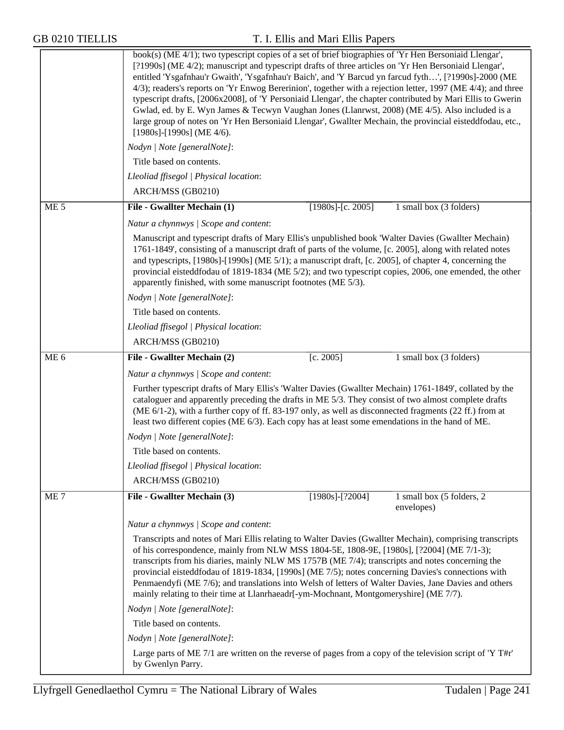|                 | book(s) (ME 4/1); two typescript copies of a set of brief biographies of 'Yr Hen Bersoniaid Llengar',<br>[?1990s] (ME 4/2); manuscript and typescript drafts of three articles on 'Yr Hen Bersoniaid Llengar',<br>entitled 'Ysgafnhau'r Gwaith', 'Ysgafnhau'r Baich', and 'Y Barcud yn farcud fyth', [?1990s]-2000 (ME<br>4/3); readers's reports on 'Yr Enwog Bererinion', together with a rejection letter, 1997 (ME 4/4); and three<br>typescript drafts, [2006x2008], of 'Y Personiaid Llengar', the chapter contributed by Mari Ellis to Gwerin<br>Gwlad, ed. by E. Wyn James & Tecwyn Vaughan Jones (Llanrwst, 2008) (ME 4/5). Also included is a<br>large group of notes on 'Yr Hen Bersoniaid Llengar', Gwallter Mechain, the provincial eisteddfodau, etc.,<br>$[1980s]$ - $[1990s]$ (ME 4/6). |                       |                                         |  |  |
|-----------------|---------------------------------------------------------------------------------------------------------------------------------------------------------------------------------------------------------------------------------------------------------------------------------------------------------------------------------------------------------------------------------------------------------------------------------------------------------------------------------------------------------------------------------------------------------------------------------------------------------------------------------------------------------------------------------------------------------------------------------------------------------------------------------------------------------|-----------------------|-----------------------------------------|--|--|
|                 | Nodyn   Note [generalNote]:                                                                                                                                                                                                                                                                                                                                                                                                                                                                                                                                                                                                                                                                                                                                                                             |                       |                                         |  |  |
|                 | Title based on contents.                                                                                                                                                                                                                                                                                                                                                                                                                                                                                                                                                                                                                                                                                                                                                                                |                       |                                         |  |  |
|                 | Lleoliad ffisegol   Physical location:                                                                                                                                                                                                                                                                                                                                                                                                                                                                                                                                                                                                                                                                                                                                                                  |                       |                                         |  |  |
|                 | ARCH/MSS (GB0210)                                                                                                                                                                                                                                                                                                                                                                                                                                                                                                                                                                                                                                                                                                                                                                                       |                       |                                         |  |  |
| ME <sub>5</sub> | File - Gwallter Mechain (1)                                                                                                                                                                                                                                                                                                                                                                                                                                                                                                                                                                                                                                                                                                                                                                             | $[1980s]$ -[c. 2005]  | 1 small box (3 folders)                 |  |  |
|                 | Natur a chynnwys / Scope and content:                                                                                                                                                                                                                                                                                                                                                                                                                                                                                                                                                                                                                                                                                                                                                                   |                       |                                         |  |  |
|                 | Manuscript and typescript drafts of Mary Ellis's unpublished book 'Walter Davies (Gwallter Mechain)<br>1761-1849', consisting of a manuscript draft of parts of the volume, [c. 2005], along with related notes<br>and typescripts, [1980s]-[1990s] (ME 5/1); a manuscript draft, [c. 2005], of chapter 4, concerning the<br>provincial eisteddfodau of 1819-1834 (ME 5/2); and two typescript copies, 2006, one emended, the other<br>apparently finished, with some manuscript footnotes (ME 5/3).                                                                                                                                                                                                                                                                                                    |                       |                                         |  |  |
|                 | Nodyn   Note [generalNote]:                                                                                                                                                                                                                                                                                                                                                                                                                                                                                                                                                                                                                                                                                                                                                                             |                       |                                         |  |  |
|                 | Title based on contents.                                                                                                                                                                                                                                                                                                                                                                                                                                                                                                                                                                                                                                                                                                                                                                                |                       |                                         |  |  |
|                 | Lleoliad ffisegol   Physical location:                                                                                                                                                                                                                                                                                                                                                                                                                                                                                                                                                                                                                                                                                                                                                                  |                       |                                         |  |  |
|                 | ARCH/MSS (GB0210)                                                                                                                                                                                                                                                                                                                                                                                                                                                                                                                                                                                                                                                                                                                                                                                       |                       |                                         |  |  |
| ME <sub>6</sub> | File - Gwallter Mechain (2)                                                                                                                                                                                                                                                                                                                                                                                                                                                                                                                                                                                                                                                                                                                                                                             | [c. 2005]             | 1 small box (3 folders)                 |  |  |
|                 | Natur a chynnwys / Scope and content:                                                                                                                                                                                                                                                                                                                                                                                                                                                                                                                                                                                                                                                                                                                                                                   |                       |                                         |  |  |
|                 | Further typescript drafts of Mary Ellis's 'Walter Davies (Gwallter Mechain) 1761-1849', collated by the<br>cataloguer and apparently preceding the drafts in ME 5/3. They consist of two almost complete drafts<br>(ME 6/1-2), with a further copy of ff. 83-197 only, as well as disconnected fragments (22 ff.) from at<br>least two different copies (ME 6/3). Each copy has at least some emendations in the hand of ME.                                                                                                                                                                                                                                                                                                                                                                            |                       |                                         |  |  |
|                 | Nodyn   Note [generalNote]:                                                                                                                                                                                                                                                                                                                                                                                                                                                                                                                                                                                                                                                                                                                                                                             |                       |                                         |  |  |
|                 | Title based on contents.                                                                                                                                                                                                                                                                                                                                                                                                                                                                                                                                                                                                                                                                                                                                                                                |                       |                                         |  |  |
|                 | Lleoliad ffisegol   Physical location:                                                                                                                                                                                                                                                                                                                                                                                                                                                                                                                                                                                                                                                                                                                                                                  |                       |                                         |  |  |
|                 | ARCH/MSS (GB0210)                                                                                                                                                                                                                                                                                                                                                                                                                                                                                                                                                                                                                                                                                                                                                                                       |                       |                                         |  |  |
| ME <sub>7</sub> | File - Gwallter Mechain (3)                                                                                                                                                                                                                                                                                                                                                                                                                                                                                                                                                                                                                                                                                                                                                                             | $[1980s]$ - $[?2004]$ | 1 small box (5 folders, 2<br>envelopes) |  |  |
|                 | Natur a chynnwys / Scope and content:                                                                                                                                                                                                                                                                                                                                                                                                                                                                                                                                                                                                                                                                                                                                                                   |                       |                                         |  |  |
|                 | Transcripts and notes of Mari Ellis relating to Walter Davies (Gwallter Mechain), comprising transcripts<br>of his correspondence, mainly from NLW MSS 1804-5E, 1808-9E, [1980s], [?2004] (ME 7/1-3);<br>transcripts from his diaries, mainly NLW MS 1757B (ME 7/4); transcripts and notes concerning the<br>provincial eisteddfodau of 1819-1834, [1990s] (ME 7/5); notes concerning Davies's connections with<br>Penmaendyfi (ME 7/6); and translations into Welsh of letters of Walter Davies, Jane Davies and others<br>mainly relating to their time at Llanrhaeadr[-ym-Mochnant, Montgomeryshire] (ME 7/7).                                                                                                                                                                                       |                       |                                         |  |  |
|                 | Nodyn   Note [generalNote]:                                                                                                                                                                                                                                                                                                                                                                                                                                                                                                                                                                                                                                                                                                                                                                             |                       |                                         |  |  |
|                 | Title based on contents.                                                                                                                                                                                                                                                                                                                                                                                                                                                                                                                                                                                                                                                                                                                                                                                |                       |                                         |  |  |
|                 | Nodyn   Note [generalNote]:                                                                                                                                                                                                                                                                                                                                                                                                                                                                                                                                                                                                                                                                                                                                                                             |                       |                                         |  |  |
|                 | Large parts of ME 7/1 are written on the reverse of pages from a copy of the television script of 'Y T#r'<br>by Gwenlyn Parry.                                                                                                                                                                                                                                                                                                                                                                                                                                                                                                                                                                                                                                                                          |                       |                                         |  |  |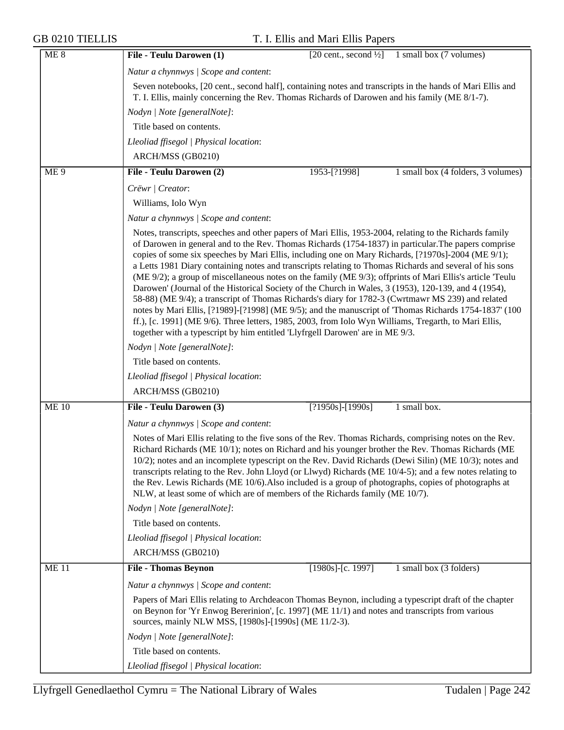| ME <sub>8</sub> | File - Teulu Darowen (1)<br>[20 cent., second $\frac{1}{2}$ ] 1 small box (7 volumes)                                                                                                                                                                                                                                                                                                                                                                                                                                                                                                                                                                                                                                                                                                                                                                                                                                                                                                                                                                         |
|-----------------|---------------------------------------------------------------------------------------------------------------------------------------------------------------------------------------------------------------------------------------------------------------------------------------------------------------------------------------------------------------------------------------------------------------------------------------------------------------------------------------------------------------------------------------------------------------------------------------------------------------------------------------------------------------------------------------------------------------------------------------------------------------------------------------------------------------------------------------------------------------------------------------------------------------------------------------------------------------------------------------------------------------------------------------------------------------|
|                 | Natur a chynnwys / Scope and content:                                                                                                                                                                                                                                                                                                                                                                                                                                                                                                                                                                                                                                                                                                                                                                                                                                                                                                                                                                                                                         |
|                 | Seven notebooks, [20 cent., second half], containing notes and transcripts in the hands of Mari Ellis and<br>T. I. Ellis, mainly concerning the Rev. Thomas Richards of Darowen and his family (ME 8/1-7).                                                                                                                                                                                                                                                                                                                                                                                                                                                                                                                                                                                                                                                                                                                                                                                                                                                    |
|                 | Nodyn   Note [generalNote]:                                                                                                                                                                                                                                                                                                                                                                                                                                                                                                                                                                                                                                                                                                                                                                                                                                                                                                                                                                                                                                   |
|                 | Title based on contents.                                                                                                                                                                                                                                                                                                                                                                                                                                                                                                                                                                                                                                                                                                                                                                                                                                                                                                                                                                                                                                      |
|                 | Lleoliad ffisegol   Physical location:                                                                                                                                                                                                                                                                                                                                                                                                                                                                                                                                                                                                                                                                                                                                                                                                                                                                                                                                                                                                                        |
|                 | ARCH/MSS (GB0210)                                                                                                                                                                                                                                                                                                                                                                                                                                                                                                                                                                                                                                                                                                                                                                                                                                                                                                                                                                                                                                             |
| ME <sub>9</sub> | File - Teulu Darowen (2)<br>1953-[?1998]<br>1 small box (4 folders, 3 volumes)                                                                                                                                                                                                                                                                                                                                                                                                                                                                                                                                                                                                                                                                                                                                                                                                                                                                                                                                                                                |
|                 | Crëwr   Creator:                                                                                                                                                                                                                                                                                                                                                                                                                                                                                                                                                                                                                                                                                                                                                                                                                                                                                                                                                                                                                                              |
|                 | Williams, Iolo Wyn                                                                                                                                                                                                                                                                                                                                                                                                                                                                                                                                                                                                                                                                                                                                                                                                                                                                                                                                                                                                                                            |
|                 | Natur a chynnwys / Scope and content:                                                                                                                                                                                                                                                                                                                                                                                                                                                                                                                                                                                                                                                                                                                                                                                                                                                                                                                                                                                                                         |
|                 | Notes, transcripts, speeches and other papers of Mari Ellis, 1953-2004, relating to the Richards family<br>of Darowen in general and to the Rev. Thomas Richards (1754-1837) in particular. The papers comprise<br>copies of some six speeches by Mari Ellis, including one on Mary Richards, [?1970s]-2004 (ME 9/1);<br>a Letts 1981 Diary containing notes and transcripts relating to Thomas Richards and several of his sons<br>(ME 9/2); a group of miscellaneous notes on the family (ME 9/3); offprints of Mari Ellis's article 'Teulu<br>Darowen' (Journal of the Historical Society of the Church in Wales, 3 (1953), 120-139, and 4 (1954),<br>58-88) (ME 9/4); a transcript of Thomas Richards's diary for 1782-3 (Cwrtmawr MS 239) and related<br>notes by Mari Ellis, [?1989]-[?1998] (ME 9/5); and the manuscript of 'Thomas Richards 1754-1837' (100<br>ff.), [c. 1991] (ME 9/6). Three letters, 1985, 2003, from Iolo Wyn Williams, Tregarth, to Mari Ellis,<br>together with a typescript by him entitled 'Llyfrgell Darowen' are in ME 9/3. |
|                 | Nodyn   Note [generalNote]:                                                                                                                                                                                                                                                                                                                                                                                                                                                                                                                                                                                                                                                                                                                                                                                                                                                                                                                                                                                                                                   |
|                 | Title based on contents.                                                                                                                                                                                                                                                                                                                                                                                                                                                                                                                                                                                                                                                                                                                                                                                                                                                                                                                                                                                                                                      |
|                 | Lleoliad ffisegol   Physical location:                                                                                                                                                                                                                                                                                                                                                                                                                                                                                                                                                                                                                                                                                                                                                                                                                                                                                                                                                                                                                        |
|                 | ARCH/MSS (GB0210)                                                                                                                                                                                                                                                                                                                                                                                                                                                                                                                                                                                                                                                                                                                                                                                                                                                                                                                                                                                                                                             |
| <b>ME 10</b>    | File - Teulu Darowen (3)<br>$[?1950s] - [1990s]$<br>1 small box.                                                                                                                                                                                                                                                                                                                                                                                                                                                                                                                                                                                                                                                                                                                                                                                                                                                                                                                                                                                              |
|                 | Natur a chynnwys   Scope and content:                                                                                                                                                                                                                                                                                                                                                                                                                                                                                                                                                                                                                                                                                                                                                                                                                                                                                                                                                                                                                         |
|                 | Notes of Mari Ellis relating to the five sons of the Rev. Thomas Richards, comprising notes on the Rev.<br>Richard Richards (ME 10/1); notes on Richard and his younger brother the Rev. Thomas Richards (ME<br>10/2); notes and an incomplete typescript on the Rev. David Richards (Dewi Silin) (ME 10/3); notes and<br>transcripts relating to the Rev. John Lloyd (or Llwyd) Richards (ME 10/4-5); and a few notes relating to<br>the Rev. Lewis Richards (ME 10/6). Also included is a group of photographs, copies of photographs at<br>NLW, at least some of which are of members of the Richards family (ME 10/7).                                                                                                                                                                                                                                                                                                                                                                                                                                    |
|                 | Nodyn   Note [generalNote]:                                                                                                                                                                                                                                                                                                                                                                                                                                                                                                                                                                                                                                                                                                                                                                                                                                                                                                                                                                                                                                   |
|                 | Title based on contents.                                                                                                                                                                                                                                                                                                                                                                                                                                                                                                                                                                                                                                                                                                                                                                                                                                                                                                                                                                                                                                      |
|                 | Lleoliad ffisegol   Physical location:                                                                                                                                                                                                                                                                                                                                                                                                                                                                                                                                                                                                                                                                                                                                                                                                                                                                                                                                                                                                                        |
|                 | ARCH/MSS (GB0210)                                                                                                                                                                                                                                                                                                                                                                                                                                                                                                                                                                                                                                                                                                                                                                                                                                                                                                                                                                                                                                             |
| <b>ME11</b>     | <b>File - Thomas Beynon</b><br>$[1980s]$ -[c. 1997]<br>1 small box (3 folders)                                                                                                                                                                                                                                                                                                                                                                                                                                                                                                                                                                                                                                                                                                                                                                                                                                                                                                                                                                                |
|                 | Natur a chynnwys / Scope and content:                                                                                                                                                                                                                                                                                                                                                                                                                                                                                                                                                                                                                                                                                                                                                                                                                                                                                                                                                                                                                         |
|                 | Papers of Mari Ellis relating to Archdeacon Thomas Beynon, including a typescript draft of the chapter<br>on Beynon for 'Yr Enwog Bererinion', [c. 1997] (ME 11/1) and notes and transcripts from various<br>sources, mainly NLW MSS, [1980s]-[1990s] (ME 11/2-3).                                                                                                                                                                                                                                                                                                                                                                                                                                                                                                                                                                                                                                                                                                                                                                                            |
|                 | Nodyn   Note [generalNote]:                                                                                                                                                                                                                                                                                                                                                                                                                                                                                                                                                                                                                                                                                                                                                                                                                                                                                                                                                                                                                                   |
|                 | Title based on contents.                                                                                                                                                                                                                                                                                                                                                                                                                                                                                                                                                                                                                                                                                                                                                                                                                                                                                                                                                                                                                                      |
|                 | Lleoliad ffisegol   Physical location:                                                                                                                                                                                                                                                                                                                                                                                                                                                                                                                                                                                                                                                                                                                                                                                                                                                                                                                                                                                                                        |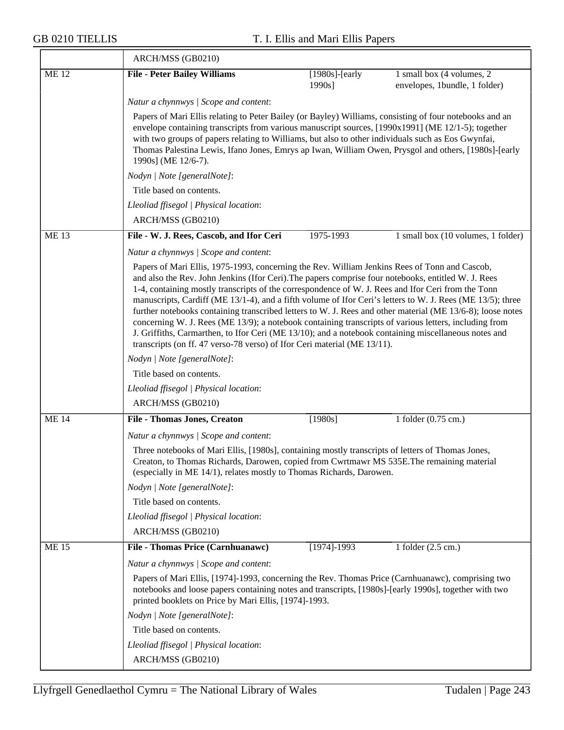|             | ARCH/MSS (GB0210)                                                                                                                                                                                                                                                                                                                                                                                                                                                                                                                                                                                                                                                                                                                                                                                                                   |                                                                                                                                                                                                                                                                         |                                                            |  |  |
|-------------|-------------------------------------------------------------------------------------------------------------------------------------------------------------------------------------------------------------------------------------------------------------------------------------------------------------------------------------------------------------------------------------------------------------------------------------------------------------------------------------------------------------------------------------------------------------------------------------------------------------------------------------------------------------------------------------------------------------------------------------------------------------------------------------------------------------------------------------|-------------------------------------------------------------------------------------------------------------------------------------------------------------------------------------------------------------------------------------------------------------------------|------------------------------------------------------------|--|--|
| <b>ME12</b> | <b>File - Peter Bailey Williams</b>                                                                                                                                                                                                                                                                                                                                                                                                                                                                                                                                                                                                                                                                                                                                                                                                 | $[1980s]$ -[early<br>1990s]                                                                                                                                                                                                                                             | 1 small box (4 volumes, 2<br>envelopes, 1bundle, 1 folder) |  |  |
|             | Natur a chynnwys / Scope and content:                                                                                                                                                                                                                                                                                                                                                                                                                                                                                                                                                                                                                                                                                                                                                                                               |                                                                                                                                                                                                                                                                         |                                                            |  |  |
|             | Papers of Mari Ellis relating to Peter Bailey (or Bayley) Williams, consisting of four notebooks and an<br>envelope containing transcripts from various manuscript sources, [1990x1991] (ME 12/1-5); together<br>with two groups of papers relating to Williams, but also to other individuals such as Eos Gwynfai,<br>Thomas Palestina Lewis, Ifano Jones, Emrys ap Iwan, William Owen, Prysgol and others, [1980s]-[early<br>1990s] (ME 12/6-7).                                                                                                                                                                                                                                                                                                                                                                                  |                                                                                                                                                                                                                                                                         |                                                            |  |  |
|             | Nodyn   Note [generalNote]:                                                                                                                                                                                                                                                                                                                                                                                                                                                                                                                                                                                                                                                                                                                                                                                                         |                                                                                                                                                                                                                                                                         |                                                            |  |  |
|             | Title based on contents.                                                                                                                                                                                                                                                                                                                                                                                                                                                                                                                                                                                                                                                                                                                                                                                                            |                                                                                                                                                                                                                                                                         |                                                            |  |  |
|             | Lleoliad ffisegol   Physical location:                                                                                                                                                                                                                                                                                                                                                                                                                                                                                                                                                                                                                                                                                                                                                                                              |                                                                                                                                                                                                                                                                         |                                                            |  |  |
|             | ARCH/MSS (GB0210)                                                                                                                                                                                                                                                                                                                                                                                                                                                                                                                                                                                                                                                                                                                                                                                                                   |                                                                                                                                                                                                                                                                         |                                                            |  |  |
| <b>ME13</b> | File - W. J. Rees, Cascob, and Ifor Ceri                                                                                                                                                                                                                                                                                                                                                                                                                                                                                                                                                                                                                                                                                                                                                                                            | 1975-1993                                                                                                                                                                                                                                                               | 1 small box (10 volumes, 1 folder)                         |  |  |
|             | Natur a chynnwys / Scope and content:                                                                                                                                                                                                                                                                                                                                                                                                                                                                                                                                                                                                                                                                                                                                                                                               |                                                                                                                                                                                                                                                                         |                                                            |  |  |
|             | Papers of Mari Ellis, 1975-1993, concerning the Rev. William Jenkins Rees of Tonn and Cascob,<br>and also the Rev. John Jenkins (Ifor Ceri). The papers comprise four notebooks, entitled W. J. Rees<br>1-4, containing mostly transcripts of the correspondence of W. J. Rees and Ifor Ceri from the Tonn<br>manuscripts, Cardiff (ME 13/1-4), and a fifth volume of Ifor Ceri's letters to W. J. Rees (ME 13/5); three<br>further notebooks containing transcribed letters to W. J. Rees and other material (ME 13/6-8); loose notes<br>concerning W. J. Rees (ME 13/9); a notebook containing transcripts of various letters, including from<br>J. Griffiths, Carmarthen, to Ifor Ceri (ME 13/10); and a notebook containing miscellaneous notes and<br>transcripts (on ff. 47 verso-78 verso) of Ifor Ceri material (ME 13/11). |                                                                                                                                                                                                                                                                         |                                                            |  |  |
|             | Nodyn   Note [generalNote]:                                                                                                                                                                                                                                                                                                                                                                                                                                                                                                                                                                                                                                                                                                                                                                                                         |                                                                                                                                                                                                                                                                         |                                                            |  |  |
|             | Title based on contents.                                                                                                                                                                                                                                                                                                                                                                                                                                                                                                                                                                                                                                                                                                                                                                                                            |                                                                                                                                                                                                                                                                         |                                                            |  |  |
|             | Lleoliad ffisegol   Physical location:                                                                                                                                                                                                                                                                                                                                                                                                                                                                                                                                                                                                                                                                                                                                                                                              |                                                                                                                                                                                                                                                                         |                                                            |  |  |
|             | ARCH/MSS (GB0210)                                                                                                                                                                                                                                                                                                                                                                                                                                                                                                                                                                                                                                                                                                                                                                                                                   |                                                                                                                                                                                                                                                                         |                                                            |  |  |
| <b>ME14</b> | <b>File - Thomas Jones, Creaton</b>                                                                                                                                                                                                                                                                                                                                                                                                                                                                                                                                                                                                                                                                                                                                                                                                 | [1980s]                                                                                                                                                                                                                                                                 | 1 folder (0.75 cm.)                                        |  |  |
|             | Natur a chynnwys / Scope and content:                                                                                                                                                                                                                                                                                                                                                                                                                                                                                                                                                                                                                                                                                                                                                                                               |                                                                                                                                                                                                                                                                         |                                                            |  |  |
|             |                                                                                                                                                                                                                                                                                                                                                                                                                                                                                                                                                                                                                                                                                                                                                                                                                                     | Three notebooks of Mari Ellis, [1980s], containing mostly transcripts of letters of Thomas Jones,<br>Creaton, to Thomas Richards, Darowen, copied from Cwrtmawr MS 535E. The remaining material<br>(especially in ME 14/1), relates mostly to Thomas Richards, Darowen. |                                                            |  |  |
|             | Nodyn   Note [generalNote]:                                                                                                                                                                                                                                                                                                                                                                                                                                                                                                                                                                                                                                                                                                                                                                                                         |                                                                                                                                                                                                                                                                         |                                                            |  |  |
|             | Title based on contents.                                                                                                                                                                                                                                                                                                                                                                                                                                                                                                                                                                                                                                                                                                                                                                                                            |                                                                                                                                                                                                                                                                         |                                                            |  |  |
|             | Lleoliad ffisegol   Physical location:                                                                                                                                                                                                                                                                                                                                                                                                                                                                                                                                                                                                                                                                                                                                                                                              |                                                                                                                                                                                                                                                                         |                                                            |  |  |
|             | ARCH/MSS (GB0210)                                                                                                                                                                                                                                                                                                                                                                                                                                                                                                                                                                                                                                                                                                                                                                                                                   |                                                                                                                                                                                                                                                                         |                                                            |  |  |
| <b>ME15</b> | File - Thomas Price (Carnhuanawc)                                                                                                                                                                                                                                                                                                                                                                                                                                                                                                                                                                                                                                                                                                                                                                                                   | $[1974] - 1993$                                                                                                                                                                                                                                                         | 1 folder (2.5 cm.)                                         |  |  |
|             | Natur a chynnwys / Scope and content:                                                                                                                                                                                                                                                                                                                                                                                                                                                                                                                                                                                                                                                                                                                                                                                               |                                                                                                                                                                                                                                                                         |                                                            |  |  |
|             |                                                                                                                                                                                                                                                                                                                                                                                                                                                                                                                                                                                                                                                                                                                                                                                                                                     | Papers of Mari Ellis, [1974]-1993, concerning the Rev. Thomas Price (Carnhuanawc), comprising two<br>notebooks and loose papers containing notes and transcripts, [1980s]-[early 1990s], together with two<br>printed booklets on Price by Mari Ellis, [1974]-1993.     |                                                            |  |  |
|             | Nodyn   Note [generalNote]:                                                                                                                                                                                                                                                                                                                                                                                                                                                                                                                                                                                                                                                                                                                                                                                                         |                                                                                                                                                                                                                                                                         |                                                            |  |  |
|             | Title based on contents.                                                                                                                                                                                                                                                                                                                                                                                                                                                                                                                                                                                                                                                                                                                                                                                                            |                                                                                                                                                                                                                                                                         |                                                            |  |  |
|             | Lleoliad ffisegol   Physical location:                                                                                                                                                                                                                                                                                                                                                                                                                                                                                                                                                                                                                                                                                                                                                                                              |                                                                                                                                                                                                                                                                         |                                                            |  |  |
|             | ARCH/MSS (GB0210)                                                                                                                                                                                                                                                                                                                                                                                                                                                                                                                                                                                                                                                                                                                                                                                                                   |                                                                                                                                                                                                                                                                         |                                                            |  |  |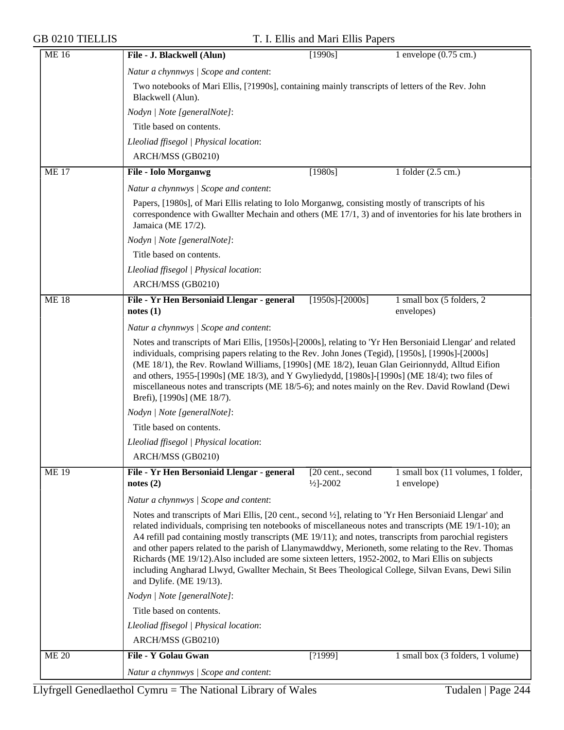| <b>ME16</b>  | File - J. Blackwell (Alun)                                                                                                                                                                                                                                                                                                                                                                                                                                                                                                                                                                                                                                             | [1990s]                                                                                          | 1 envelope $(0.75 \text{ cm.})$                   |  |  |  |
|--------------|------------------------------------------------------------------------------------------------------------------------------------------------------------------------------------------------------------------------------------------------------------------------------------------------------------------------------------------------------------------------------------------------------------------------------------------------------------------------------------------------------------------------------------------------------------------------------------------------------------------------------------------------------------------------|--------------------------------------------------------------------------------------------------|---------------------------------------------------|--|--|--|
|              | Natur a chynnwys / Scope and content:                                                                                                                                                                                                                                                                                                                                                                                                                                                                                                                                                                                                                                  |                                                                                                  |                                                   |  |  |  |
|              | Blackwell (Alun).                                                                                                                                                                                                                                                                                                                                                                                                                                                                                                                                                                                                                                                      | Two notebooks of Mari Ellis, [?1990s], containing mainly transcripts of letters of the Rev. John |                                                   |  |  |  |
|              | Nodyn   Note [generalNote]:                                                                                                                                                                                                                                                                                                                                                                                                                                                                                                                                                                                                                                            |                                                                                                  |                                                   |  |  |  |
|              | Title based on contents.                                                                                                                                                                                                                                                                                                                                                                                                                                                                                                                                                                                                                                               |                                                                                                  |                                                   |  |  |  |
|              | Lleoliad ffisegol   Physical location:                                                                                                                                                                                                                                                                                                                                                                                                                                                                                                                                                                                                                                 |                                                                                                  |                                                   |  |  |  |
|              | ARCH/MSS (GB0210)                                                                                                                                                                                                                                                                                                                                                                                                                                                                                                                                                                                                                                                      |                                                                                                  |                                                   |  |  |  |
| <b>ME17</b>  | <b>File - Iolo Morganwg</b>                                                                                                                                                                                                                                                                                                                                                                                                                                                                                                                                                                                                                                            | [1980s]                                                                                          | 1 folder $(2.5 \text{ cm.})$                      |  |  |  |
|              | Natur a chynnwys / Scope and content:                                                                                                                                                                                                                                                                                                                                                                                                                                                                                                                                                                                                                                  |                                                                                                  |                                                   |  |  |  |
|              | Papers, [1980s], of Mari Ellis relating to Iolo Morganwg, consisting mostly of transcripts of his<br>correspondence with Gwallter Mechain and others (ME 17/1, 3) and of inventories for his late brothers in<br>Jamaica (ME 17/2).                                                                                                                                                                                                                                                                                                                                                                                                                                    |                                                                                                  |                                                   |  |  |  |
|              | Nodyn   Note [generalNote]:                                                                                                                                                                                                                                                                                                                                                                                                                                                                                                                                                                                                                                            |                                                                                                  |                                                   |  |  |  |
|              | Title based on contents.                                                                                                                                                                                                                                                                                                                                                                                                                                                                                                                                                                                                                                               |                                                                                                  |                                                   |  |  |  |
|              | Lleoliad ffisegol   Physical location:                                                                                                                                                                                                                                                                                                                                                                                                                                                                                                                                                                                                                                 |                                                                                                  |                                                   |  |  |  |
|              | ARCH/MSS (GB0210)                                                                                                                                                                                                                                                                                                                                                                                                                                                                                                                                                                                                                                                      |                                                                                                  |                                                   |  |  |  |
| <b>ME18</b>  | File - Yr Hen Bersoniaid Llengar - general<br>notes(1)                                                                                                                                                                                                                                                                                                                                                                                                                                                                                                                                                                                                                 | $[1950s]$ - $[2000s]$                                                                            | 1 small box (5 folders, 2<br>envelopes)           |  |  |  |
|              | Natur a chynnwys / Scope and content:                                                                                                                                                                                                                                                                                                                                                                                                                                                                                                                                                                                                                                  |                                                                                                  |                                                   |  |  |  |
|              | Notes and transcripts of Mari Ellis, [1950s]-[2000s], relating to 'Yr Hen Bersoniaid Llengar' and related<br>individuals, comprising papers relating to the Rev. John Jones (Tegid), [1950s], [1990s]-[2000s]<br>(ME 18/1), the Rev. Rowland Williams, [1990s] (ME 18/2), Ieuan Glan Geirionnydd, Alltud Eifion<br>and others, 1955-[1990s] (ME 18/3), and Y Gwyliedydd, [1980s]-[1990s] (ME 18/4); two files of<br>miscellaneous notes and transcripts (ME 18/5-6); and notes mainly on the Rev. David Rowland (Dewi<br>Brefi), [1990s] (ME 18/7).                                                                                                                    |                                                                                                  |                                                   |  |  |  |
|              | Nodyn   Note [generalNote]:                                                                                                                                                                                                                                                                                                                                                                                                                                                                                                                                                                                                                                            |                                                                                                  |                                                   |  |  |  |
|              | Title based on contents.                                                                                                                                                                                                                                                                                                                                                                                                                                                                                                                                                                                                                                               |                                                                                                  |                                                   |  |  |  |
|              | Lleoliad ffisegol   Physical location:                                                                                                                                                                                                                                                                                                                                                                                                                                                                                                                                                                                                                                 |                                                                                                  |                                                   |  |  |  |
|              | ARCH/MSS (GB0210)                                                                                                                                                                                                                                                                                                                                                                                                                                                                                                                                                                                                                                                      |                                                                                                  |                                                   |  |  |  |
| <b>ME19</b>  | File - Yr Hen Bersoniaid Llengar - general<br>notes $(2)$                                                                                                                                                                                                                                                                                                                                                                                                                                                                                                                                                                                                              | [20 cent., second<br>$\frac{1}{2}$ -2002                                                         | 1 small box (11 volumes, 1 folder,<br>1 envelope) |  |  |  |
|              | Natur a chynnwys / Scope and content:                                                                                                                                                                                                                                                                                                                                                                                                                                                                                                                                                                                                                                  |                                                                                                  |                                                   |  |  |  |
|              | Notes and transcripts of Mari Ellis, [20 cent., second ½], relating to 'Yr Hen Bersoniaid Llengar' and<br>related individuals, comprising ten notebooks of miscellaneous notes and transcripts (ME 19/1-10); an<br>A4 refill pad containing mostly transcripts (ME 19/11); and notes, transcripts from parochial registers<br>and other papers related to the parish of Llanymawddwy, Merioneth, some relating to the Rev. Thomas<br>Richards (ME 19/12). Also included are some sixteen letters, 1952-2002, to Mari Ellis on subjects<br>including Angharad Llwyd, Gwallter Mechain, St Bees Theological College, Silvan Evans, Dewi Silin<br>and Dylife. (ME 19/13). |                                                                                                  |                                                   |  |  |  |
|              | Nodyn   Note [generalNote]:                                                                                                                                                                                                                                                                                                                                                                                                                                                                                                                                                                                                                                            |                                                                                                  |                                                   |  |  |  |
|              | Title based on contents.                                                                                                                                                                                                                                                                                                                                                                                                                                                                                                                                                                                                                                               |                                                                                                  |                                                   |  |  |  |
|              | Lleoliad ffisegol   Physical location:                                                                                                                                                                                                                                                                                                                                                                                                                                                                                                                                                                                                                                 |                                                                                                  |                                                   |  |  |  |
|              | ARCH/MSS (GB0210)                                                                                                                                                                                                                                                                                                                                                                                                                                                                                                                                                                                                                                                      |                                                                                                  |                                                   |  |  |  |
| <b>ME 20</b> | File - Y Golau Gwan                                                                                                                                                                                                                                                                                                                                                                                                                                                                                                                                                                                                                                                    | [?1999]                                                                                          | 1 small box (3 folders, 1 volume)                 |  |  |  |
|              | Natur a chynnwys / Scope and content:                                                                                                                                                                                                                                                                                                                                                                                                                                                                                                                                                                                                                                  |                                                                                                  |                                                   |  |  |  |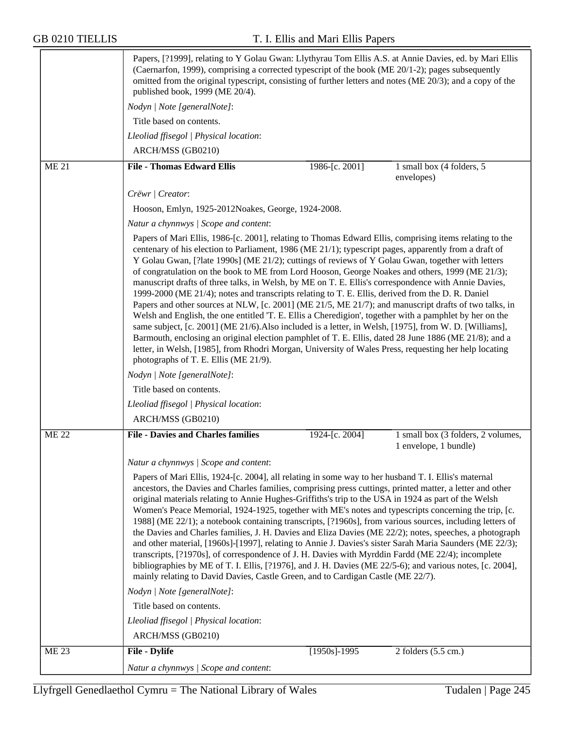|              | Papers, [?1999], relating to Y Golau Gwan: Llythyrau Tom Ellis A.S. at Annie Davies, ed. by Mari Ellis<br>(Caernarfon, 1999), comprising a corrected typescript of the book (ME 20/1-2); pages subsequently<br>omitted from the original typescript, consisting of further letters and notes (ME 20/3); and a copy of the<br>published book, 1999 (ME 20/4).                                                                                                                                                                                                                                                                                                                                                                                                                                                                                                                                                                                                                                                                                                                                                                                                                                                                   |  |  |
|--------------|--------------------------------------------------------------------------------------------------------------------------------------------------------------------------------------------------------------------------------------------------------------------------------------------------------------------------------------------------------------------------------------------------------------------------------------------------------------------------------------------------------------------------------------------------------------------------------------------------------------------------------------------------------------------------------------------------------------------------------------------------------------------------------------------------------------------------------------------------------------------------------------------------------------------------------------------------------------------------------------------------------------------------------------------------------------------------------------------------------------------------------------------------------------------------------------------------------------------------------|--|--|
|              | Nodyn   Note [generalNote]:                                                                                                                                                                                                                                                                                                                                                                                                                                                                                                                                                                                                                                                                                                                                                                                                                                                                                                                                                                                                                                                                                                                                                                                                    |  |  |
|              | Title based on contents.                                                                                                                                                                                                                                                                                                                                                                                                                                                                                                                                                                                                                                                                                                                                                                                                                                                                                                                                                                                                                                                                                                                                                                                                       |  |  |
|              | Lleoliad ffisegol   Physical location:                                                                                                                                                                                                                                                                                                                                                                                                                                                                                                                                                                                                                                                                                                                                                                                                                                                                                                                                                                                                                                                                                                                                                                                         |  |  |
|              | ARCH/MSS (GB0210)                                                                                                                                                                                                                                                                                                                                                                                                                                                                                                                                                                                                                                                                                                                                                                                                                                                                                                                                                                                                                                                                                                                                                                                                              |  |  |
| <b>ME 21</b> | <b>File - Thomas Edward Ellis</b><br>1986-[c. 2001]<br>1 small box (4 folders, 5<br>envelopes)                                                                                                                                                                                                                                                                                                                                                                                                                                                                                                                                                                                                                                                                                                                                                                                                                                                                                                                                                                                                                                                                                                                                 |  |  |
|              | Crëwr   Creator:                                                                                                                                                                                                                                                                                                                                                                                                                                                                                                                                                                                                                                                                                                                                                                                                                                                                                                                                                                                                                                                                                                                                                                                                               |  |  |
|              | Hooson, Emlyn, 1925-2012 Noakes, George, 1924-2008.                                                                                                                                                                                                                                                                                                                                                                                                                                                                                                                                                                                                                                                                                                                                                                                                                                                                                                                                                                                                                                                                                                                                                                            |  |  |
|              | Natur a chynnwys / Scope and content:                                                                                                                                                                                                                                                                                                                                                                                                                                                                                                                                                                                                                                                                                                                                                                                                                                                                                                                                                                                                                                                                                                                                                                                          |  |  |
|              | Papers of Mari Ellis, 1986-[c. 2001], relating to Thomas Edward Ellis, comprising items relating to the<br>centenary of his election to Parliament, 1986 (ME 21/1); typescript pages, apparently from a draft of<br>Y Golau Gwan, [?late 1990s] (ME 21/2); cuttings of reviews of Y Golau Gwan, together with letters<br>of congratulation on the book to ME from Lord Hooson, George Noakes and others, 1999 (ME 21/3);<br>manuscript drafts of three talks, in Welsh, by ME on T. E. Ellis's correspondence with Annie Davies,<br>1999-2000 (ME 21/4); notes and transcripts relating to T. E. Ellis, derived from the D. R. Daniel<br>Papers and other sources at NLW, [c. 2001] (ME 21/5, ME 21/7); and manuscript drafts of two talks, in<br>Welsh and English, the one entitled 'T. E. Ellis a Cheredigion', together with a pamphlet by her on the<br>same subject, [c. 2001] (ME 21/6). Also included is a letter, in Welsh, [1975], from W. D. [Williams],<br>Barmouth, enclosing an original election pamphlet of T. E. Ellis, dated 28 June 1886 (ME 21/8); and a<br>letter, in Welsh, [1985], from Rhodri Morgan, University of Wales Press, requesting her help locating<br>photographs of T. E. Ellis (ME 21/9). |  |  |
|              | Nodyn   Note [generalNote]:                                                                                                                                                                                                                                                                                                                                                                                                                                                                                                                                                                                                                                                                                                                                                                                                                                                                                                                                                                                                                                                                                                                                                                                                    |  |  |
|              | Title based on contents.                                                                                                                                                                                                                                                                                                                                                                                                                                                                                                                                                                                                                                                                                                                                                                                                                                                                                                                                                                                                                                                                                                                                                                                                       |  |  |
|              | Lleoliad ffisegol   Physical location:                                                                                                                                                                                                                                                                                                                                                                                                                                                                                                                                                                                                                                                                                                                                                                                                                                                                                                                                                                                                                                                                                                                                                                                         |  |  |
|              | ARCH/MSS (GB0210)                                                                                                                                                                                                                                                                                                                                                                                                                                                                                                                                                                                                                                                                                                                                                                                                                                                                                                                                                                                                                                                                                                                                                                                                              |  |  |
| <b>ME 22</b> | 1 small box (3 folders, 2 volumes,<br><b>File - Davies and Charles families</b><br>1924-[c. 2004]<br>1 envelope, 1 bundle)                                                                                                                                                                                                                                                                                                                                                                                                                                                                                                                                                                                                                                                                                                                                                                                                                                                                                                                                                                                                                                                                                                     |  |  |
|              | Natur a chynnwys / Scope and content:                                                                                                                                                                                                                                                                                                                                                                                                                                                                                                                                                                                                                                                                                                                                                                                                                                                                                                                                                                                                                                                                                                                                                                                          |  |  |
|              | Papers of Mari Ellis, 1924-[c. 2004], all relating in some way to her husband T. I. Ellis's maternal<br>ancestors, the Davies and Charles families, comprising press cuttings, printed matter, a letter and other<br>original materials relating to Annie Hughes-Griffiths's trip to the USA in 1924 as part of the Welsh<br>Women's Peace Memorial, 1924-1925, together with ME's notes and typescripts concerning the trip, [c.<br>1988] (ME 22/1); a notebook containing transcripts, [?1960s], from various sources, including letters of<br>the Davies and Charles families, J. H. Davies and Eliza Davies (ME 22/2); notes, speeches, a photograph<br>and other material, [1960s]-[1997], relating to Annie J. Davies's sister Sarah Maria Saunders (ME 22/3);<br>transcripts, [?1970s], of correspondence of J. H. Davies with Myrddin Fardd (ME 22/4); incomplete<br>bibliographies by ME of T. I. Ellis, [?1976], and J. H. Davies (ME 22/5-6); and various notes, [c. 2004],<br>mainly relating to David Davies, Castle Green, and to Cardigan Castle (ME 22/7).                                                                                                                                                     |  |  |
|              | Nodyn   Note [generalNote]:                                                                                                                                                                                                                                                                                                                                                                                                                                                                                                                                                                                                                                                                                                                                                                                                                                                                                                                                                                                                                                                                                                                                                                                                    |  |  |
|              | Title based on contents.                                                                                                                                                                                                                                                                                                                                                                                                                                                                                                                                                                                                                                                                                                                                                                                                                                                                                                                                                                                                                                                                                                                                                                                                       |  |  |
|              | Lleoliad ffisegol   Physical location:                                                                                                                                                                                                                                                                                                                                                                                                                                                                                                                                                                                                                                                                                                                                                                                                                                                                                                                                                                                                                                                                                                                                                                                         |  |  |
|              | ARCH/MSS (GB0210)                                                                                                                                                                                                                                                                                                                                                                                                                                                                                                                                                                                                                                                                                                                                                                                                                                                                                                                                                                                                                                                                                                                                                                                                              |  |  |
| <b>ME 23</b> | File - Dylife<br>$[1950s]$ -1995<br>$2$ folders $(5.5 \text{ cm.})$                                                                                                                                                                                                                                                                                                                                                                                                                                                                                                                                                                                                                                                                                                                                                                                                                                                                                                                                                                                                                                                                                                                                                            |  |  |
|              | Natur a chynnwys / Scope and content:                                                                                                                                                                                                                                                                                                                                                                                                                                                                                                                                                                                                                                                                                                                                                                                                                                                                                                                                                                                                                                                                                                                                                                                          |  |  |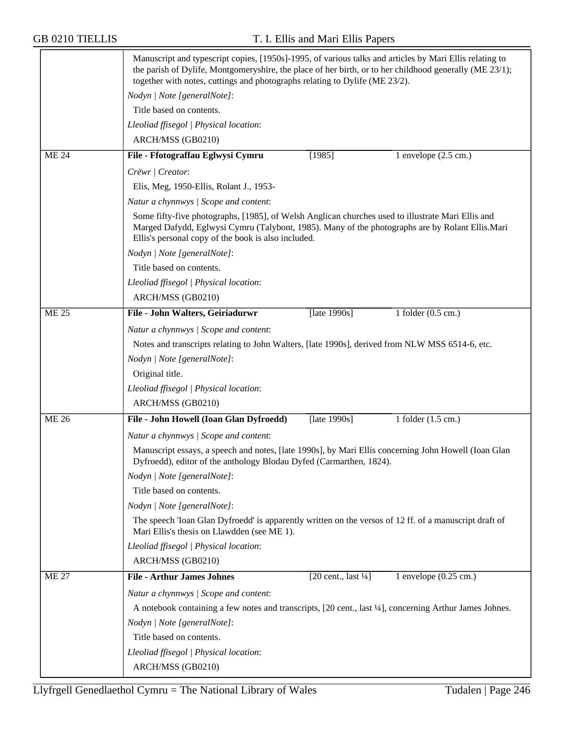|              | Manuscript and typescript copies, [1950s]-1995, of various talks and articles by Mari Ellis relating to<br>the parish of Dylife, Montgomeryshire, the place of her birth, or to her childhood generally (ME 23/1);<br>together with notes, cuttings and photographs relating to Dylife (ME 23/2). |  |  |  |  |
|--------------|---------------------------------------------------------------------------------------------------------------------------------------------------------------------------------------------------------------------------------------------------------------------------------------------------|--|--|--|--|
|              | Nodyn   Note [generalNote]:                                                                                                                                                                                                                                                                       |  |  |  |  |
|              | Title based on contents.                                                                                                                                                                                                                                                                          |  |  |  |  |
|              | Lleoliad ffisegol   Physical location:                                                                                                                                                                                                                                                            |  |  |  |  |
|              | ARCH/MSS (GB0210)                                                                                                                                                                                                                                                                                 |  |  |  |  |
| <b>ME 24</b> | File - Ffotograffau Eglwysi Cymru<br>[1985]<br>1 envelope $(2.5 \text{ cm.})$                                                                                                                                                                                                                     |  |  |  |  |
|              | Crëwr   Creator:                                                                                                                                                                                                                                                                                  |  |  |  |  |
|              | Elis, Meg, 1950-Ellis, Rolant J., 1953-                                                                                                                                                                                                                                                           |  |  |  |  |
|              | Natur a chynnwys / Scope and content:                                                                                                                                                                                                                                                             |  |  |  |  |
|              | Some fifty-five photographs, [1985], of Welsh Anglican churches used to illustrate Mari Ellis and<br>Marged Dafydd, Eglwysi Cymru (Talybont, 1985). Many of the photographs are by Rolant Ellis. Mari<br>Ellis's personal copy of the book is also included.                                      |  |  |  |  |
|              | Nodyn   Note [generalNote]:                                                                                                                                                                                                                                                                       |  |  |  |  |
|              | Title based on contents.                                                                                                                                                                                                                                                                          |  |  |  |  |
|              | Lleoliad ffisegol   Physical location:                                                                                                                                                                                                                                                            |  |  |  |  |
|              | ARCH/MSS (GB0210)                                                                                                                                                                                                                                                                                 |  |  |  |  |
| <b>ME 25</b> | File - John Walters, Geiriadurwr<br>[late 1990s]<br>1 folder $(0.5 \text{ cm.})$                                                                                                                                                                                                                  |  |  |  |  |
|              | Natur a chynnwys / Scope and content:                                                                                                                                                                                                                                                             |  |  |  |  |
|              | Notes and transcripts relating to John Walters, [late 1990s], derived from NLW MSS 6514-6, etc.                                                                                                                                                                                                   |  |  |  |  |
|              | Nodyn   Note [generalNote]:                                                                                                                                                                                                                                                                       |  |  |  |  |
|              | Original title.                                                                                                                                                                                                                                                                                   |  |  |  |  |
|              | Lleoliad ffisegol   Physical location:                                                                                                                                                                                                                                                            |  |  |  |  |
|              | ARCH/MSS (GB0210)                                                                                                                                                                                                                                                                                 |  |  |  |  |
| <b>ME 26</b> | 1 folder $(1.5 \text{ cm.})$<br>File - John Howell (Ioan Glan Dyfroedd)<br>[late 1990s]                                                                                                                                                                                                           |  |  |  |  |
|              | Natur a chynnwys / Scope and content:                                                                                                                                                                                                                                                             |  |  |  |  |
|              | Manuscript essays, a speech and notes, [late 1990s], by Mari Ellis concerning John Howell (Ioan Glan<br>Dyfroedd), editor of the anthology Blodau Dyfed (Carmarthen, 1824).                                                                                                                       |  |  |  |  |
|              | Nodyn   Note [generalNote]:                                                                                                                                                                                                                                                                       |  |  |  |  |
|              | Title based on contents.                                                                                                                                                                                                                                                                          |  |  |  |  |
|              | Nodyn   Note [generalNote]:                                                                                                                                                                                                                                                                       |  |  |  |  |
|              | The speech 'Ioan Glan Dyfroedd' is apparently written on the versos of 12 ff. of a manuscript draft of<br>Mari Ellis's thesis on Llawdden (see ME 1).                                                                                                                                             |  |  |  |  |
|              | Lleoliad ffisegol   Physical location:                                                                                                                                                                                                                                                            |  |  |  |  |
|              | ARCH/MSS (GB0210)                                                                                                                                                                                                                                                                                 |  |  |  |  |
| <b>ME 27</b> | <b>File - Arthur James Johnes</b><br>$[20 \text{ cent.}, \text{last } \frac{1}{4}]$<br>1 envelope $(0.25 \text{ cm.})$                                                                                                                                                                            |  |  |  |  |
|              | Natur a chynnwys / Scope and content:                                                                                                                                                                                                                                                             |  |  |  |  |
|              | A notebook containing a few notes and transcripts, [20 cent., last <sup>1</sup> /4], concerning Arthur James Johnes.                                                                                                                                                                              |  |  |  |  |
|              | Nodyn   Note [generalNote]:                                                                                                                                                                                                                                                                       |  |  |  |  |
|              | Title based on contents.                                                                                                                                                                                                                                                                          |  |  |  |  |
|              | Lleoliad ffisegol   Physical location:                                                                                                                                                                                                                                                            |  |  |  |  |
|              | ARCH/MSS (GB0210)                                                                                                                                                                                                                                                                                 |  |  |  |  |
|              |                                                                                                                                                                                                                                                                                                   |  |  |  |  |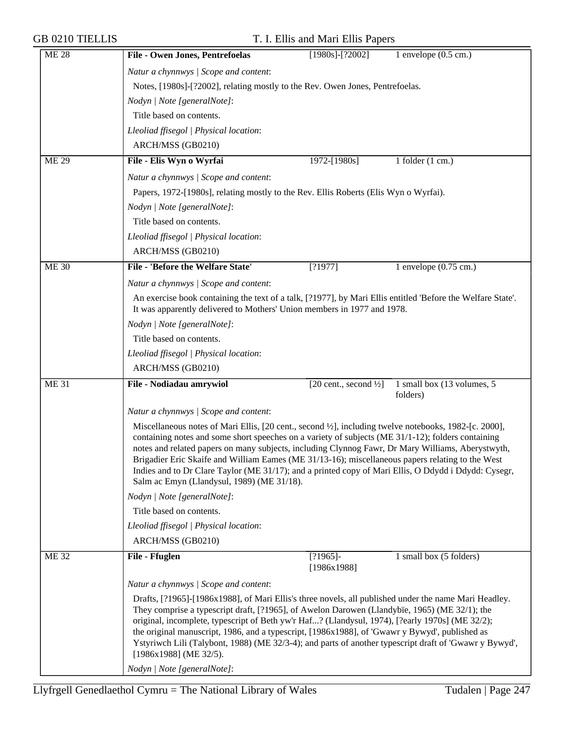| <b>ME 28</b> | <b>File - Owen Jones, Pentrefoelas</b>                                                                                                                                                                                                                                                                                                                                                                                                                                                                                                          | $[1980s]$ - $[?2002]$                                                                                                                                                                                                                                                                                                                                                                                                                                                                                                                                                       | 1 envelope $(0.5 \text{ cm.})$         |  |  |
|--------------|-------------------------------------------------------------------------------------------------------------------------------------------------------------------------------------------------------------------------------------------------------------------------------------------------------------------------------------------------------------------------------------------------------------------------------------------------------------------------------------------------------------------------------------------------|-----------------------------------------------------------------------------------------------------------------------------------------------------------------------------------------------------------------------------------------------------------------------------------------------------------------------------------------------------------------------------------------------------------------------------------------------------------------------------------------------------------------------------------------------------------------------------|----------------------------------------|--|--|
|              | Natur a chynnwys / Scope and content:                                                                                                                                                                                                                                                                                                                                                                                                                                                                                                           |                                                                                                                                                                                                                                                                                                                                                                                                                                                                                                                                                                             |                                        |  |  |
|              | Notes, [1980s]-[?2002], relating mostly to the Rev. Owen Jones, Pentrefoelas.                                                                                                                                                                                                                                                                                                                                                                                                                                                                   |                                                                                                                                                                                                                                                                                                                                                                                                                                                                                                                                                                             |                                        |  |  |
|              | Nodyn   Note [generalNote]:                                                                                                                                                                                                                                                                                                                                                                                                                                                                                                                     |                                                                                                                                                                                                                                                                                                                                                                                                                                                                                                                                                                             |                                        |  |  |
|              | Title based on contents.                                                                                                                                                                                                                                                                                                                                                                                                                                                                                                                        |                                                                                                                                                                                                                                                                                                                                                                                                                                                                                                                                                                             |                                        |  |  |
|              | Lleoliad ffisegol   Physical location:                                                                                                                                                                                                                                                                                                                                                                                                                                                                                                          |                                                                                                                                                                                                                                                                                                                                                                                                                                                                                                                                                                             |                                        |  |  |
|              | ARCH/MSS (GB0210)                                                                                                                                                                                                                                                                                                                                                                                                                                                                                                                               |                                                                                                                                                                                                                                                                                                                                                                                                                                                                                                                                                                             |                                        |  |  |
| <b>ME 29</b> | File - Elis Wyn o Wyrfai                                                                                                                                                                                                                                                                                                                                                                                                                                                                                                                        | 1972-[1980s]                                                                                                                                                                                                                                                                                                                                                                                                                                                                                                                                                                | 1 folder $(1 \text{ cm.})$             |  |  |
|              |                                                                                                                                                                                                                                                                                                                                                                                                                                                                                                                                                 |                                                                                                                                                                                                                                                                                                                                                                                                                                                                                                                                                                             |                                        |  |  |
|              | Natur a chynnwys / Scope and content:                                                                                                                                                                                                                                                                                                                                                                                                                                                                                                           |                                                                                                                                                                                                                                                                                                                                                                                                                                                                                                                                                                             |                                        |  |  |
|              | Papers, 1972-[1980s], relating mostly to the Rev. Ellis Roberts (Elis Wyn o Wyrfai).                                                                                                                                                                                                                                                                                                                                                                                                                                                            |                                                                                                                                                                                                                                                                                                                                                                                                                                                                                                                                                                             |                                        |  |  |
|              | Nodyn   Note [generalNote]:                                                                                                                                                                                                                                                                                                                                                                                                                                                                                                                     |                                                                                                                                                                                                                                                                                                                                                                                                                                                                                                                                                                             |                                        |  |  |
|              | Title based on contents.                                                                                                                                                                                                                                                                                                                                                                                                                                                                                                                        |                                                                                                                                                                                                                                                                                                                                                                                                                                                                                                                                                                             |                                        |  |  |
|              | Lleoliad ffisegol   Physical location:                                                                                                                                                                                                                                                                                                                                                                                                                                                                                                          |                                                                                                                                                                                                                                                                                                                                                                                                                                                                                                                                                                             |                                        |  |  |
|              | ARCH/MSS (GB0210)                                                                                                                                                                                                                                                                                                                                                                                                                                                                                                                               |                                                                                                                                                                                                                                                                                                                                                                                                                                                                                                                                                                             |                                        |  |  |
| <b>ME 30</b> | File - 'Before the Welfare State'                                                                                                                                                                                                                                                                                                                                                                                                                                                                                                               | [?1977]                                                                                                                                                                                                                                                                                                                                                                                                                                                                                                                                                                     | 1 envelope $(0.75 \text{ cm.})$        |  |  |
|              | Natur a chynnwys / Scope and content:                                                                                                                                                                                                                                                                                                                                                                                                                                                                                                           |                                                                                                                                                                                                                                                                                                                                                                                                                                                                                                                                                                             |                                        |  |  |
|              |                                                                                                                                                                                                                                                                                                                                                                                                                                                                                                                                                 | An exercise book containing the text of a talk, [?1977], by Mari Ellis entitled 'Before the Welfare State'.<br>It was apparently delivered to Mothers' Union members in 1977 and 1978.                                                                                                                                                                                                                                                                                                                                                                                      |                                        |  |  |
|              | Nodyn   Note [generalNote]:                                                                                                                                                                                                                                                                                                                                                                                                                                                                                                                     |                                                                                                                                                                                                                                                                                                                                                                                                                                                                                                                                                                             |                                        |  |  |
|              | Title based on contents.                                                                                                                                                                                                                                                                                                                                                                                                                                                                                                                        |                                                                                                                                                                                                                                                                                                                                                                                                                                                                                                                                                                             |                                        |  |  |
|              | Lleoliad ffisegol   Physical location:                                                                                                                                                                                                                                                                                                                                                                                                                                                                                                          |                                                                                                                                                                                                                                                                                                                                                                                                                                                                                                                                                                             |                                        |  |  |
|              | ARCH/MSS (GB0210)                                                                                                                                                                                                                                                                                                                                                                                                                                                                                                                               |                                                                                                                                                                                                                                                                                                                                                                                                                                                                                                                                                                             |                                        |  |  |
| <b>ME 31</b> | File - Nodiadau amrywiol                                                                                                                                                                                                                                                                                                                                                                                                                                                                                                                        | [20 cent., second $\frac{1}{2}$ ]                                                                                                                                                                                                                                                                                                                                                                                                                                                                                                                                           | 1 small box (13 volumes, 5<br>folders) |  |  |
|              | Natur a chynnwys / Scope and content:                                                                                                                                                                                                                                                                                                                                                                                                                                                                                                           |                                                                                                                                                                                                                                                                                                                                                                                                                                                                                                                                                                             |                                        |  |  |
|              |                                                                                                                                                                                                                                                                                                                                                                                                                                                                                                                                                 | Miscellaneous notes of Mari Ellis, [20 cent., second 1/2], including twelve notebooks, 1982-[c. 2000],<br>containing notes and some short speeches on a variety of subjects (ME 31/1-12); folders containing<br>notes and related papers on many subjects, including Clynnog Fawr, Dr Mary Williams, Aberystwyth,<br>Brigadier Eric Skaife and William Eames (ME 31/13-16); miscellaneous papers relating to the West<br>Indies and to Dr Clare Taylor (ME 31/17); and a printed copy of Mari Ellis, O Ddydd i Ddydd: Cysegr,<br>Salm ac Emyn (Llandysul, 1989) (ME 31/18). |                                        |  |  |
|              | Nodyn   Note [generalNote]:                                                                                                                                                                                                                                                                                                                                                                                                                                                                                                                     |                                                                                                                                                                                                                                                                                                                                                                                                                                                                                                                                                                             |                                        |  |  |
|              | Title based on contents.                                                                                                                                                                                                                                                                                                                                                                                                                                                                                                                        |                                                                                                                                                                                                                                                                                                                                                                                                                                                                                                                                                                             |                                        |  |  |
|              | Lleoliad ffisegol   Physical location:                                                                                                                                                                                                                                                                                                                                                                                                                                                                                                          |                                                                                                                                                                                                                                                                                                                                                                                                                                                                                                                                                                             |                                        |  |  |
|              | ARCH/MSS (GB0210)                                                                                                                                                                                                                                                                                                                                                                                                                                                                                                                               |                                                                                                                                                                                                                                                                                                                                                                                                                                                                                                                                                                             |                                        |  |  |
| <b>ME 32</b> | File - Ffuglen                                                                                                                                                                                                                                                                                                                                                                                                                                                                                                                                  | $[?1965]$ -<br>[1986x1988]                                                                                                                                                                                                                                                                                                                                                                                                                                                                                                                                                  | 1 small box (5 folders)                |  |  |
|              | Natur a chynnwys / Scope and content:                                                                                                                                                                                                                                                                                                                                                                                                                                                                                                           |                                                                                                                                                                                                                                                                                                                                                                                                                                                                                                                                                                             |                                        |  |  |
|              | Drafts, [?1965]-[1986x1988], of Mari Ellis's three novels, all published under the name Mari Headley.<br>They comprise a typescript draft, [?1965], of Awelon Darowen (Llandybïe, 1965) (ME 32/1); the<br>original, incomplete, typescript of Beth yw'r Haf? (Llandysul, 1974), [?early 1970s] (ME 32/2);<br>the original manuscript, 1986, and a typescript, [1986x1988], of 'Gwawr y Bywyd', published as<br>Ystyriwch Lili (Talybont, 1988) (ME 32/3-4); and parts of another typescript draft of 'Gwawr y Bywyd',<br>[1986x1988] (ME 32/5). |                                                                                                                                                                                                                                                                                                                                                                                                                                                                                                                                                                             |                                        |  |  |
|              | Nodyn   Note [generalNote]:                                                                                                                                                                                                                                                                                                                                                                                                                                                                                                                     |                                                                                                                                                                                                                                                                                                                                                                                                                                                                                                                                                                             |                                        |  |  |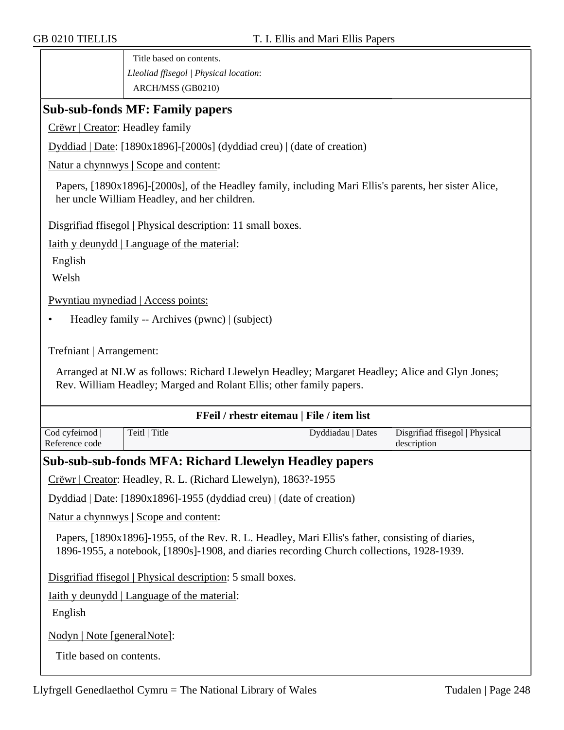Title based on contents. *Lleoliad ffisegol | Physical location*: ARCH/MSS (GB0210)

### **Sub-sub-fonds MF: Family papers**

Crëwr | Creator: Headley family

Dyddiad | Date: [1890x1896]-[2000s] (dyddiad creu) | (date of creation)

Natur a chynnwys | Scope and content:

Papers, [1890x1896]-[2000s], of the Headley family, including Mari Ellis's parents, her sister Alice, her uncle William Headley, and her children.

Disgrifiad ffisegol | Physical description: 11 small boxes.

Iaith y deunydd | Language of the material:

English

Welsh

Pwyntiau mynediad | Access points:

• Headley family -- Archives (pwnc) | (subject)

Trefniant | Arrangement:

Arranged at NLW as follows: Richard Llewelyn Headley; Margaret Headley; Alice and Glyn Jones; Rev. William Headley; Marged and Rolant Ellis; other family papers.

| FFeil / rhestr eitemau   File / item list                                                                                                                                                     |                                                                |                                                               |                                               |  |
|-----------------------------------------------------------------------------------------------------------------------------------------------------------------------------------------------|----------------------------------------------------------------|---------------------------------------------------------------|-----------------------------------------------|--|
| Cod cyfeirnod  <br>Reference code                                                                                                                                                             | Teitl   Title                                                  | Dyddiadau   Dates                                             | Disgrifiad ffisegol   Physical<br>description |  |
|                                                                                                                                                                                               |                                                                | <b>Sub-sub-sub-fonds MFA: Richard Llewelyn Headley papers</b> |                                               |  |
|                                                                                                                                                                                               | Crëwr   Creator: Headley, R. L. (Richard Llewelyn), 1863?-1955 |                                                               |                                               |  |
| Dyddiad   Date: [1890x1896]-1955 (dyddiad creu)   (date of creation)                                                                                                                          |                                                                |                                                               |                                               |  |
| <u>Natur a chynnwys</u>   Scope and content:                                                                                                                                                  |                                                                |                                                               |                                               |  |
| Papers, [1890x1896]-1955, of the Rev. R. L. Headley, Mari Ellis's father, consisting of diaries,<br>1896-1955, a notebook, [1890s]-1908, and diaries recording Church collections, 1928-1939. |                                                                |                                                               |                                               |  |

Disgrifiad ffisegol | Physical description: 5 small boxes.

Iaith y deunydd | Language of the material:

English

Nodyn | Note [generalNote]:

Title based on contents.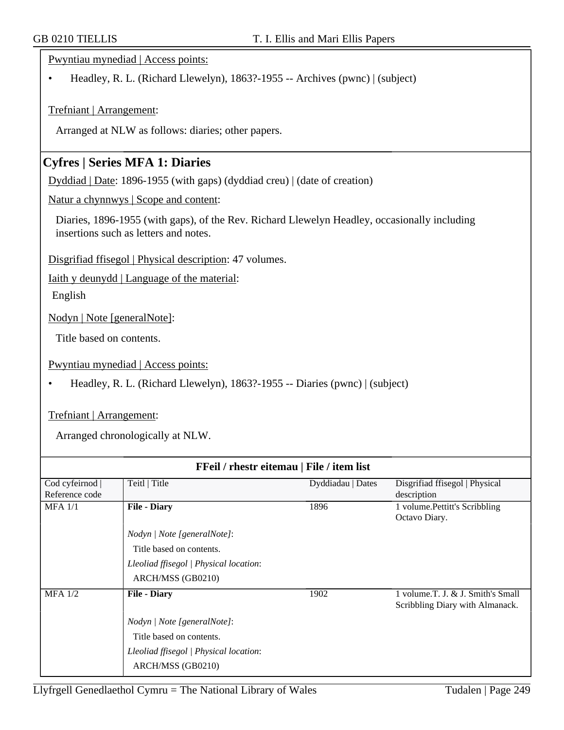Pwyntiau mynediad | Access points:

• Headley, R. L. (Richard Llewelyn), 1863?-1955 -- Archives (pwnc) | (subject)

Trefniant | Arrangement:

Arranged at NLW as follows: diaries; other papers.

## **Cyfres | Series MFA 1: Diaries**

Dyddiad | Date: 1896-1955 (with gaps) (dyddiad creu) | (date of creation)

Natur a chynnwys | Scope and content:

Diaries, 1896-1955 (with gaps), of the Rev. Richard Llewelyn Headley, occasionally including insertions such as letters and notes.

Disgrifiad ffisegol | Physical description: 47 volumes.

Iaith y deunydd | Language of the material:

English

Nodyn | Note [generalNote]:

Title based on contents.

Pwyntiau mynediad | Access points:

• Headley, R. L. (Richard Llewelyn), 1863?-1955 -- Diaries (pwnc) | (subject)

#### Trefniant | Arrangement:

Arranged chronologically at NLW.

| FFeil / rhestr eitemau   File / item list |                                        |                   |                                                                      |  |
|-------------------------------------------|----------------------------------------|-------------------|----------------------------------------------------------------------|--|
| Cod cyfeirnod                             | Teitl   Title                          | Dyddiadau   Dates | Disgrifiad ffisegol   Physical                                       |  |
| Reference code                            |                                        |                   | description                                                          |  |
| $MFA$ 1/1                                 | <b>File - Diary</b>                    | 1896              | 1 volume. Pettitt's Scribbling                                       |  |
|                                           |                                        |                   | Octavo Diary.                                                        |  |
|                                           | Nodyn   Note [generalNote]:            |                   |                                                                      |  |
|                                           | Title based on contents.               |                   |                                                                      |  |
|                                           | Lleoliad ffisegol   Physical location: |                   |                                                                      |  |
|                                           | ARCH/MSS (GB0210)                      |                   |                                                                      |  |
| $MFA$ 1/2                                 | <b>File - Diary</b>                    | 1902              | 1 volume.T. J. & J. Smith's Small<br>Scribbling Diary with Almanack. |  |
|                                           | Nodyn   Note [generalNote]:            |                   |                                                                      |  |
|                                           | Title based on contents.               |                   |                                                                      |  |
|                                           | Lleoliad ffisegol   Physical location: |                   |                                                                      |  |
|                                           | ARCH/MSS (GB0210)                      |                   |                                                                      |  |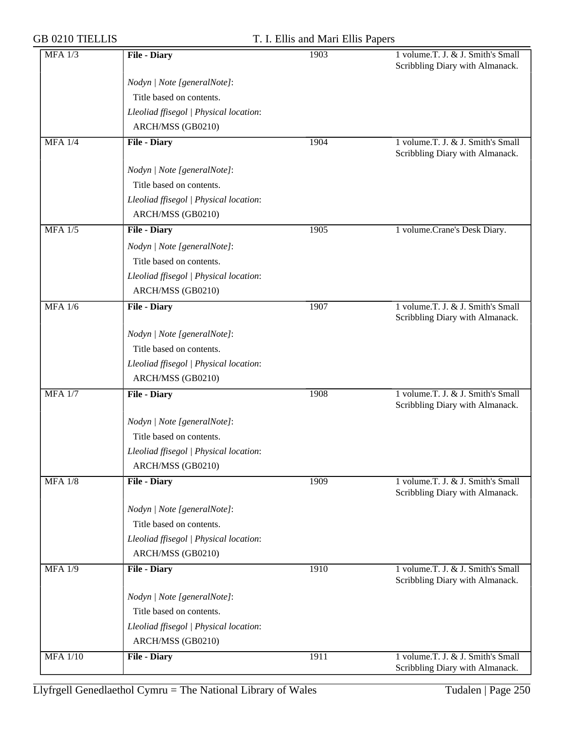| <b>MFA 1/3</b>  | <b>File - Diary</b>                    | 1903 | 1 volume.T. J. & J. Smith's Small<br>Scribbling Diary with Almanack. |
|-----------------|----------------------------------------|------|----------------------------------------------------------------------|
|                 | Nodyn   Note [generalNote]:            |      |                                                                      |
|                 | Title based on contents.               |      |                                                                      |
|                 | Lleoliad ffisegol   Physical location: |      |                                                                      |
|                 | ARCH/MSS (GB0210)                      |      |                                                                      |
| $MFA$ 1/4       | <b>File - Diary</b>                    | 1904 | 1 volume.T. J. & J. Smith's Small<br>Scribbling Diary with Almanack. |
|                 | Nodyn   Note [generalNote]:            |      |                                                                      |
|                 | Title based on contents.               |      |                                                                      |
|                 | Lleoliad ffisegol   Physical location: |      |                                                                      |
|                 | ARCH/MSS (GB0210)                      |      |                                                                      |
| $MFA$ 1/5       | <b>File - Diary</b>                    | 1905 | 1 volume.Crane's Desk Diary.                                         |
|                 | Nodyn   Note [generalNote]:            |      |                                                                      |
|                 | Title based on contents.               |      |                                                                      |
|                 | Lleoliad ffisegol   Physical location: |      |                                                                      |
|                 | ARCH/MSS (GB0210)                      |      |                                                                      |
| <b>MFA 1/6</b>  | <b>File - Diary</b>                    | 1907 | 1 volume.T. J. & J. Smith's Small<br>Scribbling Diary with Almanack. |
|                 | Nodyn   Note [generalNote]:            |      |                                                                      |
|                 | Title based on contents.               |      |                                                                      |
|                 | Lleoliad ffisegol   Physical location: |      |                                                                      |
|                 | ARCH/MSS (GB0210)                      |      |                                                                      |
| <b>MFA 1/7</b>  | <b>File - Diary</b>                    | 1908 | 1 volume.T. J. & J. Smith's Small<br>Scribbling Diary with Almanack. |
|                 | Nodyn   Note [generalNote]:            |      |                                                                      |
|                 | Title based on contents.               |      |                                                                      |
|                 | Lleoliad ffisegol   Physical location: |      |                                                                      |
|                 | ARCH/MSS (GB0210)                      |      |                                                                      |
| <b>MFA 1/8</b>  | <b>File - Diary</b>                    | 1909 | 1 volume.T. J. & J. Smith's Small<br>Scribbling Diary with Almanack. |
|                 | Nodyn   Note [generalNote]:            |      |                                                                      |
|                 | Title based on contents.               |      |                                                                      |
|                 | Lleoliad ffisegol   Physical location: |      |                                                                      |
|                 | ARCH/MSS (GB0210)                      |      |                                                                      |
| <b>MFA 1/9</b>  | <b>File - Diary</b>                    | 1910 | 1 volume.T. J. & J. Smith's Small<br>Scribbling Diary with Almanack. |
|                 | Nodyn   Note [generalNote]:            |      |                                                                      |
|                 | Title based on contents.               |      |                                                                      |
|                 | Lleoliad ffisegol   Physical location: |      |                                                                      |
|                 | ARCH/MSS (GB0210)                      |      |                                                                      |
| <b>MFA 1/10</b> | <b>File - Diary</b>                    | 1911 | 1 volume.T. J. & J. Smith's Small<br>Scribbling Diary with Almanack. |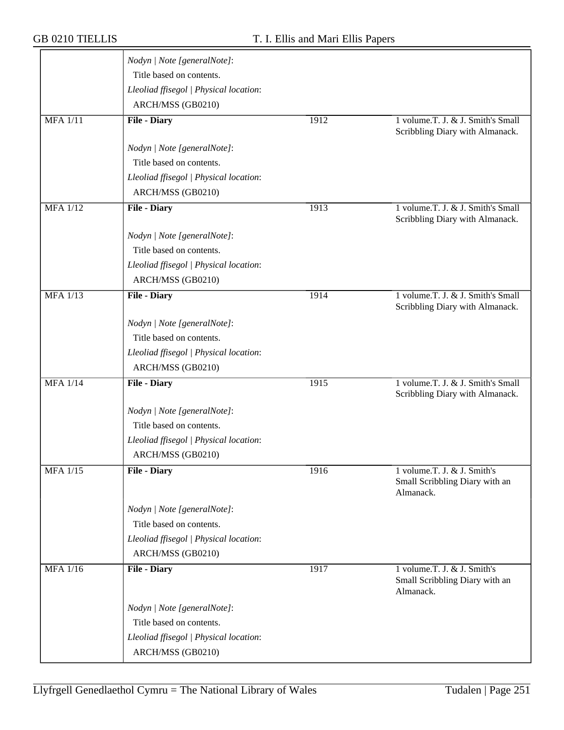|                 | Nodyn   Note [generalNote]:            |      |                                                                            |
|-----------------|----------------------------------------|------|----------------------------------------------------------------------------|
|                 | Title based on contents.               |      |                                                                            |
|                 | Lleoliad ffisegol   Physical location: |      |                                                                            |
|                 | ARCH/MSS (GB0210)                      |      |                                                                            |
| <b>MFA</b> 1/11 | <b>File - Diary</b>                    | 1912 | 1 volume.T. J. & J. Smith's Small<br>Scribbling Diary with Almanack.       |
|                 | Nodyn   Note [generalNote]:            |      |                                                                            |
|                 | Title based on contents.               |      |                                                                            |
|                 | Lleoliad ffisegol   Physical location: |      |                                                                            |
|                 | ARCH/MSS (GB0210)                      |      |                                                                            |
| <b>MFA</b> 1/12 | <b>File - Diary</b>                    | 1913 | 1 volume.T. J. & J. Smith's Small<br>Scribbling Diary with Almanack.       |
|                 | Nodyn   Note [generalNote]:            |      |                                                                            |
|                 | Title based on contents.               |      |                                                                            |
|                 | Lleoliad ffisegol   Physical location: |      |                                                                            |
|                 | ARCH/MSS (GB0210)                      |      |                                                                            |
| <b>MFA 1/13</b> | <b>File - Diary</b>                    | 1914 | 1 volume.T. J. & J. Smith's Small<br>Scribbling Diary with Almanack.       |
|                 | Nodyn   Note [generalNote]:            |      |                                                                            |
|                 | Title based on contents.               |      |                                                                            |
|                 | Lleoliad ffisegol   Physical location: |      |                                                                            |
|                 | ARCH/MSS (GB0210)                      |      |                                                                            |
| <b>MFA 1/14</b> | <b>File - Diary</b>                    | 1915 | 1 volume.T. J. & J. Smith's Small<br>Scribbling Diary with Almanack.       |
|                 | Nodyn   Note [generalNote]:            |      |                                                                            |
|                 | Title based on contents.               |      |                                                                            |
|                 | Lleoliad ffisegol   Physical location: |      |                                                                            |
|                 | ARCH/MSS (GB0210)                      |      |                                                                            |
| <b>MFA 1/15</b> | <b>File - Diary</b>                    | 1916 | 1 volume.T. J. & J. Smith's<br>Small Scribbling Diary with an<br>Almanack. |
|                 | Nodyn   Note [generalNote]:            |      |                                                                            |
|                 | Title based on contents.               |      |                                                                            |
|                 | Lleoliad ffisegol   Physical location: |      |                                                                            |
|                 | ARCH/MSS (GB0210)                      |      |                                                                            |
| <b>MFA 1/16</b> | <b>File - Diary</b>                    | 1917 | 1 volume.T. J. & J. Smith's<br>Small Scribbling Diary with an<br>Almanack. |
|                 | Nodyn   Note [generalNote]:            |      |                                                                            |
|                 | Title based on contents.               |      |                                                                            |
|                 | Lleoliad ffisegol   Physical location: |      |                                                                            |
|                 | ARCH/MSS (GB0210)                      |      |                                                                            |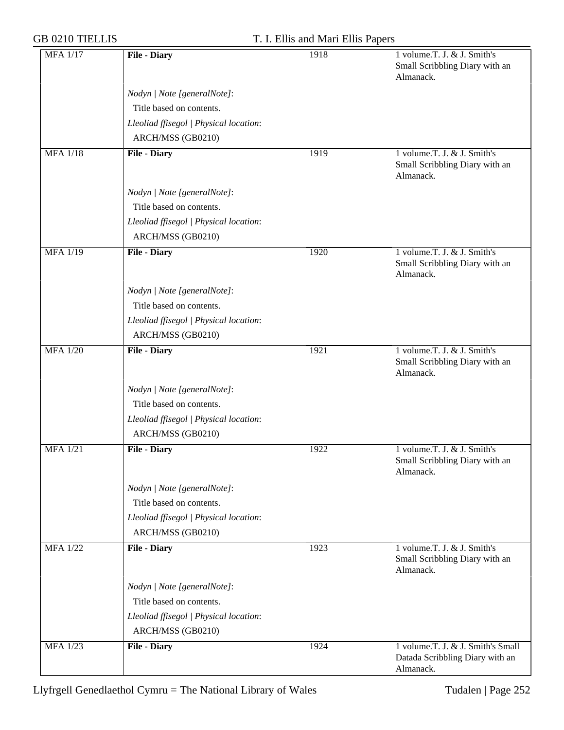|                                        | 1918                                                                                                                                                                                                                                                                                                                                                                    | 1 volume.T. J. & J. Smith's                                                       |
|----------------------------------------|-------------------------------------------------------------------------------------------------------------------------------------------------------------------------------------------------------------------------------------------------------------------------------------------------------------------------------------------------------------------------|-----------------------------------------------------------------------------------|
|                                        |                                                                                                                                                                                                                                                                                                                                                                         | Small Scribbling Diary with an<br>Almanack.                                       |
|                                        |                                                                                                                                                                                                                                                                                                                                                                         |                                                                                   |
|                                        |                                                                                                                                                                                                                                                                                                                                                                         |                                                                                   |
|                                        |                                                                                                                                                                                                                                                                                                                                                                         |                                                                                   |
|                                        |                                                                                                                                                                                                                                                                                                                                                                         |                                                                                   |
| <b>File - Diary</b>                    | 1919                                                                                                                                                                                                                                                                                                                                                                    | 1 volume.T. J. & J. Smith's                                                       |
|                                        |                                                                                                                                                                                                                                                                                                                                                                         | Small Scribbling Diary with an<br>Almanack.                                       |
| Nodyn   Note [generalNote]:            |                                                                                                                                                                                                                                                                                                                                                                         |                                                                                   |
| Title based on contents.               |                                                                                                                                                                                                                                                                                                                                                                         |                                                                                   |
| Lleoliad ffisegol   Physical location: |                                                                                                                                                                                                                                                                                                                                                                         |                                                                                   |
| ARCH/MSS (GB0210)                      |                                                                                                                                                                                                                                                                                                                                                                         |                                                                                   |
| <b>File - Diary</b>                    | 1920                                                                                                                                                                                                                                                                                                                                                                    | 1 volume.T. J. & J. Smith's                                                       |
|                                        |                                                                                                                                                                                                                                                                                                                                                                         | Small Scribbling Diary with an<br>Almanack.                                       |
| Nodyn   Note [generalNote]:            |                                                                                                                                                                                                                                                                                                                                                                         |                                                                                   |
| Title based on contents.               |                                                                                                                                                                                                                                                                                                                                                                         |                                                                                   |
| Lleoliad ffisegol   Physical location: |                                                                                                                                                                                                                                                                                                                                                                         |                                                                                   |
| ARCH/MSS (GB0210)                      |                                                                                                                                                                                                                                                                                                                                                                         |                                                                                   |
| <b>File - Diary</b>                    | 1921                                                                                                                                                                                                                                                                                                                                                                    | 1 volume.T. J. & J. Smith's<br>Small Scribbling Diary with an<br>Almanack.        |
|                                        |                                                                                                                                                                                                                                                                                                                                                                         |                                                                                   |
|                                        |                                                                                                                                                                                                                                                                                                                                                                         |                                                                                   |
|                                        |                                                                                                                                                                                                                                                                                                                                                                         |                                                                                   |
|                                        |                                                                                                                                                                                                                                                                                                                                                                         |                                                                                   |
|                                        |                                                                                                                                                                                                                                                                                                                                                                         | 1 volume.T. J. & J. Smith's                                                       |
|                                        |                                                                                                                                                                                                                                                                                                                                                                         | Small Scribbling Diary with an<br>Almanack.                                       |
| Nodyn   Note [generalNote]:            |                                                                                                                                                                                                                                                                                                                                                                         |                                                                                   |
| Title based on contents.               |                                                                                                                                                                                                                                                                                                                                                                         |                                                                                   |
| Lleoliad ffisegol   Physical location: |                                                                                                                                                                                                                                                                                                                                                                         |                                                                                   |
| ARCH/MSS (GB0210)                      |                                                                                                                                                                                                                                                                                                                                                                         |                                                                                   |
| <b>File - Diary</b>                    | 1923                                                                                                                                                                                                                                                                                                                                                                    | 1 volume.T. J. & J. Smith's<br>Small Scribbling Diary with an<br>Almanack.        |
|                                        |                                                                                                                                                                                                                                                                                                                                                                         |                                                                                   |
| Title based on contents.               |                                                                                                                                                                                                                                                                                                                                                                         |                                                                                   |
|                                        |                                                                                                                                                                                                                                                                                                                                                                         |                                                                                   |
| ARCH/MSS (GB0210)                      |                                                                                                                                                                                                                                                                                                                                                                         |                                                                                   |
| <b>File - Diary</b>                    | 1924                                                                                                                                                                                                                                                                                                                                                                    | 1 volume.T. J. & J. Smith's Small<br>Datada Scribbling Diary with an<br>Almanack. |
|                                        | <b>File - Diary</b><br>Nodyn   Note [generalNote]:<br>Title based on contents.<br>Lleoliad ffisegol   Physical location:<br>ARCH/MSS (GB0210)<br>Nodyn   Note [generalNote]:<br>Title based on contents.<br>Lleoliad ffisegol   Physical location:<br>ARCH/MSS (GB0210)<br><b>File - Diary</b><br>Nodyn   Note [generalNote]:<br>Lleoliad ffisegol   Physical location: | 1922                                                                              |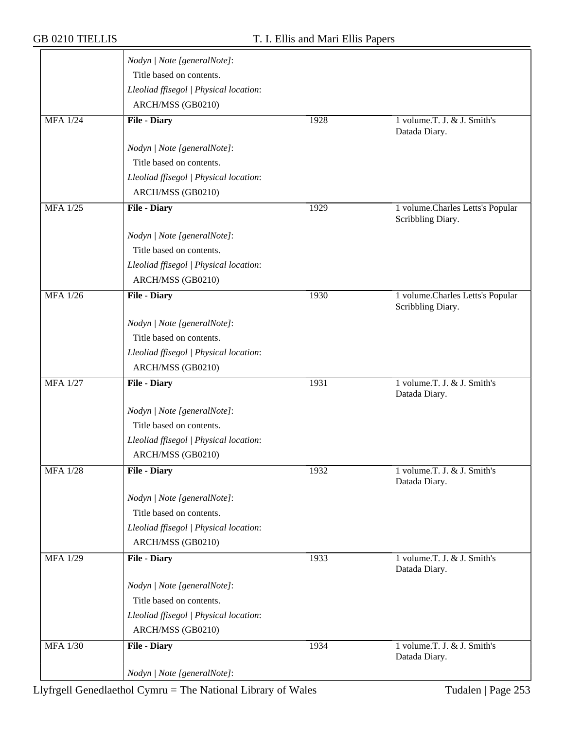|                 | Nodyn   Note [generalNote]:            |      |                                                       |
|-----------------|----------------------------------------|------|-------------------------------------------------------|
|                 | Title based on contents.               |      |                                                       |
|                 | Lleoliad ffisegol   Physical location: |      |                                                       |
|                 | ARCH/MSS (GB0210)                      |      |                                                       |
| <b>MFA 1/24</b> | <b>File - Diary</b>                    | 1928 | 1 volume.T. J. & J. Smith's<br>Datada Diary.          |
|                 | Nodyn   Note [generalNote]:            |      |                                                       |
|                 | Title based on contents.               |      |                                                       |
|                 | Lleoliad ffisegol   Physical location: |      |                                                       |
|                 | ARCH/MSS (GB0210)                      |      |                                                       |
| <b>MFA</b> 1/25 | <b>File - Diary</b>                    | 1929 | 1 volume.Charles Letts's Popular<br>Scribbling Diary. |
|                 | Nodyn   Note [generalNote]:            |      |                                                       |
|                 | Title based on contents.               |      |                                                       |
|                 | Lleoliad ffisegol   Physical location: |      |                                                       |
|                 | ARCH/MSS (GB0210)                      |      |                                                       |
| <b>MFA 1/26</b> | <b>File - Diary</b>                    | 1930 | 1 volume.Charles Letts's Popular<br>Scribbling Diary. |
|                 | Nodyn   Note [generalNote]:            |      |                                                       |
|                 | Title based on contents.               |      |                                                       |
|                 | Lleoliad ffisegol   Physical location: |      |                                                       |
|                 | ARCH/MSS (GB0210)                      |      |                                                       |
| <b>MFA 1/27</b> | <b>File - Diary</b>                    | 1931 | 1 volume.T. J. & J. Smith's<br>Datada Diary.          |
|                 | Nodyn   Note [generalNote]:            |      |                                                       |
|                 | Title based on contents.               |      |                                                       |
|                 | Lleoliad ffisegol   Physical location: |      |                                                       |
|                 | ARCH/MSS (GB0210)                      |      |                                                       |
| <b>MFA 1/28</b> | <b>File - Diary</b>                    | 1932 | 1 volume.T. J. & J. Smith's<br>Datada Diary.          |
|                 | Nodyn   Note [generalNote]:            |      |                                                       |
|                 | Title based on contents.               |      |                                                       |
|                 | Lleoliad ffisegol   Physical location: |      |                                                       |
|                 | ARCH/MSS (GB0210)                      |      |                                                       |
| <b>MFA 1/29</b> | <b>File - Diary</b>                    | 1933 | 1 volume.T. J. & J. Smith's<br>Datada Diary.          |
|                 | Nodyn   Note [generalNote]:            |      |                                                       |
|                 | Title based on contents.               |      |                                                       |
|                 | Lleoliad ffisegol   Physical location: |      |                                                       |
|                 | ARCH/MSS (GB0210)                      |      |                                                       |
| <b>MFA 1/30</b> | <b>File - Diary</b>                    | 1934 | 1 volume.T. J. & J. Smith's<br>Datada Diary.          |
|                 | Nodyn   Note [generalNote]:            |      |                                                       |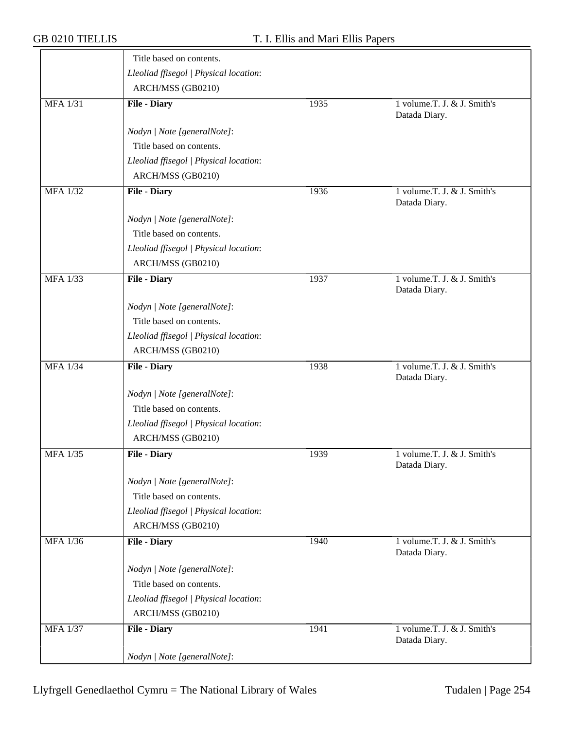|                 | Title based on contents.               |      |                                              |
|-----------------|----------------------------------------|------|----------------------------------------------|
|                 | Lleoliad ffisegol   Physical location: |      |                                              |
|                 | ARCH/MSS (GB0210)                      |      |                                              |
| <b>MFA 1/31</b> | <b>File - Diary</b>                    | 1935 | 1 volume.T. J. & J. Smith's<br>Datada Diary. |
|                 | Nodyn   Note [generalNote]:            |      |                                              |
|                 | Title based on contents.               |      |                                              |
|                 | Lleoliad ffisegol   Physical location: |      |                                              |
|                 | ARCH/MSS (GB0210)                      |      |                                              |
| <b>MFA 1/32</b> | <b>File - Diary</b>                    | 1936 | 1 volume.T. J. & J. Smith's<br>Datada Diary. |
|                 | Nodyn   Note [generalNote]:            |      |                                              |
|                 | Title based on contents.               |      |                                              |
|                 | Lleoliad ffisegol   Physical location: |      |                                              |
|                 | ARCH/MSS (GB0210)                      |      |                                              |
| <b>MFA 1/33</b> | <b>File - Diary</b>                    | 1937 | 1 volume.T. J. & J. Smith's<br>Datada Diary. |
|                 | Nodyn   Note [generalNote]:            |      |                                              |
|                 | Title based on contents.               |      |                                              |
|                 | Lleoliad ffisegol   Physical location: |      |                                              |
|                 | ARCH/MSS (GB0210)                      |      |                                              |
| <b>MFA 1/34</b> | <b>File - Diary</b>                    | 1938 | 1 volume.T. J. & J. Smith's<br>Datada Diary. |
|                 | Nodyn   Note [generalNote]:            |      |                                              |
|                 | Title based on contents.               |      |                                              |
|                 | Lleoliad ffisegol   Physical location: |      |                                              |
|                 | ARCH/MSS (GB0210)                      |      |                                              |
| <b>MFA 1/35</b> | <b>File - Diary</b>                    | 1939 | 1 volume.T. J. & J. Smith's<br>Datada Diary. |
|                 | Nodyn   Note [generalNote]:            |      |                                              |
|                 | Title based on contents.               |      |                                              |
|                 | Lleoliad ffisegol   Physical location: |      |                                              |
|                 | ARCH/MSS (GB0210)                      |      |                                              |
| <b>MFA 1/36</b> | <b>File - Diary</b>                    | 1940 | 1 volume.T. J. & J. Smith's<br>Datada Diary. |
|                 | Nodyn   Note [generalNote]:            |      |                                              |
|                 | Title based on contents.               |      |                                              |
|                 | Lleoliad ffisegol   Physical location: |      |                                              |
|                 | ARCH/MSS (GB0210)                      |      |                                              |
| <b>MFA 1/37</b> | <b>File - Diary</b>                    | 1941 | 1 volume.T. J. & J. Smith's<br>Datada Diary. |
|                 | Nodyn   Note [generalNote]:            |      |                                              |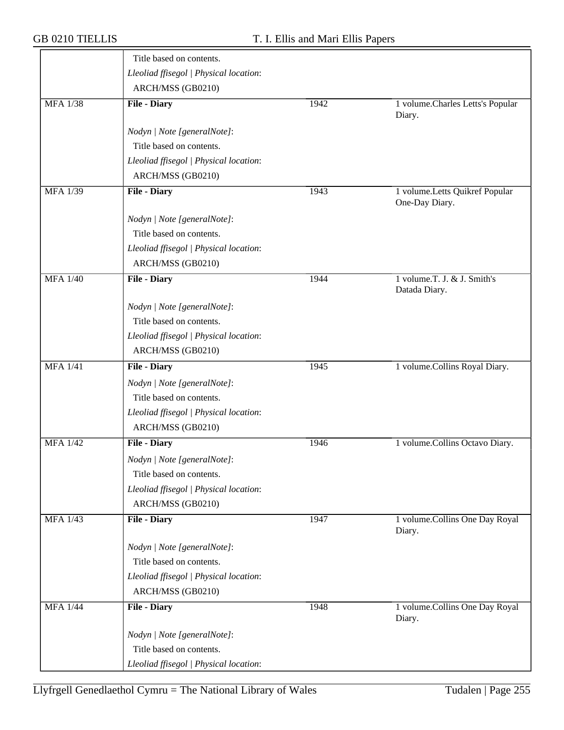|                 | Title based on contents.               |      |                                                  |
|-----------------|----------------------------------------|------|--------------------------------------------------|
|                 | Lleoliad ffisegol   Physical location: |      |                                                  |
|                 | ARCH/MSS (GB0210)                      |      |                                                  |
| <b>MFA 1/38</b> | <b>File - Diary</b>                    | 1942 | 1 volume. Charles Letts's Popular<br>Diary.      |
|                 | Nodyn   Note [generalNote]:            |      |                                                  |
|                 | Title based on contents.               |      |                                                  |
|                 | Lleoliad ffisegol   Physical location: |      |                                                  |
|                 | ARCH/MSS (GB0210)                      |      |                                                  |
| <b>MFA 1/39</b> | <b>File - Diary</b>                    | 1943 | 1 volume.Letts Quikref Popular<br>One-Day Diary. |
|                 | Nodyn   Note [generalNote]:            |      |                                                  |
|                 | Title based on contents.               |      |                                                  |
|                 | Lleoliad ffisegol   Physical location: |      |                                                  |
|                 | ARCH/MSS (GB0210)                      |      |                                                  |
| <b>MFA 1/40</b> | <b>File - Diary</b>                    | 1944 | 1 volume.T. J. & J. Smith's<br>Datada Diary.     |
|                 | Nodyn   Note [generalNote]:            |      |                                                  |
|                 | Title based on contents.               |      |                                                  |
|                 | Lleoliad ffisegol   Physical location: |      |                                                  |
|                 | ARCH/MSS (GB0210)                      |      |                                                  |
| <b>MFA 1/41</b> | <b>File - Diary</b>                    | 1945 | 1 volume.Collins Royal Diary.                    |
|                 | Nodyn   Note [generalNote]:            |      |                                                  |
|                 | Title based on contents.               |      |                                                  |
|                 | Lleoliad ffisegol   Physical location: |      |                                                  |
|                 | ARCH/MSS (GB0210)                      |      |                                                  |
| <b>MFA 1/42</b> | <b>File - Diary</b>                    | 1946 | 1 volume.Collins Octavo Diary.                   |
|                 | Nodyn   Note [generalNote]:            |      |                                                  |
|                 | Title based on contents.               |      |                                                  |
|                 | Lleoliad ffisegol   Physical location: |      |                                                  |
|                 | ARCH/MSS (GB0210)                      |      |                                                  |
| <b>MFA 1/43</b> | <b>File - Diary</b>                    | 1947 | 1 volume.Collins One Day Royal<br>Diary.         |
|                 | Nodyn   Note [generalNote]:            |      |                                                  |
|                 | Title based on contents.               |      |                                                  |
|                 | Lleoliad ffisegol   Physical location: |      |                                                  |
|                 | ARCH/MSS (GB0210)                      |      |                                                  |
| <b>MFA 1/44</b> | <b>File - Diary</b>                    | 1948 | 1 volume.Collins One Day Royal<br>Diary.         |
|                 | Nodyn   Note [generalNote]:            |      |                                                  |
|                 | Title based on contents.               |      |                                                  |
|                 | Lleoliad ffisegol   Physical location: |      |                                                  |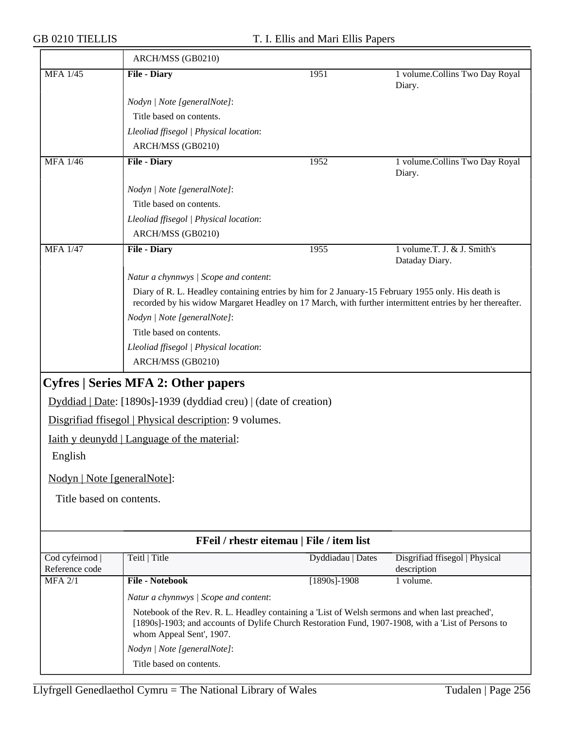$\overline{\phantom{a}}$ 

|                                   | ARCH/MSS (GB0210)                                                                                                                                                                                                                  |                   |                                               |
|-----------------------------------|------------------------------------------------------------------------------------------------------------------------------------------------------------------------------------------------------------------------------------|-------------------|-----------------------------------------------|
| <b>MFA 1/45</b>                   | <b>File - Diary</b>                                                                                                                                                                                                                | 1951              | 1 volume.Collins Two Day Royal<br>Diary.      |
|                                   | Nodyn   Note [generalNote]:                                                                                                                                                                                                        |                   |                                               |
|                                   | Title based on contents.                                                                                                                                                                                                           |                   |                                               |
|                                   | Lleoliad ffisegol   Physical location:                                                                                                                                                                                             |                   |                                               |
|                                   | ARCH/MSS (GB0210)                                                                                                                                                                                                                  |                   |                                               |
| <b>MFA</b> 1/46                   | <b>File - Diary</b>                                                                                                                                                                                                                | 1952              | 1 volume.Collins Two Day Royal<br>Diary.      |
|                                   | Nodyn   Note [generalNote]:                                                                                                                                                                                                        |                   |                                               |
|                                   | Title based on contents.                                                                                                                                                                                                           |                   |                                               |
|                                   | Lleoliad ffisegol   Physical location:                                                                                                                                                                                             |                   |                                               |
|                                   | ARCH/MSS (GB0210)                                                                                                                                                                                                                  |                   |                                               |
| <b>MFA 1/47</b>                   | <b>File - Diary</b>                                                                                                                                                                                                                | 1955              | 1 volume.T. J. & J. Smith's<br>Dataday Diary. |
|                                   | Natur a chynnwys / Scope and content:                                                                                                                                                                                              |                   |                                               |
|                                   | Diary of R. L. Headley containing entries by him for 2 January-15 February 1955 only. His death is<br>recorded by his widow Margaret Headley on 17 March, with further intermittent entries by her thereafter.                     |                   |                                               |
|                                   | Nodyn   Note [generalNote]:                                                                                                                                                                                                        |                   |                                               |
|                                   | Title based on contents.                                                                                                                                                                                                           |                   |                                               |
|                                   | Lleoliad ffisegol   Physical location:<br>ARCH/MSS (GB0210)                                                                                                                                                                        |                   |                                               |
|                                   |                                                                                                                                                                                                                                    |                   |                                               |
|                                   | <b>Cyfres   Series MFA 2: Other papers</b>                                                                                                                                                                                         |                   |                                               |
|                                   | Dyddiad   Date: [1890s]-1939 (dyddiad creu)   (date of creation)                                                                                                                                                                   |                   |                                               |
|                                   | Disgrifiad ffisegol   Physical description: 9 volumes.                                                                                                                                                                             |                   |                                               |
|                                   | <u>Iaith y deunydd   Language of the material:</u>                                                                                                                                                                                 |                   |                                               |
| English                           |                                                                                                                                                                                                                                    |                   |                                               |
| Nodyn   Note [generalNote]:       |                                                                                                                                                                                                                                    |                   |                                               |
| Title based on contents.          |                                                                                                                                                                                                                                    |                   |                                               |
|                                   |                                                                                                                                                                                                                                    |                   |                                               |
|                                   | FFeil / rhestr eitemau   File / item list                                                                                                                                                                                          |                   |                                               |
| Cod cyfeirnod  <br>Reference code | Teitl   Title                                                                                                                                                                                                                      | Dyddiadau   Dates | Disgrifiad ffisegol   Physical<br>description |
| $MFA$ 2/1                         | <b>File - Notebook</b>                                                                                                                                                                                                             | $[1890s]$ -1908   | $1$ volume.                                   |
|                                   | Natur a chynnwys / Scope and content:                                                                                                                                                                                              |                   |                                               |
|                                   | Notebook of the Rev. R. L. Headley containing a 'List of Welsh sermons and when last preached',<br>[1890s]-1903; and accounts of Dylife Church Restoration Fund, 1907-1908, with a 'List of Persons to<br>whom Appeal Sent', 1907. |                   |                                               |
|                                   | Nodyn   Note [generalNote]:                                                                                                                                                                                                        |                   |                                               |
|                                   | Title based on contents.                                                                                                                                                                                                           |                   |                                               |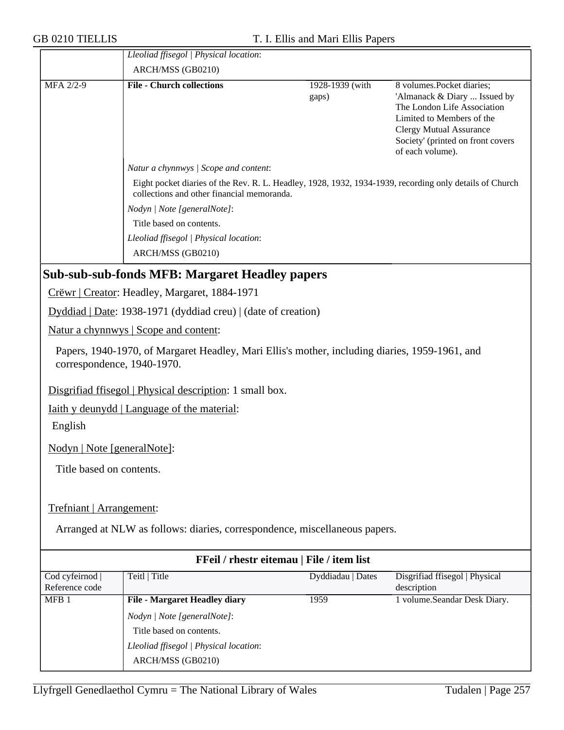|                                 | Lleoliad ffisegol   Physical location:                                                                                                                |                          |                                                                                                                                                                                                                  |  |  |
|---------------------------------|-------------------------------------------------------------------------------------------------------------------------------------------------------|--------------------------|------------------------------------------------------------------------------------------------------------------------------------------------------------------------------------------------------------------|--|--|
|                                 | ARCH/MSS (GB0210)                                                                                                                                     |                          |                                                                                                                                                                                                                  |  |  |
| MFA 2/2-9                       | <b>File - Church collections</b>                                                                                                                      | 1928-1939 (with<br>gaps) | 8 volumes.Pocket diaries;<br>'Almanack & Diary  Issued by<br>The London Life Association<br>Limited to Members of the<br><b>Clergy Mutual Assurance</b><br>Society' (printed on front covers<br>of each volume). |  |  |
|                                 | Natur a chynnwys / Scope and content:                                                                                                                 |                          |                                                                                                                                                                                                                  |  |  |
|                                 | Eight pocket diaries of the Rev. R. L. Headley, 1928, 1932, 1934-1939, recording only details of Church<br>collections and other financial memoranda. |                          |                                                                                                                                                                                                                  |  |  |
|                                 | Nodyn   Note [generalNote]:                                                                                                                           |                          |                                                                                                                                                                                                                  |  |  |
|                                 | Title based on contents.                                                                                                                              |                          |                                                                                                                                                                                                                  |  |  |
|                                 | Lleoliad ffisegol   Physical location:                                                                                                                |                          |                                                                                                                                                                                                                  |  |  |
|                                 | ARCH/MSS (GB0210)                                                                                                                                     |                          |                                                                                                                                                                                                                  |  |  |
|                                 | <b>Sub-sub-sub-fonds MFB: Margaret Headley papers</b>                                                                                                 |                          |                                                                                                                                                                                                                  |  |  |
|                                 | Crëwr   Creator: Headley, Margaret, 1884-1971                                                                                                         |                          |                                                                                                                                                                                                                  |  |  |
|                                 | Dyddiad   Date: 1938-1971 (dyddiad creu)   (date of creation)                                                                                         |                          |                                                                                                                                                                                                                  |  |  |
|                                 | Natur a chynnwys   Scope and content:                                                                                                                 |                          |                                                                                                                                                                                                                  |  |  |
| correspondence, 1940-1970.      | Papers, 1940-1970, of Margaret Headley, Mari Ellis's mother, including diaries, 1959-1961, and                                                        |                          |                                                                                                                                                                                                                  |  |  |
|                                 | Disgrifiad ffisegol   Physical description: 1 small box.                                                                                              |                          |                                                                                                                                                                                                                  |  |  |
|                                 | <u>Iaith y deunydd   Language of the material:</u>                                                                                                    |                          |                                                                                                                                                                                                                  |  |  |
| English                         |                                                                                                                                                       |                          |                                                                                                                                                                                                                  |  |  |
| Nodyn   Note [generalNote]:     |                                                                                                                                                       |                          |                                                                                                                                                                                                                  |  |  |
| Title based on contents.        |                                                                                                                                                       |                          |                                                                                                                                                                                                                  |  |  |
|                                 |                                                                                                                                                       |                          |                                                                                                                                                                                                                  |  |  |
| Trefniant   Arrangement:        |                                                                                                                                                       |                          |                                                                                                                                                                                                                  |  |  |
|                                 | Arranged at NLW as follows: diaries, correspondence, miscellaneous papers.                                                                            |                          |                                                                                                                                                                                                                  |  |  |
|                                 | FFeil / rhestr eitemau   File / item list                                                                                                             |                          |                                                                                                                                                                                                                  |  |  |
| Cod cyfeirnod<br>Reference code | Teitl   Title                                                                                                                                         | Dyddiadau   Dates        | Disgrifiad ffisegol   Physical<br>description                                                                                                                                                                    |  |  |
| MFB <sub>1</sub>                | <b>File - Margaret Headley diary</b>                                                                                                                  | 1959                     | 1 volume.Seandar Desk Diary.                                                                                                                                                                                     |  |  |
|                                 | Nodyn   Note [generalNote]:                                                                                                                           |                          |                                                                                                                                                                                                                  |  |  |
|                                 | Title based on contents.                                                                                                                              |                          |                                                                                                                                                                                                                  |  |  |
|                                 | Lleoliad ffisegol   Physical location:                                                                                                                |                          |                                                                                                                                                                                                                  |  |  |
|                                 | ARCH/MSS (GB0210)                                                                                                                                     |                          |                                                                                                                                                                                                                  |  |  |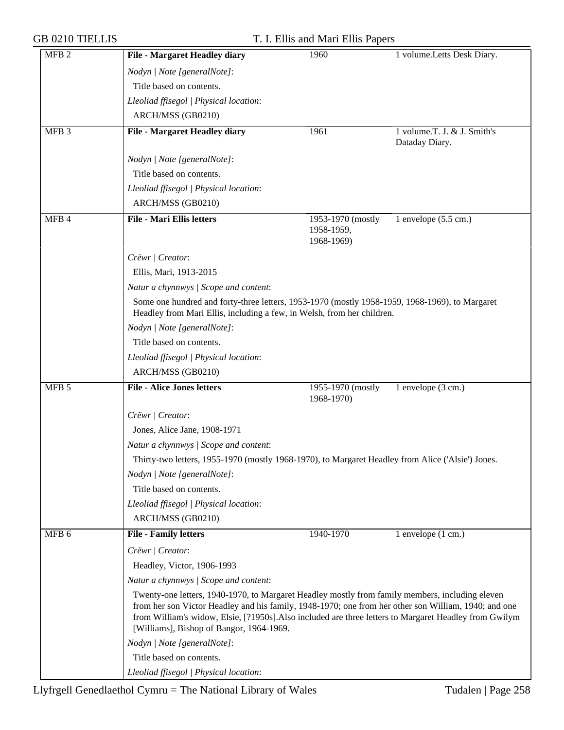|  |  | <b>GB 0210 TIELLIS</b> |
|--|--|------------------------|
|--|--|------------------------|

| MFB <sub>2</sub> | <b>File - Margaret Headley diary</b>                                                                                                                                                                                                                                                                                                                          | 1960                                          | 1 volume.Letts Desk Diary.     |  |
|------------------|---------------------------------------------------------------------------------------------------------------------------------------------------------------------------------------------------------------------------------------------------------------------------------------------------------------------------------------------------------------|-----------------------------------------------|--------------------------------|--|
|                  | Nodyn   Note [generalNote]:                                                                                                                                                                                                                                                                                                                                   |                                               |                                |  |
|                  | Title based on contents.                                                                                                                                                                                                                                                                                                                                      |                                               |                                |  |
|                  | Lleoliad ffisegol   Physical location:                                                                                                                                                                                                                                                                                                                        |                                               |                                |  |
|                  | ARCH/MSS (GB0210)                                                                                                                                                                                                                                                                                                                                             |                                               |                                |  |
| MFB <sub>3</sub> | <b>File - Margaret Headley diary</b>                                                                                                                                                                                                                                                                                                                          | 1961                                          | 1 volume.T. J. & J. Smith's    |  |
|                  |                                                                                                                                                                                                                                                                                                                                                               |                                               | Dataday Diary.                 |  |
|                  | Nodyn   Note [generalNote]:                                                                                                                                                                                                                                                                                                                                   |                                               |                                |  |
|                  | Title based on contents.                                                                                                                                                                                                                                                                                                                                      |                                               |                                |  |
|                  | Lleoliad ffisegol   Physical location:                                                                                                                                                                                                                                                                                                                        |                                               |                                |  |
|                  | ARCH/MSS (GB0210)                                                                                                                                                                                                                                                                                                                                             |                                               |                                |  |
| MFB 4            | <b>File - Mari Ellis letters</b>                                                                                                                                                                                                                                                                                                                              | 1953-1970 (mostly<br>1958-1959,<br>1968-1969) | 1 envelope $(5.5 \text{ cm.})$ |  |
|                  | Crëwr   Creator:                                                                                                                                                                                                                                                                                                                                              |                                               |                                |  |
|                  | Ellis, Mari, 1913-2015                                                                                                                                                                                                                                                                                                                                        |                                               |                                |  |
|                  | Natur a chynnwys / Scope and content:                                                                                                                                                                                                                                                                                                                         |                                               |                                |  |
|                  | Some one hundred and forty-three letters, 1953-1970 (mostly 1958-1959, 1968-1969), to Margaret                                                                                                                                                                                                                                                                |                                               |                                |  |
|                  | Headley from Mari Ellis, including a few, in Welsh, from her children.                                                                                                                                                                                                                                                                                        |                                               |                                |  |
|                  | Nodyn   Note [generalNote]:                                                                                                                                                                                                                                                                                                                                   |                                               |                                |  |
|                  | Title based on contents.                                                                                                                                                                                                                                                                                                                                      |                                               |                                |  |
|                  | Lleoliad ffisegol   Physical location:                                                                                                                                                                                                                                                                                                                        |                                               |                                |  |
|                  | ARCH/MSS (GB0210)                                                                                                                                                                                                                                                                                                                                             |                                               |                                |  |
| MFB <sub>5</sub> | <b>File - Alice Jones letters</b>                                                                                                                                                                                                                                                                                                                             | 1955-1970 (mostly<br>1968-1970)               | 1 envelope (3 cm.)             |  |
|                  | Crëwr   Creator:                                                                                                                                                                                                                                                                                                                                              |                                               |                                |  |
|                  | Jones, Alice Jane, 1908-1971                                                                                                                                                                                                                                                                                                                                  |                                               |                                |  |
|                  | Natur a chynnwys / Scope and content:                                                                                                                                                                                                                                                                                                                         |                                               |                                |  |
|                  | Thirty-two letters, 1955-1970 (mostly 1968-1970), to Margaret Headley from Alice ('Alsie') Jones.                                                                                                                                                                                                                                                             |                                               |                                |  |
|                  | Nodyn   Note [generalNote]:                                                                                                                                                                                                                                                                                                                                   |                                               |                                |  |
|                  | Title based on contents.                                                                                                                                                                                                                                                                                                                                      |                                               |                                |  |
|                  | Lleoliad ffisegol   Physical location:                                                                                                                                                                                                                                                                                                                        |                                               |                                |  |
|                  | ARCH/MSS (GB0210)                                                                                                                                                                                                                                                                                                                                             |                                               |                                |  |
| MFB 6            | <b>File - Family letters</b>                                                                                                                                                                                                                                                                                                                                  | 1940-1970                                     | 1 envelope $(1 \text{ cm.})$   |  |
|                  | Crëwr   Creator:                                                                                                                                                                                                                                                                                                                                              |                                               |                                |  |
|                  | Headley, Victor, 1906-1993                                                                                                                                                                                                                                                                                                                                    |                                               |                                |  |
|                  | Natur a chynnwys / Scope and content:                                                                                                                                                                                                                                                                                                                         |                                               |                                |  |
|                  | Twenty-one letters, 1940-1970, to Margaret Headley mostly from family members, including eleven<br>from her son Victor Headley and his family, 1948-1970; one from her other son William, 1940; and one<br>from William's widow, Elsie, [?1950s]. Also included are three letters to Margaret Headley from Gwilym<br>[Williams], Bishop of Bangor, 1964-1969. |                                               |                                |  |
|                  | Nodyn   Note [generalNote]:                                                                                                                                                                                                                                                                                                                                   |                                               |                                |  |
|                  | Title based on contents.                                                                                                                                                                                                                                                                                                                                      |                                               |                                |  |
|                  | Lleoliad ffisegol   Physical location:                                                                                                                                                                                                                                                                                                                        |                                               |                                |  |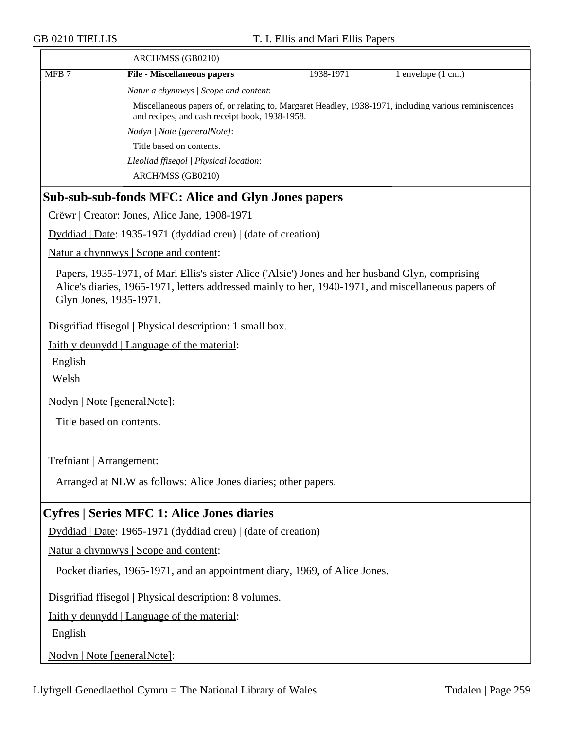|                  | ARCH/MSS (GB0210)                                                                                                                                                                                                                 |                                                                                                                                                         |                    |  |  |  |
|------------------|-----------------------------------------------------------------------------------------------------------------------------------------------------------------------------------------------------------------------------------|---------------------------------------------------------------------------------------------------------------------------------------------------------|--------------------|--|--|--|
| MFB <sub>7</sub> | <b>File - Miscellaneous papers</b>                                                                                                                                                                                                | 1938-1971                                                                                                                                               | 1 envelope (1 cm.) |  |  |  |
|                  |                                                                                                                                                                                                                                   | Natur a chynnwys / Scope and content:                                                                                                                   |                    |  |  |  |
|                  |                                                                                                                                                                                                                                   | Miscellaneous papers of, or relating to, Margaret Headley, 1938-1971, including various reminiscences<br>and recipes, and cash receipt book, 1938-1958. |                    |  |  |  |
|                  | Nodyn   Note [generalNote]:                                                                                                                                                                                                       |                                                                                                                                                         |                    |  |  |  |
|                  | Title based on contents.                                                                                                                                                                                                          |                                                                                                                                                         |                    |  |  |  |
|                  | Lleoliad ffisegol   Physical location:<br>ARCH/MSS (GB0210)                                                                                                                                                                       |                                                                                                                                                         |                    |  |  |  |
|                  | <b>Sub-sub-sub-fonds MFC: Alice and Glyn Jones papers</b>                                                                                                                                                                         |                                                                                                                                                         |                    |  |  |  |
|                  | Crëwr   Creator: Jones, Alice Jane, 1908-1971                                                                                                                                                                                     |                                                                                                                                                         |                    |  |  |  |
|                  | Dyddiad   Date: 1935-1971 (dyddiad creu)   (date of creation)                                                                                                                                                                     |                                                                                                                                                         |                    |  |  |  |
|                  | Natur a chynnwys   Scope and content:                                                                                                                                                                                             |                                                                                                                                                         |                    |  |  |  |
|                  | Papers, 1935-1971, of Mari Ellis's sister Alice ('Alsie') Jones and her husband Glyn, comprising<br>Alice's diaries, 1965-1971, letters addressed mainly to her, 1940-1971, and miscellaneous papers of<br>Glyn Jones, 1935-1971. |                                                                                                                                                         |                    |  |  |  |
|                  | Disgrifiad ffisegol   Physical description: 1 small box.                                                                                                                                                                          |                                                                                                                                                         |                    |  |  |  |
|                  | <u>Iaith y deunydd</u>   Language of the material:                                                                                                                                                                                |                                                                                                                                                         |                    |  |  |  |
| English          |                                                                                                                                                                                                                                   |                                                                                                                                                         |                    |  |  |  |
| Welsh            |                                                                                                                                                                                                                                   |                                                                                                                                                         |                    |  |  |  |
|                  | Nodyn   Note [generalNote]:                                                                                                                                                                                                       |                                                                                                                                                         |                    |  |  |  |
|                  | Title based on contents.                                                                                                                                                                                                          |                                                                                                                                                         |                    |  |  |  |
|                  | Trefniant   Arrangement:                                                                                                                                                                                                          |                                                                                                                                                         |                    |  |  |  |
|                  | Arranged at NLW as follows: Alice Jones diaries; other papers.                                                                                                                                                                    |                                                                                                                                                         |                    |  |  |  |
|                  | <b>Cyfres   Series MFC 1: Alice Jones diaries</b>                                                                                                                                                                                 |                                                                                                                                                         |                    |  |  |  |
|                  | Dyddiad   Date: 1965-1971 (dyddiad creu)   (date of creation)                                                                                                                                                                     |                                                                                                                                                         |                    |  |  |  |
|                  | Natur a chynnwys   Scope and content:                                                                                                                                                                                             |                                                                                                                                                         |                    |  |  |  |
|                  | Pocket diaries, 1965-1971, and an appointment diary, 1969, of Alice Jones.                                                                                                                                                        |                                                                                                                                                         |                    |  |  |  |
|                  | Disgrifiad ffisegol   Physical description: 8 volumes.                                                                                                                                                                            |                                                                                                                                                         |                    |  |  |  |
|                  | <u>Iaith y deunydd   Language of the material:</u>                                                                                                                                                                                |                                                                                                                                                         |                    |  |  |  |
| English          |                                                                                                                                                                                                                                   |                                                                                                                                                         |                    |  |  |  |
|                  | Nodyn   Note [generalNote]:                                                                                                                                                                                                       |                                                                                                                                                         |                    |  |  |  |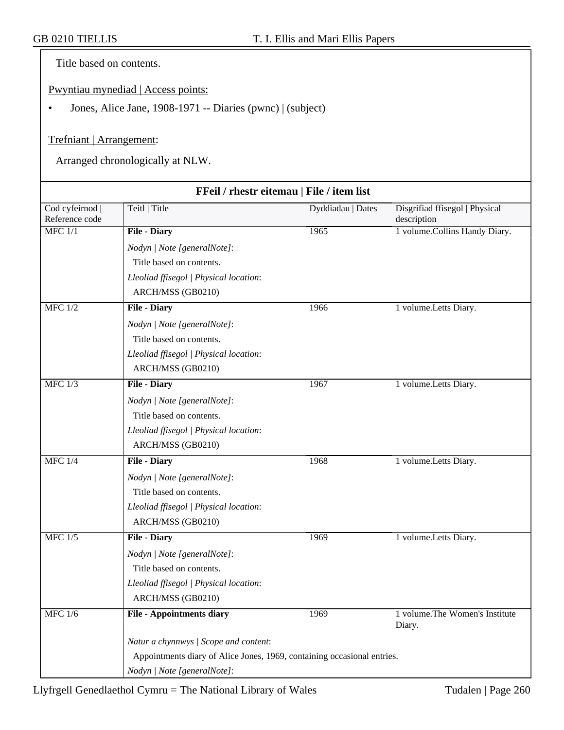Title based on contents.

Pwyntiau mynediad | Access points:

• Jones, Alice Jane, 1908-1971 -- Diaries (pwnc) | (subject)

#### Trefniant | Arrangement:

Arranged chronologically at NLW.

|                                 | FFeil / rhestr eitemau   File / item list                               |                   |                                               |
|---------------------------------|-------------------------------------------------------------------------|-------------------|-----------------------------------------------|
| Cod cyfeirnod<br>Reference code | Teitl   Title                                                           | Dyddiadau   Dates | Disgrifiad ffisegol   Physical<br>description |
| $MFC$ $1/1$                     | <b>File - Diary</b>                                                     | 1965              | 1 volume.Collins Handy Diary.                 |
|                                 | Nodyn   Note [generalNote]:                                             |                   |                                               |
|                                 | Title based on contents.                                                |                   |                                               |
|                                 | Lleoliad ffisegol   Physical location:                                  |                   |                                               |
|                                 | ARCH/MSS (GB0210)                                                       |                   |                                               |
| <b>MFC</b> 1/2                  | <b>File - Diary</b>                                                     | 1966              | 1 volume. Letts Diary.                        |
|                                 | Nodyn   Note [generalNote]:                                             |                   |                                               |
|                                 | Title based on contents.                                                |                   |                                               |
|                                 | Lleoliad ffisegol   Physical location:                                  |                   |                                               |
|                                 | ARCH/MSS (GB0210)                                                       |                   |                                               |
| <b>MFC 1/3</b>                  | <b>File - Diary</b>                                                     | 1967              | 1 volume. Letts Diary.                        |
|                                 | Nodyn   Note [generalNote]:                                             |                   |                                               |
|                                 | Title based on contents.                                                |                   |                                               |
|                                 | Lleoliad ffisegol   Physical location:                                  |                   |                                               |
|                                 | ARCH/MSS (GB0210)                                                       |                   |                                               |
| <b>MFC 1/4</b>                  | <b>File - Diary</b>                                                     | 1968              | 1 volume.Letts Diary.                         |
|                                 | Nodyn   Note [generalNote]:                                             |                   |                                               |
|                                 | Title based on contents.                                                |                   |                                               |
|                                 | Lleoliad ffisegol   Physical location:                                  |                   |                                               |
|                                 | ARCH/MSS (GB0210)                                                       |                   |                                               |
| <b>MFC 1/5</b>                  | <b>File - Diary</b>                                                     | 1969              | 1 volume.Letts Diary.                         |
|                                 | Nodyn   Note [generalNote]:                                             |                   |                                               |
|                                 | Title based on contents.                                                |                   |                                               |
|                                 | Lleoliad ffisegol   Physical location:                                  |                   |                                               |
|                                 | ARCH/MSS (GB0210)                                                       |                   |                                               |
| <b>MFC 1/6</b>                  | <b>File - Appointments diary</b>                                        | 1969              | 1 volume. The Women's Institute<br>Diary.     |
|                                 | Natur a chynnwys / Scope and content:                                   |                   |                                               |
|                                 | Appointments diary of Alice Jones, 1969, containing occasional entries. |                   |                                               |
|                                 | Nodyn   Note [generalNote]:                                             |                   |                                               |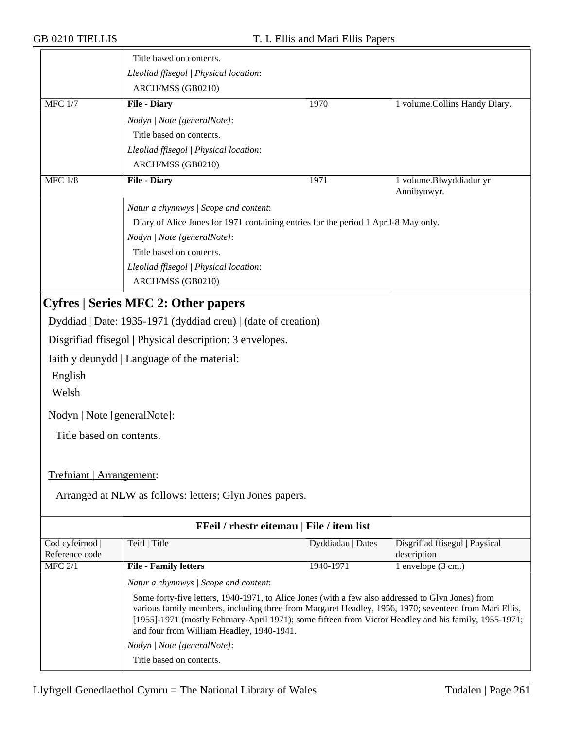|                                 | Title based on contents.                                                                                                                                                                                                                                                                                                                                         |                                           |                                               |
|---------------------------------|------------------------------------------------------------------------------------------------------------------------------------------------------------------------------------------------------------------------------------------------------------------------------------------------------------------------------------------------------------------|-------------------------------------------|-----------------------------------------------|
|                                 | Lleoliad ffisegol   Physical location:                                                                                                                                                                                                                                                                                                                           |                                           |                                               |
|                                 | ARCH/MSS (GB0210)                                                                                                                                                                                                                                                                                                                                                |                                           |                                               |
| $MFC$ 1/7                       | <b>File - Diary</b>                                                                                                                                                                                                                                                                                                                                              | 1970                                      | 1 volume.Collins Handy Diary.                 |
|                                 | Nodyn   Note [generalNote]:                                                                                                                                                                                                                                                                                                                                      |                                           |                                               |
|                                 | Title based on contents.                                                                                                                                                                                                                                                                                                                                         |                                           |                                               |
|                                 | Lleoliad ffisegol   Physical location:                                                                                                                                                                                                                                                                                                                           |                                           |                                               |
|                                 | ARCH/MSS (GB0210)                                                                                                                                                                                                                                                                                                                                                |                                           |                                               |
| <b>MFC 1/8</b>                  | <b>File - Diary</b>                                                                                                                                                                                                                                                                                                                                              | 1971                                      | 1 volume.Blwyddiadur yr<br>Annibynwyr.        |
|                                 | Natur a chynnwys / Scope and content:                                                                                                                                                                                                                                                                                                                            |                                           |                                               |
|                                 | Diary of Alice Jones for 1971 containing entries for the period 1 April-8 May only.                                                                                                                                                                                                                                                                              |                                           |                                               |
|                                 | Nodyn   Note [generalNote]:                                                                                                                                                                                                                                                                                                                                      |                                           |                                               |
|                                 | Title based on contents.                                                                                                                                                                                                                                                                                                                                         |                                           |                                               |
|                                 | Lleoliad ffisegol   Physical location:                                                                                                                                                                                                                                                                                                                           |                                           |                                               |
|                                 | ARCH/MSS (GB0210)                                                                                                                                                                                                                                                                                                                                                |                                           |                                               |
|                                 | <b>Cyfres   Series MFC 2: Other papers</b>                                                                                                                                                                                                                                                                                                                       |                                           |                                               |
|                                 | Dyddiad   Date: 1935-1971 (dyddiad creu)   (date of creation)                                                                                                                                                                                                                                                                                                    |                                           |                                               |
|                                 | Disgrifiad ffisegol   Physical description: 3 envelopes.                                                                                                                                                                                                                                                                                                         |                                           |                                               |
|                                 | Iaith y deunydd   Language of the material:                                                                                                                                                                                                                                                                                                                      |                                           |                                               |
|                                 |                                                                                                                                                                                                                                                                                                                                                                  |                                           |                                               |
| English                         |                                                                                                                                                                                                                                                                                                                                                                  |                                           |                                               |
| Welsh                           |                                                                                                                                                                                                                                                                                                                                                                  |                                           |                                               |
| Nodyn   Note [generalNote]:     |                                                                                                                                                                                                                                                                                                                                                                  |                                           |                                               |
| Title based on contents.        |                                                                                                                                                                                                                                                                                                                                                                  |                                           |                                               |
|                                 |                                                                                                                                                                                                                                                                                                                                                                  |                                           |                                               |
| Trefniant   Arrangement:        |                                                                                                                                                                                                                                                                                                                                                                  |                                           |                                               |
|                                 | Arranged at NLW as follows: letters; Glyn Jones papers.                                                                                                                                                                                                                                                                                                          |                                           |                                               |
|                                 |                                                                                                                                                                                                                                                                                                                                                                  |                                           |                                               |
|                                 |                                                                                                                                                                                                                                                                                                                                                                  | FFeil / rhestr eitemau   File / item list |                                               |
| Cod cyfeirnod<br>Reference code | Teitl   Title                                                                                                                                                                                                                                                                                                                                                    | Dyddiadau   Dates                         | Disgrifiad ffisegol   Physical<br>description |
| MFC 2/1                         | <b>File - Family letters</b>                                                                                                                                                                                                                                                                                                                                     | 1940-1971                                 | $1$ envelope $(3 \text{ cm.})$                |
|                                 | Natur a chynnwys / Scope and content:                                                                                                                                                                                                                                                                                                                            |                                           |                                               |
|                                 | Some forty-five letters, 1940-1971, to Alice Jones (with a few also addressed to Glyn Jones) from<br>various family members, including three from Margaret Headley, 1956, 1970; seventeen from Mari Ellis,<br>[1955]-1971 (mostly February-April 1971); some fifteen from Victor Headley and his family, 1955-1971;<br>and four from William Headley, 1940-1941. |                                           |                                               |
|                                 | Nodyn   Note [generalNote]:                                                                                                                                                                                                                                                                                                                                      |                                           |                                               |
|                                 | Title based on contents.                                                                                                                                                                                                                                                                                                                                         |                                           |                                               |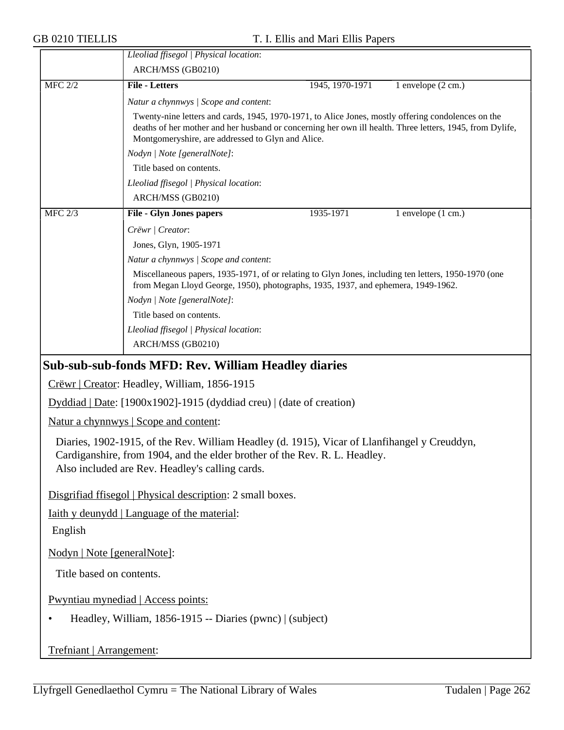|                | Lleoliad ffisegol   Physical location:                                                                                                                                                                                                                              |                 |                    |  |
|----------------|---------------------------------------------------------------------------------------------------------------------------------------------------------------------------------------------------------------------------------------------------------------------|-----------------|--------------------|--|
|                | ARCH/MSS (GB0210)                                                                                                                                                                                                                                                   |                 |                    |  |
| <b>MFC 2/2</b> | <b>File - Letters</b>                                                                                                                                                                                                                                               | 1945, 1970-1971 | 1 envelope (2 cm.) |  |
|                | Natur a chynnwys / Scope and content:                                                                                                                                                                                                                               |                 |                    |  |
|                | Twenty-nine letters and cards, 1945, 1970-1971, to Alice Jones, mostly offering condolences on the<br>deaths of her mother and her husband or concerning her own ill health. Three letters, 1945, from Dylife,<br>Montgomeryshire, are addressed to Glyn and Alice. |                 |                    |  |
|                | Nodyn   Note [generalNote]:                                                                                                                                                                                                                                         |                 |                    |  |
|                | Title based on contents.                                                                                                                                                                                                                                            |                 |                    |  |
|                | Lleoliad ffisegol   Physical location:                                                                                                                                                                                                                              |                 |                    |  |
|                | ARCH/MSS (GB0210)                                                                                                                                                                                                                                                   |                 |                    |  |
| <b>MFC 2/3</b> | <b>File - Glyn Jones papers</b>                                                                                                                                                                                                                                     | 1935-1971       | 1 envelope (1 cm.) |  |
|                | Crëwr   Creator:                                                                                                                                                                                                                                                    |                 |                    |  |
|                | Jones, Glyn, 1905-1971                                                                                                                                                                                                                                              |                 |                    |  |
|                | Natur a chynnwys / Scope and content:                                                                                                                                                                                                                               |                 |                    |  |
|                | Miscellaneous papers, 1935-1971, of or relating to Glyn Jones, including ten letters, 1950-1970 (one<br>from Megan Lloyd George, 1950), photographs, 1935, 1937, and ephemera, 1949-1962.                                                                           |                 |                    |  |
|                | Nodyn   Note [generalNote]:                                                                                                                                                                                                                                         |                 |                    |  |
|                | Title based on contents.                                                                                                                                                                                                                                            |                 |                    |  |
|                | Lleoliad ffisegol   Physical location:                                                                                                                                                                                                                              |                 |                    |  |
|                | ARCH/MSS (GB0210)                                                                                                                                                                                                                                                   |                 |                    |  |
|                | <b>Sub-sub-sub-fonds MFD: Rev. William Headley diaries</b>                                                                                                                                                                                                          |                 |                    |  |
|                | Crëwr   Creator: Headley, William, 1856-1915                                                                                                                                                                                                                        |                 |                    |  |
|                | $Dyddiad   Date: [1900x1902]-1915 (dyddiad creu)   (date of creation)$                                                                                                                                                                                              |                 |                    |  |
|                | Natur a chynnwys   Scope and content:                                                                                                                                                                                                                               |                 |                    |  |
|                | Diaries, 1902-1915, of the Rev. William Headley (d. 1915), Vicar of Llanfihangel y Creuddyn,<br>Cardiganshire, from 1904, and the elder brother of the Rev. R. L. Headley.<br>Also included are Rev. Headley's calling cards.                                       |                 |                    |  |
|                | Disgrifiad ffisegol   Physical description: 2 small boxes.                                                                                                                                                                                                          |                 |                    |  |
|                | <u>Iaith y deunydd</u>   Language of the material:                                                                                                                                                                                                                  |                 |                    |  |
| English        |                                                                                                                                                                                                                                                                     |                 |                    |  |
|                | Nodyn   Note [generalNote]:                                                                                                                                                                                                                                         |                 |                    |  |
|                | Title based on contents.                                                                                                                                                                                                                                            |                 |                    |  |
|                | Pwyntiau mynediad   Access points:                                                                                                                                                                                                                                  |                 |                    |  |
|                | Headley, William, 1856-1915 -- Diaries (pwnc)   (subject)                                                                                                                                                                                                           |                 |                    |  |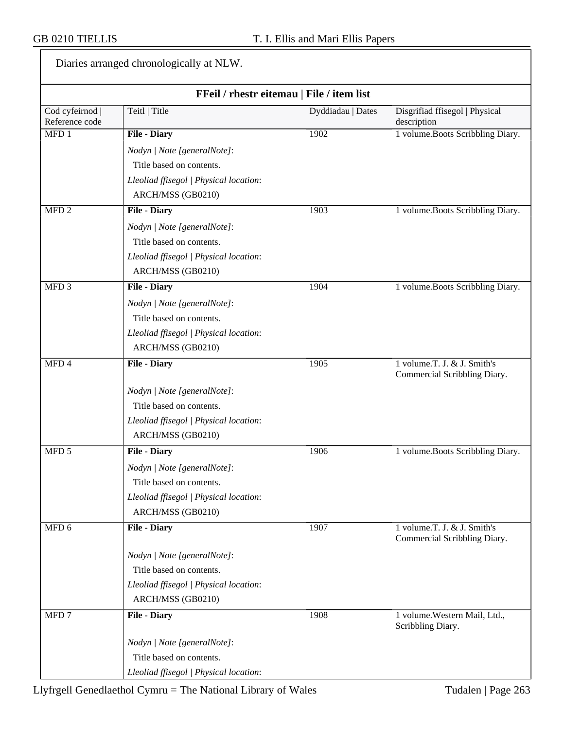Diaries arranged chronologically at NLW.

| FFeil / rhestr eitemau   File / item list |                                        |                   |                                                             |
|-------------------------------------------|----------------------------------------|-------------------|-------------------------------------------------------------|
| Cod cyfeirnod  <br>Reference code         | Teitl   Title                          | Dyddiadau   Dates | Disgrifiad ffisegol   Physical<br>description               |
| MFD <sub>1</sub>                          | <b>File - Diary</b>                    | 1902              | 1 volume.Boots Scribbling Diary.                            |
|                                           | Nodyn   Note [generalNote]:            |                   |                                                             |
|                                           | Title based on contents.               |                   |                                                             |
|                                           | Lleoliad ffisegol   Physical location: |                   |                                                             |
|                                           | ARCH/MSS (GB0210)                      |                   |                                                             |
| MFD <sub>2</sub>                          | <b>File - Diary</b>                    | 1903              | 1 volume. Boots Scribbling Diary.                           |
|                                           | Nodyn   Note [generalNote]:            |                   |                                                             |
|                                           | Title based on contents.               |                   |                                                             |
|                                           | Lleoliad ffisegol   Physical location: |                   |                                                             |
|                                           | ARCH/MSS (GB0210)                      |                   |                                                             |
| $\overline{\text{MFD 3}}$                 | <b>File - Diary</b>                    | 1904              | 1 volume.Boots Scribbling Diary.                            |
|                                           | Nodyn   Note [generalNote]:            |                   |                                                             |
|                                           | Title based on contents.               |                   |                                                             |
|                                           | Lleoliad ffisegol   Physical location: |                   |                                                             |
|                                           | ARCH/MSS (GB0210)                      |                   |                                                             |
| $\overline{\text{MFD 4}}$                 | <b>File - Diary</b>                    | 1905              | 1 volume.T. J. & J. Smith's<br>Commercial Scribbling Diary. |
|                                           | Nodyn   Note [generalNote]:            |                   |                                                             |
|                                           | Title based on contents.               |                   |                                                             |
|                                           | Lleoliad ffisegol   Physical location: |                   |                                                             |
|                                           | ARCH/MSS (GB0210)                      |                   |                                                             |
| $\overline{MPD}$ 5                        | <b>File - Diary</b>                    | 1906              | 1 volume.Boots Scribbling Diary.                            |
|                                           | Nodyn   Note [generalNote]:            |                   |                                                             |
|                                           | Title based on contents.               |                   |                                                             |
|                                           | Lleoliad ffisegol   Physical location: |                   |                                                             |
|                                           | ARCH/MSS (GB0210)                      |                   |                                                             |
| $\overline{MPD}$ 6                        | <b>File - Diary</b>                    | 1907              | 1 volume.T. J. & J. Smith's<br>Commercial Scribbling Diary. |
|                                           | Nodyn   Note [generalNote]:            |                   |                                                             |
|                                           | Title based on contents.               |                   |                                                             |
|                                           | Lleoliad ffisegol   Physical location: |                   |                                                             |
|                                           | ARCH/MSS (GB0210)                      |                   |                                                             |
| MFD <sub>7</sub>                          | <b>File - Diary</b>                    | 1908              | 1 volume. Western Mail, Ltd.,<br>Scribbling Diary.          |
|                                           | Nodyn   Note [generalNote]:            |                   |                                                             |
|                                           | Title based on contents.               |                   |                                                             |
|                                           | Lleoliad ffisegol   Physical location: |                   |                                                             |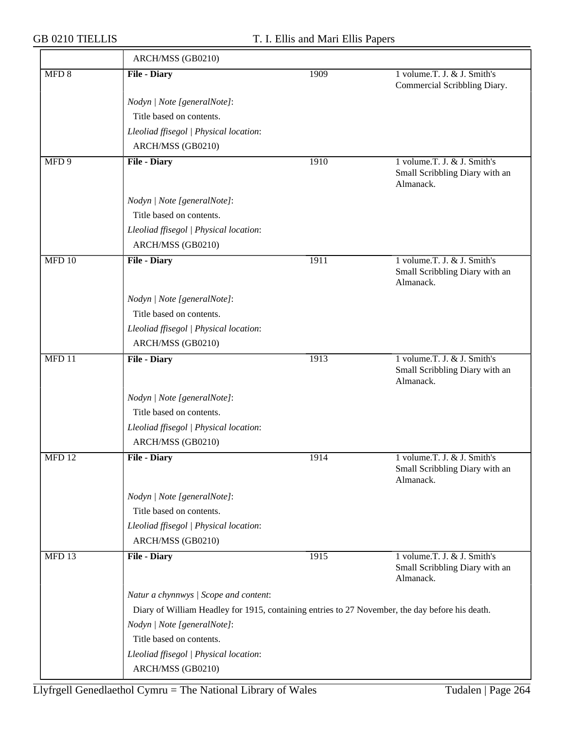| ARCH/MSS (GB0210)                                                                               |                             |                                                                            |  |  |
|-------------------------------------------------------------------------------------------------|-----------------------------|----------------------------------------------------------------------------|--|--|
| <b>File - Diary</b>                                                                             | 1909                        | 1 volume.T. J. & J. Smith's<br>Commercial Scribbling Diary.                |  |  |
| Nodyn   Note [generalNote]:                                                                     |                             |                                                                            |  |  |
| Title based on contents.                                                                        |                             |                                                                            |  |  |
| Lleoliad ffisegol   Physical location:                                                          |                             |                                                                            |  |  |
| ARCH/MSS (GB0210)                                                                               |                             |                                                                            |  |  |
| <b>File - Diary</b>                                                                             | 1910                        | 1 volume.T. J. & J. Smith's<br>Small Scribbling Diary with an<br>Almanack. |  |  |
| Nodyn   Note [generalNote]:                                                                     |                             |                                                                            |  |  |
| Title based on contents.                                                                        |                             |                                                                            |  |  |
| Lleoliad ffisegol   Physical location:                                                          |                             |                                                                            |  |  |
| ARCH/MSS (GB0210)                                                                               |                             |                                                                            |  |  |
| <b>File - Diary</b>                                                                             | 1911                        | 1 volume.T. J. & J. Smith's<br>Small Scribbling Diary with an<br>Almanack. |  |  |
| Nodyn   Note [generalNote]:                                                                     |                             |                                                                            |  |  |
| Title based on contents.                                                                        |                             |                                                                            |  |  |
| Lleoliad ffisegol   Physical location:                                                          |                             |                                                                            |  |  |
| ARCH/MSS (GB0210)                                                                               |                             |                                                                            |  |  |
| <b>File - Diary</b>                                                                             | 1913                        | 1 volume.T. J. & J. Smith's<br>Small Scribbling Diary with an<br>Almanack. |  |  |
|                                                                                                 |                             |                                                                            |  |  |
| Title based on contents.                                                                        |                             |                                                                            |  |  |
| Lleoliad ffisegol   Physical location:                                                          |                             |                                                                            |  |  |
| ARCH/MSS (GB0210)                                                                               |                             |                                                                            |  |  |
| <b>File - Diary</b>                                                                             | 1914                        | 1 volume.T. J. & J. Smith's<br>Small Scribbling Diary with an<br>Almanack. |  |  |
| Nodyn   Note [generalNote]:                                                                     |                             |                                                                            |  |  |
| Title based on contents.                                                                        |                             |                                                                            |  |  |
| Lleoliad ffisegol   Physical location:                                                          |                             |                                                                            |  |  |
| ARCH/MSS (GB0210)                                                                               |                             |                                                                            |  |  |
| <b>File - Diary</b>                                                                             | 1915                        | 1 volume.T. J. & J. Smith's<br>Small Scribbling Diary with an<br>Almanack. |  |  |
| Natur a chynnwys / Scope and content:                                                           |                             |                                                                            |  |  |
| Diary of William Headley for 1915, containing entries to 27 November, the day before his death. |                             |                                                                            |  |  |
| Nodyn   Note [generalNote]:                                                                     |                             |                                                                            |  |  |
| Title based on contents.                                                                        |                             |                                                                            |  |  |
| Lleoliad ffisegol   Physical location:                                                          |                             |                                                                            |  |  |
| ARCH/MSS (GB0210)                                                                               |                             |                                                                            |  |  |
|                                                                                                 | Nodyn   Note [generalNote]: |                                                                            |  |  |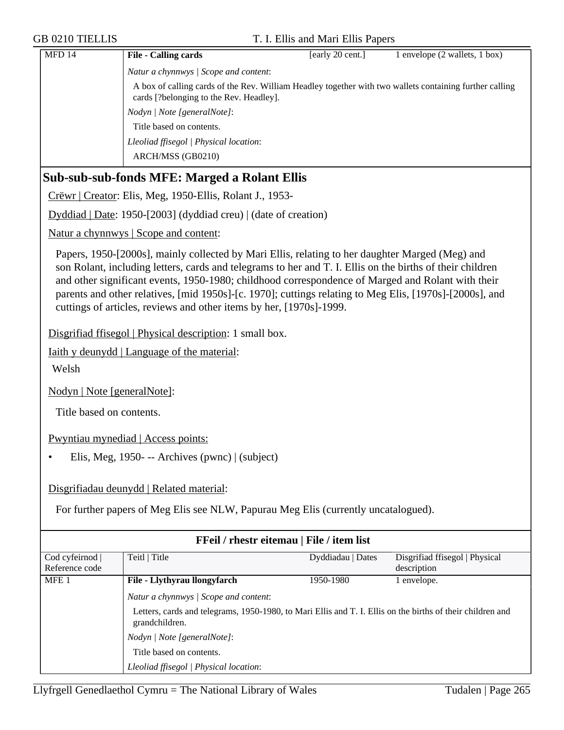| <b>MFD 14</b> | <b>File - Calling cards</b>                                                                                                                        | [early 20 cent.] | 1 envelope (2 wallets, 1 box) |
|---------------|----------------------------------------------------------------------------------------------------------------------------------------------------|------------------|-------------------------------|
|               | Natur a chynnwys / Scope and content:                                                                                                              |                  |                               |
|               | A box of calling cards of the Rev. William Headley together with two wallets containing further calling<br>cards [?belonging to the Rev. Headley]. |                  |                               |
|               | Nodyn / Note [generalNote]:                                                                                                                        |                  |                               |
|               | Title based on contents.                                                                                                                           |                  |                               |
|               | Lleoliad ffisegol   Physical location:                                                                                                             |                  |                               |
|               | ARCH/MSS (GB0210)                                                                                                                                  |                  |                               |

### **Sub-sub-sub-fonds MFE: Marged a Rolant Ellis**

Crëwr | Creator: Elis, Meg, 1950-Ellis, Rolant J., 1953-

Dyddiad | Date: 1950-[2003] (dyddiad creu) | (date of creation)

Natur a chynnwys | Scope and content:

Papers, 1950-[2000s], mainly collected by Mari Ellis, relating to her daughter Marged (Meg) and son Rolant, including letters, cards and telegrams to her and T. I. Ellis on the births of their children and other significant events, 1950-1980; childhood correspondence of Marged and Rolant with their parents and other relatives, [mid 1950s]-[c. 1970]; cuttings relating to Meg Elis, [1970s]-[2000s], and cuttings of articles, reviews and other items by her, [1970s]-1999.

Disgrifiad ffisegol | Physical description: 1 small box.

Iaith y deunydd | Language of the material:

Welsh

Nodyn | Note [generalNote]:

Title based on contents.

Pwyntiau mynediad | Access points:

• Elis, Meg, 1950- -- Archives (pwnc) | (subject)

Disgrifiadau deunydd | Related material:

For further papers of Meg Elis see NLW, Papurau Meg Elis (currently uncatalogued).

| FFeil / rhestr eitemau   File / item list |                                                                                                                              |                   |                                |  |
|-------------------------------------------|------------------------------------------------------------------------------------------------------------------------------|-------------------|--------------------------------|--|
| Cod cyfeirnod                             | Teitl   Title                                                                                                                | Dyddiadau   Dates | Disgrifiad ffisegol   Physical |  |
| Reference code                            |                                                                                                                              |                   | description                    |  |
| MFE <sub>1</sub>                          | File - Llythyrau llongyfarch                                                                                                 | 1950-1980         | envelope.                      |  |
|                                           | Natur a chynnwys / Scope and content:                                                                                        |                   |                                |  |
|                                           | Letters, cards and telegrams, 1950-1980, to Mari Ellis and T. I. Ellis on the births of their children and<br>grandchildren. |                   |                                |  |
|                                           | Nodyn   Note [generalNote]:                                                                                                  |                   |                                |  |
|                                           | Title based on contents.                                                                                                     |                   |                                |  |
|                                           | Lleoliad ffisegol   Physical location:                                                                                       |                   |                                |  |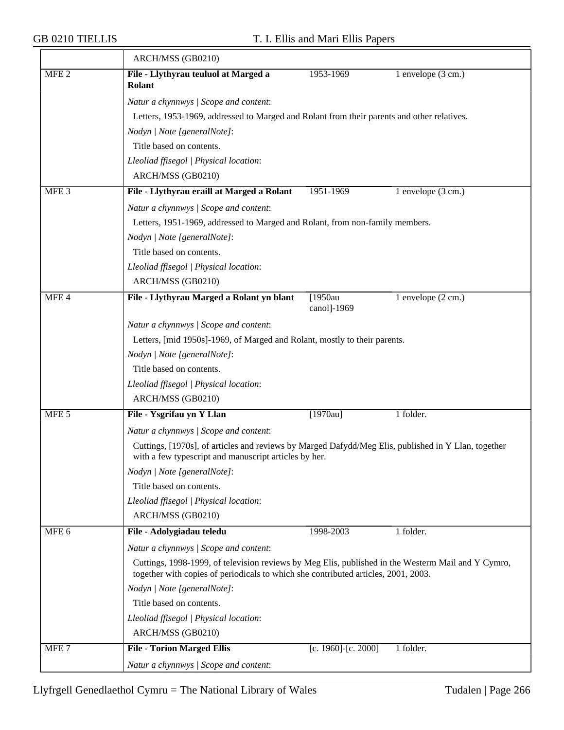$\overline{\phantom{a}}$ 

|                  | ARCH/MSS (GB0210)                                                                          |                                                                                                                                                                                          |                              |  |  |
|------------------|--------------------------------------------------------------------------------------------|------------------------------------------------------------------------------------------------------------------------------------------------------------------------------------------|------------------------------|--|--|
| MFE <sub>2</sub> | File - Llythyrau teuluol at Marged a<br>Rolant                                             | 1953-1969                                                                                                                                                                                | 1 envelope (3 cm.)           |  |  |
|                  | Natur a chynnwys / Scope and content:                                                      |                                                                                                                                                                                          |                              |  |  |
|                  | Letters, 1953-1969, addressed to Marged and Rolant from their parents and other relatives. |                                                                                                                                                                                          |                              |  |  |
|                  | Nodyn   Note [generalNote]:                                                                |                                                                                                                                                                                          |                              |  |  |
|                  | Title based on contents.                                                                   |                                                                                                                                                                                          |                              |  |  |
|                  | Lleoliad ffisegol   Physical location:                                                     |                                                                                                                                                                                          |                              |  |  |
|                  | ARCH/MSS (GB0210)                                                                          |                                                                                                                                                                                          |                              |  |  |
| MFE <sub>3</sub> | File - Llythyrau eraill at Marged a Rolant                                                 | 1951-1969                                                                                                                                                                                | 1 envelope (3 cm.)           |  |  |
|                  | Natur a chynnwys / Scope and content:                                                      |                                                                                                                                                                                          |                              |  |  |
|                  | Letters, 1951-1969, addressed to Marged and Rolant, from non-family members.               |                                                                                                                                                                                          |                              |  |  |
|                  | Nodyn   Note [generalNote]:                                                                |                                                                                                                                                                                          |                              |  |  |
|                  | Title based on contents.                                                                   |                                                                                                                                                                                          |                              |  |  |
|                  | Lleoliad ffisegol   Physical location:                                                     |                                                                                                                                                                                          |                              |  |  |
|                  | ARCH/MSS (GB0210)                                                                          |                                                                                                                                                                                          |                              |  |  |
| MFE 4            | File - Llythyrau Marged a Rolant yn blant                                                  | $\sqrt{1950}$ au<br>canol]-1969                                                                                                                                                          | 1 envelope $(2 \text{ cm.})$ |  |  |
|                  | Natur a chynnwys / Scope and content:                                                      |                                                                                                                                                                                          |                              |  |  |
|                  | Letters, [mid 1950s]-1969, of Marged and Rolant, mostly to their parents.                  |                                                                                                                                                                                          |                              |  |  |
|                  | Nodyn   Note [generalNote]:                                                                |                                                                                                                                                                                          |                              |  |  |
|                  | Title based on contents.                                                                   |                                                                                                                                                                                          |                              |  |  |
|                  | Lleoliad ffisegol   Physical location:                                                     |                                                                                                                                                                                          |                              |  |  |
|                  | ARCH/MSS (GB0210)                                                                          |                                                                                                                                                                                          |                              |  |  |
| MFE <sub>5</sub> | File - Ysgrifau yn Y Llan                                                                  | $[1970au]$                                                                                                                                                                               | 1 folder.                    |  |  |
|                  | Natur a chynnwys / Scope and content:                                                      |                                                                                                                                                                                          |                              |  |  |
|                  |                                                                                            | Cuttings, [1970s], of articles and reviews by Marged Dafydd/Meg Elis, published in Y Llan, together                                                                                      |                              |  |  |
|                  | with a few typescript and manuscript articles by her.                                      |                                                                                                                                                                                          |                              |  |  |
|                  | Nodyn   Note [generalNote]:                                                                |                                                                                                                                                                                          |                              |  |  |
|                  | Title based on contents.                                                                   |                                                                                                                                                                                          |                              |  |  |
|                  | Lleoliad ffisegol   Physical location:                                                     |                                                                                                                                                                                          |                              |  |  |
|                  | ARCH/MSS (GB0210)                                                                          |                                                                                                                                                                                          |                              |  |  |
| MFE <sub>6</sub> | File - Adolygiadau teledu                                                                  | 1998-2003                                                                                                                                                                                | 1 folder.                    |  |  |
|                  |                                                                                            | Natur a chynnwys / Scope and content:                                                                                                                                                    |                              |  |  |
|                  |                                                                                            | Cuttings, 1998-1999, of television reviews by Meg Elis, published in the Westerm Mail and Y Cymro,<br>together with copies of periodicals to which she contributed articles, 2001, 2003. |                              |  |  |
|                  | Nodyn   Note [generalNote]:                                                                |                                                                                                                                                                                          |                              |  |  |
|                  | Title based on contents.                                                                   |                                                                                                                                                                                          |                              |  |  |
|                  | Lleoliad ffisegol   Physical location:                                                     |                                                                                                                                                                                          |                              |  |  |
|                  | ARCH/MSS (GB0210)                                                                          |                                                                                                                                                                                          |                              |  |  |
| MFE <sub>7</sub> | <b>File - Torion Marged Ellis</b>                                                          | [c. 1960]-[c. 2000]                                                                                                                                                                      | 1 folder.                    |  |  |
|                  | Natur a chynnwys / Scope and content:                                                      |                                                                                                                                                                                          |                              |  |  |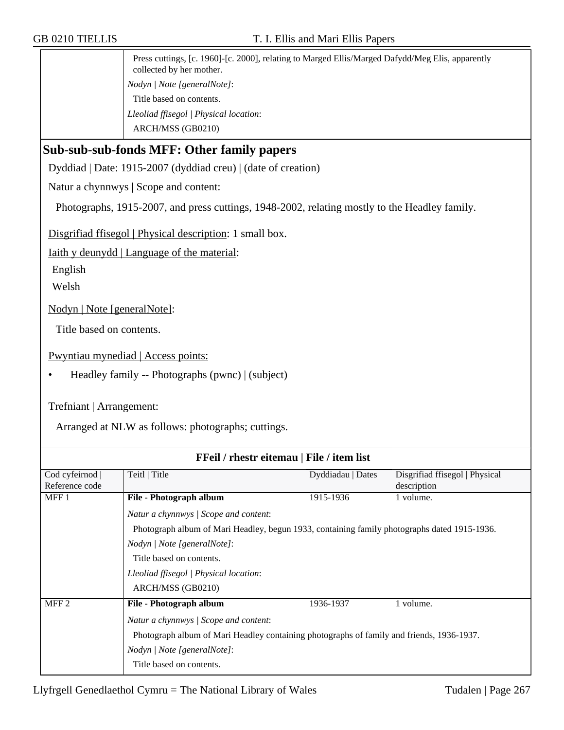Press cuttings, [c. 1960]-[c. 2000], relating to Marged Ellis/Marged Dafydd/Meg Elis, apparently collected by her mother. *Nodyn | Note [generalNote]*: Title based on contents. *Lleoliad ffisegol | Physical location*: ARCH/MSS (GB0210)

## **Sub-sub-sub-fonds MFF: Other family papers**

Dyddiad | Date: 1915-2007 (dyddiad creu) | (date of creation)

Natur a chynnwys | Scope and content:

Photographs, 1915-2007, and press cuttings, 1948-2002, relating mostly to the Headley family.

Disgrifiad ffisegol | Physical description: 1 small box.

Iaith y deunydd | Language of the material:

English

Welsh

Nodyn | Note [generalNote]:

Title based on contents.

Pwyntiau mynediad | Access points:

• Headley family -- Photographs (pwnc) | (subject)

Trefniant | Arrangement:

Arranged at NLW as follows: photographs; cuttings.

| FFeil / rhestr eitemau   File / item list |                                                                                              |                   |                                |  |
|-------------------------------------------|----------------------------------------------------------------------------------------------|-------------------|--------------------------------|--|
| Cod cyfeirnod                             | Teitl   Title                                                                                | Dyddiadau   Dates | Disgrifiad ffisegol   Physical |  |
| Reference code                            |                                                                                              |                   | description                    |  |
| MFF <sub>1</sub>                          | File - Photograph album                                                                      | 1915-1936         | 1 volume.                      |  |
|                                           | Natur a chynnwys / Scope and content:                                                        |                   |                                |  |
|                                           | Photograph album of Mari Headley, begun 1933, containing family photographs dated 1915-1936. |                   |                                |  |
|                                           | Nodyn / Note [generalNote]:                                                                  |                   |                                |  |
|                                           | Title based on contents.                                                                     |                   |                                |  |
|                                           | Lleoliad ffisegol   Physical location:                                                       |                   |                                |  |
|                                           | ARCH/MSS (GB0210)                                                                            |                   |                                |  |
| MFF <sub>2</sub>                          | File - Photograph album                                                                      | 1936-1937         | 1 volume.                      |  |
|                                           | Natur a chynnwys   Scope and content:                                                        |                   |                                |  |
|                                           | Photograph album of Mari Headley containing photographs of family and friends, 1936-1937.    |                   |                                |  |
|                                           | Nodyn   Note [generalNote]:                                                                  |                   |                                |  |
|                                           | Title based on contents.                                                                     |                   |                                |  |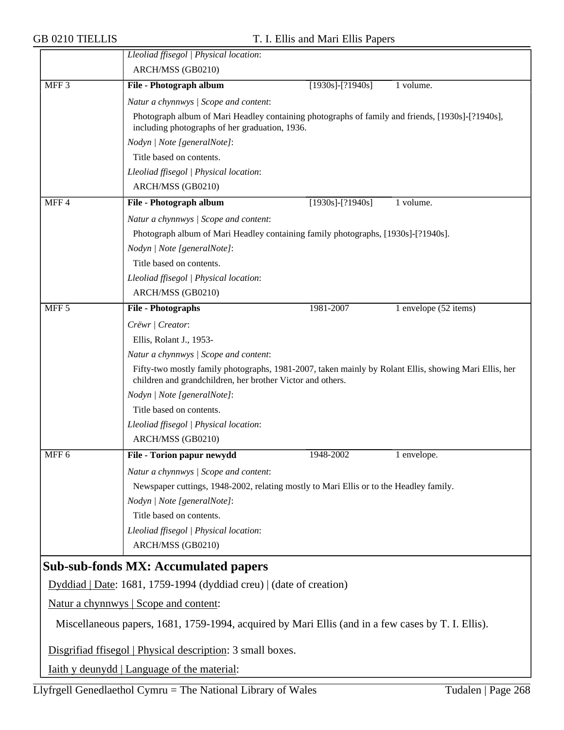|                  | Lleoliad ffisegol   Physical location:                                                                                                                              |                        |                       |  |  |
|------------------|---------------------------------------------------------------------------------------------------------------------------------------------------------------------|------------------------|-----------------------|--|--|
|                  | ARCH/MSS (GB0210)                                                                                                                                                   |                        |                       |  |  |
| MFF <sub>3</sub> | File - Photograph album                                                                                                                                             | $[1930s]$ - $[?1940s]$ | 1 volume.             |  |  |
|                  | Natur a chynnwys / Scope and content:                                                                                                                               |                        |                       |  |  |
|                  | Photograph album of Mari Headley containing photographs of family and friends, [1930s]-[?1940s],<br>including photographs of her graduation, 1936.                  |                        |                       |  |  |
|                  | Nodyn   Note [generalNote]:                                                                                                                                         |                        |                       |  |  |
|                  | Title based on contents.                                                                                                                                            |                        |                       |  |  |
|                  | Lleoliad ffisegol   Physical location:                                                                                                                              |                        |                       |  |  |
|                  | ARCH/MSS (GB0210)                                                                                                                                                   |                        |                       |  |  |
| MFF4             | File - Photograph album                                                                                                                                             | $[1930s]$ - $[?1940s]$ | 1 volume.             |  |  |
|                  | Natur a chynnwys / Scope and content:                                                                                                                               |                        |                       |  |  |
|                  | Photograph album of Mari Headley containing family photographs, [1930s]-[?1940s].                                                                                   |                        |                       |  |  |
|                  | Nodyn   Note [generalNote]:                                                                                                                                         |                        |                       |  |  |
|                  | Title based on contents.                                                                                                                                            |                        |                       |  |  |
|                  | Lleoliad ffisegol   Physical location:                                                                                                                              |                        |                       |  |  |
|                  | ARCH/MSS (GB0210)                                                                                                                                                   |                        |                       |  |  |
| MFF <sub>5</sub> | File - Photographs                                                                                                                                                  | 1981-2007              | 1 envelope (52 items) |  |  |
|                  | Crëwr   Creator:                                                                                                                                                    |                        |                       |  |  |
|                  | Ellis, Rolant J., 1953-                                                                                                                                             |                        |                       |  |  |
|                  | Natur a chynnwys / Scope and content:                                                                                                                               |                        |                       |  |  |
|                  | Fifty-two mostly family photographs, 1981-2007, taken mainly by Rolant Ellis, showing Mari Ellis, her<br>children and grandchildren, her brother Victor and others. |                        |                       |  |  |
|                  | Nodyn   Note [generalNote]:                                                                                                                                         |                        |                       |  |  |
|                  | Title based on contents.                                                                                                                                            |                        |                       |  |  |
|                  | Lleoliad ffisegol   Physical location:                                                                                                                              |                        |                       |  |  |
|                  | ARCH/MSS (GB0210)                                                                                                                                                   |                        |                       |  |  |
| MFF <sub>6</sub> | File - Torion papur newydd                                                                                                                                          | 1948-2002              | 1 envelope.           |  |  |
|                  | Natur a chynnwys / Scope and content:                                                                                                                               |                        |                       |  |  |
|                  | Newspaper cuttings, 1948-2002, relating mostly to Mari Ellis or to the Headley family.                                                                              |                        |                       |  |  |
|                  | Nodyn   Note [generalNote]:                                                                                                                                         |                        |                       |  |  |
|                  | Title based on contents.                                                                                                                                            |                        |                       |  |  |
|                  | Lleoliad ffisegol   Physical location:                                                                                                                              |                        |                       |  |  |
|                  | ARCH/MSS (GB0210)                                                                                                                                                   |                        |                       |  |  |
|                  | <b>Sub-sub-fonds MX: Accumulated papers</b>                                                                                                                         |                        |                       |  |  |
|                  | Dyddiad   Date: 1681, 1759-1994 (dyddiad creu)   (date of creation)                                                                                                 |                        |                       |  |  |
|                  | Natur a chynnwys   Scope and content:                                                                                                                               |                        |                       |  |  |
|                  | Miscellaneous papers, 1681, 1759-1994, acquired by Mari Ellis (and in a few cases by T. I. Ellis).                                                                  |                        |                       |  |  |
|                  | Disgrifiad ffisegol   Physical description: 3 small boxes.                                                                                                          |                        |                       |  |  |
|                  | <u>Iaith y deunydd   Language of the material:</u>                                                                                                                  |                        |                       |  |  |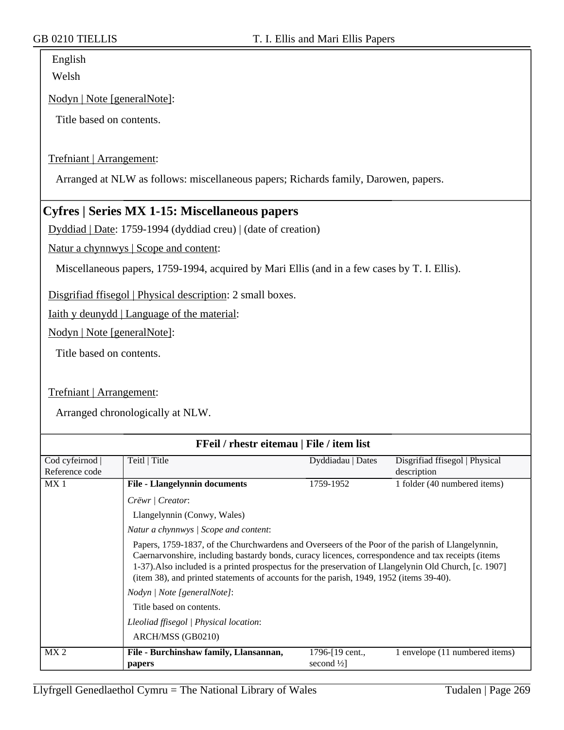English Welsh

#### Nodyn | Note [generalNote]:

Title based on contents.

#### Trefniant | Arrangement:

Arranged at NLW as follows: miscellaneous papers; Richards family, Darowen, papers.

### **Cyfres | Series MX 1-15: Miscellaneous papers**

Dyddiad | Date: 1759-1994 (dyddiad creu) | (date of creation)

Natur a chynnwys | Scope and content:

Miscellaneous papers, 1759-1994, acquired by Mari Ellis (and in a few cases by T. I. Ellis).

Disgrifiad ffisegol | Physical description: 2 small boxes.

Iaith y deunydd | Language of the material:

Nodyn | Note [generalNote]:

Title based on contents.

#### Trefniant | Arrangement:

Arranged chronologically at NLW.

| FFeil / rhestr eitemau   File / item list |                                                                                                                                                                                                                                                                                                                                                                                                             |                      |                                |
|-------------------------------------------|-------------------------------------------------------------------------------------------------------------------------------------------------------------------------------------------------------------------------------------------------------------------------------------------------------------------------------------------------------------------------------------------------------------|----------------------|--------------------------------|
| Cod cyfeirnod                             | Teitl   Title                                                                                                                                                                                                                                                                                                                                                                                               | Dyddiadau   Dates    | Disgrifiad ffisegol   Physical |
| Reference code                            |                                                                                                                                                                                                                                                                                                                                                                                                             |                      | description                    |
| MX <sub>1</sub>                           | <b>File - Llangelynnin documents</b>                                                                                                                                                                                                                                                                                                                                                                        | 1759-1952            | 1 folder (40 numbered items)   |
|                                           | Crëwr   Creator:                                                                                                                                                                                                                                                                                                                                                                                            |                      |                                |
|                                           | Llangelynnin (Conwy, Wales)                                                                                                                                                                                                                                                                                                                                                                                 |                      |                                |
|                                           | Natur a chynnwys / Scope and content:                                                                                                                                                                                                                                                                                                                                                                       |                      |                                |
|                                           | Papers, 1759-1837, of the Churchwardens and Overseers of the Poor of the parish of Llangelynnin,<br>Caernarvonshire, including bastardy bonds, curacy licences, correspondence and tax receipts (items<br>1-37). Also included is a printed prospectus for the preservation of Llangelynin Old Church, [c. 1907]<br>(item 38), and printed statements of accounts for the parish, 1949, 1952 (items 39-40). |                      |                                |
|                                           | <i>Nodyn</i>   <i>Note</i> [general <i>Note</i> ]:                                                                                                                                                                                                                                                                                                                                                          |                      |                                |
|                                           | Title based on contents.                                                                                                                                                                                                                                                                                                                                                                                    |                      |                                |
|                                           | Lleoliad ffisegol   Physical location:                                                                                                                                                                                                                                                                                                                                                                      |                      |                                |
|                                           | ARCH/MSS (GB0210)                                                                                                                                                                                                                                                                                                                                                                                           |                      |                                |
| MX 2                                      | File - Burchinshaw family, Llansannan,                                                                                                                                                                                                                                                                                                                                                                      | 1796-[19 cent.,      | 1 envelope (11 numbered items) |
|                                           | papers                                                                                                                                                                                                                                                                                                                                                                                                      | second $\frac{1}{2}$ |                                |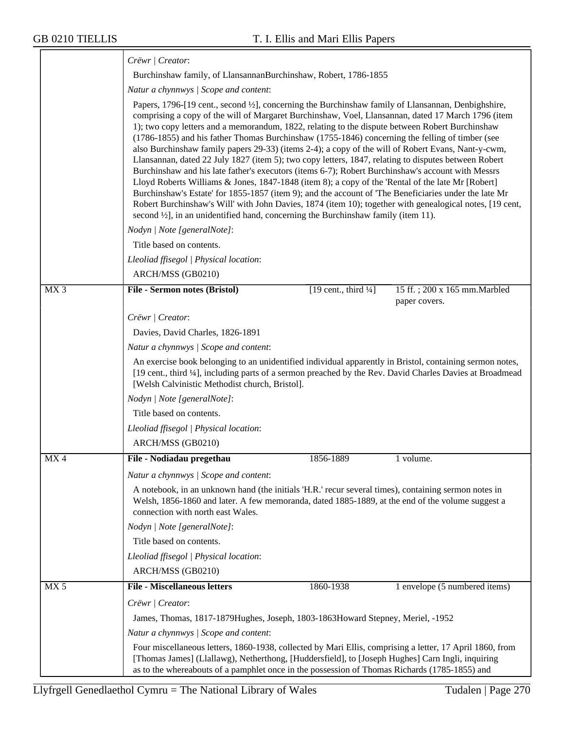|                 | Crëwr   Creator:                                                                                                                                                                                                                                                                                                                                                                                                                                                                                                                                                                                                                                                                                                                                                                                                                                                                                                                                                                                                                                                                                                                                           |                                                                                                                                                                                                                                                                         |                                                |  |  |
|-----------------|------------------------------------------------------------------------------------------------------------------------------------------------------------------------------------------------------------------------------------------------------------------------------------------------------------------------------------------------------------------------------------------------------------------------------------------------------------------------------------------------------------------------------------------------------------------------------------------------------------------------------------------------------------------------------------------------------------------------------------------------------------------------------------------------------------------------------------------------------------------------------------------------------------------------------------------------------------------------------------------------------------------------------------------------------------------------------------------------------------------------------------------------------------|-------------------------------------------------------------------------------------------------------------------------------------------------------------------------------------------------------------------------------------------------------------------------|------------------------------------------------|--|--|
|                 |                                                                                                                                                                                                                                                                                                                                                                                                                                                                                                                                                                                                                                                                                                                                                                                                                                                                                                                                                                                                                                                                                                                                                            | Burchinshaw family, of LlansannanBurchinshaw, Robert, 1786-1855                                                                                                                                                                                                         |                                                |  |  |
|                 | Natur a chynnwys / Scope and content:                                                                                                                                                                                                                                                                                                                                                                                                                                                                                                                                                                                                                                                                                                                                                                                                                                                                                                                                                                                                                                                                                                                      |                                                                                                                                                                                                                                                                         |                                                |  |  |
|                 | Papers, 1796-[19 cent., second ½], concerning the Burchinshaw family of Llansannan, Denbighshire,<br>comprising a copy of the will of Margaret Burchinshaw, Voel, Llansannan, dated 17 March 1796 (item<br>1); two copy letters and a memorandum, 1822, relating to the dispute between Robert Burchinshaw<br>(1786-1855) and his father Thomas Burchinshaw (1755-1846) concerning the felling of timber (see<br>also Burchinshaw family papers 29-33) (items 2-4); a copy of the will of Robert Evans, Nant-y-cwm,<br>Llansannan, dated 22 July 1827 (item 5); two copy letters, 1847, relating to disputes between Robert<br>Burchinshaw and his late father's executors (items 6-7); Robert Burchinshaw's account with Messrs<br>Lloyd Roberts Williams & Jones, 1847-1848 (item 8); a copy of the 'Rental of the late Mr [Robert]<br>Burchinshaw's Estate' for 1855-1857 (item 9); and the account of 'The Beneficiaries under the late Mr<br>Robert Burchinshaw's Will' with John Davies, 1874 (item 10); together with genealogical notes, [19 cent,<br>second $\frac{1}{2}$ , in an unidentified hand, concerning the Burchinshaw family (item 11). |                                                                                                                                                                                                                                                                         |                                                |  |  |
|                 | Nodyn   Note [generalNote]:                                                                                                                                                                                                                                                                                                                                                                                                                                                                                                                                                                                                                                                                                                                                                                                                                                                                                                                                                                                                                                                                                                                                |                                                                                                                                                                                                                                                                         |                                                |  |  |
|                 | Title based on contents.                                                                                                                                                                                                                                                                                                                                                                                                                                                                                                                                                                                                                                                                                                                                                                                                                                                                                                                                                                                                                                                                                                                                   |                                                                                                                                                                                                                                                                         |                                                |  |  |
|                 | Lleoliad ffisegol   Physical location:                                                                                                                                                                                                                                                                                                                                                                                                                                                                                                                                                                                                                                                                                                                                                                                                                                                                                                                                                                                                                                                                                                                     |                                                                                                                                                                                                                                                                         |                                                |  |  |
|                 | ARCH/MSS (GB0210)                                                                                                                                                                                                                                                                                                                                                                                                                                                                                                                                                                                                                                                                                                                                                                                                                                                                                                                                                                                                                                                                                                                                          |                                                                                                                                                                                                                                                                         |                                                |  |  |
| MX <sub>3</sub> | File - Sermon notes (Bristol)                                                                                                                                                                                                                                                                                                                                                                                                                                                                                                                                                                                                                                                                                                                                                                                                                                                                                                                                                                                                                                                                                                                              | [19 cent., third $\frac{1}{4}$ ]                                                                                                                                                                                                                                        | 15 ff.; 200 x 165 mm. Marbled<br>paper covers. |  |  |
|                 | Crëwr   Creator:                                                                                                                                                                                                                                                                                                                                                                                                                                                                                                                                                                                                                                                                                                                                                                                                                                                                                                                                                                                                                                                                                                                                           |                                                                                                                                                                                                                                                                         |                                                |  |  |
|                 | Davies, David Charles, 1826-1891                                                                                                                                                                                                                                                                                                                                                                                                                                                                                                                                                                                                                                                                                                                                                                                                                                                                                                                                                                                                                                                                                                                           |                                                                                                                                                                                                                                                                         |                                                |  |  |
|                 | Natur a chynnwys / Scope and content:                                                                                                                                                                                                                                                                                                                                                                                                                                                                                                                                                                                                                                                                                                                                                                                                                                                                                                                                                                                                                                                                                                                      |                                                                                                                                                                                                                                                                         |                                                |  |  |
|                 |                                                                                                                                                                                                                                                                                                                                                                                                                                                                                                                                                                                                                                                                                                                                                                                                                                                                                                                                                                                                                                                                                                                                                            | An exercise book belonging to an unidentified individual apparently in Bristol, containing sermon notes,<br>[19 cent., third 1/4], including parts of a sermon preached by the Rev. David Charles Davies at Broadmead<br>[Welsh Calvinistic Methodist church, Bristol]. |                                                |  |  |
|                 | Nodyn   Note [generalNote]:                                                                                                                                                                                                                                                                                                                                                                                                                                                                                                                                                                                                                                                                                                                                                                                                                                                                                                                                                                                                                                                                                                                                |                                                                                                                                                                                                                                                                         |                                                |  |  |
|                 | Title based on contents.                                                                                                                                                                                                                                                                                                                                                                                                                                                                                                                                                                                                                                                                                                                                                                                                                                                                                                                                                                                                                                                                                                                                   |                                                                                                                                                                                                                                                                         |                                                |  |  |
|                 | Lleoliad ffisegol   Physical location:                                                                                                                                                                                                                                                                                                                                                                                                                                                                                                                                                                                                                                                                                                                                                                                                                                                                                                                                                                                                                                                                                                                     |                                                                                                                                                                                                                                                                         |                                                |  |  |
|                 | ARCH/MSS (GB0210)                                                                                                                                                                                                                                                                                                                                                                                                                                                                                                                                                                                                                                                                                                                                                                                                                                                                                                                                                                                                                                                                                                                                          |                                                                                                                                                                                                                                                                         |                                                |  |  |
| MX4             | File - Nodiadau pregethau                                                                                                                                                                                                                                                                                                                                                                                                                                                                                                                                                                                                                                                                                                                                                                                                                                                                                                                                                                                                                                                                                                                                  | 1856-1889                                                                                                                                                                                                                                                               | 1 volume.                                      |  |  |
|                 | Natur a chynnwys / Scope and content:                                                                                                                                                                                                                                                                                                                                                                                                                                                                                                                                                                                                                                                                                                                                                                                                                                                                                                                                                                                                                                                                                                                      |                                                                                                                                                                                                                                                                         |                                                |  |  |
|                 | connection with north east Wales.                                                                                                                                                                                                                                                                                                                                                                                                                                                                                                                                                                                                                                                                                                                                                                                                                                                                                                                                                                                                                                                                                                                          | A notebook, in an unknown hand (the initials 'H.R.' recur several times), containing sermon notes in<br>Welsh, 1856-1860 and later. A few memoranda, dated 1885-1889, at the end of the volume suggest a                                                                |                                                |  |  |
|                 | Nodyn   Note [generalNote]:                                                                                                                                                                                                                                                                                                                                                                                                                                                                                                                                                                                                                                                                                                                                                                                                                                                                                                                                                                                                                                                                                                                                |                                                                                                                                                                                                                                                                         |                                                |  |  |
|                 | Title based on contents.                                                                                                                                                                                                                                                                                                                                                                                                                                                                                                                                                                                                                                                                                                                                                                                                                                                                                                                                                                                                                                                                                                                                   |                                                                                                                                                                                                                                                                         |                                                |  |  |
|                 | Lleoliad ffisegol   Physical location:                                                                                                                                                                                                                                                                                                                                                                                                                                                                                                                                                                                                                                                                                                                                                                                                                                                                                                                                                                                                                                                                                                                     |                                                                                                                                                                                                                                                                         |                                                |  |  |
|                 | ARCH/MSS (GB0210)                                                                                                                                                                                                                                                                                                                                                                                                                                                                                                                                                                                                                                                                                                                                                                                                                                                                                                                                                                                                                                                                                                                                          |                                                                                                                                                                                                                                                                         |                                                |  |  |
| MX <sub>5</sub> | <b>File - Miscellaneous letters</b>                                                                                                                                                                                                                                                                                                                                                                                                                                                                                                                                                                                                                                                                                                                                                                                                                                                                                                                                                                                                                                                                                                                        | 1860-1938                                                                                                                                                                                                                                                               | 1 envelope (5 numbered items)                  |  |  |
|                 | Crëwr   Creator:                                                                                                                                                                                                                                                                                                                                                                                                                                                                                                                                                                                                                                                                                                                                                                                                                                                                                                                                                                                                                                                                                                                                           |                                                                                                                                                                                                                                                                         |                                                |  |  |
|                 |                                                                                                                                                                                                                                                                                                                                                                                                                                                                                                                                                                                                                                                                                                                                                                                                                                                                                                                                                                                                                                                                                                                                                            | James, Thomas, 1817-1879Hughes, Joseph, 1803-1863Howard Stepney, Meriel, -1952                                                                                                                                                                                          |                                                |  |  |
|                 | Natur a chynnwys / Scope and content:                                                                                                                                                                                                                                                                                                                                                                                                                                                                                                                                                                                                                                                                                                                                                                                                                                                                                                                                                                                                                                                                                                                      |                                                                                                                                                                                                                                                                         |                                                |  |  |
|                 | Four miscellaneous letters, 1860-1938, collected by Mari Ellis, comprising a letter, 17 April 1860, from<br>[Thomas James] (Llallawg), Netherthong, [Huddersfield], to [Joseph Hughes] Carn Ingli, inquiring<br>as to the whereabouts of a pamphlet once in the possession of Thomas Richards (1785-1855) and                                                                                                                                                                                                                                                                                                                                                                                                                                                                                                                                                                                                                                                                                                                                                                                                                                              |                                                                                                                                                                                                                                                                         |                                                |  |  |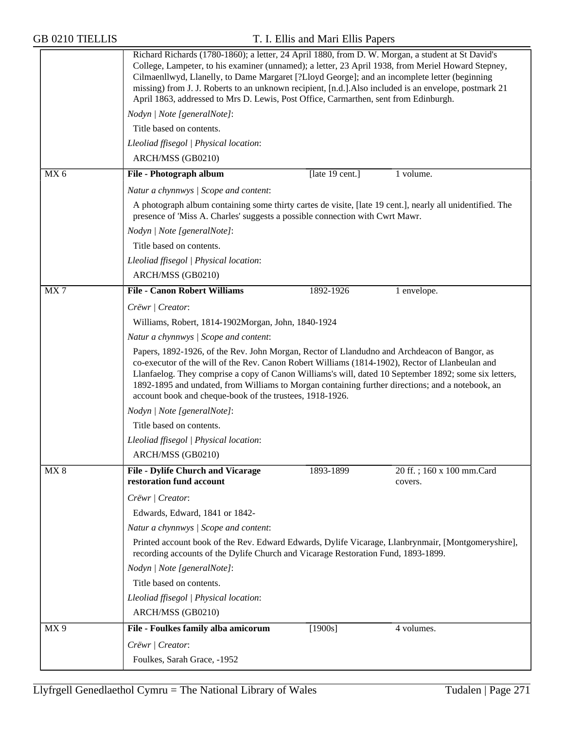|                 | Richard Richards (1780-1860); a letter, 24 April 1880, from D. W. Morgan, a student at St David's<br>College, Lampeter, to his examiner (unnamed); a letter, 23 April 1938, from Meriel Howard Stepney,<br>Cilmaenllwyd, Llanelly, to Dame Margaret [?Lloyd George]; and an incomplete letter (beginning<br>missing) from J. J. Roberts to an unknown recipient, [n.d.]. Also included is an envelope, postmark 21<br>April 1863, addressed to Mrs D. Lewis, Post Office, Carmarthen, sent from Edinburgh. |
|-----------------|------------------------------------------------------------------------------------------------------------------------------------------------------------------------------------------------------------------------------------------------------------------------------------------------------------------------------------------------------------------------------------------------------------------------------------------------------------------------------------------------------------|
|                 | Nodyn   Note [generalNote]:                                                                                                                                                                                                                                                                                                                                                                                                                                                                                |
|                 | Title based on contents.                                                                                                                                                                                                                                                                                                                                                                                                                                                                                   |
|                 | Lleoliad ffisegol   Physical location:                                                                                                                                                                                                                                                                                                                                                                                                                                                                     |
|                 | ARCH/MSS (GB0210)                                                                                                                                                                                                                                                                                                                                                                                                                                                                                          |
| MX <sub>6</sub> | File - Photograph album<br>[late 19 cent.]<br>1 volume.                                                                                                                                                                                                                                                                                                                                                                                                                                                    |
|                 | Natur a chynnwys / Scope and content:                                                                                                                                                                                                                                                                                                                                                                                                                                                                      |
|                 | A photograph album containing some thirty cartes de visite, [late 19 cent.], nearly all unidentified. The<br>presence of 'Miss A. Charles' suggests a possible connection with Cwrt Mawr.                                                                                                                                                                                                                                                                                                                  |
|                 | Nodyn   Note [generalNote]:                                                                                                                                                                                                                                                                                                                                                                                                                                                                                |
|                 | Title based on contents.                                                                                                                                                                                                                                                                                                                                                                                                                                                                                   |
|                 | Lleoliad ffisegol   Physical location:                                                                                                                                                                                                                                                                                                                                                                                                                                                                     |
|                 | ARCH/MSS (GB0210)                                                                                                                                                                                                                                                                                                                                                                                                                                                                                          |
| MX7             | <b>File - Canon Robert Williams</b><br>1892-1926<br>1 envelope.                                                                                                                                                                                                                                                                                                                                                                                                                                            |
|                 | Crëwr   Creator:                                                                                                                                                                                                                                                                                                                                                                                                                                                                                           |
|                 | Williams, Robert, 1814-1902Morgan, John, 1840-1924                                                                                                                                                                                                                                                                                                                                                                                                                                                         |
|                 | Natur a chynnwys / Scope and content:                                                                                                                                                                                                                                                                                                                                                                                                                                                                      |
|                 | Papers, 1892-1926, of the Rev. John Morgan, Rector of Llandudno and Archdeacon of Bangor, as<br>co-executor of the will of the Rev. Canon Robert Williams (1814-1902), Rector of Llanbeulan and<br>Llanfaelog. They comprise a copy of Canon Williams's will, dated 10 September 1892; some six letters,<br>1892-1895 and undated, from Williams to Morgan containing further directions; and a notebook, an<br>account book and cheque-book of the trustees, 1918-1926.                                   |
|                 | Nodyn   Note [generalNote]:                                                                                                                                                                                                                                                                                                                                                                                                                                                                                |
|                 | Title based on contents.                                                                                                                                                                                                                                                                                                                                                                                                                                                                                   |
|                 | Lleoliad ffisegol   Physical location:                                                                                                                                                                                                                                                                                                                                                                                                                                                                     |
|                 | ARCH/MSS (GB0210)                                                                                                                                                                                                                                                                                                                                                                                                                                                                                          |
| MX 8            | <b>File - Dylife Church and Vicarage</b><br>1893-1899<br>20 ff.; 160 x 100 mm.Card<br>restoration fund account<br>covers.                                                                                                                                                                                                                                                                                                                                                                                  |
|                 | Crëwr   Creator:                                                                                                                                                                                                                                                                                                                                                                                                                                                                                           |
|                 | Edwards, Edward, 1841 or 1842-                                                                                                                                                                                                                                                                                                                                                                                                                                                                             |
|                 | Natur a chynnwys / Scope and content:                                                                                                                                                                                                                                                                                                                                                                                                                                                                      |
|                 | Printed account book of the Rev. Edward Edwards, Dylife Vicarage, Llanbrynmair, [Montgomeryshire],<br>recording accounts of the Dylife Church and Vicarage Restoration Fund, 1893-1899.                                                                                                                                                                                                                                                                                                                    |
|                 | Nodyn   Note [generalNote]:                                                                                                                                                                                                                                                                                                                                                                                                                                                                                |
|                 | Title based on contents.                                                                                                                                                                                                                                                                                                                                                                                                                                                                                   |
|                 | Lleoliad ffisegol   Physical location:                                                                                                                                                                                                                                                                                                                                                                                                                                                                     |
|                 | ARCH/MSS (GB0210)                                                                                                                                                                                                                                                                                                                                                                                                                                                                                          |
| MX9             | File - Foulkes family alba amicorum<br>$[1900s]$<br>4 volumes.                                                                                                                                                                                                                                                                                                                                                                                                                                             |
|                 | Crëwr   Creator:                                                                                                                                                                                                                                                                                                                                                                                                                                                                                           |
|                 | Foulkes, Sarah Grace, -1952                                                                                                                                                                                                                                                                                                                                                                                                                                                                                |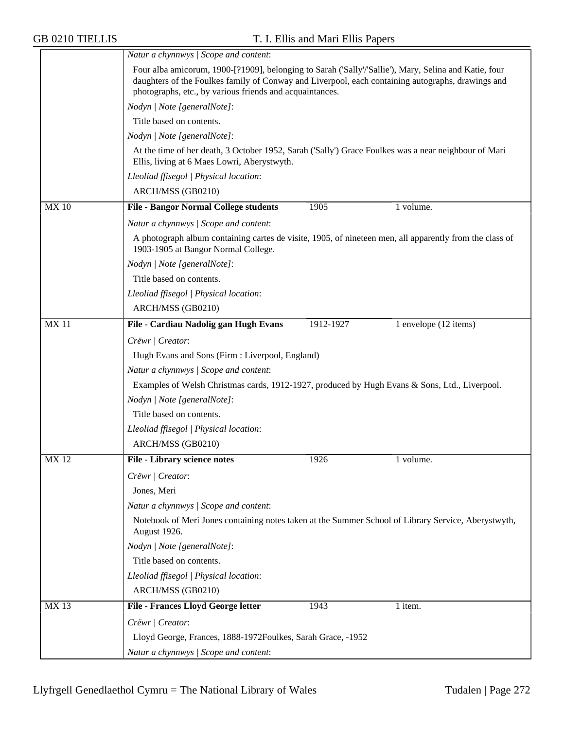|             | Natur a chynnwys / Scope and content:                                                                                                                                                                                                                                  |                                                                                                      |                       |  |  |
|-------------|------------------------------------------------------------------------------------------------------------------------------------------------------------------------------------------------------------------------------------------------------------------------|------------------------------------------------------------------------------------------------------|-----------------------|--|--|
|             | Four alba amicorum, 1900-[?1909], belonging to Sarah ('Sally'/'Sallie'), Mary, Selina and Katie, four<br>daughters of the Foulkes family of Conway and Liverpool, each containing autographs, drawings and<br>photographs, etc., by various friends and acquaintances. |                                                                                                      |                       |  |  |
|             | Nodyn   Note [generalNote]:                                                                                                                                                                                                                                            |                                                                                                      |                       |  |  |
|             | Title based on contents.                                                                                                                                                                                                                                               |                                                                                                      |                       |  |  |
|             | Nodyn   Note [generalNote]:                                                                                                                                                                                                                                            |                                                                                                      |                       |  |  |
|             | Ellis, living at 6 Maes Lowri, Aberystwyth.                                                                                                                                                                                                                            | At the time of her death, 3 October 1952, Sarah ('Sally') Grace Foulkes was a near neighbour of Mari |                       |  |  |
|             | Lleoliad ffisegol   Physical location:                                                                                                                                                                                                                                 |                                                                                                      |                       |  |  |
|             | ARCH/MSS (GB0210)                                                                                                                                                                                                                                                      |                                                                                                      |                       |  |  |
| <b>MX10</b> | <b>File - Bangor Normal College students</b>                                                                                                                                                                                                                           | 1905                                                                                                 | 1 volume.             |  |  |
|             | Natur a chynnwys / Scope and content:                                                                                                                                                                                                                                  |                                                                                                      |                       |  |  |
|             | A photograph album containing cartes de visite, 1905, of nineteen men, all apparently from the class of<br>1903-1905 at Bangor Normal College.                                                                                                                         |                                                                                                      |                       |  |  |
|             | Nodyn   Note [generalNote]:                                                                                                                                                                                                                                            |                                                                                                      |                       |  |  |
|             | Title based on contents.                                                                                                                                                                                                                                               |                                                                                                      |                       |  |  |
|             | Lleoliad ffisegol   Physical location:                                                                                                                                                                                                                                 |                                                                                                      |                       |  |  |
|             | ARCH/MSS (GB0210)                                                                                                                                                                                                                                                      |                                                                                                      |                       |  |  |
| <b>MX11</b> | File - Cardiau Nadolig gan Hugh Evans                                                                                                                                                                                                                                  | 1912-1927                                                                                            | 1 envelope (12 items) |  |  |
|             | Crëwr   Creator:                                                                                                                                                                                                                                                       |                                                                                                      |                       |  |  |
|             | Hugh Evans and Sons (Firm : Liverpool, England)                                                                                                                                                                                                                        |                                                                                                      |                       |  |  |
|             | Natur a chynnwys / Scope and content:                                                                                                                                                                                                                                  |                                                                                                      |                       |  |  |
|             | Examples of Welsh Christmas cards, 1912-1927, produced by Hugh Evans & Sons, Ltd., Liverpool.                                                                                                                                                                          |                                                                                                      |                       |  |  |
|             | Nodyn   Note [generalNote]:                                                                                                                                                                                                                                            |                                                                                                      |                       |  |  |
|             | Title based on contents.                                                                                                                                                                                                                                               |                                                                                                      |                       |  |  |
|             | Lleoliad ffisegol   Physical location:                                                                                                                                                                                                                                 |                                                                                                      |                       |  |  |
|             | ARCH/MSS (GB0210)                                                                                                                                                                                                                                                      |                                                                                                      |                       |  |  |
| <b>MX12</b> | <b>File - Library science notes</b>                                                                                                                                                                                                                                    | 1926                                                                                                 | 1 volume.             |  |  |
|             | Crëwr   Creator:                                                                                                                                                                                                                                                       |                                                                                                      |                       |  |  |
|             | Jones, Meri                                                                                                                                                                                                                                                            |                                                                                                      |                       |  |  |
|             | Natur a chynnwys / Scope and content:                                                                                                                                                                                                                                  |                                                                                                      |                       |  |  |
|             | Notebook of Meri Jones containing notes taken at the Summer School of Library Service, Aberystwyth,<br>August 1926.                                                                                                                                                    |                                                                                                      |                       |  |  |
|             | Nodyn   Note [generalNote]:                                                                                                                                                                                                                                            |                                                                                                      |                       |  |  |
|             | Title based on contents.                                                                                                                                                                                                                                               |                                                                                                      |                       |  |  |
|             | Lleoliad ffisegol   Physical location:                                                                                                                                                                                                                                 |                                                                                                      |                       |  |  |
|             | ARCH/MSS (GB0210)                                                                                                                                                                                                                                                      |                                                                                                      |                       |  |  |
| <b>MX13</b> | File - Frances Lloyd George letter                                                                                                                                                                                                                                     | 1943                                                                                                 | 1 item.               |  |  |
|             | Crëwr   Creator:                                                                                                                                                                                                                                                       |                                                                                                      |                       |  |  |
|             | Lloyd George, Frances, 1888-1972Foulkes, Sarah Grace, -1952                                                                                                                                                                                                            |                                                                                                      |                       |  |  |
|             | Natur a chynnwys / Scope and content:                                                                                                                                                                                                                                  |                                                                                                      |                       |  |  |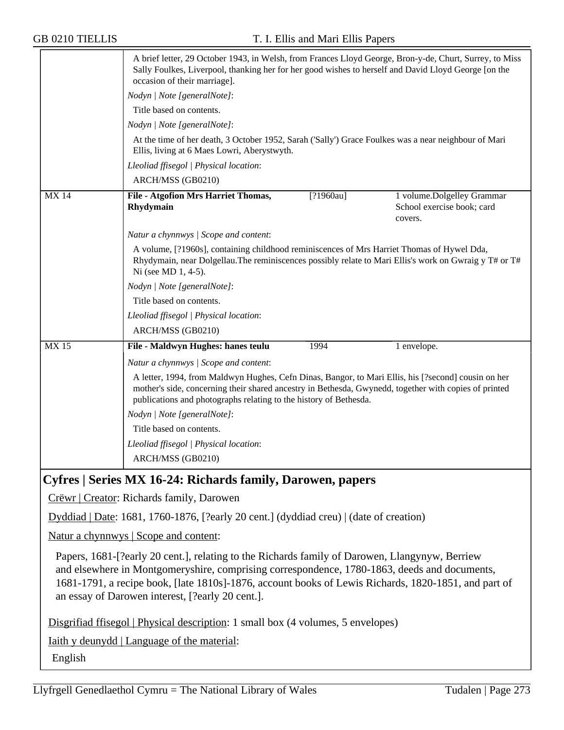|                                                                                                                                                                                                                                                                                                                                                            | A brief letter, 29 October 1943, in Welsh, from Frances Lloyd George, Bron-y-de, Churt, Surrey, to Miss<br>Sally Foulkes, Liverpool, thanking her for her good wishes to herself and David Lloyd George [on the<br>occasion of their marriage].                                   |             |                                                                     |
|------------------------------------------------------------------------------------------------------------------------------------------------------------------------------------------------------------------------------------------------------------------------------------------------------------------------------------------------------------|-----------------------------------------------------------------------------------------------------------------------------------------------------------------------------------------------------------------------------------------------------------------------------------|-------------|---------------------------------------------------------------------|
|                                                                                                                                                                                                                                                                                                                                                            | Nodyn   Note [generalNote]:                                                                                                                                                                                                                                                       |             |                                                                     |
|                                                                                                                                                                                                                                                                                                                                                            | Title based on contents.                                                                                                                                                                                                                                                          |             |                                                                     |
|                                                                                                                                                                                                                                                                                                                                                            | Nodyn   Note [generalNote]:                                                                                                                                                                                                                                                       |             |                                                                     |
|                                                                                                                                                                                                                                                                                                                                                            | At the time of her death, 3 October 1952, Sarah ('Sally') Grace Foulkes was a near neighbour of Mari<br>Ellis, living at 6 Maes Lowri, Aberystwyth.                                                                                                                               |             |                                                                     |
|                                                                                                                                                                                                                                                                                                                                                            | Lleoliad ffisegol   Physical location:                                                                                                                                                                                                                                            |             |                                                                     |
|                                                                                                                                                                                                                                                                                                                                                            | ARCH/MSS (GB0210)                                                                                                                                                                                                                                                                 |             |                                                                     |
| <b>MX14</b>                                                                                                                                                                                                                                                                                                                                                | File - Atgofion Mrs Harriet Thomas,<br>Rhydymain                                                                                                                                                                                                                                  | $[?1960au]$ | 1 volume.Dolgelley Grammar<br>School exercise book; card<br>covers. |
|                                                                                                                                                                                                                                                                                                                                                            | Natur a chynnwys / Scope and content:                                                                                                                                                                                                                                             |             |                                                                     |
|                                                                                                                                                                                                                                                                                                                                                            | A volume, [?1960s], containing childhood reminiscences of Mrs Harriet Thomas of Hywel Dda,<br>Rhydymain, near Dolgellau. The reminiscences possibly relate to Mari Ellis's work on Gwraig y T# or T#<br>Ni (see MD 1, 4-5).                                                       |             |                                                                     |
|                                                                                                                                                                                                                                                                                                                                                            | Nodyn   Note [generalNote]:                                                                                                                                                                                                                                                       |             |                                                                     |
|                                                                                                                                                                                                                                                                                                                                                            | Title based on contents.                                                                                                                                                                                                                                                          |             |                                                                     |
|                                                                                                                                                                                                                                                                                                                                                            | Lleoliad ffisegol   Physical location:                                                                                                                                                                                                                                            |             |                                                                     |
|                                                                                                                                                                                                                                                                                                                                                            | ARCH/MSS (GB0210)                                                                                                                                                                                                                                                                 |             |                                                                     |
| MX 15                                                                                                                                                                                                                                                                                                                                                      | File - Maldwyn Hughes: hanes teulu                                                                                                                                                                                                                                                | 1994        | 1 envelope.                                                         |
|                                                                                                                                                                                                                                                                                                                                                            | Natur a chynnwys / Scope and content:                                                                                                                                                                                                                                             |             |                                                                     |
|                                                                                                                                                                                                                                                                                                                                                            | A letter, 1994, from Maldwyn Hughes, Cefn Dinas, Bangor, to Mari Ellis, his [?second] cousin on her<br>mother's side, concerning their shared ancestry in Bethesda, Gwynedd, together with copies of printed<br>publications and photographs relating to the history of Bethesda. |             |                                                                     |
|                                                                                                                                                                                                                                                                                                                                                            | Nodyn   Note [generalNote]:                                                                                                                                                                                                                                                       |             |                                                                     |
|                                                                                                                                                                                                                                                                                                                                                            | Title based on contents.                                                                                                                                                                                                                                                          |             |                                                                     |
|                                                                                                                                                                                                                                                                                                                                                            | Lleoliad ffisegol   Physical location:                                                                                                                                                                                                                                            |             |                                                                     |
|                                                                                                                                                                                                                                                                                                                                                            | ARCH/MSS (GB0210)                                                                                                                                                                                                                                                                 |             |                                                                     |
| Cyfres   Series MX 16-24: Richards family, Darowen, papers                                                                                                                                                                                                                                                                                                 |                                                                                                                                                                                                                                                                                   |             |                                                                     |
| Crëwr   Creator: Richards family, Darowen                                                                                                                                                                                                                                                                                                                  |                                                                                                                                                                                                                                                                                   |             |                                                                     |
|                                                                                                                                                                                                                                                                                                                                                            | Dyddiad   Date: 1681, 1760-1876, [?early 20 cent.] (dyddiad creu)   (date of creation)                                                                                                                                                                                            |             |                                                                     |
| Natur a chynnwys   Scope and content:                                                                                                                                                                                                                                                                                                                      |                                                                                                                                                                                                                                                                                   |             |                                                                     |
| Papers, 1681-[?early 20 cent.], relating to the Richards family of Darowen, Llangynyw, Berriew<br>and elsewhere in Montgomeryshire, comprising correspondence, 1780-1863, deeds and documents,<br>1681-1791, a recipe book, [late 1810s]-1876, account books of Lewis Richards, 1820-1851, and part of<br>an essay of Darowen interest, [?early 20 cent.]. |                                                                                                                                                                                                                                                                                   |             |                                                                     |

Disgrifiad ffisegol | Physical description: 1 small box (4 volumes, 5 envelopes)

Iaith y deunydd | Language of the material:

English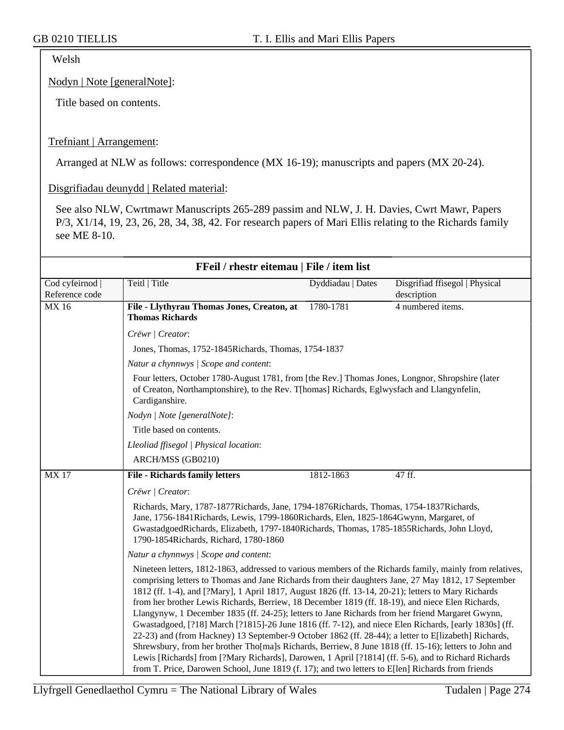Welsh

Nodyn | Note [generalNote]:

Title based on contents.

#### Trefniant | Arrangement:

Arranged at NLW as follows: correspondence (MX 16-19); manuscripts and papers (MX 20-24).

Disgrifiadau deunydd | Related material:

See also NLW, Cwrtmawr Manuscripts 265-289 passim and NLW, J. H. Davies, Cwrt Mawr, Papers P/3, X1/14, 19, 23, 26, 28, 34, 38, 42. For research papers of Mari Ellis relating to the Richards family see ME 8-10.

| FFeil / rhestr eitemau   File / item list |                                                                                                                                                                                                                                                                                                                                                                                                                                                                                                                                                                                                                                                                                                                                                                                                                                                                                                                                                                                                                                                                      |                   |                                               |  |
|-------------------------------------------|----------------------------------------------------------------------------------------------------------------------------------------------------------------------------------------------------------------------------------------------------------------------------------------------------------------------------------------------------------------------------------------------------------------------------------------------------------------------------------------------------------------------------------------------------------------------------------------------------------------------------------------------------------------------------------------------------------------------------------------------------------------------------------------------------------------------------------------------------------------------------------------------------------------------------------------------------------------------------------------------------------------------------------------------------------------------|-------------------|-----------------------------------------------|--|
| Cod cyfeirnod  <br>Reference code         | Teitl   Title                                                                                                                                                                                                                                                                                                                                                                                                                                                                                                                                                                                                                                                                                                                                                                                                                                                                                                                                                                                                                                                        | Dyddiadau   Dates | Disgrifiad ffisegol   Physical<br>description |  |
| MX 16                                     | File - Llythyrau Thomas Jones, Creaton, at<br><b>Thomas Richards</b>                                                                                                                                                                                                                                                                                                                                                                                                                                                                                                                                                                                                                                                                                                                                                                                                                                                                                                                                                                                                 | 1780-1781         | 4 numbered items.                             |  |
|                                           | Crëwr   Creator:                                                                                                                                                                                                                                                                                                                                                                                                                                                                                                                                                                                                                                                                                                                                                                                                                                                                                                                                                                                                                                                     |                   |                                               |  |
|                                           | Jones, Thomas, 1752-1845 Richards, Thomas, 1754-1837                                                                                                                                                                                                                                                                                                                                                                                                                                                                                                                                                                                                                                                                                                                                                                                                                                                                                                                                                                                                                 |                   |                                               |  |
|                                           | Natur a chynnwys / Scope and content:                                                                                                                                                                                                                                                                                                                                                                                                                                                                                                                                                                                                                                                                                                                                                                                                                                                                                                                                                                                                                                |                   |                                               |  |
|                                           | Four letters, October 1780-August 1781, from [the Rev.] Thomas Jones, Longnor, Shropshire (later<br>of Creaton, Northamptonshire), to the Rev. T[homas] Richards, Eglwysfach and Llangynfelin,<br>Cardiganshire.                                                                                                                                                                                                                                                                                                                                                                                                                                                                                                                                                                                                                                                                                                                                                                                                                                                     |                   |                                               |  |
|                                           | Nodyn   Note [generalNote]:                                                                                                                                                                                                                                                                                                                                                                                                                                                                                                                                                                                                                                                                                                                                                                                                                                                                                                                                                                                                                                          |                   |                                               |  |
|                                           | Title based on contents.                                                                                                                                                                                                                                                                                                                                                                                                                                                                                                                                                                                                                                                                                                                                                                                                                                                                                                                                                                                                                                             |                   |                                               |  |
|                                           | Lleoliad ffisegol   Physical location:                                                                                                                                                                                                                                                                                                                                                                                                                                                                                                                                                                                                                                                                                                                                                                                                                                                                                                                                                                                                                               |                   |                                               |  |
|                                           | ARCH/MSS (GB0210)                                                                                                                                                                                                                                                                                                                                                                                                                                                                                                                                                                                                                                                                                                                                                                                                                                                                                                                                                                                                                                                    |                   |                                               |  |
| <b>MX17</b>                               | <b>File - Richards family letters</b>                                                                                                                                                                                                                                                                                                                                                                                                                                                                                                                                                                                                                                                                                                                                                                                                                                                                                                                                                                                                                                | 1812-1863         | 47 ff.                                        |  |
|                                           | Crëwr   Creator:                                                                                                                                                                                                                                                                                                                                                                                                                                                                                                                                                                                                                                                                                                                                                                                                                                                                                                                                                                                                                                                     |                   |                                               |  |
|                                           | Richards, Mary, 1787-1877Richards, Jane, 1794-1876Richards, Thomas, 1754-1837Richards,<br>Jane, 1756-1841 Richards, Lewis, 1799-1860 Richards, Elen, 1825-1864 Gwynn, Margaret, of<br>GwastadgoedRichards, Elizabeth, 1797-1840Richards, Thomas, 1785-1855Richards, John Lloyd,<br>1790-1854Richards, Richard, 1780-1860                                                                                                                                                                                                                                                                                                                                                                                                                                                                                                                                                                                                                                                                                                                                             |                   |                                               |  |
|                                           | Natur a chynnwys / Scope and content:                                                                                                                                                                                                                                                                                                                                                                                                                                                                                                                                                                                                                                                                                                                                                                                                                                                                                                                                                                                                                                |                   |                                               |  |
|                                           | Nineteen letters, 1812-1863, addressed to various members of the Richards family, mainly from relatives,<br>comprising letters to Thomas and Jane Richards from their daughters Jane, 27 May 1812, 17 September<br>1812 (ff. 1-4), and [?Mary], 1 April 1817, August 1826 (ff. 13-14, 20-21); letters to Mary Richards<br>from her brother Lewis Richards, Berriew, 18 December 1819 (ff. 18-19), and niece Elen Richards,<br>Llangynyw, 1 December 1835 (ff. 24-25); letters to Jane Richards from her friend Margaret Gwynn,<br>Gwastadgoed, [?18] March [?1815]-26 June 1816 (ff. 7-12), and niece Elen Richards, [early 1830s] (ff.<br>22-23) and (from Hackney) 13 September-9 October 1862 (ff. 28-44); a letter to E[lizabeth] Richards,<br>Shrewsbury, from her brother Tho[ma]s Richards, Berriew, 8 June 1818 (ff. 15-16); letters to John and<br>Lewis [Richards] from [?Mary Richards], Darowen, 1 April [?1814] (ff. 5-6), and to Richard Richards<br>from T. Price, Darowen School, June 1819 (f. 17); and two letters to E[len] Richards from friends |                   |                                               |  |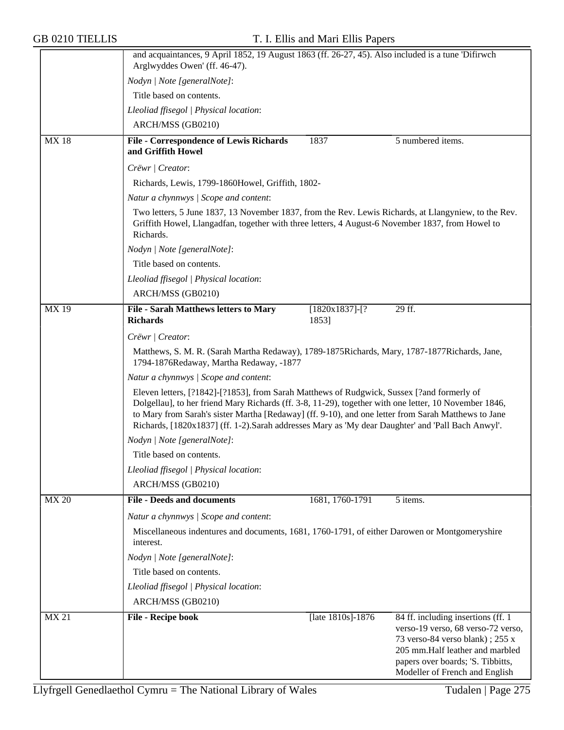|              | and acquaintances, 9 April 1852, 19 August 1863 (ff. 26-27, 45). Also included is a tune 'Difirwch<br>Arglwyddes Owen' (ff. 46-47).                                                                                                                                                                                                                                                                              |  |  |  |  |
|--------------|------------------------------------------------------------------------------------------------------------------------------------------------------------------------------------------------------------------------------------------------------------------------------------------------------------------------------------------------------------------------------------------------------------------|--|--|--|--|
|              | Nodyn   Note [generalNote]:                                                                                                                                                                                                                                                                                                                                                                                      |  |  |  |  |
|              | Title based on contents.                                                                                                                                                                                                                                                                                                                                                                                         |  |  |  |  |
|              | Lleoliad ffisegol   Physical location:                                                                                                                                                                                                                                                                                                                                                                           |  |  |  |  |
|              | ARCH/MSS (GB0210)                                                                                                                                                                                                                                                                                                                                                                                                |  |  |  |  |
| <b>MX18</b>  | <b>File - Correspondence of Lewis Richards</b><br>5 numbered items.<br>1837<br>and Griffith Howel                                                                                                                                                                                                                                                                                                                |  |  |  |  |
|              | Crëwr   Creator:                                                                                                                                                                                                                                                                                                                                                                                                 |  |  |  |  |
|              | Richards, Lewis, 1799-1860Howel, Griffith, 1802-                                                                                                                                                                                                                                                                                                                                                                 |  |  |  |  |
|              | Natur a chynnwys / Scope and content:                                                                                                                                                                                                                                                                                                                                                                            |  |  |  |  |
|              | Two letters, 5 June 1837, 13 November 1837, from the Rev. Lewis Richards, at Llangyniew, to the Rev.<br>Griffith Howel, Llangadfan, together with three letters, 4 August-6 November 1837, from Howel to<br>Richards.                                                                                                                                                                                            |  |  |  |  |
|              | Nodyn   Note [generalNote]:                                                                                                                                                                                                                                                                                                                                                                                      |  |  |  |  |
|              | Title based on contents.                                                                                                                                                                                                                                                                                                                                                                                         |  |  |  |  |
|              | Lleoliad ffisegol   Physical location:                                                                                                                                                                                                                                                                                                                                                                           |  |  |  |  |
|              | ARCH/MSS (GB0210)                                                                                                                                                                                                                                                                                                                                                                                                |  |  |  |  |
| <b>MX19</b>  | File - Sarah Matthews letters to Mary<br>$[1820x1837]-$ [?<br>29 ff.<br><b>Richards</b><br>1853]                                                                                                                                                                                                                                                                                                                 |  |  |  |  |
|              | Crëwr   Creator:                                                                                                                                                                                                                                                                                                                                                                                                 |  |  |  |  |
|              | Matthews, S. M. R. (Sarah Martha Redaway), 1789-1875 Richards, Mary, 1787-1877 Richards, Jane,<br>1794-1876Redaway, Martha Redaway, -1877                                                                                                                                                                                                                                                                        |  |  |  |  |
|              | Natur a chynnwys / Scope and content:                                                                                                                                                                                                                                                                                                                                                                            |  |  |  |  |
|              | Eleven letters, [?1842]-[?1853], from Sarah Matthews of Rudgwick, Sussex [?and formerly of<br>Dolgellau], to her friend Mary Richards (ff. 3-8, 11-29), together with one letter, 10 November 1846,<br>to Mary from Sarah's sister Martha [Redaway] (ff. 9-10), and one letter from Sarah Matthews to Jane<br>Richards, [1820x1837] (ff. 1-2). Sarah addresses Mary as 'My dear Daughter' and 'Pall Bach Anwyl'. |  |  |  |  |
|              | Nodyn   Note [generalNote]:                                                                                                                                                                                                                                                                                                                                                                                      |  |  |  |  |
|              | Title based on contents.                                                                                                                                                                                                                                                                                                                                                                                         |  |  |  |  |
|              | Lleoliad ffisegol   Physical location:                                                                                                                                                                                                                                                                                                                                                                           |  |  |  |  |
|              | ARCH/MSS (GB0210)                                                                                                                                                                                                                                                                                                                                                                                                |  |  |  |  |
| <b>MX 20</b> | <b>File - Deeds and documents</b><br>1681, 1760-1791<br>5 items.                                                                                                                                                                                                                                                                                                                                                 |  |  |  |  |
|              | Natur a chynnwys / Scope and content:                                                                                                                                                                                                                                                                                                                                                                            |  |  |  |  |
|              | Miscellaneous indentures and documents, 1681, 1760-1791, of either Darowen or Montgomeryshire                                                                                                                                                                                                                                                                                                                    |  |  |  |  |
|              | interest.                                                                                                                                                                                                                                                                                                                                                                                                        |  |  |  |  |
|              | Nodyn   Note [generalNote]:                                                                                                                                                                                                                                                                                                                                                                                      |  |  |  |  |
|              | Title based on contents.                                                                                                                                                                                                                                                                                                                                                                                         |  |  |  |  |
|              | Lleoliad ffisegol   Physical location:                                                                                                                                                                                                                                                                                                                                                                           |  |  |  |  |
|              | ARCH/MSS (GB0210)                                                                                                                                                                                                                                                                                                                                                                                                |  |  |  |  |
| <b>MX 21</b> | 84 ff. including insertions (ff. 1)<br>File - Recipe book<br>[late 1810s]-1876<br>verso-19 verso, 68 verso-72 verso,<br>73 verso-84 verso blank); 255 x<br>205 mm. Half leather and marbled<br>papers over boards; 'S. Tibbitts,<br>Modeller of French and English                                                                                                                                               |  |  |  |  |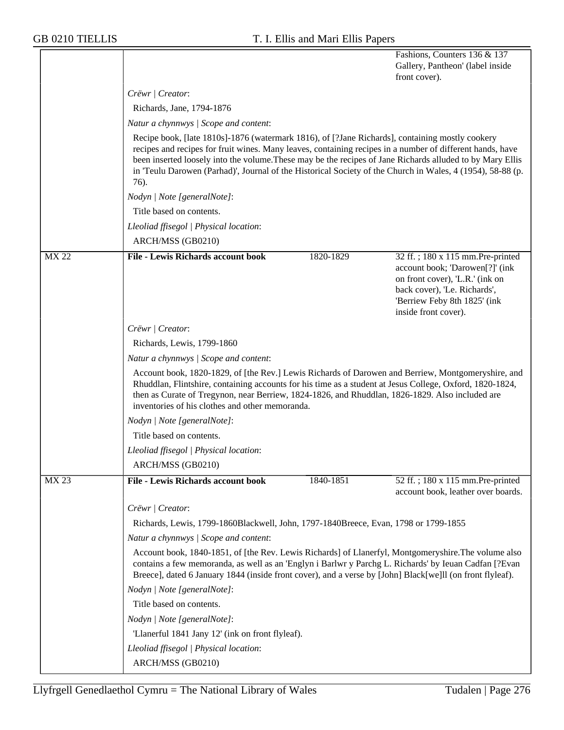|              |                                                                                                                                                                                                                                                                                                                                                                                                                                                 |           | Fashions, Counters 136 & 137<br>Gallery, Pantheon' (label inside<br>front cover).                                                                                                              |  |  |  |
|--------------|-------------------------------------------------------------------------------------------------------------------------------------------------------------------------------------------------------------------------------------------------------------------------------------------------------------------------------------------------------------------------------------------------------------------------------------------------|-----------|------------------------------------------------------------------------------------------------------------------------------------------------------------------------------------------------|--|--|--|
|              | Crëwr   Creator:                                                                                                                                                                                                                                                                                                                                                                                                                                |           |                                                                                                                                                                                                |  |  |  |
|              | Richards, Jane, 1794-1876                                                                                                                                                                                                                                                                                                                                                                                                                       |           |                                                                                                                                                                                                |  |  |  |
|              | Natur a chynnwys   Scope and content:                                                                                                                                                                                                                                                                                                                                                                                                           |           |                                                                                                                                                                                                |  |  |  |
|              | Recipe book, [late 1810s]-1876 (watermark 1816), of [?Jane Richards], containing mostly cookery<br>recipes and recipes for fruit wines. Many leaves, containing recipes in a number of different hands, have<br>been inserted loosely into the volume. These may be the recipes of Jane Richards alluded to by Mary Ellis<br>in 'Teulu Darowen (Parhad)', Journal of the Historical Society of the Church in Wales, 4 (1954), 58-88 (p.<br>76). |           |                                                                                                                                                                                                |  |  |  |
|              | Nodyn   Note [generalNote]:                                                                                                                                                                                                                                                                                                                                                                                                                     |           |                                                                                                                                                                                                |  |  |  |
|              | Title based on contents.                                                                                                                                                                                                                                                                                                                                                                                                                        |           |                                                                                                                                                                                                |  |  |  |
|              | Lleoliad ffisegol   Physical location:                                                                                                                                                                                                                                                                                                                                                                                                          |           |                                                                                                                                                                                                |  |  |  |
|              | ARCH/MSS (GB0210)                                                                                                                                                                                                                                                                                                                                                                                                                               |           |                                                                                                                                                                                                |  |  |  |
| <b>MX 22</b> | <b>File - Lewis Richards account book</b>                                                                                                                                                                                                                                                                                                                                                                                                       | 1820-1829 | 32 ff.; 180 x 115 mm.Pre-printed<br>account book; 'Darowen[?]' (ink<br>on front cover), 'L.R.' (ink on<br>back cover), 'Le. Richards',<br>'Berriew Feby 8th 1825' (ink<br>inside front cover). |  |  |  |
|              | Crëwr   Creator:                                                                                                                                                                                                                                                                                                                                                                                                                                |           |                                                                                                                                                                                                |  |  |  |
|              | Richards, Lewis, 1799-1860                                                                                                                                                                                                                                                                                                                                                                                                                      |           |                                                                                                                                                                                                |  |  |  |
|              | Natur a chynnwys   Scope and content:                                                                                                                                                                                                                                                                                                                                                                                                           |           |                                                                                                                                                                                                |  |  |  |
|              | Account book, 1820-1829, of [the Rev.] Lewis Richards of Darowen and Berriew, Montgomeryshire, and<br>Rhuddlan, Flintshire, containing accounts for his time as a student at Jesus College, Oxford, 1820-1824,<br>then as Curate of Tregynon, near Berriew, 1824-1826, and Rhuddlan, 1826-1829. Also included are<br>inventories of his clothes and other memoranda.                                                                            |           |                                                                                                                                                                                                |  |  |  |
|              | Nodyn   Note [generalNote]:                                                                                                                                                                                                                                                                                                                                                                                                                     |           |                                                                                                                                                                                                |  |  |  |
|              | Title based on contents.                                                                                                                                                                                                                                                                                                                                                                                                                        |           |                                                                                                                                                                                                |  |  |  |
|              | Lleoliad ffisegol   Physical location:                                                                                                                                                                                                                                                                                                                                                                                                          |           |                                                                                                                                                                                                |  |  |  |
|              | ARCH/MSS (GB0210)                                                                                                                                                                                                                                                                                                                                                                                                                               |           |                                                                                                                                                                                                |  |  |  |
| <b>MX 23</b> | <b>File - Lewis Richards account book</b>                                                                                                                                                                                                                                                                                                                                                                                                       | 1840-1851 | 52 ff.; 180 x 115 mm.Pre-printed<br>account book, leather over boards.                                                                                                                         |  |  |  |
|              | Crëwr   Creator:                                                                                                                                                                                                                                                                                                                                                                                                                                |           |                                                                                                                                                                                                |  |  |  |
|              | Richards, Lewis, 1799-1860Blackwell, John, 1797-1840Breece, Evan, 1798 or 1799-1855                                                                                                                                                                                                                                                                                                                                                             |           |                                                                                                                                                                                                |  |  |  |
|              | Natur a chynnwys / Scope and content:                                                                                                                                                                                                                                                                                                                                                                                                           |           |                                                                                                                                                                                                |  |  |  |
|              | Account book, 1840-1851, of [the Rev. Lewis Richards] of Llanerfyl, Montgomeryshire. The volume also<br>contains a few memoranda, as well as an 'Englyn i Barlwr y Parchg L. Richards' by Ieuan Cadfan [?Evan<br>Breece], dated 6 January 1844 (inside front cover), and a verse by [John] Black[we]ll (on front flyleaf).                                                                                                                      |           |                                                                                                                                                                                                |  |  |  |
|              | Nodyn   Note [generalNote]:                                                                                                                                                                                                                                                                                                                                                                                                                     |           |                                                                                                                                                                                                |  |  |  |
|              | Title based on contents.                                                                                                                                                                                                                                                                                                                                                                                                                        |           |                                                                                                                                                                                                |  |  |  |
|              | Nodyn   Note [generalNote]:                                                                                                                                                                                                                                                                                                                                                                                                                     |           |                                                                                                                                                                                                |  |  |  |
|              | 'Llanerful 1841 Jany 12' (ink on front flyleaf).                                                                                                                                                                                                                                                                                                                                                                                                |           |                                                                                                                                                                                                |  |  |  |
|              | Lleoliad ffisegol   Physical location:                                                                                                                                                                                                                                                                                                                                                                                                          |           |                                                                                                                                                                                                |  |  |  |
|              | ARCH/MSS (GB0210)                                                                                                                                                                                                                                                                                                                                                                                                                               |           |                                                                                                                                                                                                |  |  |  |